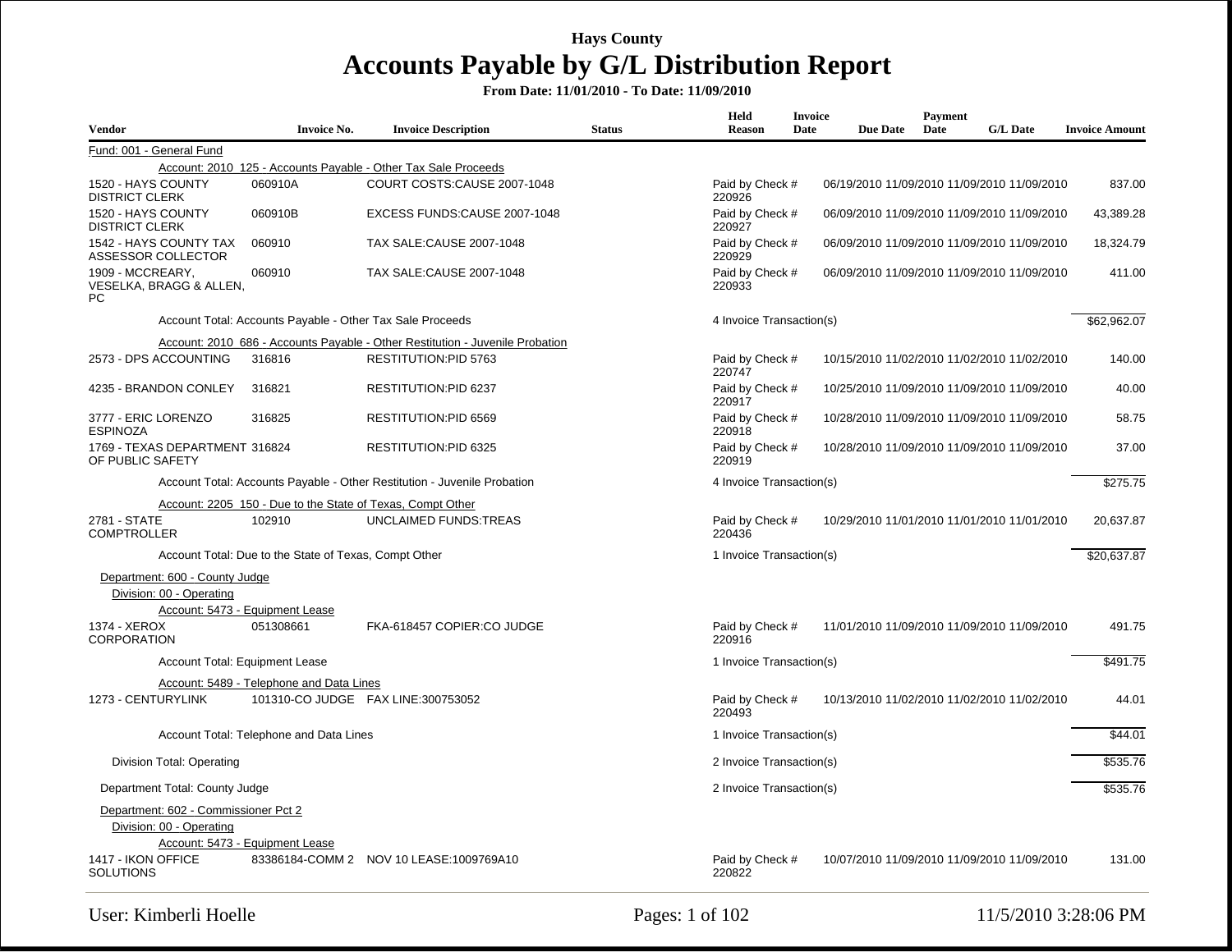| <b>Vendor</b>                                              | <b>Invoice No.</b>                                        | <b>Invoice Description</b>                                                    | <b>Status</b> | Held<br>Reason            | <b>Invoice</b><br>Date | <b>Due Date</b> | Payment<br>Date | <b>G/L Date</b>                             | <b>Invoice Amount</b> |
|------------------------------------------------------------|-----------------------------------------------------------|-------------------------------------------------------------------------------|---------------|---------------------------|------------------------|-----------------|-----------------|---------------------------------------------|-----------------------|
| Fund: 001 - General Fund                                   |                                                           |                                                                               |               |                           |                        |                 |                 |                                             |                       |
|                                                            |                                                           | Account: 2010_125 - Accounts Payable - Other Tax Sale Proceeds                |               |                           |                        |                 |                 |                                             |                       |
| 1520 - HAYS COUNTY<br><b>DISTRICT CLERK</b>                | 060910A                                                   | COURT COSTS:CAUSE 2007-1048                                                   |               | Paid by Check #<br>220926 |                        |                 |                 | 06/19/2010 11/09/2010 11/09/2010 11/09/2010 | 837.00                |
| 1520 - HAYS COUNTY<br><b>DISTRICT CLERK</b>                | 060910B                                                   | EXCESS FUNDS:CAUSE 2007-1048                                                  |               | Paid by Check #<br>220927 |                        |                 |                 | 06/09/2010 11/09/2010 11/09/2010 11/09/2010 | 43,389.28             |
| 1542 - HAYS COUNTY TAX<br><b>ASSESSOR COLLECTOR</b>        | 060910                                                    | TAX SALE:CAUSE 2007-1048                                                      |               | Paid by Check #<br>220929 |                        |                 |                 | 06/09/2010 11/09/2010 11/09/2010 11/09/2010 | 18,324.79             |
| 1909 - MCCREARY,<br>VESELKA, BRAGG & ALLEN,<br>PC          | 060910                                                    | TAX SALE: CAUSE 2007-1048                                                     |               | Paid by Check #<br>220933 |                        |                 |                 | 06/09/2010 11/09/2010 11/09/2010 11/09/2010 | 411.00                |
|                                                            | Account Total: Accounts Payable - Other Tax Sale Proceeds |                                                                               |               | 4 Invoice Transaction(s)  |                        |                 |                 |                                             | \$62,962.07           |
|                                                            |                                                           | Account: 2010_686 - Accounts Payable - Other Restitution - Juvenile Probation |               |                           |                        |                 |                 |                                             |                       |
| 2573 - DPS ACCOUNTING                                      | 316816                                                    | RESTITUTION:PID 5763                                                          |               | Paid by Check #<br>220747 |                        |                 |                 | 10/15/2010 11/02/2010 11/02/2010 11/02/2010 | 140.00                |
| 4235 - BRANDON CONLEY                                      | 316821                                                    | RESTITUTION:PID 6237                                                          |               | Paid by Check #<br>220917 |                        |                 |                 | 10/25/2010 11/09/2010 11/09/2010 11/09/2010 | 40.00                 |
| 3777 - ERIC LORENZO<br><b>ESPINOZA</b>                     | 316825                                                    | <b>RESTITUTION:PID 6569</b>                                                   |               | Paid by Check #<br>220918 |                        |                 |                 | 10/28/2010 11/09/2010 11/09/2010 11/09/2010 | 58.75                 |
| 1769 - TEXAS DEPARTMENT 316824<br>OF PUBLIC SAFETY         |                                                           | RESTITUTION:PID 6325                                                          |               | Paid by Check #<br>220919 |                        |                 |                 | 10/28/2010 11/09/2010 11/09/2010 11/09/2010 | 37.00                 |
|                                                            |                                                           | Account Total: Accounts Payable - Other Restitution - Juvenile Probation      |               | 4 Invoice Transaction(s)  |                        |                 |                 |                                             | \$275.75              |
|                                                            |                                                           | Account: 2205 150 - Due to the State of Texas, Compt Other                    |               |                           |                        |                 |                 |                                             |                       |
| 2781 - STATE<br><b>COMPTROLLER</b>                         | 102910                                                    | <b>UNCLAIMED FUNDS:TREAS</b>                                                  |               | Paid by Check #<br>220436 |                        |                 |                 | 10/29/2010 11/01/2010 11/01/2010 11/01/2010 | 20,637.87             |
|                                                            | Account Total: Due to the State of Texas, Compt Other     |                                                                               |               | 1 Invoice Transaction(s)  |                        |                 |                 |                                             | \$20,637.87           |
| Department: 600 - County Judge<br>Division: 00 - Operating | Account: 5473 - Equipment Lease                           |                                                                               |               |                           |                        |                 |                 |                                             |                       |
| 1374 - XEROX<br><b>CORPORATION</b>                         | 051308661                                                 | FKA-618457 COPIER:CO JUDGE                                                    |               | Paid by Check #<br>220916 |                        |                 |                 | 11/01/2010 11/09/2010 11/09/2010 11/09/2010 | 491.75                |
| Account Total: Equipment Lease                             |                                                           |                                                                               |               | 1 Invoice Transaction(s)  |                        |                 |                 |                                             | \$491.75              |
|                                                            | Account: 5489 - Telephone and Data Lines                  |                                                                               |               |                           |                        |                 |                 |                                             |                       |
| 1273 - CENTURYLINK                                         |                                                           | 101310-CO JUDGE FAX LINE:300753052                                            |               | Paid by Check #<br>220493 |                        |                 |                 | 10/13/2010 11/02/2010 11/02/2010 11/02/2010 | 44.01                 |
|                                                            | Account Total: Telephone and Data Lines                   |                                                                               |               | 1 Invoice Transaction(s)  |                        |                 |                 |                                             | \$44.01               |
| Division Total: Operating                                  |                                                           |                                                                               |               | 2 Invoice Transaction(s)  |                        |                 |                 |                                             | \$535.76              |
| Department Total: County Judge                             |                                                           |                                                                               |               | 2 Invoice Transaction(s)  |                        |                 |                 |                                             | \$535.76              |
| Department: 602 - Commissioner Pct 2                       |                                                           |                                                                               |               |                           |                        |                 |                 |                                             |                       |
| Division: 00 - Operating                                   |                                                           |                                                                               |               |                           |                        |                 |                 |                                             |                       |
|                                                            | Account: 5473 - Equipment Lease                           |                                                                               |               |                           |                        |                 |                 |                                             |                       |
| 1417 - IKON OFFICE<br><b>SOLUTIONS</b>                     |                                                           | 83386184-COMM 2 NOV 10 LEASE:1009769A10                                       |               | Paid by Check #<br>220822 |                        |                 |                 | 10/07/2010 11/09/2010 11/09/2010 11/09/2010 | 131.00                |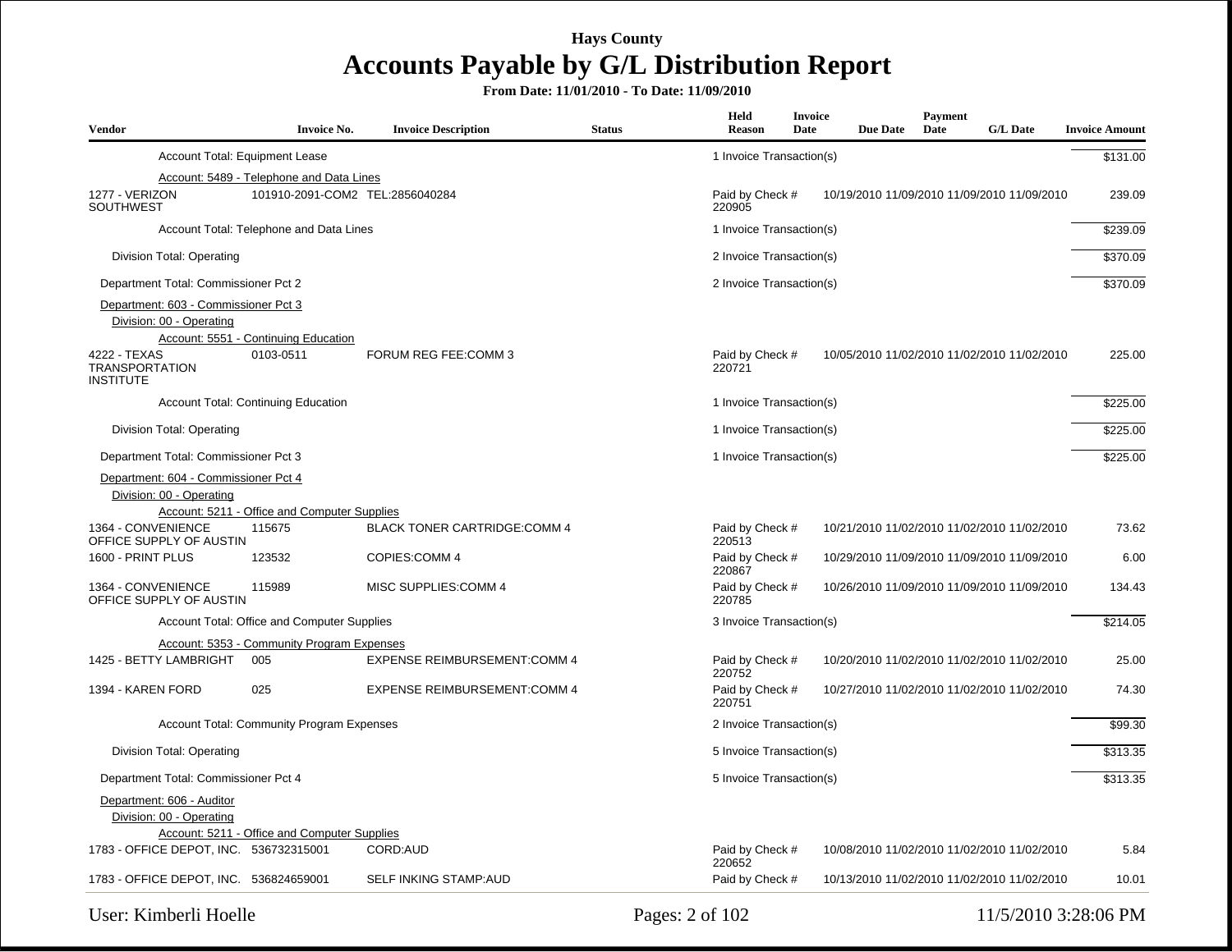| <b>Vendor</b>                                                    | <b>Invoice No.</b>                               | <b>Invoice Description</b>          | <b>Status</b> | Held<br>Reason            | <b>Invoice</b><br><b>Date</b> | <b>Due Date</b> | <b>Payment</b><br>Date | <b>G/L Date</b>                             | <b>Invoice Amount</b> |
|------------------------------------------------------------------|--------------------------------------------------|-------------------------------------|---------------|---------------------------|-------------------------------|-----------------|------------------------|---------------------------------------------|-----------------------|
| Account Total: Equipment Lease                                   |                                                  |                                     |               | 1 Invoice Transaction(s)  |                               |                 |                        |                                             | \$131.00              |
|                                                                  | Account: 5489 - Telephone and Data Lines         |                                     |               |                           |                               |                 |                        |                                             |                       |
| 1277 - VERIZON<br><b>SOUTHWEST</b>                               | 101910-2091-COM2 TEL:2856040284                  |                                     |               | Paid by Check #<br>220905 |                               |                 |                        | 10/19/2010 11/09/2010 11/09/2010 11/09/2010 | 239.09                |
|                                                                  | Account Total: Telephone and Data Lines          |                                     |               | 1 Invoice Transaction(s)  |                               |                 |                        |                                             | \$239.09              |
| Division Total: Operating                                        |                                                  |                                     |               | 2 Invoice Transaction(s)  |                               |                 |                        |                                             | \$370.09              |
| Department Total: Commissioner Pct 2                             |                                                  |                                     |               | 2 Invoice Transaction(s)  |                               |                 |                        |                                             | \$370.09              |
| Department: 603 - Commissioner Pct 3                             |                                                  |                                     |               |                           |                               |                 |                        |                                             |                       |
| Division: 00 - Operating                                         |                                                  |                                     |               |                           |                               |                 |                        |                                             |                       |
|                                                                  | Account: 5551 - Continuing Education             |                                     |               |                           |                               |                 |                        |                                             |                       |
| 4222 - TEXAS<br><b>TRANSPORTATION</b><br><b>INSTITUTE</b>        | 0103-0511                                        | FORUM REG FEE:COMM 3                |               | Paid by Check #<br>220721 |                               |                 |                        | 10/05/2010 11/02/2010 11/02/2010 11/02/2010 | 225.00                |
|                                                                  | <b>Account Total: Continuing Education</b>       |                                     |               | 1 Invoice Transaction(s)  |                               |                 |                        |                                             | \$225.00              |
| Division Total: Operating                                        |                                                  |                                     |               | 1 Invoice Transaction(s)  |                               |                 |                        |                                             | \$225.00              |
| Department Total: Commissioner Pct 3                             |                                                  |                                     |               | 1 Invoice Transaction(s)  |                               |                 |                        |                                             | \$225.00              |
| Department: 604 - Commissioner Pct 4<br>Division: 00 - Operating |                                                  |                                     |               |                           |                               |                 |                        |                                             |                       |
|                                                                  | Account: 5211 - Office and Computer Supplies     |                                     |               |                           |                               |                 |                        |                                             |                       |
| 1364 - CONVENIENCE<br>OFFICE SUPPLY OF AUSTIN                    | 115675                                           | <b>BLACK TONER CARTRIDGE:COMM 4</b> |               | Paid by Check #<br>220513 |                               |                 |                        | 10/21/2010 11/02/2010 11/02/2010 11/02/2010 | 73.62                 |
| 1600 - PRINT PLUS                                                | 123532                                           | COPIES:COMM 4                       |               | Paid by Check #<br>220867 |                               |                 |                        | 10/29/2010 11/09/2010 11/09/2010 11/09/2010 | 6.00                  |
| 1364 - CONVENIENCE<br>OFFICE SUPPLY OF AUSTIN                    | 115989                                           | MISC SUPPLIES:COMM 4                |               | Paid by Check #<br>220785 |                               |                 |                        | 10/26/2010 11/09/2010 11/09/2010 11/09/2010 | 134.43                |
|                                                                  | Account Total: Office and Computer Supplies      |                                     |               | 3 Invoice Transaction(s)  |                               |                 |                        |                                             | \$214.05              |
|                                                                  | Account: 5353 - Community Program Expenses       |                                     |               |                           |                               |                 |                        |                                             |                       |
| 1425 - BETTY LAMBRIGHT                                           | 005                                              | <b>EXPENSE REIMBURSEMENT:COMM 4</b> |               | Paid by Check #<br>220752 |                               |                 |                        | 10/20/2010 11/02/2010 11/02/2010 11/02/2010 | 25.00                 |
| 1394 - KAREN FORD                                                | 025                                              | <b>EXPENSE REIMBURSEMENT:COMM 4</b> |               | Paid by Check #<br>220751 |                               |                 |                        | 10/27/2010 11/02/2010 11/02/2010 11/02/2010 | 74.30                 |
|                                                                  | <b>Account Total: Community Program Expenses</b> |                                     |               | 2 Invoice Transaction(s)  |                               |                 |                        |                                             | \$99.30               |
| Division Total: Operating                                        |                                                  |                                     |               | 5 Invoice Transaction(s)  |                               |                 |                        |                                             | \$313.35              |
| Department Total: Commissioner Pct 4                             |                                                  |                                     |               | 5 Invoice Transaction(s)  |                               |                 |                        |                                             | \$313.35              |
| Department: 606 - Auditor                                        |                                                  |                                     |               |                           |                               |                 |                        |                                             |                       |
| Division: 00 - Operating                                         |                                                  |                                     |               |                           |                               |                 |                        |                                             |                       |
|                                                                  | Account: 5211 - Office and Computer Supplies     |                                     |               |                           |                               |                 |                        |                                             |                       |
| 1783 - OFFICE DEPOT, INC. 536732315001                           |                                                  | CORD:AUD                            |               | Paid by Check #<br>220652 |                               |                 |                        | 10/08/2010 11/02/2010 11/02/2010 11/02/2010 | 5.84                  |
| 1783 - OFFICE DEPOT, INC. 536824659001                           |                                                  | <b>SELF INKING STAMP:AUD</b>        |               | Paid by Check #           |                               |                 |                        | 10/13/2010 11/02/2010 11/02/2010 11/02/2010 | 10.01                 |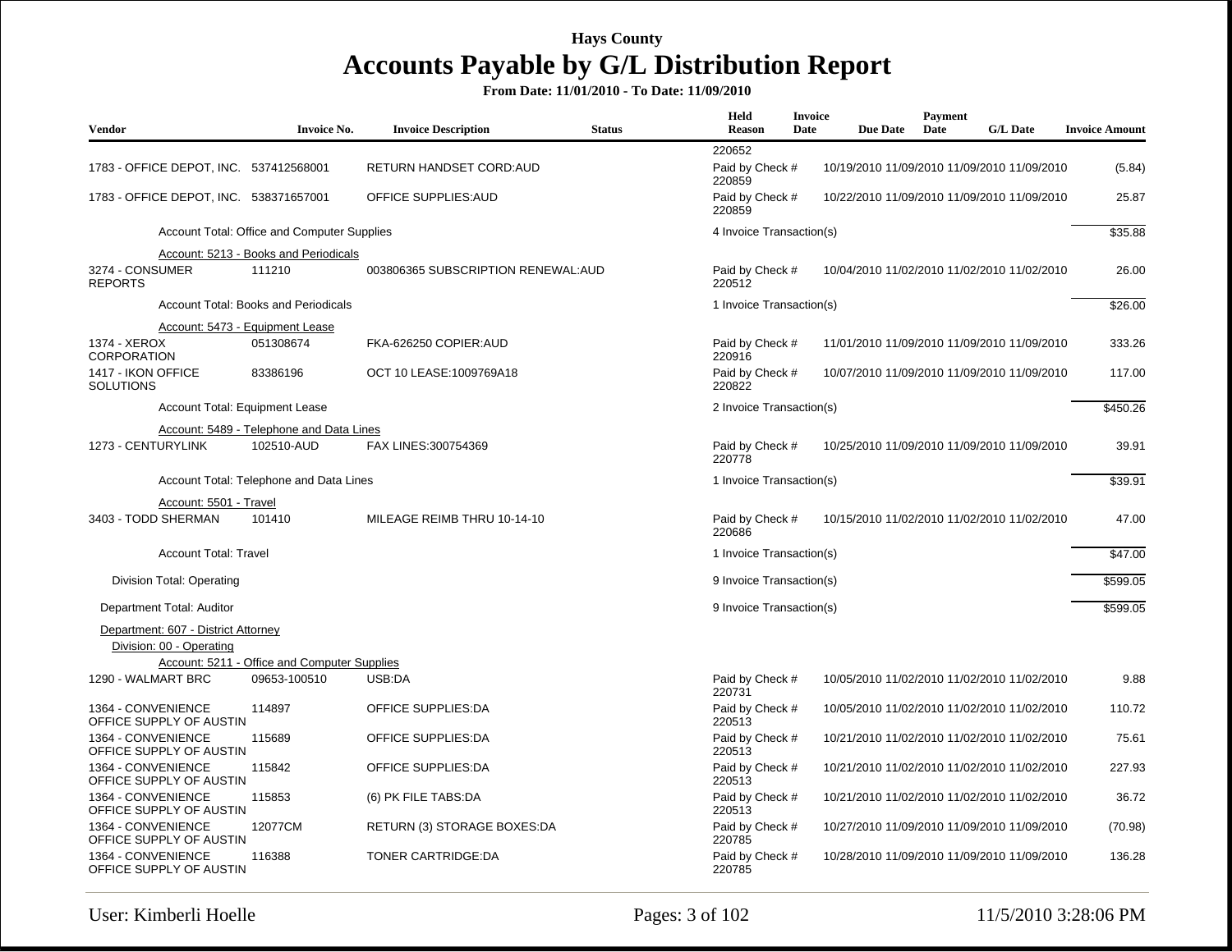| <b>Vendor</b>                                                   | <b>Invoice No.</b>                           | <b>Invoice Description</b>         | <b>Status</b> | Held<br>Reason            | Invoice<br>Date | <b>Due Date</b> | Payment<br>Date | <b>G/L Date</b>                             | <b>Invoice Amount</b> |
|-----------------------------------------------------------------|----------------------------------------------|------------------------------------|---------------|---------------------------|-----------------|-----------------|-----------------|---------------------------------------------|-----------------------|
|                                                                 |                                              |                                    |               | 220652                    |                 |                 |                 |                                             |                       |
| 1783 - OFFICE DEPOT, INC. 537412568001                          |                                              | RETURN HANDSET CORD:AUD            |               | Paid by Check #<br>220859 |                 |                 |                 | 10/19/2010 11/09/2010 11/09/2010 11/09/2010 | (5.84)                |
| 1783 - OFFICE DEPOT, INC. 538371657001                          |                                              | OFFICE SUPPLIES: AUD               |               | Paid by Check #<br>220859 |                 |                 |                 | 10/22/2010 11/09/2010 11/09/2010 11/09/2010 | 25.87                 |
|                                                                 | Account Total: Office and Computer Supplies  |                                    |               | 4 Invoice Transaction(s)  |                 |                 |                 |                                             | \$35.88               |
|                                                                 | Account: 5213 - Books and Periodicals        |                                    |               |                           |                 |                 |                 |                                             |                       |
| 3274 - CONSUMER<br><b>REPORTS</b>                               | 111210                                       | 003806365 SUBSCRIPTION RENEWAL:AUD |               | Paid by Check #<br>220512 |                 |                 |                 | 10/04/2010 11/02/2010 11/02/2010 11/02/2010 | 26.00                 |
|                                                                 | Account Total: Books and Periodicals         |                                    |               | 1 Invoice Transaction(s)  |                 |                 |                 |                                             | \$26.00               |
|                                                                 | Account: 5473 - Equipment Lease              |                                    |               |                           |                 |                 |                 |                                             |                       |
| 1374 - XEROX<br><b>CORPORATION</b>                              | 051308674                                    | FKA-626250 COPIER:AUD              |               | Paid by Check #<br>220916 |                 |                 |                 | 11/01/2010 11/09/2010 11/09/2010 11/09/2010 | 333.26                |
| 1417 - IKON OFFICE<br><b>SOLUTIONS</b>                          | 83386196                                     | OCT 10 LEASE:1009769A18            |               | Paid by Check #<br>220822 |                 |                 |                 | 10/07/2010 11/09/2010 11/09/2010 11/09/2010 | 117.00                |
| Account Total: Equipment Lease                                  |                                              |                                    |               | 2 Invoice Transaction(s)  |                 |                 |                 |                                             | \$450.26              |
|                                                                 | Account: 5489 - Telephone and Data Lines     |                                    |               |                           |                 |                 |                 |                                             |                       |
| 1273 - CENTURYLINK                                              | 102510-AUD                                   | FAX LINES:300754369                |               | Paid by Check #<br>220778 |                 |                 |                 | 10/25/2010 11/09/2010 11/09/2010 11/09/2010 | 39.91                 |
|                                                                 | Account Total: Telephone and Data Lines      |                                    |               | 1 Invoice Transaction(s)  |                 |                 |                 |                                             | \$39.91               |
| Account: 5501 - Travel                                          |                                              |                                    |               |                           |                 |                 |                 |                                             |                       |
| 3403 - TODD SHERMAN                                             | 101410                                       | MILEAGE REIMB THRU 10-14-10        |               | Paid by Check #<br>220686 |                 |                 |                 | 10/15/2010 11/02/2010 11/02/2010 11/02/2010 | 47.00                 |
| <b>Account Total: Travel</b>                                    |                                              |                                    |               | 1 Invoice Transaction(s)  |                 |                 |                 |                                             | \$47.00               |
| Division Total: Operating                                       |                                              |                                    |               | 9 Invoice Transaction(s)  |                 |                 |                 |                                             | \$599.05              |
| Department Total: Auditor                                       |                                              |                                    |               | 9 Invoice Transaction(s)  |                 |                 |                 |                                             | \$599.05              |
| Department: 607 - District Attorney<br>Division: 00 - Operating |                                              |                                    |               |                           |                 |                 |                 |                                             |                       |
|                                                                 | Account: 5211 - Office and Computer Supplies |                                    |               |                           |                 |                 |                 |                                             |                       |
| 1290 - WALMART BRC                                              | 09653-100510                                 | USB:DA                             |               | Paid by Check #<br>220731 |                 |                 |                 | 10/05/2010 11/02/2010 11/02/2010 11/02/2010 | 9.88                  |
| 1364 - CONVENIENCE<br>OFFICE SUPPLY OF AUSTIN                   | 114897                                       | <b>OFFICE SUPPLIES:DA</b>          |               | Paid by Check #<br>220513 |                 |                 |                 | 10/05/2010 11/02/2010 11/02/2010 11/02/2010 | 110.72                |
| 1364 - CONVENIENCE<br>OFFICE SUPPLY OF AUSTIN                   | 115689                                       | <b>OFFICE SUPPLIES:DA</b>          |               | Paid by Check #<br>220513 |                 |                 |                 | 10/21/2010 11/02/2010 11/02/2010 11/02/2010 | 75.61                 |
| 1364 - CONVENIENCE<br>OFFICE SUPPLY OF AUSTIN                   | 115842                                       | <b>OFFICE SUPPLIES:DA</b>          |               | Paid by Check #<br>220513 |                 |                 |                 | 10/21/2010 11/02/2010 11/02/2010 11/02/2010 | 227.93                |
| 1364 - CONVENIENCE<br>OFFICE SUPPLY OF AUSTIN                   | 115853                                       | (6) PK FILE TABS:DA                |               | Paid by Check #<br>220513 |                 |                 |                 | 10/21/2010 11/02/2010 11/02/2010 11/02/2010 | 36.72                 |
| 1364 - CONVENIENCE<br>OFFICE SUPPLY OF AUSTIN                   | 12077CM                                      | RETURN (3) STORAGE BOXES:DA        |               | Paid by Check #<br>220785 |                 |                 |                 | 10/27/2010 11/09/2010 11/09/2010 11/09/2010 | (70.98)               |
| 1364 - CONVENIENCE<br>OFFICE SUPPLY OF AUSTIN                   | 116388                                       | <b>TONER CARTRIDGE:DA</b>          |               | Paid by Check #<br>220785 |                 |                 |                 | 10/28/2010 11/09/2010 11/09/2010 11/09/2010 | 136.28                |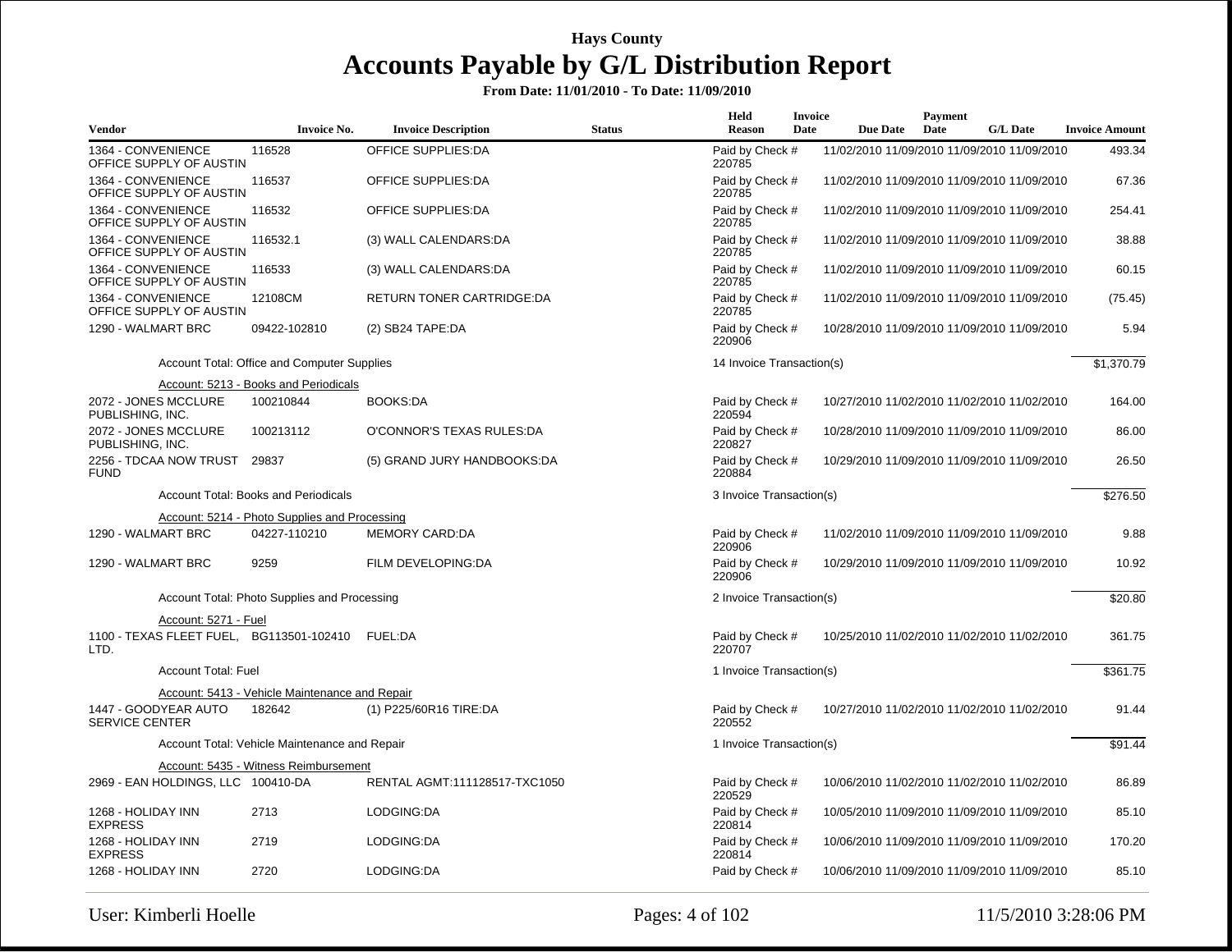| <b>Vendor</b>                                            | <b>Invoice No.</b>                             | <b>Invoice Description</b>    | <b>Status</b> | Held<br><b>Reason</b>     | <b>Invoice</b><br>Date | <b>Due Date</b>                             | Payment<br>Date | <b>G/L Date</b> | <b>Invoice Amount</b> |
|----------------------------------------------------------|------------------------------------------------|-------------------------------|---------------|---------------------------|------------------------|---------------------------------------------|-----------------|-----------------|-----------------------|
| 1364 - CONVENIENCE<br>OFFICE SUPPLY OF AUSTIN            | 116528                                         | <b>OFFICE SUPPLIES:DA</b>     |               | Paid by Check #<br>220785 |                        | 11/02/2010 11/09/2010 11/09/2010 11/09/2010 |                 |                 | 493.34                |
| 1364 - CONVENIENCE<br>OFFICE SUPPLY OF AUSTIN            | 116537                                         | OFFICE SUPPLIES:DA            |               | Paid by Check #<br>220785 |                        | 11/02/2010 11/09/2010 11/09/2010 11/09/2010 |                 |                 | 67.36                 |
| 1364 - CONVENIENCE<br>OFFICE SUPPLY OF AUSTIN            | 116532                                         | <b>OFFICE SUPPLIES:DA</b>     |               | Paid by Check #<br>220785 |                        | 11/02/2010 11/09/2010 11/09/2010 11/09/2010 |                 |                 | 254.41                |
| 1364 - CONVENIENCE<br>OFFICE SUPPLY OF AUSTIN            | 116532.1                                       | (3) WALL CALENDARS:DA         |               | Paid by Check #<br>220785 |                        | 11/02/2010 11/09/2010 11/09/2010 11/09/2010 |                 |                 | 38.88                 |
| 1364 - CONVENIENCE<br>OFFICE SUPPLY OF AUSTIN            | 116533                                         | (3) WALL CALENDARS:DA         |               | Paid by Check #<br>220785 |                        | 11/02/2010 11/09/2010 11/09/2010 11/09/2010 |                 |                 | 60.15                 |
| 1364 - CONVENIENCE<br>OFFICE SUPPLY OF AUSTIN            | 12108CM                                        | RETURN TONER CARTRIDGE:DA     |               | Paid by Check #<br>220785 |                        | 11/02/2010 11/09/2010 11/09/2010 11/09/2010 |                 |                 | (75.45)               |
| 1290 - WALMART BRC                                       | 09422-102810                                   | $(2)$ SB24 TAPE:DA            |               | Paid by Check #<br>220906 |                        | 10/28/2010 11/09/2010 11/09/2010 11/09/2010 |                 |                 | 5.94                  |
|                                                          | Account Total: Office and Computer Supplies    |                               |               | 14 Invoice Transaction(s) |                        |                                             |                 |                 | \$1,370.79            |
|                                                          | Account: 5213 - Books and Periodicals          |                               |               |                           |                        |                                             |                 |                 |                       |
| 2072 - JONES MCCLURE<br>PUBLISHING, INC.                 | 100210844                                      | <b>BOOKS:DA</b>               |               | Paid by Check #<br>220594 |                        | 10/27/2010 11/02/2010 11/02/2010 11/02/2010 |                 |                 | 164.00                |
| 2072 - JONES MCCLURE<br>PUBLISHING, INC.                 | 100213112                                      | O'CONNOR'S TEXAS RULES:DA     |               | Paid by Check #<br>220827 |                        | 10/28/2010 11/09/2010 11/09/2010 11/09/2010 |                 |                 | 86.00                 |
| 2256 - TDCAA NOW TRUST<br><b>FUND</b>                    | 29837                                          | (5) GRAND JURY HANDBOOKS:DA   |               | Paid by Check #<br>220884 |                        | 10/29/2010 11/09/2010 11/09/2010 11/09/2010 |                 |                 | 26.50                 |
|                                                          | Account Total: Books and Periodicals           |                               |               | 3 Invoice Transaction(s)  |                        |                                             |                 |                 | \$276.50              |
|                                                          | Account: 5214 - Photo Supplies and Processing  |                               |               |                           |                        |                                             |                 |                 |                       |
| 1290 - WALMART BRC                                       | 04227-110210                                   | MEMORY CARD:DA                |               | Paid by Check #<br>220906 |                        | 11/02/2010 11/09/2010 11/09/2010 11/09/2010 |                 |                 | 9.88                  |
| 1290 - WALMART BRC                                       | 9259                                           | FILM DEVELOPING:DA            |               | Paid by Check #<br>220906 |                        | 10/29/2010 11/09/2010 11/09/2010 11/09/2010 |                 |                 | 10.92                 |
|                                                          | Account Total: Photo Supplies and Processing   |                               |               | 2 Invoice Transaction(s)  |                        |                                             |                 |                 | \$20.80               |
| Account: 5271 - Fuel                                     |                                                |                               |               |                           |                        |                                             |                 |                 |                       |
| 1100 - TEXAS FLEET FUEL, BG113501-102410 FUEL:DA<br>LTD. |                                                |                               |               | Paid by Check #<br>220707 |                        | 10/25/2010 11/02/2010 11/02/2010 11/02/2010 |                 |                 | 361.75                |
| <b>Account Total: Fuel</b>                               |                                                |                               |               | 1 Invoice Transaction(s)  |                        |                                             |                 |                 | \$361.75              |
|                                                          | Account: 5413 - Vehicle Maintenance and Repair |                               |               |                           |                        |                                             |                 |                 |                       |
| 1447 - GOODYEAR AUTO<br><b>SERVICE CENTER</b>            | 182642                                         | (1) P225/60R16 TIRE:DA        |               | Paid by Check #<br>220552 |                        | 10/27/2010 11/02/2010 11/02/2010 11/02/2010 |                 |                 | 91.44                 |
|                                                          | Account Total: Vehicle Maintenance and Repair  |                               |               | 1 Invoice Transaction(s)  |                        |                                             |                 |                 | \$91.44               |
|                                                          | Account: 5435 - Witness Reimbursement          |                               |               |                           |                        |                                             |                 |                 |                       |
| 2969 - EAN HOLDINGS, LLC 100410-DA                       |                                                | RENTAL AGMT:111128517-TXC1050 |               | Paid by Check #<br>220529 |                        | 10/06/2010 11/02/2010 11/02/2010 11/02/2010 |                 |                 | 86.89                 |
| 1268 - HOLIDAY INN<br><b>EXPRESS</b>                     | 2713                                           | LODGING:DA                    |               | Paid by Check #<br>220814 |                        | 10/05/2010 11/09/2010 11/09/2010 11/09/2010 |                 |                 | 85.10                 |
| 1268 - HOLIDAY INN<br><b>EXPRESS</b>                     | 2719                                           | LODGING:DA                    |               | Paid by Check #<br>220814 |                        | 10/06/2010 11/09/2010 11/09/2010 11/09/2010 |                 |                 | 170.20                |
| 1268 - HOLIDAY INN                                       | 2720                                           | LODGING:DA                    |               | Paid by Check #           |                        | 10/06/2010 11/09/2010 11/09/2010 11/09/2010 |                 |                 | 85.10                 |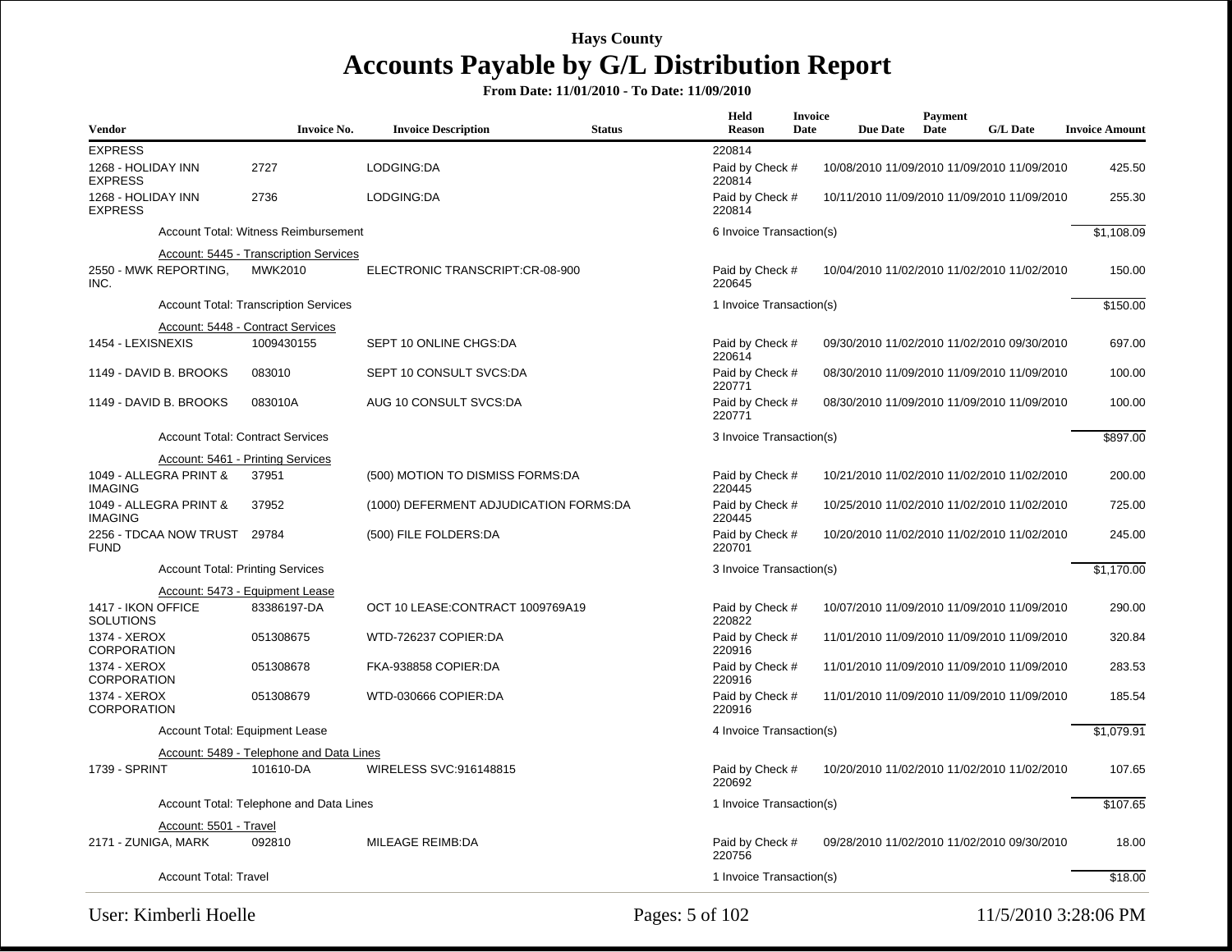**From Date: 11/01/2010 - To Date: 11/09/2010**

| <b>Vendor</b>                          |                                         | <b>Invoice No.</b>                           | <b>Invoice Description</b>             | <b>Status</b> | Held<br><b>Reason</b>     | <b>Invoice</b><br>Date | <b>Due Date</b> | Payment<br>Date | <b>G/L Date</b>                             | <b>Invoice Amount</b> |
|----------------------------------------|-----------------------------------------|----------------------------------------------|----------------------------------------|---------------|---------------------------|------------------------|-----------------|-----------------|---------------------------------------------|-----------------------|
| <b>EXPRESS</b>                         |                                         |                                              |                                        |               | 220814                    |                        |                 |                 |                                             |                       |
| 1268 - HOLIDAY INN<br><b>EXPRESS</b>   |                                         | 2727                                         | LODGING:DA                             |               | Paid by Check #<br>220814 |                        |                 |                 | 10/08/2010 11/09/2010 11/09/2010 11/09/2010 | 425.50                |
| 1268 - HOLIDAY INN<br><b>EXPRESS</b>   |                                         | 2736                                         | LODGING:DA                             |               | Paid by Check #<br>220814 |                        |                 |                 | 10/11/2010 11/09/2010 11/09/2010 11/09/2010 | 255.30                |
|                                        |                                         | Account Total: Witness Reimbursement         |                                        |               | 6 Invoice Transaction(s)  |                        |                 |                 |                                             | \$1,108.09            |
|                                        |                                         | Account: 5445 - Transcription Services       |                                        |               |                           |                        |                 |                 |                                             |                       |
| INC.                                   | 2550 - MWK REPORTING,                   | MWK2010                                      | ELECTRONIC TRANSCRIPT:CR-08-900        |               | Paid by Check #<br>220645 |                        |                 |                 | 10/04/2010 11/02/2010 11/02/2010 11/02/2010 | 150.00                |
|                                        |                                         | <b>Account Total: Transcription Services</b> |                                        |               | 1 Invoice Transaction(s)  |                        |                 |                 |                                             | \$150.00              |
|                                        |                                         | Account: 5448 - Contract Services            |                                        |               |                           |                        |                 |                 |                                             |                       |
| 1454 - LEXISNEXIS                      |                                         | 1009430155                                   | SEPT 10 ONLINE CHGS:DA                 |               | Paid by Check #<br>220614 |                        |                 |                 | 09/30/2010 11/02/2010 11/02/2010 09/30/2010 | 697.00                |
| 1149 - DAVID B. BROOKS                 |                                         | 083010                                       | SEPT 10 CONSULT SVCS:DA                |               | Paid by Check #<br>220771 |                        |                 |                 | 08/30/2010 11/09/2010 11/09/2010 11/09/2010 | 100.00                |
|                                        | 1149 - DAVID B. BROOKS                  | 083010A                                      | AUG 10 CONSULT SVCS:DA                 |               | Paid by Check #<br>220771 |                        |                 |                 | 08/30/2010 11/09/2010 11/09/2010 11/09/2010 | 100.00                |
|                                        |                                         | <b>Account Total: Contract Services</b>      |                                        |               | 3 Invoice Transaction(s)  |                        |                 |                 |                                             | \$897.00              |
|                                        |                                         | Account: 5461 - Printing Services            |                                        |               |                           |                        |                 |                 |                                             |                       |
| <b>IMAGING</b>                         | 1049 - ALLEGRA PRINT &                  | 37951                                        | (500) MOTION TO DISMISS FORMS:DA       |               | Paid by Check #<br>220445 |                        |                 |                 | 10/21/2010 11/02/2010 11/02/2010 11/02/2010 | 200.00                |
| <b>IMAGING</b>                         | 1049 - ALLEGRA PRINT &                  | 37952                                        | (1000) DEFERMENT ADJUDICATION FORMS:DA |               | Paid by Check #<br>220445 |                        |                 |                 | 10/25/2010 11/02/2010 11/02/2010 11/02/2010 | 725.00                |
| <b>FUND</b>                            | 2256 - TDCAA NOW TRUST 29784            |                                              | (500) FILE FOLDERS:DA                  |               | Paid by Check #<br>220701 |                        |                 |                 | 10/20/2010 11/02/2010 11/02/2010 11/02/2010 | 245.00                |
|                                        | <b>Account Total: Printing Services</b> |                                              |                                        |               | 3 Invoice Transaction(s)  |                        |                 |                 |                                             | \$1,170.00            |
|                                        |                                         | Account: 5473 - Equipment Lease              |                                        |               |                           |                        |                 |                 |                                             |                       |
| 1417 - IKON OFFICE<br><b>SOLUTIONS</b> |                                         | 83386197-DA                                  | OCT 10 LEASE:CONTRACT 1009769A19       |               | Paid by Check #<br>220822 |                        |                 |                 | 10/07/2010 11/09/2010 11/09/2010 11/09/2010 | 290.00                |
| 1374 - XEROX<br><b>CORPORATION</b>     |                                         | 051308675                                    | WTD-726237 COPIER:DA                   |               | Paid by Check #<br>220916 |                        |                 |                 | 11/01/2010 11/09/2010 11/09/2010 11/09/2010 | 320.84                |
| 1374 - XEROX<br><b>CORPORATION</b>     |                                         | 051308678                                    | FKA-938858 COPIER:DA                   |               | Paid by Check #<br>220916 |                        |                 |                 | 11/01/2010 11/09/2010 11/09/2010 11/09/2010 | 283.53                |
| 1374 - XEROX<br><b>CORPORATION</b>     |                                         | 051308679                                    | WTD-030666 COPIER:DA                   |               | Paid by Check #<br>220916 |                        |                 |                 | 11/01/2010 11/09/2010 11/09/2010 11/09/2010 | 185.54                |
|                                        |                                         | Account Total: Equipment Lease               |                                        |               | 4 Invoice Transaction(s)  |                        |                 |                 |                                             | \$1,079.91            |
|                                        |                                         | Account: 5489 - Telephone and Data Lines     |                                        |               |                           |                        |                 |                 |                                             |                       |
| <b>1739 - SPRINT</b>                   |                                         | 101610-DA                                    | WIRELESS SVC:916148815                 |               | Paid by Check #<br>220692 |                        |                 |                 | 10/20/2010 11/02/2010 11/02/2010 11/02/2010 | 107.65                |
|                                        |                                         | Account Total: Telephone and Data Lines      |                                        |               | 1 Invoice Transaction(s)  |                        |                 |                 |                                             | \$107.65              |
|                                        | Account: 5501 - Travel                  |                                              |                                        |               |                           |                        |                 |                 |                                             |                       |
| 2171 - ZUNIGA, MARK                    |                                         | 092810                                       | <b>MILEAGE REIMB:DA</b>                |               | Paid by Check #<br>220756 |                        |                 |                 | 09/28/2010 11/02/2010 11/02/2010 09/30/2010 | 18.00                 |
|                                        | <b>Account Total: Travel</b>            |                                              |                                        |               | 1 Invoice Transaction(s)  |                        |                 |                 |                                             | \$18.00               |

User: Kimberli Hoelle 2:28:06 PM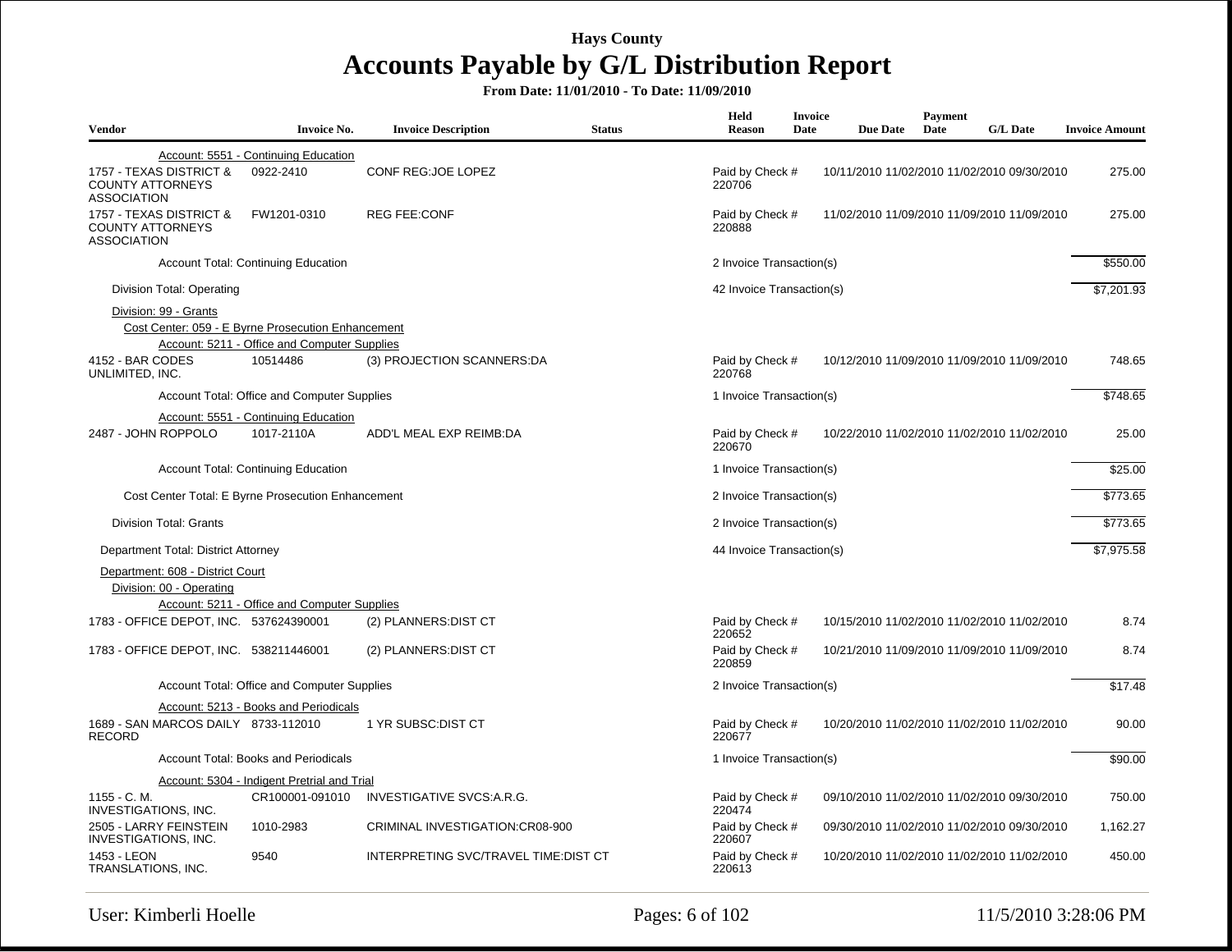| <b>Vendor</b>                                                            | <b>Invoice No.</b>                                                                                 | <b>Invoice Description</b>           | <b>Status</b> | Held<br><b>Reason</b>     | <b>Invoice</b><br>Date | <b>Due Date</b>                             | Payment<br>Date | <b>G/L Date</b> | <b>Invoice Amount</b> |
|--------------------------------------------------------------------------|----------------------------------------------------------------------------------------------------|--------------------------------------|---------------|---------------------------|------------------------|---------------------------------------------|-----------------|-----------------|-----------------------|
|                                                                          | Account: 5551 - Continuing Education                                                               |                                      |               |                           |                        |                                             |                 |                 |                       |
| 1757 - TEXAS DISTRICT &<br><b>COUNTY ATTORNEYS</b><br><b>ASSOCIATION</b> | 0922-2410                                                                                          | CONF REG: JOE LOPEZ                  |               | Paid by Check #<br>220706 |                        | 10/11/2010 11/02/2010 11/02/2010 09/30/2010 |                 |                 | 275.00                |
| 1757 - TEXAS DISTRICT &<br><b>COUNTY ATTORNEYS</b><br><b>ASSOCIATION</b> | FW1201-0310                                                                                        | <b>REG FEE:CONF</b>                  |               | Paid by Check #<br>220888 |                        | 11/02/2010 11/09/2010 11/09/2010 11/09/2010 |                 |                 | 275.00                |
|                                                                          | <b>Account Total: Continuing Education</b>                                                         |                                      |               | 2 Invoice Transaction(s)  |                        |                                             |                 |                 | \$550.00              |
| Division Total: Operating                                                |                                                                                                    |                                      |               | 42 Invoice Transaction(s) |                        |                                             |                 |                 | \$7,201.93            |
| Division: 99 - Grants                                                    | Cost Center: 059 - E Byrne Prosecution Enhancement<br>Account: 5211 - Office and Computer Supplies |                                      |               |                           |                        |                                             |                 |                 |                       |
| 4152 - BAR CODES<br>UNLIMITED, INC.                                      | 10514486                                                                                           | (3) PROJECTION SCANNERS:DA           |               | Paid by Check #<br>220768 |                        | 10/12/2010 11/09/2010 11/09/2010 11/09/2010 |                 |                 | 748.65                |
|                                                                          | Account Total: Office and Computer Supplies                                                        |                                      |               | 1 Invoice Transaction(s)  |                        |                                             |                 |                 | \$748.65              |
| 2487 - JOHN ROPPOLO                                                      | Account: 5551 - Continuing Education<br>1017-2110A                                                 | ADD'L MEAL EXP REIMB:DA              |               | Paid by Check #<br>220670 |                        | 10/22/2010 11/02/2010 11/02/2010 11/02/2010 |                 |                 | 25.00                 |
|                                                                          | <b>Account Total: Continuing Education</b>                                                         |                                      |               | 1 Invoice Transaction(s)  |                        |                                             |                 |                 | \$25.00               |
| Cost Center Total: E Byrne Prosecution Enhancement                       |                                                                                                    |                                      |               | 2 Invoice Transaction(s)  |                        |                                             |                 |                 | \$773.65              |
| <b>Division Total: Grants</b>                                            |                                                                                                    |                                      |               | 2 Invoice Transaction(s)  |                        |                                             |                 |                 | \$773.65              |
| Department Total: District Attorney                                      |                                                                                                    |                                      |               | 44 Invoice Transaction(s) |                        |                                             |                 |                 | \$7,975.58            |
| Department: 608 - District Court<br>Division: 00 - Operating             | Account: 5211 - Office and Computer Supplies                                                       |                                      |               |                           |                        |                                             |                 |                 |                       |
| 1783 - OFFICE DEPOT, INC. 537624390001                                   |                                                                                                    | (2) PLANNERS: DIST CT                |               | Paid by Check #<br>220652 |                        | 10/15/2010 11/02/2010 11/02/2010 11/02/2010 |                 |                 | 8.74                  |
| 1783 - OFFICE DEPOT, INC. 538211446001                                   |                                                                                                    | (2) PLANNERS: DIST CT                |               | Paid by Check #<br>220859 |                        | 10/21/2010 11/09/2010 11/09/2010 11/09/2010 |                 |                 | 8.74                  |
|                                                                          | Account Total: Office and Computer Supplies                                                        |                                      |               | 2 Invoice Transaction(s)  |                        |                                             |                 |                 | \$17.48               |
|                                                                          | Account: 5213 - Books and Periodicals                                                              |                                      |               |                           |                        |                                             |                 |                 |                       |
| 1689 - SAN MARCOS DAILY 8733-112010<br><b>RECORD</b>                     |                                                                                                    | 1 YR SUBSC: DIST CT                  |               | Paid by Check #<br>220677 |                        | 10/20/2010 11/02/2010 11/02/2010 11/02/2010 |                 |                 | 90.00                 |
|                                                                          | Account Total: Books and Periodicals                                                               |                                      |               | 1 Invoice Transaction(s)  |                        |                                             |                 |                 | \$90.00               |
| 1155 - C. M.<br><b>INVESTIGATIONS, INC.</b>                              | Account: 5304 - Indigent Pretrial and Trial<br>CR100001-091010                                     | INVESTIGATIVE SVCS:A.R.G.            |               | Paid by Check #<br>220474 |                        | 09/10/2010 11/02/2010 11/02/2010 09/30/2010 |                 |                 | 750.00                |
| 2505 - LARRY FEINSTEIN<br><b>INVESTIGATIONS, INC.</b>                    | 1010-2983                                                                                          | CRIMINAL INVESTIGATION: CR08-900     |               | Paid by Check #<br>220607 |                        | 09/30/2010 11/02/2010 11/02/2010 09/30/2010 |                 |                 | 1,162.27              |
| 1453 - LEON<br>TRANSLATIONS, INC.                                        | 9540                                                                                               | INTERPRETING SVC/TRAVEL TIME:DIST CT |               | Paid by Check #<br>220613 |                        | 10/20/2010 11/02/2010 11/02/2010 11/02/2010 |                 |                 | 450.00                |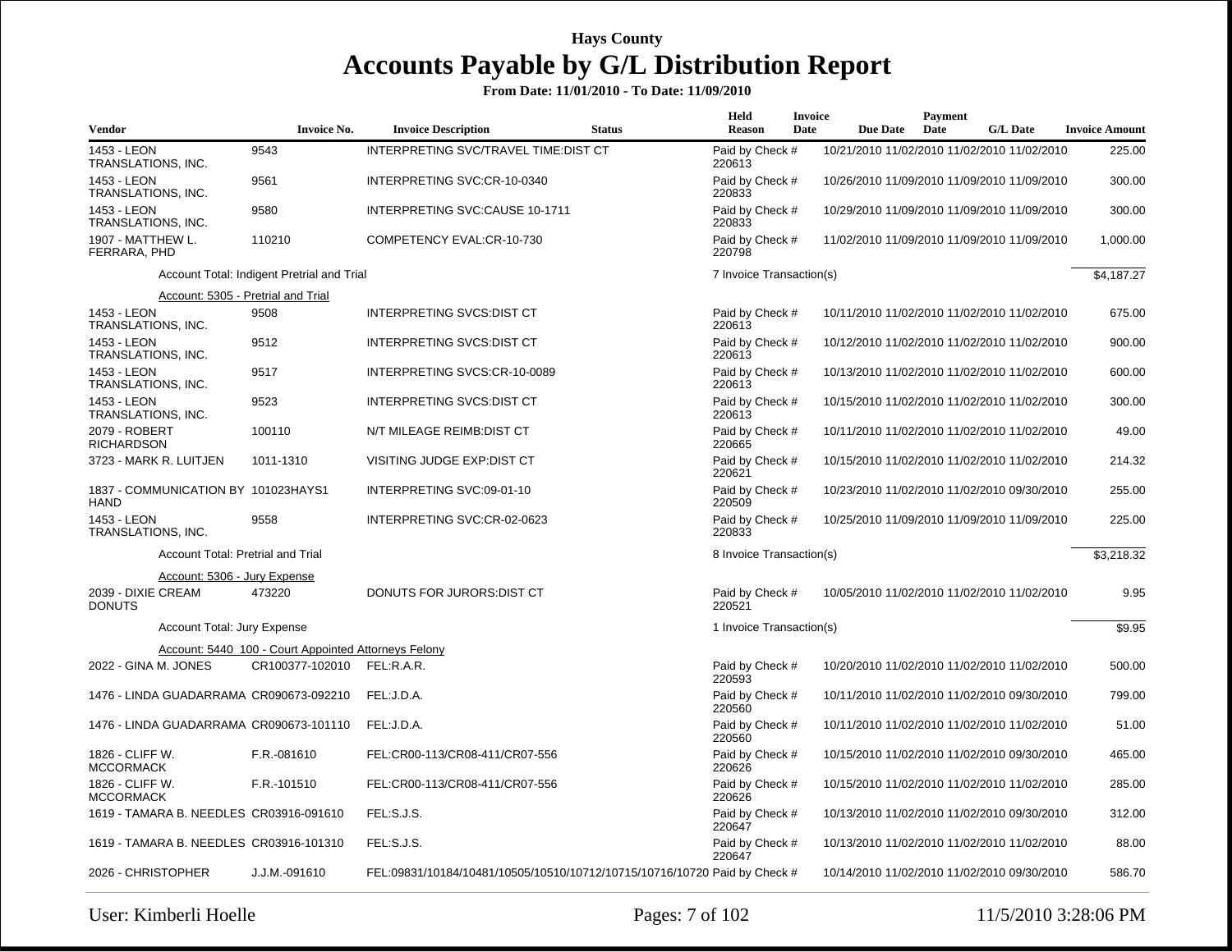| <b>Vendor</b>                                      | <b>Invoice No.</b>                                   | <b>Invoice Description</b>                                                | <b>Status</b> | Held<br><b>Reason</b>     | <b>Invoice</b><br>Date | <b>Due Date</b>                             | Payment<br>Date | <b>G/L Date</b> | <b>Invoice Amount</b> |
|----------------------------------------------------|------------------------------------------------------|---------------------------------------------------------------------------|---------------|---------------------------|------------------------|---------------------------------------------|-----------------|-----------------|-----------------------|
| 1453 - LEON<br>TRANSLATIONS, INC.                  | 9543                                                 | INTERPRETING SVC/TRAVEL TIME:DIST CT                                      |               | Paid by Check #<br>220613 |                        | 10/21/2010 11/02/2010 11/02/2010 11/02/2010 |                 |                 | 225.00                |
| 1453 - LEON<br>TRANSLATIONS, INC.                  | 9561                                                 | INTERPRETING SVC:CR-10-0340                                               |               | Paid by Check #<br>220833 |                        | 10/26/2010 11/09/2010 11/09/2010 11/09/2010 |                 |                 | 300.00                |
| 1453 - LEON<br>TRANSLATIONS, INC.                  | 9580                                                 | INTERPRETING SVC:CAUSE 10-1711                                            |               | Paid by Check #<br>220833 |                        | 10/29/2010 11/09/2010 11/09/2010 11/09/2010 |                 |                 | 300.00                |
| 1907 - MATTHEW L.<br>FERRARA, PHD                  | 110210                                               | COMPETENCY EVAL:CR-10-730                                                 |               | Paid by Check #<br>220798 |                        | 11/02/2010 11/09/2010 11/09/2010 11/09/2010 |                 |                 | 1,000.00              |
|                                                    | Account Total: Indigent Pretrial and Trial           |                                                                           |               | 7 Invoice Transaction(s)  |                        |                                             |                 |                 | \$4,187.27            |
| Account: 5305 - Pretrial and Trial                 |                                                      |                                                                           |               |                           |                        |                                             |                 |                 |                       |
| 1453 - LEON<br>TRANSLATIONS, INC.                  | 9508                                                 | INTERPRETING SVCS: DIST CT                                                |               | Paid by Check #<br>220613 |                        | 10/11/2010 11/02/2010 11/02/2010 11/02/2010 |                 |                 | 675.00                |
| 1453 - LEON<br>TRANSLATIONS, INC.                  | 9512                                                 | <b>INTERPRETING SVCS:DIST CT</b>                                          |               | Paid by Check #<br>220613 |                        | 10/12/2010 11/02/2010 11/02/2010 11/02/2010 |                 |                 | 900.00                |
| 1453 - LEON<br>TRANSLATIONS, INC.                  | 9517                                                 | INTERPRETING SVCS:CR-10-0089                                              |               | Paid by Check #<br>220613 |                        | 10/13/2010 11/02/2010 11/02/2010 11/02/2010 |                 |                 | 600.00                |
| 1453 - LEON<br>TRANSLATIONS, INC.                  | 9523                                                 | <b>INTERPRETING SVCS:DIST CT</b>                                          |               | Paid by Check #<br>220613 |                        | 10/15/2010 11/02/2010 11/02/2010 11/02/2010 |                 |                 | 300.00                |
| 2079 - ROBERT<br><b>RICHARDSON</b>                 | 100110                                               | N/T MILEAGE REIMB: DIST CT                                                |               | Paid by Check #<br>220665 |                        | 10/11/2010 11/02/2010 11/02/2010 11/02/2010 |                 |                 | 49.00                 |
| 3723 - MARK R. LUITJEN                             | 1011-1310                                            | VISITING JUDGE EXP: DIST CT                                               |               | Paid by Check #<br>220621 |                        | 10/15/2010 11/02/2010 11/02/2010 11/02/2010 |                 |                 | 214.32                |
| 1837 - COMMUNICATION BY 101023HAYS1<br><b>HAND</b> |                                                      | INTERPRETING SVC:09-01-10                                                 |               | Paid by Check #<br>220509 |                        | 10/23/2010 11/02/2010 11/02/2010 09/30/2010 |                 |                 | 255.00                |
| 1453 - LEON<br>TRANSLATIONS, INC.                  | 9558                                                 | INTERPRETING SVC:CR-02-0623                                               |               | Paid by Check #<br>220833 |                        | 10/25/2010 11/09/2010 11/09/2010 11/09/2010 |                 |                 | 225.00                |
| Account Total: Pretrial and Trial                  |                                                      |                                                                           |               | 8 Invoice Transaction(s)  |                        |                                             |                 |                 | \$3,218.32            |
| Account: 5306 - Jury Expense                       |                                                      |                                                                           |               |                           |                        |                                             |                 |                 |                       |
| 2039 - DIXIE CREAM<br><b>DONUTS</b>                | 473220                                               | DONUTS FOR JURORS: DIST CT                                                |               | Paid by Check #<br>220521 |                        | 10/05/2010 11/02/2010 11/02/2010 11/02/2010 |                 |                 | 9.95                  |
| Account Total: Jury Expense                        |                                                      |                                                                           |               | 1 Invoice Transaction(s)  |                        |                                             |                 |                 | \$9.95                |
|                                                    | Account: 5440 100 - Court Appointed Attorneys Felony |                                                                           |               |                           |                        |                                             |                 |                 |                       |
| 2022 - GINA M. JONES                               | CR100377-102010                                      | FEL:R.A.R.                                                                |               | Paid by Check #<br>220593 |                        | 10/20/2010 11/02/2010 11/02/2010 11/02/2010 |                 |                 | 500.00                |
| 1476 - LINDA GUADARRAMA CR090673-092210            |                                                      | FEL:J.D.A.                                                                |               | Paid by Check #<br>220560 |                        | 10/11/2010 11/02/2010 11/02/2010 09/30/2010 |                 |                 | 799.00                |
| 1476 - LINDA GUADARRAMA CR090673-101110            |                                                      | FEL:J.D.A.                                                                |               | Paid by Check #<br>220560 |                        | 10/11/2010 11/02/2010 11/02/2010 11/02/2010 |                 |                 | 51.00                 |
| 1826 - CLIFF W.<br><b>MCCORMACK</b>                | F.R.-081610                                          | FEL:CR00-113/CR08-411/CR07-556                                            |               | Paid by Check #<br>220626 |                        | 10/15/2010 11/02/2010 11/02/2010 09/30/2010 |                 |                 | 465.00                |
| 1826 - CLIFF W.<br><b>MCCORMACK</b>                | F.R.-101510                                          | FEL:CR00-113/CR08-411/CR07-556                                            |               | Paid by Check #<br>220626 |                        | 10/15/2010 11/02/2010 11/02/2010 11/02/2010 |                 |                 | 285.00                |
| 1619 - TAMARA B. NEEDLES CR03916-091610            |                                                      | FEL:S.J.S.                                                                |               | Paid by Check #<br>220647 |                        | 10/13/2010 11/02/2010 11/02/2010 09/30/2010 |                 |                 | 312.00                |
| 1619 - TAMARA B. NEEDLES CR03916-101310            |                                                      | FEL:S.J.S.                                                                |               | Paid by Check #<br>220647 |                        | 10/13/2010 11/02/2010 11/02/2010 11/02/2010 |                 |                 | 88.00                 |
| 2026 - CHRISTOPHER                                 | J.J.M.-091610                                        | FEL:09831/10184/10481/10505/10510/10712/10715/10716/10720 Paid by Check # |               |                           |                        | 10/14/2010 11/02/2010 11/02/2010 09/30/2010 |                 |                 | 586.70                |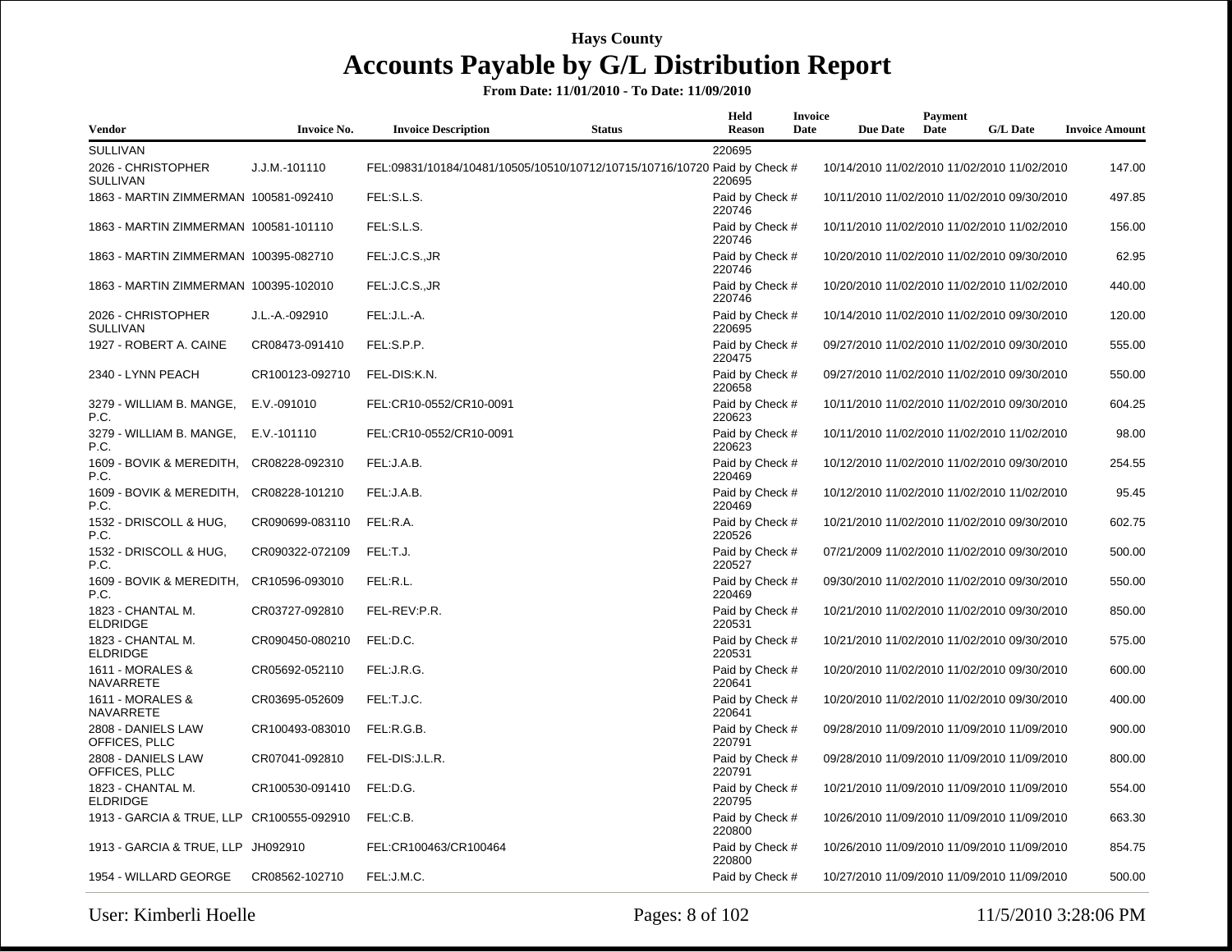| <b>Vendor</b>                             | <b>Invoice No.</b> | <b>Invoice Description</b> | <b>Status</b>                                                             | Held<br><b>Reason</b>     | <b>Invoice</b><br>Date | <b>Due Date</b> | Payment<br>Date | <b>G/L Date</b>                             | <b>Invoice Amount</b> |
|-------------------------------------------|--------------------|----------------------------|---------------------------------------------------------------------------|---------------------------|------------------------|-----------------|-----------------|---------------------------------------------|-----------------------|
| <b>SULLIVAN</b>                           |                    |                            |                                                                           | 220695                    |                        |                 |                 |                                             |                       |
| 2026 - CHRISTOPHER<br><b>SULLIVAN</b>     | J.J.M.-101110      |                            | FEL:09831/10184/10481/10505/10510/10712/10715/10716/10720 Paid by Check # | 220695                    |                        |                 |                 | 10/14/2010 11/02/2010 11/02/2010 11/02/2010 | 147.00                |
| 1863 - MARTIN ZIMMERMAN 100581-092410     |                    | FEL:S.L.S.                 |                                                                           | Paid by Check #<br>220746 |                        |                 |                 | 10/11/2010 11/02/2010 11/02/2010 09/30/2010 | 497.85                |
| 1863 - MARTIN ZIMMERMAN 100581-101110     |                    | FEL:S.L.S.                 |                                                                           | Paid by Check #<br>220746 |                        |                 |                 | 10/11/2010 11/02/2010 11/02/2010 11/02/2010 | 156.00                |
| 1863 - MARTIN ZIMMERMAN 100395-082710     |                    | FEL:J.C.S.,JR              |                                                                           | Paid by Check #<br>220746 |                        |                 |                 | 10/20/2010 11/02/2010 11/02/2010 09/30/2010 | 62.95                 |
| 1863 - MARTIN ZIMMERMAN 100395-102010     |                    | FEL:J.C.S.,JR              |                                                                           | Paid by Check #<br>220746 |                        |                 |                 | 10/20/2010 11/02/2010 11/02/2010 11/02/2010 | 440.00                |
| 2026 - CHRISTOPHER<br><b>SULLIVAN</b>     | J.L.-A.-092910     | FEL:J.L.-A.                |                                                                           | Paid by Check #<br>220695 |                        |                 |                 | 10/14/2010 11/02/2010 11/02/2010 09/30/2010 | 120.00                |
| 1927 - ROBERT A. CAINE                    | CR08473-091410     | FEL:S.P.P.                 |                                                                           | Paid by Check #<br>220475 |                        |                 |                 | 09/27/2010 11/02/2010 11/02/2010 09/30/2010 | 555.00                |
| 2340 - LYNN PEACH                         | CR100123-092710    | FEL-DIS:K.N.               |                                                                           | Paid by Check #<br>220658 |                        |                 |                 | 09/27/2010 11/02/2010 11/02/2010 09/30/2010 | 550.00                |
| 3279 - WILLIAM B. MANGE,<br>P.C.          | E.V.-091010        | FEL:CR10-0552/CR10-0091    |                                                                           | Paid by Check #<br>220623 |                        |                 |                 | 10/11/2010 11/02/2010 11/02/2010 09/30/2010 | 604.25                |
| 3279 - WILLIAM B. MANGE,<br>P.C.          | E.V.-101110        | FEL:CR10-0552/CR10-0091    |                                                                           | Paid by Check #<br>220623 |                        |                 |                 | 10/11/2010 11/02/2010 11/02/2010 11/02/2010 | 98.00                 |
| 1609 - BOVIK & MEREDITH,<br>P.C.          | CR08228-092310     | FEL:J.A.B.                 |                                                                           | Paid by Check #<br>220469 |                        |                 |                 | 10/12/2010 11/02/2010 11/02/2010 09/30/2010 | 254.55                |
| 1609 - BOVIK & MEREDITH,<br>P.C.          | CR08228-101210     | FEL:J.A.B.                 |                                                                           | Paid by Check #<br>220469 |                        |                 |                 | 10/12/2010 11/02/2010 11/02/2010 11/02/2010 | 95.45                 |
| 1532 - DRISCOLL & HUG,<br>P.C.            | CR090699-083110    | FEL:R.A.                   |                                                                           | Paid by Check #<br>220526 |                        |                 |                 | 10/21/2010 11/02/2010 11/02/2010 09/30/2010 | 602.75                |
| 1532 - DRISCOLL & HUG,<br>P.C.            | CR090322-072109    | FEL:T.J.                   |                                                                           | Paid by Check #<br>220527 |                        |                 |                 | 07/21/2009 11/02/2010 11/02/2010 09/30/2010 | 500.00                |
| 1609 - BOVIK & MEREDITH,<br>P.C.          | CR10596-093010     | FEL:R.L.                   |                                                                           | Paid by Check #<br>220469 |                        |                 |                 | 09/30/2010 11/02/2010 11/02/2010 09/30/2010 | 550.00                |
| 1823 - CHANTAL M.<br><b>ELDRIDGE</b>      | CR03727-092810     | FEL-REV:P.R.               |                                                                           | Paid by Check #<br>220531 |                        |                 |                 | 10/21/2010 11/02/2010 11/02/2010 09/30/2010 | 850.00                |
| 1823 - CHANTAL M.<br><b>ELDRIDGE</b>      | CR090450-080210    | FEL:D.C.                   |                                                                           | Paid by Check #<br>220531 |                        |                 |                 | 10/21/2010 11/02/2010 11/02/2010 09/30/2010 | 575.00                |
| 1611 - MORALES &<br>NAVARRETE             | CR05692-052110     | FEL:J.R.G.                 |                                                                           | Paid by Check #<br>220641 |                        |                 |                 | 10/20/2010 11/02/2010 11/02/2010 09/30/2010 | 600.00                |
| 1611 - MORALES &<br>NAVARRETE             | CR03695-052609     | FEL:T.J.C.                 |                                                                           | Paid by Check #<br>220641 |                        |                 |                 | 10/20/2010 11/02/2010 11/02/2010 09/30/2010 | 400.00                |
| 2808 - DANIELS LAW<br>OFFICES, PLLC       | CR100493-083010    | FEL:R.G.B.                 |                                                                           | Paid by Check #<br>220791 |                        |                 |                 | 09/28/2010 11/09/2010 11/09/2010 11/09/2010 | 900.00                |
| 2808 - DANIELS LAW<br>OFFICES, PLLC       | CR07041-092810     | FEL-DIS: J.L.R.            |                                                                           | Paid by Check #<br>220791 |                        |                 |                 | 09/28/2010 11/09/2010 11/09/2010 11/09/2010 | 800.00                |
| 1823 - CHANTAL M.<br><b>ELDRIDGE</b>      | CR100530-091410    | FEL:D.G.                   |                                                                           | Paid by Check #<br>220795 |                        |                 |                 | 10/21/2010 11/09/2010 11/09/2010 11/09/2010 | 554.00                |
| 1913 - GARCIA & TRUE, LLP CR100555-092910 |                    | FEL:C.B.                   |                                                                           | Paid by Check #<br>220800 |                        |                 |                 | 10/26/2010 11/09/2010 11/09/2010 11/09/2010 | 663.30                |
| 1913 - GARCIA & TRUE, LLP JH092910        |                    | FEL:CR100463/CR100464      |                                                                           | Paid by Check #<br>220800 |                        |                 |                 | 10/26/2010 11/09/2010 11/09/2010 11/09/2010 | 854.75                |
| 1954 - WILLARD GEORGE                     | CR08562-102710     | FEL:J.M.C.                 |                                                                           | Paid by Check #           |                        |                 |                 | 10/27/2010 11/09/2010 11/09/2010 11/09/2010 | 500.00                |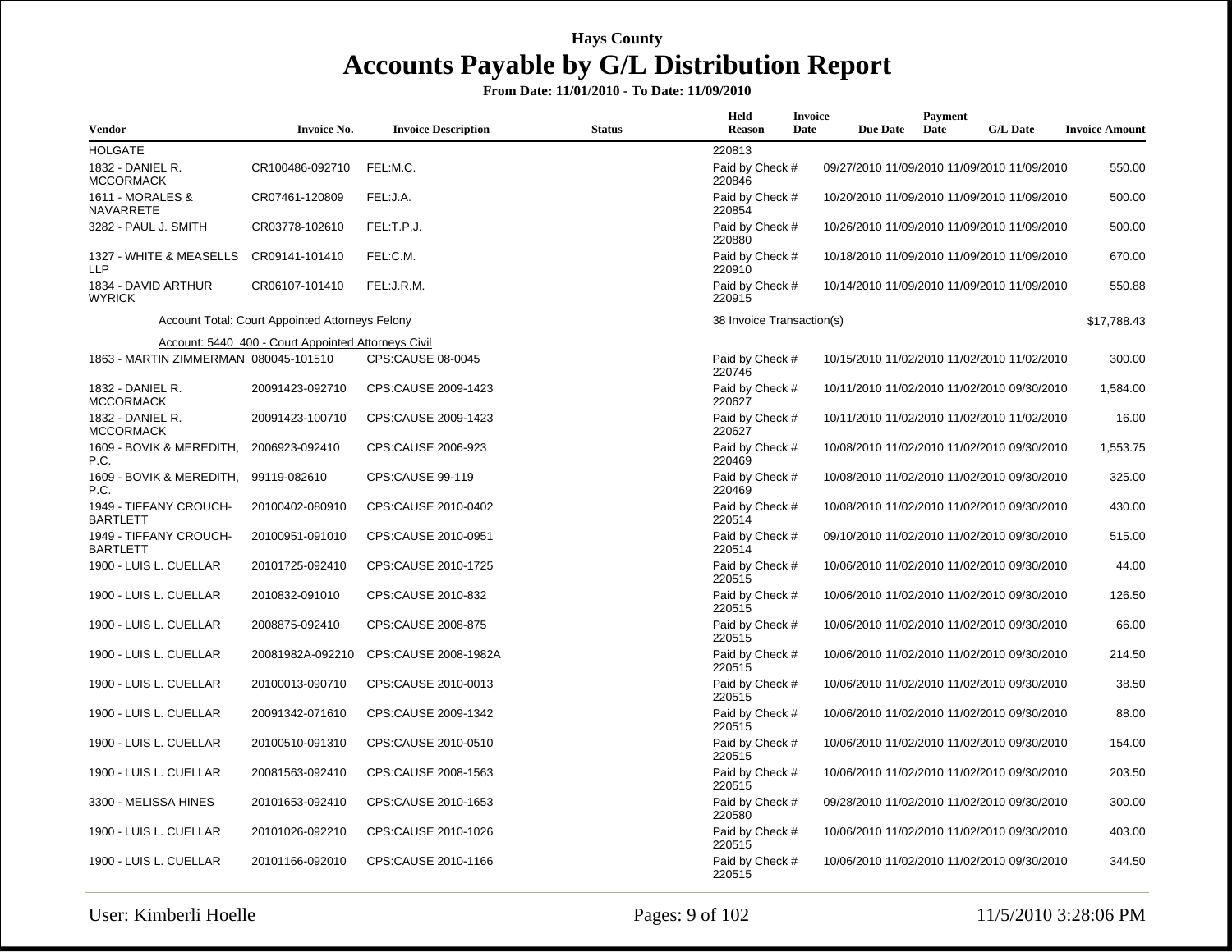| Vendor                                        | Invoice No.                                         | <b>Invoice Description</b> | <b>Status</b> | Held<br><b>Reason</b>     | Invoice<br>Date | <b>Due Date</b> | Payment<br>Date | <b>G/L Date</b>                             | <b>Invoice Amount</b> |
|-----------------------------------------------|-----------------------------------------------------|----------------------------|---------------|---------------------------|-----------------|-----------------|-----------------|---------------------------------------------|-----------------------|
| <b>HOLGATE</b>                                |                                                     |                            |               | 220813                    |                 |                 |                 |                                             |                       |
| 1832 - DANIEL R.<br><b>MCCORMACK</b>          | CR100486-092710                                     | FEL:M.C.                   |               | Paid by Check #<br>220846 |                 |                 |                 | 09/27/2010 11/09/2010 11/09/2010 11/09/2010 | 550.00                |
| 1611 - MORALES &<br>NAVARRETE                 | CR07461-120809                                      | FEL:J.A.                   |               | Paid by Check #<br>220854 |                 |                 |                 | 10/20/2010 11/09/2010 11/09/2010 11/09/2010 | 500.00                |
| 3282 - PAUL J. SMITH                          | CR03778-102610                                      | FEL:T.P.J.                 |               | Paid by Check #<br>220880 |                 |                 |                 | 10/26/2010 11/09/2010 11/09/2010 11/09/2010 | 500.00                |
| 1327 - WHITE & MEASELLS<br><b>LLP</b>         | CR09141-101410                                      | FEL:C.M.                   |               | Paid by Check #<br>220910 |                 |                 |                 | 10/18/2010 11/09/2010 11/09/2010 11/09/2010 | 670.00                |
| 1834 - DAVID ARTHUR<br><b>WYRICK</b>          | CR06107-101410                                      | FEL:J.R.M.                 |               | Paid by Check #<br>220915 |                 |                 |                 | 10/14/2010 11/09/2010 11/09/2010 11/09/2010 | 550.88                |
|                                               | Account Total: Court Appointed Attorneys Felony     |                            |               | 38 Invoice Transaction(s) |                 |                 |                 |                                             | \$17,788.43           |
|                                               | Account: 5440_400 - Court Appointed Attorneys Civil |                            |               |                           |                 |                 |                 |                                             |                       |
| 1863 - MARTIN ZIMMERMAN 080045-101510         |                                                     | CPS:CAUSE 08-0045          |               | Paid by Check #<br>220746 |                 |                 |                 | 10/15/2010 11/02/2010 11/02/2010 11/02/2010 | 300.00                |
| 1832 - DANIEL R.<br><b>MCCORMACK</b>          | 20091423-092710                                     | CPS:CAUSE 2009-1423        |               | Paid by Check #<br>220627 |                 |                 |                 | 10/11/2010 11/02/2010 11/02/2010 09/30/2010 | 1,584.00              |
| 1832 - DANIEL R.<br><b>MCCORMACK</b>          | 20091423-100710                                     | CPS:CAUSE 2009-1423        |               | Paid by Check #<br>220627 |                 |                 |                 | 10/11/2010 11/02/2010 11/02/2010 11/02/2010 | 16.00                 |
| 1609 - BOVIK & MEREDITH,<br>P.C.              | 2006923-092410                                      | CPS:CAUSE 2006-923         |               | Paid by Check #<br>220469 |                 |                 |                 | 10/08/2010 11/02/2010 11/02/2010 09/30/2010 | 1,553.75              |
| 1609 - BOVIK & MEREDITH, 99119-082610<br>P.C. |                                                     | CPS:CAUSE 99-119           |               | Paid by Check #<br>220469 |                 |                 |                 | 10/08/2010 11/02/2010 11/02/2010 09/30/2010 | 325.00                |
| 1949 - TIFFANY CROUCH-<br><b>BARTLETT</b>     | 20100402-080910                                     | CPS:CAUSE 2010-0402        |               | Paid by Check #<br>220514 |                 |                 |                 | 10/08/2010 11/02/2010 11/02/2010 09/30/2010 | 430.00                |
| 1949 - TIFFANY CROUCH-<br><b>BARTLETT</b>     | 20100951-091010                                     | CPS:CAUSE 2010-0951        |               | Paid by Check #<br>220514 |                 |                 |                 | 09/10/2010 11/02/2010 11/02/2010 09/30/2010 | 515.00                |
| 1900 - LUIS L. CUELLAR                        | 20101725-092410                                     | CPS:CAUSE 2010-1725        |               | Paid by Check #<br>220515 |                 |                 |                 | 10/06/2010 11/02/2010 11/02/2010 09/30/2010 | 44.00                 |
| 1900 - LUIS L. CUELLAR                        | 2010832-091010                                      | CPS:CAUSE 2010-832         |               | Paid by Check #<br>220515 |                 |                 |                 | 10/06/2010 11/02/2010 11/02/2010 09/30/2010 | 126.50                |
| 1900 - LUIS L. CUELLAR                        | 2008875-092410                                      | CPS:CAUSE 2008-875         |               | Paid by Check #<br>220515 |                 |                 |                 | 10/06/2010 11/02/2010 11/02/2010 09/30/2010 | 66.00                 |
| 1900 - LUIS L. CUELLAR                        | 20081982A-092210                                    | CPS:CAUSE 2008-1982A       |               | Paid by Check #<br>220515 |                 |                 |                 | 10/06/2010 11/02/2010 11/02/2010 09/30/2010 | 214.50                |
| 1900 - LUIS L. CUELLAR                        | 20100013-090710                                     | CPS:CAUSE 2010-0013        |               | Paid by Check #<br>220515 |                 |                 |                 | 10/06/2010 11/02/2010 11/02/2010 09/30/2010 | 38.50                 |
| 1900 - LUIS L. CUELLAR                        | 20091342-071610                                     | CPS:CAUSE 2009-1342        |               | Paid by Check #<br>220515 |                 |                 |                 | 10/06/2010 11/02/2010 11/02/2010 09/30/2010 | 88.00                 |
| 1900 - LUIS L. CUELLAR                        | 20100510-091310                                     | CPS:CAUSE 2010-0510        |               | Paid by Check #<br>220515 |                 |                 |                 | 10/06/2010 11/02/2010 11/02/2010 09/30/2010 | 154.00                |
| 1900 - LUIS L. CUELLAR                        | 20081563-092410                                     | CPS:CAUSE 2008-1563        |               | Paid by Check #<br>220515 |                 |                 |                 | 10/06/2010 11/02/2010 11/02/2010 09/30/2010 | 203.50                |
| 3300 - MELISSA HINES                          | 20101653-092410                                     | CPS:CAUSE 2010-1653        |               | Paid by Check #<br>220580 |                 |                 |                 | 09/28/2010 11/02/2010 11/02/2010 09/30/2010 | 300.00                |
| 1900 - LUIS L. CUELLAR                        | 20101026-092210                                     | CPS:CAUSE 2010-1026        |               | Paid by Check #<br>220515 |                 |                 |                 | 10/06/2010 11/02/2010 11/02/2010 09/30/2010 | 403.00                |
| 1900 - LUIS L. CUELLAR                        | 20101166-092010                                     | CPS:CAUSE 2010-1166        |               | Paid by Check #<br>220515 |                 |                 |                 | 10/06/2010 11/02/2010 11/02/2010 09/30/2010 | 344.50                |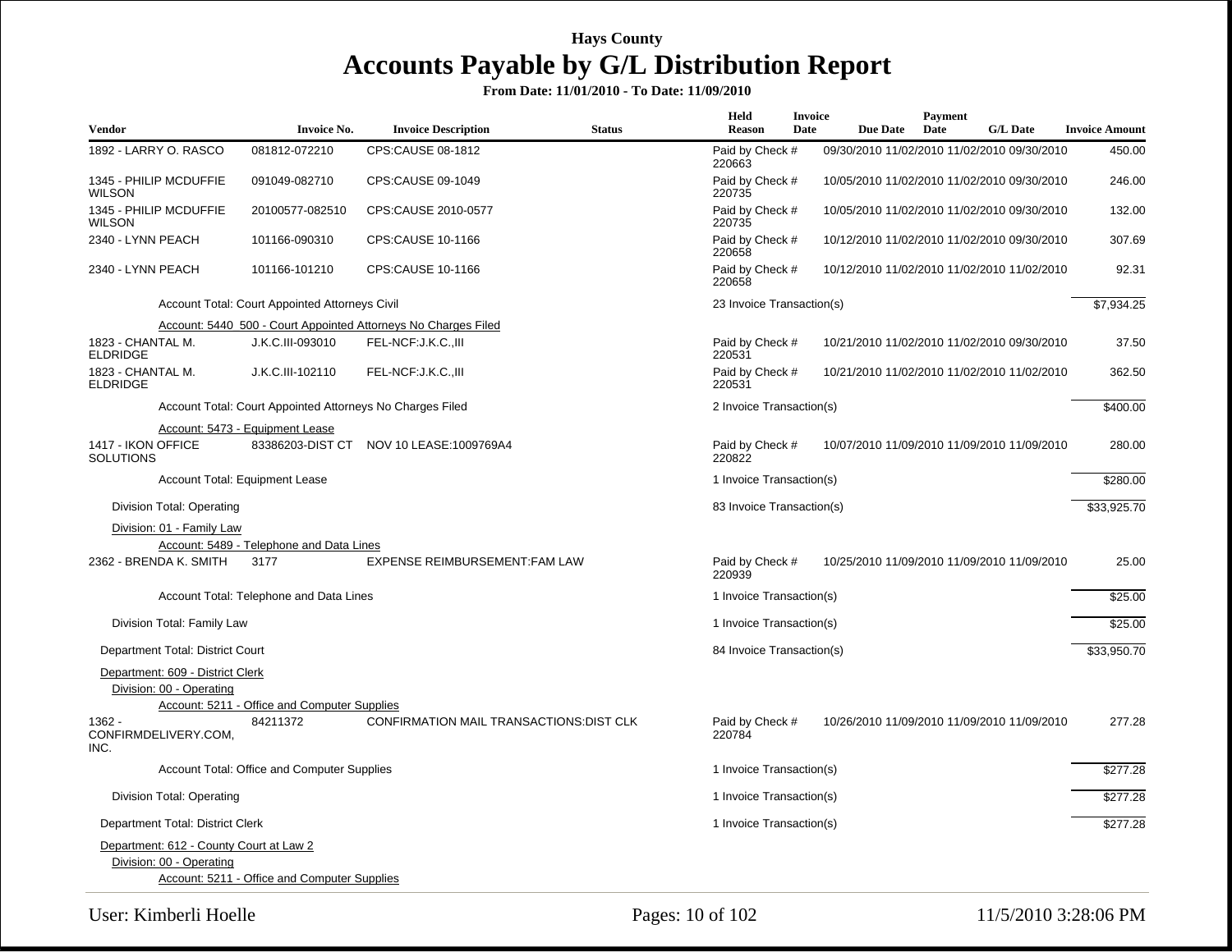| <b>Vendor</b>                           | <b>Invoice No.</b>                                        | <b>Invoice Description</b>                                     | <b>Status</b> | Held<br><b>Reason</b>     | <b>Invoice</b><br>Date | <b>Due Date</b> | Payment<br>Date | <b>G/L Date</b>                             | <b>Invoice Amount</b> |
|-----------------------------------------|-----------------------------------------------------------|----------------------------------------------------------------|---------------|---------------------------|------------------------|-----------------|-----------------|---------------------------------------------|-----------------------|
| 1892 - LARRY O. RASCO                   | 081812-072210                                             | CPS:CAUSE 08-1812                                              |               | Paid by Check #<br>220663 |                        |                 |                 | 09/30/2010 11/02/2010 11/02/2010 09/30/2010 | 450.00                |
| 1345 - PHILIP MCDUFFIE<br><b>WILSON</b> | 091049-082710                                             | CPS:CAUSE 09-1049                                              |               | Paid by Check #<br>220735 |                        |                 |                 | 10/05/2010 11/02/2010 11/02/2010 09/30/2010 | 246.00                |
| 1345 - PHILIP MCDUFFIE<br>WILSON        | 20100577-082510                                           | CPS:CAUSE 2010-0577                                            |               | Paid by Check #<br>220735 |                        |                 |                 | 10/05/2010 11/02/2010 11/02/2010 09/30/2010 | 132.00                |
| 2340 - LYNN PEACH                       | 101166-090310                                             | CPS:CAUSE 10-1166                                              |               | Paid by Check #<br>220658 |                        |                 |                 | 10/12/2010 11/02/2010 11/02/2010 09/30/2010 | 307.69                |
| 2340 - LYNN PEACH                       | 101166-101210                                             | CPS:CAUSE 10-1166                                              |               | Paid by Check #<br>220658 |                        |                 |                 | 10/12/2010 11/02/2010 11/02/2010 11/02/2010 | 92.31                 |
|                                         | Account Total: Court Appointed Attorneys Civil            |                                                                |               | 23 Invoice Transaction(s) |                        |                 |                 |                                             | \$7,934.25            |
|                                         |                                                           | Account: 5440_500 - Court Appointed Attorneys No Charges Filed |               |                           |                        |                 |                 |                                             |                       |
| 1823 - CHANTAL M.<br><b>ELDRIDGE</b>    | J.K.C.III-093010                                          | FEL-NCF:J.K.C.,III                                             |               | Paid by Check #<br>220531 |                        |                 |                 | 10/21/2010 11/02/2010 11/02/2010 09/30/2010 | 37.50                 |
| 1823 - CHANTAL M.<br><b>ELDRIDGE</b>    | J.K.C.III-102110                                          | FEL-NCF: J.K.C., III                                           |               | Paid by Check #<br>220531 |                        |                 |                 | 10/21/2010 11/02/2010 11/02/2010 11/02/2010 | 362.50                |
|                                         | Account Total: Court Appointed Attorneys No Charges Filed |                                                                |               | 2 Invoice Transaction(s)  |                        |                 |                 |                                             | \$400.00              |
| 1417 - IKON OFFICE<br><b>SOLUTIONS</b>  | Account: 5473 - Equipment Lease                           | 83386203-DIST CT NOV 10 LEASE:1009769A4                        |               | Paid by Check #<br>220822 |                        |                 |                 | 10/07/2010 11/09/2010 11/09/2010 11/09/2010 | 280.00                |
|                                         | Account Total: Equipment Lease                            |                                                                |               | 1 Invoice Transaction(s)  |                        |                 |                 |                                             | \$280.00              |
| Division Total: Operating               |                                                           |                                                                |               | 83 Invoice Transaction(s) |                        |                 |                 |                                             | \$33,925.70           |
| Division: 01 - Family Law               |                                                           |                                                                |               |                           |                        |                 |                 |                                             |                       |
|                                         | Account: 5489 - Telephone and Data Lines                  |                                                                |               |                           |                        |                 |                 |                                             |                       |
| 2362 - BRENDA K. SMITH                  | 3177                                                      | EXPENSE REIMBURSEMENT: FAM LAW                                 |               | Paid by Check #<br>220939 |                        |                 |                 | 10/25/2010 11/09/2010 11/09/2010 11/09/2010 | 25.00                 |
|                                         | Account Total: Telephone and Data Lines                   |                                                                |               | 1 Invoice Transaction(s)  |                        |                 |                 |                                             | \$25.00               |
| Division Total: Family Law              |                                                           |                                                                |               | 1 Invoice Transaction(s)  |                        |                 |                 |                                             | \$25.00               |
| Department Total: District Court        |                                                           |                                                                |               | 84 Invoice Transaction(s) |                        |                 |                 |                                             | \$33,950.70           |
| Department: 609 - District Clerk        |                                                           |                                                                |               |                           |                        |                 |                 |                                             |                       |
| Division: 00 - Operating                |                                                           |                                                                |               |                           |                        |                 |                 |                                             |                       |
|                                         | Account: 5211 - Office and Computer Supplies              |                                                                |               |                           |                        |                 |                 |                                             |                       |
| 1362 -<br>CONFIRMDELIVERY.COM,<br>INC.  | 84211372                                                  | <b>CONFIRMATION MAIL TRANSACTIONS: DIST CLK</b>                |               | Paid by Check #<br>220784 |                        |                 |                 | 10/26/2010 11/09/2010 11/09/2010 11/09/2010 | 277.28                |
|                                         | Account Total: Office and Computer Supplies               |                                                                |               | 1 Invoice Transaction(s)  |                        |                 |                 |                                             | \$277.28              |
| Division Total: Operating               |                                                           |                                                                |               | 1 Invoice Transaction(s)  |                        |                 |                 |                                             | \$277.28              |
| Department Total: District Clerk        |                                                           |                                                                |               | 1 Invoice Transaction(s)  |                        |                 |                 |                                             | \$277.28              |
| Department: 612 - County Court at Law 2 |                                                           |                                                                |               |                           |                        |                 |                 |                                             |                       |
| Division: 00 - Operating                |                                                           |                                                                |               |                           |                        |                 |                 |                                             |                       |
|                                         | Account: 5211 - Office and Computer Supplies              |                                                                |               |                           |                        |                 |                 |                                             |                       |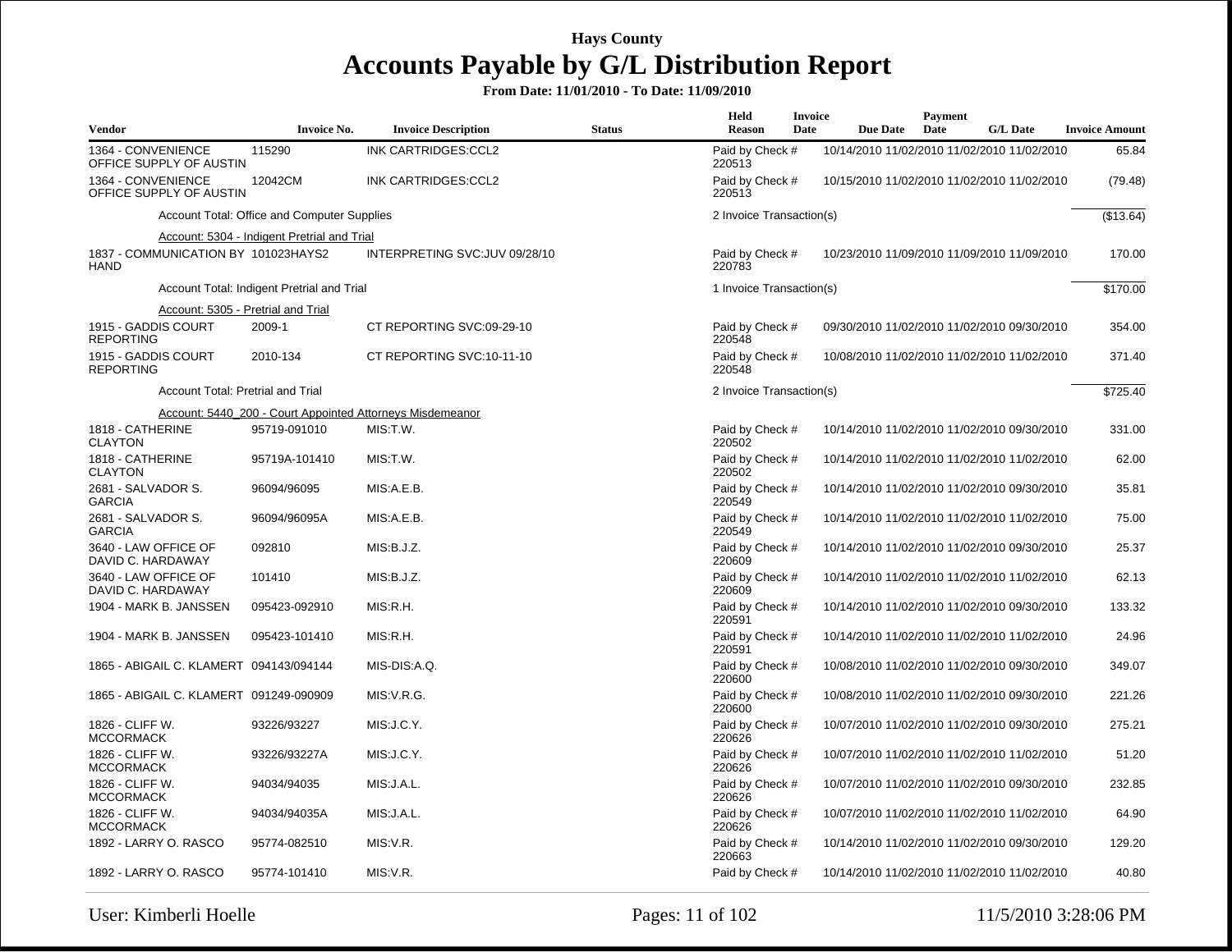| Vendor                                             | <b>Invoice No.</b>                          | <b>Invoice Description</b>                                | <b>Status</b> | Held<br><b>Reason</b>     | <b>Invoice</b><br>Date | <b>Due Date</b>                             | Payment<br>Date | <b>G/L Date</b> | <b>Invoice Amount</b> |
|----------------------------------------------------|---------------------------------------------|-----------------------------------------------------------|---------------|---------------------------|------------------------|---------------------------------------------|-----------------|-----------------|-----------------------|
| 1364 - CONVENIENCE<br>OFFICE SUPPLY OF AUSTIN      | 115290                                      | INK CARTRIDGES:CCL2                                       |               | Paid by Check #<br>220513 |                        | 10/14/2010 11/02/2010 11/02/2010 11/02/2010 |                 |                 | 65.84                 |
| 1364 - CONVENIENCE<br>OFFICE SUPPLY OF AUSTIN      | 12042CM                                     | INK CARTRIDGES:CCL2                                       |               | Paid by Check #<br>220513 |                        | 10/15/2010 11/02/2010 11/02/2010 11/02/2010 |                 |                 | (79.48)               |
|                                                    | Account Total: Office and Computer Supplies |                                                           |               | 2 Invoice Transaction(s)  |                        |                                             |                 |                 | (\$13.64)             |
|                                                    | Account: 5304 - Indigent Pretrial and Trial |                                                           |               |                           |                        |                                             |                 |                 |                       |
| 1837 - COMMUNICATION BY 101023HAYS2<br><b>HAND</b> |                                             | INTERPRETING SVC: JUV 09/28/10                            |               | Paid by Check #<br>220783 |                        | 10/23/2010 11/09/2010 11/09/2010 11/09/2010 |                 |                 | 170.00                |
|                                                    | Account Total: Indigent Pretrial and Trial  |                                                           |               | 1 Invoice Transaction(s)  |                        |                                             |                 |                 | \$170.00              |
| Account: 5305 - Pretrial and Trial                 |                                             |                                                           |               |                           |                        |                                             |                 |                 |                       |
| 1915 - GADDIS COURT<br><b>REPORTING</b>            | 2009-1                                      | CT REPORTING SVC:09-29-10                                 |               | Paid by Check #<br>220548 |                        | 09/30/2010 11/02/2010 11/02/2010 09/30/2010 |                 |                 | 354.00                |
| 1915 - GADDIS COURT<br><b>REPORTING</b>            | 2010-134                                    | CT REPORTING SVC:10-11-10                                 |               | Paid by Check #<br>220548 |                        | 10/08/2010 11/02/2010 11/02/2010 11/02/2010 |                 |                 | 371.40                |
| Account Total: Pretrial and Trial                  |                                             |                                                           |               | 2 Invoice Transaction(s)  |                        |                                             |                 |                 | \$725.40              |
|                                                    |                                             | Account: 5440_200 - Court Appointed Attorneys Misdemeanor |               |                           |                        |                                             |                 |                 |                       |
| 1818 - CATHERINE<br><b>CLAYTON</b>                 | 95719-091010                                | MIS:T.W.                                                  |               | Paid by Check #<br>220502 |                        | 10/14/2010 11/02/2010 11/02/2010 09/30/2010 |                 |                 | 331.00                |
| 1818 - CATHERINE<br><b>CLAYTON</b>                 | 95719A-101410                               | MIS:T.W.                                                  |               | Paid by Check #<br>220502 |                        | 10/14/2010 11/02/2010 11/02/2010 11/02/2010 |                 |                 | 62.00                 |
| 2681 - SALVADOR S.<br><b>GARCIA</b>                | 96094/96095                                 | MIS:A.E.B.                                                |               | Paid by Check #<br>220549 |                        | 10/14/2010 11/02/2010 11/02/2010 09/30/2010 |                 |                 | 35.81                 |
| 2681 - SALVADOR S.<br><b>GARCIA</b>                | 96094/96095A                                | MIS:A.E.B.                                                |               | Paid by Check #<br>220549 |                        | 10/14/2010 11/02/2010 11/02/2010 11/02/2010 |                 |                 | 75.00                 |
| 3640 - LAW OFFICE OF<br>DAVID C. HARDAWAY          | 092810                                      | MIS:B.J.Z.                                                |               | Paid by Check #<br>220609 |                        | 10/14/2010 11/02/2010 11/02/2010 09/30/2010 |                 |                 | 25.37                 |
| 3640 - LAW OFFICE OF<br>DAVID C. HARDAWAY          | 101410                                      | MIS:B.J.Z.                                                |               | Paid by Check #<br>220609 |                        | 10/14/2010 11/02/2010 11/02/2010 11/02/2010 |                 |                 | 62.13                 |
| 1904 - MARK B. JANSSEN                             | 095423-092910                               | MIS:R.H.                                                  |               | Paid by Check #<br>220591 |                        | 10/14/2010 11/02/2010 11/02/2010 09/30/2010 |                 |                 | 133.32                |
| 1904 - MARK B. JANSSEN                             | 095423-101410                               | MIS:R.H.                                                  |               | Paid by Check #<br>220591 |                        | 10/14/2010 11/02/2010 11/02/2010 11/02/2010 |                 |                 | 24.96                 |
| 1865 - ABIGAIL C. KLAMERT 094143/094144            |                                             | MIS-DIS:A.Q.                                              |               | Paid by Check #<br>220600 |                        | 10/08/2010 11/02/2010 11/02/2010 09/30/2010 |                 |                 | 349.07                |
| 1865 - ABIGAIL C. KLAMERT 091249-090909            |                                             | MIS:V.R.G.                                                |               | Paid by Check #<br>220600 |                        | 10/08/2010 11/02/2010 11/02/2010 09/30/2010 |                 |                 | 221.26                |
| 1826 - CLIFF W.<br><b>MCCORMACK</b>                | 93226/93227                                 | MIS: J.C.Y.                                               |               | Paid by Check #<br>220626 |                        | 10/07/2010 11/02/2010 11/02/2010 09/30/2010 |                 |                 | 275.21                |
| 1826 - CLIFF W.<br><b>MCCORMACK</b>                | 93226/93227A                                | MIS: J.C.Y.                                               |               | Paid by Check #<br>220626 |                        | 10/07/2010 11/02/2010 11/02/2010 11/02/2010 |                 |                 | 51.20                 |
| 1826 - CLIFF W.<br><b>MCCORMACK</b>                | 94034/94035                                 | MIS: J.A.L.                                               |               | Paid by Check #<br>220626 |                        | 10/07/2010 11/02/2010 11/02/2010 09/30/2010 |                 |                 | 232.85                |
| 1826 - CLIFF W.<br><b>MCCORMACK</b>                | 94034/94035A                                | MIS: J.A.L.                                               |               | Paid by Check #<br>220626 |                        | 10/07/2010 11/02/2010 11/02/2010 11/02/2010 |                 |                 | 64.90                 |
| 1892 - LARRY O. RASCO                              | 95774-082510                                | MIS:V.R.                                                  |               | Paid by Check #<br>220663 |                        | 10/14/2010 11/02/2010 11/02/2010 09/30/2010 |                 |                 | 129.20                |
| 1892 - LARRY O. RASCO                              | 95774-101410                                | MIS:VR.                                                   |               | Paid by Check #           |                        | 10/14/2010 11/02/2010 11/02/2010 11/02/2010 |                 |                 | 40.80                 |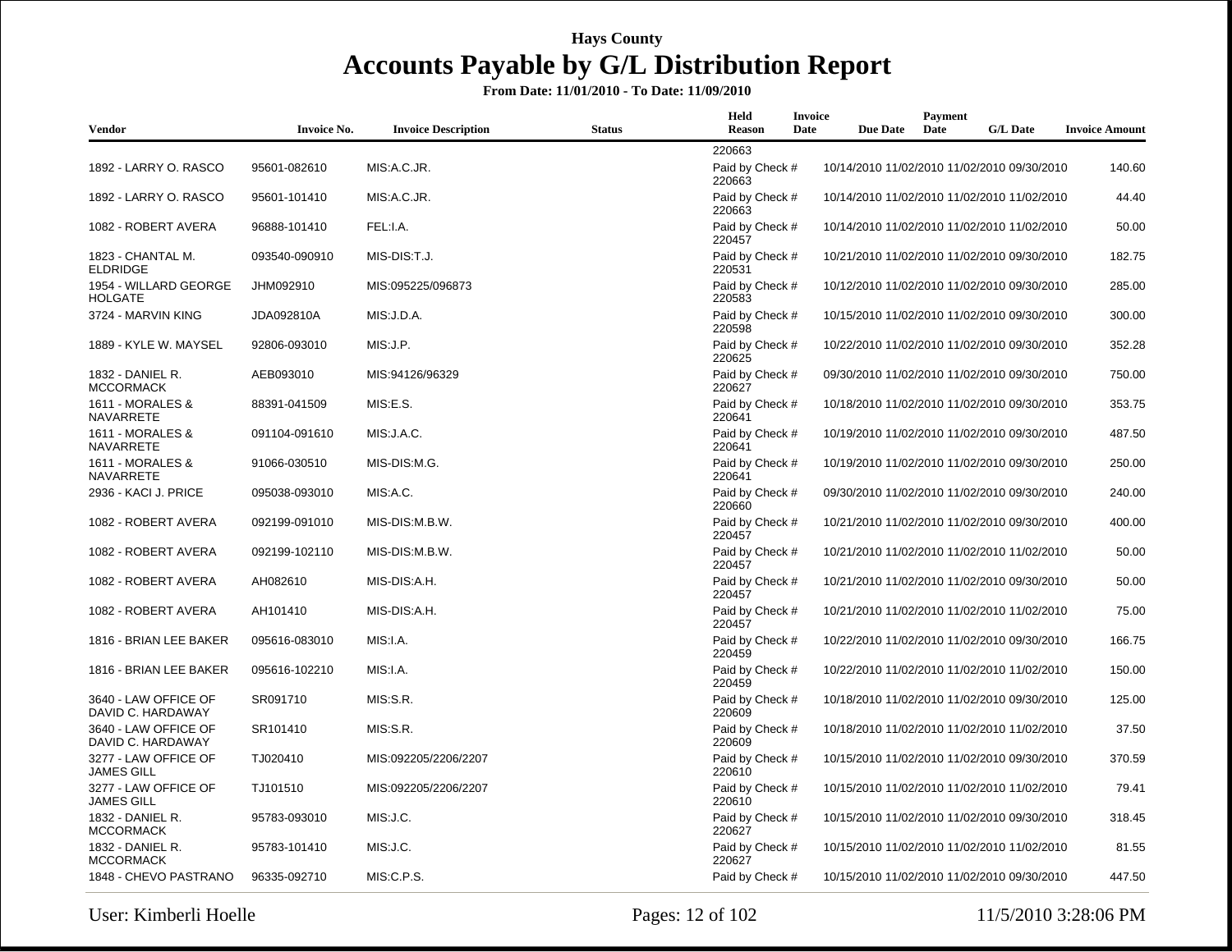| <b>Vendor</b>                             | <b>Invoice No.</b> | <b>Invoice Description</b> | <b>Status</b> | Held<br><b>Reason</b>     | <b>Invoice</b><br>Date | <b>Due Date</b> | Payment<br>Date | <b>G/L Date</b>                             | <b>Invoice Amount</b> |
|-------------------------------------------|--------------------|----------------------------|---------------|---------------------------|------------------------|-----------------|-----------------|---------------------------------------------|-----------------------|
|                                           |                    |                            |               | 220663                    |                        |                 |                 |                                             |                       |
| 1892 - LARRY O. RASCO                     | 95601-082610       | MIS:A.C.JR.                |               | Paid by Check #<br>220663 |                        |                 |                 | 10/14/2010 11/02/2010 11/02/2010 09/30/2010 | 140.60                |
| 1892 - LARRY O. RASCO                     | 95601-101410       | MIS:A.C.JR.                |               | Paid by Check #<br>220663 |                        |                 |                 | 10/14/2010 11/02/2010 11/02/2010 11/02/2010 | 44.40                 |
| 1082 - ROBERT AVERA                       | 96888-101410       | FEL:I.A.                   |               | Paid by Check #<br>220457 |                        |                 |                 | 10/14/2010 11/02/2010 11/02/2010 11/02/2010 | 50.00                 |
| 1823 - CHANTAL M.<br><b>ELDRIDGE</b>      | 093540-090910      | MIS-DIS:T.J.               |               | Paid by Check #<br>220531 |                        |                 |                 | 10/21/2010 11/02/2010 11/02/2010 09/30/2010 | 182.75                |
| 1954 - WILLARD GEORGE<br><b>HOLGATE</b>   | JHM092910          | MIS:095225/096873          |               | Paid by Check #<br>220583 |                        |                 |                 | 10/12/2010 11/02/2010 11/02/2010 09/30/2010 | 285.00                |
| 3724 - MARVIN KING                        | JDA092810A         | MIS: J.D.A.                |               | Paid by Check #<br>220598 |                        |                 |                 | 10/15/2010 11/02/2010 11/02/2010 09/30/2010 | 300.00                |
| 1889 - KYLE W. MAYSEL                     | 92806-093010       | MIS:J.P.                   |               | Paid by Check #<br>220625 |                        |                 |                 | 10/22/2010 11/02/2010 11/02/2010 09/30/2010 | 352.28                |
| 1832 - DANIEL R.<br><b>MCCORMACK</b>      | AEB093010          | MIS:94126/96329            |               | Paid by Check #<br>220627 |                        |                 |                 | 09/30/2010 11/02/2010 11/02/2010 09/30/2010 | 750.00                |
| 1611 - MORALES &<br><b>NAVARRETE</b>      | 88391-041509       | MIS:E.S.                   |               | Paid by Check #<br>220641 |                        |                 |                 | 10/18/2010 11/02/2010 11/02/2010 09/30/2010 | 353.75                |
| 1611 - MORALES &<br><b>NAVARRETE</b>      | 091104-091610      | MIS: J.A.C.                |               | Paid by Check #<br>220641 |                        |                 |                 | 10/19/2010 11/02/2010 11/02/2010 09/30/2010 | 487.50                |
| 1611 - MORALES &<br>NAVARRETE             | 91066-030510       | MIS-DIS:M.G.               |               | Paid by Check #<br>220641 |                        |                 |                 | 10/19/2010 11/02/2010 11/02/2010 09/30/2010 | 250.00                |
| 2936 - KACI J. PRICE                      | 095038-093010      | MIS:A.C.                   |               | Paid by Check #<br>220660 |                        |                 |                 | 09/30/2010 11/02/2010 11/02/2010 09/30/2010 | 240.00                |
| 1082 - ROBERT AVERA                       | 092199-091010      | MIS-DIS:M.B.W.             |               | Paid by Check #<br>220457 |                        |                 |                 | 10/21/2010 11/02/2010 11/02/2010 09/30/2010 | 400.00                |
| 1082 - ROBERT AVERA                       | 092199-102110      | MIS-DIS:M.B.W.             |               | Paid by Check #<br>220457 |                        |                 |                 | 10/21/2010 11/02/2010 11/02/2010 11/02/2010 | 50.00                 |
| 1082 - ROBERT AVERA                       | AH082610           | MIS-DIS:A.H.               |               | Paid by Check #<br>220457 |                        |                 |                 | 10/21/2010 11/02/2010 11/02/2010 09/30/2010 | 50.00                 |
| 1082 - ROBERT AVERA                       | AH101410           | MIS-DIS:A.H.               |               | Paid by Check #<br>220457 |                        |                 |                 | 10/21/2010 11/02/2010 11/02/2010 11/02/2010 | 75.00                 |
| 1816 - BRIAN LEE BAKER                    | 095616-083010      | MIS:I.A.                   |               | Paid by Check #<br>220459 |                        |                 |                 | 10/22/2010 11/02/2010 11/02/2010 09/30/2010 | 166.75                |
| 1816 - BRIAN LEE BAKER                    | 095616-102210      | MIS:I.A.                   |               | Paid by Check #<br>220459 |                        |                 |                 | 10/22/2010 11/02/2010 11/02/2010 11/02/2010 | 150.00                |
| 3640 - LAW OFFICE OF<br>DAVID C. HARDAWAY | SR091710           | MIS:S.R.                   |               | Paid by Check #<br>220609 |                        |                 |                 | 10/18/2010 11/02/2010 11/02/2010 09/30/2010 | 125.00                |
| 3640 - LAW OFFICE OF<br>DAVID C. HARDAWAY | SR101410           | MIS:S.R.                   |               | Paid by Check #<br>220609 |                        |                 |                 | 10/18/2010 11/02/2010 11/02/2010 11/02/2010 | 37.50                 |
| 3277 - LAW OFFICE OF<br><b>JAMES GILL</b> | TJ020410           | MIS:092205/2206/2207       |               | Paid by Check #<br>220610 |                        |                 |                 | 10/15/2010 11/02/2010 11/02/2010 09/30/2010 | 370.59                |
| 3277 - LAW OFFICE OF<br><b>JAMES GILL</b> | TJ101510           | MIS:092205/2206/2207       |               | Paid by Check #<br>220610 |                        |                 |                 | 10/15/2010 11/02/2010 11/02/2010 11/02/2010 | 79.41                 |
| 1832 - DANIEL R.<br><b>MCCORMACK</b>      | 95783-093010       | MIS:J.C.                   |               | Paid by Check #<br>220627 |                        |                 |                 | 10/15/2010 11/02/2010 11/02/2010 09/30/2010 | 318.45                |
| 1832 - DANIEL R.<br><b>MCCORMACK</b>      | 95783-101410       | MIS:J.C.                   |               | Paid by Check #<br>220627 |                        |                 |                 | 10/15/2010 11/02/2010 11/02/2010 11/02/2010 | 81.55                 |
| 1848 - CHEVO PASTRANO                     | 96335-092710       | MIS:C.P.S.                 |               | Paid by Check #           |                        |                 |                 | 10/15/2010 11/02/2010 11/02/2010 09/30/2010 | 447.50                |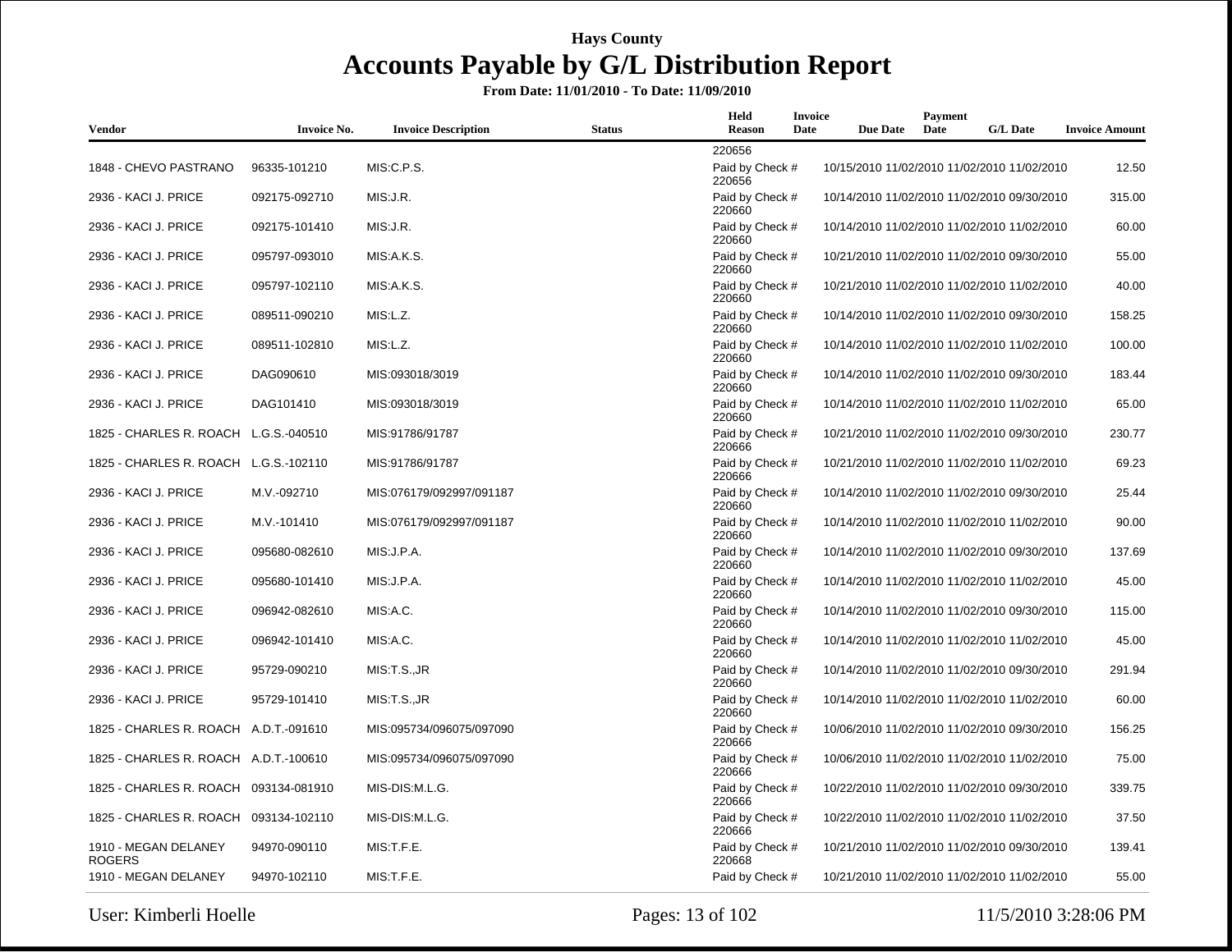| Vendor                                | <b>Invoice No.</b> | <b>Invoice Description</b> | <b>Status</b> | Held<br>Reason            | Invoice<br>Date | <b>Due Date</b> | Payment<br>Date | <b>G/L Date</b>                             | <b>Invoice Amount</b> |
|---------------------------------------|--------------------|----------------------------|---------------|---------------------------|-----------------|-----------------|-----------------|---------------------------------------------|-----------------------|
|                                       |                    |                            |               | 220656                    |                 |                 |                 |                                             |                       |
| 1848 - CHEVO PASTRANO                 | 96335-101210       | MIS:C.P.S.                 |               | Paid by Check #<br>220656 |                 |                 |                 | 10/15/2010 11/02/2010 11/02/2010 11/02/2010 | 12.50                 |
| 2936 - KACI J. PRICE                  | 092175-092710      | MIS:J.R.                   |               | Paid by Check #<br>220660 |                 |                 |                 | 10/14/2010 11/02/2010 11/02/2010 09/30/2010 | 315.00                |
| 2936 - KACI J. PRICE                  | 092175-101410      | MIS:J.R.                   |               | Paid by Check #<br>220660 |                 |                 |                 | 10/14/2010 11/02/2010 11/02/2010 11/02/2010 | 60.00                 |
| 2936 - KACI J. PRICE                  | 095797-093010      | MIS:A.K.S.                 |               | Paid by Check #<br>220660 |                 |                 |                 | 10/21/2010 11/02/2010 11/02/2010 09/30/2010 | 55.00                 |
| 2936 - KACI J. PRICE                  | 095797-102110      | MIS:A.K.S.                 |               | Paid by Check #<br>220660 |                 |                 |                 | 10/21/2010 11/02/2010 11/02/2010 11/02/2010 | 40.00                 |
| 2936 - KACI J. PRICE                  | 089511-090210      | MIS:L.Z.                   |               | Paid by Check #<br>220660 |                 |                 |                 | 10/14/2010 11/02/2010 11/02/2010 09/30/2010 | 158.25                |
| 2936 - KACI J. PRICE                  | 089511-102810      | MIS:L.Z.                   |               | Paid by Check #<br>220660 |                 |                 |                 | 10/14/2010 11/02/2010 11/02/2010 11/02/2010 | 100.00                |
| 2936 - KACI J. PRICE                  | DAG090610          | MIS:093018/3019            |               | Paid by Check #<br>220660 |                 |                 |                 | 10/14/2010 11/02/2010 11/02/2010 09/30/2010 | 183.44                |
| 2936 - KACI J. PRICE                  | DAG101410          | MIS:093018/3019            |               | Paid by Check #<br>220660 |                 |                 |                 | 10/14/2010 11/02/2010 11/02/2010 11/02/2010 | 65.00                 |
| 1825 - CHARLES R. ROACH L.G.S.-040510 |                    | MIS:91786/91787            |               | Paid by Check #<br>220666 |                 |                 |                 | 10/21/2010 11/02/2010 11/02/2010 09/30/2010 | 230.77                |
| 1825 - CHARLES R. ROACH L.G.S.-102110 |                    | MIS:91786/91787            |               | Paid by Check #<br>220666 |                 |                 |                 | 10/21/2010 11/02/2010 11/02/2010 11/02/2010 | 69.23                 |
| 2936 - KACI J. PRICE                  | M.V.-092710        | MIS:076179/092997/091187   |               | Paid by Check #<br>220660 |                 |                 |                 | 10/14/2010 11/02/2010 11/02/2010 09/30/2010 | 25.44                 |
| 2936 - KACI J. PRICE                  | M.V.-101410        | MIS:076179/092997/091187   |               | Paid by Check #<br>220660 |                 |                 |                 | 10/14/2010 11/02/2010 11/02/2010 11/02/2010 | 90.00                 |
| 2936 - KACI J. PRICE                  | 095680-082610      | MIS: J.P.A.                |               | Paid by Check #<br>220660 |                 |                 |                 | 10/14/2010 11/02/2010 11/02/2010 09/30/2010 | 137.69                |
| 2936 - KACI J. PRICE                  | 095680-101410      | MIS: J.P.A.                |               | Paid by Check #<br>220660 |                 |                 |                 | 10/14/2010 11/02/2010 11/02/2010 11/02/2010 | 45.00                 |
| 2936 - KACI J. PRICE                  | 096942-082610      | MIS:A.C.                   |               | Paid by Check #<br>220660 |                 |                 |                 | 10/14/2010 11/02/2010 11/02/2010 09/30/2010 | 115.00                |
| 2936 - KACI J. PRICE                  | 096942-101410      | MIS:A.C.                   |               | Paid by Check #<br>220660 |                 |                 |                 | 10/14/2010 11/02/2010 11/02/2010 11/02/2010 | 45.00                 |
| 2936 - KACI J. PRICE                  | 95729-090210       | MIS:T.S., JR               |               | Paid by Check #<br>220660 |                 |                 |                 | 10/14/2010 11/02/2010 11/02/2010 09/30/2010 | 291.94                |
| 2936 - KACI J. PRICE                  | 95729-101410       | MIS:T.S.,JR                |               | Paid by Check #<br>220660 |                 |                 |                 | 10/14/2010 11/02/2010 11/02/2010 11/02/2010 | 60.00                 |
| 1825 - CHARLES R. ROACH A.D.T.-091610 |                    | MIS:095734/096075/097090   |               | Paid by Check #<br>220666 |                 |                 |                 | 10/06/2010 11/02/2010 11/02/2010 09/30/2010 | 156.25                |
| 1825 - CHARLES R. ROACH A.D.T.-100610 |                    | MIS:095734/096075/097090   |               | Paid by Check #<br>220666 |                 |                 |                 | 10/06/2010 11/02/2010 11/02/2010 11/02/2010 | 75.00                 |
| 1825 - CHARLES R. ROACH 093134-081910 |                    | MIS-DIS:M.L.G.             |               | Paid by Check #<br>220666 |                 |                 |                 | 10/22/2010 11/02/2010 11/02/2010 09/30/2010 | 339.75                |
| 1825 - CHARLES R. ROACH 093134-102110 |                    | MIS-DIS:M.L.G.             |               | Paid by Check #<br>220666 |                 |                 |                 | 10/22/2010 11/02/2010 11/02/2010 11/02/2010 | 37.50                 |
| 1910 - MEGAN DELANEY<br><b>ROGERS</b> | 94970-090110       | MIS:T.F.E.                 |               | Paid by Check #<br>220668 |                 |                 |                 | 10/21/2010 11/02/2010 11/02/2010 09/30/2010 | 139.41                |
| 1910 - MEGAN DELANEY                  | 94970-102110       | MIS: T.F.E.                |               | Paid by Check #           |                 |                 |                 | 10/21/2010 11/02/2010 11/02/2010 11/02/2010 | 55.00                 |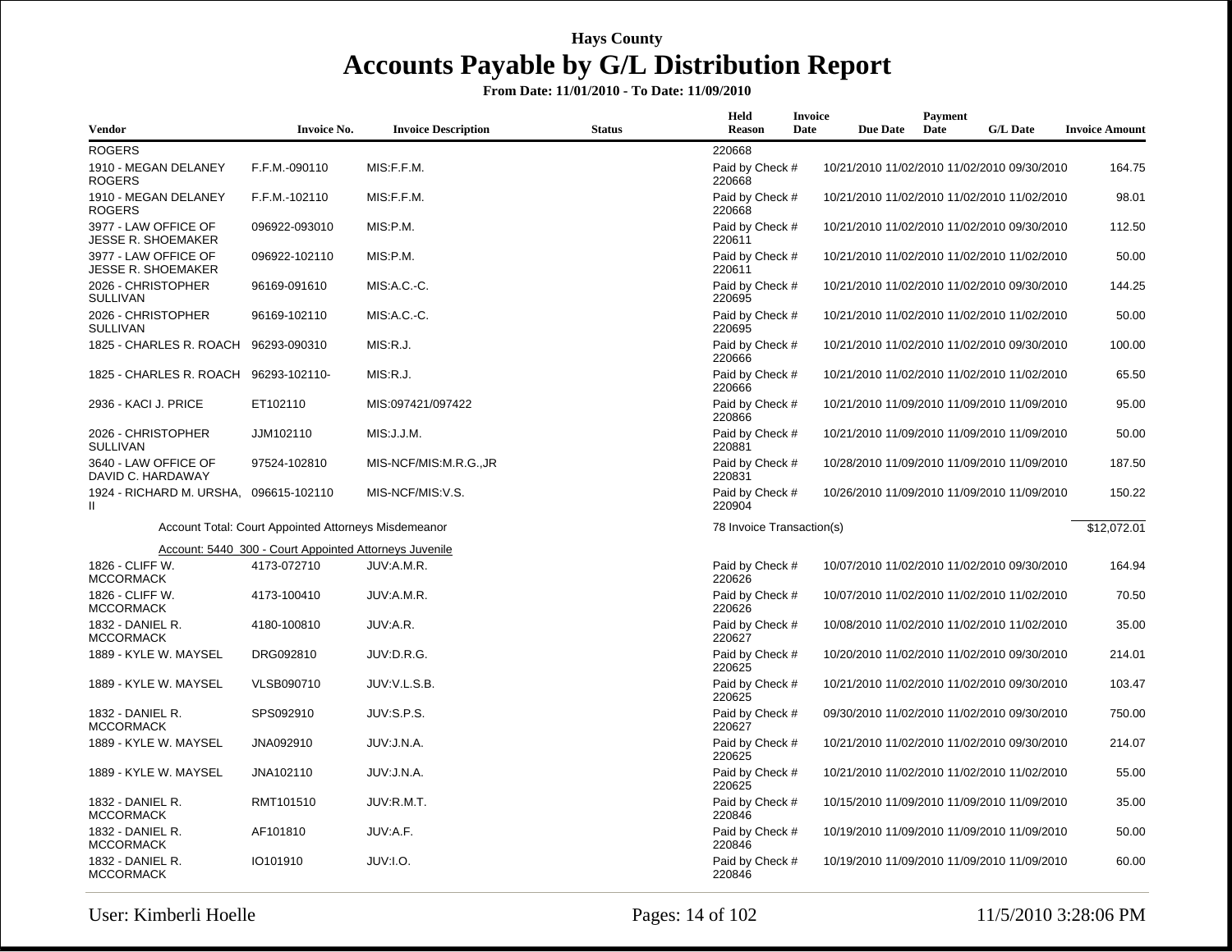| Vendor                                            | <b>Invoice No.</b>                                     | <b>Invoice Description</b> | <b>Status</b> | Held<br>Reason            | Invoice<br>Date | <b>Due Date</b> | Payment<br>Date | <b>G/L Date</b>                             | <b>Invoice Amount</b> |
|---------------------------------------------------|--------------------------------------------------------|----------------------------|---------------|---------------------------|-----------------|-----------------|-----------------|---------------------------------------------|-----------------------|
| <b>ROGERS</b>                                     |                                                        |                            |               | 220668                    |                 |                 |                 |                                             |                       |
| 1910 - MEGAN DELANEY<br><b>ROGERS</b>             | F.F.M.-090110                                          | MIS:F.F.M.                 |               | Paid by Check #<br>220668 |                 |                 |                 | 10/21/2010 11/02/2010 11/02/2010 09/30/2010 | 164.75                |
| 1910 - MEGAN DELANEY<br><b>ROGERS</b>             | F.F.M.-102110                                          | MIS:F.F.M.                 |               | Paid by Check #<br>220668 |                 |                 |                 | 10/21/2010 11/02/2010 11/02/2010 11/02/2010 | 98.01                 |
| 3977 - LAW OFFICE OF<br><b>JESSE R. SHOEMAKER</b> | 096922-093010                                          | MIS:P.M.                   |               | Paid by Check #<br>220611 |                 |                 |                 | 10/21/2010 11/02/2010 11/02/2010 09/30/2010 | 112.50                |
| 3977 - LAW OFFICE OF<br><b>JESSE R. SHOEMAKER</b> | 096922-102110                                          | MIS:P.M.                   |               | Paid by Check #<br>220611 |                 |                 |                 | 10/21/2010 11/02/2010 11/02/2010 11/02/2010 | 50.00                 |
| 2026 - CHRISTOPHER<br><b>SULLIVAN</b>             | 96169-091610                                           | MIS:A.C.-C.                |               | Paid by Check #<br>220695 |                 |                 |                 | 10/21/2010 11/02/2010 11/02/2010 09/30/2010 | 144.25                |
| 2026 - CHRISTOPHER<br>SULLIVAN                    | 96169-102110                                           | MIS:A.C.-C.                |               | Paid by Check #<br>220695 |                 |                 |                 | 10/21/2010 11/02/2010 11/02/2010 11/02/2010 | 50.00                 |
| 1825 - CHARLES R. ROACH 96293-090310              |                                                        | MIS:R.J.                   |               | Paid by Check #<br>220666 |                 |                 |                 | 10/21/2010 11/02/2010 11/02/2010 09/30/2010 | 100.00                |
| 1825 - CHARLES R. ROACH                           | 96293-102110-                                          | MIS:R.J.                   |               | Paid by Check #<br>220666 |                 |                 |                 | 10/21/2010 11/02/2010 11/02/2010 11/02/2010 | 65.50                 |
| 2936 - KACI J. PRICE                              | ET102110                                               | MIS:097421/097422          |               | Paid by Check #<br>220866 |                 |                 |                 | 10/21/2010 11/09/2010 11/09/2010 11/09/2010 | 95.00                 |
| 2026 - CHRISTOPHER<br><b>SULLIVAN</b>             | JJM102110                                              | MIS: J.J.M.                |               | Paid by Check #<br>220881 |                 |                 |                 | 10/21/2010 11/09/2010 11/09/2010 11/09/2010 | 50.00                 |
| 3640 - LAW OFFICE OF<br>DAVID C. HARDAWAY         | 97524-102810                                           | MIS-NCF/MIS:M.R.G.,JR      |               | Paid by Check #<br>220831 |                 |                 |                 | 10/28/2010 11/09/2010 11/09/2010 11/09/2010 | 187.50                |
| 1924 - RICHARD M. URSHA,<br>Ш                     | 096615-102110                                          | MIS-NCF/MIS:V.S.           |               | Paid by Check #<br>220904 |                 |                 |                 | 10/26/2010 11/09/2010 11/09/2010 11/09/2010 | 150.22                |
|                                                   | Account Total: Court Appointed Attorneys Misdemeanor   |                            |               | 78 Invoice Transaction(s) |                 |                 |                 |                                             | \$12,072.01           |
|                                                   | Account: 5440 300 - Court Appointed Attorneys Juvenile |                            |               |                           |                 |                 |                 |                                             |                       |
| 1826 - CLIFF W.<br><b>MCCORMACK</b>               | 4173-072710                                            | JUV:A.M.R.                 |               | Paid by Check #<br>220626 |                 |                 |                 | 10/07/2010 11/02/2010 11/02/2010 09/30/2010 | 164.94                |
| 1826 - CLIFF W.<br><b>MCCORMACK</b>               | 4173-100410                                            | JUV:A.M.R.                 |               | Paid by Check #<br>220626 |                 |                 |                 | 10/07/2010 11/02/2010 11/02/2010 11/02/2010 | 70.50                 |
| 1832 - DANIEL R.<br><b>MCCORMACK</b>              | 4180-100810                                            | JUV:A.R.                   |               | Paid by Check #<br>220627 |                 |                 |                 | 10/08/2010 11/02/2010 11/02/2010 11/02/2010 | 35.00                 |
| 1889 - KYLE W. MAYSEL                             | DRG092810                                              | JUV:D.R.G.                 |               | Paid by Check #<br>220625 |                 |                 |                 | 10/20/2010 11/02/2010 11/02/2010 09/30/2010 | 214.01                |
| 1889 - KYLE W. MAYSEL                             | VLSB090710                                             | JUV:V.L.S.B.               |               | Paid by Check #<br>220625 |                 |                 |                 | 10/21/2010 11/02/2010 11/02/2010 09/30/2010 | 103.47                |
| 1832 - DANIEL R.<br><b>MCCORMACK</b>              | SPS092910                                              | JUV:S.P.S.                 |               | Paid by Check #<br>220627 |                 |                 |                 | 09/30/2010 11/02/2010 11/02/2010 09/30/2010 | 750.00                |
| 1889 - KYLE W. MAYSEL                             | JNA092910                                              | JUV:J.N.A.                 |               | Paid by Check #<br>220625 |                 |                 |                 | 10/21/2010 11/02/2010 11/02/2010 09/30/2010 | 214.07                |
| 1889 - KYLE W. MAYSEL                             | JNA102110                                              | JUV:J.N.A.                 |               | Paid by Check #<br>220625 |                 |                 |                 | 10/21/2010 11/02/2010 11/02/2010 11/02/2010 | 55.00                 |
| 1832 - DANIEL R.<br><b>MCCORMACK</b>              | RMT101510                                              | JUV:R.M.T.                 |               | Paid by Check #<br>220846 |                 |                 |                 | 10/15/2010 11/09/2010 11/09/2010 11/09/2010 | 35.00                 |
| 1832 - DANIEL R.<br><b>MCCORMACK</b>              | AF101810                                               | JUV:A.F.                   |               | Paid by Check #<br>220846 |                 |                 |                 | 10/19/2010 11/09/2010 11/09/2010 11/09/2010 | 50.00                 |
| 1832 - DANIEL R.<br><b>MCCORMACK</b>              | IO101910                                               | JUV:I.O.                   |               | Paid by Check #<br>220846 |                 |                 |                 | 10/19/2010 11/09/2010 11/09/2010 11/09/2010 | 60.00                 |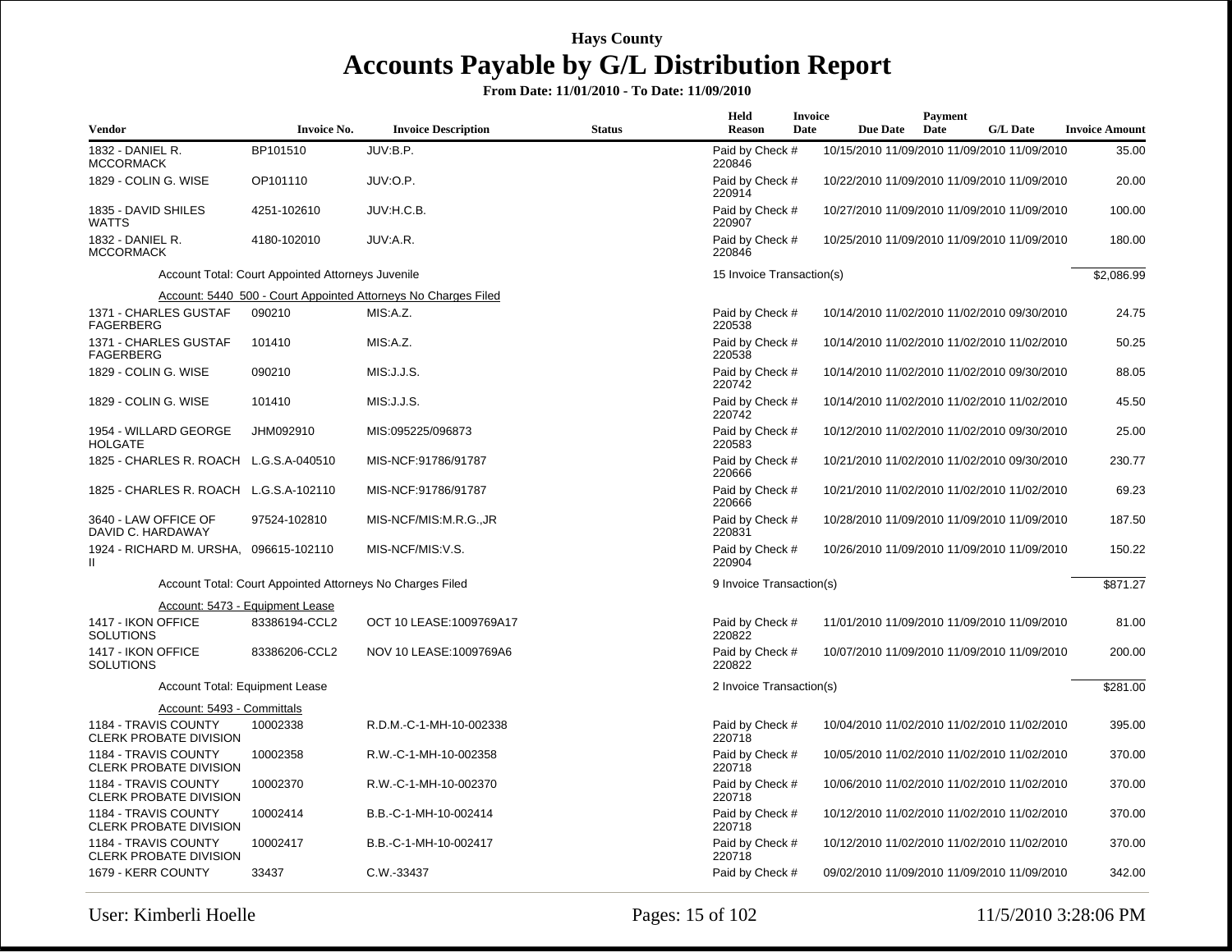| <b>Vendor</b>                                           | <b>Invoice No.</b>                                        | <b>Invoice Description</b>                                     | <b>Status</b> | Held<br>Reason            | <b>Invoice</b><br>Date | <b>Due Date</b> | Payment<br>Date | <b>G/L Date</b>                             | <b>Invoice Amount</b> |
|---------------------------------------------------------|-----------------------------------------------------------|----------------------------------------------------------------|---------------|---------------------------|------------------------|-----------------|-----------------|---------------------------------------------|-----------------------|
| 1832 - DANIEL R.<br><b>MCCORMACK</b>                    | BP101510                                                  | JUV:B.P.                                                       |               | Paid by Check #<br>220846 |                        |                 |                 | 10/15/2010 11/09/2010 11/09/2010 11/09/2010 | 35.00                 |
| 1829 - COLIN G. WISE                                    | OP101110                                                  | JUV:O.P.                                                       |               | Paid by Check #<br>220914 |                        |                 |                 | 10/22/2010 11/09/2010 11/09/2010 11/09/2010 | 20.00                 |
| 1835 - DAVID SHILES<br><b>WATTS</b>                     | 4251-102610                                               | JUV:H.C.B.                                                     |               | Paid by Check #<br>220907 |                        |                 |                 | 10/27/2010 11/09/2010 11/09/2010 11/09/2010 | 100.00                |
| 1832 - DANIEL R.<br><b>MCCORMACK</b>                    | 4180-102010                                               | JUV:A.R.                                                       |               | Paid by Check #<br>220846 |                        |                 |                 | 10/25/2010 11/09/2010 11/09/2010 11/09/2010 | 180.00                |
|                                                         | Account Total: Court Appointed Attorneys Juvenile         |                                                                |               | 15 Invoice Transaction(s) |                        |                 |                 |                                             | \$2,086.99            |
|                                                         |                                                           | Account: 5440_500 - Court Appointed Attorneys No Charges Filed |               |                           |                        |                 |                 |                                             |                       |
| 1371 - CHARLES GUSTAF<br><b>FAGERBERG</b>               | 090210                                                    | MIS:A.Z.                                                       |               | Paid by Check #<br>220538 |                        |                 |                 | 10/14/2010 11/02/2010 11/02/2010 09/30/2010 | 24.75                 |
| 1371 - CHARLES GUSTAF<br><b>FAGERBERG</b>               | 101410                                                    | MIS:A.Z.                                                       |               | Paid by Check #<br>220538 |                        |                 |                 | 10/14/2010 11/02/2010 11/02/2010 11/02/2010 | 50.25                 |
| 1829 - COLIN G. WISE                                    | 090210                                                    | MIS: J.J.S.                                                    |               | Paid by Check #<br>220742 |                        |                 |                 | 10/14/2010 11/02/2010 11/02/2010 09/30/2010 | 88.05                 |
| 1829 - COLIN G. WISE                                    | 101410                                                    | MIS: J.J.S.                                                    |               | Paid by Check #<br>220742 |                        |                 |                 | 10/14/2010 11/02/2010 11/02/2010 11/02/2010 | 45.50                 |
| 1954 - WILLARD GEORGE<br><b>HOLGATE</b>                 | JHM092910                                                 | MIS:095225/096873                                              |               | Paid by Check #<br>220583 |                        |                 |                 | 10/12/2010 11/02/2010 11/02/2010 09/30/2010 | 25.00                 |
| 1825 - CHARLES R. ROACH L.G.S.A-040510                  |                                                           | MIS-NCF:91786/91787                                            |               | Paid by Check #<br>220666 |                        |                 |                 | 10/21/2010 11/02/2010 11/02/2010 09/30/2010 | 230.77                |
| 1825 - CHARLES R. ROACH L.G.S.A-102110                  |                                                           | MIS-NCF:91786/91787                                            |               | Paid by Check #<br>220666 |                        |                 |                 | 10/21/2010 11/02/2010 11/02/2010 11/02/2010 | 69.23                 |
| 3640 - LAW OFFICE OF<br>DAVID C. HARDAWAY               | 97524-102810                                              | MIS-NCF/MIS:M.R.G.,JR                                          |               | Paid by Check #<br>220831 |                        |                 |                 | 10/28/2010 11/09/2010 11/09/2010 11/09/2010 | 187.50                |
| 1924 - RICHARD M. URSHA, 096615-102110<br>$\mathbf{II}$ |                                                           | MIS-NCF/MIS:V.S.                                               |               | Paid by Check #<br>220904 |                        |                 |                 | 10/26/2010 11/09/2010 11/09/2010 11/09/2010 | 150.22                |
|                                                         | Account Total: Court Appointed Attorneys No Charges Filed |                                                                |               | 9 Invoice Transaction(s)  |                        |                 |                 |                                             | \$871.27              |
|                                                         | Account: 5473 - Equipment Lease                           |                                                                |               |                           |                        |                 |                 |                                             |                       |
| 1417 - IKON OFFICE<br><b>SOLUTIONS</b>                  | 83386194-CCL2                                             | OCT 10 LEASE: 1009769A17                                       |               | Paid by Check #<br>220822 |                        |                 |                 | 11/01/2010 11/09/2010 11/09/2010 11/09/2010 | 81.00                 |
| 1417 - IKON OFFICE<br><b>SOLUTIONS</b>                  | 83386206-CCL2                                             | NOV 10 LEASE: 1009769A6                                        |               | Paid by Check #<br>220822 |                        |                 |                 | 10/07/2010 11/09/2010 11/09/2010 11/09/2010 | 200.00                |
| Account Total: Equipment Lease                          |                                                           |                                                                |               | 2 Invoice Transaction(s)  |                        |                 |                 |                                             | \$281.00              |
| Account: 5493 - Committals                              |                                                           |                                                                |               |                           |                        |                 |                 |                                             |                       |
| 1184 - TRAVIS COUNTY<br>CLERK PROBATE DIVISION          | 10002338                                                  | R.D.M.-C-1-MH-10-002338                                        |               | Paid by Check #<br>220718 |                        |                 |                 | 10/04/2010 11/02/2010 11/02/2010 11/02/2010 | 395.00                |
| 1184 - TRAVIS COUNTY<br>CLERK PROBATE DIVISION          | 10002358                                                  | R.W.-C-1-MH-10-002358                                          |               | Paid by Check #<br>220718 |                        |                 |                 | 10/05/2010 11/02/2010 11/02/2010 11/02/2010 | 370.00                |
| 1184 - TRAVIS COUNTY<br>CLERK PROBATE DIVISION          | 10002370                                                  | R.W.-C-1-MH-10-002370                                          |               | Paid by Check #<br>220718 |                        |                 |                 | 10/06/2010 11/02/2010 11/02/2010 11/02/2010 | 370.00                |
| 1184 - TRAVIS COUNTY<br><b>CLERK PROBATE DIVISION</b>   | 10002414                                                  | B.B.-C-1-MH-10-002414                                          |               | Paid by Check #<br>220718 |                        |                 |                 | 10/12/2010 11/02/2010 11/02/2010 11/02/2010 | 370.00                |
| 1184 - TRAVIS COUNTY<br>CLERK PROBATE DIVISION          | 10002417                                                  | B.B.-C-1-MH-10-002417                                          |               | Paid by Check #<br>220718 |                        |                 |                 | 10/12/2010 11/02/2010 11/02/2010 11/02/2010 | 370.00                |
| 1679 - KERR COUNTY                                      | 33437                                                     | C.W.-33437                                                     |               | Paid by Check #           |                        |                 |                 | 09/02/2010 11/09/2010 11/09/2010 11/09/2010 | 342.00                |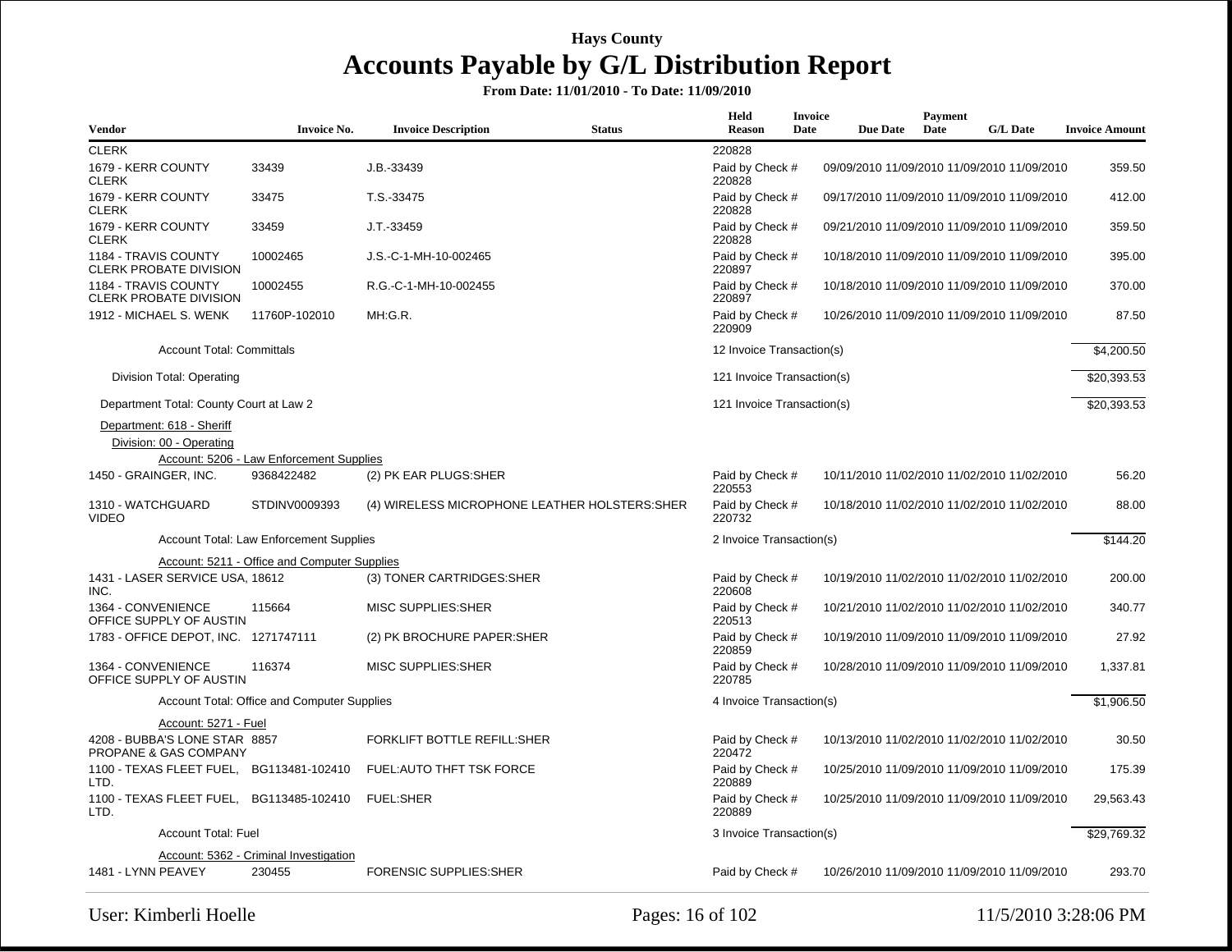| Vendor                                                 | <b>Invoice No.</b>                           | <b>Invoice Description</b>                     | <b>Status</b> | Held<br><b>Reason</b>      | Invoice<br>Date | <b>Due Date</b>                             | Payment<br>Date | <b>G/L Date</b> | <b>Invoice Amount</b> |
|--------------------------------------------------------|----------------------------------------------|------------------------------------------------|---------------|----------------------------|-----------------|---------------------------------------------|-----------------|-----------------|-----------------------|
| <b>CLERK</b>                                           |                                              |                                                |               | 220828                     |                 |                                             |                 |                 |                       |
| 1679 - KERR COUNTY<br><b>CLERK</b>                     | 33439                                        | $J.B.-33439$                                   |               | Paid by Check #<br>220828  |                 | 09/09/2010 11/09/2010 11/09/2010 11/09/2010 |                 |                 | 359.50                |
| 1679 - KERR COUNTY<br><b>CLERK</b>                     | 33475                                        | T.S.-33475                                     |               | Paid by Check #<br>220828  |                 | 09/17/2010 11/09/2010 11/09/2010 11/09/2010 |                 |                 | 412.00                |
| 1679 - KERR COUNTY<br><b>CLERK</b>                     | 33459                                        | J.T.-33459                                     |               | Paid by Check #<br>220828  |                 | 09/21/2010 11/09/2010 11/09/2010 11/09/2010 |                 |                 | 359.50                |
| 1184 - TRAVIS COUNTY<br><b>CLERK PROBATE DIVISION</b>  | 10002465                                     | J.S.-C-1-MH-10-002465                          |               | Paid by Check #<br>220897  |                 | 10/18/2010 11/09/2010 11/09/2010 11/09/2010 |                 |                 | 395.00                |
| 1184 - TRAVIS COUNTY<br><b>CLERK PROBATE DIVISION</b>  | 10002455                                     | R.G.-C-1-MH-10-002455                          |               | Paid by Check #<br>220897  |                 | 10/18/2010 11/09/2010 11/09/2010 11/09/2010 |                 |                 | 370.00                |
| 1912 - MICHAEL S. WENK                                 | 11760P-102010                                | MH:G.R.                                        |               | Paid by Check #<br>220909  |                 | 10/26/2010 11/09/2010 11/09/2010 11/09/2010 |                 |                 | 87.50                 |
| <b>Account Total: Committals</b>                       |                                              |                                                |               | 12 Invoice Transaction(s)  |                 |                                             |                 |                 | \$4,200.50            |
| Division Total: Operating                              |                                              |                                                |               | 121 Invoice Transaction(s) |                 |                                             |                 |                 | \$20,393.53           |
| Department Total: County Court at Law 2                |                                              |                                                |               | 121 Invoice Transaction(s) |                 |                                             |                 |                 | \$20,393.53           |
| Department: 618 - Sheriff<br>Division: 00 - Operating  |                                              |                                                |               |                            |                 |                                             |                 |                 |                       |
|                                                        | Account: 5206 - Law Enforcement Supplies     |                                                |               |                            |                 |                                             |                 |                 |                       |
| 1450 - GRAINGER, INC.                                  | 9368422482                                   | (2) PK EAR PLUGS: SHER                         |               | Paid by Check #<br>220553  |                 | 10/11/2010 11/02/2010 11/02/2010 11/02/2010 |                 |                 | 56.20                 |
| 1310 - WATCHGUARD<br><b>VIDEO</b>                      | STDINV0009393                                | (4) WIRELESS MICROPHONE LEATHER HOLSTERS: SHER |               | Paid by Check #<br>220732  |                 | 10/18/2010 11/02/2010 11/02/2010 11/02/2010 |                 |                 | 88.00                 |
|                                                        | Account Total: Law Enforcement Supplies      |                                                |               | 2 Invoice Transaction(s)   |                 |                                             |                 |                 | \$144.20              |
|                                                        | Account: 5211 - Office and Computer Supplies |                                                |               |                            |                 |                                             |                 |                 |                       |
| 1431 - LASER SERVICE USA, 18612<br>INC.                |                                              | (3) TONER CARTRIDGES: SHER                     |               | Paid by Check #<br>220608  |                 | 10/19/2010 11/02/2010 11/02/2010 11/02/2010 |                 |                 | 200.00                |
| 1364 - CONVENIENCE<br>OFFICE SUPPLY OF AUSTIN          | 115664                                       | MISC SUPPLIES: SHER                            |               | Paid by Check #<br>220513  |                 | 10/21/2010 11/02/2010 11/02/2010 11/02/2010 |                 |                 | 340.77                |
| 1783 - OFFICE DEPOT, INC. 1271747111                   |                                              | (2) PK BROCHURE PAPER: SHER                    |               | Paid by Check #<br>220859  |                 | 10/19/2010 11/09/2010 11/09/2010 11/09/2010 |                 |                 | 27.92                 |
| 1364 - CONVENIENCE<br>OFFICE SUPPLY OF AUSTIN          | 116374                                       | <b>MISC SUPPLIES:SHER</b>                      |               | Paid by Check #<br>220785  |                 | 10/28/2010 11/09/2010 11/09/2010 11/09/2010 |                 |                 | 1,337.81              |
|                                                        | Account Total: Office and Computer Supplies  |                                                |               | 4 Invoice Transaction(s)   |                 |                                             |                 |                 | \$1,906.50            |
| Account: 5271 - Fuel                                   |                                              |                                                |               |                            |                 |                                             |                 |                 |                       |
| 4208 - BUBBA'S LONE STAR 8857<br>PROPANE & GAS COMPANY |                                              | FORKLIFT BOTTLE REFILL:SHER                    |               | Paid by Check #<br>220472  |                 | 10/13/2010 11/02/2010 11/02/2010 11/02/2010 |                 |                 | 30.50                 |
| 1100 - TEXAS FLEET FUEL, BG113481-102410<br>LTD.       |                                              | <b>FUEL: AUTO THFT TSK FORCE</b>               |               | Paid by Check #<br>220889  |                 | 10/25/2010 11/09/2010 11/09/2010 11/09/2010 |                 |                 | 175.39                |
| 1100 - TEXAS FLEET FUEL, BG113485-102410<br>LTD.       |                                              | <b>FUEL:SHER</b>                               |               | Paid by Check #<br>220889  |                 | 10/25/2010 11/09/2010 11/09/2010 11/09/2010 |                 |                 | 29,563.43             |
| <b>Account Total: Fuel</b>                             |                                              |                                                |               | 3 Invoice Transaction(s)   |                 |                                             |                 |                 | \$29,769.32           |
|                                                        | Account: 5362 - Criminal Investigation       |                                                |               |                            |                 |                                             |                 |                 |                       |
| 1481 - LYNN PEAVEY                                     | 230455                                       | <b>FORENSIC SUPPLIES:SHER</b>                  |               | Paid by Check #            |                 | 10/26/2010 11/09/2010 11/09/2010 11/09/2010 |                 |                 | 293.70                |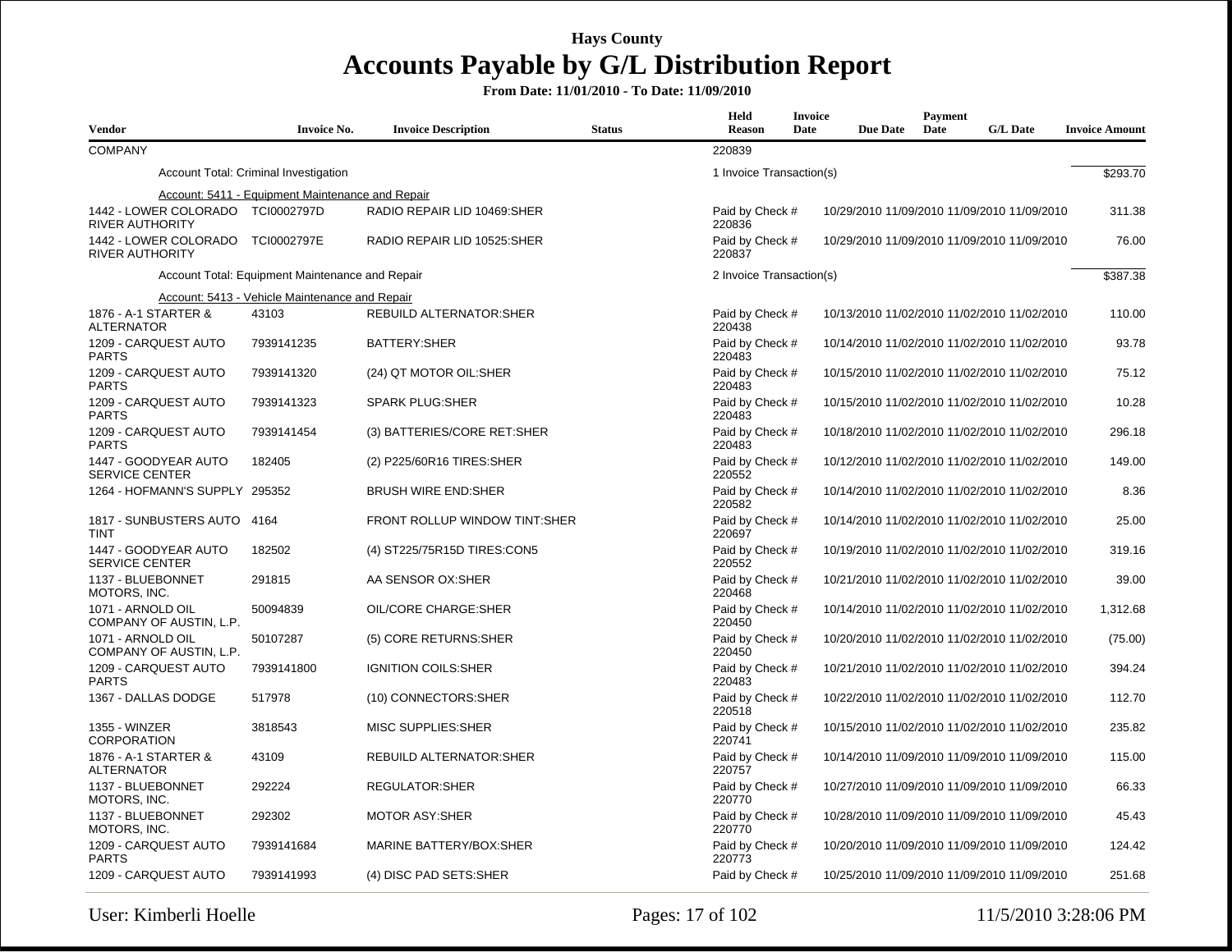| <b>Vendor</b>                                               | <b>Invoice No.</b>                               | <b>Invoice Description</b>     | <b>Status</b> | Held<br><b>Reason</b>     | <b>Invoice</b><br>Date | <b>Due Date</b> | Payment<br>Date | <b>G/L Date</b>                             | <b>Invoice Amount</b> |
|-------------------------------------------------------------|--------------------------------------------------|--------------------------------|---------------|---------------------------|------------------------|-----------------|-----------------|---------------------------------------------|-----------------------|
| <b>COMPANY</b>                                              |                                                  |                                |               | 220839                    |                        |                 |                 |                                             |                       |
|                                                             | Account Total: Criminal Investigation            |                                |               | 1 Invoice Transaction(s)  |                        |                 |                 |                                             | \$293.70              |
|                                                             | Account: 5411 - Equipment Maintenance and Repair |                                |               |                           |                        |                 |                 |                                             |                       |
| 1442 - LOWER COLORADO TCI0002797D<br><b>RIVER AUTHORITY</b> |                                                  | RADIO REPAIR LID 10469:SHER    |               | Paid by Check #<br>220836 |                        |                 |                 | 10/29/2010 11/09/2010 11/09/2010 11/09/2010 | 311.38                |
| 1442 - LOWER COLORADO TCI0002797E<br><b>RIVER AUTHORITY</b> |                                                  | RADIO REPAIR LID 10525:SHER    |               | Paid by Check #<br>220837 |                        |                 |                 | 10/29/2010 11/09/2010 11/09/2010 11/09/2010 | 76.00                 |
|                                                             | Account Total: Equipment Maintenance and Repair  |                                |               | 2 Invoice Transaction(s)  |                        |                 |                 |                                             | \$387.38              |
|                                                             | Account: 5413 - Vehicle Maintenance and Repair   |                                |               |                           |                        |                 |                 |                                             |                       |
| 1876 - A-1 STARTER &<br><b>ALTERNATOR</b>                   | 43103                                            | <b>REBUILD ALTERNATOR:SHER</b> |               | Paid by Check #<br>220438 |                        |                 |                 | 10/13/2010 11/02/2010 11/02/2010 11/02/2010 | 110.00                |
| 1209 - CARQUEST AUTO<br><b>PARTS</b>                        | 7939141235                                       | BATTERY: SHER                  |               | Paid by Check #<br>220483 |                        |                 |                 | 10/14/2010 11/02/2010 11/02/2010 11/02/2010 | 93.78                 |
| 1209 - CARQUEST AUTO<br><b>PARTS</b>                        | 7939141320                                       | (24) QT MOTOR OIL:SHER         |               | Paid by Check #<br>220483 |                        |                 |                 | 10/15/2010 11/02/2010 11/02/2010 11/02/2010 | 75.12                 |
| 1209 - CARQUEST AUTO<br><b>PARTS</b>                        | 7939141323                                       | <b>SPARK PLUG:SHER</b>         |               | Paid by Check #<br>220483 |                        |                 |                 | 10/15/2010 11/02/2010 11/02/2010 11/02/2010 | 10.28                 |
| 1209 - CARQUEST AUTO<br><b>PARTS</b>                        | 7939141454                                       | (3) BATTERIES/CORE RET:SHER    |               | Paid by Check #<br>220483 |                        |                 |                 | 10/18/2010 11/02/2010 11/02/2010 11/02/2010 | 296.18                |
| 1447 - GOODYEAR AUTO<br><b>SERVICE CENTER</b>               | 182405                                           | (2) P225/60R16 TIRES:SHER      |               | Paid by Check #<br>220552 |                        |                 |                 | 10/12/2010 11/02/2010 11/02/2010 11/02/2010 | 149.00                |
| 1264 - HOFMANN'S SUPPLY 295352                              |                                                  | <b>BRUSH WIRE END:SHER</b>     |               | Paid by Check #<br>220582 |                        |                 |                 | 10/14/2010 11/02/2010 11/02/2010 11/02/2010 | 8.36                  |
| 1817 - SUNBUSTERS AUTO 4164<br>TINT                         |                                                  | FRONT ROLLUP WINDOW TINT:SHER  |               | Paid by Check #<br>220697 |                        |                 |                 | 10/14/2010 11/02/2010 11/02/2010 11/02/2010 | 25.00                 |
| 1447 - GOODYEAR AUTO<br><b>SERVICE CENTER</b>               | 182502                                           | (4) ST225/75R15D TIRES:CON5    |               | Paid by Check #<br>220552 |                        |                 |                 | 10/19/2010 11/02/2010 11/02/2010 11/02/2010 | 319.16                |
| 1137 - BLUEBONNET<br>MOTORS, INC.                           | 291815                                           | AA SENSOR OX:SHER              |               | Paid by Check #<br>220468 |                        |                 |                 | 10/21/2010 11/02/2010 11/02/2010 11/02/2010 | 39.00                 |
| 1071 - ARNOLD OIL<br>COMPANY OF AUSTIN, L.P.                | 50094839                                         | OIL/CORE CHARGE: SHER          |               | Paid by Check #<br>220450 |                        |                 |                 | 10/14/2010 11/02/2010 11/02/2010 11/02/2010 | 1,312.68              |
| 1071 - ARNOLD OIL<br>COMPANY OF AUSTIN, L.P.                | 50107287                                         | (5) CORE RETURNS: SHER         |               | Paid by Check #<br>220450 |                        |                 |                 | 10/20/2010 11/02/2010 11/02/2010 11/02/2010 | (75.00)               |
| 1209 - CARQUEST AUTO<br><b>PARTS</b>                        | 7939141800                                       | <b>IGNITION COILS:SHER</b>     |               | Paid by Check #<br>220483 |                        |                 |                 | 10/21/2010 11/02/2010 11/02/2010 11/02/2010 | 394.24                |
| 1367 - DALLAS DODGE                                         | 517978                                           | (10) CONNECTORS: SHER          |               | Paid by Check #<br>220518 |                        |                 |                 | 10/22/2010 11/02/2010 11/02/2010 11/02/2010 | 112.70                |
| 1355 - WINZER<br><b>CORPORATION</b>                         | 3818543                                          | <b>MISC SUPPLIES:SHER</b>      |               | Paid by Check #<br>220741 |                        |                 |                 | 10/15/2010 11/02/2010 11/02/2010 11/02/2010 | 235.82                |
| 1876 - A-1 STARTER &<br><b>ALTERNATOR</b>                   | 43109                                            | REBUILD ALTERNATOR:SHER        |               | Paid by Check #<br>220757 |                        |                 |                 | 10/14/2010 11/09/2010 11/09/2010 11/09/2010 | 115.00                |
| 1137 - BLUEBONNET<br>MOTORS, INC.                           | 292224                                           | REGULATOR:SHER                 |               | Paid by Check #<br>220770 |                        |                 |                 | 10/27/2010 11/09/2010 11/09/2010 11/09/2010 | 66.33                 |
| 1137 - BLUEBONNET<br>MOTORS, INC.                           | 292302                                           | <b>MOTOR ASY:SHER</b>          |               | Paid by Check #<br>220770 |                        |                 |                 | 10/28/2010 11/09/2010 11/09/2010 11/09/2010 | 45.43                 |
| 1209 - CARQUEST AUTO<br><b>PARTS</b>                        | 7939141684                                       | <b>MARINE BATTERY/BOX:SHER</b> |               | Paid by Check #<br>220773 |                        |                 |                 | 10/20/2010 11/09/2010 11/09/2010 11/09/2010 | 124.42                |
| 1209 - CARQUEST AUTO                                        | 7939141993                                       | (4) DISC PAD SETS: SHER        |               | Paid by Check #           |                        |                 |                 | 10/25/2010 11/09/2010 11/09/2010 11/09/2010 | 251.68                |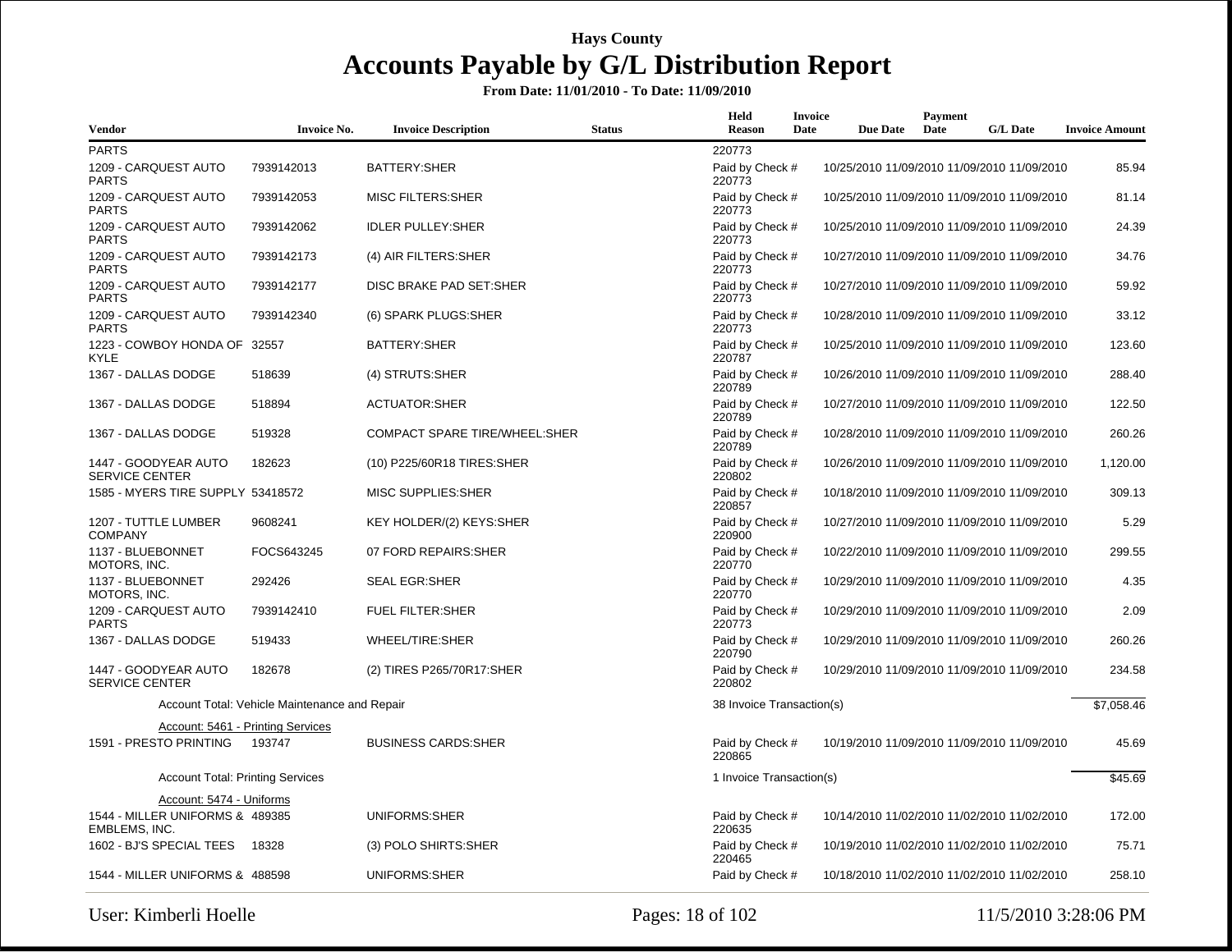| Vendor                                           | <b>Invoice No.</b>                            | <b>Invoice Description</b>           | <b>Status</b> | Held<br><b>Reason</b>     | Invoice<br>Date | <b>Due Date</b> | Payment<br>Date | <b>G/L Date</b>                             | <b>Invoice Amount</b> |
|--------------------------------------------------|-----------------------------------------------|--------------------------------------|---------------|---------------------------|-----------------|-----------------|-----------------|---------------------------------------------|-----------------------|
| <b>PARTS</b>                                     |                                               |                                      |               | 220773                    |                 |                 |                 |                                             |                       |
| 1209 - CARQUEST AUTO<br><b>PARTS</b>             | 7939142013                                    | BATTERY: SHER                        |               | Paid by Check #<br>220773 |                 |                 |                 | 10/25/2010 11/09/2010 11/09/2010 11/09/2010 | 85.94                 |
| 1209 - CARQUEST AUTO<br>PARTS                    | 7939142053                                    | <b>MISC FILTERS:SHER</b>             |               | Paid by Check #<br>220773 |                 |                 |                 | 10/25/2010 11/09/2010 11/09/2010 11/09/2010 | 81.14                 |
| 1209 - CARQUEST AUTO<br><b>PARTS</b>             | 7939142062                                    | <b>IDLER PULLEY:SHER</b>             |               | Paid by Check #<br>220773 |                 |                 |                 | 10/25/2010 11/09/2010 11/09/2010 11/09/2010 | 24.39                 |
| 1209 - CARQUEST AUTO<br><b>PARTS</b>             | 7939142173                                    | (4) AIR FILTERS: SHER                |               | Paid by Check #<br>220773 |                 |                 |                 | 10/27/2010 11/09/2010 11/09/2010 11/09/2010 | 34.76                 |
| 1209 - CARQUEST AUTO<br><b>PARTS</b>             | 7939142177                                    | DISC BRAKE PAD SET:SHER              |               | Paid by Check #<br>220773 |                 |                 |                 | 10/27/2010 11/09/2010 11/09/2010 11/09/2010 | 59.92                 |
| 1209 - CARQUEST AUTO<br><b>PARTS</b>             | 7939142340                                    | (6) SPARK PLUGS: SHER                |               | Paid by Check #<br>220773 |                 |                 |                 | 10/28/2010 11/09/2010 11/09/2010 11/09/2010 | 33.12                 |
| 1223 - COWBOY HONDA OF 32557<br>KYLE             |                                               | BATTERY: SHER                        |               | Paid by Check #<br>220787 |                 |                 |                 | 10/25/2010 11/09/2010 11/09/2010 11/09/2010 | 123.60                |
| 1367 - DALLAS DODGE                              | 518639                                        | (4) STRUTS:SHER                      |               | Paid by Check #<br>220789 |                 |                 |                 | 10/26/2010 11/09/2010 11/09/2010 11/09/2010 | 288.40                |
| 1367 - DALLAS DODGE                              | 518894                                        | <b>ACTUATOR:SHER</b>                 |               | Paid by Check #<br>220789 |                 |                 |                 | 10/27/2010 11/09/2010 11/09/2010 11/09/2010 | 122.50                |
| 1367 - DALLAS DODGE                              | 519328                                        | <b>COMPACT SPARE TIRE/WHEEL:SHER</b> |               | Paid by Check #<br>220789 |                 |                 |                 | 10/28/2010 11/09/2010 11/09/2010 11/09/2010 | 260.26                |
| 1447 - GOODYEAR AUTO<br><b>SERVICE CENTER</b>    | 182623                                        | (10) P225/60R18 TIRES:SHER           |               | Paid by Check #<br>220802 |                 |                 |                 | 10/26/2010 11/09/2010 11/09/2010 11/09/2010 | 1,120.00              |
| 1585 - MYERS TIRE SUPPLY 53418572                |                                               | <b>MISC SUPPLIES:SHER</b>            |               | Paid by Check #<br>220857 |                 |                 |                 | 10/18/2010 11/09/2010 11/09/2010 11/09/2010 | 309.13                |
| 1207 - TUTTLE LUMBER<br><b>COMPANY</b>           | 9608241                                       | KEY HOLDER/(2) KEYS:SHER             |               | Paid by Check #<br>220900 |                 |                 |                 | 10/27/2010 11/09/2010 11/09/2010 11/09/2010 | 5.29                  |
| 1137 - BLUEBONNET<br>MOTORS, INC.                | FOCS643245                                    | 07 FORD REPAIRS: SHER                |               | Paid by Check #<br>220770 |                 |                 |                 | 10/22/2010 11/09/2010 11/09/2010 11/09/2010 | 299.55                |
| 1137 - BLUEBONNET<br>MOTORS, INC.                | 292426                                        | <b>SEAL EGR:SHER</b>                 |               | Paid by Check #<br>220770 |                 |                 |                 | 10/29/2010 11/09/2010 11/09/2010 11/09/2010 | 4.35                  |
| 1209 - CARQUEST AUTO<br><b>PARTS</b>             | 7939142410                                    | <b>FUEL FILTER:SHER</b>              |               | Paid by Check #<br>220773 |                 |                 |                 | 10/29/2010 11/09/2010 11/09/2010 11/09/2010 | 2.09                  |
| 1367 - DALLAS DODGE                              | 519433                                        | WHEEL/TIRE:SHER                      |               | Paid by Check #<br>220790 |                 |                 |                 | 10/29/2010 11/09/2010 11/09/2010 11/09/2010 | 260.26                |
| 1447 - GOODYEAR AUTO<br><b>SERVICE CENTER</b>    | 182678                                        | (2) TIRES P265/70R17:SHER            |               | Paid by Check #<br>220802 |                 |                 |                 | 10/29/2010 11/09/2010 11/09/2010 11/09/2010 | 234.58                |
|                                                  | Account Total: Vehicle Maintenance and Repair |                                      |               | 38 Invoice Transaction(s) |                 |                 |                 |                                             | \$7,058.46            |
|                                                  | Account: 5461 - Printing Services             |                                      |               |                           |                 |                 |                 |                                             |                       |
| 1591 - PRESTO PRINTING                           | 193747                                        | <b>BUSINESS CARDS:SHER</b>           |               | Paid by Check #<br>220865 |                 |                 |                 | 10/19/2010 11/09/2010 11/09/2010 11/09/2010 | 45.69                 |
| <b>Account Total: Printing Services</b>          |                                               |                                      |               | 1 Invoice Transaction(s)  |                 |                 |                 |                                             | \$45.69               |
| Account: 5474 - Uniforms                         |                                               |                                      |               |                           |                 |                 |                 |                                             |                       |
| 1544 - MILLER UNIFORMS & 489385<br>EMBLEMS, INC. |                                               | UNIFORMS:SHER                        |               | Paid by Check #<br>220635 |                 |                 |                 | 10/14/2010 11/02/2010 11/02/2010 11/02/2010 | 172.00                |
| 1602 - BJ'S SPECIAL TEES 18328                   |                                               | (3) POLO SHIRTS: SHER                |               | Paid by Check #<br>220465 |                 |                 |                 | 10/19/2010 11/02/2010 11/02/2010 11/02/2010 | 75.71                 |
| 1544 - MILLER UNIFORMS & 488598                  |                                               | UNIFORMS:SHER                        |               | Paid by Check #           |                 |                 |                 | 10/18/2010 11/02/2010 11/02/2010 11/02/2010 | 258.10                |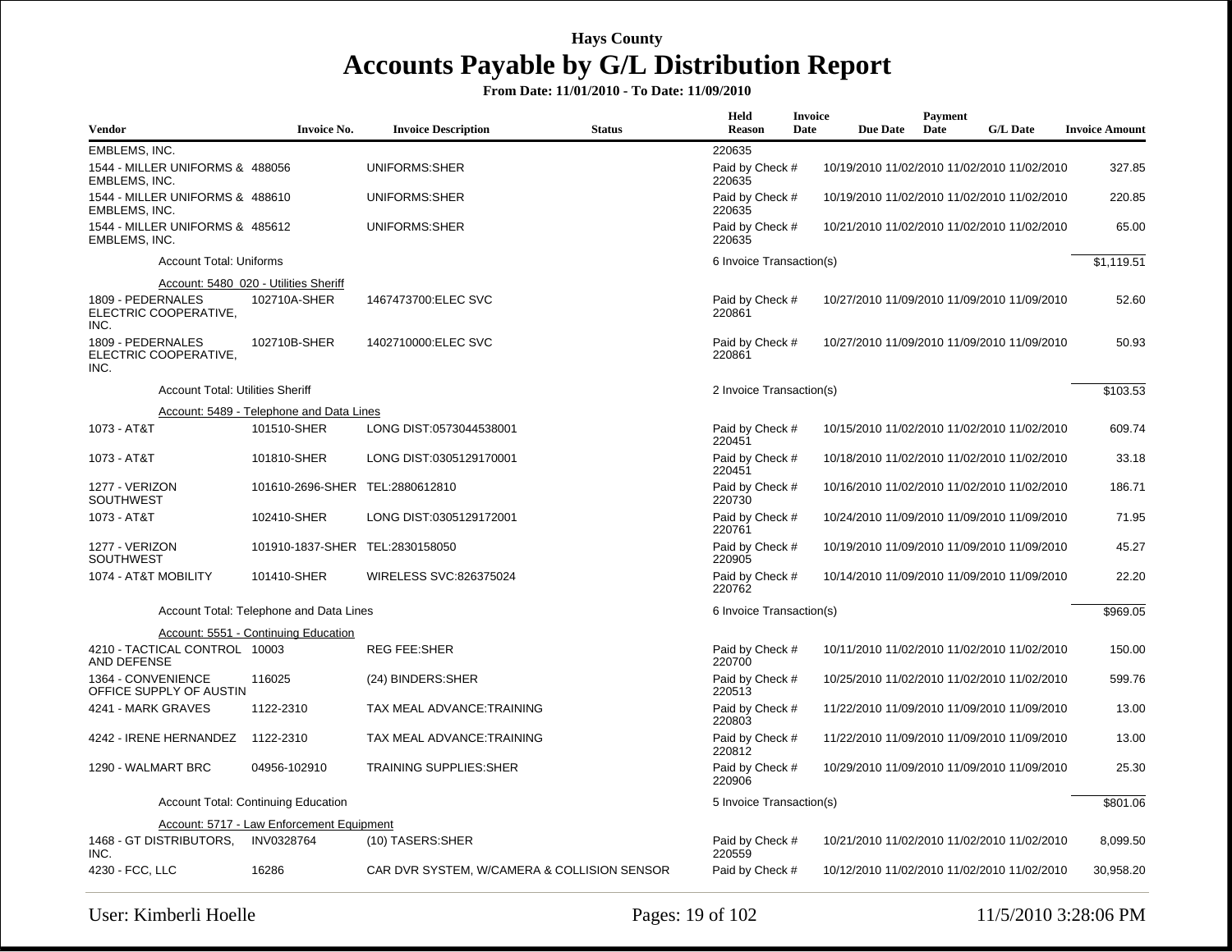| <b>Vendor</b>                                      | <b>Invoice No.</b>                         | <b>Invoice Description</b>                  | <b>Status</b> | Held<br><b>Reason</b>     | <b>Invoice</b><br>Date | <b>Due Date</b> | Payment<br>Date | <b>G/L Date</b>                             | <b>Invoice Amount</b> |
|----------------------------------------------------|--------------------------------------------|---------------------------------------------|---------------|---------------------------|------------------------|-----------------|-----------------|---------------------------------------------|-----------------------|
| EMBLEMS, INC.                                      |                                            |                                             |               | 220635                    |                        |                 |                 |                                             |                       |
| 1544 - MILLER UNIFORMS & 488056<br>EMBLEMS, INC.   |                                            | UNIFORMS:SHER                               |               | Paid by Check #<br>220635 |                        |                 |                 | 10/19/2010 11/02/2010 11/02/2010 11/02/2010 | 327.85                |
| 1544 - MILLER UNIFORMS & 488610<br>EMBLEMS, INC.   |                                            | UNIFORMS:SHER                               |               | Paid by Check #<br>220635 |                        |                 |                 | 10/19/2010 11/02/2010 11/02/2010 11/02/2010 | 220.85                |
| 1544 - MILLER UNIFORMS & 485612<br>EMBLEMS, INC.   |                                            | UNIFORMS:SHER                               |               | Paid by Check #<br>220635 |                        |                 |                 | 10/21/2010 11/02/2010 11/02/2010 11/02/2010 | 65.00                 |
| <b>Account Total: Uniforms</b>                     |                                            |                                             |               | 6 Invoice Transaction(s)  |                        |                 |                 |                                             | \$1,119.51            |
|                                                    | Account: 5480 020 - Utilities Sheriff      |                                             |               |                           |                        |                 |                 |                                             |                       |
| 1809 - PEDERNALES<br>ELECTRIC COOPERATIVE,<br>INC. | 102710A-SHER                               | 1467473700:ELEC SVC                         |               | Paid by Check #<br>220861 |                        |                 |                 | 10/27/2010 11/09/2010 11/09/2010 11/09/2010 | 52.60                 |
| 1809 - PEDERNALES<br>ELECTRIC COOPERATIVE,<br>INC. | 102710B-SHER                               | 1402710000:ELEC SVC                         |               | Paid by Check #<br>220861 |                        |                 |                 | 10/27/2010 11/09/2010 11/09/2010 11/09/2010 | 50.93                 |
| <b>Account Total: Utilities Sheriff</b>            |                                            |                                             |               | 2 Invoice Transaction(s)  |                        |                 |                 |                                             | \$103.53              |
|                                                    | Account: 5489 - Telephone and Data Lines   |                                             |               |                           |                        |                 |                 |                                             |                       |
| 1073 - AT&T                                        | 101510-SHER                                | LONG DIST:0573044538001                     |               | Paid by Check #<br>220451 |                        |                 |                 | 10/15/2010 11/02/2010 11/02/2010 11/02/2010 | 609.74                |
| 1073 - AT&T                                        | 101810-SHER                                | LONG DIST:0305129170001                     |               | Paid by Check #<br>220451 |                        |                 |                 | 10/18/2010 11/02/2010 11/02/2010 11/02/2010 | 33.18                 |
| 1277 - VERIZON<br><b>SOUTHWEST</b>                 | 101610-2696-SHER TEL:2880612810            |                                             |               | Paid by Check #<br>220730 |                        |                 |                 | 10/16/2010 11/02/2010 11/02/2010 11/02/2010 | 186.71                |
| 1073 - AT&T                                        | 102410-SHER                                | LONG DIST:0305129172001                     |               | Paid by Check #<br>220761 |                        |                 |                 | 10/24/2010 11/09/2010 11/09/2010 11/09/2010 | 71.95                 |
| 1277 - VERIZON<br><b>SOUTHWEST</b>                 | 101910-1837-SHER TEL:2830158050            |                                             |               | Paid by Check #<br>220905 |                        |                 |                 | 10/19/2010 11/09/2010 11/09/2010 11/09/2010 | 45.27                 |
| 1074 - AT&T MOBILITY                               | 101410-SHER                                | WIRELESS SVC:826375024                      |               | Paid by Check #<br>220762 |                        |                 |                 | 10/14/2010 11/09/2010 11/09/2010 11/09/2010 | 22.20                 |
|                                                    | Account Total: Telephone and Data Lines    |                                             |               | 6 Invoice Transaction(s)  |                        |                 |                 |                                             | \$969.05              |
|                                                    | Account: 5551 - Continuing Education       |                                             |               |                           |                        |                 |                 |                                             |                       |
| 4210 - TACTICAL CONTROL 10003<br>AND DEFENSE       |                                            | <b>REG FEE:SHER</b>                         |               | Paid by Check #<br>220700 |                        |                 |                 | 10/11/2010 11/02/2010 11/02/2010 11/02/2010 | 150.00                |
| 1364 - CONVENIENCE<br>OFFICE SUPPLY OF AUSTIN      | 116025                                     | (24) BINDERS: SHER                          |               | Paid by Check #<br>220513 |                        |                 |                 | 10/25/2010 11/02/2010 11/02/2010 11/02/2010 | 599.76                |
| 4241 - MARK GRAVES                                 | 1122-2310                                  | TAX MEAL ADVANCE:TRAINING                   |               | Paid by Check #<br>220803 |                        |                 |                 | 11/22/2010 11/09/2010 11/09/2010 11/09/2010 | 13.00                 |
| 4242 - IRENE HERNANDEZ                             | 1122-2310                                  | TAX MEAL ADVANCE:TRAINING                   |               | Paid by Check #<br>220812 |                        |                 |                 | 11/22/2010 11/09/2010 11/09/2010 11/09/2010 | 13.00                 |
| 1290 - WALMART BRC                                 | 04956-102910                               | <b>TRAINING SUPPLIES:SHER</b>               |               | Paid by Check #<br>220906 |                        |                 |                 | 10/29/2010 11/09/2010 11/09/2010 11/09/2010 | 25.30                 |
|                                                    | <b>Account Total: Continuing Education</b> |                                             |               | 5 Invoice Transaction(s)  |                        |                 |                 |                                             | \$801.06              |
|                                                    | Account: 5717 - Law Enforcement Equipment  |                                             |               |                           |                        |                 |                 |                                             |                       |
| 1468 - GT DISTRIBUTORS,<br>INC.                    | INV0328764                                 | (10) TASERS: SHER                           |               | Paid by Check #<br>220559 |                        |                 |                 | 10/21/2010 11/02/2010 11/02/2010 11/02/2010 | 8,099.50              |
| 4230 - FCC, LLC                                    | 16286                                      | CAR DVR SYSTEM, W/CAMERA & COLLISION SENSOR |               | Paid by Check #           |                        |                 |                 | 10/12/2010 11/02/2010 11/02/2010 11/02/2010 | 30,958.20             |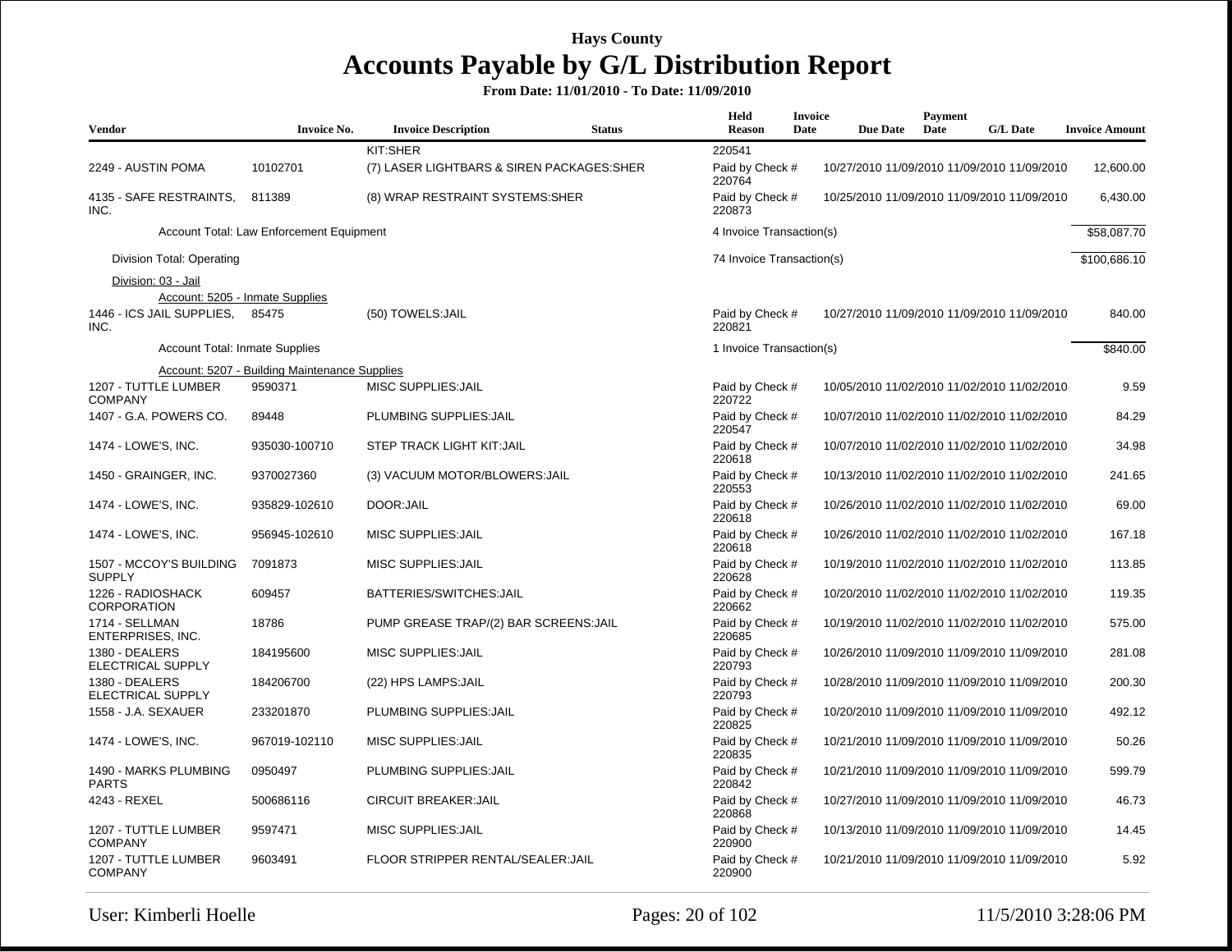| Vendor                                   | <b>Invoice No.</b>                            | <b>Invoice Description</b>                 | <b>Status</b> | <b>Held</b><br><b>Reason</b> | <b>Invoice</b><br>Date | <b>Due Date</b> | Payment<br>Date | <b>G/L Date</b>                             | <b>Invoice Amount</b> |
|------------------------------------------|-----------------------------------------------|--------------------------------------------|---------------|------------------------------|------------------------|-----------------|-----------------|---------------------------------------------|-----------------------|
|                                          |                                               | KIT:SHER                                   |               | 220541                       |                        |                 |                 |                                             |                       |
| 2249 - AUSTIN POMA                       | 10102701                                      | (7) LASER LIGHTBARS & SIREN PACKAGES: SHER |               | Paid by Check #<br>220764    |                        |                 |                 | 10/27/2010 11/09/2010 11/09/2010 11/09/2010 | 12,600.00             |
| 4135 - SAFE RESTRAINTS,<br>INC.          | 811389                                        | (8) WRAP RESTRAINT SYSTEMS:SHER            |               | Paid by Check #<br>220873    |                        |                 |                 | 10/25/2010 11/09/2010 11/09/2010 11/09/2010 | 6,430.00              |
|                                          | Account Total: Law Enforcement Equipment      |                                            |               | 4 Invoice Transaction(s)     |                        |                 |                 |                                             | \$58,087.70           |
| Division Total: Operating                |                                               |                                            |               | 74 Invoice Transaction(s)    |                        |                 |                 |                                             | \$100,686.10          |
| Division: 03 - Jail                      |                                               |                                            |               |                              |                        |                 |                 |                                             |                       |
|                                          | Account: 5205 - Inmate Supplies               |                                            |               |                              |                        |                 |                 |                                             |                       |
| 1446 - ICS JAIL SUPPLIES,<br>INC.        | 85475                                         | (50) TOWELS: JAIL                          |               | Paid by Check #<br>220821    |                        |                 |                 | 10/27/2010 11/09/2010 11/09/2010 11/09/2010 | 840.00                |
| <b>Account Total: Inmate Supplies</b>    |                                               |                                            |               | 1 Invoice Transaction(s)     |                        |                 |                 |                                             | \$840.00              |
|                                          | Account: 5207 - Building Maintenance Supplies |                                            |               |                              |                        |                 |                 |                                             |                       |
| 1207 - TUTTLE LUMBER<br><b>COMPANY</b>   | 9590371                                       | MISC SUPPLIES: JAIL                        |               | Paid by Check #<br>220722    |                        |                 |                 | 10/05/2010 11/02/2010 11/02/2010 11/02/2010 | 9.59                  |
| 1407 - G.A. POWERS CO.                   | 89448                                         | PLUMBING SUPPLIES: JAIL                    |               | Paid by Check #<br>220547    |                        |                 |                 | 10/07/2010 11/02/2010 11/02/2010 11/02/2010 | 84.29                 |
| 1474 - LOWE'S, INC.                      | 935030-100710                                 | STEP TRACK LIGHT KIT: JAIL                 |               | Paid by Check #<br>220618    |                        |                 |                 | 10/07/2010 11/02/2010 11/02/2010 11/02/2010 | 34.98                 |
| 1450 - GRAINGER, INC.                    | 9370027360                                    | (3) VACUUM MOTOR/BLOWERS: JAIL             |               | Paid by Check #<br>220553    |                        |                 |                 | 10/13/2010 11/02/2010 11/02/2010 11/02/2010 | 241.65                |
| 1474 - LOWE'S, INC.                      | 935829-102610                                 | DOOR:JAIL                                  |               | Paid by Check #<br>220618    |                        |                 |                 | 10/26/2010 11/02/2010 11/02/2010 11/02/2010 | 69.00                 |
| 1474 - LOWE'S, INC.                      | 956945-102610                                 | <b>MISC SUPPLIES: JAIL</b>                 |               | Paid by Check #<br>220618    |                        |                 |                 | 10/26/2010 11/02/2010 11/02/2010 11/02/2010 | 167.18                |
| 1507 - MCCOY'S BUILDING<br><b>SUPPLY</b> | 7091873                                       | MISC SUPPLIES: JAIL                        |               | Paid by Check #<br>220628    |                        |                 |                 | 10/19/2010 11/02/2010 11/02/2010 11/02/2010 | 113.85                |
| 1226 - RADIOSHACK<br><b>CORPORATION</b>  | 609457                                        | BATTERIES/SWITCHES: JAIL                   |               | Paid by Check #<br>220662    |                        |                 |                 | 10/20/2010 11/02/2010 11/02/2010 11/02/2010 | 119.35                |
| 1714 - SELLMAN<br>ENTERPRISES, INC.      | 18786                                         | PUMP GREASE TRAP/(2) BAR SCREENS: JAIL     |               | Paid by Check #<br>220685    |                        |                 |                 | 10/19/2010 11/02/2010 11/02/2010 11/02/2010 | 575.00                |
| 1380 - DEALERS<br>ELECTRICAL SUPPLY      | 184195600                                     | MISC SUPPLIES: JAIL                        |               | Paid by Check #<br>220793    |                        |                 |                 | 10/26/2010 11/09/2010 11/09/2010 11/09/2010 | 281.08                |
| 1380 - DEALERS<br>ELECTRICAL SUPPLY      | 184206700                                     | (22) HPS LAMPS: JAIL                       |               | Paid by Check #<br>220793    |                        |                 |                 | 10/28/2010 11/09/2010 11/09/2010 11/09/2010 | 200.30                |
| 1558 - J.A. SEXAUER                      | 233201870                                     | PLUMBING SUPPLIES: JAIL                    |               | Paid by Check #<br>220825    |                        |                 |                 | 10/20/2010 11/09/2010 11/09/2010 11/09/2010 | 492.12                |
| 1474 - LOWE'S, INC.                      | 967019-102110                                 | MISC SUPPLIES: JAIL                        |               | Paid by Check #<br>220835    |                        |                 |                 | 10/21/2010 11/09/2010 11/09/2010 11/09/2010 | 50.26                 |
| 1490 - MARKS PLUMBING<br>PARTS           | 0950497                                       | PLUMBING SUPPLIES: JAIL                    |               | Paid by Check #<br>220842    |                        |                 |                 | 10/21/2010 11/09/2010 11/09/2010 11/09/2010 | 599.79                |
| 4243 - REXEL                             | 500686116                                     | <b>CIRCUIT BREAKER: JAIL</b>               |               | Paid by Check #<br>220868    |                        |                 |                 | 10/27/2010 11/09/2010 11/09/2010 11/09/2010 | 46.73                 |
| 1207 - TUTTLE LUMBER<br><b>COMPANY</b>   | 9597471                                       | MISC SUPPLIES: JAIL                        |               | Paid by Check #<br>220900    |                        |                 |                 | 10/13/2010 11/09/2010 11/09/2010 11/09/2010 | 14.45                 |
| 1207 - TUTTLE LUMBER<br><b>COMPANY</b>   | 9603491                                       | FLOOR STRIPPER RENTAL/SEALER: JAIL         |               | Paid by Check #<br>220900    |                        |                 |                 | 10/21/2010 11/09/2010 11/09/2010 11/09/2010 | 5.92                  |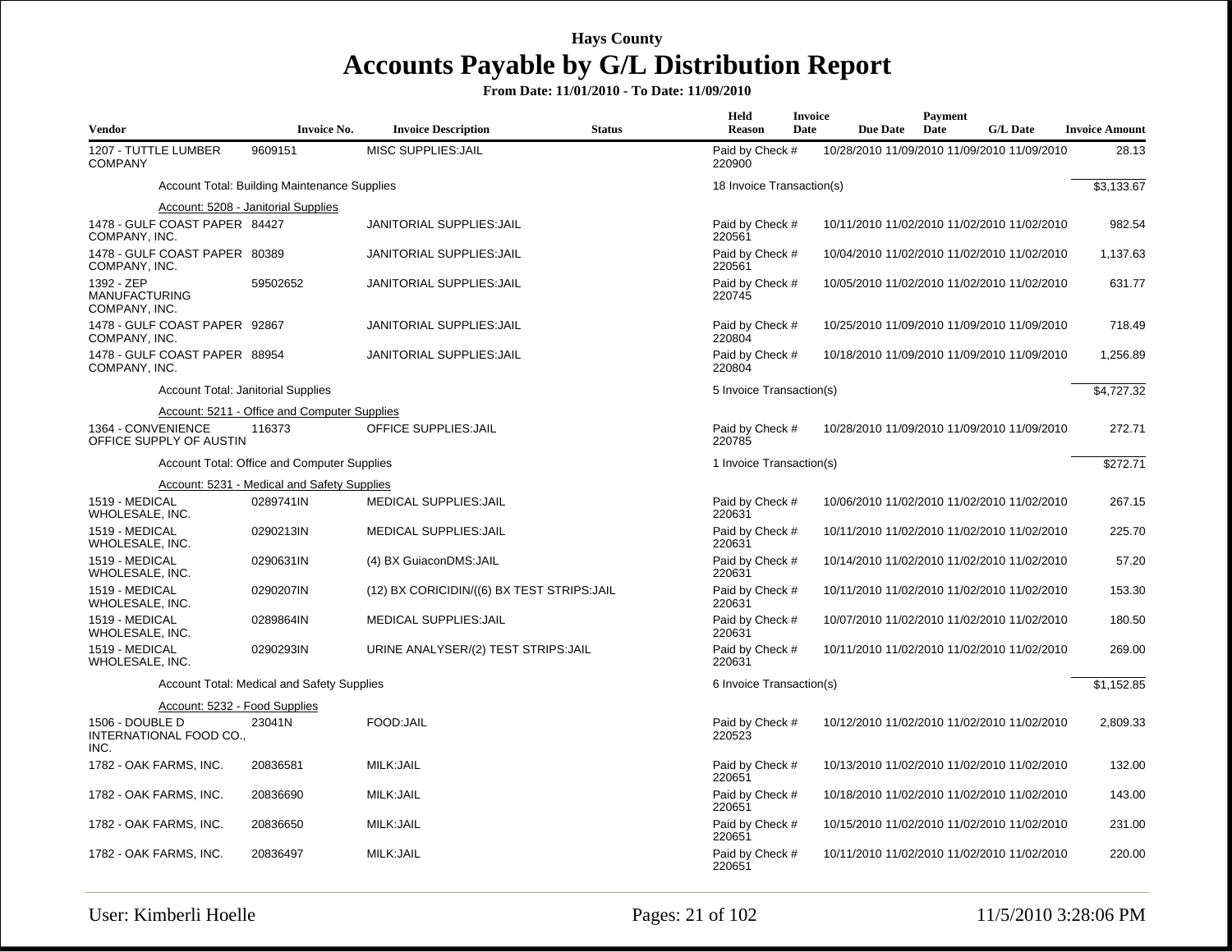| <b>Vendor</b>                                       | <b>Invoice No.</b>                                  | <b>Invoice Description</b>                  | <b>Status</b> | Held<br><b>Reason</b>     | Invoice<br>Date | <b>Due Date</b>                             | Payment<br>Date | <b>G/L Date</b> | <b>Invoice Amount</b> |
|-----------------------------------------------------|-----------------------------------------------------|---------------------------------------------|---------------|---------------------------|-----------------|---------------------------------------------|-----------------|-----------------|-----------------------|
| 1207 - TUTTLE LUMBER<br><b>COMPANY</b>              | 9609151                                             | <b>MISC SUPPLIES: JAIL</b>                  |               | Paid by Check #<br>220900 |                 | 10/28/2010 11/09/2010 11/09/2010 11/09/2010 |                 |                 | 28.13                 |
|                                                     | <b>Account Total: Building Maintenance Supplies</b> |                                             |               | 18 Invoice Transaction(s) |                 |                                             |                 |                 | \$3,133.67            |
|                                                     | Account: 5208 - Janitorial Supplies                 |                                             |               |                           |                 |                                             |                 |                 |                       |
| 1478 - GULF COAST PAPER 84427<br>COMPANY, INC.      |                                                     | JANITORIAL SUPPLIES: JAIL                   |               | Paid by Check #<br>220561 |                 | 10/11/2010 11/02/2010 11/02/2010 11/02/2010 |                 |                 | 982.54                |
| 1478 - GULF COAST PAPER 80389<br>COMPANY, INC.      |                                                     | JANITORIAL SUPPLIES: JAIL                   |               | Paid by Check #<br>220561 |                 | 10/04/2010 11/02/2010 11/02/2010 11/02/2010 |                 |                 | 1,137.63              |
| 1392 - ZEP<br><b>MANUFACTURING</b><br>COMPANY, INC. | 59502652                                            | JANITORIAL SUPPLIES: JAIL                   |               | Paid by Check #<br>220745 |                 | 10/05/2010 11/02/2010 11/02/2010 11/02/2010 |                 |                 | 631.77                |
| 1478 - GULF COAST PAPER 92867<br>COMPANY, INC.      |                                                     | JANITORIAL SUPPLIES: JAIL                   |               | Paid by Check #<br>220804 |                 | 10/25/2010 11/09/2010 11/09/2010 11/09/2010 |                 |                 | 718.49                |
| 1478 - GULF COAST PAPER 88954<br>COMPANY, INC.      |                                                     | <b>JANITORIAL SUPPLIES: JAIL</b>            |               | Paid by Check #<br>220804 |                 | 10/18/2010 11/09/2010 11/09/2010 11/09/2010 |                 |                 | 1,256.89              |
|                                                     | <b>Account Total: Janitorial Supplies</b>           |                                             |               | 5 Invoice Transaction(s)  |                 |                                             |                 |                 | \$4,727.32            |
|                                                     | Account: 5211 - Office and Computer Supplies        |                                             |               |                           |                 |                                             |                 |                 |                       |
| 1364 - CONVENIENCE<br>OFFICE SUPPLY OF AUSTIN       | 116373                                              | <b>OFFICE SUPPLIES: JAIL</b>                |               | Paid by Check #<br>220785 |                 | 10/28/2010 11/09/2010 11/09/2010 11/09/2010 |                 |                 | 272.71                |
|                                                     | Account Total: Office and Computer Supplies         |                                             |               | 1 Invoice Transaction(s)  |                 |                                             |                 |                 | \$272.71              |
|                                                     | Account: 5231 - Medical and Safety Supplies         |                                             |               |                           |                 |                                             |                 |                 |                       |
| 1519 - MEDICAL<br>WHOLESALE, INC.                   | 0289741IN                                           | <b>MEDICAL SUPPLIES: JAIL</b>               |               | Paid by Check #<br>220631 |                 | 10/06/2010 11/02/2010 11/02/2010 11/02/2010 |                 |                 | 267.15                |
| 1519 - MEDICAL<br>WHOLESALE, INC.                   | 0290213IN                                           | <b>MEDICAL SUPPLIES: JAIL</b>               |               | Paid by Check #<br>220631 |                 | 10/11/2010 11/02/2010 11/02/2010 11/02/2010 |                 |                 | 225.70                |
| 1519 - MEDICAL<br>WHOLESALE, INC.                   | 0290631IN                                           | (4) BX GuiaconDMS: JAIL                     |               | Paid by Check #<br>220631 |                 | 10/14/2010 11/02/2010 11/02/2010 11/02/2010 |                 |                 | 57.20                 |
| 1519 - MEDICAL<br>WHOLESALE, INC.                   | 0290207IN                                           | (12) BX CORICIDIN/((6) BX TEST STRIPS: JAIL |               | Paid by Check #<br>220631 |                 | 10/11/2010 11/02/2010 11/02/2010 11/02/2010 |                 |                 | 153.30                |
| 1519 - MEDICAL<br>WHOLESALE, INC.                   | 0289864IN                                           | <b>MEDICAL SUPPLIES: JAIL</b>               |               | Paid by Check #<br>220631 |                 | 10/07/2010 11/02/2010 11/02/2010 11/02/2010 |                 |                 | 180.50                |
| 1519 - MEDICAL<br>WHOLESALE, INC.                   | 0290293IN                                           | URINE ANALYSER/(2) TEST STRIPS: JAIL        |               | Paid by Check #<br>220631 |                 | 10/11/2010 11/02/2010 11/02/2010 11/02/2010 |                 |                 | 269.00                |
|                                                     | Account Total: Medical and Safety Supplies          |                                             |               | 6 Invoice Transaction(s)  |                 |                                             |                 |                 | \$1,152.85            |
| Account: 5232 - Food Supplies                       |                                                     |                                             |               |                           |                 |                                             |                 |                 |                       |
| 1506 - DOUBLE D<br>INTERNATIONAL FOOD CO.,<br>INC.  | 23041N                                              | FOOD:JAIL                                   |               | Paid by Check #<br>220523 |                 | 10/12/2010 11/02/2010 11/02/2010 11/02/2010 |                 |                 | 2,809.33              |
| 1782 - OAK FARMS, INC.                              | 20836581                                            | MILK: JAIL                                  |               | Paid by Check #<br>220651 |                 | 10/13/2010 11/02/2010 11/02/2010 11/02/2010 |                 |                 | 132.00                |
| 1782 - OAK FARMS, INC.                              | 20836690                                            | MILK:JAIL                                   |               | Paid by Check #<br>220651 |                 | 10/18/2010 11/02/2010 11/02/2010 11/02/2010 |                 |                 | 143.00                |
| 1782 - OAK FARMS, INC.                              | 20836650                                            | MILK: JAIL                                  |               | Paid by Check #<br>220651 |                 | 10/15/2010 11/02/2010 11/02/2010 11/02/2010 |                 |                 | 231.00                |
| 1782 - OAK FARMS, INC.                              | 20836497                                            | MILK:JAIL                                   |               | Paid by Check #<br>220651 |                 | 10/11/2010 11/02/2010 11/02/2010 11/02/2010 |                 |                 | 220.00                |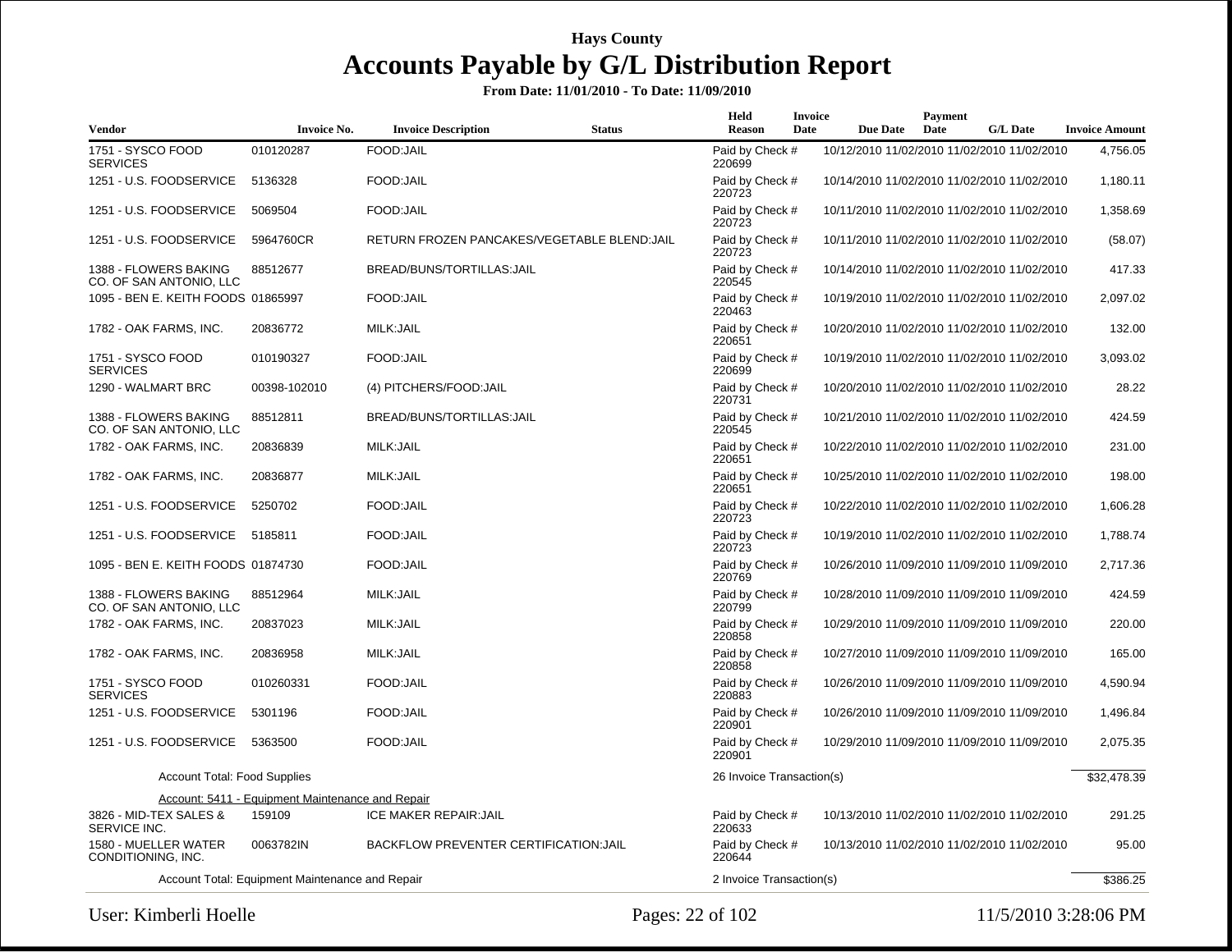| <b>Vendor</b>                                    | <b>Invoice No.</b>                               | <b>Invoice Description</b>                    | <b>Status</b> | Held<br><b>Reason</b>     | <b>Invoice</b><br>Date | <b>Due Date</b> | Payment<br>Date | <b>G/L Date</b>                             | <b>Invoice Amount</b> |
|--------------------------------------------------|--------------------------------------------------|-----------------------------------------------|---------------|---------------------------|------------------------|-----------------|-----------------|---------------------------------------------|-----------------------|
| 1751 - SYSCO FOOD<br><b>SERVICES</b>             | 010120287                                        | FOOD:JAIL                                     |               | Paid by Check #<br>220699 |                        |                 |                 | 10/12/2010 11/02/2010 11/02/2010 11/02/2010 | 4,756.05              |
| 1251 - U.S. FOODSERVICE                          | 5136328                                          | FOOD:JAIL                                     |               | Paid by Check #<br>220723 |                        |                 |                 | 10/14/2010 11/02/2010 11/02/2010 11/02/2010 | 1,180.11              |
| 1251 - U.S. FOODSERVICE                          | 5069504                                          | FOOD:JAIL                                     |               | Paid by Check #<br>220723 |                        |                 |                 | 10/11/2010 11/02/2010 11/02/2010 11/02/2010 | 1,358.69              |
| 1251 - U.S. FOODSERVICE                          | 5964760CR                                        | RETURN FROZEN PANCAKES/VEGETABLE BLEND:JAIL   |               | Paid by Check #<br>220723 |                        |                 |                 | 10/11/2010 11/02/2010 11/02/2010 11/02/2010 | (58.07)               |
| 1388 - FLOWERS BAKING<br>CO. OF SAN ANTONIO, LLC | 88512677                                         | BREAD/BUNS/TORTILLAS: JAIL                    |               | Paid by Check #<br>220545 |                        |                 |                 | 10/14/2010 11/02/2010 11/02/2010 11/02/2010 | 417.33                |
| 1095 - BEN E. KEITH FOODS 01865997               |                                                  | FOOD:JAIL                                     |               | Paid by Check #<br>220463 |                        |                 |                 | 10/19/2010 11/02/2010 11/02/2010 11/02/2010 | 2,097.02              |
| 1782 - OAK FARMS, INC.                           | 20836772                                         | MILK: JAIL                                    |               | Paid by Check #<br>220651 |                        |                 |                 | 10/20/2010 11/02/2010 11/02/2010 11/02/2010 | 132.00                |
| 1751 - SYSCO FOOD<br><b>SERVICES</b>             | 010190327                                        | FOOD: JAIL                                    |               | Paid by Check #<br>220699 |                        |                 |                 | 10/19/2010 11/02/2010 11/02/2010 11/02/2010 | 3,093.02              |
| 1290 - WALMART BRC                               | 00398-102010                                     | (4) PITCHERS/FOOD: JAIL                       |               | Paid by Check #<br>220731 |                        |                 |                 | 10/20/2010 11/02/2010 11/02/2010 11/02/2010 | 28.22                 |
| 1388 - FLOWERS BAKING<br>CO. OF SAN ANTONIO, LLC | 88512811                                         | BREAD/BUNS/TORTILLAS:JAIL                     |               | Paid by Check #<br>220545 |                        |                 |                 | 10/21/2010 11/02/2010 11/02/2010 11/02/2010 | 424.59                |
| 1782 - OAK FARMS, INC.                           | 20836839                                         | MILK: JAIL                                    |               | Paid by Check #<br>220651 |                        |                 |                 | 10/22/2010 11/02/2010 11/02/2010 11/02/2010 | 231.00                |
| 1782 - OAK FARMS, INC.                           | 20836877                                         | MILK: JAIL                                    |               | Paid by Check #<br>220651 |                        |                 |                 | 10/25/2010 11/02/2010 11/02/2010 11/02/2010 | 198.00                |
| 1251 - U.S. FOODSERVICE                          | 5250702                                          | FOOD:JAIL                                     |               | Paid by Check #<br>220723 |                        |                 |                 | 10/22/2010 11/02/2010 11/02/2010 11/02/2010 | 1,606.28              |
| 1251 - U.S. FOODSERVICE                          | 5185811                                          | FOOD:JAIL                                     |               | Paid by Check #<br>220723 |                        |                 |                 | 10/19/2010 11/02/2010 11/02/2010 11/02/2010 | 1,788.74              |
| 1095 - BEN E. KEITH FOODS 01874730               |                                                  | FOOD:JAIL                                     |               | Paid by Check #<br>220769 |                        |                 |                 | 10/26/2010 11/09/2010 11/09/2010 11/09/2010 | 2,717.36              |
| 1388 - FLOWERS BAKING<br>CO. OF SAN ANTONIO, LLC | 88512964                                         | MILK:JAIL                                     |               | Paid by Check #<br>220799 |                        |                 |                 | 10/28/2010 11/09/2010 11/09/2010 11/09/2010 | 424.59                |
| 1782 - OAK FARMS, INC.                           | 20837023                                         | MILK: JAIL                                    |               | Paid by Check #<br>220858 |                        |                 |                 | 10/29/2010 11/09/2010 11/09/2010 11/09/2010 | 220.00                |
| 1782 - OAK FARMS, INC.                           | 20836958                                         | MILK: JAIL                                    |               | Paid by Check #<br>220858 |                        |                 |                 | 10/27/2010 11/09/2010 11/09/2010 11/09/2010 | 165.00                |
| 1751 - SYSCO FOOD<br><b>SERVICES</b>             | 010260331                                        | FOOD:JAIL                                     |               | Paid by Check #<br>220883 |                        |                 |                 | 10/26/2010 11/09/2010 11/09/2010 11/09/2010 | 4,590.94              |
| 1251 - U.S. FOODSERVICE                          | 5301196                                          | FOOD: JAIL                                    |               | Paid by Check #<br>220901 |                        |                 |                 | 10/26/2010 11/09/2010 11/09/2010 11/09/2010 | 1,496.84              |
| 1251 - U.S. FOODSERVICE                          | 5363500                                          | FOOD:JAIL                                     |               | Paid by Check #<br>220901 |                        |                 |                 | 10/29/2010 11/09/2010 11/09/2010 11/09/2010 | 2,075.35              |
| <b>Account Total: Food Supplies</b>              |                                                  |                                               |               | 26 Invoice Transaction(s) |                        |                 |                 |                                             | \$32,478.39           |
|                                                  | Account: 5411 - Equipment Maintenance and Repair |                                               |               |                           |                        |                 |                 |                                             |                       |
| 3826 - MID-TEX SALES &<br>SERVICE INC.           | 159109                                           | <b>ICE MAKER REPAIR: JAIL</b>                 |               | Paid by Check #<br>220633 |                        |                 |                 | 10/13/2010 11/02/2010 11/02/2010 11/02/2010 | 291.25                |
| 1580 - MUELLER WATER<br>CONDITIONING, INC.       | 0063782IN                                        | <b>BACKFLOW PREVENTER CERTIFICATION: JAIL</b> |               | Paid by Check #<br>220644 |                        |                 |                 | 10/13/2010 11/02/2010 11/02/2010 11/02/2010 | 95.00                 |
|                                                  | Account Total: Equipment Maintenance and Repair  |                                               |               | 2 Invoice Transaction(s)  |                        |                 |                 |                                             | \$386.25              |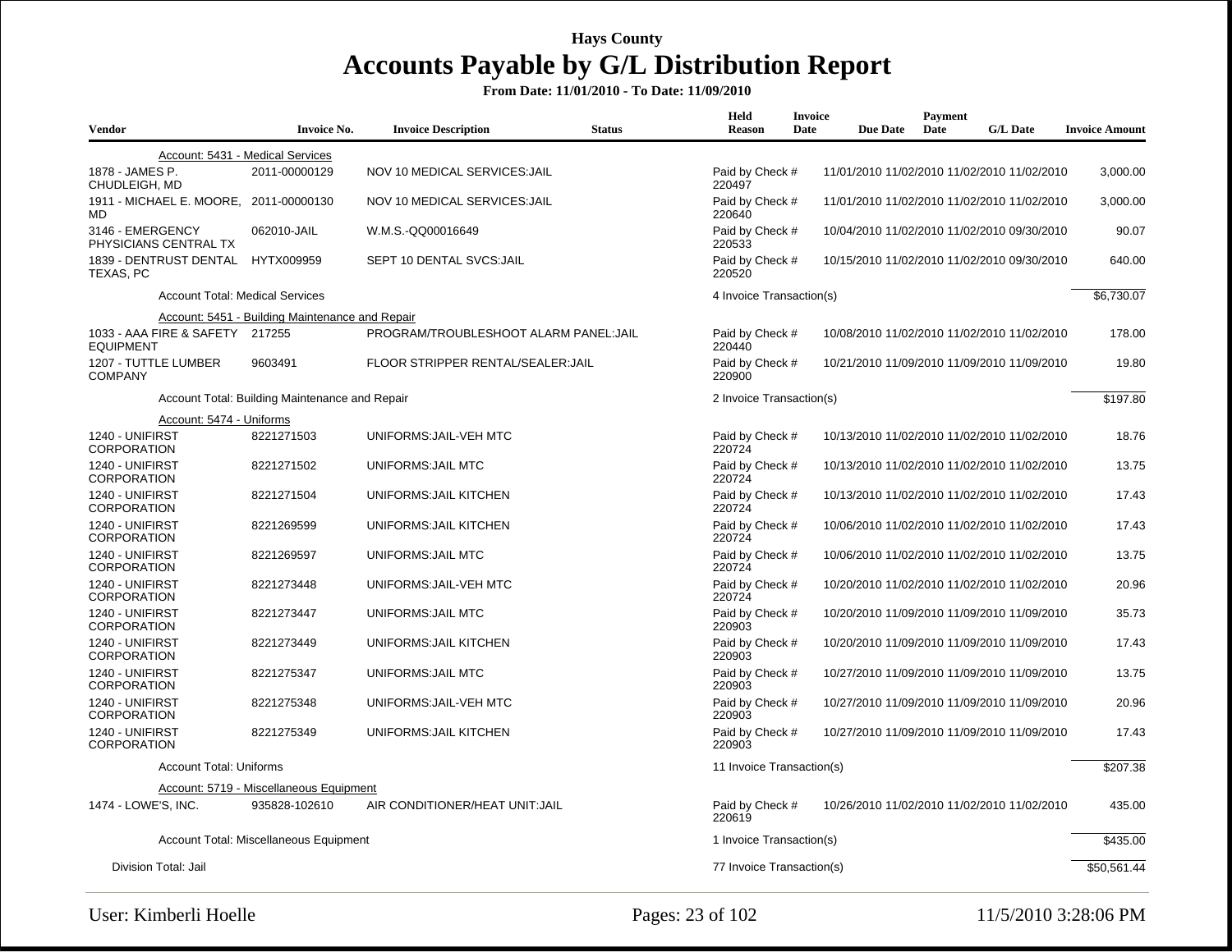| <b>Vendor</b>                                       | <b>Invoice No.</b>                              | <b>Invoice Description</b>             | <b>Status</b> | Held<br><b>Reason</b>     | <b>Invoice</b><br>Date | <b>Due Date</b> | <b>Payment</b><br>Date | <b>G/L Date</b>                             | <b>Invoice Amount</b> |
|-----------------------------------------------------|-------------------------------------------------|----------------------------------------|---------------|---------------------------|------------------------|-----------------|------------------------|---------------------------------------------|-----------------------|
|                                                     |                                                 |                                        |               |                           |                        |                 |                        |                                             |                       |
|                                                     | Account: 5431 - Medical Services                |                                        |               |                           |                        |                 |                        |                                             |                       |
| 1878 - JAMES P.<br>CHUDLEIGH, MD                    | 2011-00000129                                   | NOV 10 MEDICAL SERVICES: JAIL          |               | Paid by Check #<br>220497 |                        |                 |                        | 11/01/2010 11/02/2010 11/02/2010 11/02/2010 | 3,000.00              |
| 1911 - MICHAEL E. MOORE, 2011-00000130<br>MD        |                                                 | NOV 10 MEDICAL SERVICES: JAIL          |               | Paid by Check #<br>220640 |                        |                 |                        | 11/01/2010 11/02/2010 11/02/2010 11/02/2010 | 3,000.00              |
| 3146 - EMERGENCY<br>PHYSICIANS CENTRAL TX           | 062010-JAIL                                     | W.M.S.-QQ00016649                      |               | Paid by Check #<br>220533 |                        |                 |                        | 10/04/2010 11/02/2010 11/02/2010 09/30/2010 | 90.07                 |
| 1839 - DENTRUST DENTAL<br>TEXAS, PC                 | HYTX009959                                      | SEPT 10 DENTAL SVCS: JAIL              |               | Paid by Check #<br>220520 |                        |                 |                        | 10/15/2010 11/02/2010 11/02/2010 09/30/2010 | 640.00                |
| <b>Account Total: Medical Services</b>              |                                                 |                                        |               | 4 Invoice Transaction(s)  |                        |                 |                        |                                             | \$6,730.07            |
|                                                     | Account: 5451 - Building Maintenance and Repair |                                        |               |                           |                        |                 |                        |                                             |                       |
| 1033 - AAA FIRE & SAFETY 217255<br><b>EQUIPMENT</b> |                                                 | PROGRAM/TROUBLESHOOT ALARM PANEL: JAIL |               | Paid by Check #<br>220440 |                        |                 |                        | 10/08/2010 11/02/2010 11/02/2010 11/02/2010 | 178.00                |
| 1207 - TUTTLE LUMBER<br><b>COMPANY</b>              | 9603491                                         | FLOOR STRIPPER RENTAL/SEALER: JAIL     |               | Paid by Check #<br>220900 |                        |                 |                        | 10/21/2010 11/09/2010 11/09/2010 11/09/2010 | 19.80                 |
|                                                     | Account Total: Building Maintenance and Repair  |                                        |               | 2 Invoice Transaction(s)  |                        |                 |                        |                                             | \$197.80              |
| Account: 5474 - Uniforms                            |                                                 |                                        |               |                           |                        |                 |                        |                                             |                       |
| 1240 - UNIFIRST<br><b>CORPORATION</b>               | 8221271503                                      | UNIFORMS: JAIL-VEH MTC                 |               | Paid by Check #<br>220724 |                        |                 |                        | 10/13/2010 11/02/2010 11/02/2010 11/02/2010 | 18.76                 |
| 1240 - UNIFIRST<br><b>CORPORATION</b>               | 8221271502                                      | <b>UNIFORMS: JAIL MTC</b>              |               | Paid by Check #<br>220724 |                        |                 |                        | 10/13/2010 11/02/2010 11/02/2010 11/02/2010 | 13.75                 |
| 1240 - UNIFIRST<br><b>CORPORATION</b>               | 8221271504                                      | UNIFORMS: JAIL KITCHEN                 |               | Paid by Check #<br>220724 |                        |                 |                        | 10/13/2010 11/02/2010 11/02/2010 11/02/2010 | 17.43                 |
| 1240 - UNIFIRST<br><b>CORPORATION</b>               | 8221269599                                      | UNIFORMS: JAIL KITCHEN                 |               | Paid by Check #<br>220724 |                        |                 |                        | 10/06/2010 11/02/2010 11/02/2010 11/02/2010 | 17.43                 |
| 1240 - UNIFIRST<br><b>CORPORATION</b>               | 8221269597                                      | UNIFORMS: JAIL MTC                     |               | Paid by Check #<br>220724 |                        |                 |                        | 10/06/2010 11/02/2010 11/02/2010 11/02/2010 | 13.75                 |
| 1240 - UNIFIRST<br><b>CORPORATION</b>               | 8221273448                                      | UNIFORMS: JAIL-VEH MTC                 |               | Paid by Check #<br>220724 |                        |                 |                        | 10/20/2010 11/02/2010 11/02/2010 11/02/2010 | 20.96                 |
| 1240 - UNIFIRST<br><b>CORPORATION</b>               | 8221273447                                      | <b>UNIFORMS: JAIL MTC</b>              |               | Paid by Check #<br>220903 |                        |                 |                        | 10/20/2010 11/09/2010 11/09/2010 11/09/2010 | 35.73                 |
| 1240 - UNIFIRST<br><b>CORPORATION</b>               | 8221273449                                      | UNIFORMS: JAIL KITCHEN                 |               | Paid by Check #<br>220903 |                        |                 |                        | 10/20/2010 11/09/2010 11/09/2010 11/09/2010 | 17.43                 |
| 1240 - UNIFIRST<br><b>CORPORATION</b>               | 8221275347                                      | UNIFORMS: JAIL MTC                     |               | Paid by Check #<br>220903 |                        |                 |                        | 10/27/2010 11/09/2010 11/09/2010 11/09/2010 | 13.75                 |
| 1240 - UNIFIRST<br>CORPORATION                      | 8221275348                                      | UNIFORMS: JAIL-VEH MTC                 |               | Paid by Check #<br>220903 |                        |                 |                        | 10/27/2010 11/09/2010 11/09/2010 11/09/2010 | 20.96                 |
| 1240 - UNIFIRST<br><b>CORPORATION</b>               | 8221275349                                      | UNIFORMS: JAIL KITCHEN                 |               | Paid by Check #<br>220903 |                        |                 |                        | 10/27/2010 11/09/2010 11/09/2010 11/09/2010 | 17.43                 |
| <b>Account Total: Uniforms</b>                      |                                                 |                                        |               | 11 Invoice Transaction(s) |                        |                 |                        |                                             | \$207.38              |
|                                                     | Account: 5719 - Miscellaneous Equipment         |                                        |               |                           |                        |                 |                        |                                             |                       |
| 1474 - LOWE'S, INC.                                 | 935828-102610                                   | AIR CONDITIONER/HEAT UNIT: JAIL        |               | Paid by Check #<br>220619 |                        |                 |                        | 10/26/2010 11/02/2010 11/02/2010 11/02/2010 | 435.00                |
|                                                     | Account Total: Miscellaneous Equipment          |                                        |               | 1 Invoice Transaction(s)  |                        |                 |                        |                                             | \$435.00              |
| Division Total: Jail                                |                                                 |                                        |               | 77 Invoice Transaction(s) |                        |                 |                        |                                             | \$50,561.44           |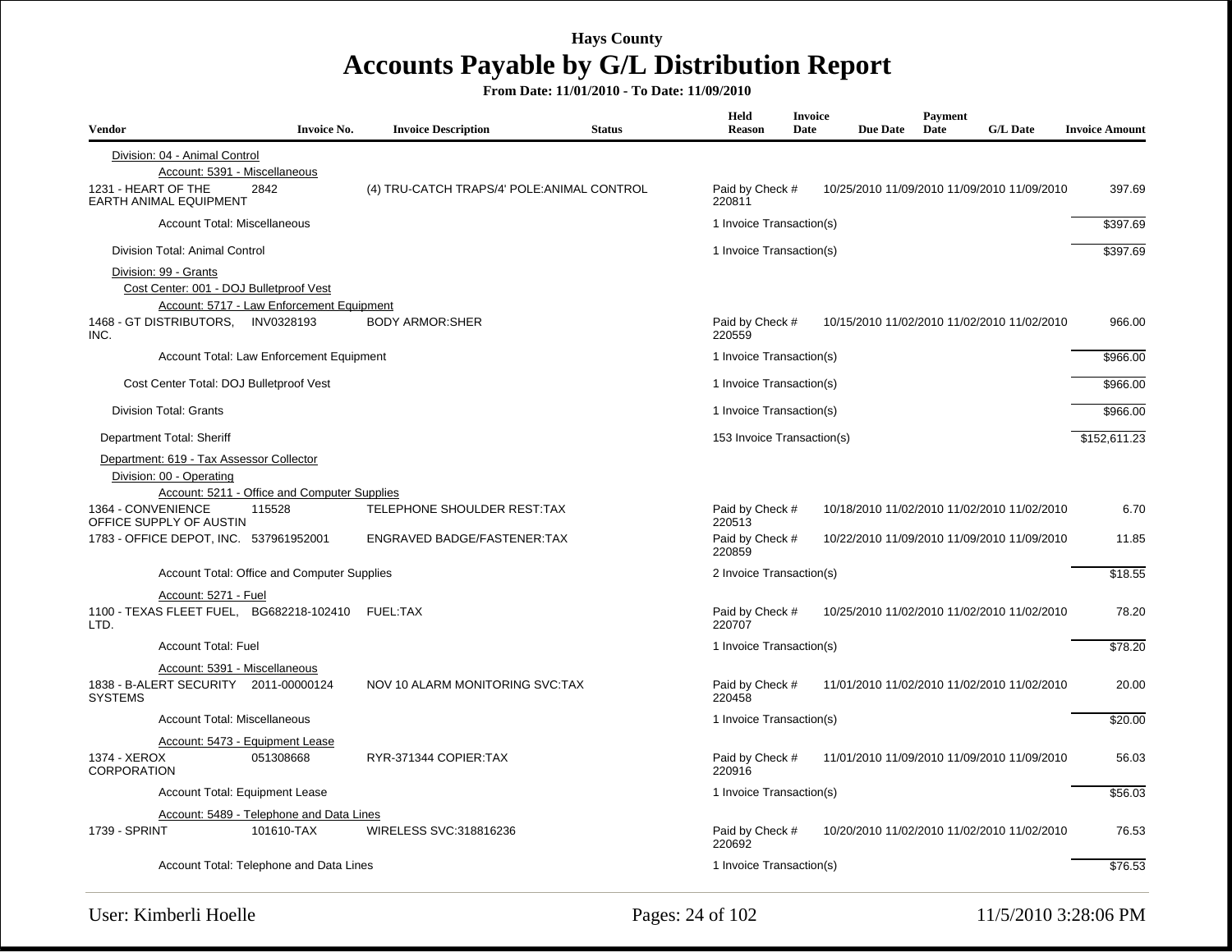| Vendor                                                                                                               | <b>Invoice No.</b> | <b>Invoice Description</b>                  | <b>Status</b> | Held<br>Reason             | <b>Invoice</b><br>Date | <b>Due Date</b> | Payment<br>Date | <b>G/L Date</b>                             | <b>Invoice Amount</b> |
|----------------------------------------------------------------------------------------------------------------------|--------------------|---------------------------------------------|---------------|----------------------------|------------------------|-----------------|-----------------|---------------------------------------------|-----------------------|
| Division: 04 - Animal Control<br>Account: 5391 - Miscellaneous                                                       |                    |                                             |               |                            |                        |                 |                 |                                             |                       |
| 1231 - HEART OF THE<br>EARTH ANIMAL EQUIPMENT                                                                        | 2842               | (4) TRU-CATCH TRAPS/4' POLE: ANIMAL CONTROL |               | Paid by Check #<br>220811  |                        |                 |                 | 10/25/2010 11/09/2010 11/09/2010 11/09/2010 | 397.69                |
| Account Total: Miscellaneous                                                                                         |                    |                                             |               | 1 Invoice Transaction(s)   |                        |                 |                 |                                             | \$397.69              |
| Division Total: Animal Control                                                                                       |                    |                                             |               | 1 Invoice Transaction(s)   |                        |                 |                 |                                             | \$397.69              |
| Division: 99 - Grants<br>Cost Center: 001 - DOJ Bulletproof Vest<br>Account: 5717 - Law Enforcement Equipment        |                    |                                             |               |                            |                        |                 |                 |                                             |                       |
| 1468 - GT DISTRIBUTORS. INV0328193<br>INC.                                                                           |                    | <b>BODY ARMOR:SHER</b>                      |               | Paid by Check #<br>220559  |                        |                 |                 | 10/15/2010 11/02/2010 11/02/2010 11/02/2010 | 966.00                |
| Account Total: Law Enforcement Equipment                                                                             |                    |                                             |               | 1 Invoice Transaction(s)   |                        |                 |                 |                                             | \$966.00              |
| Cost Center Total: DOJ Bulletproof Vest                                                                              |                    |                                             |               | 1 Invoice Transaction(s)   |                        |                 |                 |                                             | \$966.00              |
| <b>Division Total: Grants</b>                                                                                        |                    |                                             |               | 1 Invoice Transaction(s)   |                        |                 |                 |                                             | \$966.00              |
| Department Total: Sheriff                                                                                            |                    |                                             |               | 153 Invoice Transaction(s) |                        |                 |                 |                                             | \$152,611.23          |
| Department: 619 - Tax Assessor Collector<br>Division: 00 - Operating<br>Account: 5211 - Office and Computer Supplies |                    |                                             |               |                            |                        |                 |                 |                                             |                       |
| 1364 - CONVENIENCE<br>OFFICE SUPPLY OF AUSTIN                                                                        | 115528             | TELEPHONE SHOULDER REST:TAX                 |               | Paid by Check #<br>220513  |                        |                 |                 | 10/18/2010 11/02/2010 11/02/2010 11/02/2010 | 6.70                  |
| 1783 - OFFICE DEPOT, INC. 537961952001                                                                               |                    | ENGRAVED BADGE/FASTENER:TAX                 |               | Paid by Check #<br>220859  |                        |                 |                 | 10/22/2010 11/09/2010 11/09/2010 11/09/2010 | 11.85                 |
| Account Total: Office and Computer Supplies                                                                          |                    |                                             |               | 2 Invoice Transaction(s)   |                        |                 |                 |                                             | \$18.55               |
| Account: 5271 - Fuel                                                                                                 |                    |                                             |               |                            |                        |                 |                 |                                             |                       |
| 1100 - TEXAS FLEET FUEL, BG682218-102410 FUEL:TAX<br>LTD.                                                            |                    |                                             |               | Paid by Check #<br>220707  |                        |                 |                 | 10/25/2010 11/02/2010 11/02/2010 11/02/2010 | 78.20                 |
| Account Total: Fuel                                                                                                  |                    |                                             |               | 1 Invoice Transaction(s)   |                        |                 |                 |                                             | \$78.20               |
| Account: 5391 - Miscellaneous<br>1838 - B-ALERT SECURITY 2011-00000124<br><b>SYSTEMS</b>                             |                    | NOV 10 ALARM MONITORING SVC:TAX             |               | Paid by Check #<br>220458  |                        |                 |                 | 11/01/2010 11/02/2010 11/02/2010 11/02/2010 | 20.00                 |
| <b>Account Total: Miscellaneous</b>                                                                                  |                    |                                             |               | 1 Invoice Transaction(s)   |                        |                 |                 |                                             | \$20.00               |
| Account: 5473 - Equipment Lease<br>1374 - XEROX<br>CORPORATION                                                       | 051308668          | RYR-371344 COPIER:TAX                       |               | Paid by Check #<br>220916  |                        |                 |                 | 11/01/2010 11/09/2010 11/09/2010 11/09/2010 | 56.03                 |
| Account Total: Equipment Lease                                                                                       |                    |                                             |               | 1 Invoice Transaction(s)   |                        |                 |                 |                                             | \$56.03               |
| Account: 5489 - Telephone and Data Lines                                                                             |                    |                                             |               |                            |                        |                 |                 |                                             |                       |
| <b>1739 - SPRINT</b>                                                                                                 | 101610-TAX         | WIRELESS SVC:318816236                      |               | Paid by Check #<br>220692  |                        |                 |                 | 10/20/2010 11/02/2010 11/02/2010 11/02/2010 | 76.53                 |
| Account Total: Telephone and Data Lines                                                                              |                    |                                             |               | 1 Invoice Transaction(s)   |                        |                 |                 |                                             | \$76.53               |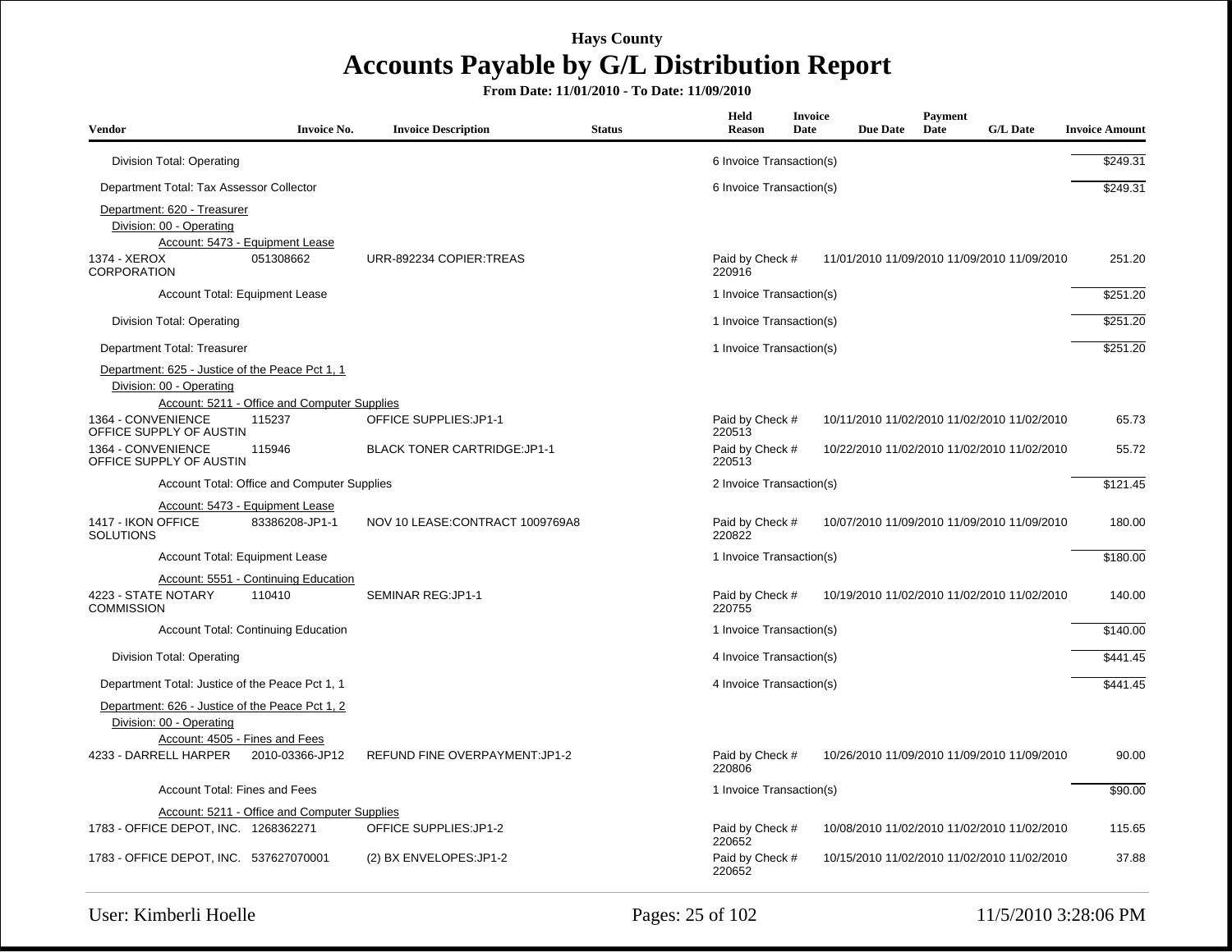| <b>Vendor</b>                                                                                                 | <b>Invoice No.</b>                                | <b>Invoice Description</b>           | <b>Status</b> | Held<br><b>Reason</b>     | <b>Invoice</b><br>Date | <b>Due Date</b> | Payment<br>Date | <b>G/L Date</b>                             | <b>Invoice Amount</b> |
|---------------------------------------------------------------------------------------------------------------|---------------------------------------------------|--------------------------------------|---------------|---------------------------|------------------------|-----------------|-----------------|---------------------------------------------|-----------------------|
| Division Total: Operating                                                                                     |                                                   |                                      |               | 6 Invoice Transaction(s)  |                        |                 |                 |                                             | \$249.31              |
| Department Total: Tax Assessor Collector                                                                      |                                                   |                                      |               | 6 Invoice Transaction(s)  |                        |                 |                 |                                             | \$249.31              |
| Department: 620 - Treasurer<br>Division: 00 - Operating<br>1374 - XEROX                                       | Account: 5473 - Equipment Lease<br>051308662      | URR-892234 COPIER:TREAS              |               | Paid by Check #           |                        |                 |                 | 11/01/2010 11/09/2010 11/09/2010 11/09/2010 | 251.20                |
| <b>CORPORATION</b>                                                                                            |                                                   |                                      |               | 220916                    |                        |                 |                 |                                             |                       |
| Account Total: Equipment Lease                                                                                |                                                   |                                      |               | 1 Invoice Transaction(s)  |                        |                 |                 |                                             | \$251.20              |
| <b>Division Total: Operating</b>                                                                              |                                                   |                                      |               | 1 Invoice Transaction(s)  |                        |                 |                 |                                             | \$251.20              |
| Department Total: Treasurer                                                                                   |                                                   |                                      |               | 1 Invoice Transaction(s)  |                        |                 |                 |                                             | \$251.20              |
| Department: 625 - Justice of the Peace Pct 1, 1<br>Division: 00 - Operating                                   | Account: 5211 - Office and Computer Supplies      |                                      |               |                           |                        |                 |                 |                                             |                       |
| 1364 - CONVENIENCE<br>OFFICE SUPPLY OF AUSTIN                                                                 | 115237                                            | <b>OFFICE SUPPLIES:JP1-1</b>         |               | Paid by Check #<br>220513 |                        |                 |                 | 10/11/2010 11/02/2010 11/02/2010 11/02/2010 | 65.73                 |
| 1364 - CONVENIENCE<br>OFFICE SUPPLY OF AUSTIN                                                                 | 115946                                            | <b>BLACK TONER CARTRIDGE: JP1-1</b>  |               | Paid by Check #<br>220513 |                        |                 |                 | 10/22/2010 11/02/2010 11/02/2010 11/02/2010 | 55.72                 |
|                                                                                                               | Account Total: Office and Computer Supplies       |                                      |               | 2 Invoice Transaction(s)  |                        |                 |                 |                                             | \$121.45              |
| 1417 - IKON OFFICE<br><b>SOLUTIONS</b>                                                                        | Account: 5473 - Equipment Lease<br>83386208-JP1-1 | NOV 10 LEASE: CONTRACT 1009769A8     |               | Paid by Check #<br>220822 |                        |                 |                 | 10/07/2010 11/09/2010 11/09/2010 11/09/2010 | 180.00                |
| Account Total: Equipment Lease                                                                                |                                                   |                                      |               | 1 Invoice Transaction(s)  |                        |                 |                 |                                             | \$180.00              |
| 4223 - STATE NOTARY<br><b>COMMISSION</b>                                                                      | Account: 5551 - Continuing Education<br>110410    | SEMINAR REG: JP1-1                   |               | Paid by Check #<br>220755 |                        |                 |                 | 10/19/2010 11/02/2010 11/02/2010 11/02/2010 | 140.00                |
|                                                                                                               | <b>Account Total: Continuing Education</b>        |                                      |               | 1 Invoice Transaction(s)  |                        |                 |                 |                                             | \$140.00              |
| Division Total: Operating                                                                                     |                                                   |                                      |               | 4 Invoice Transaction(s)  |                        |                 |                 |                                             | \$441.45              |
| Department Total: Justice of the Peace Pct 1, 1                                                               |                                                   |                                      |               | 4 Invoice Transaction(s)  |                        |                 |                 |                                             | \$441.45              |
| Department: 626 - Justice of the Peace Pct 1, 2<br>Division: 00 - Operating<br>Account: 4505 - Fines and Fees |                                                   |                                      |               |                           |                        |                 |                 |                                             |                       |
| 4233 - DARRELL HARPER                                                                                         | 2010-03366-JP12                                   | <b>REFUND FINE OVERPAYMENT:JP1-2</b> |               | Paid by Check #<br>220806 |                        |                 |                 | 10/26/2010 11/09/2010 11/09/2010 11/09/2010 | 90.00                 |
| Account Total: Fines and Fees                                                                                 |                                                   |                                      |               | 1 Invoice Transaction(s)  |                        |                 |                 |                                             | \$90.00               |
|                                                                                                               | Account: 5211 - Office and Computer Supplies      |                                      |               |                           |                        |                 |                 |                                             |                       |
| 1783 - OFFICE DEPOT, INC. 1268362271                                                                          |                                                   | OFFICE SUPPLIES: JP1-2               |               | Paid by Check #<br>220652 |                        |                 |                 | 10/08/2010 11/02/2010 11/02/2010 11/02/2010 | 115.65                |
| 1783 - OFFICE DEPOT, INC. 537627070001                                                                        |                                                   | (2) BX ENVELOPES: JP1-2              |               | Paid by Check #<br>220652 |                        |                 |                 | 10/15/2010 11/02/2010 11/02/2010 11/02/2010 | 37.88                 |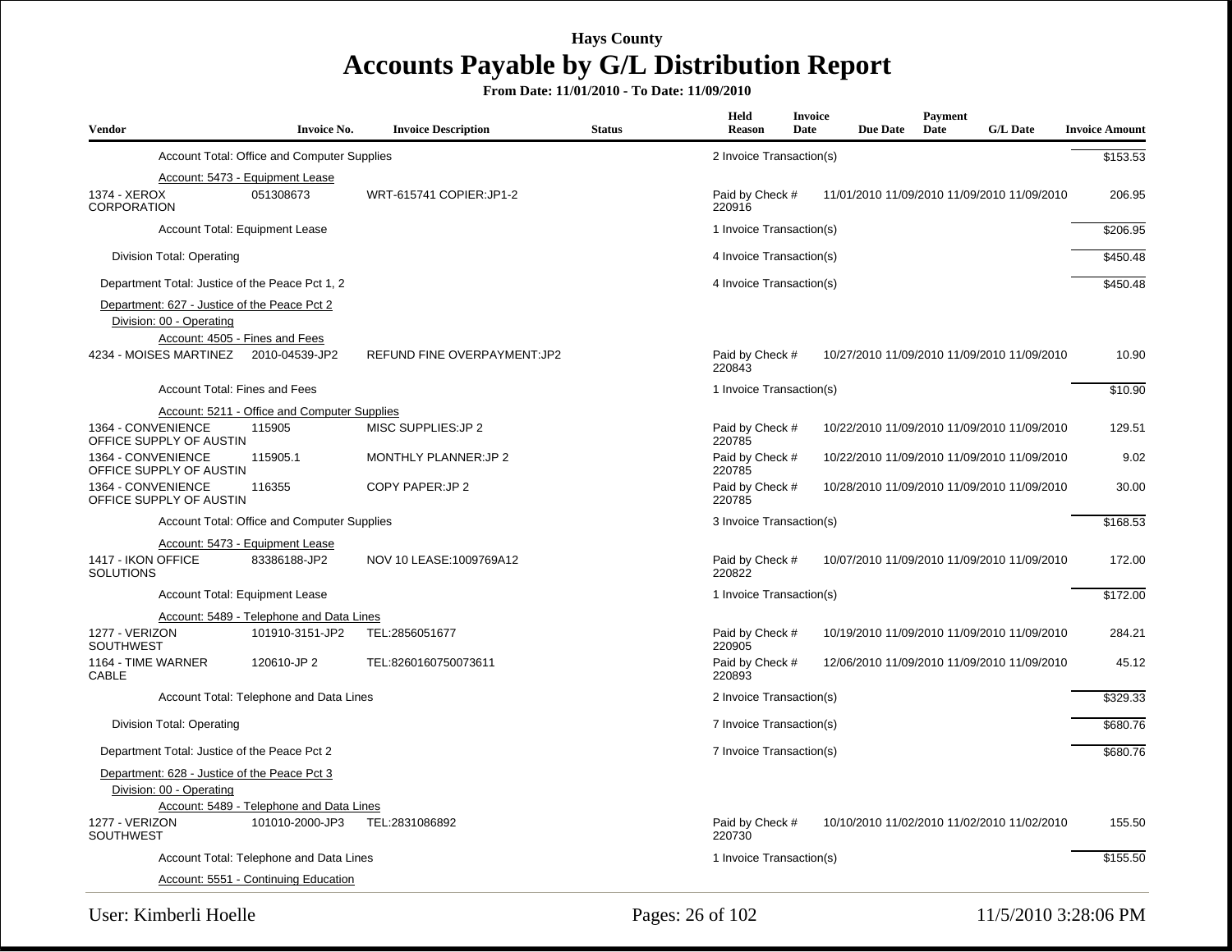| <b>Vendor</b>                                                            | <b>Invoice No.</b>                           | <b>Invoice Description</b>   | <b>Status</b> | Held<br>Reason            | <b>Invoice</b><br>Date | <b>Due Date</b> | <b>Payment</b><br>Date | <b>G/L Date</b>                             | <b>Invoice Amount</b> |
|--------------------------------------------------------------------------|----------------------------------------------|------------------------------|---------------|---------------------------|------------------------|-----------------|------------------------|---------------------------------------------|-----------------------|
|                                                                          | Account Total: Office and Computer Supplies  |                              |               | 2 Invoice Transaction(s)  |                        |                 |                        |                                             | \$153.53              |
| 1374 - XEROX<br>CORPORATION                                              | Account: 5473 - Equipment Lease<br>051308673 | WRT-615741 COPIER: JP1-2     |               | Paid by Check #<br>220916 |                        |                 |                        | 11/01/2010 11/09/2010 11/09/2010 11/09/2010 | 206.95                |
|                                                                          | Account Total: Equipment Lease               |                              |               | 1 Invoice Transaction(s)  |                        |                 |                        |                                             | \$206.95              |
| Division Total: Operating                                                |                                              |                              |               | 4 Invoice Transaction(s)  |                        |                 |                        |                                             | \$450.48              |
| Department Total: Justice of the Peace Pct 1, 2                          |                                              |                              |               | 4 Invoice Transaction(s)  |                        |                 |                        |                                             | \$450.48              |
| Department: 627 - Justice of the Peace Pct 2<br>Division: 00 - Operating | Account: 4505 - Fines and Fees               |                              |               |                           |                        |                 |                        |                                             |                       |
| 4234 - MOISES MARTINEZ 2010-04539-JP2                                    |                                              | REFUND FINE OVERPAYMENT: JP2 |               | Paid by Check #<br>220843 |                        |                 |                        | 10/27/2010 11/09/2010 11/09/2010 11/09/2010 | 10.90                 |
| <b>Account Total: Fines and Fees</b>                                     |                                              |                              |               | 1 Invoice Transaction(s)  |                        |                 |                        |                                             | \$10.90               |
|                                                                          | Account: 5211 - Office and Computer Supplies |                              |               |                           |                        |                 |                        |                                             |                       |
| 1364 - CONVENIENCE<br>OFFICE SUPPLY OF AUSTIN                            | 115905                                       | MISC SUPPLIES: JP 2          |               | Paid by Check #<br>220785 |                        |                 |                        | 10/22/2010 11/09/2010 11/09/2010 11/09/2010 | 129.51                |
| 1364 - CONVENIENCE<br>OFFICE SUPPLY OF AUSTIN                            | 115905.1                                     | <b>MONTHLY PLANNER:JP 2</b>  |               | Paid by Check #<br>220785 |                        |                 |                        | 10/22/2010 11/09/2010 11/09/2010 11/09/2010 | 9.02                  |
| 1364 - CONVENIENCE<br>OFFICE SUPPLY OF AUSTIN                            | 116355                                       | COPY PAPER: JP 2             |               | Paid by Check #<br>220785 |                        |                 |                        | 10/28/2010 11/09/2010 11/09/2010 11/09/2010 | 30.00                 |
|                                                                          | Account Total: Office and Computer Supplies  |                              |               | 3 Invoice Transaction(s)  |                        |                 |                        |                                             | \$168.53              |
|                                                                          | Account: 5473 - Equipment Lease              |                              |               |                           |                        |                 |                        |                                             |                       |
| 1417 - IKON OFFICE<br><b>SOLUTIONS</b>                                   | 83386188-JP2                                 | NOV 10 LEASE: 1009769A12     |               | Paid by Check #<br>220822 |                        |                 |                        | 10/07/2010 11/09/2010 11/09/2010 11/09/2010 | 172.00                |
|                                                                          | <b>Account Total: Equipment Lease</b>        |                              |               | 1 Invoice Transaction(s)  |                        |                 |                        |                                             | \$172.00              |
|                                                                          | Account: 5489 - Telephone and Data Lines     |                              |               |                           |                        |                 |                        |                                             |                       |
| 1277 - VERIZON<br><b>SOUTHWEST</b>                                       | 101910-3151-JP2                              | TEL:2856051677               |               | Paid by Check #<br>220905 |                        |                 |                        | 10/19/2010 11/09/2010 11/09/2010 11/09/2010 | 284.21                |
| 1164 - TIME WARNER<br><b>CABLE</b>                                       | 120610-JP 2                                  | TEL:8260160750073611         |               | Paid by Check #<br>220893 |                        |                 |                        | 12/06/2010 11/09/2010 11/09/2010 11/09/2010 | 45.12                 |
|                                                                          | Account Total: Telephone and Data Lines      |                              |               | 2 Invoice Transaction(s)  |                        |                 |                        |                                             | \$329.33              |
| Division Total: Operating                                                |                                              |                              |               | 7 Invoice Transaction(s)  |                        |                 |                        |                                             | \$680.76              |
| Department Total: Justice of the Peace Pct 2                             |                                              |                              |               | 7 Invoice Transaction(s)  |                        |                 |                        |                                             | \$680.76              |
| Department: 628 - Justice of the Peace Pct 3<br>Division: 00 - Operating | Account: 5489 - Telephone and Data Lines     |                              |               |                           |                        |                 |                        |                                             |                       |
| 1277 - VERIZON<br><b>SOUTHWEST</b>                                       | 101010-2000-JP3                              | TEL:2831086892               |               | Paid by Check #<br>220730 |                        |                 |                        | 10/10/2010 11/02/2010 11/02/2010 11/02/2010 | 155.50                |
|                                                                          | Account Total: Telephone and Data Lines      |                              |               | 1 Invoice Transaction(s)  |                        |                 |                        |                                             | \$155.50              |
|                                                                          | Account: 5551 - Continuing Education         |                              |               |                           |                        |                 |                        |                                             |                       |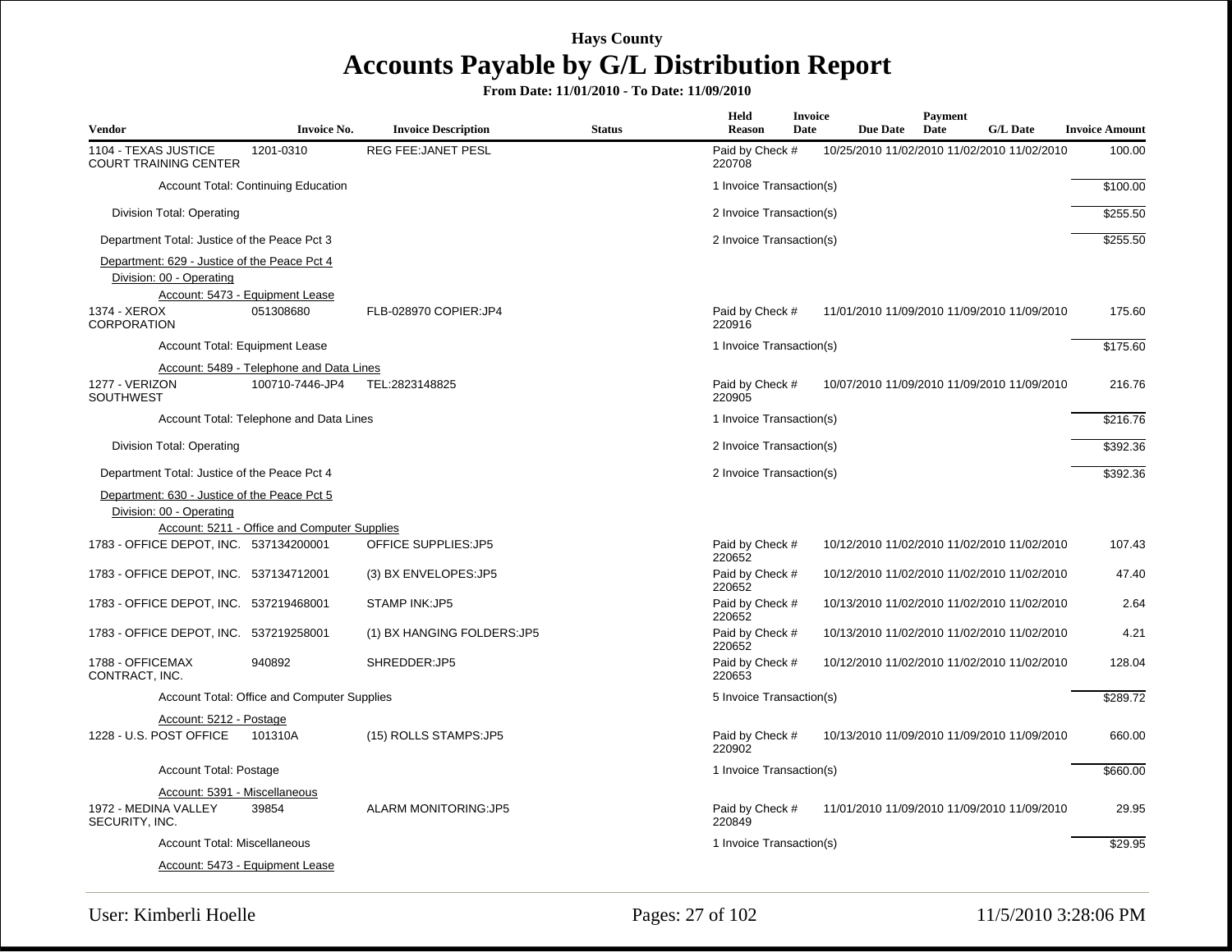| <b>Vendor</b>                                                            | <b>Invoice No.</b>                                          | <b>Invoice Description</b>  | <b>Status</b> | Held<br><b>Reason</b>               | Invoice<br>Date<br><b>Due Date</b> | <b>Payment</b><br>Date<br><b>G/L Date</b>   | <b>Invoice Amount</b> |
|--------------------------------------------------------------------------|-------------------------------------------------------------|-----------------------------|---------------|-------------------------------------|------------------------------------|---------------------------------------------|-----------------------|
| 1104 - TEXAS JUSTICE<br><b>COURT TRAINING CENTER</b>                     | 1201-0310                                                   | <b>REG FEE: JANET PESL</b>  |               | Paid by Check #<br>220708           |                                    | 10/25/2010 11/02/2010 11/02/2010 11/02/2010 | 100.00                |
|                                                                          | Account Total: Continuing Education                         |                             |               | 1 Invoice Transaction(s)            |                                    |                                             | \$100.00              |
| Division Total: Operating                                                |                                                             |                             |               | 2 Invoice Transaction(s)            |                                    |                                             | \$255.50              |
| Department Total: Justice of the Peace Pct 3                             |                                                             |                             |               | 2 Invoice Transaction(s)            |                                    |                                             | \$255.50              |
| Department: 629 - Justice of the Peace Pct 4<br>Division: 00 - Operating | Account: 5473 - Equipment Lease                             |                             |               |                                     |                                    |                                             |                       |
| 1374 - XEROX<br><b>CORPORATION</b>                                       | 051308680                                                   | FLB-028970 COPIER:JP4       |               | Paid by Check #<br>220916           |                                    | 11/01/2010 11/09/2010 11/09/2010 11/09/2010 | 175.60                |
|                                                                          | Account Total: Equipment Lease                              |                             |               | 1 Invoice Transaction(s)            |                                    |                                             | \$175.60              |
| 1277 - VERIZON<br><b>SOUTHWEST</b>                                       | Account: 5489 - Telephone and Data Lines<br>100710-7446-JP4 | TEL:2823148825              |               | Paid by Check #<br>220905           |                                    | 10/07/2010 11/09/2010 11/09/2010 11/09/2010 | 216.76                |
|                                                                          | Account Total: Telephone and Data Lines                     |                             |               | 1 Invoice Transaction(s)            |                                    |                                             | \$216.76              |
| Division Total: Operating                                                |                                                             |                             |               | 2 Invoice Transaction(s)            |                                    |                                             | \$392.36              |
| Department Total: Justice of the Peace Pct 4                             |                                                             |                             |               | 2 Invoice Transaction(s)            |                                    |                                             | \$392.36              |
| Department: 630 - Justice of the Peace Pct 5<br>Division: 00 - Operating |                                                             |                             |               |                                     |                                    |                                             |                       |
| 1783 - OFFICE DEPOT, INC. 537134200001                                   | Account: 5211 - Office and Computer Supplies                | <b>OFFICE SUPPLIES:JP5</b>  |               | Paid by Check #                     |                                    | 10/12/2010 11/02/2010 11/02/2010 11/02/2010 | 107.43                |
| 1783 - OFFICE DEPOT, INC. 537134712001                                   |                                                             | (3) BX ENVELOPES: JP5       |               | 220652<br>Paid by Check #<br>220652 |                                    | 10/12/2010 11/02/2010 11/02/2010 11/02/2010 | 47.40                 |
| 1783 - OFFICE DEPOT, INC. 537219468001                                   |                                                             | <b>STAMP INK:JP5</b>        |               | Paid by Check #<br>220652           |                                    | 10/13/2010 11/02/2010 11/02/2010 11/02/2010 | 2.64                  |
| 1783 - OFFICE DEPOT, INC. 537219258001                                   |                                                             | (1) BX HANGING FOLDERS: JP5 |               | Paid by Check #<br>220652           |                                    | 10/13/2010 11/02/2010 11/02/2010 11/02/2010 | 4.21                  |
| 1788 - OFFICEMAX<br>CONTRACT, INC.                                       | 940892                                                      | SHREDDER:JP5                |               | Paid by Check #<br>220653           |                                    | 10/12/2010 11/02/2010 11/02/2010 11/02/2010 | 128.04                |
|                                                                          | Account Total: Office and Computer Supplies                 |                             |               | 5 Invoice Transaction(s)            |                                    |                                             | \$289.72              |
| Account: 5212 - Postage                                                  |                                                             |                             |               |                                     |                                    |                                             |                       |
| 1228 - U.S. POST OFFICE                                                  | 101310A                                                     | (15) ROLLS STAMPS: JP5      |               | Paid by Check #<br>220902           |                                    | 10/13/2010 11/09/2010 11/09/2010 11/09/2010 | 660.00                |
| Account Total: Postage                                                   |                                                             |                             |               | 1 Invoice Transaction(s)            |                                    |                                             | \$660.00              |
|                                                                          | Account: 5391 - Miscellaneous                               |                             |               |                                     |                                    |                                             |                       |
| 1972 - MEDINA VALLEY<br>SECURITY, INC.                                   | 39854                                                       | <b>ALARM MONITORING:JP5</b> |               | Paid by Check #<br>220849           |                                    | 11/01/2010 11/09/2010 11/09/2010 11/09/2010 | 29.95                 |
| <b>Account Total: Miscellaneous</b>                                      |                                                             |                             |               | 1 Invoice Transaction(s)            |                                    |                                             | \$29.95               |
|                                                                          | Account: 5473 - Equipment Lease                             |                             |               |                                     |                                    |                                             |                       |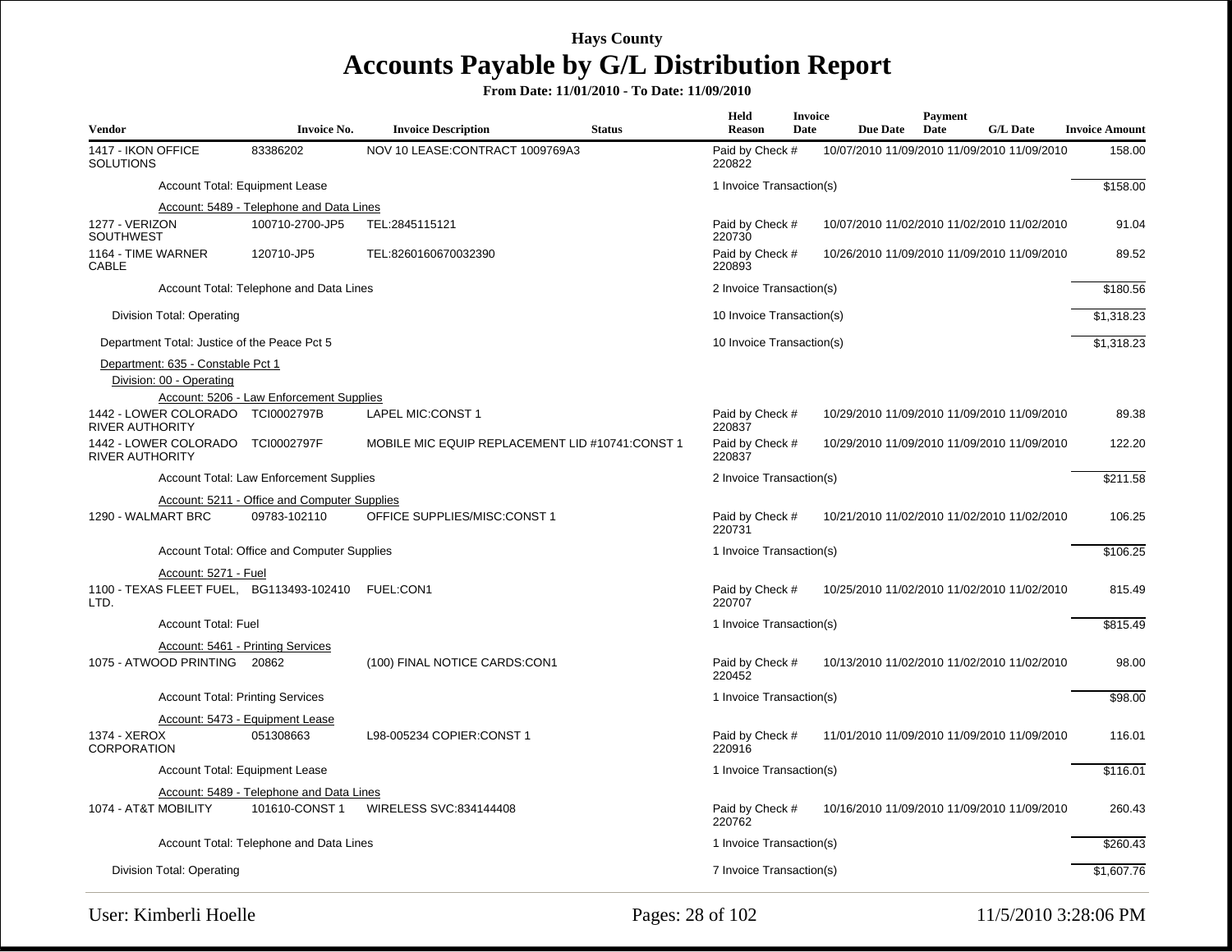| <b>Vendor</b>                          |                                                               | <b>Invoice No.</b>                                 | <b>Invoice Description</b>                      | <b>Status</b> | Held<br><b>Reason</b>     | Invoice<br>Date | <b>Due Date</b>                             | Payment<br>Date | <b>G/L Date</b> | <b>Invoice Amount</b> |
|----------------------------------------|---------------------------------------------------------------|----------------------------------------------------|-------------------------------------------------|---------------|---------------------------|-----------------|---------------------------------------------|-----------------|-----------------|-----------------------|
| 1417 - IKON OFFICE<br><b>SOLUTIONS</b> |                                                               | 83386202                                           | NOV 10 LEASE:CONTRACT 1009769A3                 |               | Paid by Check #<br>220822 |                 | 10/07/2010 11/09/2010 11/09/2010 11/09/2010 |                 |                 | 158.00                |
|                                        |                                                               | Account Total: Equipment Lease                     |                                                 |               | 1 Invoice Transaction(s)  |                 |                                             |                 |                 | \$158.00              |
|                                        |                                                               | Account: 5489 - Telephone and Data Lines           |                                                 |               |                           |                 |                                             |                 |                 |                       |
| 1277 - VERIZON<br><b>SOUTHWEST</b>     |                                                               | 100710-2700-JP5                                    | TEL:2845115121                                  |               | Paid by Check #<br>220730 |                 | 10/07/2010 11/02/2010 11/02/2010 11/02/2010 |                 |                 | 91.04                 |
| 1164 - TIME WARNER<br><b>CABLE</b>     |                                                               | 120710-JP5                                         | TEL:8260160670032390                            |               | Paid by Check #<br>220893 |                 | 10/26/2010 11/09/2010 11/09/2010 11/09/2010 |                 |                 | 89.52                 |
|                                        |                                                               | Account Total: Telephone and Data Lines            |                                                 |               | 2 Invoice Transaction(s)  |                 |                                             |                 |                 | \$180.56              |
|                                        | Division Total: Operating                                     |                                                    |                                                 |               | 10 Invoice Transaction(s) |                 |                                             |                 |                 | \$1,318.23            |
|                                        | Department Total: Justice of the Peace Pct 5                  |                                                    |                                                 |               | 10 Invoice Transaction(s) |                 |                                             |                 |                 | \$1,318.23            |
|                                        | Department: 635 - Constable Pct 1<br>Division: 00 - Operating |                                                    |                                                 |               |                           |                 |                                             |                 |                 |                       |
|                                        |                                                               | Account: 5206 - Law Enforcement Supplies           |                                                 |               |                           |                 |                                             |                 |                 |                       |
| <b>RIVER AUTHORITY</b>                 | 1442 - LOWER COLORADO TCI0002797B                             |                                                    | LAPEL MIC:CONST 1                               |               | Paid by Check #<br>220837 |                 | 10/29/2010 11/09/2010 11/09/2010 11/09/2010 |                 |                 | 89.38                 |
| <b>RIVER AUTHORITY</b>                 | 1442 - LOWER COLORADO TCI0002797F                             |                                                    | MOBILE MIC EQUIP REPLACEMENT LID #10741:CONST 1 |               | Paid by Check #<br>220837 |                 | 10/29/2010 11/09/2010 11/09/2010 11/09/2010 |                 |                 | 122.20                |
|                                        |                                                               | <b>Account Total: Law Enforcement Supplies</b>     |                                                 |               | 2 Invoice Transaction(s)  |                 |                                             |                 |                 | $\overline{$}211.58$  |
|                                        |                                                               | Account: 5211 - Office and Computer Supplies       |                                                 |               |                           |                 |                                             |                 |                 |                       |
| 1290 - WALMART BRC                     |                                                               | 09783-102110                                       | OFFICE SUPPLIES/MISC:CONST 1                    |               | Paid by Check #<br>220731 |                 | 10/21/2010 11/02/2010 11/02/2010 11/02/2010 |                 |                 | 106.25                |
|                                        |                                                               | Account Total: Office and Computer Supplies        |                                                 |               | 1 Invoice Transaction(s)  |                 |                                             |                 |                 | \$106.25              |
|                                        | Account: 5271 - Fuel                                          |                                                    |                                                 |               |                           |                 |                                             |                 |                 |                       |
| LTD.                                   |                                                               | 1100 - TEXAS FLEET FUEL, BG113493-102410 FUEL:CON1 |                                                 |               | Paid by Check #<br>220707 |                 | 10/25/2010 11/02/2010 11/02/2010 11/02/2010 |                 |                 | 815.49                |
|                                        | <b>Account Total: Fuel</b>                                    |                                                    |                                                 |               | 1 Invoice Transaction(s)  |                 |                                             |                 |                 | \$815.49              |
|                                        |                                                               | Account: 5461 - Printing Services                  |                                                 |               |                           |                 |                                             |                 |                 |                       |
|                                        | 1075 - ATWOOD PRINTING 20862                                  |                                                    | (100) FINAL NOTICE CARDS:CON1                   |               | Paid by Check #<br>220452 |                 | 10/13/2010 11/02/2010 11/02/2010 11/02/2010 |                 |                 | 98.00                 |
|                                        | <b>Account Total: Printing Services</b>                       |                                                    |                                                 |               | 1 Invoice Transaction(s)  |                 |                                             |                 |                 | \$98.00               |
|                                        |                                                               | Account: 5473 - Equipment Lease                    |                                                 |               |                           |                 |                                             |                 |                 |                       |
| 1374 - XEROX<br><b>CORPORATION</b>     |                                                               | 051308663                                          | L98-005234 COPIER:CONST 1                       |               | Paid by Check #<br>220916 |                 | 11/01/2010 11/09/2010 11/09/2010 11/09/2010 |                 |                 | 116.01                |
|                                        |                                                               | Account Total: Equipment Lease                     |                                                 |               | 1 Invoice Transaction(s)  |                 |                                             |                 |                 | \$116.01              |
|                                        |                                                               | Account: 5489 - Telephone and Data Lines           |                                                 |               |                           |                 |                                             |                 |                 |                       |
| 1074 - AT&T MOBILITY                   |                                                               | 101610-CONST 1                                     | WIRELESS SVC:834144408                          |               | Paid by Check #<br>220762 |                 | 10/16/2010 11/09/2010 11/09/2010 11/09/2010 |                 |                 | 260.43                |
|                                        |                                                               | Account Total: Telephone and Data Lines            |                                                 |               | 1 Invoice Transaction(s)  |                 |                                             |                 |                 | \$260.43              |
|                                        | Division Total: Operating                                     |                                                    |                                                 |               | 7 Invoice Transaction(s)  |                 |                                             |                 |                 | \$1,607.76            |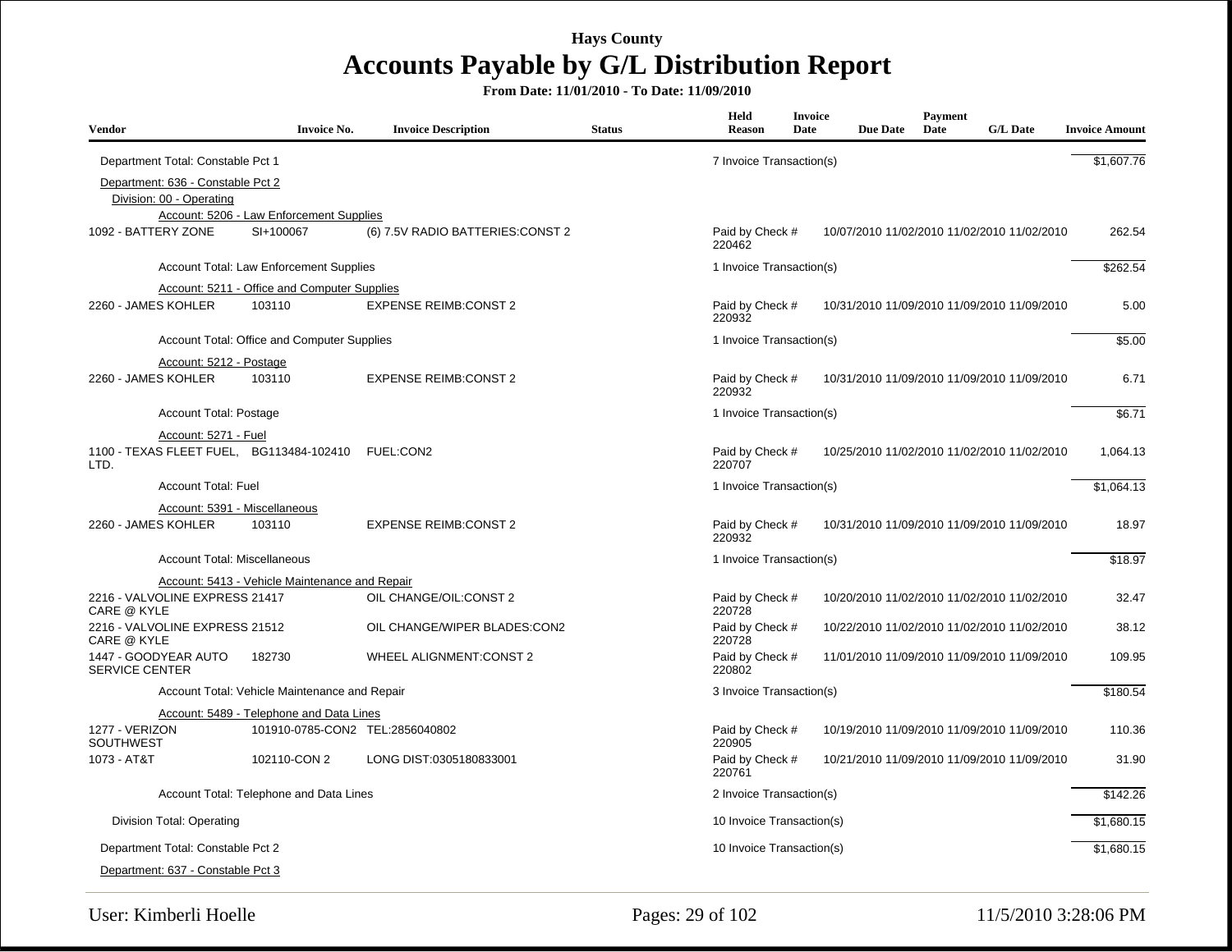| <b>Vendor</b>                                                 | <b>Invoice No.</b>                                  | <b>Invoice Description</b>        | <b>Status</b> | Held<br><b>Reason</b>     | <b>Invoice</b><br>Date | <b>Due Date</b> | Payment<br>Date | <b>G/L Date</b>                             | <b>Invoice Amount</b> |
|---------------------------------------------------------------|-----------------------------------------------------|-----------------------------------|---------------|---------------------------|------------------------|-----------------|-----------------|---------------------------------------------|-----------------------|
| Department Total: Constable Pct 1                             |                                                     |                                   |               | 7 Invoice Transaction(s)  |                        |                 |                 |                                             | \$1,607.76            |
| Department: 636 - Constable Pct 2<br>Division: 00 - Operating |                                                     |                                   |               |                           |                        |                 |                 |                                             |                       |
|                                                               | Account: 5206 - Law Enforcement Supplies            |                                   |               |                           |                        |                 |                 |                                             |                       |
| 1092 - BATTERY ZONE                                           | SI+100067                                           | (6) 7.5V RADIO BATTERIES: CONST 2 |               | Paid by Check #<br>220462 |                        |                 |                 | 10/07/2010 11/02/2010 11/02/2010 11/02/2010 | 262.54                |
|                                                               | Account Total: Law Enforcement Supplies             |                                   |               | 1 Invoice Transaction(s)  |                        |                 |                 |                                             | \$262.54              |
|                                                               | <b>Account: 5211 - Office and Computer Supplies</b> |                                   |               |                           |                        |                 |                 |                                             |                       |
| 2260 - JAMES KOHLER                                           | 103110                                              | <b>EXPENSE REIMB:CONST 2</b>      |               | Paid by Check #<br>220932 |                        |                 |                 | 10/31/2010 11/09/2010 11/09/2010 11/09/2010 | 5.00                  |
|                                                               | Account Total: Office and Computer Supplies         |                                   |               | 1 Invoice Transaction(s)  |                        |                 |                 |                                             | \$5.00                |
| Account: 5212 - Postage                                       |                                                     |                                   |               |                           |                        |                 |                 |                                             |                       |
| 2260 - JAMES KOHLER                                           | 103110                                              | <b>EXPENSE REIMB:CONST 2</b>      |               | Paid by Check #<br>220932 |                        |                 |                 | 10/31/2010 11/09/2010 11/09/2010 11/09/2010 | 6.71                  |
| Account Total: Postage                                        |                                                     |                                   |               | 1 Invoice Transaction(s)  |                        |                 |                 |                                             | \$6.71                |
| Account: 5271 - Fuel                                          |                                                     |                                   |               |                           |                        |                 |                 |                                             |                       |
| 1100 - TEXAS FLEET FUEL, BG113484-102410<br>LTD.              |                                                     | FUEL:CON2                         |               | Paid by Check #<br>220707 |                        |                 |                 | 10/25/2010 11/02/2010 11/02/2010 11/02/2010 | 1.064.13              |
| <b>Account Total: Fuel</b>                                    |                                                     |                                   |               | 1 Invoice Transaction(s)  |                        |                 |                 |                                             | \$1,064.13            |
| Account: 5391 - Miscellaneous                                 |                                                     |                                   |               |                           |                        |                 |                 |                                             |                       |
| 2260 - JAMES KOHLER                                           | 103110                                              | <b>EXPENSE REIMB:CONST 2</b>      |               | Paid by Check #<br>220932 |                        |                 |                 | 10/31/2010 11/09/2010 11/09/2010 11/09/2010 | 18.97                 |
| <b>Account Total: Miscellaneous</b>                           |                                                     |                                   |               | 1 Invoice Transaction(s)  |                        |                 |                 |                                             | \$18.97               |
|                                                               | Account: 5413 - Vehicle Maintenance and Repair      |                                   |               |                           |                        |                 |                 |                                             |                       |
| 2216 - VALVOLINE EXPRESS 21417<br><b>CARE @ KYLE</b>          |                                                     | OIL CHANGE/OIL: CONST 2           |               | Paid by Check #<br>220728 |                        |                 |                 | 10/20/2010 11/02/2010 11/02/2010 11/02/2010 | 32.47                 |
| 2216 - VALVOLINE EXPRESS 21512<br>CARE @ KYLE                 |                                                     | OIL CHANGE/WIPER BLADES:CON2      |               | Paid by Check #<br>220728 |                        |                 |                 | 10/22/2010 11/02/2010 11/02/2010 11/02/2010 | 38.12                 |
| 1447 - GOODYEAR AUTO<br><b>SERVICE CENTER</b>                 | 182730                                              | <b>WHEEL ALIGNMENT:CONST 2</b>    |               | Paid by Check #<br>220802 |                        |                 |                 | 11/01/2010 11/09/2010 11/09/2010 11/09/2010 | 109.95                |
|                                                               | Account Total: Vehicle Maintenance and Repair       |                                   |               | 3 Invoice Transaction(s)  |                        |                 |                 |                                             | \$180.54              |
|                                                               | Account: 5489 - Telephone and Data Lines            |                                   |               |                           |                        |                 |                 |                                             |                       |
| 1277 - VERIZON<br><b>SOUTHWEST</b>                            | 101910-0785-CON2 TEL:2856040802                     |                                   |               | Paid by Check #<br>220905 |                        |                 |                 | 10/19/2010 11/09/2010 11/09/2010 11/09/2010 | 110.36                |
| 1073 - AT&T                                                   | 102110-CON 2                                        | LONG DIST:0305180833001           |               | Paid by Check #<br>220761 |                        |                 |                 | 10/21/2010 11/09/2010 11/09/2010 11/09/2010 | 31.90                 |
|                                                               | Account Total: Telephone and Data Lines             |                                   |               | 2 Invoice Transaction(s)  |                        |                 |                 |                                             | \$142.26              |
| <b>Division Total: Operating</b>                              |                                                     |                                   |               | 10 Invoice Transaction(s) |                        |                 |                 |                                             | \$1,680.15            |
| Department Total: Constable Pct 2                             |                                                     |                                   |               | 10 Invoice Transaction(s) |                        |                 |                 |                                             | \$1,680.15            |
| Department: 637 - Constable Pct 3                             |                                                     |                                   |               |                           |                        |                 |                 |                                             |                       |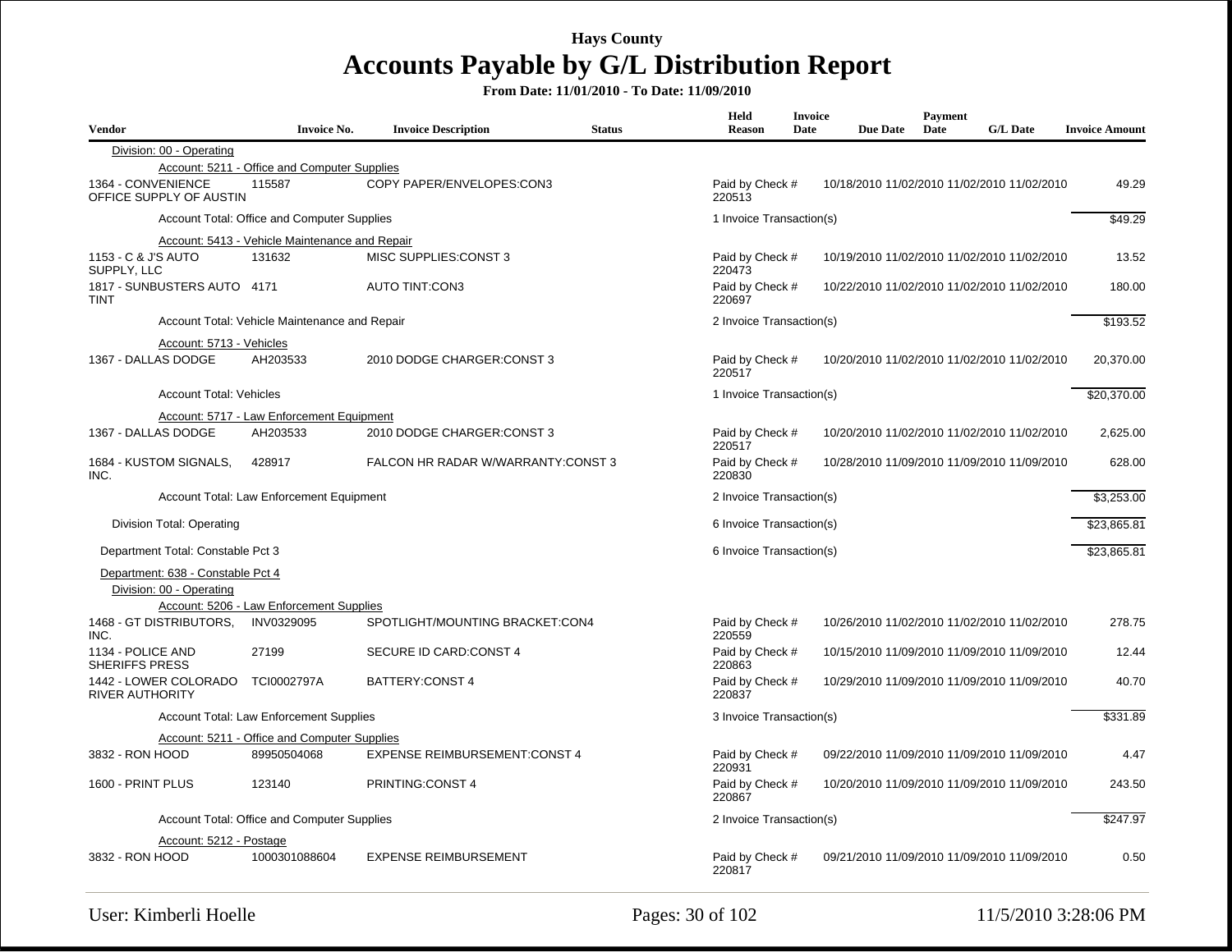| <b>Vendor</b>                                 | <b>Invoice No.</b>                             | <b>Invoice Description</b>           | <b>Status</b> | Held<br><b>Reason</b>     | <b>Invoice</b><br>Date | <b>Due Date</b> | <b>Payment</b><br>Date | <b>G/L Date</b>                             | <b>Invoice Amount</b> |
|-----------------------------------------------|------------------------------------------------|--------------------------------------|---------------|---------------------------|------------------------|-----------------|------------------------|---------------------------------------------|-----------------------|
| Division: 00 - Operating                      |                                                |                                      |               |                           |                        |                 |                        |                                             |                       |
|                                               | Account: 5211 - Office and Computer Supplies   |                                      |               |                           |                        |                 |                        |                                             |                       |
| 1364 - CONVENIENCE<br>OFFICE SUPPLY OF AUSTIN | 115587                                         | COPY PAPER/ENVELOPES:CON3            |               | Paid by Check #<br>220513 |                        |                 |                        | 10/18/2010 11/02/2010 11/02/2010 11/02/2010 | 49.29                 |
|                                               | Account Total: Office and Computer Supplies    |                                      |               | 1 Invoice Transaction(s)  |                        |                 |                        |                                             | \$49.29               |
|                                               | Account: 5413 - Vehicle Maintenance and Repair |                                      |               |                           |                        |                 |                        |                                             |                       |
| 1153 - C & J'S AUTO<br>SUPPLY, LLC            | 131632                                         | MISC SUPPLIES: CONST 3               |               | Paid by Check #<br>220473 |                        |                 |                        | 10/19/2010 11/02/2010 11/02/2010 11/02/2010 | 13.52                 |
| 1817 - SUNBUSTERS AUTO 4171<br><b>TINT</b>    |                                                | <b>AUTO TINT:CON3</b>                |               | Paid by Check #<br>220697 |                        |                 |                        | 10/22/2010 11/02/2010 11/02/2010 11/02/2010 | 180.00                |
|                                               | Account Total: Vehicle Maintenance and Repair  |                                      |               | 2 Invoice Transaction(s)  |                        |                 |                        |                                             | \$193.52              |
| Account: 5713 - Vehicles                      |                                                |                                      |               |                           |                        |                 |                        |                                             |                       |
| 1367 - DALLAS DODGE                           | AH203533                                       | 2010 DODGE CHARGER: CONST 3          |               | Paid by Check #<br>220517 |                        |                 |                        | 10/20/2010 11/02/2010 11/02/2010 11/02/2010 | 20,370.00             |
| <b>Account Total: Vehicles</b>                |                                                |                                      |               | 1 Invoice Transaction(s)  |                        |                 |                        |                                             | \$20,370.00           |
|                                               | Account: 5717 - Law Enforcement Equipment      |                                      |               |                           |                        |                 |                        |                                             |                       |
| 1367 - DALLAS DODGE                           | AH203533                                       | 2010 DODGE CHARGER: CONST 3          |               | Paid by Check #<br>220517 |                        |                 |                        | 10/20/2010 11/02/2010 11/02/2010 11/02/2010 | 2,625.00              |
| 1684 - KUSTOM SIGNALS,<br>INC.                | 428917                                         | FALCON HR RADAR W/WARRANTY:CONST 3   |               | Paid by Check #<br>220830 |                        |                 |                        | 10/28/2010 11/09/2010 11/09/2010 11/09/2010 | 628.00                |
|                                               | Account Total: Law Enforcement Equipment       |                                      |               | 2 Invoice Transaction(s)  |                        |                 |                        |                                             | \$3.253.00            |
| Division Total: Operating                     |                                                |                                      |               | 6 Invoice Transaction(s)  |                        |                 |                        |                                             | \$23,865.81           |
| Department Total: Constable Pct 3             |                                                |                                      |               | 6 Invoice Transaction(s)  |                        |                 |                        |                                             | \$23,865.81           |
| Department: 638 - Constable Pct 4             |                                                |                                      |               |                           |                        |                 |                        |                                             |                       |
| Division: 00 - Operating                      |                                                |                                      |               |                           |                        |                 |                        |                                             |                       |
|                                               | Account: 5206 - Law Enforcement Supplies       |                                      |               |                           |                        |                 |                        |                                             |                       |
| 1468 - GT DISTRIBUTORS,<br>INC.               | INV0329095                                     | SPOTLIGHT/MOUNTING BRACKET:CON4      |               | Paid by Check #<br>220559 |                        |                 |                        | 10/26/2010 11/02/2010 11/02/2010 11/02/2010 | 278.75                |
| 1134 - POLICE AND<br><b>SHERIFFS PRESS</b>    | 27199                                          | SECURE ID CARD:CONST 4               |               | Paid by Check #<br>220863 |                        |                 |                        | 10/15/2010 11/09/2010 11/09/2010 11/09/2010 | 12.44                 |
| 1442 - LOWER COLORADO<br>RIVER AUTHORITY      | TCI0002797A                                    | BATTERY: CONST 4                     |               | Paid by Check #<br>220837 |                        |                 |                        | 10/29/2010 11/09/2010 11/09/2010 11/09/2010 | 40.70                 |
|                                               | Account Total: Law Enforcement Supplies        |                                      |               | 3 Invoice Transaction(s)  |                        |                 |                        |                                             | \$331.89              |
|                                               | Account: 5211 - Office and Computer Supplies   |                                      |               |                           |                        |                 |                        |                                             |                       |
| 3832 - RON HOOD                               | 89950504068                                    | <b>EXPENSE REIMBURSEMENT:CONST 4</b> |               | Paid by Check #<br>220931 |                        |                 |                        | 09/22/2010 11/09/2010 11/09/2010 11/09/2010 | 4.47                  |
| 1600 - PRINT PLUS                             | 123140                                         | <b>PRINTING:CONST 4</b>              |               | Paid by Check #<br>220867 |                        |                 |                        | 10/20/2010 11/09/2010 11/09/2010 11/09/2010 | 243.50                |
|                                               | Account Total: Office and Computer Supplies    |                                      |               | 2 Invoice Transaction(s)  |                        |                 |                        |                                             | \$247.97              |
| Account: 5212 - Postage                       |                                                |                                      |               |                           |                        |                 |                        |                                             |                       |
| 3832 - RON HOOD                               | 1000301088604                                  | <b>EXPENSE REIMBURSEMENT</b>         |               | Paid by Check #<br>220817 |                        |                 |                        | 09/21/2010 11/09/2010 11/09/2010 11/09/2010 | 0.50                  |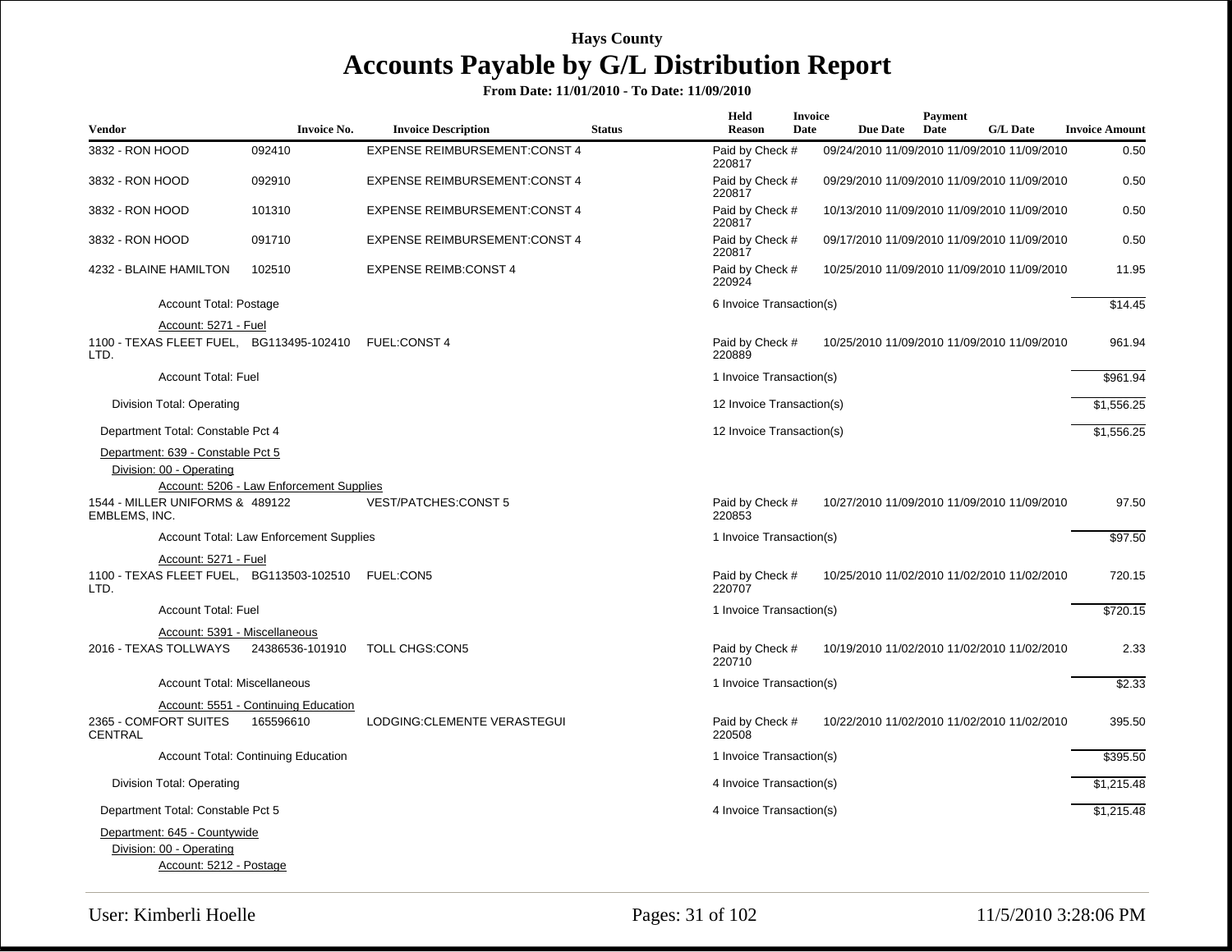| Vendor                                                        | <b>Invoice No.</b>                       | <b>Invoice Description</b>           | <b>Status</b> | <b>Held</b><br><b>Reason</b>        | Invoice<br>Date | <b>Due Date</b>                             | <b>Payment</b><br>Date | <b>G/L Date</b> | <b>Invoice Amount</b> |
|---------------------------------------------------------------|------------------------------------------|--------------------------------------|---------------|-------------------------------------|-----------------|---------------------------------------------|------------------------|-----------------|-----------------------|
| 3832 - RON HOOD                                               | 092410                                   | <b>EXPENSE REIMBURSEMENT:CONST 4</b> |               | Paid by Check #                     |                 | 09/24/2010 11/09/2010 11/09/2010 11/09/2010 |                        |                 | 0.50                  |
| 3832 - RON HOOD                                               | 092910                                   | <b>EXPENSE REIMBURSEMENT:CONST 4</b> |               | 220817<br>Paid by Check #<br>220817 |                 | 09/29/2010 11/09/2010 11/09/2010 11/09/2010 |                        |                 | 0.50                  |
| 3832 - RON HOOD                                               | 101310                                   | <b>EXPENSE REIMBURSEMENT:CONST 4</b> |               | Paid by Check #<br>220817           |                 | 10/13/2010 11/09/2010 11/09/2010 11/09/2010 |                        |                 | 0.50                  |
| 3832 - RON HOOD                                               | 091710                                   | <b>EXPENSE REIMBURSEMENT:CONST 4</b> |               | Paid by Check #<br>220817           |                 | 09/17/2010 11/09/2010 11/09/2010 11/09/2010 |                        |                 | 0.50                  |
| 4232 - BLAINE HAMILTON                                        | 102510                                   | <b>EXPENSE REIMB:CONST 4</b>         |               | Paid by Check #<br>220924           |                 | 10/25/2010 11/09/2010 11/09/2010 11/09/2010 |                        |                 | 11.95                 |
| Account Total: Postage                                        |                                          |                                      |               | 6 Invoice Transaction(s)            |                 |                                             |                        |                 | \$14.45               |
| Account: 5271 - Fuel                                          |                                          |                                      |               |                                     |                 |                                             |                        |                 |                       |
| 1100 - TEXAS FLEET FUEL, BG113495-102410<br>LTD.              |                                          | <b>FUEL:CONST 4</b>                  |               | Paid by Check #<br>220889           |                 | 10/25/2010 11/09/2010 11/09/2010 11/09/2010 |                        |                 | 961.94                |
| <b>Account Total: Fuel</b>                                    |                                          |                                      |               | 1 Invoice Transaction(s)            |                 |                                             |                        |                 | \$961.94              |
| Division Total: Operating                                     |                                          |                                      |               | 12 Invoice Transaction(s)           |                 |                                             |                        |                 | \$1,556.25            |
| Department Total: Constable Pct 4                             |                                          |                                      |               | 12 Invoice Transaction(s)           |                 |                                             |                        |                 | \$1,556.25            |
| Department: 639 - Constable Pct 5<br>Division: 00 - Operating | Account: 5206 - Law Enforcement Supplies |                                      |               |                                     |                 |                                             |                        |                 |                       |
| 1544 - MILLER UNIFORMS & 489122<br>EMBLEMS, INC.              |                                          | <b>VEST/PATCHES:CONST 5</b>          |               | Paid by Check #<br>220853           |                 | 10/27/2010 11/09/2010 11/09/2010 11/09/2010 |                        |                 | 97.50                 |
|                                                               | Account Total: Law Enforcement Supplies  |                                      |               | 1 Invoice Transaction(s)            |                 |                                             |                        |                 | \$97.50               |
| Account: 5271 - Fuel                                          |                                          |                                      |               |                                     |                 |                                             |                        |                 |                       |
| 1100 - TEXAS FLEET FUEL, BG113503-102510<br>LTD.              |                                          | <b>FUEL:CON5</b>                     |               | Paid by Check #<br>220707           |                 | 10/25/2010 11/02/2010 11/02/2010 11/02/2010 |                        |                 | 720.15                |
| <b>Account Total: Fuel</b>                                    |                                          |                                      |               | 1 Invoice Transaction(s)            |                 |                                             |                        |                 | \$720.15              |
| Account: 5391 - Miscellaneous                                 |                                          |                                      |               |                                     |                 |                                             |                        |                 |                       |
| 2016 - TEXAS TOLLWAYS                                         | 24386536-101910                          | <b>TOLL CHGS:CON5</b>                |               | Paid by Check #<br>220710           |                 | 10/19/2010 11/02/2010 11/02/2010 11/02/2010 |                        |                 | 2.33                  |
| <b>Account Total: Miscellaneous</b>                           |                                          |                                      |               | 1 Invoice Transaction(s)            |                 |                                             |                        |                 | \$2.33                |
|                                                               | Account: 5551 - Continuing Education     |                                      |               |                                     |                 |                                             |                        |                 |                       |
| 2365 - COMFORT SUITES<br><b>CENTRAL</b>                       | 165596610                                | LODGING:CLEMENTE VERASTEGUI          |               | Paid by Check #<br>220508           |                 | 10/22/2010 11/02/2010 11/02/2010 11/02/2010 |                        |                 | 395.50                |
|                                                               | Account Total: Continuing Education      |                                      |               | 1 Invoice Transaction(s)            |                 |                                             |                        |                 | \$395.50              |
| Division Total: Operating                                     |                                          |                                      |               | 4 Invoice Transaction(s)            |                 |                                             |                        |                 | \$1,215.48            |
| Department Total: Constable Pct 5                             |                                          |                                      |               | 4 Invoice Transaction(s)            |                 |                                             |                        |                 | \$1,215.48            |
| Department: 645 - Countywide                                  |                                          |                                      |               |                                     |                 |                                             |                        |                 |                       |
| Division: 00 - Operating                                      |                                          |                                      |               |                                     |                 |                                             |                        |                 |                       |
| Account: 5212 - Postage                                       |                                          |                                      |               |                                     |                 |                                             |                        |                 |                       |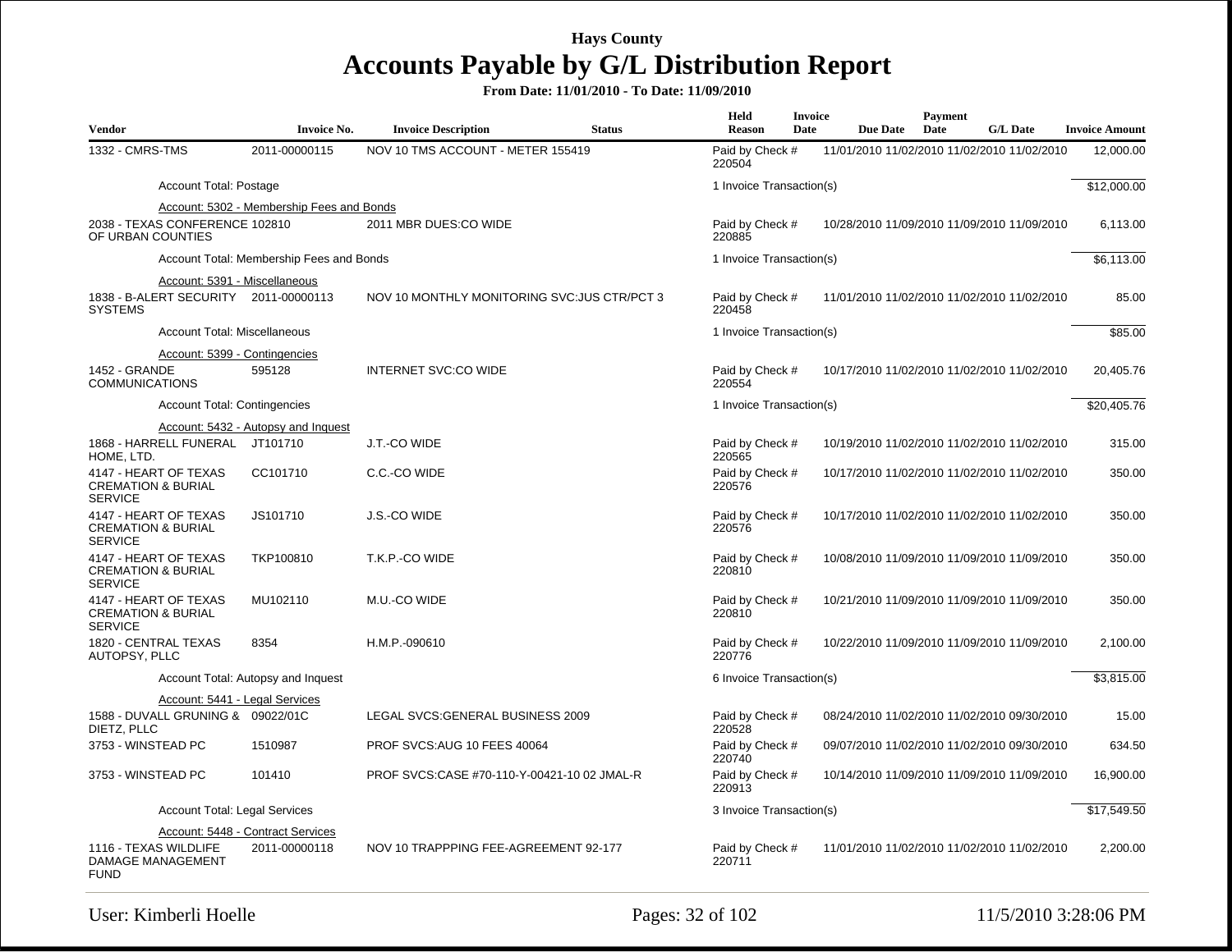| <b>Vendor</b>                                                                            | <b>Invoice No.</b>                        | <b>Invoice Description</b>                   | <b>Status</b> | Held<br><b>Reason</b>     | <b>Invoice</b><br>Date | <b>Due Date</b> | Payment<br>Date | <b>G/L Date</b>                             | <b>Invoice Amount</b> |
|------------------------------------------------------------------------------------------|-------------------------------------------|----------------------------------------------|---------------|---------------------------|------------------------|-----------------|-----------------|---------------------------------------------|-----------------------|
| 1332 - CMRS-TMS                                                                          | 2011-00000115                             | NOV 10 TMS ACCOUNT - METER 155419            |               | Paid by Check #<br>220504 |                        |                 |                 | 11/01/2010 11/02/2010 11/02/2010 11/02/2010 | 12,000.00             |
| Account Total: Postage                                                                   |                                           |                                              |               | 1 Invoice Transaction(s)  |                        |                 |                 |                                             | \$12,000.00           |
|                                                                                          | Account: 5302 - Membership Fees and Bonds |                                              |               |                           |                        |                 |                 |                                             |                       |
| 2038 - TEXAS CONFERENCE 102810<br>OF URBAN COUNTIES                                      |                                           | 2011 MBR DUES:CO WIDE                        |               | Paid by Check #<br>220885 |                        |                 |                 | 10/28/2010 11/09/2010 11/09/2010 11/09/2010 | 6,113.00              |
|                                                                                          | Account Total: Membership Fees and Bonds  |                                              |               | 1 Invoice Transaction(s)  |                        |                 |                 |                                             | \$6,113.00            |
| Account: 5391 - Miscellaneous<br>1838 - B-ALERT SECURITY 2011-00000113<br><b>SYSTEMS</b> |                                           | NOV 10 MONTHLY MONITORING SVC: JUS CTR/PCT 3 |               | Paid by Check #<br>220458 |                        |                 |                 | 11/01/2010 11/02/2010 11/02/2010 11/02/2010 | 85.00                 |
| Account Total: Miscellaneous                                                             |                                           |                                              |               | 1 Invoice Transaction(s)  |                        |                 |                 |                                             | \$85.00               |
| Account: 5399 - Contingencies<br>1452 - GRANDE<br><b>COMMUNICATIONS</b>                  | 595128                                    | <b>INTERNET SVC:CO WIDE</b>                  |               | Paid by Check #<br>220554 |                        |                 |                 | 10/17/2010 11/02/2010 11/02/2010 11/02/2010 | 20,405.76             |
| <b>Account Total: Contingencies</b>                                                      |                                           |                                              |               | 1 Invoice Transaction(s)  |                        |                 |                 |                                             | \$20,405.76           |
|                                                                                          | Account: 5432 - Autopsy and Inquest       |                                              |               |                           |                        |                 |                 |                                             |                       |
| 1868 - HARRELL FUNERAL JT101710<br>HOME, LTD.                                            |                                           | J.T.-CO WIDE                                 |               | Paid by Check #<br>220565 |                        |                 |                 | 10/19/2010 11/02/2010 11/02/2010 11/02/2010 | 315.00                |
| 4147 - HEART OF TEXAS<br><b>CREMATION &amp; BURIAL</b><br><b>SERVICE</b>                 | CC101710                                  | C.C.-CO WIDE                                 |               | Paid by Check #<br>220576 |                        |                 |                 | 10/17/2010 11/02/2010 11/02/2010 11/02/2010 | 350.00                |
| 4147 - HEART OF TEXAS<br><b>CREMATION &amp; BURIAL</b><br><b>SERVICE</b>                 | JS101710                                  | J.S.-CO WIDE                                 |               | Paid by Check #<br>220576 |                        |                 |                 | 10/17/2010 11/02/2010 11/02/2010 11/02/2010 | 350.00                |
| 4147 - HEART OF TEXAS<br><b>CREMATION &amp; BURIAL</b><br><b>SERVICE</b>                 | TKP100810                                 | T.K.P.-CO WIDE                               |               | Paid by Check #<br>220810 |                        |                 |                 | 10/08/2010 11/09/2010 11/09/2010 11/09/2010 | 350.00                |
| 4147 - HEART OF TEXAS<br><b>CREMATION &amp; BURIAL</b><br><b>SERVICE</b>                 | MU102110                                  | M.U.-CO WIDE                                 |               | Paid by Check #<br>220810 |                        |                 |                 | 10/21/2010 11/09/2010 11/09/2010 11/09/2010 | 350.00                |
| 1820 - CENTRAL TEXAS<br>AUTOPSY, PLLC                                                    | 8354                                      | H.M.P.-090610                                |               | Paid by Check #<br>220776 |                        |                 |                 | 10/22/2010 11/09/2010 11/09/2010 11/09/2010 | 2,100.00              |
|                                                                                          | Account Total: Autopsy and Inquest        |                                              |               | 6 Invoice Transaction(s)  |                        |                 |                 |                                             | \$3,815.00            |
| Account: 5441 - Legal Services                                                           |                                           |                                              |               |                           |                        |                 |                 |                                             |                       |
| 1588 - DUVALL GRUNING & 09022/01C<br>DIETZ, PLLC                                         |                                           | LEGAL SVCS: GENERAL BUSINESS 2009            |               | Paid by Check #<br>220528 |                        |                 |                 | 08/24/2010 11/02/2010 11/02/2010 09/30/2010 | 15.00                 |
| 3753 - WINSTEAD PC                                                                       | 1510987                                   | PROF SVCS:AUG 10 FEES 40064                  |               | Paid by Check #<br>220740 |                        |                 |                 | 09/07/2010 11/02/2010 11/02/2010 09/30/2010 | 634.50                |
| 3753 - WINSTEAD PC                                                                       | 101410                                    | PROF SVCS:CASE #70-110-Y-00421-10 02 JMAL-R  |               | Paid by Check #<br>220913 |                        |                 |                 | 10/14/2010 11/09/2010 11/09/2010 11/09/2010 | 16,900.00             |
| <b>Account Total: Legal Services</b>                                                     |                                           |                                              |               | 3 Invoice Transaction(s)  |                        |                 |                 |                                             | \$17,549.50           |
|                                                                                          | Account: 5448 - Contract Services         |                                              |               |                           |                        |                 |                 |                                             |                       |
| 1116 - TEXAS WILDLIFE<br><b>DAMAGE MANAGEMENT</b><br><b>FUND</b>                         | 2011-00000118                             | NOV 10 TRAPPPING FEE-AGREEMENT 92-177        |               | Paid by Check #<br>220711 |                        |                 |                 | 11/01/2010 11/02/2010 11/02/2010 11/02/2010 | 2,200.00              |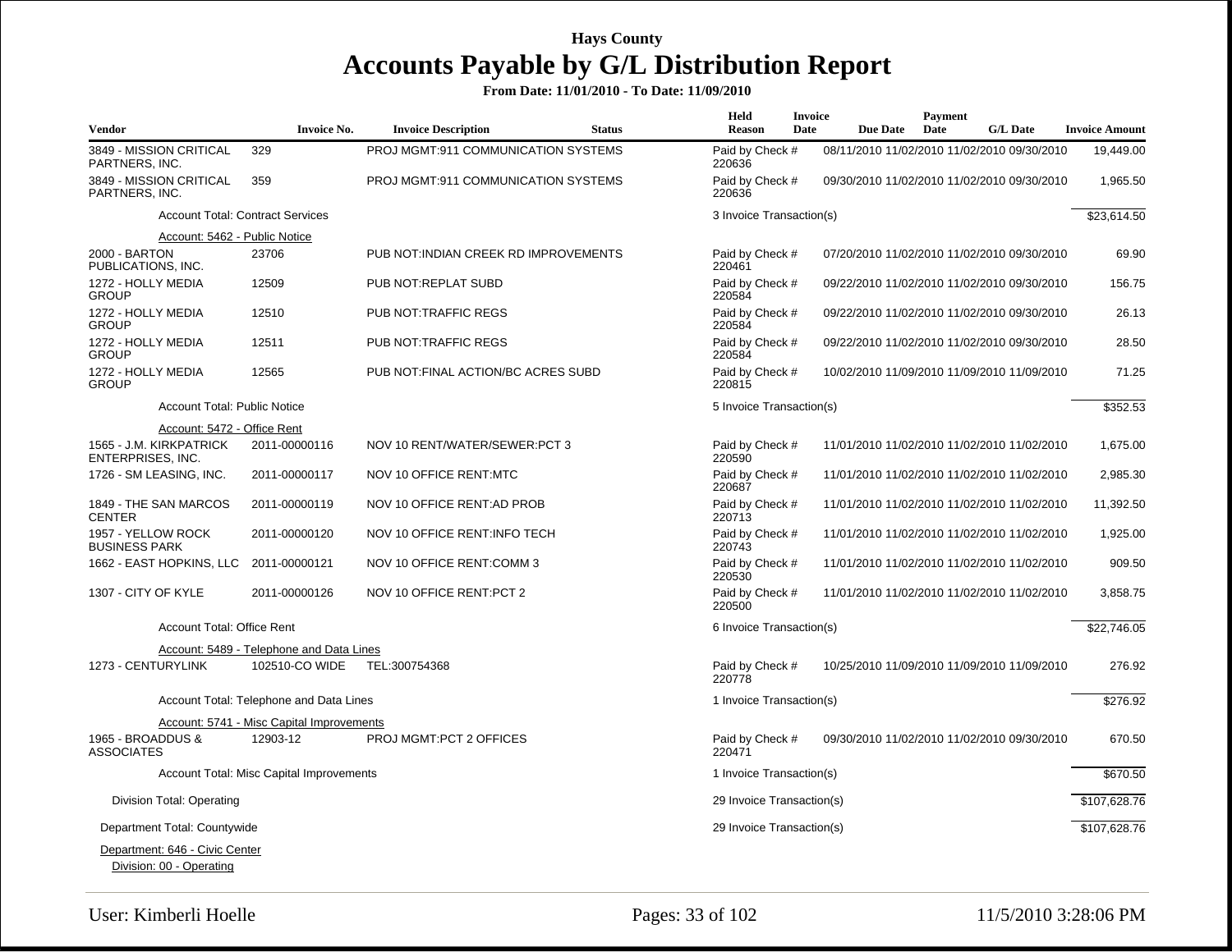| <b>Vendor</b>                                              | <b>Invoice No.</b>                        | <b>Invoice Description</b>            | <b>Status</b> | Held<br><b>Reason</b>     | <b>Invoice</b><br>Date | <b>Due Date</b> | Payment<br>Date | <b>G/L Date</b>                             | <b>Invoice Amount</b> |
|------------------------------------------------------------|-------------------------------------------|---------------------------------------|---------------|---------------------------|------------------------|-----------------|-----------------|---------------------------------------------|-----------------------|
| 3849 - MISSION CRITICAL<br>PARTNERS, INC.                  | 329                                       | PROJ MGMT:911 COMMUNICATION SYSTEMS   |               | Paid by Check #<br>220636 |                        |                 |                 | 08/11/2010 11/02/2010 11/02/2010 09/30/2010 | 19,449.00             |
| 3849 - MISSION CRITICAL<br>PARTNERS, INC.                  | 359                                       | PROJ MGMT:911 COMMUNICATION SYSTEMS   |               | Paid by Check #<br>220636 |                        |                 |                 | 09/30/2010 11/02/2010 11/02/2010 09/30/2010 | 1,965.50              |
|                                                            | <b>Account Total: Contract Services</b>   |                                       |               | 3 Invoice Transaction(s)  |                        |                 |                 |                                             | \$23,614.50           |
| Account: 5462 - Public Notice                              |                                           |                                       |               |                           |                        |                 |                 |                                             |                       |
| 2000 - BARTON<br>PUBLICATIONS, INC.                        | 23706                                     | PUB NOT: INDIAN CREEK RD IMPROVEMENTS |               | Paid by Check #<br>220461 |                        |                 |                 | 07/20/2010 11/02/2010 11/02/2010 09/30/2010 | 69.90                 |
| 1272 - HOLLY MEDIA<br><b>GROUP</b>                         | 12509                                     | PUB NOT:REPLAT SUBD                   |               | Paid by Check #<br>220584 |                        |                 |                 | 09/22/2010 11/02/2010 11/02/2010 09/30/2010 | 156.75                |
| 1272 - HOLLY MEDIA<br><b>GROUP</b>                         | 12510                                     | PUB NOT: TRAFFIC REGS                 |               | Paid by Check #<br>220584 |                        |                 |                 | 09/22/2010 11/02/2010 11/02/2010 09/30/2010 | 26.13                 |
| 1272 - HOLLY MEDIA<br><b>GROUP</b>                         | 12511                                     | PUB NOT: TRAFFIC REGS                 |               | Paid by Check #<br>220584 |                        |                 |                 | 09/22/2010 11/02/2010 11/02/2010 09/30/2010 | 28.50                 |
| 1272 - HOLLY MEDIA<br><b>GROUP</b>                         | 12565                                     | PUB NOT: FINAL ACTION/BC ACRES SUBD   |               | Paid by Check #<br>220815 |                        |                 |                 | 10/02/2010 11/09/2010 11/09/2010 11/09/2010 | 71.25                 |
| <b>Account Total: Public Notice</b>                        |                                           |                                       |               | 5 Invoice Transaction(s)  |                        |                 |                 |                                             | 352.53                |
| Account: 5472 - Office Rent                                |                                           |                                       |               |                           |                        |                 |                 |                                             |                       |
| 1565 - J.M. KIRKPATRICK<br>ENTERPRISES, INC.               | 2011-00000116                             | NOV 10 RENT/WATER/SEWER:PCT 3         |               | Paid by Check #<br>220590 |                        |                 |                 | 11/01/2010 11/02/2010 11/02/2010 11/02/2010 | 1,675.00              |
| 1726 - SM LEASING, INC.                                    | 2011-00000117                             | NOV 10 OFFICE RENT:MTC                |               | Paid by Check #<br>220687 |                        |                 |                 | 11/01/2010 11/02/2010 11/02/2010 11/02/2010 | 2,985.30              |
| 1849 - THE SAN MARCOS<br><b>CENTER</b>                     | 2011-00000119                             | NOV 10 OFFICE RENT:AD PROB            |               | Paid by Check #<br>220713 |                        |                 |                 | 11/01/2010 11/02/2010 11/02/2010 11/02/2010 | 11,392.50             |
| 1957 - YELLOW ROCK<br><b>BUSINESS PARK</b>                 | 2011-00000120                             | NOV 10 OFFICE RENT:INFO TECH          |               | Paid by Check #<br>220743 |                        |                 |                 | 11/01/2010 11/02/2010 11/02/2010 11/02/2010 | 1,925.00              |
| 1662 - EAST HOPKINS, LLC                                   | 2011-00000121                             | NOV 10 OFFICE RENT:COMM 3             |               | Paid by Check #<br>220530 |                        |                 |                 | 11/01/2010 11/02/2010 11/02/2010 11/02/2010 | 909.50                |
| 1307 - CITY OF KYLE                                        | 2011-00000126                             | NOV 10 OFFICE RENT: PCT 2             |               | Paid by Check #<br>220500 |                        |                 |                 | 11/01/2010 11/02/2010 11/02/2010 11/02/2010 | 3,858.75              |
| <b>Account Total: Office Rent</b>                          |                                           |                                       |               | 6 Invoice Transaction(s)  |                        |                 |                 |                                             | \$22,746.05           |
|                                                            | Account: 5489 - Telephone and Data Lines  |                                       |               |                           |                        |                 |                 |                                             |                       |
| 1273 - CENTURYLINK                                         | 102510-CO WIDE                            | TEL:300754368                         |               | Paid by Check #<br>220778 |                        |                 |                 | 10/25/2010 11/09/2010 11/09/2010 11/09/2010 | 276.92                |
|                                                            | Account Total: Telephone and Data Lines   |                                       |               | 1 Invoice Transaction(s)  |                        |                 |                 |                                             | \$276.92              |
|                                                            | Account: 5741 - Misc Capital Improvements |                                       |               |                           |                        |                 |                 |                                             |                       |
| 1965 - BROADDUS &<br><b>ASSOCIATES</b>                     | 12903-12                                  | <b>PROJ MGMT:PCT 2 OFFICES</b>        |               | Paid by Check #<br>220471 |                        |                 |                 | 09/30/2010 11/02/2010 11/02/2010 09/30/2010 | 670.50                |
|                                                            | Account Total: Misc Capital Improvements  |                                       |               | 1 Invoice Transaction(s)  |                        |                 |                 |                                             | \$670.50              |
| Division Total: Operating                                  |                                           |                                       |               | 29 Invoice Transaction(s) |                        |                 |                 |                                             | \$107,628.76          |
| Department Total: Countywide                               |                                           |                                       |               | 29 Invoice Transaction(s) |                        |                 |                 |                                             | \$107,628.76          |
| Department: 646 - Civic Center<br>Division: 00 - Operating |                                           |                                       |               |                           |                        |                 |                 |                                             |                       |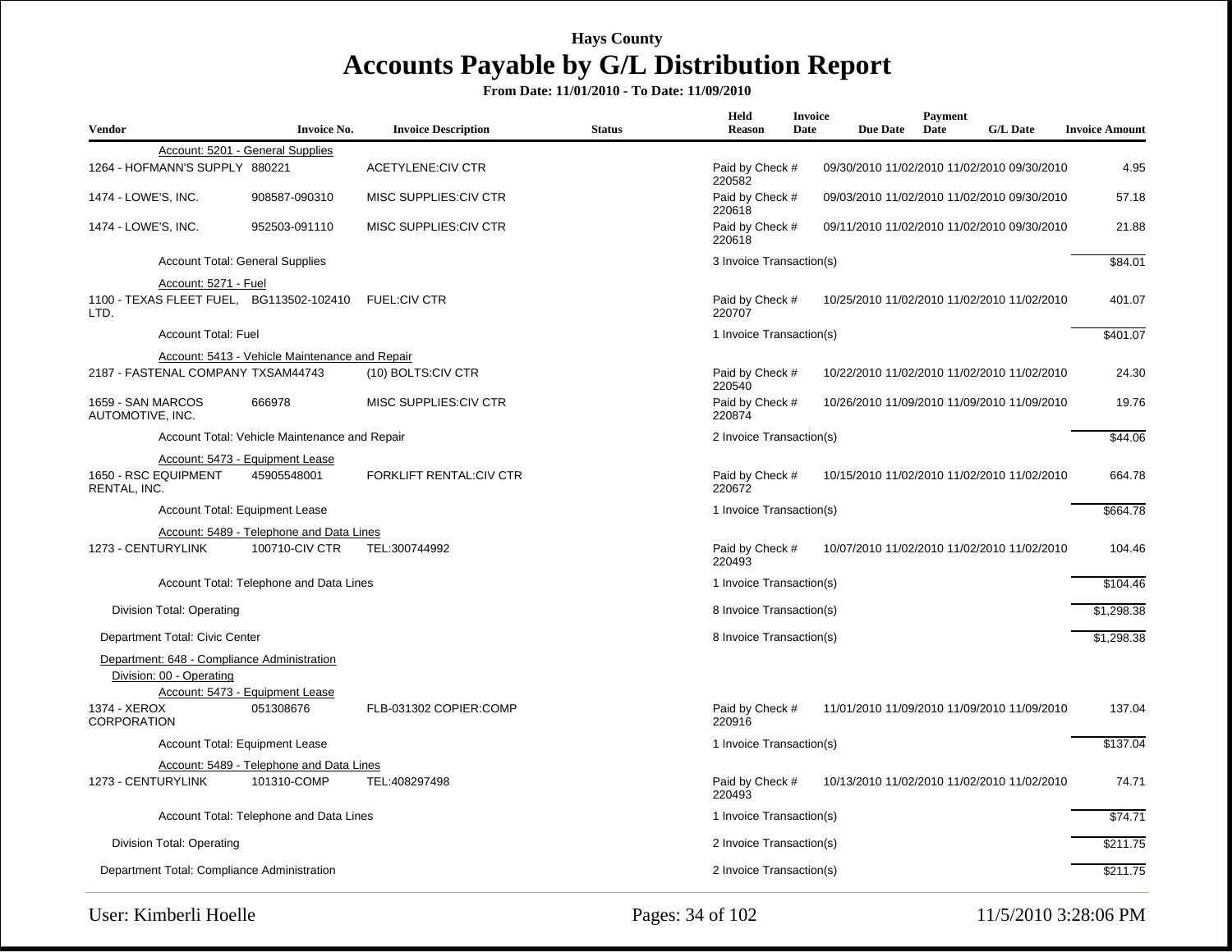| <b>Vendor</b>                         | <b>Invoice No.</b>                                                             | <b>Invoice Description</b>     | <b>Status</b> | Held<br><b>Reason</b>     | <b>Invoice</b><br>Date | <b>Due Date</b> | Payment<br>Date | <b>G/L Date</b>                             | <b>Invoice Amount</b> |
|---------------------------------------|--------------------------------------------------------------------------------|--------------------------------|---------------|---------------------------|------------------------|-----------------|-----------------|---------------------------------------------|-----------------------|
|                                       | Account: 5201 - General Supplies                                               |                                |               |                           |                        |                 |                 |                                             |                       |
| 1264 - HOFMANN'S SUPPLY 880221        |                                                                                | <b>ACETYLENE:CIV CTR</b>       |               | Paid by Check #<br>220582 |                        |                 |                 | 09/30/2010 11/02/2010 11/02/2010 09/30/2010 | 4.95                  |
| 1474 - LOWE'S, INC.                   | 908587-090310                                                                  | MISC SUPPLIES:CIV CTR          |               | Paid by Check #<br>220618 |                        |                 |                 | 09/03/2010 11/02/2010 11/02/2010 09/30/2010 | 57.18                 |
| 1474 - LOWE'S, INC.                   | 952503-091110                                                                  | MISC SUPPLIES: CIV CTR         |               | Paid by Check #<br>220618 |                        |                 |                 | 09/11/2010 11/02/2010 11/02/2010 09/30/2010 | 21.88                 |
|                                       | <b>Account Total: General Supplies</b>                                         |                                |               | 3 Invoice Transaction(s)  |                        |                 |                 |                                             | \$84.01               |
|                                       | Account: 5271 - Fuel                                                           |                                |               |                           |                        |                 |                 |                                             |                       |
| LTD.                                  | 1100 - TEXAS FLEET FUEL, BG113502-102410                                       | <b>FUEL:CIV CTR</b>            |               | Paid by Check #<br>220707 |                        |                 |                 | 10/25/2010 11/02/2010 11/02/2010 11/02/2010 | 401.07                |
|                                       | <b>Account Total: Fuel</b>                                                     |                                |               | 1 Invoice Transaction(s)  |                        |                 |                 |                                             | \$401.07              |
|                                       | Account: 5413 - Vehicle Maintenance and Repair                                 |                                |               |                           |                        |                 |                 |                                             |                       |
|                                       | 2187 - FASTENAL COMPANY TXSAM44743                                             | (10) BOLTS:CIV CTR             |               | Paid by Check #<br>220540 |                        |                 |                 | 10/22/2010 11/02/2010 11/02/2010 11/02/2010 | 24.30                 |
| 1659 - SAN MARCOS<br>AUTOMOTIVE, INC. | 666978                                                                         | MISC SUPPLIES: CIV CTR         |               | Paid by Check #<br>220874 |                        |                 |                 | 10/26/2010 11/09/2010 11/09/2010 11/09/2010 | 19.76                 |
|                                       | Account Total: Vehicle Maintenance and Repair                                  |                                |               | 2 Invoice Transaction(s)  |                        |                 |                 |                                             | \$44.06               |
|                                       | Account: 5473 - Equipment Lease                                                |                                |               |                           |                        |                 |                 |                                             |                       |
| 1650 - RSC EQUIPMENT<br>RENTAL. INC.  | 45905548001                                                                    | <b>FORKLIFT RENTAL:CIV CTR</b> |               | Paid by Check #<br>220672 |                        |                 |                 | 10/15/2010 11/02/2010 11/02/2010 11/02/2010 | 664.78                |
|                                       | Account Total: Equipment Lease                                                 |                                |               | 1 Invoice Transaction(s)  |                        |                 |                 |                                             | \$664.78              |
|                                       | Account: 5489 - Telephone and Data Lines                                       |                                |               |                           |                        |                 |                 |                                             |                       |
| 1273 - CENTURYLINK                    | 100710-CIV CTR                                                                 | TEL:300744992                  |               | Paid by Check #<br>220493 |                        |                 |                 | 10/07/2010 11/02/2010 11/02/2010 11/02/2010 | 104.46                |
|                                       | Account Total: Telephone and Data Lines                                        |                                |               | 1 Invoice Transaction(s)  |                        |                 |                 |                                             | \$104.46              |
| Division Total: Operating             |                                                                                |                                |               | 8 Invoice Transaction(s)  |                        |                 |                 |                                             | \$1,298.38            |
| Department Total: Civic Center        |                                                                                |                                |               | 8 Invoice Transaction(s)  |                        |                 |                 |                                             | \$1,298.38            |
| Division: 00 - Operating              | Department: 648 - Compliance Administration<br>Account: 5473 - Equipment Lease |                                |               |                           |                        |                 |                 |                                             |                       |
| 1374 - XEROX<br><b>CORPORATION</b>    | 051308676                                                                      | FLB-031302 COPIER:COMP         |               | Paid by Check #<br>220916 |                        |                 |                 | 11/01/2010 11/09/2010 11/09/2010 11/09/2010 | 137.04                |
|                                       | Account Total: Equipment Lease                                                 |                                |               | 1 Invoice Transaction(s)  |                        |                 |                 |                                             | \$137.04              |
|                                       | Account: 5489 - Telephone and Data Lines                                       |                                |               |                           |                        |                 |                 |                                             |                       |
| 1273 - CENTURYLINK                    | 101310-COMP                                                                    | TEL:408297498                  |               | Paid by Check #<br>220493 |                        |                 |                 | 10/13/2010 11/02/2010 11/02/2010 11/02/2010 | 74.71                 |
|                                       | Account Total: Telephone and Data Lines                                        |                                |               | 1 Invoice Transaction(s)  |                        |                 |                 |                                             | \$74.71               |
| Division Total: Operating             |                                                                                |                                |               | 2 Invoice Transaction(s)  |                        |                 |                 |                                             | \$211.75              |
|                                       | Department Total: Compliance Administration                                    |                                |               | 2 Invoice Transaction(s)  |                        |                 |                 |                                             | \$211.75              |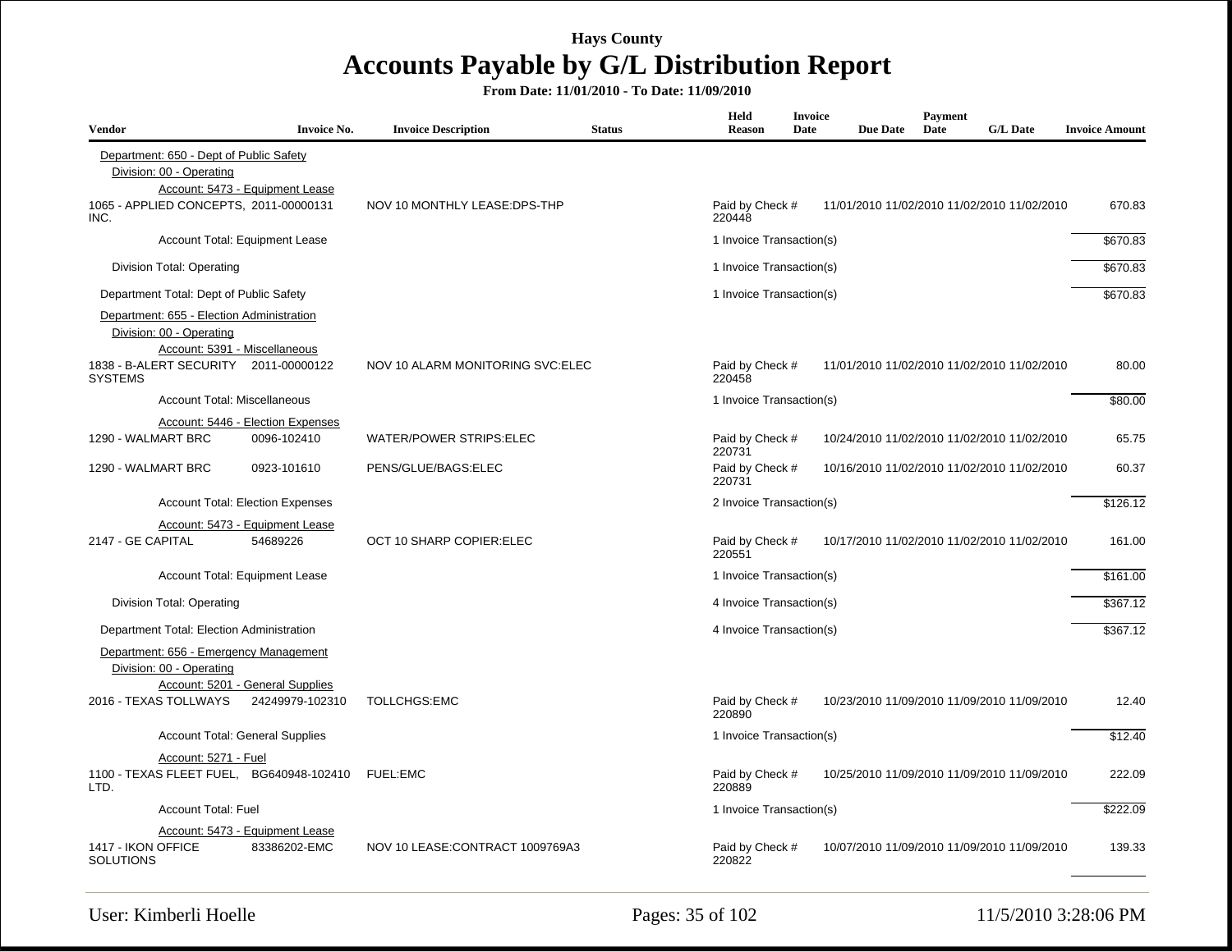| <b>Vendor</b>                                                                                                                                                     | <b>Invoice No.</b>                                  | <b>Invoice Description</b>        | <b>Status</b> | Held<br><b>Reason</b>     | <b>Invoice</b><br>Date | <b>Due Date</b> | <b>Payment</b><br>Date | <b>G/L Date</b>                             | <b>Invoice Amount</b> |
|-------------------------------------------------------------------------------------------------------------------------------------------------------------------|-----------------------------------------------------|-----------------------------------|---------------|---------------------------|------------------------|-----------------|------------------------|---------------------------------------------|-----------------------|
| Department: 650 - Dept of Public Safety<br>Division: 00 - Operating                                                                                               | Account: 5473 - Equipment Lease                     |                                   |               |                           |                        |                 |                        |                                             |                       |
| 1065 - APPLIED CONCEPTS, 2011-00000131<br>INC.                                                                                                                    |                                                     | NOV 10 MONTHLY LEASE: DPS-THP     |               | Paid by Check #<br>220448 |                        |                 |                        | 11/01/2010 11/02/2010 11/02/2010 11/02/2010 | 670.83                |
|                                                                                                                                                                   | Account Total: Equipment Lease                      |                                   |               | 1 Invoice Transaction(s)  |                        |                 |                        |                                             | \$670.83              |
| Division Total: Operating                                                                                                                                         |                                                     |                                   |               | 1 Invoice Transaction(s)  |                        |                 |                        |                                             | \$670.83              |
| Department Total: Dept of Public Safety                                                                                                                           |                                                     |                                   |               | 1 Invoice Transaction(s)  |                        |                 |                        |                                             | \$670.83              |
| Department: 655 - Election Administration<br>Division: 00 - Operating<br>Account: 5391 - Miscellaneous<br>1838 - B-ALERT SECURITY 2011-00000122<br><b>SYSTEMS</b> |                                                     | NOV 10 ALARM MONITORING SVC: ELEC |               | Paid by Check #<br>220458 |                        |                 |                        | 11/01/2010 11/02/2010 11/02/2010 11/02/2010 | 80.00                 |
| Account Total: Miscellaneous                                                                                                                                      |                                                     |                                   |               | 1 Invoice Transaction(s)  |                        |                 |                        |                                             | \$80.00               |
|                                                                                                                                                                   | Account: 5446 - Election Expenses                   |                                   |               |                           |                        |                 |                        |                                             |                       |
| 1290 - WALMART BRC                                                                                                                                                | 0096-102410                                         | <b>WATER/POWER STRIPS:ELEC</b>    |               | Paid by Check #<br>220731 |                        |                 |                        | 10/24/2010 11/02/2010 11/02/2010 11/02/2010 | 65.75                 |
| 1290 - WALMART BRC                                                                                                                                                | 0923-101610                                         | PENS/GLUE/BAGS:ELEC               |               | Paid by Check #<br>220731 |                        |                 |                        | 10/16/2010 11/02/2010 11/02/2010 11/02/2010 | 60.37                 |
|                                                                                                                                                                   | <b>Account Total: Election Expenses</b>             |                                   |               | 2 Invoice Transaction(s)  |                        |                 |                        |                                             | \$126.12              |
| 2147 - GE CAPITAL                                                                                                                                                 | Account: 5473 - Equipment Lease<br>54689226         | OCT 10 SHARP COPIER: ELEC         |               | Paid by Check #<br>220551 |                        |                 |                        | 10/17/2010 11/02/2010 11/02/2010 11/02/2010 | 161.00                |
|                                                                                                                                                                   | Account Total: Equipment Lease                      |                                   |               | 1 Invoice Transaction(s)  |                        |                 |                        |                                             | \$161.00              |
| Division Total: Operating                                                                                                                                         |                                                     |                                   |               | 4 Invoice Transaction(s)  |                        |                 |                        |                                             | \$367.12              |
| Department Total: Election Administration                                                                                                                         |                                                     |                                   |               | 4 Invoice Transaction(s)  |                        |                 |                        |                                             | \$367.12              |
| Department: 656 - Emergency Management<br>Division: 00 - Operating<br>2016 - TEXAS TOLLWAYS                                                                       | Account: 5201 - General Supplies<br>24249979-102310 | <b>TOLLCHGS:EMC</b>               |               | Paid by Check #<br>220890 |                        |                 |                        | 10/23/2010 11/09/2010 11/09/2010 11/09/2010 | 12.40                 |
|                                                                                                                                                                   | <b>Account Total: General Supplies</b>              |                                   |               | 1 Invoice Transaction(s)  |                        |                 |                        |                                             | \$12.40               |
| Account: 5271 - Fuel                                                                                                                                              |                                                     |                                   |               |                           |                        |                 |                        |                                             |                       |
| 1100 - TEXAS FLEET FUEL, BG640948-102410<br>LTD.                                                                                                                  |                                                     | <b>FUEL:EMC</b>                   |               | Paid by Check #<br>220889 |                        |                 |                        | 10/25/2010 11/09/2010 11/09/2010 11/09/2010 | 222.09                |
| <b>Account Total: Fuel</b>                                                                                                                                        |                                                     |                                   |               | 1 Invoice Transaction(s)  |                        |                 |                        |                                             | \$222.09              |
| 1417 - IKON OFFICE<br><b>SOLUTIONS</b>                                                                                                                            | Account: 5473 - Equipment Lease<br>83386202-EMC     | NOV 10 LEASE: CONTRACT 1009769A3  |               | Paid by Check #<br>220822 |                        |                 |                        | 10/07/2010 11/09/2010 11/09/2010 11/09/2010 | 139.33                |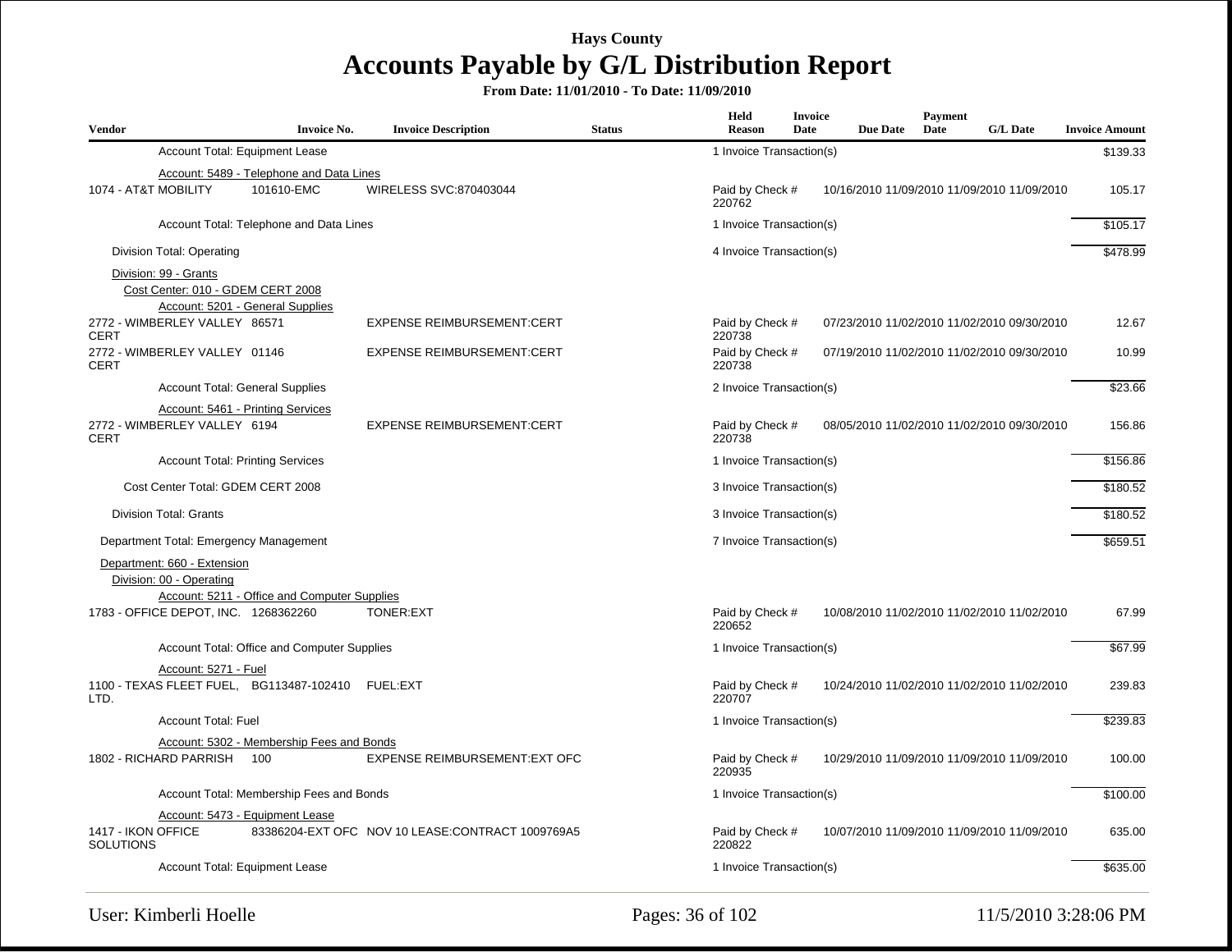| <b>Vendor</b>                                | <b>Invoice No.</b>                                                    | <b>Invoice Description</b>                        | <b>Status</b> | <b>Held</b><br><b>Reason</b> | <b>Invoice</b><br>Date | <b>Due Date</b> | Payment<br>Date | <b>G/L Date</b>                             | <b>Invoice Amount</b> |
|----------------------------------------------|-----------------------------------------------------------------------|---------------------------------------------------|---------------|------------------------------|------------------------|-----------------|-----------------|---------------------------------------------|-----------------------|
|                                              | Account Total: Equipment Lease                                        |                                                   |               | 1 Invoice Transaction(s)     |                        |                 |                 |                                             | \$139.33              |
|                                              | Account: 5489 - Telephone and Data Lines                              |                                                   |               |                              |                        |                 |                 |                                             |                       |
| 1074 - AT&T MOBILITY                         | 101610-EMC                                                            | WIRELESS SVC:870403044                            |               | Paid by Check #<br>220762    |                        |                 |                 | 10/16/2010 11/09/2010 11/09/2010 11/09/2010 | 105.17                |
|                                              | Account Total: Telephone and Data Lines                               |                                                   |               | 1 Invoice Transaction(s)     | \$105.17               |                 |                 |                                             |                       |
| Division Total: Operating                    |                                                                       |                                                   |               | 4 Invoice Transaction(s)     |                        |                 |                 |                                             | \$478.99              |
| Division: 99 - Grants                        |                                                                       |                                                   |               |                              |                        |                 |                 |                                             |                       |
|                                              | Cost Center: 010 - GDEM CERT 2008<br>Account: 5201 - General Supplies |                                                   |               |                              |                        |                 |                 |                                             |                       |
| 2772 - WIMBERLEY VALLEY 86571<br><b>CERT</b> |                                                                       | <b>EXPENSE REIMBURSEMENT:CERT</b>                 |               | Paid by Check #<br>220738    |                        |                 |                 | 07/23/2010 11/02/2010 11/02/2010 09/30/2010 | 12.67                 |
| 2772 - WIMBERLEY VALLEY 01146<br><b>CERT</b> |                                                                       | <b>EXPENSE REIMBURSEMENT:CERT</b>                 |               | Paid by Check #<br>220738    |                        |                 |                 | 07/19/2010 11/02/2010 11/02/2010 09/30/2010 | 10.99                 |
|                                              | <b>Account Total: General Supplies</b>                                |                                                   |               | 2 Invoice Transaction(s)     |                        |                 |                 |                                             | \$23.66               |
|                                              | Account: 5461 - Printing Services                                     |                                                   |               |                              |                        |                 |                 |                                             |                       |
| 2772 - WIMBERLEY VALLEY 6194<br><b>CERT</b>  |                                                                       | <b>EXPENSE REIMBURSEMENT:CERT</b>                 |               | Paid by Check #<br>220738    |                        |                 |                 | 08/05/2010 11/02/2010 11/02/2010 09/30/2010 | 156.86                |
|                                              | <b>Account Total: Printing Services</b>                               |                                                   |               | 1 Invoice Transaction(s)     |                        |                 |                 |                                             | \$156.86              |
|                                              | Cost Center Total: GDEM CERT 2008                                     | 3 Invoice Transaction(s)                          |               |                              |                        | \$180.52        |                 |                                             |                       |
| <b>Division Total: Grants</b>                |                                                                       |                                                   |               | 3 Invoice Transaction(s)     |                        |                 | \$180.52        |                                             |                       |
|                                              | Department Total: Emergency Management                                |                                                   |               | 7 Invoice Transaction(s)     |                        |                 |                 |                                             | \$659.51              |
| Department: 660 - Extension                  |                                                                       |                                                   |               |                              |                        |                 |                 |                                             |                       |
| Division: 00 - Operating                     |                                                                       |                                                   |               |                              |                        |                 |                 |                                             |                       |
|                                              | Account: 5211 - Office and Computer Supplies                          |                                                   |               |                              |                        |                 |                 |                                             |                       |
| 1783 - OFFICE DEPOT, INC. 1268362260         |                                                                       | <b>TONER:EXT</b>                                  |               | Paid by Check #<br>220652    |                        |                 |                 | 10/08/2010 11/02/2010 11/02/2010 11/02/2010 | 67.99                 |
|                                              | Account Total: Office and Computer Supplies                           |                                                   |               | 1 Invoice Transaction(s)     |                        |                 |                 |                                             | \$67.99               |
|                                              | Account: 5271 - Fuel                                                  |                                                   |               |                              |                        |                 |                 |                                             |                       |
| LTD.                                         | 1100 - TEXAS FLEET FUEL, BG113487-102410 FUEL:EXT                     |                                                   |               | Paid by Check #<br>220707    |                        |                 |                 | 10/24/2010 11/02/2010 11/02/2010 11/02/2010 | 239.83                |
|                                              | <b>Account Total: Fuel</b>                                            |                                                   |               | 1 Invoice Transaction(s)     |                        |                 |                 |                                             | \$239.83              |
|                                              | Account: 5302 - Membership Fees and Bonds                             |                                                   |               |                              |                        |                 |                 |                                             |                       |
| 1802 - RICHARD PARRISH 100                   |                                                                       | <b>EXPENSE REIMBURSEMENT: EXT OFC</b>             |               | Paid by Check #<br>220935    |                        |                 |                 | 10/29/2010 11/09/2010 11/09/2010 11/09/2010 | 100.00                |
|                                              | Account Total: Membership Fees and Bonds                              |                                                   |               | 1 Invoice Transaction(s)     |                        |                 |                 |                                             | \$100.00              |
|                                              | Account: 5473 - Equipment Lease                                       |                                                   |               |                              |                        |                 |                 |                                             |                       |
| 1417 - IKON OFFICE<br><b>SOLUTIONS</b>       |                                                                       | 83386204-EXT OFC NOV 10 LEASE: CONTRACT 1009769A5 |               | Paid by Check #<br>220822    |                        |                 |                 | 10/07/2010 11/09/2010 11/09/2010 11/09/2010 | 635.00                |
|                                              | Account Total: Equipment Lease                                        |                                                   |               | 1 Invoice Transaction(s)     |                        |                 |                 |                                             | \$635.00              |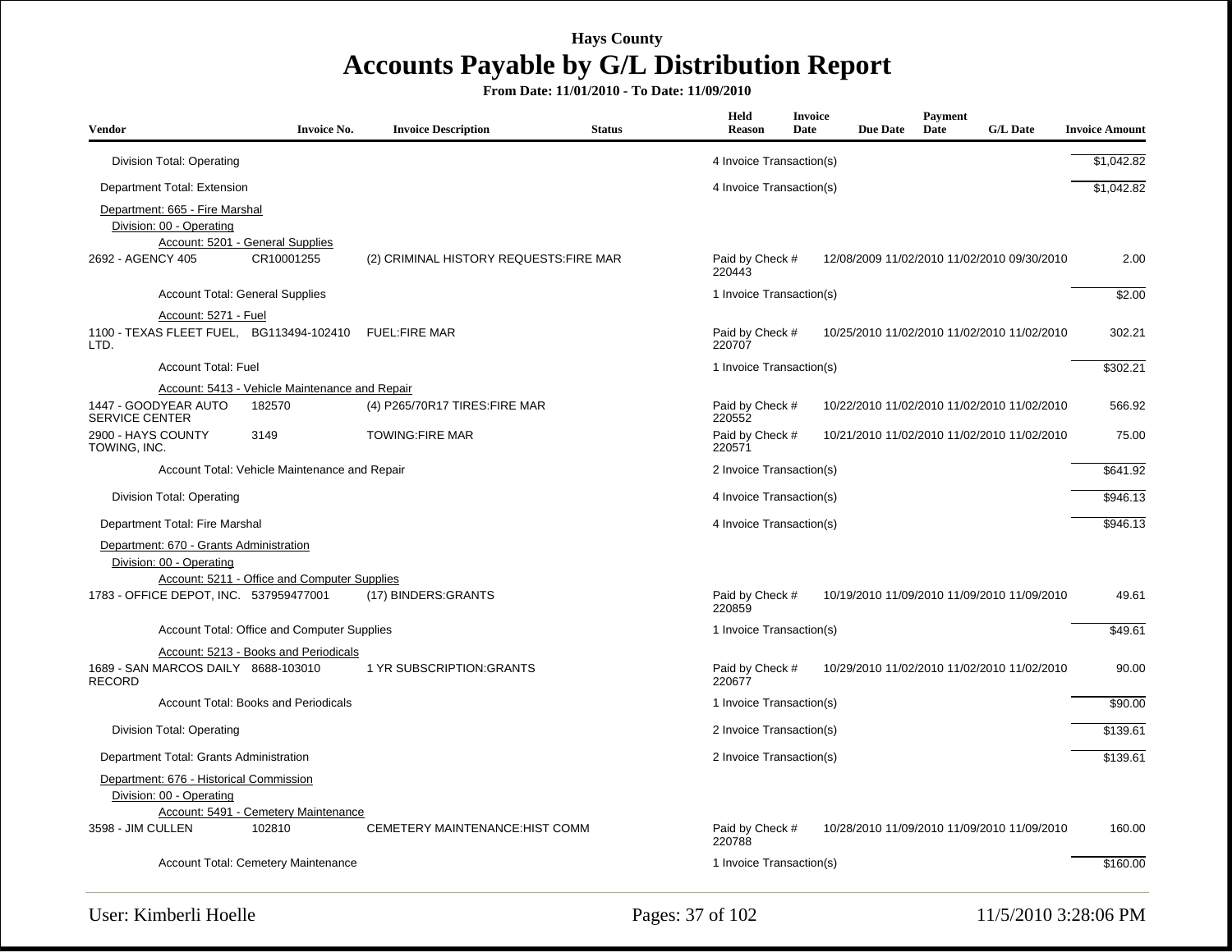| Vendor                                                              | <b>Invoice No.</b>                             | <b>Invoice Description</b>              | <b>Status</b> | <b>Held</b><br><b>Reason</b>                                             | <b>Invoice</b><br>Date | <b>Due Date</b> | <b>Payment</b><br>Date | <b>G/L Date</b>                             | <b>Invoice Amount</b> |
|---------------------------------------------------------------------|------------------------------------------------|-----------------------------------------|---------------|--------------------------------------------------------------------------|------------------------|-----------------|------------------------|---------------------------------------------|-----------------------|
| Division Total: Operating                                           |                                                |                                         |               | 4 Invoice Transaction(s)                                                 |                        |                 |                        |                                             | \$1,042.82            |
| Department Total: Extension                                         |                                                |                                         |               | 4 Invoice Transaction(s)                                                 |                        |                 |                        |                                             | \$1,042.82            |
| Department: 665 - Fire Marshal<br>Division: 00 - Operating          | Account: 5201 - General Supplies               |                                         |               |                                                                          |                        |                 |                        |                                             |                       |
| 2692 - AGENCY 405                                                   | CR10001255                                     | (2) CRIMINAL HISTORY REQUESTS: FIRE MAR |               | Paid by Check #<br>220443                                                |                        |                 |                        | 12/08/2009 11/02/2010 11/02/2010 09/30/2010 | 2.00                  |
|                                                                     | <b>Account Total: General Supplies</b>         |                                         |               | 1 Invoice Transaction(s)                                                 |                        |                 |                        |                                             | \$2.00                |
| Account: 5271 - Fuel                                                |                                                |                                         |               |                                                                          |                        |                 |                        |                                             |                       |
| 1100 - TEXAS FLEET FUEL, BG113494-102410<br>LTD.                    |                                                | <b>FUEL:FIRE MAR</b>                    |               | Paid by Check #<br>220707                                                |                        |                 |                        | 10/25/2010 11/02/2010 11/02/2010 11/02/2010 | 302.21                |
| <b>Account Total: Fuel</b>                                          |                                                |                                         |               | 1 Invoice Transaction(s)                                                 |                        |                 |                        |                                             | \$302.21              |
|                                                                     | Account: 5413 - Vehicle Maintenance and Repair |                                         |               |                                                                          |                        |                 |                        |                                             |                       |
| 1447 - GOODYEAR AUTO<br><b>SERVICE CENTER</b>                       | 182570                                         | (4) P265/70R17 TIRES: FIRE MAR          |               | Paid by Check #<br>220552                                                |                        |                 |                        | 10/22/2010 11/02/2010 11/02/2010 11/02/2010 | 566.92                |
| 2900 - HAYS COUNTY<br>TOWING, INC.                                  | 3149                                           | <b>TOWING:FIRE MAR</b>                  |               | Paid by Check #<br>10/21/2010 11/02/2010 11/02/2010 11/02/2010<br>220571 |                        |                 |                        |                                             | 75.00                 |
|                                                                     | Account Total: Vehicle Maintenance and Repair  |                                         |               | 2 Invoice Transaction(s)                                                 | \$641.92               |                 |                        |                                             |                       |
| Division Total: Operating                                           |                                                |                                         |               | 4 Invoice Transaction(s)                                                 |                        |                 |                        |                                             | \$946.13              |
| Department Total: Fire Marshal                                      |                                                |                                         |               | 4 Invoice Transaction(s)                                                 |                        |                 |                        |                                             | \$946.13              |
| Department: 670 - Grants Administration                             |                                                |                                         |               |                                                                          |                        |                 |                        |                                             |                       |
| Division: 00 - Operating                                            | Account: 5211 - Office and Computer Supplies   |                                         |               |                                                                          |                        |                 |                        |                                             |                       |
| 1783 - OFFICE DEPOT, INC. 537959477001                              |                                                | (17) BINDERS: GRANTS                    |               | Paid by Check #<br>220859                                                |                        |                 |                        | 10/19/2010 11/09/2010 11/09/2010 11/09/2010 | 49.61                 |
|                                                                     | Account Total: Office and Computer Supplies    |                                         |               | 1 Invoice Transaction(s)                                                 |                        |                 |                        |                                             | \$49.61               |
|                                                                     | Account: 5213 - Books and Periodicals          |                                         |               |                                                                          |                        |                 |                        |                                             |                       |
| 1689 - SAN MARCOS DAILY 8688-103010<br><b>RECORD</b>                |                                                | 1 YR SUBSCRIPTION: GRANTS               |               | Paid by Check #<br>220677                                                |                        |                 |                        | 10/29/2010 11/02/2010 11/02/2010 11/02/2010 | 90.00                 |
|                                                                     | Account Total: Books and Periodicals           |                                         |               | 1 Invoice Transaction(s)                                                 |                        |                 |                        |                                             | \$90.00               |
| Division Total: Operating                                           |                                                |                                         |               | 2 Invoice Transaction(s)                                                 |                        |                 |                        |                                             | \$139.61              |
| Department Total: Grants Administration                             |                                                |                                         |               | 2 Invoice Transaction(s)                                                 |                        |                 |                        |                                             | \$139.61              |
| Department: 676 - Historical Commission<br>Division: 00 - Operating | Account: 5491 - Cemetery Maintenance           |                                         |               |                                                                          |                        |                 |                        |                                             |                       |
| 3598 - JIM CULLEN                                                   | 102810                                         | <b>CEMETERY MAINTENANCE: HIST COMM</b>  |               | Paid by Check #<br>220788                                                |                        |                 |                        | 10/28/2010 11/09/2010 11/09/2010 11/09/2010 | 160.00                |
|                                                                     | Account Total: Cemetery Maintenance            |                                         |               | 1 Invoice Transaction(s)                                                 |                        |                 |                        |                                             | \$160.00              |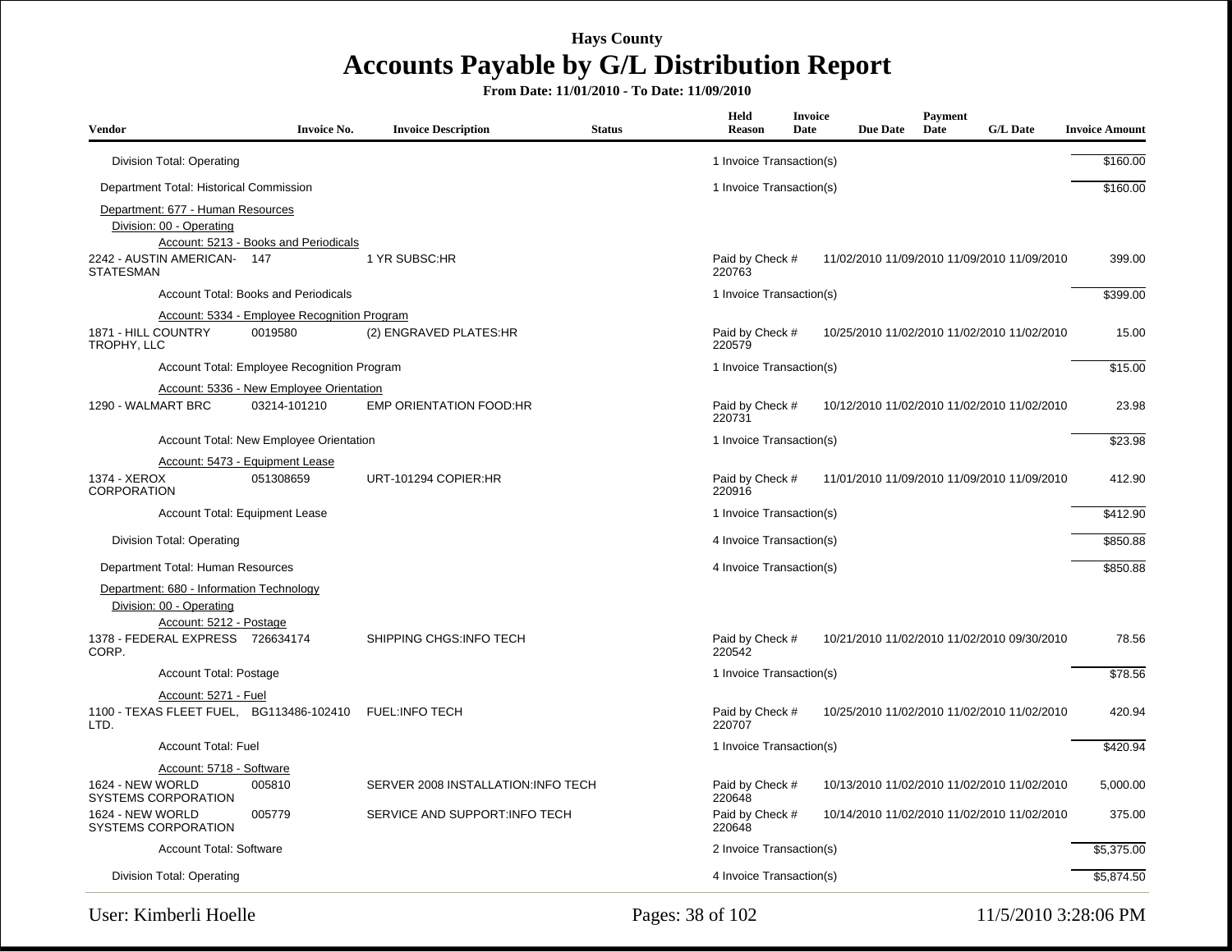| <b>Vendor</b>                                                                                   | <b>Invoice No.</b>                                       | <b>Invoice Description</b>         | <b>Status</b> | Held<br>Reason            | Invoice<br>Date | <b>Due Date</b> | <b>Payment</b><br>Date | <b>G/L Date</b>                             | <b>Invoice Amount</b> |
|-------------------------------------------------------------------------------------------------|----------------------------------------------------------|------------------------------------|---------------|---------------------------|-----------------|-----------------|------------------------|---------------------------------------------|-----------------------|
| Division Total: Operating                                                                       |                                                          |                                    |               | 1 Invoice Transaction(s)  |                 |                 |                        |                                             | \$160.00              |
| Department Total: Historical Commission                                                         |                                                          |                                    |               | 1 Invoice Transaction(s)  |                 |                 |                        |                                             | \$160.00              |
| Department: 677 - Human Resources<br>Division: 00 - Operating                                   | Account: 5213 - Books and Periodicals                    |                                    |               |                           |                 |                 |                        |                                             |                       |
| 2242 - AUSTIN AMERICAN- 147<br><b>STATESMAN</b>                                                 |                                                          | 1 YR SUBSC:HR                      |               | Paid by Check #<br>220763 |                 |                 |                        | 11/02/2010 11/09/2010 11/09/2010 11/09/2010 | 399.00                |
|                                                                                                 | Account Total: Books and Periodicals                     |                                    |               | 1 Invoice Transaction(s)  |                 |                 |                        |                                             | \$399.00              |
|                                                                                                 | Account: 5334 - Employee Recognition Program             |                                    |               |                           |                 |                 |                        |                                             |                       |
| 1871 - HILL COUNTRY<br>TROPHY, LLC                                                              | 0019580                                                  | (2) ENGRAVED PLATES:HR             |               | Paid by Check #<br>220579 |                 |                 |                        | 10/25/2010 11/02/2010 11/02/2010 11/02/2010 | 15.00                 |
|                                                                                                 | Account Total: Employee Recognition Program              |                                    |               | 1 Invoice Transaction(s)  |                 |                 |                        |                                             | \$15.00               |
| 1290 - WALMART BRC                                                                              | Account: 5336 - New Employee Orientation<br>03214-101210 | <b>EMP ORIENTATION FOOD:HR</b>     |               | Paid by Check #<br>220731 |                 |                 |                        | 10/12/2010 11/02/2010 11/02/2010 11/02/2010 | 23.98                 |
|                                                                                                 | Account Total: New Employee Orientation                  |                                    |               | 1 Invoice Transaction(s)  |                 |                 |                        |                                             | \$23.98               |
|                                                                                                 | Account: 5473 - Equipment Lease                          |                                    |               |                           |                 |                 |                        |                                             |                       |
| 1374 - XEROX<br><b>CORPORATION</b>                                                              | 051308659                                                | URT-101294 COPIER:HR               |               | Paid by Check #<br>220916 |                 |                 |                        | 11/01/2010 11/09/2010 11/09/2010 11/09/2010 | 412.90                |
|                                                                                                 | Account Total: Equipment Lease                           |                                    |               | 1 Invoice Transaction(s)  |                 |                 |                        |                                             | \$412.90              |
| Division Total: Operating                                                                       |                                                          |                                    |               | 4 Invoice Transaction(s)  |                 |                 |                        |                                             | \$850.88              |
| Department Total: Human Resources                                                               |                                                          |                                    |               | 4 Invoice Transaction(s)  |                 |                 |                        |                                             | \$850.88              |
| Department: 680 - Information Technology<br>Division: 00 - Operating<br>Account: 5212 - Postage |                                                          |                                    |               |                           |                 |                 |                        |                                             |                       |
| 1378 - FEDERAL EXPRESS 726634174<br>CORP.                                                       |                                                          | SHIPPING CHGS: INFO TECH           |               | Paid by Check #<br>220542 |                 |                 |                        | 10/21/2010 11/02/2010 11/02/2010 09/30/2010 | 78.56                 |
| Account Total: Postage                                                                          |                                                          |                                    |               | 1 Invoice Transaction(s)  |                 |                 |                        |                                             | \$78.56               |
| Account: 5271 - Fuel<br>1100 - TEXAS FLEET FUEL, BG113486-102410<br>LTD.                        |                                                          | <b>FUEL:INFO TECH</b>              |               | Paid by Check #<br>220707 |                 |                 |                        | 10/25/2010 11/02/2010 11/02/2010 11/02/2010 | 420.94                |
| <b>Account Total: Fuel</b>                                                                      |                                                          |                                    |               | 1 Invoice Transaction(s)  |                 |                 |                        |                                             | \$420.94              |
| Account: 5718 - Software                                                                        |                                                          |                                    |               |                           |                 |                 |                        |                                             |                       |
| 1624 - NEW WORLD<br><b>SYSTEMS CORPORATION</b>                                                  | 005810                                                   | SERVER 2008 INSTALLATION:INFO TECH |               | Paid by Check #<br>220648 |                 |                 |                        | 10/13/2010 11/02/2010 11/02/2010 11/02/2010 | 5,000.00              |
| 1624 - NEW WORLD<br><b>SYSTEMS CORPORATION</b>                                                  | 005779                                                   | SERVICE AND SUPPORT: INFO TECH     |               | Paid by Check #<br>220648 |                 |                 |                        | 10/14/2010 11/02/2010 11/02/2010 11/02/2010 | 375.00                |
| Account Total: Software                                                                         |                                                          |                                    |               | 2 Invoice Transaction(s)  |                 |                 |                        |                                             | \$5,375.00            |
| Division Total: Operating                                                                       |                                                          |                                    |               | 4 Invoice Transaction(s)  |                 |                 |                        |                                             | \$5,874.50            |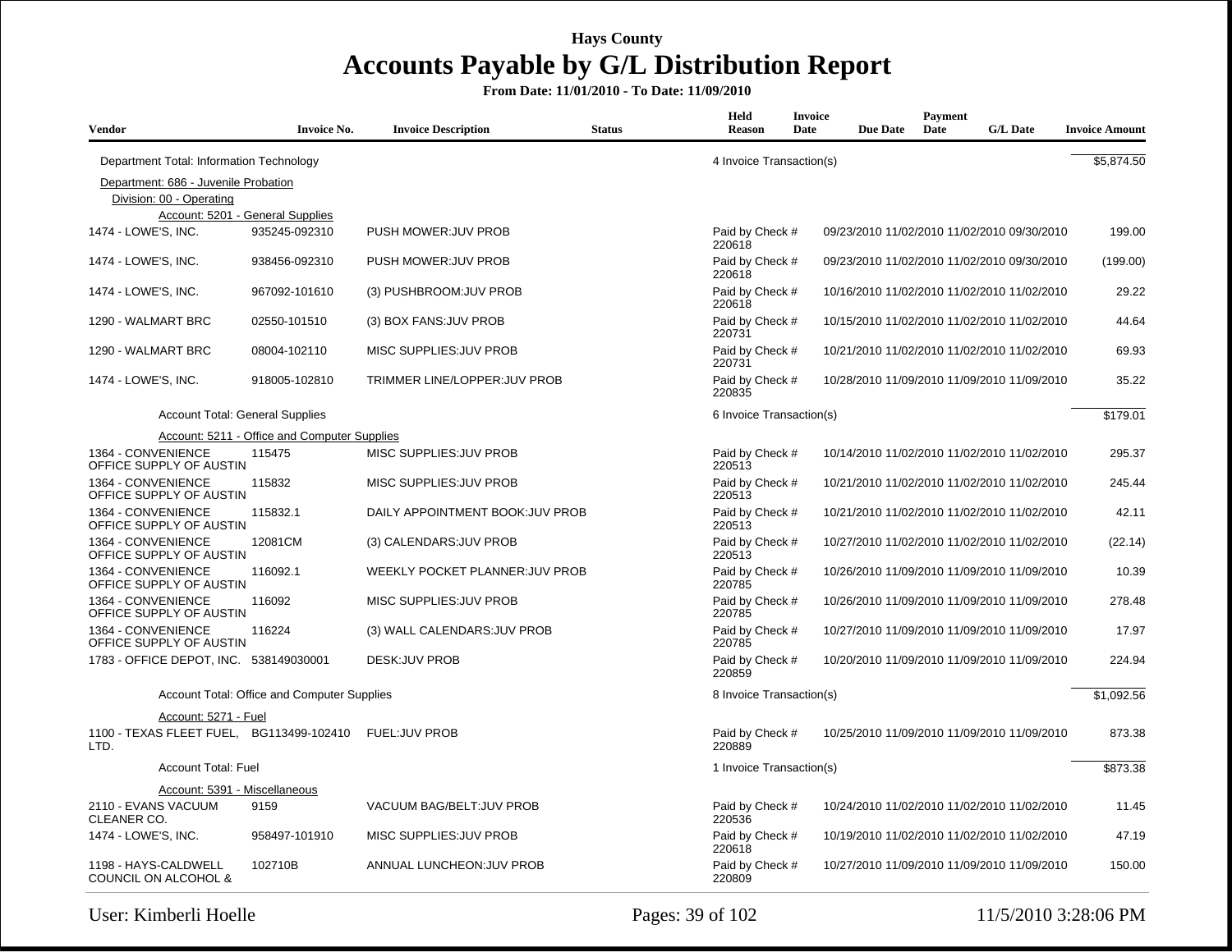| <b>Vendor</b>                                           | <b>Invoice No.</b>                           | <b>Invoice Description</b>           | <b>Status</b> | Held<br><b>Reason</b>     | <b>Invoice</b><br>Date | <b>Due Date</b>                             | Payment<br>Date | <b>G/L Date</b> | <b>Invoice Amount</b> |
|---------------------------------------------------------|----------------------------------------------|--------------------------------------|---------------|---------------------------|------------------------|---------------------------------------------|-----------------|-----------------|-----------------------|
| Department Total: Information Technology                |                                              |                                      |               | 4 Invoice Transaction(s)  |                        |                                             |                 |                 | \$5,874.50            |
| Department: 686 - Juvenile Probation                    |                                              |                                      |               |                           |                        |                                             |                 |                 |                       |
| Division: 00 - Operating                                |                                              |                                      |               |                           |                        |                                             |                 |                 |                       |
|                                                         | Account: 5201 - General Supplies             |                                      |               |                           |                        |                                             |                 |                 |                       |
| 1474 - LOWE'S, INC.                                     | 935245-092310                                | PUSH MOWER: JUV PROB                 |               | Paid by Check #<br>220618 |                        | 09/23/2010 11/02/2010 11/02/2010 09/30/2010 |                 |                 | 199.00                |
| 1474 - LOWE'S, INC.                                     | 938456-092310                                | PUSH MOWER: JUV PROB                 |               | Paid by Check #<br>220618 |                        | 09/23/2010 11/02/2010 11/02/2010 09/30/2010 |                 |                 | (199.00)              |
| 1474 - LOWE'S, INC.                                     | 967092-101610                                | (3) PUSHBROOM: JUV PROB              |               | Paid by Check #<br>220618 |                        | 10/16/2010 11/02/2010 11/02/2010 11/02/2010 |                 |                 | 29.22                 |
| 1290 - WALMART BRC                                      | 02550-101510                                 | (3) BOX FANS: JUV PROB               |               | Paid by Check #<br>220731 |                        | 10/15/2010 11/02/2010 11/02/2010 11/02/2010 |                 |                 | 44.64                 |
| 1290 - WALMART BRC                                      | 08004-102110                                 | MISC SUPPLIES: JUV PROB              |               | Paid by Check #<br>220731 |                        | 10/21/2010 11/02/2010 11/02/2010 11/02/2010 |                 |                 | 69.93                 |
| 1474 - LOWE'S, INC.                                     | 918005-102810                                | <b>TRIMMER LINE/LOPPER: JUV PROB</b> |               | Paid by Check #<br>220835 |                        | 10/28/2010 11/09/2010 11/09/2010 11/09/2010 |                 |                 | 35.22                 |
| <b>Account Total: General Supplies</b>                  |                                              |                                      |               | 6 Invoice Transaction(s)  |                        |                                             |                 |                 | \$179.01              |
|                                                         | Account: 5211 - Office and Computer Supplies |                                      |               |                           |                        |                                             |                 |                 |                       |
| 1364 - CONVENIENCE<br>OFFICE SUPPLY OF AUSTIN           | 115475                                       | MISC SUPPLIES: JUV PROB              |               | Paid by Check #<br>220513 |                        | 10/14/2010 11/02/2010 11/02/2010 11/02/2010 |                 |                 | 295.37                |
| 1364 - CONVENIENCE<br>OFFICE SUPPLY OF AUSTIN           | 115832                                       | MISC SUPPLIES: JUV PROB              |               | Paid by Check #<br>220513 |                        | 10/21/2010 11/02/2010 11/02/2010 11/02/2010 |                 |                 | 245.44                |
| 1364 - CONVENIENCE<br>OFFICE SUPPLY OF AUSTIN           | 115832.1                                     | DAILY APPOINTMENT BOOK: JUV PROB     |               | Paid by Check #<br>220513 |                        | 10/21/2010 11/02/2010 11/02/2010 11/02/2010 |                 |                 | 42.11                 |
| 1364 - CONVENIENCE<br>OFFICE SUPPLY OF AUSTIN           | 12081CM                                      | (3) CALENDARS: JUV PROB              |               | Paid by Check #<br>220513 |                        | 10/27/2010 11/02/2010 11/02/2010 11/02/2010 |                 |                 | (22.14)               |
| 1364 - CONVENIENCE<br>OFFICE SUPPLY OF AUSTIN           | 116092.1                                     | WEEKLY POCKET PLANNER: JUV PROB      |               | Paid by Check #<br>220785 |                        | 10/26/2010 11/09/2010 11/09/2010 11/09/2010 |                 |                 | 10.39                 |
| 1364 - CONVENIENCE<br>OFFICE SUPPLY OF AUSTIN           | 116092                                       | MISC SUPPLIES: JUV PROB              |               | Paid by Check #<br>220785 |                        | 10/26/2010 11/09/2010 11/09/2010 11/09/2010 |                 |                 | 278.48                |
| 1364 - CONVENIENCE<br>OFFICE SUPPLY OF AUSTIN           | 116224                                       | (3) WALL CALENDARS: JUV PROB         |               | Paid by Check #<br>220785 |                        | 10/27/2010 11/09/2010 11/09/2010 11/09/2010 |                 |                 | 17.97                 |
| 1783 - OFFICE DEPOT, INC. 538149030001                  |                                              | <b>DESK:JUV PROB</b>                 |               | Paid by Check #<br>220859 |                        | 10/20/2010 11/09/2010 11/09/2010 11/09/2010 |                 |                 | 224.94                |
|                                                         | Account Total: Office and Computer Supplies  |                                      |               | 8 Invoice Transaction(s)  |                        |                                             |                 |                 | \$1,092.56            |
| Account: 5271 - Fuel                                    |                                              |                                      |               |                           |                        |                                             |                 |                 |                       |
| 1100 - TEXAS FLEET FUEL,<br>LTD.                        | BG113499-102410 FUEL:JUV PROB                |                                      |               | Paid by Check #<br>220889 |                        | 10/25/2010 11/09/2010 11/09/2010 11/09/2010 |                 |                 | 873.38                |
| <b>Account Total: Fuel</b>                              |                                              |                                      |               | 1 Invoice Transaction(s)  |                        |                                             |                 |                 | \$873.38              |
| Account: 5391 - Miscellaneous                           |                                              |                                      |               |                           |                        |                                             |                 |                 |                       |
| 2110 - EVANS VACUUM<br>CLEANER CO.                      | 9159                                         | VACUUM BAG/BELT: JUV PROB            |               | Paid by Check #<br>220536 |                        | 10/24/2010 11/02/2010 11/02/2010 11/02/2010 |                 |                 | 11.45                 |
| 1474 - LOWE'S, INC.                                     | 958497-101910                                | MISC SUPPLIES: JUV PROB              |               | Paid by Check #<br>220618 |                        | 10/19/2010 11/02/2010 11/02/2010 11/02/2010 |                 |                 | 47.19                 |
| 1198 - HAYS-CALDWELL<br><b>COUNCIL ON ALCOHOL &amp;</b> | 102710B                                      | ANNUAL LUNCHEON: JUV PROB            |               | Paid by Check #<br>220809 |                        | 10/27/2010 11/09/2010 11/09/2010 11/09/2010 |                 |                 | 150.00                |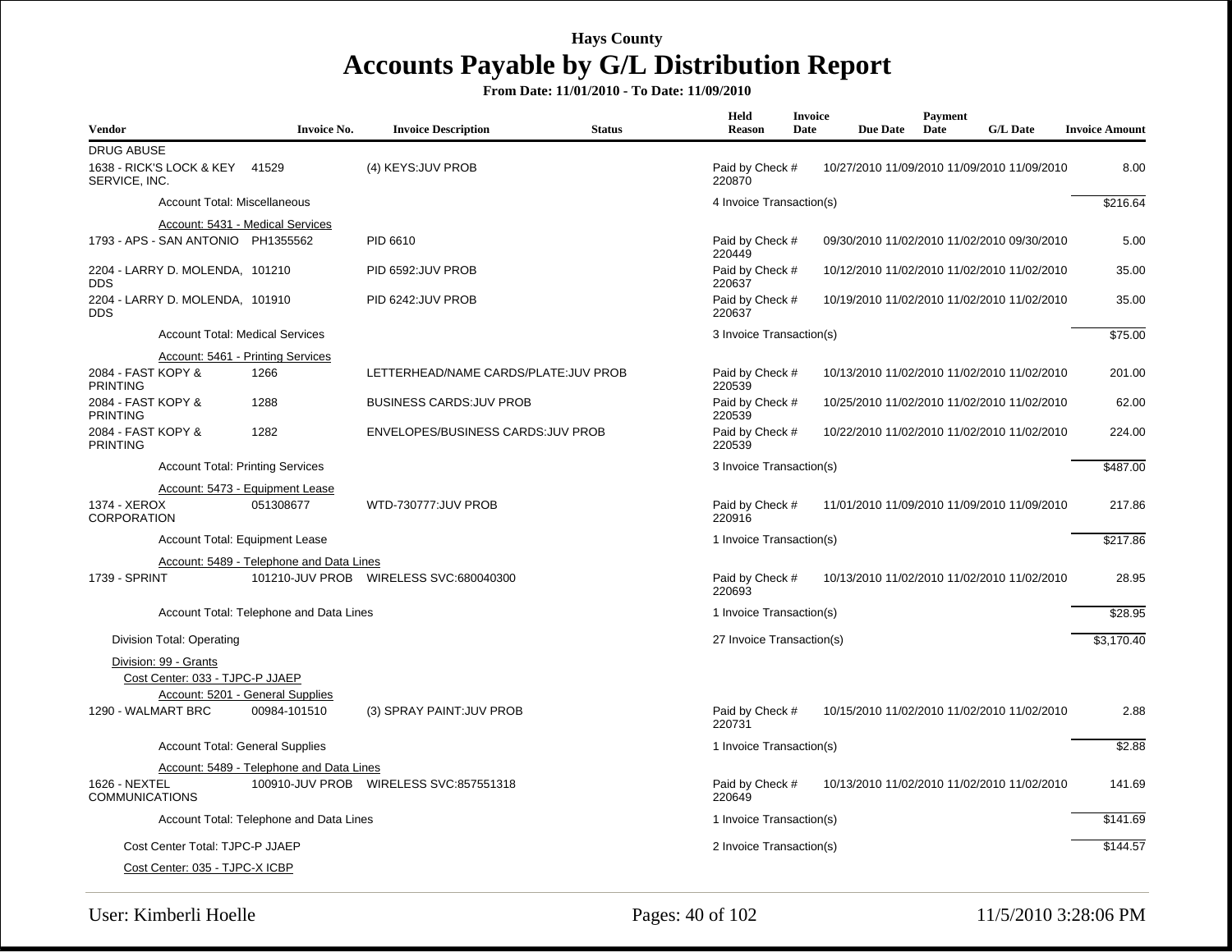**From Date: 11/01/2010 - To Date: 11/09/2010**

| <b>Vendor</b>                                   | <b>Invoice No.</b>                       | <b>Invoice Description</b>                | <b>Status</b> | Held<br>Reason            | <b>Invoice</b><br>Date | <b>Due Date</b> | Payment<br>Date | <b>G/L Date</b>                             | <b>Invoice Amount</b> |
|-------------------------------------------------|------------------------------------------|-------------------------------------------|---------------|---------------------------|------------------------|-----------------|-----------------|---------------------------------------------|-----------------------|
| <b>DRUG ABUSE</b>                               |                                          |                                           |               |                           |                        |                 |                 |                                             |                       |
| 1638 - RICK'S LOCK & KEY 41529<br>SERVICE, INC. |                                          | (4) KEYS: JUV PROB                        |               | Paid by Check #<br>220870 |                        |                 |                 | 10/27/2010 11/09/2010 11/09/2010 11/09/2010 | 8.00                  |
| Account Total: Miscellaneous                    |                                          |                                           |               | 4 Invoice Transaction(s)  |                        |                 |                 |                                             | \$216.64              |
|                                                 | Account: 5431 - Medical Services         |                                           |               |                           |                        |                 |                 |                                             |                       |
| 1793 - APS - SAN ANTONIO PH1355562              |                                          | PID 6610                                  |               | Paid by Check #<br>220449 |                        |                 |                 | 09/30/2010 11/02/2010 11/02/2010 09/30/2010 | 5.00                  |
| 2204 - LARRY D. MOLENDA, 101210<br><b>DDS</b>   |                                          | PID 6592: JUV PROB                        |               | Paid by Check #<br>220637 |                        |                 |                 | 10/12/2010 11/02/2010 11/02/2010 11/02/2010 | 35.00                 |
| 2204 - LARRY D. MOLENDA, 101910<br><b>DDS</b>   |                                          | PID 6242:JUV PROB                         |               | Paid by Check #<br>220637 |                        |                 |                 | 10/19/2010 11/02/2010 11/02/2010 11/02/2010 | 35.00                 |
|                                                 | <b>Account Total: Medical Services</b>   |                                           |               | 3 Invoice Transaction(s)  |                        |                 |                 |                                             | \$75.00               |
|                                                 | Account: 5461 - Printing Services        |                                           |               |                           |                        |                 |                 |                                             |                       |
| 2084 - FAST KOPY &<br><b>PRINTING</b>           | 1266                                     | LETTERHEAD/NAME CARDS/PLATE:JUV PROB      |               | Paid by Check #<br>220539 |                        |                 |                 | 10/13/2010 11/02/2010 11/02/2010 11/02/2010 | 201.00                |
| 2084 - FAST KOPY &<br><b>PRINTING</b>           | 1288                                     | <b>BUSINESS CARDS: JUV PROB</b>           |               | Paid by Check #<br>220539 |                        |                 |                 | 10/25/2010 11/02/2010 11/02/2010 11/02/2010 | 62.00                 |
| 2084 - FAST KOPY &<br><b>PRINTING</b>           | 1282                                     | ENVELOPES/BUSINESS CARDS: JUV PROB        |               | Paid by Check #<br>220539 |                        |                 |                 | 10/22/2010 11/02/2010 11/02/2010 11/02/2010 | 224.00                |
|                                                 | <b>Account Total: Printing Services</b>  |                                           |               | 3 Invoice Transaction(s)  |                        |                 |                 |                                             | \$487.00              |
|                                                 | Account: 5473 - Equipment Lease          |                                           |               |                           |                        |                 |                 |                                             |                       |
| 1374 - XEROX<br><b>CORPORATION</b>              | 051308677                                | <b>WTD-730777:JUV PROB</b>                |               | Paid by Check #<br>220916 |                        |                 |                 | 11/01/2010 11/09/2010 11/09/2010 11/09/2010 | 217.86                |
|                                                 | Account Total: Equipment Lease           |                                           |               | 1 Invoice Transaction(s)  |                        |                 |                 |                                             | \$217.86              |
|                                                 | Account: 5489 - Telephone and Data Lines |                                           |               |                           |                        |                 |                 |                                             |                       |
| 1739 - SPRINT                                   |                                          | 101210-JUV PROB    WIRELESS SVC:680040300 |               | Paid by Check #<br>220693 |                        |                 |                 | 10/13/2010 11/02/2010 11/02/2010 11/02/2010 | 28.95                 |
|                                                 | Account Total: Telephone and Data Lines  |                                           |               | 1 Invoice Transaction(s)  |                        |                 |                 |                                             | \$28.95               |
| Division Total: Operating                       |                                          |                                           |               | 27 Invoice Transaction(s) |                        |                 |                 |                                             | \$3,170.40            |
| Division: 99 - Grants                           |                                          |                                           |               |                           |                        |                 |                 |                                             |                       |
| Cost Center: 033 - TJPC-P JJAEP                 |                                          |                                           |               |                           |                        |                 |                 |                                             |                       |
|                                                 | Account: 5201 - General Supplies         |                                           |               |                           |                        |                 |                 |                                             |                       |
| 1290 - WALMART BRC                              | 00984-101510                             | (3) SPRAY PAINT: JUV PROB                 |               | Paid by Check #<br>220731 |                        |                 |                 | 10/15/2010 11/02/2010 11/02/2010 11/02/2010 | 2.88                  |
|                                                 | <b>Account Total: General Supplies</b>   |                                           |               | 1 Invoice Transaction(s)  |                        |                 |                 |                                             | \$2.88                |
|                                                 | Account: 5489 - Telephone and Data Lines |                                           |               |                           |                        |                 |                 |                                             |                       |
| 1626 - NEXTEL<br><b>COMMUNICATIONS</b>          |                                          | 100910-JUV PROB    WIRELESS SVC:857551318 |               | Paid by Check #<br>220649 |                        |                 |                 | 10/13/2010 11/02/2010 11/02/2010 11/02/2010 | 141.69                |
|                                                 | Account Total: Telephone and Data Lines  |                                           |               | 1 Invoice Transaction(s)  |                        |                 |                 |                                             | \$141.69              |
| Cost Center Total: TJPC-P JJAEP                 |                                          |                                           |               | 2 Invoice Transaction(s)  |                        |                 |                 |                                             | \$144.57              |
| Cost Center: 035 - TJPC-X ICBP                  |                                          |                                           |               |                           |                        |                 |                 |                                             |                       |

User: Kimberli Hoelle Pages: 40 of 102 11/5/2010 3:28:06 PM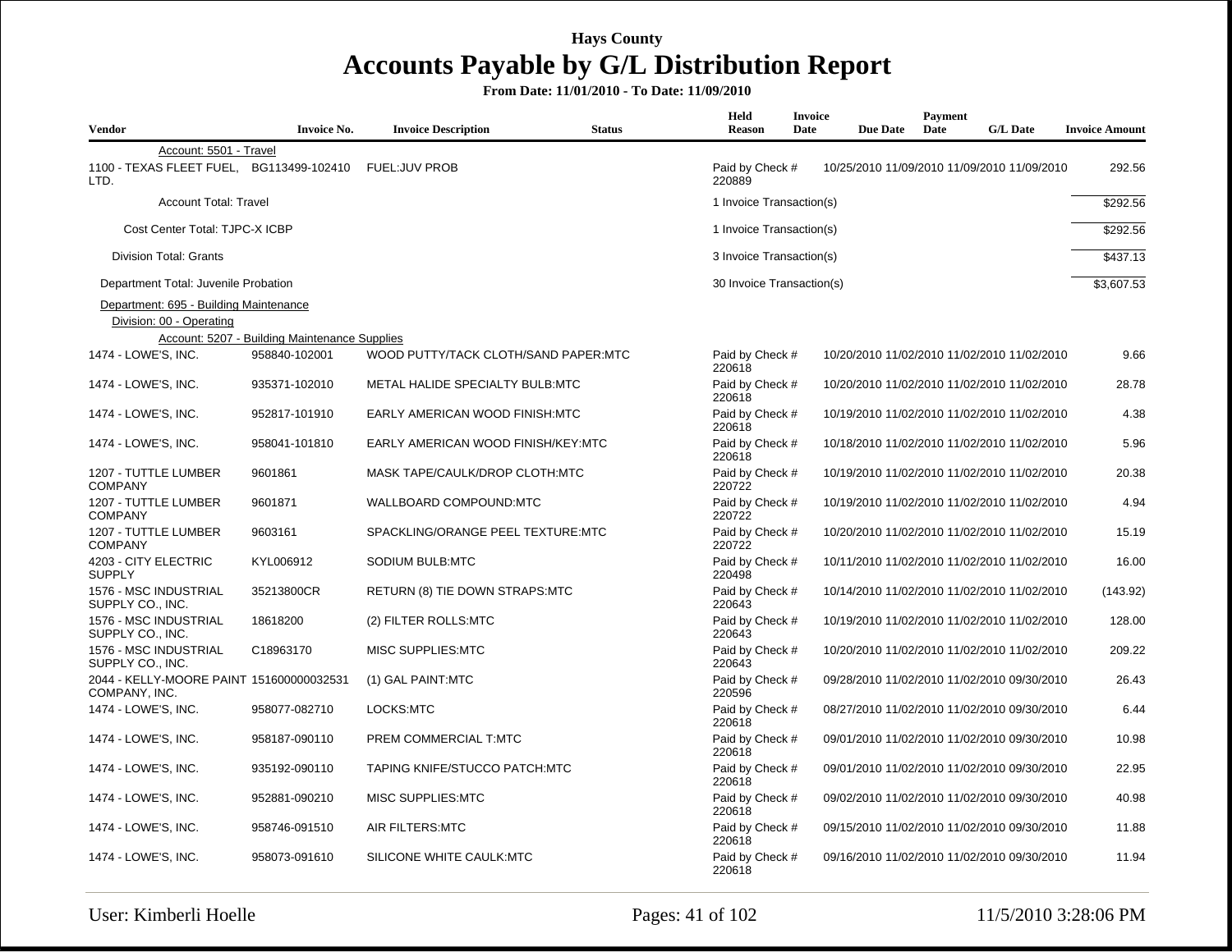| <b>Vendor</b>                                                      | <b>Invoice No.</b>                            | <b>Invoice Description</b>           | <b>Status</b> | Held<br><b>Reason</b>     | Invoice<br>Date | <b>Due Date</b> | Payment<br>Date | <b>G/L Date</b>                             | <b>Invoice Amount</b> |
|--------------------------------------------------------------------|-----------------------------------------------|--------------------------------------|---------------|---------------------------|-----------------|-----------------|-----------------|---------------------------------------------|-----------------------|
| Account: 5501 - Travel<br>1100 - TEXAS FLEET FUEL,<br>LTD.         | BG113499-102410                               | <b>FUEL:JUV PROB</b>                 |               | Paid by Check #<br>220889 |                 |                 |                 | 10/25/2010 11/09/2010 11/09/2010 11/09/2010 | 292.56                |
| <b>Account Total: Travel</b>                                       |                                               |                                      |               | 1 Invoice Transaction(s)  |                 |                 |                 |                                             | \$292.56              |
| Cost Center Total: TJPC-X ICBP                                     |                                               |                                      |               | 1 Invoice Transaction(s)  |                 |                 |                 |                                             | \$292.56              |
| <b>Division Total: Grants</b>                                      |                                               |                                      |               | 3 Invoice Transaction(s)  |                 |                 |                 |                                             | \$437.13              |
| Department Total: Juvenile Probation                               |                                               |                                      |               | 30 Invoice Transaction(s) |                 |                 |                 |                                             | \$3,607.53            |
| Department: 695 - Building Maintenance<br>Division: 00 - Operating | Account: 5207 - Building Maintenance Supplies |                                      |               |                           |                 |                 |                 |                                             |                       |
| 1474 - LOWE'S, INC.                                                | 958840-102001                                 | WOOD PUTTY/TACK CLOTH/SAND PAPER:MTC |               | Paid by Check #<br>220618 |                 |                 |                 | 10/20/2010 11/02/2010 11/02/2010 11/02/2010 | 9.66                  |
| 1474 - LOWE'S, INC.                                                | 935371-102010                                 | METAL HALIDE SPECIALTY BULB:MTC      |               | Paid by Check #<br>220618 |                 |                 |                 | 10/20/2010 11/02/2010 11/02/2010 11/02/2010 | 28.78                 |
| 1474 - LOWE'S, INC.                                                | 952817-101910                                 | EARLY AMERICAN WOOD FINISH:MTC       |               | Paid by Check #<br>220618 |                 |                 |                 | 10/19/2010 11/02/2010 11/02/2010 11/02/2010 | 4.38                  |
| 1474 - LOWE'S, INC.                                                | 958041-101810                                 | EARLY AMERICAN WOOD FINISH/KEY:MTC   |               | Paid by Check #<br>220618 |                 |                 |                 | 10/18/2010 11/02/2010 11/02/2010 11/02/2010 | 5.96                  |
| 1207 - TUTTLE LUMBER<br><b>COMPANY</b>                             | 9601861                                       | MASK TAPE/CAULK/DROP CLOTH:MTC       |               | Paid by Check #<br>220722 |                 |                 |                 | 10/19/2010 11/02/2010 11/02/2010 11/02/2010 | 20.38                 |
| 1207 - TUTTLE LUMBER<br><b>COMPANY</b>                             | 9601871                                       | WALLBOARD COMPOUND:MTC               |               | Paid by Check #<br>220722 |                 |                 |                 | 10/19/2010 11/02/2010 11/02/2010 11/02/2010 | 4.94                  |
| 1207 - TUTTLE LUMBER<br><b>COMPANY</b>                             | 9603161                                       | SPACKLING/ORANGE PEEL TEXTURE:MTC    |               | Paid by Check #<br>220722 |                 |                 |                 | 10/20/2010 11/02/2010 11/02/2010 11/02/2010 | 15.19                 |
| 4203 - CITY ELECTRIC<br><b>SUPPLY</b>                              | KYL006912                                     | SODIUM BULB:MTC                      |               | Paid by Check #<br>220498 |                 |                 |                 | 10/11/2010 11/02/2010 11/02/2010 11/02/2010 | 16.00                 |
| 1576 - MSC INDUSTRIAL<br>SUPPLY CO., INC.                          | 35213800CR                                    | RETURN (8) TIE DOWN STRAPS:MTC       |               | Paid by Check #<br>220643 |                 |                 |                 | 10/14/2010 11/02/2010 11/02/2010 11/02/2010 | (143.92)              |
| 1576 - MSC INDUSTRIAL<br>SUPPLY CO., INC.                          | 18618200                                      | (2) FILTER ROLLS:MTC                 |               | Paid by Check #<br>220643 |                 |                 |                 | 10/19/2010 11/02/2010 11/02/2010 11/02/2010 | 128.00                |
| 1576 - MSC INDUSTRIAL<br>SUPPLY CO., INC.                          | C18963170                                     | MISC SUPPLIES:MTC                    |               | Paid by Check #<br>220643 |                 |                 |                 | 10/20/2010 11/02/2010 11/02/2010 11/02/2010 | 209.22                |
| 2044 - KELLY-MOORE PAINT 151600000032531<br>COMPANY, INC.          |                                               | (1) GAL PAINT:MTC                    |               | Paid by Check #<br>220596 |                 |                 |                 | 09/28/2010 11/02/2010 11/02/2010 09/30/2010 | 26.43                 |
| 1474 - LOWE'S, INC.                                                | 958077-082710                                 | LOCKS:MTC                            |               | Paid by Check #<br>220618 |                 |                 |                 | 08/27/2010 11/02/2010 11/02/2010 09/30/2010 | 6.44                  |
| 1474 - LOWE'S, INC.                                                | 958187-090110                                 | PREM COMMERCIAL T:MTC                |               | Paid by Check #<br>220618 |                 |                 |                 | 09/01/2010 11/02/2010 11/02/2010 09/30/2010 | 10.98                 |
| 1474 - LOWE'S, INC.                                                | 935192-090110                                 | TAPING KNIFE/STUCCO PATCH:MTC        |               | Paid by Check #<br>220618 |                 |                 |                 | 09/01/2010 11/02/2010 11/02/2010 09/30/2010 | 22.95                 |
| 1474 - LOWE'S, INC.                                                | 952881-090210                                 | MISC SUPPLIES:MTC                    |               | Paid by Check #<br>220618 |                 |                 |                 | 09/02/2010 11/02/2010 11/02/2010 09/30/2010 | 40.98                 |
| 1474 - LOWE'S, INC.                                                | 958746-091510                                 | AIR FILTERS:MTC                      |               | Paid by Check #<br>220618 |                 |                 |                 | 09/15/2010 11/02/2010 11/02/2010 09/30/2010 | 11.88                 |
| 1474 - LOWE'S, INC.                                                | 958073-091610                                 | SILICONE WHITE CAULK:MTC             |               | Paid by Check #<br>220618 |                 |                 |                 | 09/16/2010 11/02/2010 11/02/2010 09/30/2010 | 11.94                 |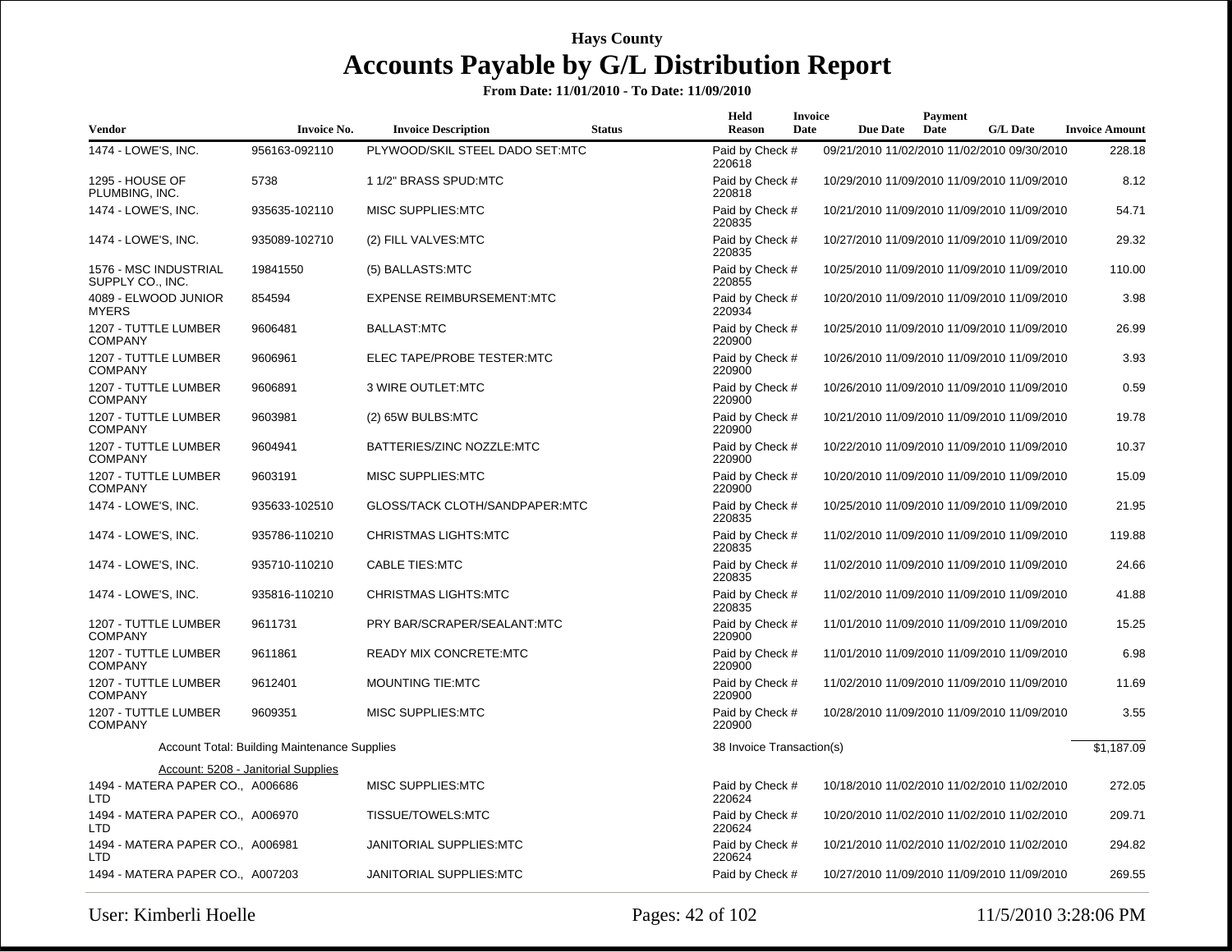| Vendor                                         | <b>Invoice No.</b>                                  | <b>Invoice Description</b>       | <b>Status</b> | Held<br><b>Reason</b>     | Invoice<br>Date | <b>Due Date</b> | Payment<br>Date | <b>G/L Date</b>                             | <b>Invoice Amount</b> |
|------------------------------------------------|-----------------------------------------------------|----------------------------------|---------------|---------------------------|-----------------|-----------------|-----------------|---------------------------------------------|-----------------------|
| 1474 - LOWE'S, INC.                            | 956163-092110                                       | PLYWOOD/SKIL STEEL DADO SET:MTC  |               | Paid by Check #<br>220618 |                 |                 |                 | 09/21/2010 11/02/2010 11/02/2010 09/30/2010 | 228.18                |
| <b>1295 - HOUSE OF</b><br>PLUMBING, INC.       | 5738                                                | 1 1/2" BRASS SPUD:MTC            |               | Paid by Check #<br>220818 |                 |                 |                 | 10/29/2010 11/09/2010 11/09/2010 11/09/2010 | 8.12                  |
| 1474 - LOWE'S, INC.                            | 935635-102110                                       | MISC SUPPLIES:MTC                |               | Paid by Check #<br>220835 |                 |                 |                 | 10/21/2010 11/09/2010 11/09/2010 11/09/2010 | 54.71                 |
| 1474 - LOWE'S, INC.                            | 935089-102710                                       | (2) FILL VALVES:MTC              |               | Paid by Check #<br>220835 |                 |                 |                 | 10/27/2010 11/09/2010 11/09/2010 11/09/2010 | 29.32                 |
| 1576 - MSC INDUSTRIAL<br>SUPPLY CO., INC.      | 19841550                                            | (5) BALLASTS:MTC                 |               | Paid by Check #<br>220855 |                 |                 |                 | 10/25/2010 11/09/2010 11/09/2010 11/09/2010 | 110.00                |
| 4089 - ELWOOD JUNIOR<br><b>MYERS</b>           | 854594                                              | <b>EXPENSE REIMBURSEMENT:MTC</b> |               | Paid by Check #<br>220934 |                 |                 |                 | 10/20/2010 11/09/2010 11/09/2010 11/09/2010 | 3.98                  |
| 1207 - TUTTLE LUMBER<br><b>COMPANY</b>         | 9606481                                             | <b>BALLAST:MTC</b>               |               | Paid by Check #<br>220900 |                 |                 |                 | 10/25/2010 11/09/2010 11/09/2010 11/09/2010 | 26.99                 |
| 1207 - TUTTLE LUMBER<br><b>COMPANY</b>         | 9606961                                             | ELEC TAPE/PROBE TESTER:MTC       |               | Paid by Check #<br>220900 |                 |                 |                 | 10/26/2010 11/09/2010 11/09/2010 11/09/2010 | 3.93                  |
| 1207 - TUTTLE LUMBER<br><b>COMPANY</b>         | 9606891                                             | 3 WIRE OUTLET:MTC                |               | Paid by Check #<br>220900 |                 |                 |                 | 10/26/2010 11/09/2010 11/09/2010 11/09/2010 | 0.59                  |
| 1207 - TUTTLE LUMBER<br><b>COMPANY</b>         | 9603981                                             | (2) 65W BULBS:MTC                |               | Paid by Check #<br>220900 |                 |                 |                 | 10/21/2010 11/09/2010 11/09/2010 11/09/2010 | 19.78                 |
| 1207 - TUTTLE LUMBER<br><b>COMPANY</b>         | 9604941                                             | BATTERIES/ZINC NOZZLE:MTC        |               | Paid by Check #<br>220900 |                 |                 |                 | 10/22/2010 11/09/2010 11/09/2010 11/09/2010 | 10.37                 |
| 1207 - TUTTLE LUMBER<br><b>COMPANY</b>         | 9603191                                             | MISC SUPPLIES:MTC                |               | Paid by Check #<br>220900 |                 |                 |                 | 10/20/2010 11/09/2010 11/09/2010 11/09/2010 | 15.09                 |
| 1474 - LOWE'S, INC.                            | 935633-102510                                       | GLOSS/TACK CLOTH/SANDPAPER:MTC   |               | Paid by Check #<br>220835 |                 |                 |                 | 10/25/2010 11/09/2010 11/09/2010 11/09/2010 | 21.95                 |
| 1474 - LOWE'S, INC.                            | 935786-110210                                       | <b>CHRISTMAS LIGHTS:MTC</b>      |               | Paid by Check #<br>220835 |                 |                 |                 | 11/02/2010 11/09/2010 11/09/2010 11/09/2010 | 119.88                |
| 1474 - LOWE'S, INC.                            | 935710-110210                                       | <b>CABLE TIES:MTC</b>            |               | Paid by Check #<br>220835 |                 |                 |                 | 11/02/2010 11/09/2010 11/09/2010 11/09/2010 | 24.66                 |
| 1474 - LOWE'S, INC.                            | 935816-110210                                       | <b>CHRISTMAS LIGHTS:MTC</b>      |               | Paid by Check #<br>220835 |                 |                 |                 | 11/02/2010 11/09/2010 11/09/2010 11/09/2010 | 41.88                 |
| 1207 - TUTTLE LUMBER<br><b>COMPANY</b>         | 9611731                                             | PRY BAR/SCRAPER/SEALANT:MTC      |               | Paid by Check #<br>220900 |                 |                 |                 | 11/01/2010 11/09/2010 11/09/2010 11/09/2010 | 15.25                 |
| 1207 - TUTTLE LUMBER<br><b>COMPANY</b>         | 9611861                                             | <b>READY MIX CONCRETE:MTC</b>    |               | Paid by Check #<br>220900 |                 |                 |                 | 11/01/2010 11/09/2010 11/09/2010 11/09/2010 | 6.98                  |
| 1207 - TUTTLE LUMBER<br><b>COMPANY</b>         | 9612401                                             | <b>MOUNTING TIE:MTC</b>          |               | Paid by Check #<br>220900 |                 |                 |                 | 11/02/2010 11/09/2010 11/09/2010 11/09/2010 | 11.69                 |
| 1207 - TUTTLE LUMBER<br><b>COMPANY</b>         | 9609351                                             | MISC SUPPLIES:MTC                |               | Paid by Check #<br>220900 |                 |                 |                 | 10/28/2010 11/09/2010 11/09/2010 11/09/2010 | 3.55                  |
|                                                | <b>Account Total: Building Maintenance Supplies</b> |                                  |               | 38 Invoice Transaction(s) |                 |                 |                 |                                             | \$1,187.09            |
|                                                | Account: 5208 - Janitorial Supplies                 |                                  |               |                           |                 |                 |                 |                                             |                       |
| 1494 - MATERA PAPER CO., A006686<br>LTD        |                                                     | MISC SUPPLIES:MTC                |               | Paid by Check #<br>220624 |                 |                 |                 | 10/18/2010 11/02/2010 11/02/2010 11/02/2010 | 272.05                |
| 1494 - MATERA PAPER CO., A006970<br>LTD        |                                                     | TISSUE/TOWELS:MTC                |               | Paid by Check #<br>220624 |                 |                 |                 | 10/20/2010 11/02/2010 11/02/2010 11/02/2010 | 209.71                |
| 1494 - MATERA PAPER CO., A006981<br><b>LTD</b> |                                                     | JANITORIAL SUPPLIES: MTC         |               | Paid by Check #<br>220624 |                 |                 |                 | 10/21/2010 11/02/2010 11/02/2010 11/02/2010 | 294.82                |
| 1494 - MATERA PAPER CO., A007203               |                                                     | JANITORIAL SUPPLIES:MTC          |               | Paid by Check #           |                 |                 |                 | 10/27/2010 11/09/2010 11/09/2010 11/09/2010 | 269.55                |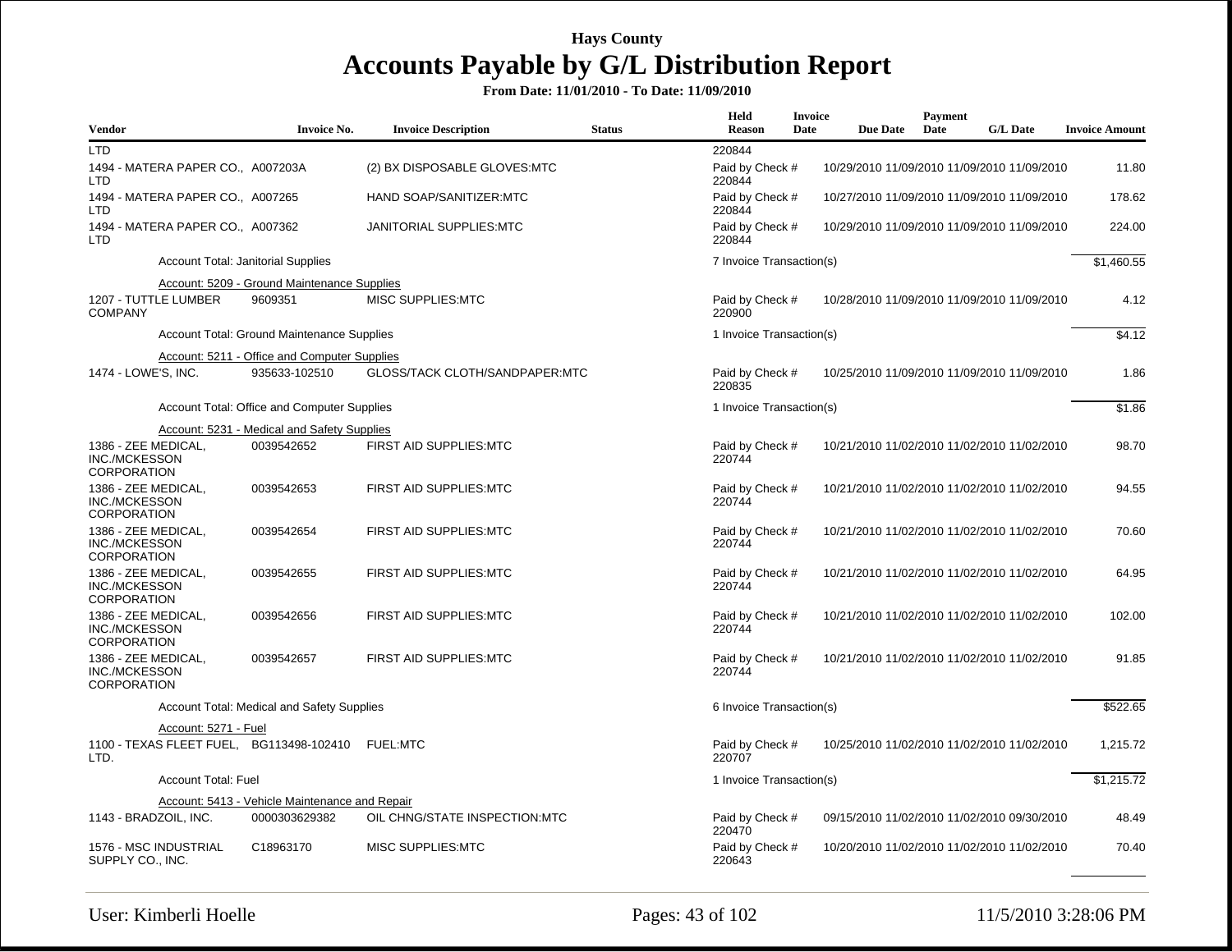| <b>Vendor</b>                                              | <b>Invoice No.</b>                             | <b>Invoice Description</b>     | <b>Status</b> | Held<br><b>Reason</b>     | Invoice<br>Date | <b>Due Date</b>                             | Payment<br>Date | <b>G/L Date</b> | <b>Invoice Amount</b> |
|------------------------------------------------------------|------------------------------------------------|--------------------------------|---------------|---------------------------|-----------------|---------------------------------------------|-----------------|-----------------|-----------------------|
| <b>LTD</b>                                                 |                                                |                                |               | 220844                    |                 |                                             |                 |                 |                       |
| 1494 - MATERA PAPER CO., A007203A<br><b>LTD</b>            |                                                | (2) BX DISPOSABLE GLOVES:MTC   |               | Paid by Check #<br>220844 |                 | 10/29/2010 11/09/2010 11/09/2010 11/09/2010 |                 |                 | 11.80                 |
| 1494 - MATERA PAPER CO., A007265<br><b>LTD</b>             |                                                | HAND SOAP/SANITIZER:MTC        |               | Paid by Check #<br>220844 |                 | 10/27/2010 11/09/2010 11/09/2010 11/09/2010 |                 |                 | 178.62                |
| 1494 - MATERA PAPER CO., A007362<br><b>LTD</b>             |                                                | JANITORIAL SUPPLIES: MTC       |               | Paid by Check #<br>220844 |                 | 10/29/2010 11/09/2010 11/09/2010 11/09/2010 |                 |                 | 224.00                |
|                                                            | <b>Account Total: Janitorial Supplies</b>      |                                |               | 7 Invoice Transaction(s)  |                 |                                             |                 |                 | \$1,460.55            |
|                                                            | Account: 5209 - Ground Maintenance Supplies    |                                |               |                           |                 |                                             |                 |                 |                       |
| 1207 - TUTTLE LUMBER<br><b>COMPANY</b>                     | 9609351                                        | MISC SUPPLIES: MTC             |               | Paid by Check #<br>220900 |                 | 10/28/2010 11/09/2010 11/09/2010 11/09/2010 |                 |                 | 4.12                  |
|                                                            | Account Total: Ground Maintenance Supplies     |                                |               | 1 Invoice Transaction(s)  |                 |                                             |                 |                 | \$4.12                |
|                                                            | Account: 5211 - Office and Computer Supplies   |                                |               |                           |                 |                                             |                 |                 |                       |
| 1474 - LOWE'S, INC.                                        | 935633-102510                                  | GLOSS/TACK CLOTH/SANDPAPER:MTC |               | Paid by Check #<br>220835 |                 | 10/25/2010 11/09/2010 11/09/2010 11/09/2010 |                 |                 | 1.86                  |
|                                                            | Account Total: Office and Computer Supplies    |                                |               | 1 Invoice Transaction(s)  |                 |                                             |                 |                 | \$1.86                |
|                                                            | Account: 5231 - Medical and Safety Supplies    |                                |               |                           |                 |                                             |                 |                 |                       |
| 1386 - ZEE MEDICAL,<br>INC./MCKESSON<br><b>CORPORATION</b> | 0039542652                                     | FIRST AID SUPPLIES: MTC        |               | Paid by Check #<br>220744 |                 | 10/21/2010 11/02/2010 11/02/2010 11/02/2010 |                 |                 | 98.70                 |
| 1386 - ZEE MEDICAL,<br>INC./MCKESSON<br><b>CORPORATION</b> | 0039542653                                     | FIRST AID SUPPLIES:MTC         |               | Paid by Check #<br>220744 |                 | 10/21/2010 11/02/2010 11/02/2010 11/02/2010 |                 |                 | 94.55                 |
| 1386 - ZEE MEDICAL,<br>INC./MCKESSON<br><b>CORPORATION</b> | 0039542654                                     | FIRST AID SUPPLIES:MTC         |               | Paid by Check #<br>220744 |                 | 10/21/2010 11/02/2010 11/02/2010 11/02/2010 |                 |                 | 70.60                 |
| 1386 - ZEE MEDICAL,<br>INC./MCKESSON<br><b>CORPORATION</b> | 0039542655                                     | FIRST AID SUPPLIES:MTC         |               | Paid by Check #<br>220744 |                 | 10/21/2010 11/02/2010 11/02/2010 11/02/2010 |                 |                 | 64.95                 |
| 1386 - ZEE MEDICAL,<br>INC./MCKESSON<br><b>CORPORATION</b> | 0039542656                                     | <b>FIRST AID SUPPLIES:MTC</b>  |               | Paid by Check #<br>220744 |                 | 10/21/2010 11/02/2010 11/02/2010 11/02/2010 |                 |                 | 102.00                |
| 1386 - ZEE MEDICAL,<br>INC./MCKESSON<br><b>CORPORATION</b> | 0039542657                                     | <b>FIRST AID SUPPLIES:MTC</b>  |               | Paid by Check #<br>220744 |                 | 10/21/2010 11/02/2010 11/02/2010 11/02/2010 |                 |                 | 91.85                 |
|                                                            | Account Total: Medical and Safety Supplies     |                                |               | 6 Invoice Transaction(s)  |                 |                                             |                 |                 | \$522.65              |
| Account: 5271 - Fuel                                       |                                                |                                |               |                           |                 |                                             |                 |                 |                       |
| 1100 - TEXAS FLEET FUEL, BG113498-102410<br>LTD.           |                                                | <b>FUEL:MTC</b>                |               | Paid by Check #<br>220707 |                 | 10/25/2010 11/02/2010 11/02/2010 11/02/2010 |                 |                 | 1,215.72              |
| <b>Account Total: Fuel</b>                                 |                                                |                                |               | 1 Invoice Transaction(s)  |                 |                                             |                 |                 | \$1,215.72            |
|                                                            | Account: 5413 - Vehicle Maintenance and Repair |                                |               |                           |                 |                                             |                 |                 |                       |
| 1143 - BRADZOIL, INC.                                      | 0000303629382                                  | OIL CHNG/STATE INSPECTION:MTC  |               | Paid by Check #<br>220470 |                 | 09/15/2010 11/02/2010 11/02/2010 09/30/2010 |                 |                 | 48.49                 |
| 1576 - MSC INDUSTRIAL<br>SUPPLY CO., INC.                  | C18963170                                      | MISC SUPPLIES:MTC              |               | Paid by Check #<br>220643 |                 | 10/20/2010 11/02/2010 11/02/2010 11/02/2010 |                 |                 | 70.40                 |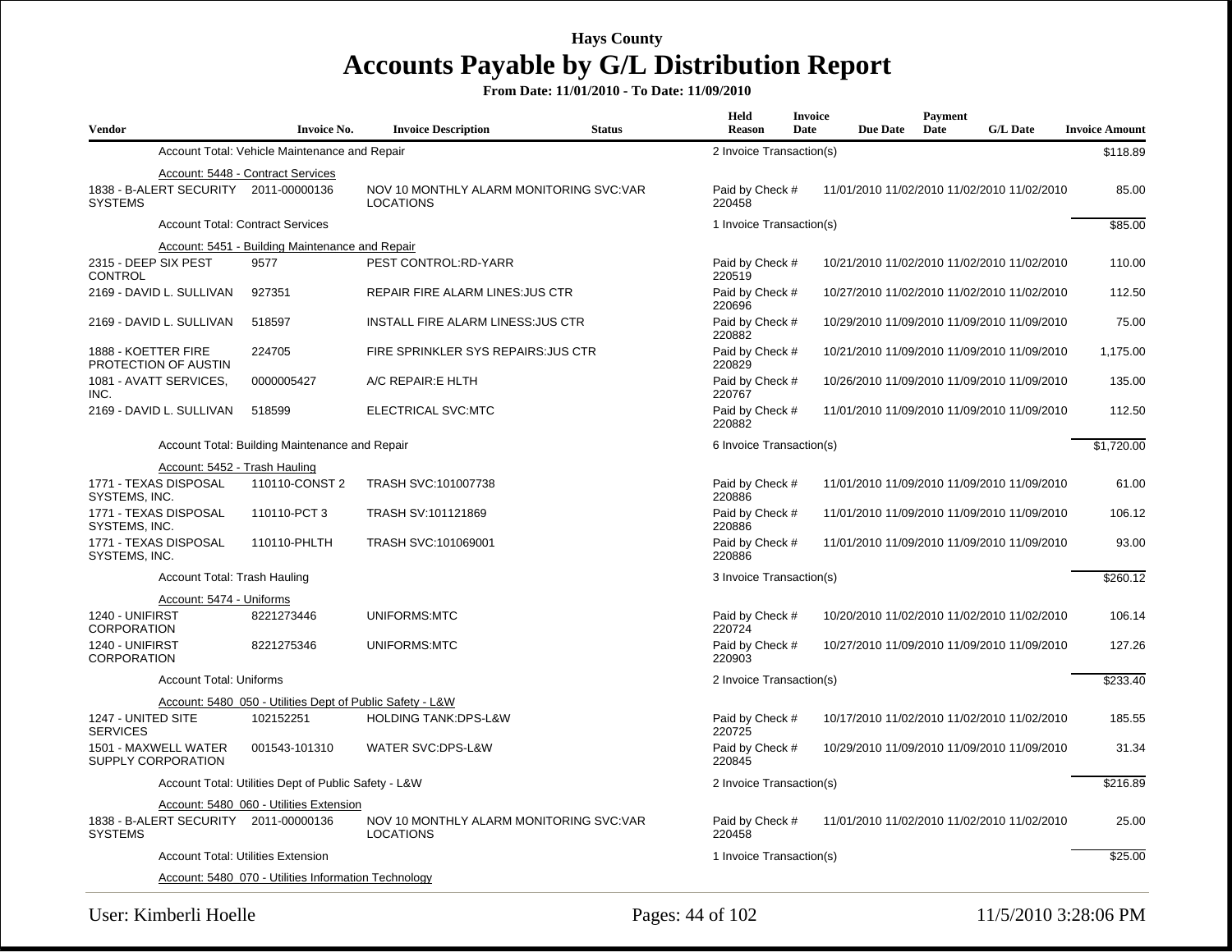| <b>Vendor</b>                                           | <b>Invoice No.</b>                                        | <b>Invoice Description</b>                                  | <b>Status</b> | <b>Held</b><br><b>Reason</b> | <b>Invoice</b><br>Date | <b>Due Date</b> | <b>Payment</b><br>Date | <b>G/L Date</b>                             | <b>Invoice Amount</b> |
|---------------------------------------------------------|-----------------------------------------------------------|-------------------------------------------------------------|---------------|------------------------------|------------------------|-----------------|------------------------|---------------------------------------------|-----------------------|
|                                                         | Account Total: Vehicle Maintenance and Repair             |                                                             |               | 2 Invoice Transaction(s)     |                        |                 |                        |                                             | \$118.89              |
|                                                         | Account: 5448 - Contract Services                         |                                                             |               |                              |                        |                 |                        |                                             |                       |
| 1838 - B-ALERT SECURITY 2011-00000136<br><b>SYSTEMS</b> |                                                           | NOV 10 MONTHLY ALARM MONITORING SVC:VAR<br><b>LOCATIONS</b> |               | Paid by Check #<br>220458    |                        |                 |                        | 11/01/2010 11/02/2010 11/02/2010 11/02/2010 | 85.00                 |
|                                                         | <b>Account Total: Contract Services</b>                   |                                                             |               | 1 Invoice Transaction(s)     |                        |                 |                        |                                             | \$85.00               |
|                                                         | Account: 5451 - Building Maintenance and Repair           |                                                             |               |                              |                        |                 |                        |                                             |                       |
| 2315 - DEEP SIX PEST<br>CONTROL                         | 9577                                                      | PEST CONTROL:RD-YARR                                        |               | Paid by Check #<br>220519    |                        |                 |                        | 10/21/2010 11/02/2010 11/02/2010 11/02/2010 | 110.00                |
| 2169 - DAVID L. SULLIVAN                                | 927351                                                    | REPAIR FIRE ALARM LINES: JUS CTR                            |               | Paid by Check #<br>220696    |                        |                 |                        | 10/27/2010 11/02/2010 11/02/2010 11/02/2010 | 112.50                |
| 2169 - DAVID L. SULLIVAN                                | 518597                                                    | INSTALL FIRE ALARM LINESS: JUS CTR                          |               | Paid by Check #<br>220882    |                        |                 |                        | 10/29/2010 11/09/2010 11/09/2010 11/09/2010 | 75.00                 |
| 1888 - KOETTER FIRE<br>PROTECTION OF AUSTIN             | 224705                                                    | FIRE SPRINKLER SYS REPAIRS: JUS CTR                         |               | Paid by Check #<br>220829    |                        |                 |                        | 10/21/2010 11/09/2010 11/09/2010 11/09/2010 | 1,175.00              |
| 1081 - AVATT SERVICES,<br>INC.                          | 0000005427                                                | A/C REPAIR: E HLTH                                          |               | Paid by Check #<br>220767    |                        |                 |                        | 10/26/2010 11/09/2010 11/09/2010 11/09/2010 | 135.00                |
| 2169 - DAVID L. SULLIVAN                                | 518599                                                    | ELECTRICAL SVC:MTC                                          |               | Paid by Check #<br>220882    |                        |                 |                        | 11/01/2010 11/09/2010 11/09/2010 11/09/2010 | 112.50                |
|                                                         | Account Total: Building Maintenance and Repair            |                                                             |               | 6 Invoice Transaction(s)     |                        |                 |                        |                                             | \$1,720.00            |
| Account: 5452 - Trash Hauling                           |                                                           |                                                             |               |                              |                        |                 |                        |                                             |                       |
| 1771 - TEXAS DISPOSAL<br>SYSTEMS, INC.                  | 110110-CONST 2                                            | TRASH SVC:101007738                                         |               | Paid by Check #<br>220886    |                        |                 |                        | 11/01/2010 11/09/2010 11/09/2010 11/09/2010 | 61.00                 |
| 1771 - TEXAS DISPOSAL<br>SYSTEMS, INC.                  | 110110-PCT 3                                              | TRASH SV:101121869                                          |               | Paid by Check #<br>220886    |                        |                 |                        | 11/01/2010 11/09/2010 11/09/2010 11/09/2010 | 106.12                |
| 1771 - TEXAS DISPOSAL<br>SYSTEMS, INC.                  | 110110-PHLTH                                              | TRASH SVC:101069001                                         |               | Paid by Check #<br>220886    |                        |                 |                        | 11/01/2010 11/09/2010 11/09/2010 11/09/2010 | 93.00                 |
| Account Total: Trash Hauling                            |                                                           |                                                             |               | 3 Invoice Transaction(s)     |                        |                 |                        |                                             | \$260.12              |
| Account: 5474 - Uniforms                                |                                                           |                                                             |               |                              |                        |                 |                        |                                             |                       |
| 1240 - UNIFIRST<br><b>CORPORATION</b>                   | 8221273446                                                | <b>UNIFORMS:MTC</b>                                         |               | Paid by Check #<br>220724    |                        |                 |                        | 10/20/2010 11/02/2010 11/02/2010 11/02/2010 | 106.14                |
| 1240 - UNIFIRST<br>CORPORATION                          | 8221275346                                                | UNIFORMS:MTC                                                |               | Paid by Check #<br>220903    |                        |                 |                        | 10/27/2010 11/09/2010 11/09/2010 11/09/2010 | 127.26                |
| <b>Account Total: Uniforms</b>                          |                                                           |                                                             |               | 2 Invoice Transaction(s)     |                        |                 |                        |                                             | \$233.40              |
|                                                         | Account: 5480 050 - Utilities Dept of Public Safety - L&W |                                                             |               |                              |                        |                 |                        |                                             |                       |
| 1247 - UNITED SITE<br><b>SERVICES</b>                   | 102152251                                                 | <b>HOLDING TANK:DPS-L&amp;W</b>                             |               | Paid by Check #<br>220725    |                        |                 |                        | 10/17/2010 11/02/2010 11/02/2010 11/02/2010 | 185.55                |
| 1501 - MAXWELL WATER<br>SUPPLY CORPORATION              | 001543-101310                                             | WATER SVC:DPS-L&W                                           |               | Paid by Check #<br>220845    |                        |                 |                        | 10/29/2010 11/09/2010 11/09/2010 11/09/2010 | 31.34                 |
|                                                         | Account Total: Utilities Dept of Public Safety - L&W      |                                                             |               | 2 Invoice Transaction(s)     |                        |                 |                        |                                             | \$216.89              |
|                                                         | Account: 5480 060 - Utilities Extension                   |                                                             |               |                              |                        |                 |                        |                                             |                       |
| 1838 - B-ALERT SECURITY 2011-00000136<br><b>SYSTEMS</b> |                                                           | NOV 10 MONTHLY ALARM MONITORING SVC:VAR<br><b>LOCATIONS</b> |               | Paid by Check #<br>220458    |                        |                 |                        | 11/01/2010 11/02/2010 11/02/2010 11/02/2010 | 25.00                 |
|                                                         | <b>Account Total: Utilities Extension</b>                 |                                                             |               | 1 Invoice Transaction(s)     |                        |                 |                        |                                             | \$25.00               |
|                                                         | Account: 5480 070 - Utilities Information Technology      |                                                             |               |                              |                        |                 |                        |                                             |                       |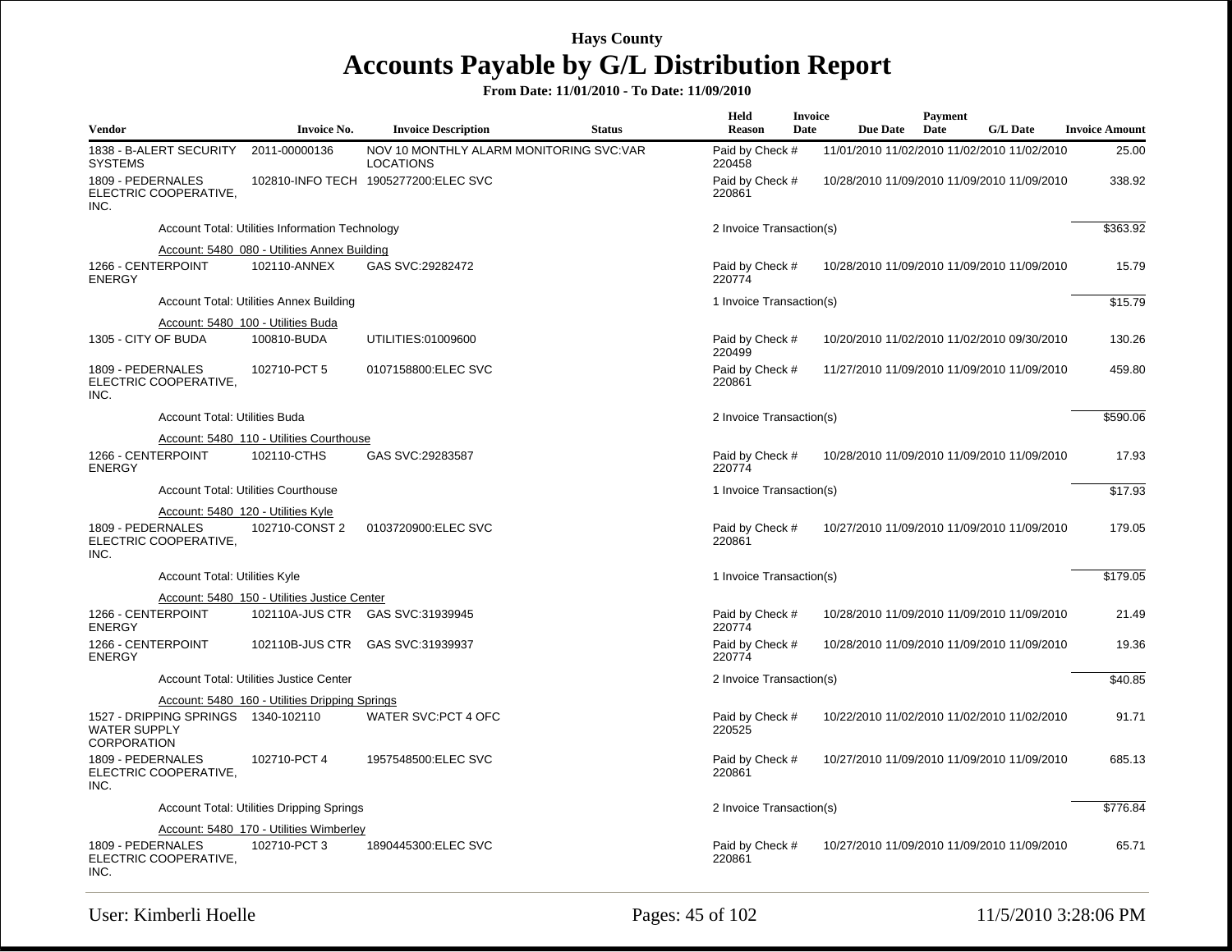| <b>Vendor</b>                                                                    |                                      | <b>Invoice No.</b>                              | <b>Invoice Description</b>                                  | <b>Status</b> | Held<br><b>Reason</b>     | <b>Invoice</b><br>Date | <b>Due Date</b>                             | <b>Payment</b><br>Date | <b>G/L Date</b> | <b>Invoice Amount</b> |
|----------------------------------------------------------------------------------|--------------------------------------|-------------------------------------------------|-------------------------------------------------------------|---------------|---------------------------|------------------------|---------------------------------------------|------------------------|-----------------|-----------------------|
| 1838 - B-ALERT SECURITY<br><b>SYSTEMS</b>                                        |                                      | 2011-00000136                                   | NOV 10 MONTHLY ALARM MONITORING SVC:VAR<br><b>LOCATIONS</b> |               | Paid by Check #<br>220458 |                        | 11/01/2010 11/02/2010 11/02/2010 11/02/2010 |                        |                 | 25.00                 |
| 1809 - PEDERNALES<br>ELECTRIC COOPERATIVE.<br>INC.                               |                                      |                                                 | 102810-INFO TECH 1905277200:ELEC SVC                        |               | Paid by Check #<br>220861 |                        | 10/28/2010 11/09/2010 11/09/2010 11/09/2010 |                        |                 | 338.92                |
|                                                                                  |                                      | Account Total: Utilities Information Technology |                                                             |               | 2 Invoice Transaction(s)  |                        |                                             |                        |                 | \$363.92              |
|                                                                                  |                                      | Account: 5480_080 - Utilities Annex Building    |                                                             |               |                           |                        |                                             |                        |                 |                       |
| 1266 - CENTERPOINT<br><b>ENERGY</b>                                              |                                      | 102110-ANNEX                                    | GAS SVC:29282472                                            |               | Paid by Check #<br>220774 |                        | 10/28/2010 11/09/2010 11/09/2010 11/09/2010 |                        |                 | 15.79                 |
|                                                                                  |                                      | <b>Account Total: Utilities Annex Building</b>  |                                                             |               | 1 Invoice Transaction(s)  |                        |                                             |                        |                 | \$15.79               |
|                                                                                  |                                      | Account: 5480 100 - Utilities Buda              |                                                             |               |                           |                        |                                             |                        |                 |                       |
| 1305 - CITY OF BUDA                                                              |                                      | 100810-BUDA                                     | UTILITIES:01009600                                          |               | Paid by Check #<br>220499 |                        | 10/20/2010 11/02/2010 11/02/2010 09/30/2010 |                        |                 | 130.26                |
| 1809 - PEDERNALES<br>ELECTRIC COOPERATIVE,<br>INC.                               |                                      | 102710-PCT 5                                    | 0107158800:ELEC SVC                                         |               | Paid by Check #<br>220861 |                        | 11/27/2010 11/09/2010 11/09/2010 11/09/2010 |                        |                 | 459.80                |
|                                                                                  | <b>Account Total: Utilities Buda</b> |                                                 |                                                             |               | 2 Invoice Transaction(s)  |                        |                                             |                        |                 | \$590.06              |
|                                                                                  |                                      | Account: 5480_110 - Utilities Courthouse        |                                                             |               |                           |                        |                                             |                        |                 |                       |
| 1266 - CENTERPOINT<br><b>ENERGY</b>                                              |                                      | 102110-CTHS                                     | GAS SVC:29283587                                            |               | Paid by Check #<br>220774 |                        | 10/28/2010 11/09/2010 11/09/2010 11/09/2010 |                        |                 | 17.93                 |
|                                                                                  |                                      | <b>Account Total: Utilities Courthouse</b>      |                                                             |               | 1 Invoice Transaction(s)  |                        |                                             | \$17.93                |                 |                       |
|                                                                                  |                                      | Account: 5480 120 - Utilities Kyle              |                                                             |               |                           |                        |                                             |                        |                 |                       |
| 1809 - PEDERNALES<br>ELECTRIC COOPERATIVE,<br>INC.                               |                                      | 102710-CONST 2                                  | 0103720900:ELEC SVC                                         |               | Paid by Check #<br>220861 |                        | 10/27/2010 11/09/2010 11/09/2010 11/09/2010 |                        |                 | 179.05                |
|                                                                                  | Account Total: Utilities Kyle        |                                                 |                                                             |               | 1 Invoice Transaction(s)  |                        |                                             |                        |                 | \$179.05              |
|                                                                                  |                                      | Account: 5480_150 - Utilities Justice Center    |                                                             |               |                           |                        |                                             |                        |                 |                       |
| 1266 - CENTERPOINT<br><b>ENERGY</b>                                              |                                      |                                                 | 102110A-JUS CTR GAS SVC:31939945                            |               | Paid by Check #<br>220774 |                        | 10/28/2010 11/09/2010 11/09/2010 11/09/2010 |                        |                 | 21.49                 |
| 1266 - CENTERPOINT<br><b>ENERGY</b>                                              |                                      |                                                 | 102110B-JUS CTR GAS SVC:31939937                            |               | Paid by Check #<br>220774 |                        | 10/28/2010 11/09/2010 11/09/2010 11/09/2010 |                        |                 | 19.36                 |
|                                                                                  |                                      | Account Total: Utilities Justice Center         |                                                             |               | 2 Invoice Transaction(s)  |                        |                                             |                        |                 | \$40.85               |
|                                                                                  |                                      | Account: 5480_160 - Utilities Dripping Springs  |                                                             |               |                           |                        |                                             |                        |                 |                       |
| 1527 - DRIPPING SPRINGS 1340-102110<br><b>WATER SUPPLY</b><br><b>CORPORATION</b> |                                      |                                                 | WATER SVC:PCT 4 OFC                                         |               | Paid by Check #<br>220525 |                        | 10/22/2010 11/02/2010 11/02/2010 11/02/2010 |                        |                 | 91.71                 |
| 1809 - PEDERNALES<br>ELECTRIC COOPERATIVE,<br>INC.                               |                                      | 102710-PCT 4                                    | 1957548500:ELEC SVC                                         |               | Paid by Check #<br>220861 |                        | 10/27/2010 11/09/2010 11/09/2010 11/09/2010 |                        |                 | 685.13                |
|                                                                                  |                                      | Account Total: Utilities Dripping Springs       |                                                             |               | 2 Invoice Transaction(s)  |                        |                                             |                        |                 | \$776.84              |
|                                                                                  |                                      | Account: 5480_170 - Utilities Wimberley         |                                                             |               |                           |                        |                                             |                        |                 |                       |
| 1809 - PEDERNALES<br>ELECTRIC COOPERATIVE,<br>INC.                               |                                      | 102710-PCT 3                                    | 1890445300: ELEC SVC                                        |               | Paid by Check #<br>220861 |                        | 10/27/2010 11/09/2010 11/09/2010 11/09/2010 |                        |                 | 65.71                 |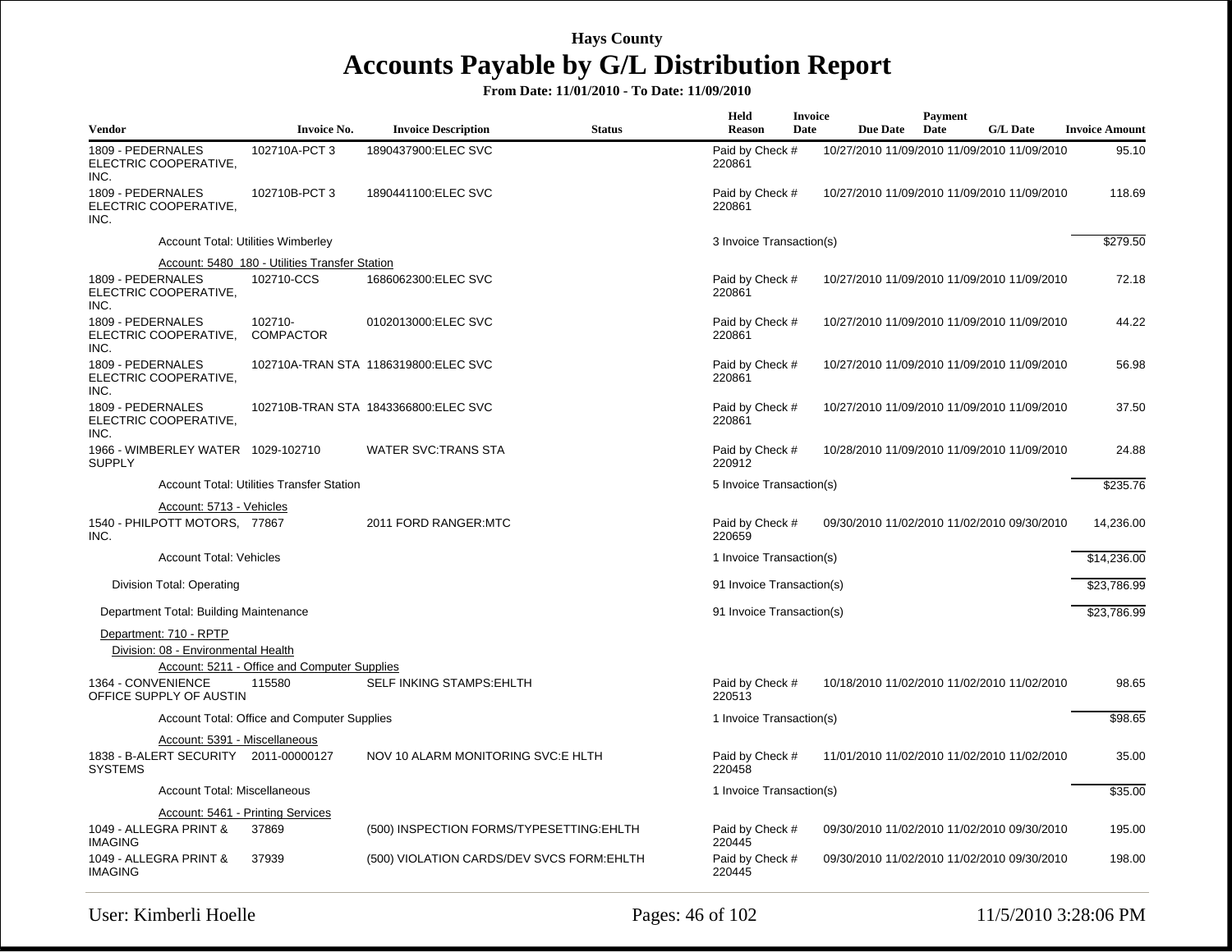| Vendor                                                        | <b>Invoice No.</b>                                     | <b>Invoice Description</b>                | <b>Status</b> | Held<br><b>Reason</b>     | <b>Invoice</b><br>Date | <b>Due Date</b> | Payment<br>Date | <b>G/L Date</b>                             | <b>Invoice Amount</b> |
|---------------------------------------------------------------|--------------------------------------------------------|-------------------------------------------|---------------|---------------------------|------------------------|-----------------|-----------------|---------------------------------------------|-----------------------|
| 1809 - PEDERNALES<br>ELECTRIC COOPERATIVE,<br>INC.            | 102710A-PCT 3                                          | 1890437900:ELEC SVC                       |               | Paid by Check #<br>220861 |                        |                 |                 | 10/27/2010 11/09/2010 11/09/2010 11/09/2010 | 95.10                 |
| 1809 - PEDERNALES<br>ELECTRIC COOPERATIVE.<br>INC.            | 102710B-PCT 3                                          | 1890441100:ELEC SVC                       |               | Paid by Check #<br>220861 |                        |                 |                 | 10/27/2010 11/09/2010 11/09/2010 11/09/2010 | 118.69                |
|                                                               | Account Total: Utilities Wimberley                     |                                           |               | 3 Invoice Transaction(s)  |                        |                 |                 |                                             | \$279.50              |
|                                                               | Account: 5480 180 - Utilities Transfer Station         |                                           |               |                           |                        |                 |                 |                                             |                       |
| 1809 - PEDERNALES<br>ELECTRIC COOPERATIVE,<br>INC.            | 102710-CCS                                             | 1686062300:ELEC SVC                       |               | Paid by Check #<br>220861 |                        |                 |                 | 10/27/2010 11/09/2010 11/09/2010 11/09/2010 | 72.18                 |
| 1809 - PEDERNALES<br>ELECTRIC COOPERATIVE,<br>INC.            | 102710-<br><b>COMPACTOR</b>                            | 0102013000:ELEC SVC                       |               | Paid by Check #<br>220861 |                        |                 |                 | 10/27/2010 11/09/2010 11/09/2010 11/09/2010 | 44.22                 |
| 1809 - PEDERNALES<br>ELECTRIC COOPERATIVE.<br>INC.            |                                                        | 102710A-TRAN STA 1186319800:ELEC SVC      |               | Paid by Check #<br>220861 |                        |                 |                 | 10/27/2010 11/09/2010 11/09/2010 11/09/2010 | 56.98                 |
| 1809 - PEDERNALES<br>ELECTRIC COOPERATIVE,<br>INC.            |                                                        | 102710B-TRAN STA 1843366800:ELEC SVC      |               | Paid by Check #<br>220861 |                        |                 |                 | 10/27/2010 11/09/2010 11/09/2010 11/09/2010 | 37.50                 |
| 1966 - WIMBERLEY WATER 1029-102710<br><b>SUPPLY</b>           |                                                        | <b>WATER SVC:TRANS STA</b>                |               | Paid by Check #<br>220912 |                        |                 |                 | 10/28/2010 11/09/2010 11/09/2010 11/09/2010 | 24.88                 |
|                                                               | <b>Account Total: Utilities Transfer Station</b>       |                                           |               | 5 Invoice Transaction(s)  |                        |                 |                 |                                             | \$235.76              |
| Account: 5713 - Vehicles                                      |                                                        |                                           |               |                           |                        |                 |                 |                                             |                       |
| 1540 - PHILPOTT MOTORS, 77867<br>INC.                         |                                                        | 2011 FORD RANGER: MTC                     |               | Paid by Check #<br>220659 |                        |                 |                 | 09/30/2010 11/02/2010 11/02/2010 09/30/2010 | 14,236.00             |
| <b>Account Total: Vehicles</b>                                |                                                        |                                           |               | 1 Invoice Transaction(s)  |                        |                 |                 |                                             | \$14,236.00           |
| Division Total: Operating                                     |                                                        |                                           |               | 91 Invoice Transaction(s) |                        |                 |                 |                                             | \$23,786.99           |
| Department Total: Building Maintenance                        |                                                        |                                           |               | 91 Invoice Transaction(s) |                        |                 |                 |                                             | \$23,786.99           |
| Department: 710 - RPTP<br>Division: 08 - Environmental Health |                                                        |                                           |               |                           |                        |                 |                 |                                             |                       |
| 1364 - CONVENIENCE<br>OFFICE SUPPLY OF AUSTIN                 | Account: 5211 - Office and Computer Supplies<br>115580 | SELF INKING STAMPS: EHLTH                 |               | Paid by Check #<br>220513 |                        |                 |                 | 10/18/2010 11/02/2010 11/02/2010 11/02/2010 | 98.65                 |
|                                                               | Account Total: Office and Computer Supplies            |                                           |               | 1 Invoice Transaction(s)  |                        |                 |                 |                                             | \$98.65               |
| Account: 5391 - Miscellaneous                                 |                                                        |                                           |               |                           |                        |                 |                 |                                             |                       |
| 1838 - B-ALERT SECURITY 2011-00000127<br><b>SYSTEMS</b>       |                                                        | NOV 10 ALARM MONITORING SVC:E HLTH        |               | Paid by Check #<br>220458 |                        |                 |                 | 11/01/2010 11/02/2010 11/02/2010 11/02/2010 | 35.00                 |
| <b>Account Total: Miscellaneous</b>                           |                                                        |                                           |               | 1 Invoice Transaction(s)  |                        |                 |                 |                                             | \$35.00               |
|                                                               | Account: 5461 - Printing Services                      |                                           |               |                           |                        |                 |                 |                                             |                       |
| 1049 - ALLEGRA PRINT &<br><b>IMAGING</b>                      | 37869                                                  | (500) INSPECTION FORMS/TYPESETTING: EHLTH |               | Paid by Check #<br>220445 |                        |                 |                 | 09/30/2010 11/02/2010 11/02/2010 09/30/2010 | 195.00                |
| 1049 - ALLEGRA PRINT &<br><b>IMAGING</b>                      | 37939                                                  | (500) VIOLATION CARDS/DEV SVCS FORM:EHLTH |               | Paid by Check #<br>220445 |                        |                 |                 | 09/30/2010 11/02/2010 11/02/2010 09/30/2010 | 198.00                |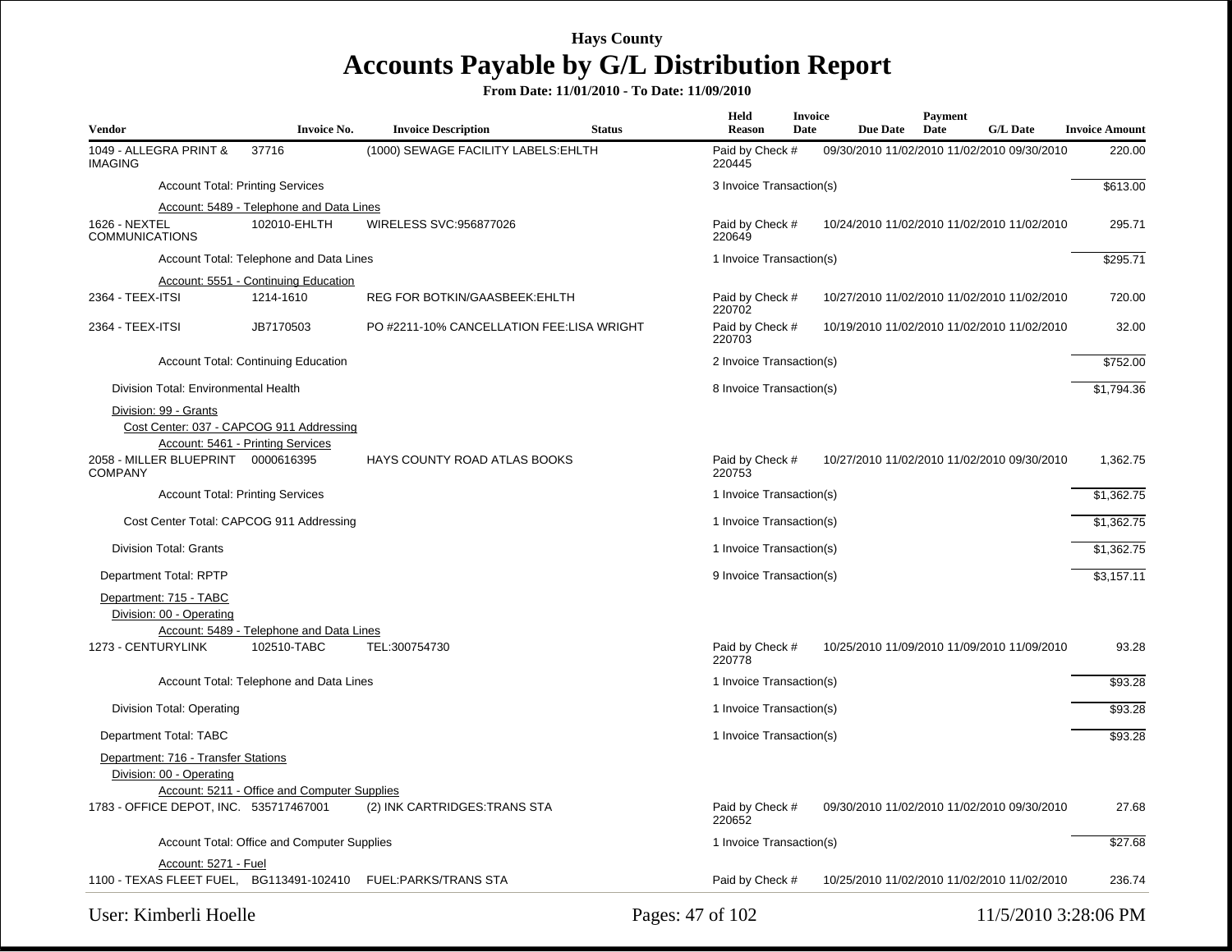| Vendor                                                          | <b>Invoice No.</b>                                      | <b>Invoice Description</b>                                    | <b>Status</b> | Held<br>Reason            | Invoice<br>Date | <b>Due Date</b>                             | <b>Payment</b><br>Date | <b>G/L Date</b> | <b>Invoice Amount</b> |
|-----------------------------------------------------------------|---------------------------------------------------------|---------------------------------------------------------------|---------------|---------------------------|-----------------|---------------------------------------------|------------------------|-----------------|-----------------------|
| 1049 - ALLEGRA PRINT &<br><b>IMAGING</b>                        | 37716                                                   | (1000) SEWAGE FACILITY LABELS: EHLTH                          |               | Paid by Check #<br>220445 |                 | 09/30/2010 11/02/2010 11/02/2010 09/30/2010 |                        |                 | 220.00                |
|                                                                 | <b>Account Total: Printing Services</b>                 |                                                               |               | 3 Invoice Transaction(s)  |                 |                                             |                        |                 | \$613.00              |
|                                                                 | Account: 5489 - Telephone and Data Lines                |                                                               |               |                           |                 |                                             |                        |                 |                       |
| 1626 - NEXTEL<br><b>COMMUNICATIONS</b>                          | 102010-EHLTH                                            | WIRELESS SVC:956877026                                        |               | Paid by Check #<br>220649 |                 | 10/24/2010 11/02/2010 11/02/2010 11/02/2010 |                        |                 | 295.71                |
|                                                                 | Account Total: Telephone and Data Lines                 |                                                               |               | 1 Invoice Transaction(s)  |                 |                                             |                        |                 | \$295.71              |
|                                                                 | Account: 5551 - Continuing Education                    |                                                               |               |                           |                 |                                             |                        |                 |                       |
| 2364 - TEEX-ITSI                                                | 1214-1610                                               | <b>REG FOR BOTKIN/GAASBEEK: EHLTH</b>                         |               | Paid by Check #<br>220702 |                 | 10/27/2010 11/02/2010 11/02/2010 11/02/2010 |                        |                 | 720.00                |
| 2364 - TEEX-ITSI                                                | JB7170503                                               | PO #2211-10% CANCELLATION FEE:LISA WRIGHT                     |               | Paid by Check #<br>220703 |                 | 10/19/2010 11/02/2010 11/02/2010 11/02/2010 |                        |                 | 32.00                 |
|                                                                 | <b>Account Total: Continuing Education</b>              |                                                               |               | 2 Invoice Transaction(s)  |                 |                                             |                        |                 | \$752.00              |
| Division Total: Environmental Health                            |                                                         |                                                               |               | 8 Invoice Transaction(s)  |                 |                                             |                        |                 | \$1,794.36            |
| Division: 99 - Grants                                           |                                                         |                                                               |               |                           |                 |                                             |                        |                 |                       |
|                                                                 | Cost Center: 037 - CAPCOG 911 Addressing                |                                                               |               |                           |                 |                                             |                        |                 |                       |
|                                                                 | Account: 5461 - Printing Services                       |                                                               |               |                           |                 |                                             |                        |                 |                       |
| 2058 - MILLER BLUEPRINT 0000616395<br><b>COMPANY</b>            |                                                         | HAYS COUNTY ROAD ATLAS BOOKS                                  |               | Paid by Check #<br>220753 |                 | 10/27/2010 11/02/2010 11/02/2010 09/30/2010 |                        |                 | 1,362.75              |
|                                                                 | <b>Account Total: Printing Services</b>                 |                                                               |               | 1 Invoice Transaction(s)  |                 |                                             |                        |                 | \$1,362.75            |
|                                                                 | Cost Center Total: CAPCOG 911 Addressing                |                                                               |               | 1 Invoice Transaction(s)  |                 |                                             |                        |                 | \$1,362.75            |
| <b>Division Total: Grants</b>                                   |                                                         |                                                               |               | 1 Invoice Transaction(s)  |                 |                                             |                        |                 | \$1,362.75            |
| Department Total: RPTP                                          |                                                         |                                                               |               | 9 Invoice Transaction(s)  |                 |                                             |                        |                 | \$3,157.11            |
| Department: 715 - TABC<br>Division: 00 - Operating              |                                                         |                                                               |               |                           |                 |                                             |                        |                 |                       |
| 1273 - CENTURYLINK                                              | Account: 5489 - Telephone and Data Lines<br>102510-TABC | TEL:300754730                                                 |               | Paid by Check #<br>220778 |                 | 10/25/2010 11/09/2010 11/09/2010 11/09/2010 |                        |                 | 93.28                 |
|                                                                 | Account Total: Telephone and Data Lines                 |                                                               |               | 1 Invoice Transaction(s)  |                 |                                             |                        |                 | \$93.28               |
| Division Total: Operating                                       |                                                         |                                                               |               | 1 Invoice Transaction(s)  |                 |                                             |                        |                 | \$93.28               |
| Department Total: TABC                                          |                                                         |                                                               |               | 1 Invoice Transaction(s)  |                 |                                             |                        |                 | \$93.28               |
| Department: 716 - Transfer Stations<br>Division: 00 - Operating |                                                         |                                                               |               |                           |                 |                                             |                        |                 |                       |
| 1783 - OFFICE DEPOT, INC. 535717467001                          | Account: 5211 - Office and Computer Supplies            | (2) INK CARTRIDGES: TRANS STA                                 |               | Paid by Check #<br>220652 |                 | 09/30/2010 11/02/2010 11/02/2010 09/30/2010 |                        |                 | 27.68                 |
|                                                                 | Account Total: Office and Computer Supplies             |                                                               |               | 1 Invoice Transaction(s)  |                 |                                             |                        |                 | \$27.68               |
| Account: 5271 - Fuel                                            |                                                         |                                                               |               |                           |                 |                                             |                        |                 |                       |
|                                                                 |                                                         | 1100 - TEXAS FLEET FUEL, BG113491-102410 FUEL:PARKS/TRANS STA |               | Paid by Check #           |                 | 10/25/2010 11/02/2010 11/02/2010 11/02/2010 |                        |                 | 236.74                |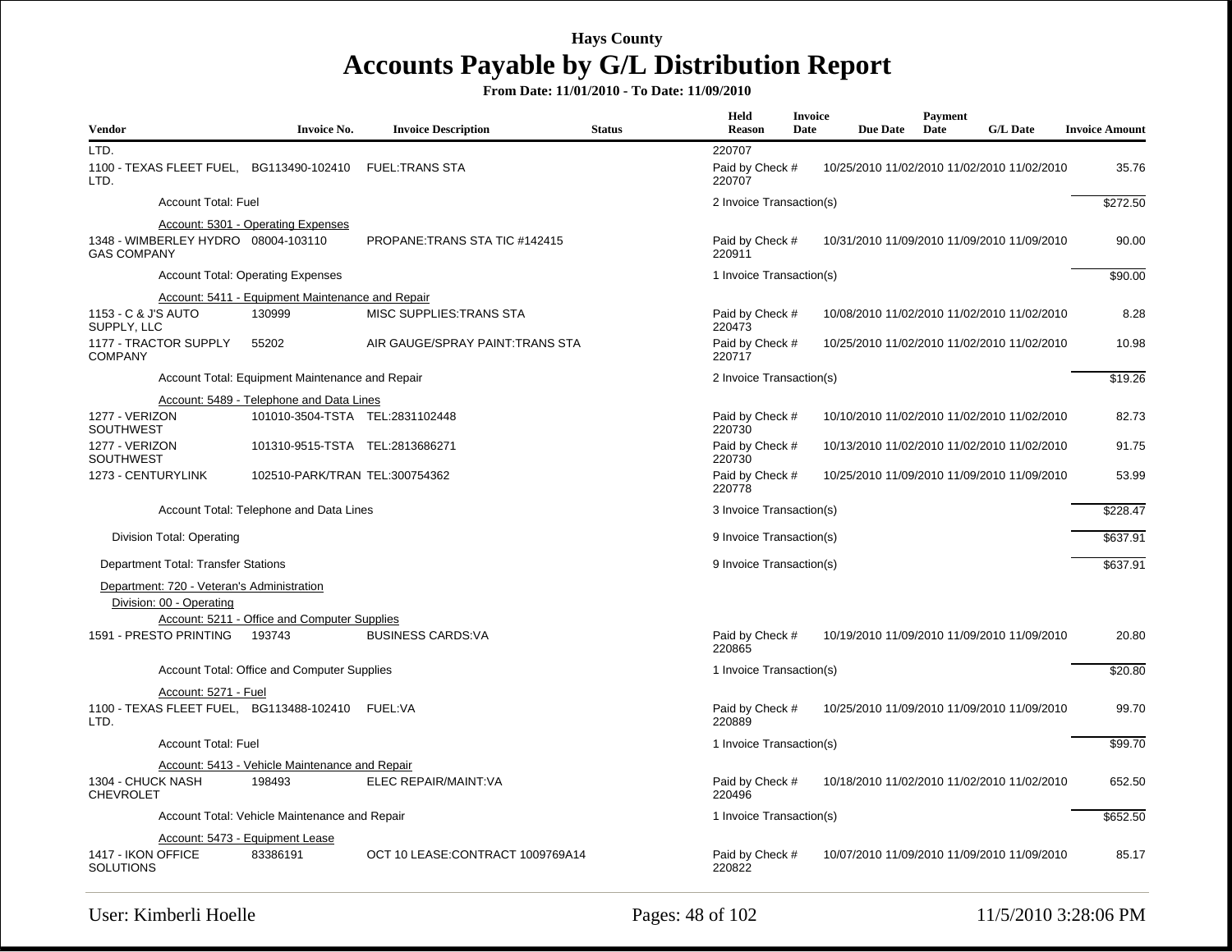| <b>Vendor</b>                                             | <b>Invoice No.</b>                                     | <b>Invoice Description</b>       | <b>Status</b> | Held<br>Reason                      | <b>Invoice</b><br>Date | <b>Due Date</b> | Payment<br>Date | <b>G/L Date</b>                             | <b>Invoice Amount</b> |
|-----------------------------------------------------------|--------------------------------------------------------|----------------------------------|---------------|-------------------------------------|------------------------|-----------------|-----------------|---------------------------------------------|-----------------------|
| LTD.<br>1100 - TEXAS FLEET FUEL, BG113490-102410<br>LTD.  |                                                        | <b>FUEL:TRANS STA</b>            |               | 220707<br>Paid by Check #<br>220707 |                        |                 |                 | 10/25/2010 11/02/2010 11/02/2010 11/02/2010 | 35.76                 |
| <b>Account Total: Fuel</b>                                |                                                        |                                  |               | 2 Invoice Transaction(s)            |                        |                 |                 |                                             | \$272.50              |
| 1348 - WIMBERLEY HYDRO 08004-103110<br><b>GAS COMPANY</b> | <b>Account: 5301 - Operating Expenses</b>              | PROPANE: TRANS STA TIC #142415   |               | Paid by Check #<br>220911           |                        |                 |                 | 10/31/2010 11/09/2010 11/09/2010 11/09/2010 | 90.00                 |
|                                                           | <b>Account Total: Operating Expenses</b>               |                                  |               | 1 Invoice Transaction(s)            |                        |                 |                 |                                             | \$90.00               |
|                                                           | Account: 5411 - Equipment Maintenance and Repair       |                                  |               |                                     |                        |                 |                 |                                             |                       |
| 1153 - C & J'S AUTO<br>SUPPLY, LLC                        | 130999                                                 | MISC SUPPLIES: TRANS STA         |               | Paid by Check #<br>220473           |                        |                 |                 | 10/08/2010 11/02/2010 11/02/2010 11/02/2010 | 8.28                  |
| 1177 - TRACTOR SUPPLY<br><b>COMPANY</b>                   | 55202                                                  | AIR GAUGE/SPRAY PAINT:TRANS STA  |               | Paid by Check #<br>220717           |                        |                 |                 | 10/25/2010 11/02/2010 11/02/2010 11/02/2010 | 10.98                 |
|                                                           | Account Total: Equipment Maintenance and Repair        |                                  |               | 2 Invoice Transaction(s)            |                        |                 |                 |                                             | \$19.26               |
|                                                           | Account: 5489 - Telephone and Data Lines               |                                  |               |                                     |                        |                 |                 |                                             |                       |
| 1277 - VERIZON<br><b>SOUTHWEST</b>                        | 101010-3504-TSTA TEL:2831102448                        |                                  |               | Paid by Check #<br>220730           |                        |                 |                 | 10/10/2010 11/02/2010 11/02/2010 11/02/2010 | 82.73                 |
| 1277 - VERIZON<br><b>SOUTHWEST</b>                        | 101310-9515-TSTA TEL:2813686271                        |                                  |               | Paid by Check #<br>220730           |                        |                 |                 | 10/13/2010 11/02/2010 11/02/2010 11/02/2010 | 91.75                 |
| 1273 - CENTURYLINK                                        | 102510-PARK/TRAN TEL:300754362                         |                                  |               | Paid by Check #<br>220778           |                        |                 |                 | 10/25/2010 11/09/2010 11/09/2010 11/09/2010 | 53.99                 |
|                                                           | Account Total: Telephone and Data Lines                |                                  |               | 3 Invoice Transaction(s)            |                        |                 |                 |                                             | \$228.47              |
| Division Total: Operating                                 |                                                        |                                  |               | 9 Invoice Transaction(s)            |                        |                 |                 |                                             | \$637.91              |
| Department Total: Transfer Stations                       |                                                        |                                  |               | 9 Invoice Transaction(s)            |                        |                 |                 |                                             | \$637.91              |
| Department: 720 - Veteran's Administration                |                                                        |                                  |               |                                     |                        |                 |                 |                                             |                       |
| Division: 00 - Operating                                  |                                                        |                                  |               |                                     |                        |                 |                 |                                             |                       |
| 1591 - PRESTO PRINTING                                    | Account: 5211 - Office and Computer Supplies<br>193743 | <b>BUSINESS CARDS:VA</b>         |               | Paid by Check #<br>220865           |                        |                 |                 | 10/19/2010 11/09/2010 11/09/2010 11/09/2010 | 20.80                 |
|                                                           | Account Total: Office and Computer Supplies            |                                  |               | 1 Invoice Transaction(s)            |                        |                 |                 |                                             | \$20.80               |
| Account: 5271 - Fuel                                      |                                                        |                                  |               |                                     |                        |                 |                 |                                             |                       |
| 1100 - TEXAS FLEET FUEL, BG113488-102410 FUEL:VA<br>LTD.  |                                                        |                                  |               | Paid by Check #<br>220889           |                        |                 |                 | 10/25/2010 11/09/2010 11/09/2010 11/09/2010 | 99.70                 |
| <b>Account Total: Fuel</b>                                |                                                        |                                  |               | 1 Invoice Transaction(s)            |                        |                 |                 |                                             | \$99.70               |
|                                                           | Account: 5413 - Vehicle Maintenance and Repair         |                                  |               |                                     |                        |                 |                 |                                             |                       |
| 1304 - CHUCK NASH<br><b>CHEVROLET</b>                     | 198493                                                 | ELEC REPAIR/MAINT:VA             |               | Paid by Check #<br>220496           |                        |                 |                 | 10/18/2010 11/02/2010 11/02/2010 11/02/2010 | 652.50                |
|                                                           | Account Total: Vehicle Maintenance and Repair          |                                  |               | 1 Invoice Transaction(s)            |                        |                 |                 |                                             | \$652.50              |
|                                                           | Account: 5473 - Equipment Lease                        |                                  |               |                                     |                        |                 |                 |                                             |                       |
| 1417 - IKON OFFICE<br><b>SOLUTIONS</b>                    | 83386191                                               | OCT 10 LEASE:CONTRACT 1009769A14 |               | Paid by Check #<br>220822           |                        |                 |                 | 10/07/2010 11/09/2010 11/09/2010 11/09/2010 | 85.17                 |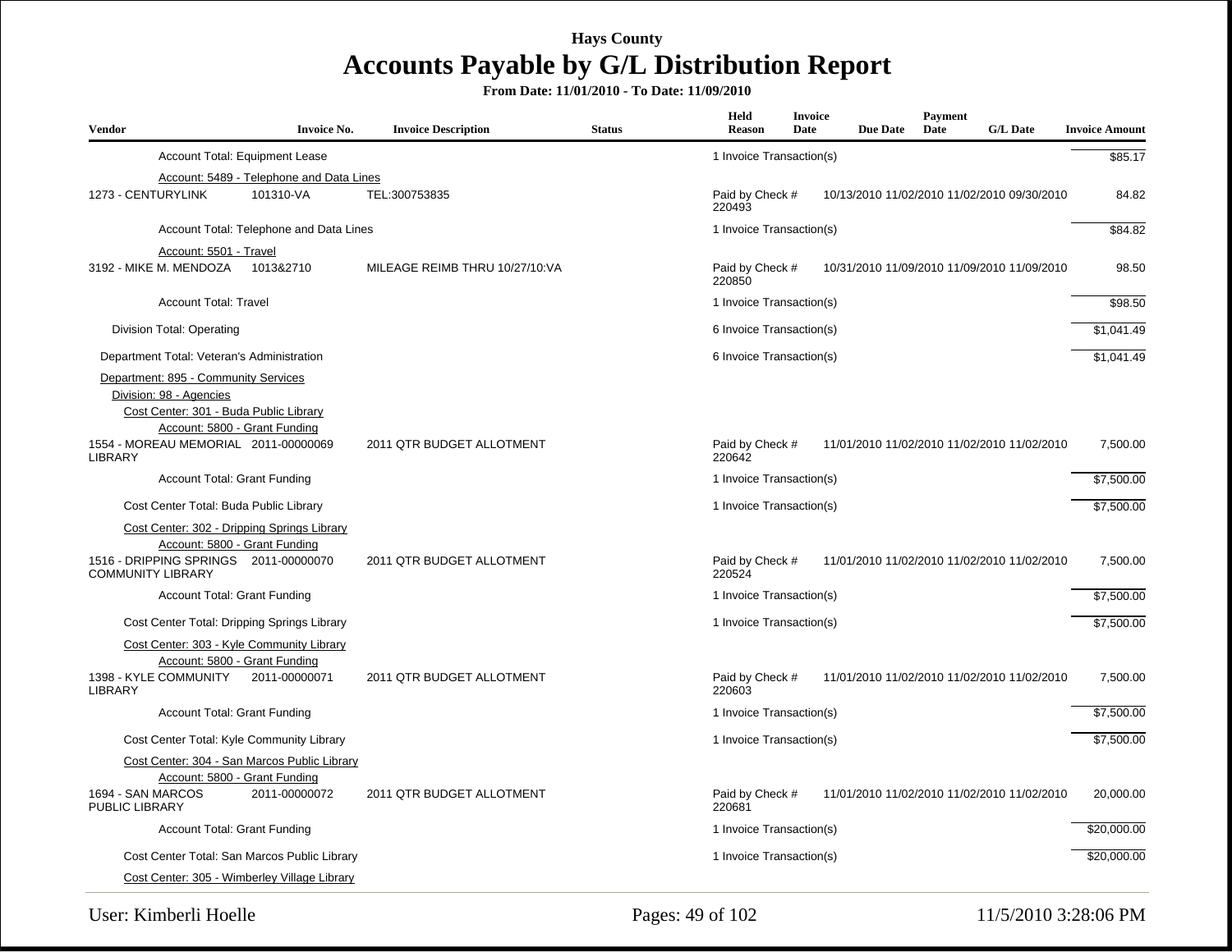**From Date: 11/01/2010 - To Date: 11/09/2010**

| <b>Vendor</b>                                                     | <b>Invoice No.</b> | <b>Invoice Description</b>     | <b>Status</b> | Held<br><b>Reason</b>     | <b>Invoice</b><br>Date | <b>Due Date</b> | Payment<br>Date | <b>G/L Date</b>                             | <b>Invoice Amount</b> |
|-------------------------------------------------------------------|--------------------|--------------------------------|---------------|---------------------------|------------------------|-----------------|-----------------|---------------------------------------------|-----------------------|
| Account Total: Equipment Lease                                    |                    |                                |               | 1 Invoice Transaction(s)  |                        |                 |                 |                                             | \$85.17               |
| Account: 5489 - Telephone and Data Lines                          |                    |                                |               |                           |                        |                 |                 |                                             |                       |
| 1273 - CENTURYLINK<br>101310-VA                                   |                    | TEL:300753835                  |               | Paid by Check #<br>220493 |                        |                 |                 | 10/13/2010 11/02/2010 11/02/2010 09/30/2010 | 84.82                 |
| Account Total: Telephone and Data Lines                           |                    |                                |               | 1 Invoice Transaction(s)  |                        |                 |                 |                                             | \$84.82               |
| Account: 5501 - Travel                                            |                    |                                |               |                           |                        |                 |                 |                                             |                       |
| 3192 - MIKE M. MENDOZA<br>1013&2710                               |                    | MILEAGE REIMB THRU 10/27/10:VA |               | Paid by Check #<br>220850 |                        |                 |                 | 10/31/2010 11/09/2010 11/09/2010 11/09/2010 | 98.50                 |
| <b>Account Total: Travel</b>                                      |                    |                                |               | 1 Invoice Transaction(s)  |                        |                 |                 |                                             | \$98.50               |
| Division Total: Operating                                         |                    |                                |               | 6 Invoice Transaction(s)  |                        |                 |                 |                                             | \$1,041.49            |
| Department Total: Veteran's Administration                        |                    |                                |               | 6 Invoice Transaction(s)  |                        |                 |                 |                                             | \$1,041.49            |
| Department: 895 - Community Services<br>Division: 98 - Agencies   |                    |                                |               |                           |                        |                 |                 |                                             |                       |
| Cost Center: 301 - Buda Public Library                            |                    |                                |               |                           |                        |                 |                 |                                             |                       |
| Account: 5800 - Grant Funding                                     |                    |                                |               |                           |                        |                 |                 |                                             |                       |
| 1554 - MOREAU MEMORIAL 2011-00000069<br><b>LIBRARY</b>            |                    | 2011 QTR BUDGET ALLOTMENT      |               | Paid by Check #<br>220642 |                        |                 |                 | 11/01/2010 11/02/2010 11/02/2010 11/02/2010 | 7,500.00              |
| <b>Account Total: Grant Funding</b>                               |                    |                                |               | 1 Invoice Transaction(s)  |                        |                 |                 |                                             | \$7,500.00            |
| Cost Center Total: Buda Public Library                            |                    |                                |               | 1 Invoice Transaction(s)  |                        |                 |                 |                                             | \$7,500.00            |
| Cost Center: 302 - Dripping Springs Library                       |                    |                                |               |                           |                        |                 |                 |                                             |                       |
| Account: 5800 - Grant Funding                                     |                    |                                |               |                           |                        |                 |                 |                                             |                       |
| 1516 - DRIPPING SPRINGS 2011-00000070<br><b>COMMUNITY LIBRARY</b> |                    | 2011 QTR BUDGET ALLOTMENT      |               | Paid by Check #<br>220524 |                        |                 |                 | 11/01/2010 11/02/2010 11/02/2010 11/02/2010 | 7,500.00              |
| <b>Account Total: Grant Funding</b>                               |                    |                                |               | 1 Invoice Transaction(s)  |                        |                 |                 |                                             | \$7,500.00            |
| Cost Center Total: Dripping Springs Library                       |                    |                                |               | 1 Invoice Transaction(s)  |                        |                 |                 |                                             | \$7,500.00            |
| Cost Center: 303 - Kyle Community Library                         |                    |                                |               |                           |                        |                 |                 |                                             |                       |
| Account: 5800 - Grant Funding                                     |                    |                                |               |                           |                        |                 |                 |                                             |                       |
| 1398 - KYLE COMMUNITY<br>2011-00000071<br><b>LIBRARY</b>          |                    | 2011 QTR BUDGET ALLOTMENT      |               | Paid by Check #<br>220603 |                        |                 |                 | 11/01/2010 11/02/2010 11/02/2010 11/02/2010 | 7,500.00              |
| <b>Account Total: Grant Funding</b>                               |                    |                                |               | 1 Invoice Transaction(s)  |                        |                 |                 |                                             | \$7,500.00            |
| Cost Center Total: Kyle Community Library                         |                    |                                |               | 1 Invoice Transaction(s)  |                        |                 |                 |                                             | \$7,500.00            |
| Cost Center: 304 - San Marcos Public Library                      |                    |                                |               |                           |                        |                 |                 |                                             |                       |
| Account: 5800 - Grant Funding                                     |                    |                                |               |                           |                        |                 |                 |                                             |                       |
| 1694 - SAN MARCOS<br>2011-00000072<br>PUBLIC LIBRARY              |                    | 2011 QTR BUDGET ALLOTMENT      |               | Paid by Check #<br>220681 |                        |                 |                 | 11/01/2010 11/02/2010 11/02/2010 11/02/2010 | 20,000.00             |
| <b>Account Total: Grant Funding</b>                               |                    |                                |               | 1 Invoice Transaction(s)  |                        |                 |                 |                                             | \$20,000.00           |
| Cost Center Total: San Marcos Public Library                      |                    |                                |               | 1 Invoice Transaction(s)  |                        |                 |                 |                                             | \$20,000.00           |
| Cost Center: 305 - Wimberley Village Library                      |                    |                                |               |                           |                        |                 |                 |                                             |                       |

User: Kimberli Hoelle 2:28:06 PM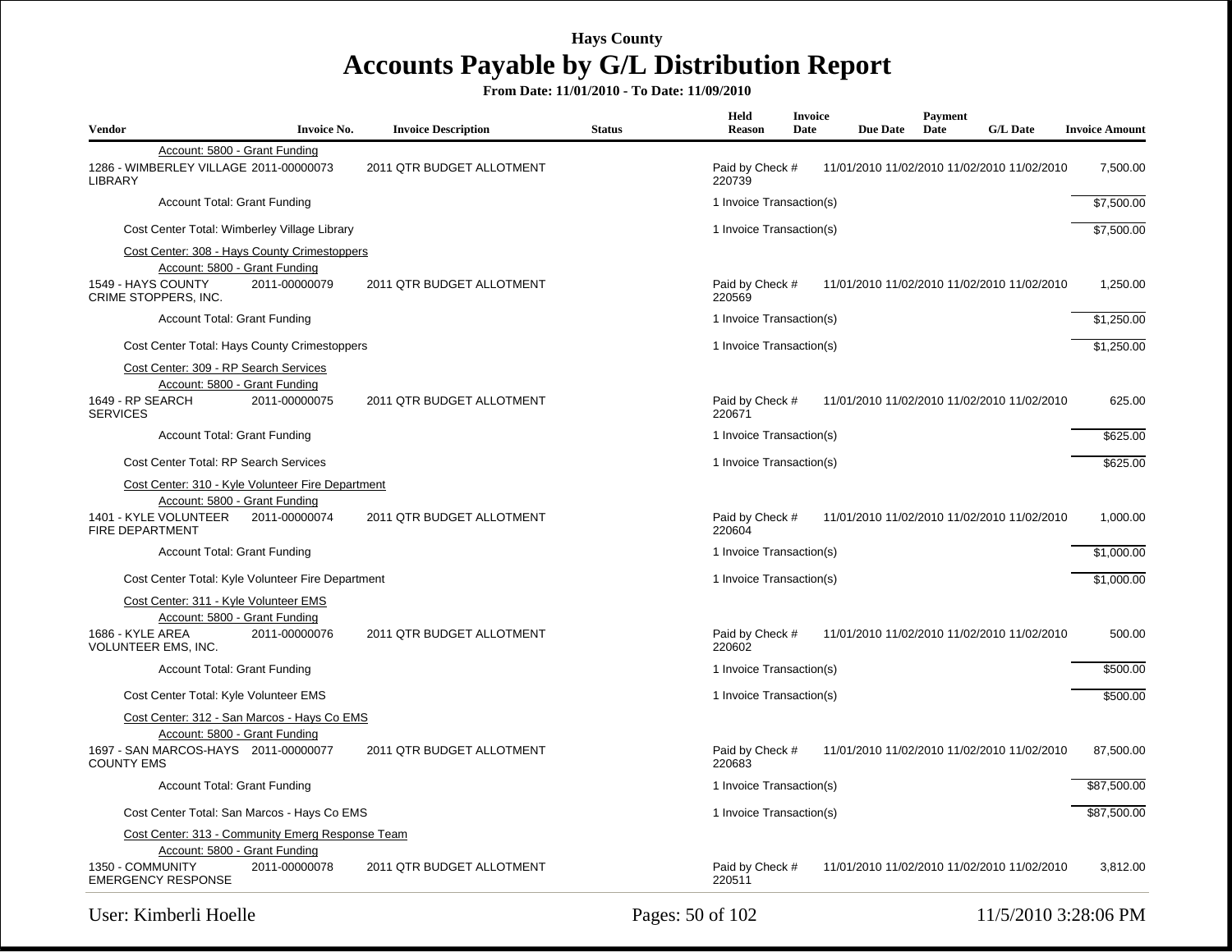| <b>Vendor</b>                                                                                                                         | <b>Invoice No.</b> | <b>Invoice Description</b> | <b>Status</b> | Held<br>Reason            | Invoice<br>Date | <b>Due Date</b> | Payment<br>Date | <b>G/L Date</b>                             | <b>Invoice Amount</b> |
|---------------------------------------------------------------------------------------------------------------------------------------|--------------------|----------------------------|---------------|---------------------------|-----------------|-----------------|-----------------|---------------------------------------------|-----------------------|
| Account: 5800 - Grant Funding<br>1286 - WIMBERLEY VILLAGE 2011-00000073<br><b>LIBRARY</b>                                             |                    | 2011 QTR BUDGET ALLOTMENT  |               | Paid by Check #<br>220739 |                 |                 |                 | 11/01/2010 11/02/2010 11/02/2010 11/02/2010 | 7,500.00              |
| <b>Account Total: Grant Funding</b>                                                                                                   |                    |                            |               | 1 Invoice Transaction(s)  |                 |                 |                 |                                             | \$7,500.00            |
| Cost Center Total: Wimberley Village Library                                                                                          |                    |                            |               | 1 Invoice Transaction(s)  |                 |                 |                 |                                             | \$7,500.00            |
| Cost Center: 308 - Hays County Crimestoppers<br>Account: 5800 - Grant Funding<br>1549 - HAYS COUNTY<br>CRIME STOPPERS, INC.           | 2011-00000079      | 2011 QTR BUDGET ALLOTMENT  |               | Paid by Check #<br>220569 |                 |                 |                 | 11/01/2010 11/02/2010 11/02/2010 11/02/2010 | 1,250.00              |
| <b>Account Total: Grant Funding</b>                                                                                                   |                    |                            |               | 1 Invoice Transaction(s)  |                 |                 |                 |                                             | \$1,250.00            |
| Cost Center Total: Hays County Crimestoppers                                                                                          |                    |                            |               | 1 Invoice Transaction(s)  |                 |                 |                 |                                             | \$1,250.00            |
| Cost Center: 309 - RP Search Services<br>Account: 5800 - Grant Funding<br>1649 - RP SEARCH<br><b>SERVICES</b>                         | 2011-00000075      | 2011 QTR BUDGET ALLOTMENT  |               | Paid by Check #<br>220671 |                 |                 |                 | 11/01/2010 11/02/2010 11/02/2010 11/02/2010 | 625.00                |
| Account Total: Grant Funding                                                                                                          |                    |                            |               | 1 Invoice Transaction(s)  |                 |                 |                 |                                             | \$625.00              |
| Cost Center Total: RP Search Services                                                                                                 |                    |                            |               | 1 Invoice Transaction(s)  |                 |                 |                 |                                             | \$625.00              |
| Cost Center: 310 - Kyle Volunteer Fire Department<br>Account: 5800 - Grant Funding<br>1401 - KYLE VOLUNTEER<br><b>FIRE DEPARTMENT</b> | 2011-00000074      | 2011 QTR BUDGET ALLOTMENT  |               | Paid by Check #<br>220604 |                 |                 |                 | 11/01/2010 11/02/2010 11/02/2010 11/02/2010 | 1,000.00              |
| <b>Account Total: Grant Funding</b>                                                                                                   |                    |                            |               | 1 Invoice Transaction(s)  |                 |                 |                 |                                             | \$1,000.00            |
| Cost Center Total: Kyle Volunteer Fire Department                                                                                     |                    |                            |               | 1 Invoice Transaction(s)  |                 |                 |                 |                                             | \$1,000.00            |
| Cost Center: 311 - Kyle Volunteer EMS<br>Account: 5800 - Grant Funding<br>1686 - KYLE AREA<br>VOLUNTEER EMS, INC.                     | 2011-00000076      | 2011 QTR BUDGET ALLOTMENT  |               | Paid by Check #<br>220602 |                 |                 |                 | 11/01/2010 11/02/2010 11/02/2010 11/02/2010 | 500.00                |
| <b>Account Total: Grant Funding</b>                                                                                                   |                    |                            |               | 1 Invoice Transaction(s)  |                 |                 |                 |                                             | \$500.00              |
| Cost Center Total: Kyle Volunteer EMS                                                                                                 |                    |                            |               | 1 Invoice Transaction(s)  |                 |                 |                 |                                             | \$500.00              |
| Cost Center: 312 - San Marcos - Hays Co EMS                                                                                           |                    |                            |               |                           |                 |                 |                 |                                             |                       |
| Account: 5800 - Grant Funding<br>1697 - SAN MARCOS-HAYS 2011-00000077<br><b>COUNTY EMS</b>                                            |                    | 2011 QTR BUDGET ALLOTMENT  |               | Paid by Check #<br>220683 |                 |                 |                 | 11/01/2010 11/02/2010 11/02/2010 11/02/2010 | 87,500.00             |
| <b>Account Total: Grant Funding</b>                                                                                                   |                    |                            |               | 1 Invoice Transaction(s)  |                 |                 |                 |                                             | \$87,500.00           |
| Cost Center Total: San Marcos - Hays Co EMS                                                                                           |                    |                            |               | 1 Invoice Transaction(s)  |                 |                 |                 |                                             | \$87,500.00           |
| Cost Center: 313 - Community Emerg Response Team                                                                                      |                    |                            |               |                           |                 |                 |                 |                                             |                       |
| Account: 5800 - Grant Funding<br>1350 - COMMUNITY<br><b>EMERGENCY RESPONSE</b>                                                        | 2011-00000078      | 2011 QTR BUDGET ALLOTMENT  |               | Paid by Check #<br>220511 |                 |                 |                 | 11/01/2010 11/02/2010 11/02/2010 11/02/2010 | 3,812.00              |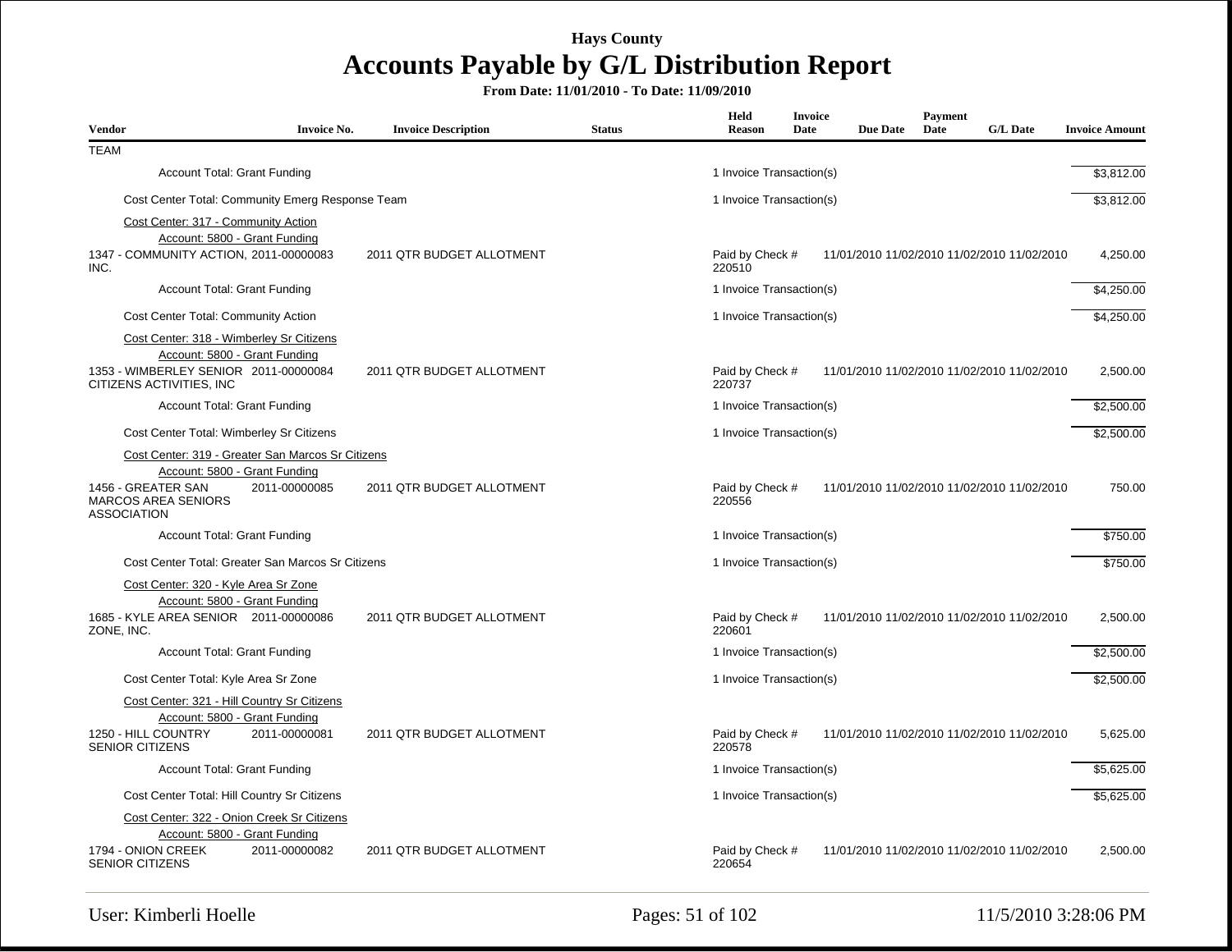| Vendor                                                                                                             | <b>Invoice No.</b>                                | <b>Invoice Description</b> | <b>Status</b> | Held<br>Reason                                                           | <b>Invoice</b><br>Date | <b>Due Date</b> | <b>Payment</b><br>Date | <b>G/L Date</b>                             | <b>Invoice Amount</b> |
|--------------------------------------------------------------------------------------------------------------------|---------------------------------------------------|----------------------------|---------------|--------------------------------------------------------------------------|------------------------|-----------------|------------------------|---------------------------------------------|-----------------------|
| <b>TEAM</b>                                                                                                        |                                                   |                            |               |                                                                          |                        |                 |                        |                                             |                       |
| <b>Account Total: Grant Funding</b>                                                                                |                                                   |                            |               | 1 Invoice Transaction(s)                                                 |                        |                 |                        |                                             | \$3,812.00            |
|                                                                                                                    | Cost Center Total: Community Emerg Response Team  |                            |               | 1 Invoice Transaction(s)                                                 |                        |                 |                        |                                             | \$3,812.00            |
| Cost Center: 317 - Community Action                                                                                |                                                   |                            |               |                                                                          |                        |                 |                        |                                             |                       |
| Account: 5800 - Grant Funding<br>1347 - COMMUNITY ACTION, 2011-00000083<br>INC.                                    |                                                   | 2011 QTR BUDGET ALLOTMENT  |               | Paid by Check #<br>220510                                                |                        |                 |                        | 11/01/2010 11/02/2010 11/02/2010 11/02/2010 | 4,250.00              |
| <b>Account Total: Grant Funding</b>                                                                                |                                                   |                            |               | 1 Invoice Transaction(s)                                                 |                        |                 |                        |                                             | \$4,250.00            |
| Cost Center Total: Community Action                                                                                |                                                   |                            |               | 1 Invoice Transaction(s)                                                 |                        |                 |                        |                                             | \$4,250.00            |
| Cost Center: 318 - Wimberley Sr Citizens<br>Account: 5800 - Grant Funding<br>1353 - WIMBERLEY SENIOR 2011-00000084 |                                                   | 2011 QTR BUDGET ALLOTMENT  |               | Paid by Check #                                                          |                        |                 |                        | 11/01/2010 11/02/2010 11/02/2010 11/02/2010 | 2.500.00              |
| CITIZENS ACTIVITIES. INC                                                                                           |                                                   |                            |               | 220737                                                                   |                        |                 |                        |                                             |                       |
| <b>Account Total: Grant Funding</b>                                                                                |                                                   |                            |               | 1 Invoice Transaction(s)                                                 |                        |                 |                        |                                             | \$2,500.00            |
| Cost Center Total: Wimberley Sr Citizens                                                                           |                                                   |                            |               | 1 Invoice Transaction(s)                                                 |                        |                 |                        |                                             | \$2,500.00            |
|                                                                                                                    | Cost Center: 319 - Greater San Marcos Sr Citizens |                            |               |                                                                          |                        |                 |                        |                                             |                       |
| Account: 5800 - Grant Funding<br>1456 - GREATER SAN<br><b>MARCOS AREA SENIORS</b><br><b>ASSOCIATION</b>            | 2011-00000085                                     | 2011 QTR BUDGET ALLOTMENT  |               | Paid by Check #<br>11/01/2010 11/02/2010 11/02/2010 11/02/2010<br>220556 |                        |                 |                        | 750.00                                      |                       |
| <b>Account Total: Grant Funding</b>                                                                                |                                                   |                            |               | 1 Invoice Transaction(s)                                                 |                        |                 |                        |                                             | \$750.00              |
|                                                                                                                    | Cost Center Total: Greater San Marcos Sr Citizens |                            |               | 1 Invoice Transaction(s)                                                 |                        |                 |                        |                                             | \$750.00              |
| Cost Center: 320 - Kyle Area Sr Zone                                                                               |                                                   |                            |               |                                                                          |                        |                 |                        |                                             |                       |
| Account: 5800 - Grant Funding<br>1685 - KYLE AREA SENIOR 2011-00000086<br>ZONE, INC.                               |                                                   | 2011 QTR BUDGET ALLOTMENT  |               | Paid by Check #<br>220601                                                |                        |                 |                        | 11/01/2010 11/02/2010 11/02/2010 11/02/2010 | 2,500.00              |
| <b>Account Total: Grant Funding</b>                                                                                |                                                   |                            |               | 1 Invoice Transaction(s)                                                 |                        |                 |                        |                                             | \$2,500.00            |
| Cost Center Total: Kyle Area Sr Zone                                                                               |                                                   |                            |               | 1 Invoice Transaction(s)                                                 |                        |                 |                        |                                             | \$2,500.00            |
| Cost Center: 321 - Hill Country Sr Citizens<br>Account: 5800 - Grant Funding                                       |                                                   |                            |               |                                                                          |                        |                 |                        |                                             |                       |
| 1250 - HILL COUNTRY<br><b>SENIOR CITIZENS</b>                                                                      | 2011-00000081                                     | 2011 QTR BUDGET ALLOTMENT  |               | Paid by Check #<br>220578                                                |                        |                 |                        | 11/01/2010 11/02/2010 11/02/2010 11/02/2010 | 5,625.00              |
| <b>Account Total: Grant Funding</b>                                                                                |                                                   |                            |               | 1 Invoice Transaction(s)                                                 |                        |                 |                        |                                             | \$5,625.00            |
| Cost Center Total: Hill Country Sr Citizens                                                                        |                                                   |                            |               | 1 Invoice Transaction(s)                                                 |                        |                 |                        |                                             | \$5,625.00            |
| Cost Center: 322 - Onion Creek Sr Citizens                                                                         |                                                   |                            |               |                                                                          |                        |                 |                        |                                             |                       |
| Account: 5800 - Grant Funding<br>1794 - ONION CREEK<br><b>SENIOR CITIZENS</b>                                      | 2011-00000082                                     | 2011 QTR BUDGET ALLOTMENT  |               | Paid by Check #<br>220654                                                |                        |                 |                        | 11/01/2010 11/02/2010 11/02/2010 11/02/2010 | 2,500.00              |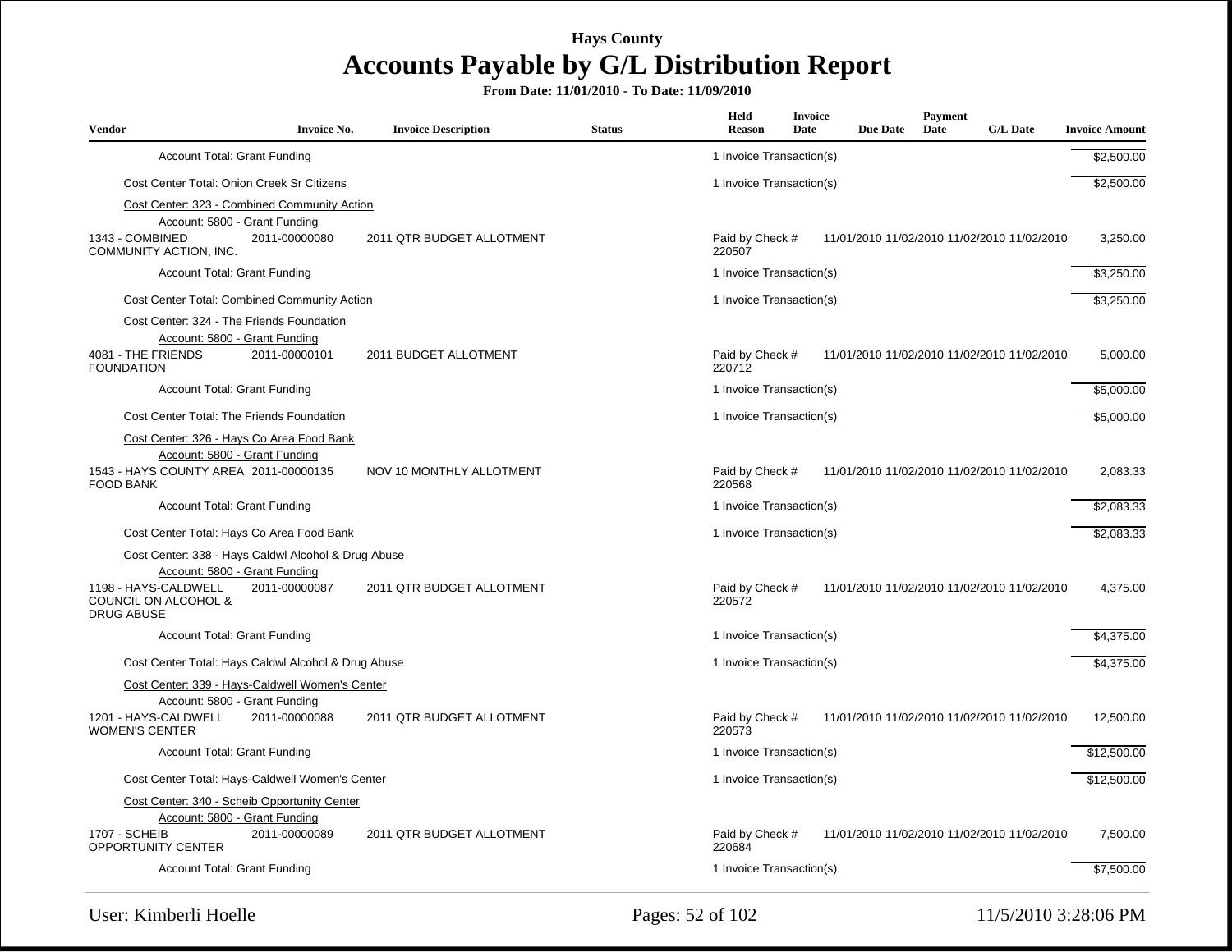| <b>Vendor</b>                                                     | <b>Invoice No.</b> | <b>Invoice Description</b> | <b>Status</b> | Held<br>Reason            | <b>Invoice</b><br>Date | <b>Due Date</b> | Payment<br>Date | <b>G/L Date</b>                             | <b>Invoice Amount</b> |
|-------------------------------------------------------------------|--------------------|----------------------------|---------------|---------------------------|------------------------|-----------------|-----------------|---------------------------------------------|-----------------------|
| <b>Account Total: Grant Funding</b>                               |                    |                            |               | 1 Invoice Transaction(s)  |                        |                 |                 |                                             | \$2,500.00            |
| Cost Center Total: Onion Creek Sr Citizens                        |                    |                            |               | 1 Invoice Transaction(s)  |                        |                 |                 |                                             | \$2,500.00            |
| Cost Center: 323 - Combined Community Action                      |                    |                            |               |                           |                        |                 |                 |                                             |                       |
| Account: 5800 - Grant Funding                                     |                    |                            |               |                           |                        |                 |                 |                                             |                       |
| 1343 - COMBINED<br>COMMUNITY ACTION, INC.                         | 2011-00000080      | 2011 QTR BUDGET ALLOTMENT  |               | Paid by Check #<br>220507 |                        |                 |                 | 11/01/2010 11/02/2010 11/02/2010 11/02/2010 | 3,250.00              |
| <b>Account Total: Grant Funding</b>                               |                    |                            |               | 1 Invoice Transaction(s)  |                        |                 |                 |                                             | \$3,250.00            |
| <b>Cost Center Total: Combined Community Action</b>               |                    |                            |               | 1 Invoice Transaction(s)  |                        |                 |                 |                                             | \$3,250.00            |
| Cost Center: 324 - The Friends Foundation                         |                    |                            |               |                           |                        |                 |                 |                                             |                       |
| Account: 5800 - Grant Funding                                     |                    |                            |               |                           |                        |                 |                 |                                             |                       |
| 4081 - THE FRIENDS<br><b>FOUNDATION</b>                           | 2011-00000101      | 2011 BUDGET ALLOTMENT      |               | Paid by Check #<br>220712 |                        |                 |                 | 11/01/2010 11/02/2010 11/02/2010 11/02/2010 | 5,000.00              |
| <b>Account Total: Grant Funding</b>                               |                    |                            |               | 1 Invoice Transaction(s)  |                        |                 |                 |                                             | \$5,000.00            |
| Cost Center Total: The Friends Foundation                         |                    |                            |               | 1 Invoice Transaction(s)  |                        |                 |                 |                                             | \$5,000.00            |
| Cost Center: 326 - Hays Co Area Food Bank                         |                    |                            |               |                           |                        |                 |                 |                                             |                       |
| Account: 5800 - Grant Funding                                     |                    |                            |               |                           |                        |                 |                 |                                             |                       |
| 1543 - HAYS COUNTY AREA 2011-00000135<br><b>FOOD BANK</b>         |                    | NOV 10 MONTHLY ALLOTMENT   |               | Paid by Check #<br>220568 |                        |                 |                 | 11/01/2010 11/02/2010 11/02/2010 11/02/2010 | 2,083.33              |
| <b>Account Total: Grant Funding</b>                               |                    |                            |               | 1 Invoice Transaction(s)  |                        |                 |                 |                                             | \$2,083.33            |
| Cost Center Total: Hays Co Area Food Bank                         |                    |                            |               | 1 Invoice Transaction(s)  |                        |                 |                 |                                             | \$2,083.33            |
| Cost Center: 338 - Hays Caldwl Alcohol & Drug Abuse               |                    |                            |               |                           |                        |                 |                 |                                             |                       |
| Account: 5800 - Grant Funding                                     |                    |                            |               |                           |                        |                 |                 |                                             |                       |
| 1198 - HAYS-CALDWELL<br>COUNCIL ON ALCOHOL &<br><b>DRUG ABUSE</b> | 2011-00000087      | 2011 QTR BUDGET ALLOTMENT  |               | Paid by Check #<br>220572 |                        |                 |                 | 11/01/2010 11/02/2010 11/02/2010 11/02/2010 | 4,375.00              |
| <b>Account Total: Grant Funding</b>                               |                    |                            |               | 1 Invoice Transaction(s)  |                        |                 |                 |                                             | \$4,375.00            |
| Cost Center Total: Hays Caldwl Alcohol & Drug Abuse               |                    |                            |               | 1 Invoice Transaction(s)  |                        |                 |                 |                                             | \$4,375.00            |
| Cost Center: 339 - Hays-Caldwell Women's Center                   |                    |                            |               |                           |                        |                 |                 |                                             |                       |
| Account: 5800 - Grant Funding                                     |                    |                            |               |                           |                        |                 |                 |                                             |                       |
| 1201 - HAYS-CALDWELL<br><b>WOMEN'S CENTER</b>                     | 2011-00000088      | 2011 QTR BUDGET ALLOTMENT  |               | Paid by Check #<br>220573 |                        |                 |                 | 11/01/2010 11/02/2010 11/02/2010 11/02/2010 | 12,500.00             |
| Account Total: Grant Funding                                      |                    |                            |               | 1 Invoice Transaction(s)  |                        |                 |                 |                                             | \$12,500.00           |
| Cost Center Total: Hays-Caldwell Women's Center                   |                    |                            |               | 1 Invoice Transaction(s)  |                        |                 |                 |                                             | \$12,500.00           |
| Cost Center: 340 - Scheib Opportunity Center                      |                    |                            |               |                           |                        |                 |                 |                                             |                       |
| Account: 5800 - Grant Funding                                     |                    |                            |               |                           |                        |                 |                 |                                             |                       |
| <b>1707 - SCHEIB</b><br><b>OPPORTUNITY CENTER</b>                 | 2011-00000089      | 2011 QTR BUDGET ALLOTMENT  |               | Paid by Check #<br>220684 |                        |                 |                 | 11/01/2010 11/02/2010 11/02/2010 11/02/2010 | 7,500.00              |
| <b>Account Total: Grant Funding</b>                               |                    |                            |               | 1 Invoice Transaction(s)  |                        |                 |                 |                                             | \$7,500.00            |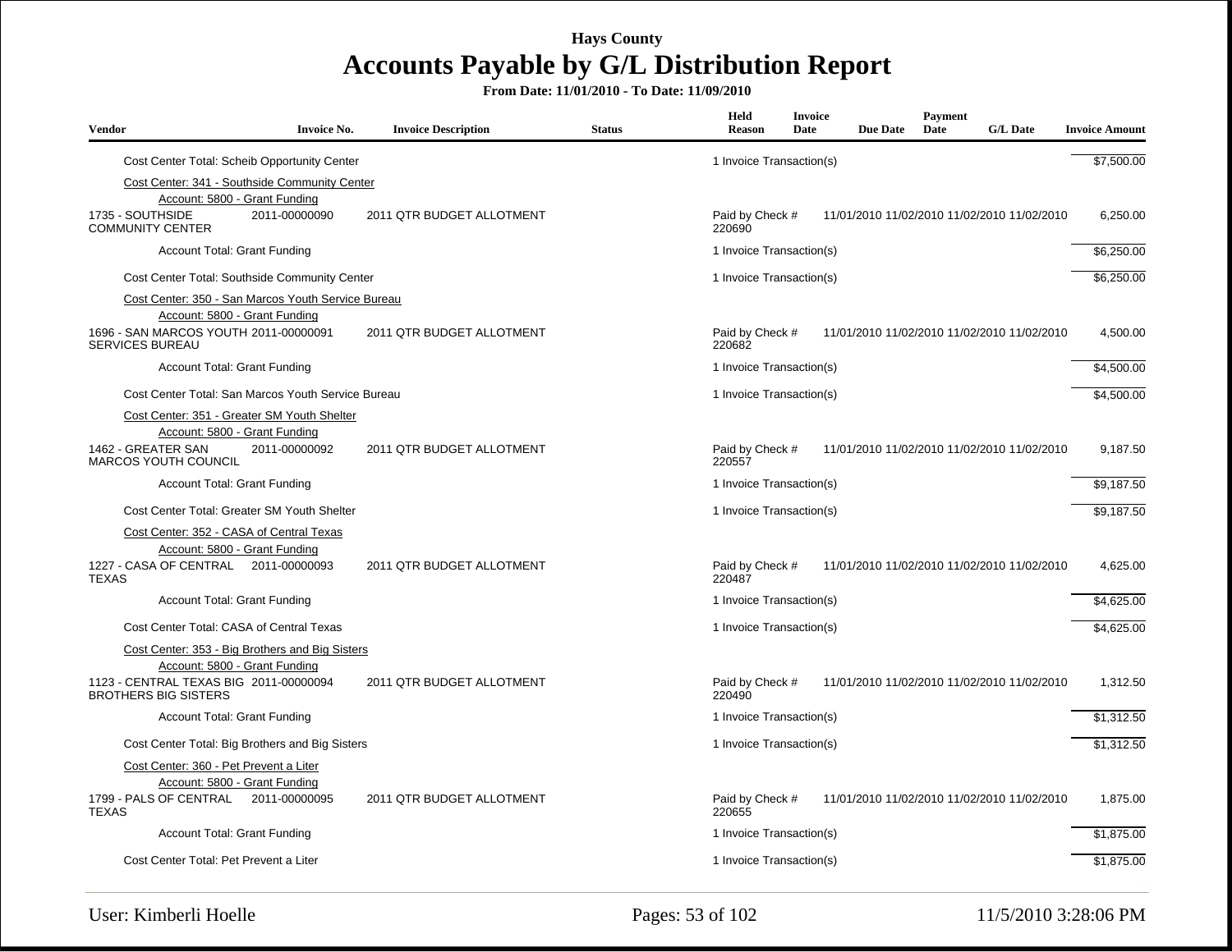| <b>Vendor</b>                                                         | <b>Invoice No.</b>                                 | <b>Invoice Description</b> | <b>Status</b> | Held<br><b>Reason</b>     | Invoice<br>Date | <b>Due Date</b> | Payment<br>Date | <b>G/L Date</b>                             | <b>Invoice Amount</b> |
|-----------------------------------------------------------------------|----------------------------------------------------|----------------------------|---------------|---------------------------|-----------------|-----------------|-----------------|---------------------------------------------|-----------------------|
|                                                                       | Cost Center Total: Scheib Opportunity Center       |                            |               | 1 Invoice Transaction(s)  |                 |                 |                 |                                             | \$7,500.00            |
|                                                                       | Cost Center: 341 - Southside Community Center      |                            |               |                           |                 |                 |                 |                                             |                       |
|                                                                       | Account: 5800 - Grant Funding                      |                            |               |                           |                 |                 |                 |                                             |                       |
| 1735 - SOUTHSIDE<br><b>COMMUNITY CENTER</b>                           | 2011-00000090                                      | 2011 QTR BUDGET ALLOTMENT  |               | Paid by Check #<br>220690 |                 |                 |                 | 11/01/2010 11/02/2010 11/02/2010 11/02/2010 | 6,250.00              |
| <b>Account Total: Grant Funding</b>                                   |                                                    |                            |               | 1 Invoice Transaction(s)  |                 |                 |                 |                                             | \$6,250.00            |
|                                                                       | Cost Center Total: Southside Community Center      |                            |               | 1 Invoice Transaction(s)  |                 |                 |                 |                                             | \$6,250.00            |
|                                                                       | Cost Center: 350 - San Marcos Youth Service Bureau |                            |               |                           |                 |                 |                 |                                             |                       |
| 1696 - SAN MARCOS YOUTH 2011-00000091<br><b>SERVICES BUREAU</b>       | Account: 5800 - Grant Funding                      | 2011 QTR BUDGET ALLOTMENT  |               | Paid by Check #<br>220682 |                 |                 |                 | 11/01/2010 11/02/2010 11/02/2010 11/02/2010 | 4,500.00              |
| <b>Account Total: Grant Funding</b>                                   |                                                    |                            |               | 1 Invoice Transaction(s)  |                 |                 |                 |                                             | \$4,500.00            |
|                                                                       | Cost Center Total: San Marcos Youth Service Bureau |                            |               | 1 Invoice Transaction(s)  |                 |                 |                 |                                             | \$4,500.00            |
|                                                                       | Cost Center: 351 - Greater SM Youth Shelter        |                            |               |                           |                 |                 |                 |                                             |                       |
| 1462 - GREATER SAN<br>MARCOS YOUTH COUNCIL                            | Account: 5800 - Grant Funding<br>2011-00000092     | 2011 QTR BUDGET ALLOTMENT  |               | Paid by Check #<br>220557 |                 |                 |                 | 11/01/2010 11/02/2010 11/02/2010 11/02/2010 | 9,187.50              |
| <b>Account Total: Grant Funding</b>                                   |                                                    |                            |               | 1 Invoice Transaction(s)  |                 |                 |                 |                                             | \$9,187.50            |
|                                                                       | Cost Center Total: Greater SM Youth Shelter        |                            |               | 1 Invoice Transaction(s)  |                 |                 |                 |                                             | \$9,187.50            |
| Cost Center: 352 - CASA of Central Texas                              |                                                    |                            |               |                           |                 |                 |                 |                                             |                       |
|                                                                       | Account: 5800 - Grant Funding                      |                            |               |                           |                 |                 |                 |                                             |                       |
| 1227 - CASA OF CENTRAL 2011-00000093<br><b>TEXAS</b>                  |                                                    | 2011 QTR BUDGET ALLOTMENT  |               | Paid by Check #<br>220487 |                 |                 |                 | 11/01/2010 11/02/2010 11/02/2010 11/02/2010 | 4,625.00              |
| <b>Account Total: Grant Funding</b>                                   |                                                    |                            |               | 1 Invoice Transaction(s)  |                 |                 |                 |                                             | \$4,625.00            |
| Cost Center Total: CASA of Central Texas                              |                                                    |                            |               | 1 Invoice Transaction(s)  |                 |                 |                 |                                             | \$4,625.00            |
|                                                                       | Cost Center: 353 - Big Brothers and Big Sisters    |                            |               |                           |                 |                 |                 |                                             |                       |
|                                                                       | Account: 5800 - Grant Funding                      |                            |               |                           |                 |                 |                 |                                             |                       |
| 1123 - CENTRAL TEXAS BIG 2011-00000094<br><b>BROTHERS BIG SISTERS</b> |                                                    | 2011 QTR BUDGET ALLOTMENT  |               | Paid by Check #<br>220490 |                 |                 |                 | 11/01/2010 11/02/2010 11/02/2010 11/02/2010 | 1,312.50              |
| <b>Account Total: Grant Funding</b>                                   |                                                    |                            |               | 1 Invoice Transaction(s)  |                 |                 |                 |                                             | \$1,312.50            |
|                                                                       | Cost Center Total: Big Brothers and Big Sisters    |                            |               | 1 Invoice Transaction(s)  |                 |                 |                 |                                             | \$1,312.50            |
| Cost Center: 360 - Pet Prevent a Liter                                |                                                    |                            |               |                           |                 |                 |                 |                                             |                       |
|                                                                       | Account: 5800 - Grant Funding                      |                            |               |                           |                 |                 |                 |                                             |                       |
| 1799 - PALS OF CENTRAL<br><b>TEXAS</b>                                | 2011-00000095                                      | 2011 QTR BUDGET ALLOTMENT  |               | Paid by Check #<br>220655 |                 |                 |                 | 11/01/2010 11/02/2010 11/02/2010 11/02/2010 | 1,875.00              |
| <b>Account Total: Grant Funding</b>                                   |                                                    |                            |               | 1 Invoice Transaction(s)  |                 |                 |                 |                                             | \$1,875.00            |
| Cost Center Total: Pet Prevent a Liter                                |                                                    |                            |               | 1 Invoice Transaction(s)  |                 |                 |                 |                                             | \$1,875.00            |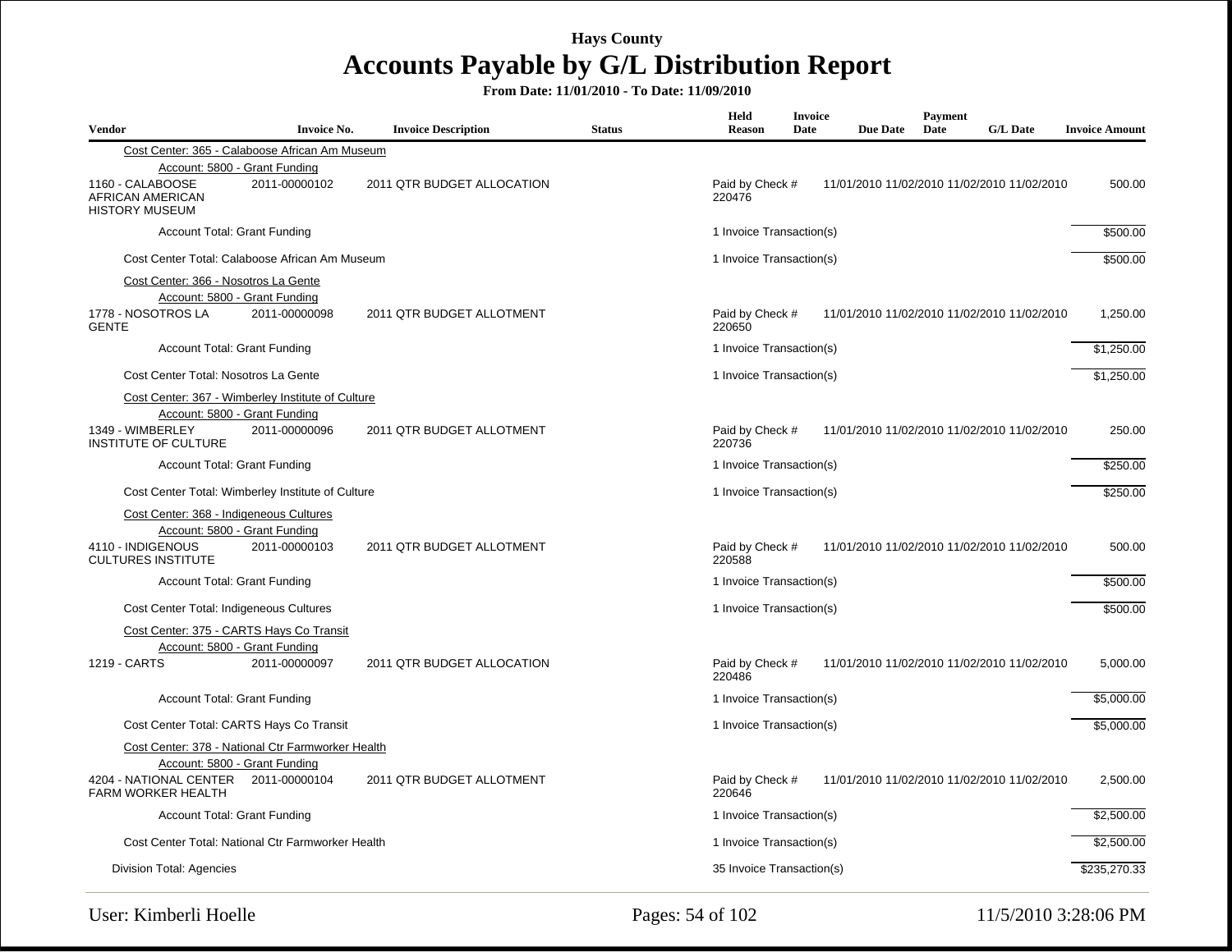| <b>Vendor</b>                                                                             | <b>Invoice No.</b>                                                                                  | <b>Invoice Description</b> | <b>Status</b> | Held<br><b>Reason</b>                                                    | Invoice<br>Date | <b>Due Date</b> | Payment<br>Date | <b>G/L Date</b>                             | <b>Invoice Amount</b> |
|-------------------------------------------------------------------------------------------|-----------------------------------------------------------------------------------------------------|----------------------------|---------------|--------------------------------------------------------------------------|-----------------|-----------------|-----------------|---------------------------------------------|-----------------------|
|                                                                                           | Cost Center: 365 - Calaboose African Am Museum                                                      |                            |               |                                                                          |                 |                 |                 |                                             |                       |
| 1160 - CALABOOSE<br>AFRICAN AMERICAN<br><b>HISTORY MUSEUM</b>                             | Account: 5800 - Grant Funding<br>2011-00000102                                                      | 2011 QTR BUDGET ALLOCATION |               | Paid by Check #<br>220476                                                |                 |                 |                 | 11/01/2010 11/02/2010 11/02/2010 11/02/2010 | 500.00                |
|                                                                                           | <b>Account Total: Grant Funding</b>                                                                 |                            |               | 1 Invoice Transaction(s)                                                 |                 |                 |                 |                                             | \$500.00              |
|                                                                                           | Cost Center Total: Calaboose African Am Museum                                                      |                            |               | 1 Invoice Transaction(s)                                                 |                 |                 |                 |                                             | \$500.00              |
| Cost Center: 366 - Nosotros La Gente<br>1778 - NOSOTROS LA<br><b>GENTE</b>                | Account: 5800 - Grant Funding<br>2011-00000098                                                      | 2011 QTR BUDGET ALLOTMENT  |               | Paid by Check #<br>220650                                                |                 |                 |                 | 11/01/2010 11/02/2010 11/02/2010 11/02/2010 | 1,250.00              |
|                                                                                           | <b>Account Total: Grant Funding</b>                                                                 |                            |               | 1 Invoice Transaction(s)                                                 |                 |                 |                 |                                             | \$1,250.00            |
| Cost Center Total: Nosotros La Gente                                                      |                                                                                                     |                            |               | 1 Invoice Transaction(s)                                                 |                 |                 |                 |                                             | \$1,250.00            |
| 1349 - WIMBERLEY<br><b>INSTITUTE OF CULTURE</b>                                           | Cost Center: 367 - Wimberley Institute of Culture<br>Account: 5800 - Grant Funding<br>2011-00000096 | 2011 QTR BUDGET ALLOTMENT  |               | Paid by Check #<br>220736                                                |                 |                 |                 | 11/01/2010 11/02/2010 11/02/2010 11/02/2010 | 250.00                |
|                                                                                           | Account Total: Grant Funding                                                                        |                            |               | 1 Invoice Transaction(s)                                                 |                 |                 |                 |                                             | \$250.00              |
|                                                                                           | Cost Center Total: Wimberley Institute of Culture                                                   |                            |               | 1 Invoice Transaction(s)                                                 |                 |                 |                 |                                             |                       |
| Cost Center: 368 - Indigeneous Cultures<br>4110 - INDIGENOUS<br><b>CULTURES INSTITUTE</b> | Account: 5800 - Grant Funding<br>2011-00000103                                                      | 2011 QTR BUDGET ALLOTMENT  |               | Paid by Check #<br>11/01/2010 11/02/2010 11/02/2010 11/02/2010<br>220588 |                 |                 |                 | 500.00                                      |                       |
|                                                                                           | <b>Account Total: Grant Funding</b>                                                                 |                            |               | 1 Invoice Transaction(s)                                                 |                 |                 |                 |                                             | \$500.00              |
| Cost Center Total: Indigeneous Cultures                                                   |                                                                                                     |                            |               | 1 Invoice Transaction(s)                                                 |                 |                 |                 |                                             | \$500.00              |
| 1219 - CARTS                                                                              | Cost Center: 375 - CARTS Hays Co Transit<br>Account: 5800 - Grant Funding<br>2011-00000097          | 2011 QTR BUDGET ALLOCATION |               | Paid by Check #<br>220486                                                |                 |                 |                 | 11/01/2010 11/02/2010 11/02/2010 11/02/2010 | 5,000.00              |
|                                                                                           | Account Total: Grant Funding                                                                        |                            |               | 1 Invoice Transaction(s)                                                 |                 |                 |                 |                                             | \$5,000.00            |
|                                                                                           | Cost Center Total: CARTS Hays Co Transit                                                            |                            |               | 1 Invoice Transaction(s)                                                 |                 |                 |                 |                                             | \$5,000.00            |
|                                                                                           | Cost Center: 378 - National Ctr Farmworker Health<br>Account: 5800 - Grant Funding                  |                            |               |                                                                          |                 |                 |                 |                                             |                       |
| 4204 - NATIONAL CENTER 2011-00000104<br><b>FARM WORKER HEALTH</b>                         |                                                                                                     | 2011 QTR BUDGET ALLOTMENT  |               | Paid by Check #<br>220646                                                |                 |                 |                 | 11/01/2010 11/02/2010 11/02/2010 11/02/2010 | 2,500.00              |
|                                                                                           | <b>Account Total: Grant Funding</b>                                                                 |                            |               | 1 Invoice Transaction(s)                                                 |                 |                 |                 |                                             | \$2,500.00            |
|                                                                                           | Cost Center Total: National Ctr Farmworker Health                                                   |                            |               | 1 Invoice Transaction(s)                                                 |                 |                 |                 |                                             | \$2,500.00            |
| Division Total: Agencies                                                                  |                                                                                                     |                            |               | 35 Invoice Transaction(s)                                                |                 |                 |                 |                                             | \$235,270.33          |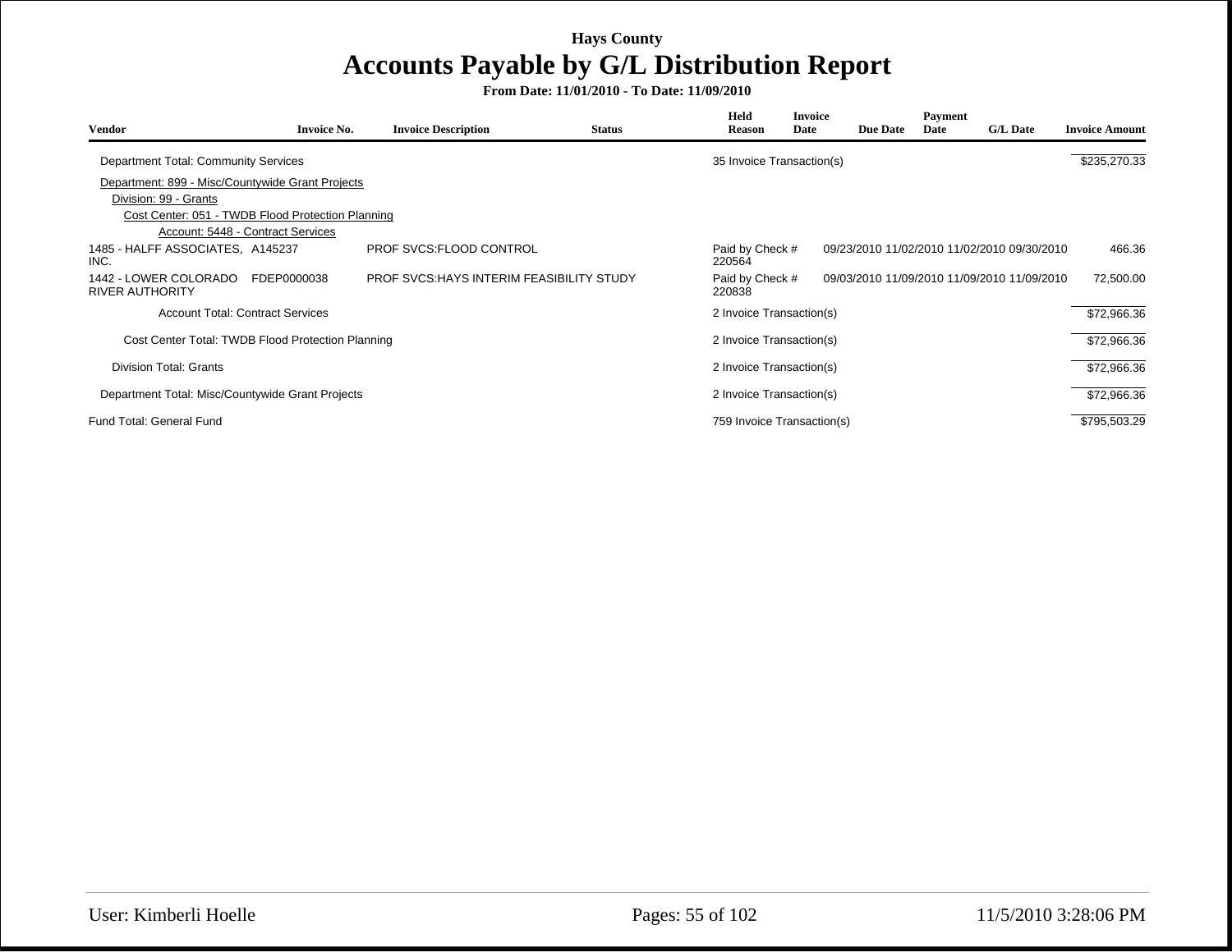| Vendor                                            | <b>Invoice No.</b> | <b>Invoice Description</b>                       | <b>Status</b> | Held<br><b>Reason</b>      | <b>Invoice</b><br>Date | <b>Due Date</b> | Payment<br>Date | <b>G/L Date</b>                             | <b>Invoice Amount</b> |
|---------------------------------------------------|--------------------|--------------------------------------------------|---------------|----------------------------|------------------------|-----------------|-----------------|---------------------------------------------|-----------------------|
| Department Total: Community Services              |                    |                                                  |               | 35 Invoice Transaction(s)  |                        |                 |                 |                                             | \$235,270.33          |
| Department: 899 - Misc/Countywide Grant Projects  |                    |                                                  |               |                            |                        |                 |                 |                                             |                       |
| Division: 99 - Grants                             |                    |                                                  |               |                            |                        |                 |                 |                                             |                       |
| Cost Center: 051 - TWDB Flood Protection Planning |                    |                                                  |               |                            |                        |                 |                 |                                             |                       |
| Account: 5448 - Contract Services                 |                    |                                                  |               |                            |                        |                 |                 |                                             |                       |
| 1485 - HALFF ASSOCIATES, A145237<br>INC.          |                    | PROF SVCS:FLOOD CONTROL                          |               | Paid by Check #<br>220564  |                        |                 |                 | 09/23/2010 11/02/2010 11/02/2010 09/30/2010 | 466.36                |
| 1442 - LOWER COLORADO<br><b>RIVER AUTHORITY</b>   | FDEP0000038        | <b>PROF SVCS: HAYS INTERIM FEASIBILITY STUDY</b> |               | Paid by Check #<br>220838  |                        |                 |                 | 09/03/2010 11/09/2010 11/09/2010 11/09/2010 | 72,500.00             |
| <b>Account Total: Contract Services</b>           |                    |                                                  |               | 2 Invoice Transaction(s)   |                        |                 |                 |                                             | \$72,966.36           |
| Cost Center Total: TWDB Flood Protection Planning |                    |                                                  |               | 2 Invoice Transaction(s)   |                        |                 |                 |                                             | \$72,966.36           |
| Division Total: Grants                            |                    |                                                  |               | 2 Invoice Transaction(s)   |                        |                 |                 |                                             | \$72,966.36           |
| Department Total: Misc/Countywide Grant Projects  |                    |                                                  |               | 2 Invoice Transaction(s)   |                        |                 |                 |                                             | \$72,966.36           |
| Fund Total: General Fund                          |                    |                                                  |               | 759 Invoice Transaction(s) |                        |                 |                 |                                             | \$795,503.29          |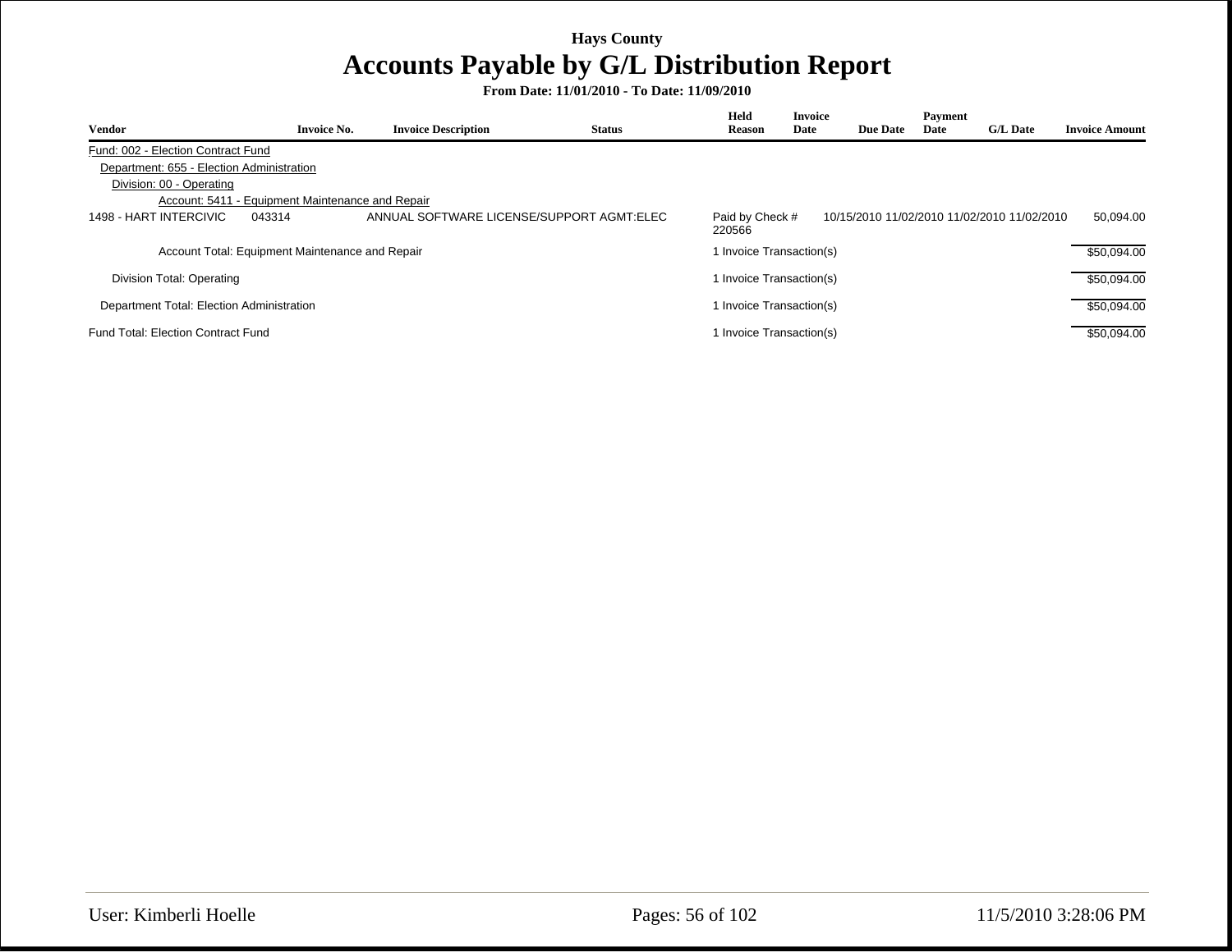|                                                  |                    |                                           |               | Held                      | <b>Invoice</b> |                 | Payment |                                             |                       |
|--------------------------------------------------|--------------------|-------------------------------------------|---------------|---------------------------|----------------|-----------------|---------|---------------------------------------------|-----------------------|
| <b>Vendor</b>                                    | <b>Invoice No.</b> | <b>Invoice Description</b>                | <b>Status</b> | <b>Reason</b>             | Date           | <b>Due Date</b> | Date    | <b>G/L Date</b>                             | <b>Invoice Amount</b> |
| Fund: 002 - Election Contract Fund               |                    |                                           |               |                           |                |                 |         |                                             |                       |
| Department: 655 - Election Administration        |                    |                                           |               |                           |                |                 |         |                                             |                       |
| Division: 00 - Operating                         |                    |                                           |               |                           |                |                 |         |                                             |                       |
| Account: 5411 - Equipment Maintenance and Repair |                    |                                           |               |                           |                |                 |         |                                             |                       |
| 1498 - HART INTERCIVIC                           | 043314             | ANNUAL SOFTWARE LICENSE/SUPPORT AGMT:ELEC |               | Paid by Check #<br>220566 |                |                 |         | 10/15/2010 11/02/2010 11/02/2010 11/02/2010 | 50.094.00             |
| Account Total: Equipment Maintenance and Repair  |                    |                                           |               | 1 Invoice Transaction(s)  |                |                 |         |                                             | \$50,094.00           |
| Division Total: Operating                        |                    |                                           |               | 1 Invoice Transaction(s)  |                |                 |         |                                             | \$50.094.00           |
| Department Total: Election Administration        |                    |                                           |               | 1 Invoice Transaction(s)  |                |                 |         |                                             | \$50.094.00           |
| <b>Fund Total: Election Contract Fund</b>        |                    |                                           |               | 1 Invoice Transaction(s)  |                |                 |         |                                             | \$50,094.00           |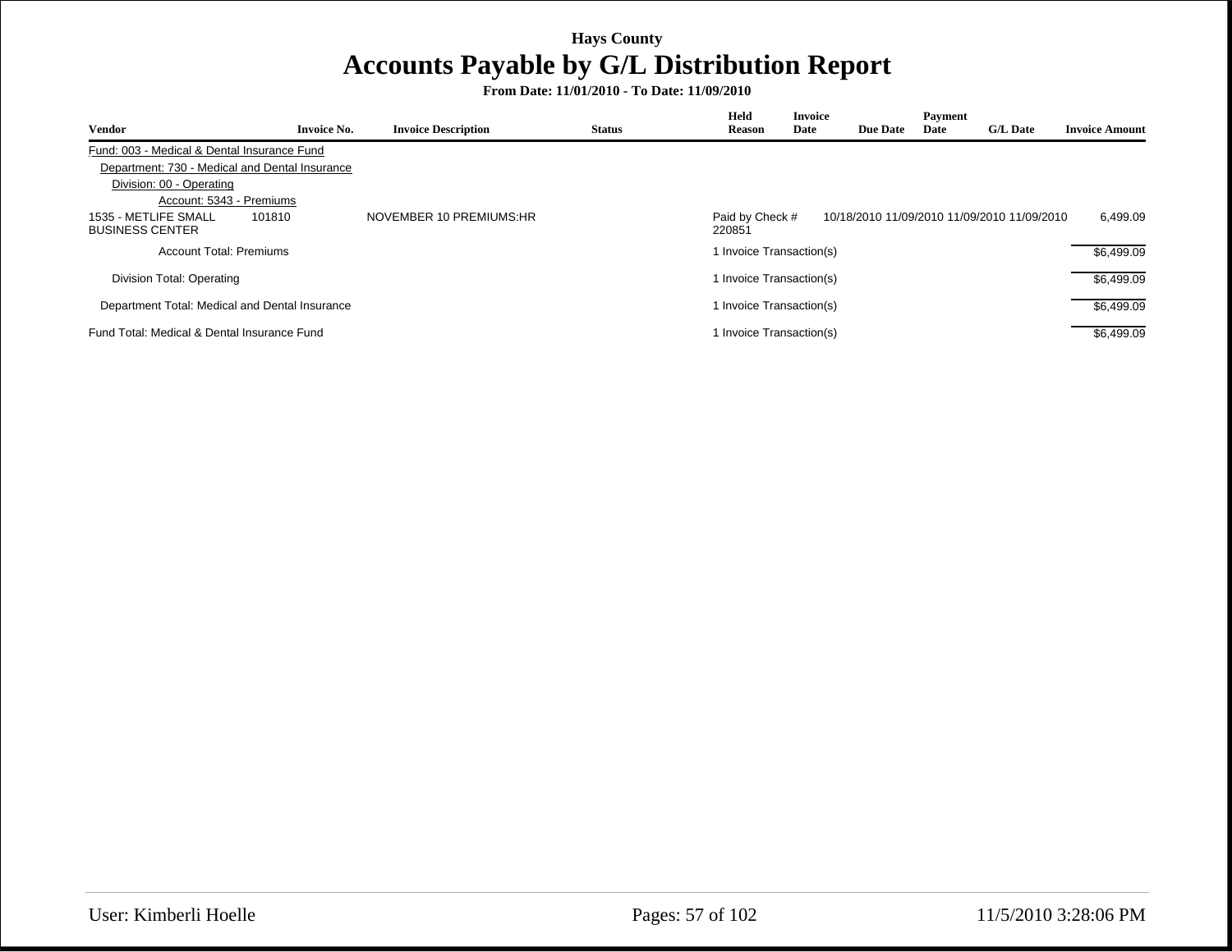| <b>Vendor</b>                                            | <b>Invoice No.</b> | <b>Invoice Description</b> | <b>Status</b> | Held<br><b>Reason</b>     | <b>Invoice</b><br>Date | <b>Due Date</b> | Payment<br>Date | <b>G/L Date</b>                             | <b>Invoice Amount</b> |
|----------------------------------------------------------|--------------------|----------------------------|---------------|---------------------------|------------------------|-----------------|-----------------|---------------------------------------------|-----------------------|
| Fund: 003 - Medical & Dental Insurance Fund              |                    |                            |               |                           |                        |                 |                 |                                             |                       |
| Department: 730 - Medical and Dental Insurance           |                    |                            |               |                           |                        |                 |                 |                                             |                       |
| Division: 00 - Operating                                 |                    |                            |               |                           |                        |                 |                 |                                             |                       |
| Account: 5343 - Premiums                                 |                    |                            |               |                           |                        |                 |                 |                                             |                       |
| 1535 - METLIFE SMALL<br>101810<br><b>BUSINESS CENTER</b> |                    | NOVEMBER 10 PREMIUMS:HR    |               | Paid by Check #<br>220851 |                        |                 |                 | 10/18/2010 11/09/2010 11/09/2010 11/09/2010 | 6.499.09              |
| Account Total: Premiums                                  |                    |                            |               | 1 Invoice Transaction(s)  |                        |                 |                 |                                             | \$6.499.09            |
| Division Total: Operating                                |                    |                            |               | 1 Invoice Transaction(s)  |                        |                 |                 |                                             | \$6.499.09            |
| Department Total: Medical and Dental Insurance           |                    |                            |               | 1 Invoice Transaction(s)  |                        |                 |                 |                                             | \$6,499.09            |
| Fund Total: Medical & Dental Insurance Fund              |                    |                            |               | 1 Invoice Transaction(s)  |                        |                 |                 |                                             | \$6.499.09            |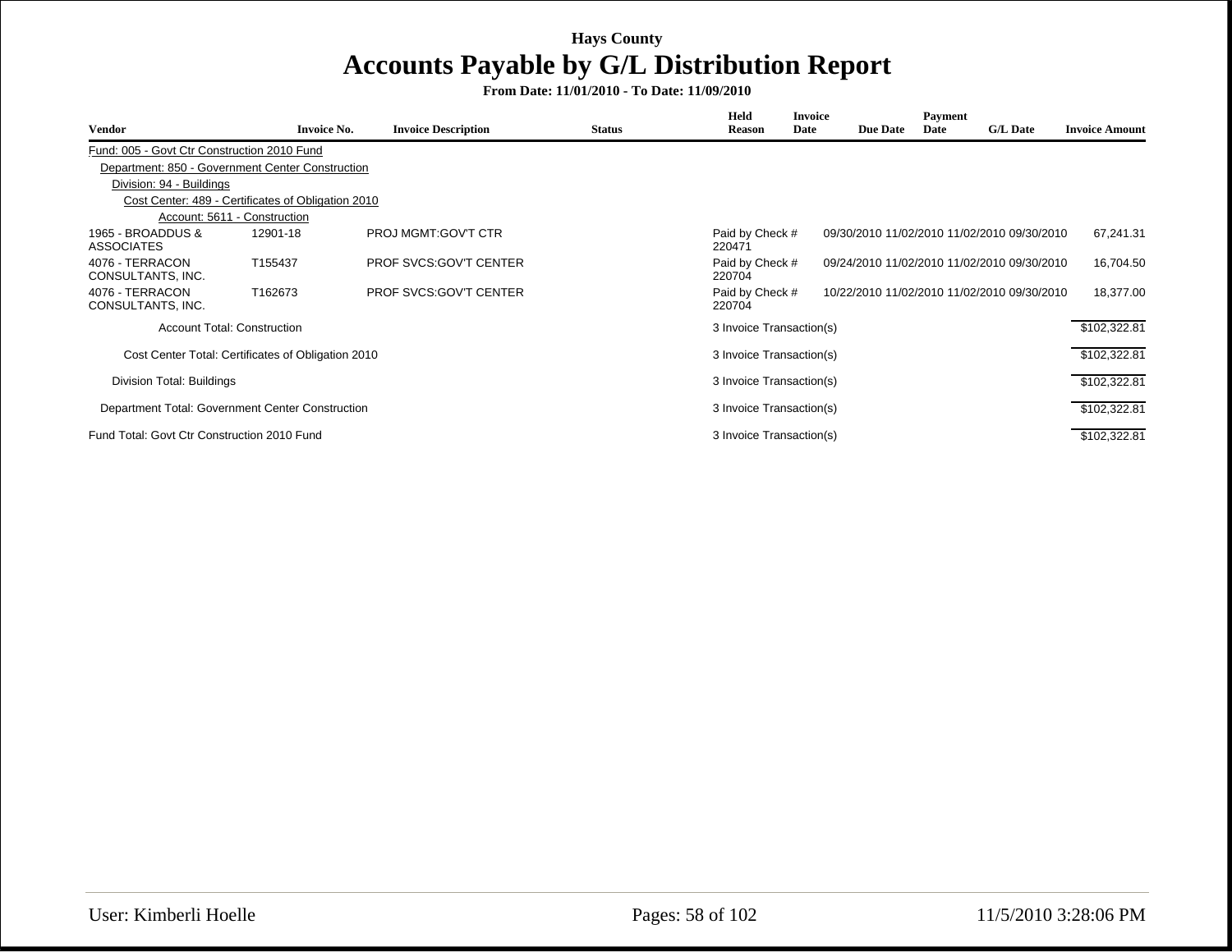| Vendor                                      | <b>Invoice No.</b>                                 | <b>Invoice Description</b>    | <b>Status</b> | <b>Held</b><br><b>Reason</b> | <b>Invoice</b><br>Date | <b>Due Date</b> | Payment<br>Date | <b>G/L Date</b>                             | <b>Invoice Amount</b> |
|---------------------------------------------|----------------------------------------------------|-------------------------------|---------------|------------------------------|------------------------|-----------------|-----------------|---------------------------------------------|-----------------------|
| Fund: 005 - Govt Ctr Construction 2010 Fund |                                                    |                               |               |                              |                        |                 |                 |                                             |                       |
|                                             | Department: 850 - Government Center Construction   |                               |               |                              |                        |                 |                 |                                             |                       |
| Division: 94 - Buildings                    |                                                    |                               |               |                              |                        |                 |                 |                                             |                       |
|                                             | Cost Center: 489 - Certificates of Obligation 2010 |                               |               |                              |                        |                 |                 |                                             |                       |
|                                             | Account: 5611 - Construction                       |                               |               |                              |                        |                 |                 |                                             |                       |
| 1965 - BROADDUS &<br><b>ASSOCIATES</b>      | 12901-18                                           | PROJ MGMT:GOV'T CTR           |               | Paid by Check #<br>220471    |                        |                 |                 | 09/30/2010 11/02/2010 11/02/2010 09/30/2010 | 67,241.31             |
| 4076 - TERRACON<br>CONSULTANTS, INC.        | T155437                                            | <b>PROF SVCS:GOV'T CENTER</b> |               | Paid by Check #<br>220704    |                        |                 |                 | 09/24/2010 11/02/2010 11/02/2010 09/30/2010 | 16,704.50             |
| 4076 - TERRACON<br>CONSULTANTS, INC.        | T162673                                            | <b>PROF SVCS:GOV'T CENTER</b> |               | Paid by Check #<br>220704    |                        |                 |                 | 10/22/2010 11/02/2010 11/02/2010 09/30/2010 | 18,377.00             |
|                                             | <b>Account Total: Construction</b>                 |                               |               | 3 Invoice Transaction(s)     |                        |                 |                 |                                             | \$102,322.81          |
|                                             | Cost Center Total: Certificates of Obligation 2010 |                               |               | 3 Invoice Transaction(s)     |                        |                 |                 |                                             | \$102,322.81          |
| Division Total: Buildings                   |                                                    |                               |               | 3 Invoice Transaction(s)     |                        |                 |                 |                                             | \$102,322.81          |
|                                             | Department Total: Government Center Construction   |                               |               | 3 Invoice Transaction(s)     |                        |                 |                 |                                             | \$102,322.81          |
| Fund Total: Govt Ctr Construction 2010 Fund |                                                    |                               |               | 3 Invoice Transaction(s)     |                        |                 |                 |                                             | \$102,322.81          |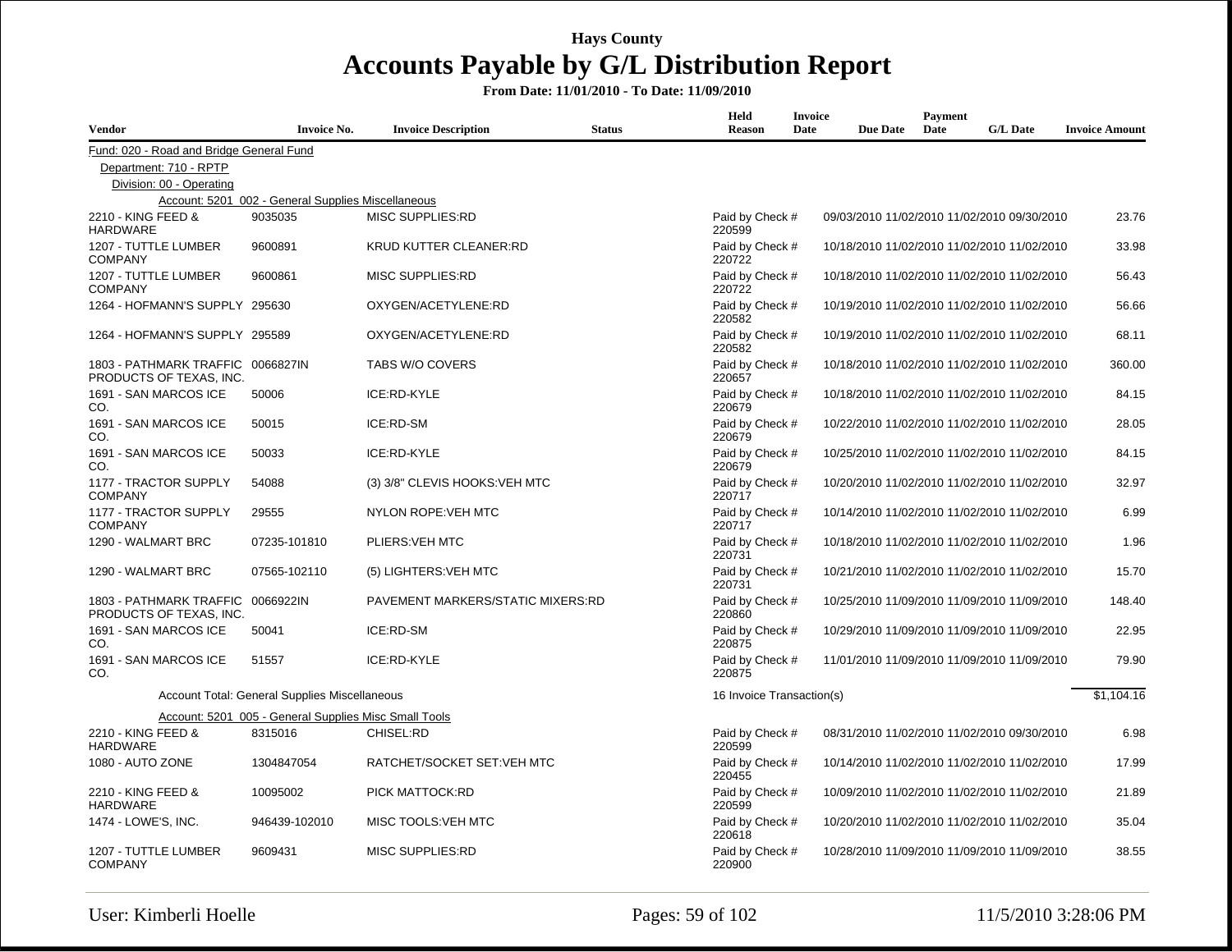| <b>Vendor</b>                                                | <b>Invoice No.</b>                                    | <b>Invoice Description</b>        | <b>Status</b> | Held<br><b>Reason</b>     | <b>Invoice</b><br>Date | <b>Due Date</b> | Payment<br>Date | <b>G/L Date</b>                             | <b>Invoice Amount</b> |
|--------------------------------------------------------------|-------------------------------------------------------|-----------------------------------|---------------|---------------------------|------------------------|-----------------|-----------------|---------------------------------------------|-----------------------|
| Fund: 020 - Road and Bridge General Fund                     |                                                       |                                   |               |                           |                        |                 |                 |                                             |                       |
| Department: 710 - RPTP                                       |                                                       |                                   |               |                           |                        |                 |                 |                                             |                       |
| Division: 00 - Operating                                     |                                                       |                                   |               |                           |                        |                 |                 |                                             |                       |
|                                                              | Account: 5201_002 - General Supplies Miscellaneous    |                                   |               |                           |                        |                 |                 |                                             |                       |
| 2210 - KING FEED &<br><b>HARDWARE</b>                        | 9035035                                               | <b>MISC SUPPLIES:RD</b>           |               | Paid by Check #<br>220599 |                        |                 |                 | 09/03/2010 11/02/2010 11/02/2010 09/30/2010 | 23.76                 |
| 1207 - TUTTLE LUMBER<br><b>COMPANY</b>                       | 9600891                                               | KRUD KUTTER CLEANER:RD            |               | Paid by Check #<br>220722 |                        |                 |                 | 10/18/2010 11/02/2010 11/02/2010 11/02/2010 | 33.98                 |
| 1207 - TUTTLE LUMBER<br><b>COMPANY</b>                       | 9600861                                               | <b>MISC SUPPLIES:RD</b>           |               | Paid by Check #<br>220722 |                        |                 |                 | 10/18/2010 11/02/2010 11/02/2010 11/02/2010 | 56.43                 |
| 1264 - HOFMANN'S SUPPLY 295630                               |                                                       | OXYGEN/ACETYLENE:RD               |               | Paid by Check #<br>220582 |                        |                 |                 | 10/19/2010 11/02/2010 11/02/2010 11/02/2010 | 56.66                 |
| 1264 - HOFMANN'S SUPPLY 295589                               |                                                       | OXYGEN/ACETYLENE:RD               |               | Paid by Check #<br>220582 |                        |                 |                 | 10/19/2010 11/02/2010 11/02/2010 11/02/2010 | 68.11                 |
| 1803 - PATHMARK TRAFFIC 0066827IN<br>PRODUCTS OF TEXAS, INC. |                                                       | TABS W/O COVERS                   |               | Paid by Check #<br>220657 |                        |                 |                 | 10/18/2010 11/02/2010 11/02/2010 11/02/2010 | 360.00                |
| 1691 - SAN MARCOS ICE<br>CO.                                 | 50006                                                 | ICE:RD-KYLE                       |               | Paid by Check #<br>220679 |                        |                 |                 | 10/18/2010 11/02/2010 11/02/2010 11/02/2010 | 84.15                 |
| 1691 - SAN MARCOS ICE<br>CO.                                 | 50015                                                 | ICE:RD-SM                         |               | Paid by Check #<br>220679 |                        |                 |                 | 10/22/2010 11/02/2010 11/02/2010 11/02/2010 | 28.05                 |
| 1691 - SAN MARCOS ICE<br>CO.                                 | 50033                                                 | ICE:RD-KYLE                       |               | Paid by Check #<br>220679 |                        |                 |                 | 10/25/2010 11/02/2010 11/02/2010 11/02/2010 | 84.15                 |
| 1177 - TRACTOR SUPPLY<br><b>COMPANY</b>                      | 54088                                                 | (3) 3/8" CLEVIS HOOKS: VEH MTC    |               | Paid by Check #<br>220717 |                        |                 |                 | 10/20/2010 11/02/2010 11/02/2010 11/02/2010 | 32.97                 |
| 1177 - TRACTOR SUPPLY<br><b>COMPANY</b>                      | 29555                                                 | <b>NYLON ROPE: VEH MTC</b>        |               | Paid by Check #<br>220717 |                        |                 |                 | 10/14/2010 11/02/2010 11/02/2010 11/02/2010 | 6.99                  |
| 1290 - WALMART BRC                                           | 07235-101810                                          | PLIERS: VEH MTC                   |               | Paid by Check #<br>220731 |                        |                 |                 | 10/18/2010 11/02/2010 11/02/2010 11/02/2010 | 1.96                  |
| 1290 - WALMART BRC                                           | 07565-102110                                          | (5) LIGHTERS: VEH MTC             |               | Paid by Check #<br>220731 |                        |                 |                 | 10/21/2010 11/02/2010 11/02/2010 11/02/2010 | 15.70                 |
| 1803 - PATHMARK TRAFFIC<br>PRODUCTS OF TEXAS. INC.           | 0066922IN                                             | PAVEMENT MARKERS/STATIC MIXERS:RD |               | Paid by Check #<br>220860 |                        |                 |                 | 10/25/2010 11/09/2010 11/09/2010 11/09/2010 | 148.40                |
| 1691 - SAN MARCOS ICE<br>CO.                                 | 50041                                                 | ICE:RD-SM                         |               | Paid by Check #<br>220875 |                        |                 |                 | 10/29/2010 11/09/2010 11/09/2010 11/09/2010 | 22.95                 |
| 1691 - SAN MARCOS ICE<br>CO.                                 | 51557                                                 | ICE:RD-KYLE                       |               | Paid by Check #<br>220875 |                        |                 |                 | 11/01/2010 11/09/2010 11/09/2010 11/09/2010 | 79.90                 |
|                                                              | Account Total: General Supplies Miscellaneous         |                                   |               | 16 Invoice Transaction(s) |                        |                 |                 |                                             | \$1.104.16            |
|                                                              | Account: 5201 005 - General Supplies Misc Small Tools |                                   |               |                           |                        |                 |                 |                                             |                       |
| 2210 - KING FEED &<br><b>HARDWARE</b>                        | 8315016                                               | CHISEL:RD                         |               | Paid by Check #<br>220599 |                        |                 |                 | 08/31/2010 11/02/2010 11/02/2010 09/30/2010 | 6.98                  |
| 1080 - AUTO ZONE                                             | 1304847054                                            | RATCHET/SOCKET SET: VEH MTC       |               | Paid by Check #<br>220455 |                        |                 |                 | 10/14/2010 11/02/2010 11/02/2010 11/02/2010 | 17.99                 |
| 2210 - KING FEED &<br><b>HARDWARE</b>                        | 10095002                                              | PICK MATTOCK:RD                   |               | Paid by Check #<br>220599 |                        |                 |                 | 10/09/2010 11/02/2010 11/02/2010 11/02/2010 | 21.89                 |
| 1474 - LOWE'S, INC.                                          | 946439-102010                                         | MISC TOOLS: VEH MTC               |               | Paid by Check #<br>220618 |                        |                 |                 | 10/20/2010 11/02/2010 11/02/2010 11/02/2010 | 35.04                 |
| 1207 - TUTTLE LUMBER<br><b>COMPANY</b>                       | 9609431                                               | <b>MISC SUPPLIES:RD</b>           |               | Paid by Check #<br>220900 |                        |                 |                 | 10/28/2010 11/09/2010 11/09/2010 11/09/2010 | 38.55                 |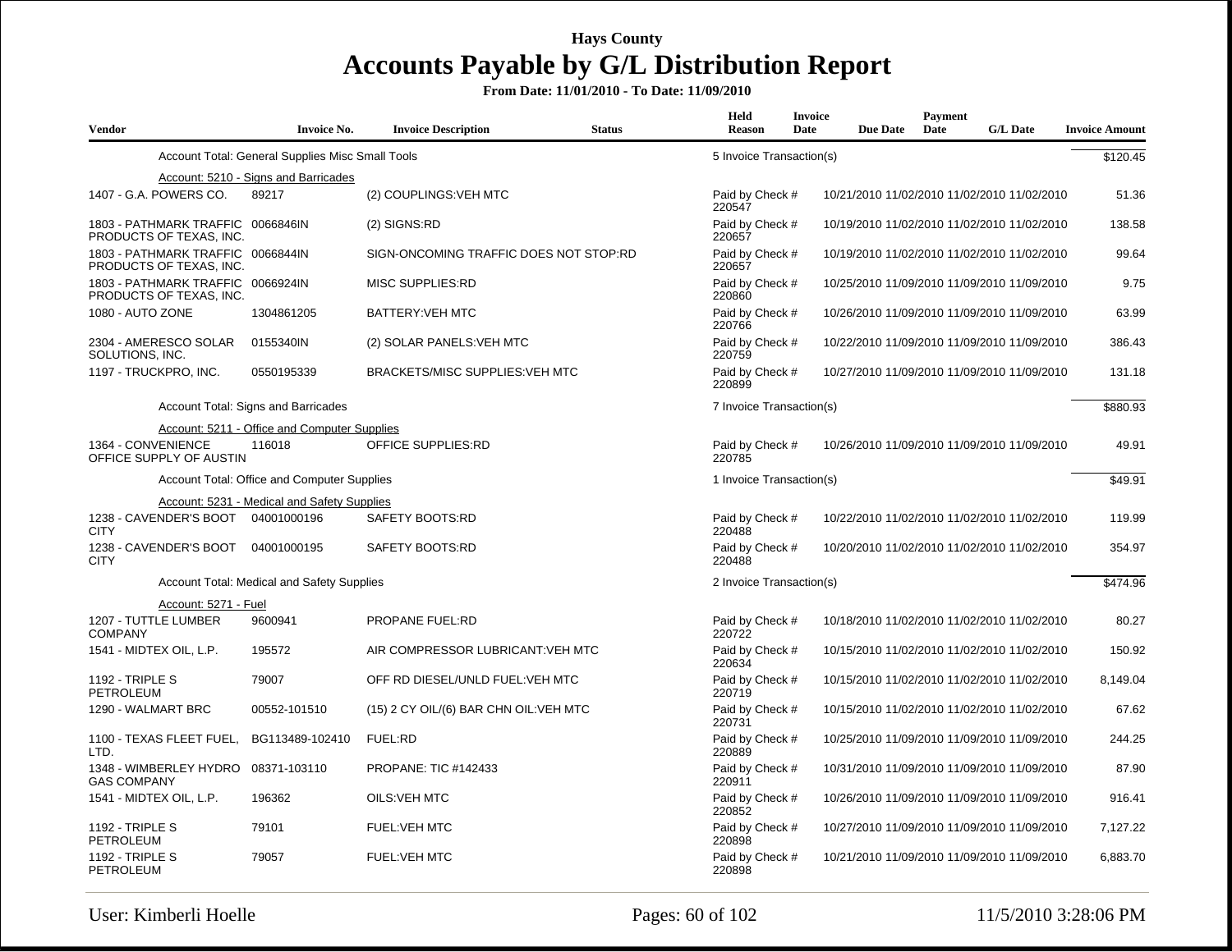| <b>Vendor</b>                                                | <b>Invoice No.</b>                               | <b>Invoice Description</b>             | <b>Status</b> | Held<br><b>Reason</b>     | <b>Invoice</b><br>Date | <b>Due Date</b>                             | Payment<br>Date | <b>G/L Date</b> | <b>Invoice Amount</b> |
|--------------------------------------------------------------|--------------------------------------------------|----------------------------------------|---------------|---------------------------|------------------------|---------------------------------------------|-----------------|-----------------|-----------------------|
|                                                              | Account Total: General Supplies Misc Small Tools |                                        |               | 5 Invoice Transaction(s)  |                        |                                             |                 |                 | \$120.45              |
|                                                              | Account: 5210 - Signs and Barricades             |                                        |               |                           |                        |                                             |                 |                 |                       |
| 1407 - G.A. POWERS CO.                                       | 89217                                            | (2) COUPLINGS: VEH MTC                 |               | Paid by Check #<br>220547 |                        | 10/21/2010 11/02/2010 11/02/2010 11/02/2010 |                 |                 | 51.36                 |
| 1803 - PATHMARK TRAFFIC 0066846IN<br>PRODUCTS OF TEXAS, INC. |                                                  | (2) SIGNS:RD                           |               | Paid by Check #<br>220657 |                        | 10/19/2010 11/02/2010 11/02/2010 11/02/2010 |                 |                 | 138.58                |
| 1803 - PATHMARK TRAFFIC 0066844IN<br>PRODUCTS OF TEXAS, INC. |                                                  | SIGN-ONCOMING TRAFFIC DOES NOT STOP:RD |               | Paid by Check #<br>220657 |                        | 10/19/2010 11/02/2010 11/02/2010 11/02/2010 |                 |                 | 99.64                 |
| 1803 - PATHMARK TRAFFIC 0066924IN<br>PRODUCTS OF TEXAS, INC. |                                                  | <b>MISC SUPPLIES:RD</b>                |               | Paid by Check #<br>220860 |                        | 10/25/2010 11/09/2010 11/09/2010 11/09/2010 |                 |                 | 9.75                  |
| 1080 - AUTO ZONE                                             | 1304861205                                       | BATTERY: VEH MTC                       |               | Paid by Check #<br>220766 |                        | 10/26/2010 11/09/2010 11/09/2010 11/09/2010 |                 |                 | 63.99                 |
| 2304 - AMERESCO SOLAR<br>SOLUTIONS, INC.                     | 0155340IN                                        | (2) SOLAR PANELS: VEH MTC              |               | Paid by Check #<br>220759 |                        | 10/22/2010 11/09/2010 11/09/2010 11/09/2010 |                 |                 | 386.43                |
| 1197 - TRUCKPRO, INC.                                        | 0550195339                                       | <b>BRACKETS/MISC SUPPLIES: VEH MTC</b> |               | Paid by Check #<br>220899 |                        | 10/27/2010 11/09/2010 11/09/2010 11/09/2010 |                 |                 | 131.18                |
|                                                              | Account Total: Signs and Barricades              |                                        |               | 7 Invoice Transaction(s)  |                        |                                             |                 |                 | \$880.93              |
|                                                              | Account: 5211 - Office and Computer Supplies     |                                        |               |                           |                        |                                             |                 |                 |                       |
| 1364 - CONVENIENCE<br>OFFICE SUPPLY OF AUSTIN                | 116018                                           | <b>OFFICE SUPPLIES:RD</b>              |               | Paid by Check #<br>220785 |                        | 10/26/2010 11/09/2010 11/09/2010 11/09/2010 |                 |                 | 49.91                 |
|                                                              | Account Total: Office and Computer Supplies      |                                        |               | 1 Invoice Transaction(s)  |                        |                                             |                 |                 | \$49.91               |
|                                                              | Account: 5231 - Medical and Safety Supplies      |                                        |               |                           |                        |                                             |                 |                 |                       |
| 1238 - CAVENDER'S BOOT<br><b>CITY</b>                        | 04001000196                                      | SAFETY BOOTS:RD                        |               | Paid by Check #<br>220488 |                        | 10/22/2010 11/02/2010 11/02/2010 11/02/2010 |                 |                 | 119.99                |
| 1238 - CAVENDER'S BOOT<br><b>CITY</b>                        | 04001000195                                      | SAFETY BOOTS:RD                        |               | Paid by Check #<br>220488 |                        | 10/20/2010 11/02/2010 11/02/2010 11/02/2010 |                 |                 | 354.97                |
|                                                              | Account Total: Medical and Safety Supplies       |                                        |               | 2 Invoice Transaction(s)  |                        |                                             |                 |                 | \$474.96              |
| Account: 5271 - Fuel                                         |                                                  |                                        |               |                           |                        |                                             |                 |                 |                       |
| 1207 - TUTTLE LUMBER<br><b>COMPANY</b>                       | 9600941                                          | <b>PROPANE FUEL:RD</b>                 |               | Paid by Check #<br>220722 |                        | 10/18/2010 11/02/2010 11/02/2010 11/02/2010 |                 |                 | 80.27                 |
| 1541 - MIDTEX OIL, L.P.                                      | 195572                                           | AIR COMPRESSOR LUBRICANT: VEH MTC      |               | Paid by Check #<br>220634 |                        | 10/15/2010 11/02/2010 11/02/2010 11/02/2010 |                 |                 | 150.92                |
| <b>1192 - TRIPLE S</b><br>PETROLEUM                          | 79007                                            | OFF RD DIESEL/UNLD FUEL: VEH MTC       |               | Paid by Check #<br>220719 |                        | 10/15/2010 11/02/2010 11/02/2010 11/02/2010 |                 |                 | 8,149.04              |
| 1290 - WALMART BRC                                           | 00552-101510                                     | (15) 2 CY OIL/(6) BAR CHN OIL: VEH MTC |               | Paid by Check #<br>220731 |                        | 10/15/2010 11/02/2010 11/02/2010 11/02/2010 |                 |                 | 67.62                 |
| 1100 - TEXAS FLEET FUEL, BG113489-102410<br>LTD.             |                                                  | FUEL:RD                                |               | Paid by Check #<br>220889 |                        | 10/25/2010 11/09/2010 11/09/2010 11/09/2010 |                 |                 | 244.25                |
| 1348 - WIMBERLEY HYDRO 08371-103110<br><b>GAS COMPANY</b>    |                                                  | PROPANE: TIC #142433                   |               | Paid by Check #<br>220911 |                        | 10/31/2010 11/09/2010 11/09/2010 11/09/2010 |                 |                 | 87.90                 |
| 1541 - MIDTEX OIL, L.P.                                      | 196362                                           | OILS: VEH MTC                          |               | Paid by Check #<br>220852 |                        | 10/26/2010 11/09/2010 11/09/2010 11/09/2010 |                 |                 | 916.41                |
| <b>1192 - TRIPLE S</b><br><b>PETROLEUM</b>                   | 79101                                            | <b>FUEL:VEH MTC</b>                    |               | Paid by Check #<br>220898 |                        | 10/27/2010 11/09/2010 11/09/2010 11/09/2010 |                 |                 | 7,127.22              |
| <b>1192 - TRIPLE S</b><br>PETROLEUM                          | 79057                                            | <b>FUEL:VEH MTC</b>                    |               | Paid by Check #<br>220898 |                        | 10/21/2010 11/09/2010 11/09/2010 11/09/2010 |                 |                 | 6,883.70              |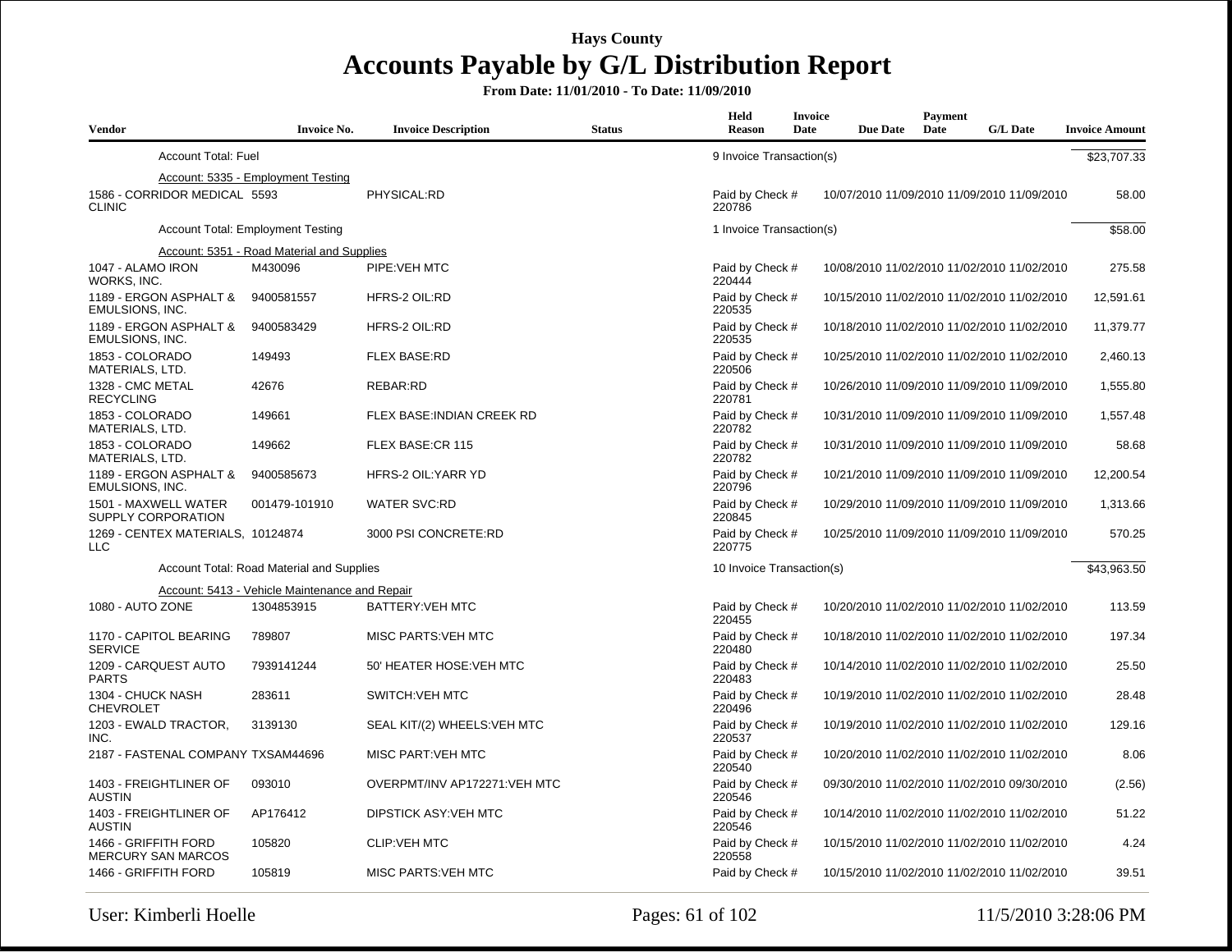| <b>Vendor</b>                                     | <b>Invoice No.</b>                                    | <b>Invoice Description</b>   | <b>Status</b> | Held<br><b>Reason</b>     | Invoice<br>Date | <b>Due Date</b> | Payment<br>Date | <b>G/L Date</b>                             | <b>Invoice Amount</b> |
|---------------------------------------------------|-------------------------------------------------------|------------------------------|---------------|---------------------------|-----------------|-----------------|-----------------|---------------------------------------------|-----------------------|
| <b>Account Total: Fuel</b>                        |                                                       |                              |               | 9 Invoice Transaction(s)  |                 |                 |                 |                                             | \$23,707.33           |
|                                                   | Account: 5335 - Employment Testing                    |                              |               |                           |                 |                 |                 |                                             |                       |
| 1586 - CORRIDOR MEDICAL 5593<br><b>CLINIC</b>     |                                                       | PHYSICAL:RD                  |               | Paid by Check #<br>220786 |                 |                 |                 | 10/07/2010 11/09/2010 11/09/2010 11/09/2010 | 58.00                 |
|                                                   | <b>Account Total: Employment Testing</b>              |                              |               | 1 Invoice Transaction(s)  |                 |                 |                 |                                             | \$58.00               |
|                                                   | Account: 5351 - Road Material and Supplies            |                              |               |                           |                 |                 |                 |                                             |                       |
| 1047 - ALAMO IRON<br>WORKS, INC.                  | M430096                                               | PIPE: VEH MTC                |               | Paid by Check #<br>220444 |                 |                 |                 | 10/08/2010 11/02/2010 11/02/2010 11/02/2010 | 275.58                |
| 1189 - ERGON ASPHALT &<br><b>EMULSIONS, INC.</b>  | 9400581557                                            | HFRS-2 OIL:RD                |               | Paid by Check #<br>220535 |                 |                 |                 | 10/15/2010 11/02/2010 11/02/2010 11/02/2010 | 12,591.61             |
| 1189 - ERGON ASPHALT &<br>EMULSIONS, INC.         | 9400583429                                            | HFRS-2 OIL:RD                |               | Paid by Check #<br>220535 |                 |                 |                 | 10/18/2010 11/02/2010 11/02/2010 11/02/2010 | 11,379.77             |
| 1853 - COLORADO<br>MATERIALS, LTD.                | 149493                                                | <b>FLEX BASE:RD</b>          |               | Paid by Check #<br>220506 |                 |                 |                 | 10/25/2010 11/02/2010 11/02/2010 11/02/2010 | 2,460.13              |
| 1328 - CMC METAL<br><b>RECYCLING</b>              | 42676                                                 | REBAR:RD                     |               | Paid by Check #<br>220781 |                 |                 |                 | 10/26/2010 11/09/2010 11/09/2010 11/09/2010 | 1,555.80              |
| 1853 - COLORADO<br>MATERIALS, LTD.                | 149661                                                | FLEX BASE: INDIAN CREEK RD   |               | Paid by Check #<br>220782 |                 |                 |                 | 10/31/2010 11/09/2010 11/09/2010 11/09/2010 | 1,557.48              |
| 1853 - COLORADO<br>MATERIALS, LTD.                | 149662                                                | FLEX BASE:CR 115             |               | Paid by Check #<br>220782 |                 |                 |                 | 10/31/2010 11/09/2010 11/09/2010 11/09/2010 | 58.68                 |
| 1189 - ERGON ASPHALT &<br><b>EMULSIONS, INC.</b>  | 9400585673                                            | HFRS-2 OIL:YARR YD           |               | Paid by Check #<br>220796 |                 |                 |                 | 10/21/2010 11/09/2010 11/09/2010 11/09/2010 | 12,200.54             |
| 1501 - MAXWELL WATER<br>SUPPLY CORPORATION        | 001479-101910                                         | <b>WATER SVC:RD</b>          |               | Paid by Check #<br>220845 |                 |                 |                 | 10/29/2010 11/09/2010 11/09/2010 11/09/2010 | 1,313.66              |
| 1269 - CENTEX MATERIALS, 10124874<br><b>LLC</b>   |                                                       | 3000 PSI CONCRETE:RD         |               | Paid by Check #<br>220775 |                 |                 |                 | 10/25/2010 11/09/2010 11/09/2010 11/09/2010 | 570.25                |
|                                                   | Account Total: Road Material and Supplies             |                              |               | 10 Invoice Transaction(s) |                 |                 |                 |                                             | \$43,963.50           |
|                                                   | <b>Account: 5413 - Vehicle Maintenance and Repair</b> |                              |               |                           |                 |                 |                 |                                             |                       |
| 1080 - AUTO ZONE                                  | 1304853915                                            | BATTERY: VEH MTC             |               | Paid by Check #<br>220455 |                 |                 |                 | 10/20/2010 11/02/2010 11/02/2010 11/02/2010 | 113.59                |
| 1170 - CAPITOL BEARING<br><b>SERVICE</b>          | 789807                                                | MISC PARTS: VEH MTC          |               | Paid by Check #<br>220480 |                 |                 |                 | 10/18/2010 11/02/2010 11/02/2010 11/02/2010 | 197.34                |
| 1209 - CARQUEST AUTO<br><b>PARTS</b>              | 7939141244                                            | 50' HEATER HOSE: VEH MTC     |               | Paid by Check #<br>220483 |                 |                 |                 | 10/14/2010 11/02/2010 11/02/2010 11/02/2010 | 25.50                 |
| 1304 - CHUCK NASH<br><b>CHEVROLET</b>             | 283611                                                | <b>SWITCH:VEH MTC</b>        |               | Paid by Check #<br>220496 |                 |                 |                 | 10/19/2010 11/02/2010 11/02/2010 11/02/2010 | 28.48                 |
| 1203 - EWALD TRACTOR,<br>INC.                     | 3139130                                               | SEAL KIT/(2) WHEELS: VEH MTC |               | Paid by Check #<br>220537 |                 |                 |                 | 10/19/2010 11/02/2010 11/02/2010 11/02/2010 | 129.16                |
| 2187 - FASTENAL COMPANY TXSAM44696                |                                                       | <b>MISC PART:VEH MTC</b>     |               | Paid by Check #<br>220540 |                 |                 |                 | 10/20/2010 11/02/2010 11/02/2010 11/02/2010 | 8.06                  |
| 1403 - FREIGHTLINER OF<br><b>AUSTIN</b>           | 093010                                                | OVERPMT/INV AP172271:VEH MTC |               | Paid by Check #<br>220546 |                 |                 |                 | 09/30/2010 11/02/2010 11/02/2010 09/30/2010 | (2.56)                |
| 1403 - FREIGHTLINER OF<br><b>AUSTIN</b>           | AP176412                                              | DIPSTICK ASY:VEH MTC         |               | Paid by Check #<br>220546 |                 |                 |                 | 10/14/2010 11/02/2010 11/02/2010 11/02/2010 | 51.22                 |
| 1466 - GRIFFITH FORD<br><b>MERCURY SAN MARCOS</b> | 105820                                                | <b>CLIP:VEH MTC</b>          |               | Paid by Check #<br>220558 |                 |                 |                 | 10/15/2010 11/02/2010 11/02/2010 11/02/2010 | 4.24                  |
| 1466 - GRIFFITH FORD                              | 105819                                                | MISC PARTS: VEH MTC          |               | Paid by Check #           |                 |                 |                 | 10/15/2010 11/02/2010 11/02/2010 11/02/2010 | 39.51                 |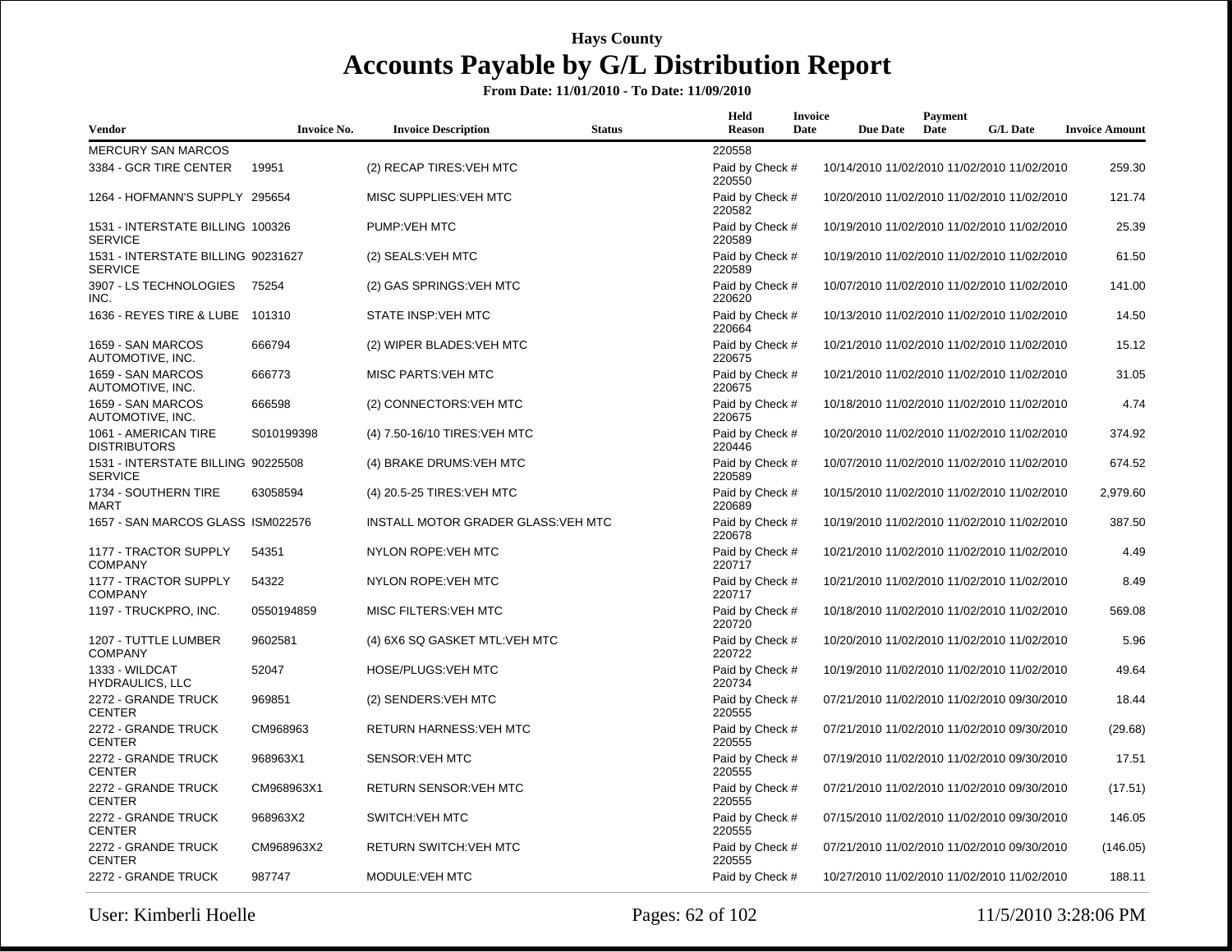| Vendor                                               | <b>Invoice No.</b> | <b>Invoice Description</b>          | <b>Status</b> | Held<br><b>Reason</b>     | <b>Invoice</b><br>Date | <b>Due Date</b> | Payment<br>Date | <b>G/L Date</b>                             | <b>Invoice Amount</b> |
|------------------------------------------------------|--------------------|-------------------------------------|---------------|---------------------------|------------------------|-----------------|-----------------|---------------------------------------------|-----------------------|
| <b>MERCURY SAN MARCOS</b>                            |                    |                                     |               | 220558                    |                        |                 |                 |                                             |                       |
| 3384 - GCR TIRE CENTER                               | 19951              | (2) RECAP TIRES: VEH MTC            |               | Paid by Check #<br>220550 |                        |                 |                 | 10/14/2010 11/02/2010 11/02/2010 11/02/2010 | 259.30                |
| 1264 - HOFMANN'S SUPPLY 295654                       |                    | MISC SUPPLIES: VEH MTC              |               | Paid by Check #<br>220582 |                        |                 |                 | 10/20/2010 11/02/2010 11/02/2010 11/02/2010 | 121.74                |
| 1531 - INTERSTATE BILLING 100326<br><b>SERVICE</b>   |                    | PUMP: VEH MTC                       |               | Paid by Check #<br>220589 |                        |                 |                 | 10/19/2010 11/02/2010 11/02/2010 11/02/2010 | 25.39                 |
| 1531 - INTERSTATE BILLING 90231627<br><b>SERVICE</b> |                    | (2) SEALS: VEH MTC                  |               | Paid by Check #<br>220589 |                        |                 |                 | 10/19/2010 11/02/2010 11/02/2010 11/02/2010 | 61.50                 |
| 3907 - LS TECHNOLOGIES<br>INC.                       | 75254              | (2) GAS SPRINGS: VEH MTC            |               | Paid by Check #<br>220620 |                        |                 |                 | 10/07/2010 11/02/2010 11/02/2010 11/02/2010 | 141.00                |
| 1636 - REYES TIRE & LUBE 101310                      |                    | STATE INSP:VEH MTC                  |               | Paid by Check #<br>220664 |                        |                 |                 | 10/13/2010 11/02/2010 11/02/2010 11/02/2010 | 14.50                 |
| 1659 - SAN MARCOS<br>AUTOMOTIVE, INC.                | 666794             | (2) WIPER BLADES: VEH MTC           |               | Paid by Check #<br>220675 |                        |                 |                 | 10/21/2010 11/02/2010 11/02/2010 11/02/2010 | 15.12                 |
| 1659 - SAN MARCOS<br>AUTOMOTIVE, INC.                | 666773             | <b>MISC PARTS:VEH MTC</b>           |               | Paid by Check #<br>220675 |                        |                 |                 | 10/21/2010 11/02/2010 11/02/2010 11/02/2010 | 31.05                 |
| 1659 - SAN MARCOS<br>AUTOMOTIVE, INC.                | 666598             | (2) CONNECTORS: VEH MTC             |               | Paid by Check #<br>220675 |                        |                 |                 | 10/18/2010 11/02/2010 11/02/2010 11/02/2010 | 4.74                  |
| 1061 - AMERICAN TIRE<br><b>DISTRIBUTORS</b>          | S010199398         | (4) 7.50-16/10 TIRES: VEH MTC       |               | Paid by Check #<br>220446 |                        |                 |                 | 10/20/2010 11/02/2010 11/02/2010 11/02/2010 | 374.92                |
| 1531 - INTERSTATE BILLING 90225508<br><b>SERVICE</b> |                    | (4) BRAKE DRUMS: VEH MTC            |               | Paid by Check #<br>220589 |                        |                 |                 | 10/07/2010 11/02/2010 11/02/2010 11/02/2010 | 674.52                |
| 1734 - SOUTHERN TIRE<br><b>MART</b>                  | 63058594           | (4) 20.5-25 TIRES: VEH MTC          |               | Paid by Check #<br>220689 |                        |                 |                 | 10/15/2010 11/02/2010 11/02/2010 11/02/2010 | 2,979.60              |
| 1657 - SAN MARCOS GLASS ISM022576                    |                    | INSTALL MOTOR GRADER GLASS: VEH MTC |               | Paid by Check #<br>220678 |                        |                 |                 | 10/19/2010 11/02/2010 11/02/2010 11/02/2010 | 387.50                |
| 1177 - TRACTOR SUPPLY<br><b>COMPANY</b>              | 54351              | <b>NYLON ROPE: VEH MTC</b>          |               | Paid by Check #<br>220717 |                        |                 |                 | 10/21/2010 11/02/2010 11/02/2010 11/02/2010 | 4.49                  |
| 1177 - TRACTOR SUPPLY<br><b>COMPANY</b>              | 54322              | <b>NYLON ROPE: VEH MTC</b>          |               | Paid by Check #<br>220717 |                        |                 |                 | 10/21/2010 11/02/2010 11/02/2010 11/02/2010 | 8.49                  |
| 1197 - TRUCKPRO, INC.                                | 0550194859         | MISC FILTERS: VEH MTC               |               | Paid by Check #<br>220720 |                        |                 |                 | 10/18/2010 11/02/2010 11/02/2010 11/02/2010 | 569.08                |
| 1207 - TUTTLE LUMBER<br><b>COMPANY</b>               | 9602581            | (4) 6X6 SQ GASKET MTL: VEH MTC      |               | Paid by Check #<br>220722 |                        |                 |                 | 10/20/2010 11/02/2010 11/02/2010 11/02/2010 | 5.96                  |
| 1333 - WILDCAT<br><b>HYDRAULICS, LLC</b>             | 52047              | HOSE/PLUGS:VEH MTC                  |               | Paid by Check #<br>220734 |                        |                 |                 | 10/19/2010 11/02/2010 11/02/2010 11/02/2010 | 49.64                 |
| 2272 - GRANDE TRUCK<br><b>CENTER</b>                 | 969851             | (2) SENDERS: VEH MTC                |               | Paid by Check #<br>220555 |                        |                 |                 | 07/21/2010 11/02/2010 11/02/2010 09/30/2010 | 18.44                 |
| 2272 - GRANDE TRUCK<br><b>CENTER</b>                 | CM968963           | <b>RETURN HARNESS: VEH MTC</b>      |               | Paid by Check #<br>220555 |                        |                 |                 | 07/21/2010 11/02/2010 11/02/2010 09/30/2010 | (29.68)               |
| 2272 - GRANDE TRUCK<br><b>CENTER</b>                 | 968963X1           | <b>SENSOR: VEH MTC</b>              |               | Paid by Check #<br>220555 |                        |                 |                 | 07/19/2010 11/02/2010 11/02/2010 09/30/2010 | 17.51                 |
| 2272 - GRANDE TRUCK<br><b>CENTER</b>                 | CM968963X1         | <b>RETURN SENSOR: VEH MTC</b>       |               | Paid by Check #<br>220555 |                        |                 |                 | 07/21/2010 11/02/2010 11/02/2010 09/30/2010 | (17.51)               |
| 2272 - GRANDE TRUCK<br><b>CENTER</b>                 | 968963X2           | <b>SWITCH:VEH MTC</b>               |               | Paid by Check #<br>220555 |                        |                 |                 | 07/15/2010 11/02/2010 11/02/2010 09/30/2010 | 146.05                |
| 2272 - GRANDE TRUCK<br><b>CENTER</b>                 | CM968963X2         | <b>RETURN SWITCH:VEH MTC</b>        |               | Paid by Check #<br>220555 |                        |                 |                 | 07/21/2010 11/02/2010 11/02/2010 09/30/2010 | (146.05)              |
| 2272 - GRANDE TRUCK                                  | 987747             | MODULE: VEH MTC                     |               | Paid by Check #           |                        |                 |                 | 10/27/2010 11/02/2010 11/02/2010 11/02/2010 | 188.11                |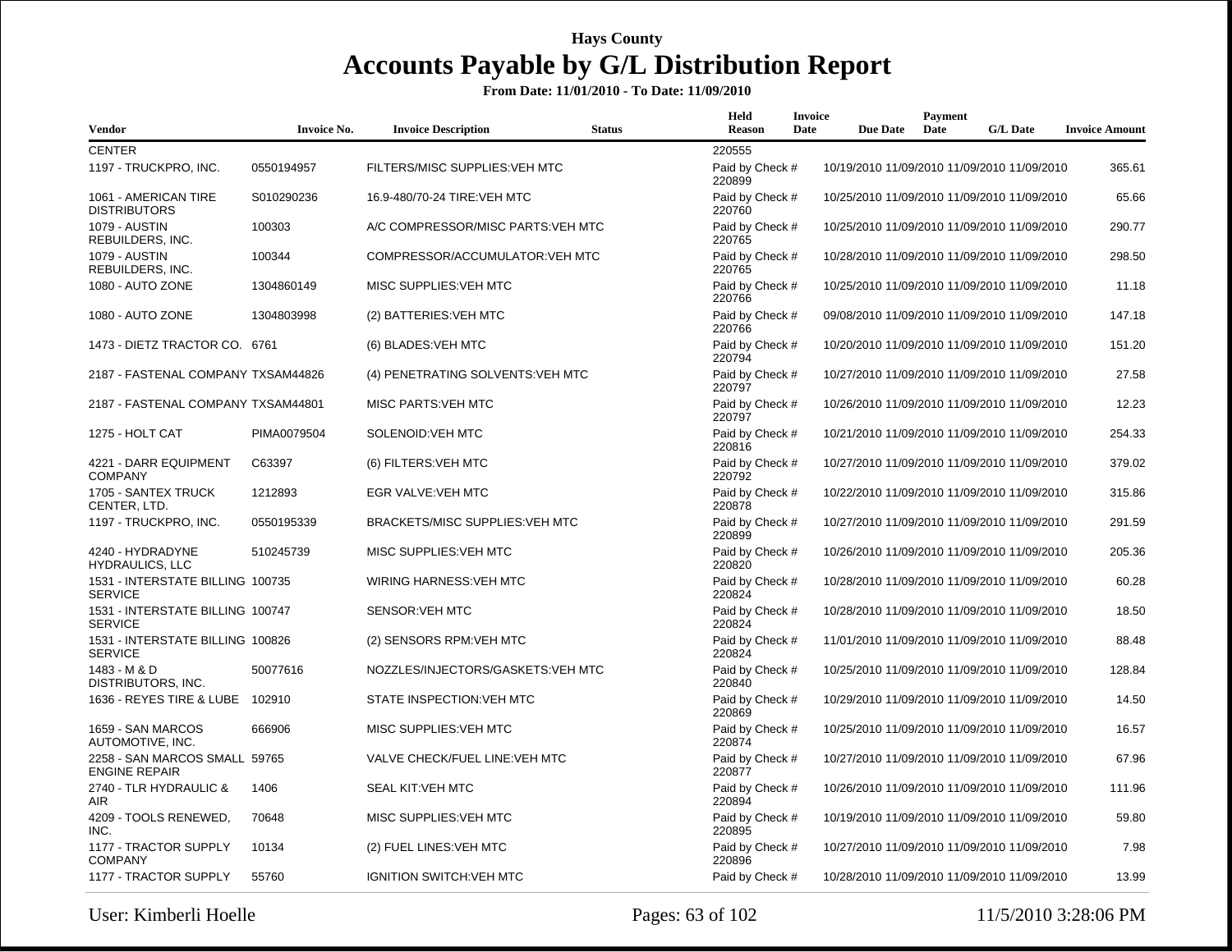| <b>Vendor</b>                                         | <b>Invoice No.</b> | <b>Invoice Description</b>         | <b>Status</b> | Held<br><b>Reason</b>     | <b>Invoice</b><br>Date | <b>Due Date</b> | Payment<br>Date | <b>G/L Date</b>                             | <b>Invoice Amount</b> |
|-------------------------------------------------------|--------------------|------------------------------------|---------------|---------------------------|------------------------|-----------------|-----------------|---------------------------------------------|-----------------------|
| <b>CENTER</b>                                         |                    |                                    |               | 220555                    |                        |                 |                 |                                             |                       |
| 1197 - TRUCKPRO, INC.                                 | 0550194957         | FILTERS/MISC SUPPLIES: VEH MTC     |               | Paid by Check #<br>220899 |                        |                 |                 | 10/19/2010 11/09/2010 11/09/2010 11/09/2010 | 365.61                |
| 1061 - AMERICAN TIRE<br><b>DISTRIBUTORS</b>           | S010290236         | 16.9-480/70-24 TIRE: VEH MTC       |               | Paid by Check #<br>220760 |                        |                 |                 | 10/25/2010 11/09/2010 11/09/2010 11/09/2010 | 65.66                 |
| <b>1079 - AUSTIN</b><br>REBUILDERS, INC.              | 100303             | A/C COMPRESSOR/MISC PARTS: VEH MTC |               | Paid by Check #<br>220765 |                        |                 |                 | 10/25/2010 11/09/2010 11/09/2010 11/09/2010 | 290.77                |
| <b>1079 - AUSTIN</b><br>REBUILDERS, INC.              | 100344             | COMPRESSOR/ACCUMULATOR: VEH MTC    |               | Paid by Check #<br>220765 |                        |                 |                 | 10/28/2010 11/09/2010 11/09/2010 11/09/2010 | 298.50                |
| 1080 - AUTO ZONE                                      | 1304860149         | MISC SUPPLIES: VEH MTC             |               | Paid by Check #<br>220766 |                        |                 |                 | 10/25/2010 11/09/2010 11/09/2010 11/09/2010 | 11.18                 |
| 1080 - AUTO ZONE                                      | 1304803998         | (2) BATTERIES: VEH MTC             |               | Paid by Check #<br>220766 |                        |                 |                 | 09/08/2010 11/09/2010 11/09/2010 11/09/2010 | 147.18                |
| 1473 - DIETZ TRACTOR CO. 6761                         |                    | (6) BLADES: VEH MTC                |               | Paid by Check #<br>220794 |                        |                 |                 | 10/20/2010 11/09/2010 11/09/2010 11/09/2010 | 151.20                |
| 2187 - FASTENAL COMPANY TXSAM44826                    |                    | (4) PENETRATING SOLVENTS: VEH MTC  |               | Paid by Check #<br>220797 |                        |                 |                 | 10/27/2010 11/09/2010 11/09/2010 11/09/2010 | 27.58                 |
| 2187 - FASTENAL COMPANY TXSAM44801                    |                    | <b>MISC PARTS: VEH MTC</b>         |               | Paid by Check #<br>220797 |                        |                 |                 | 10/26/2010 11/09/2010 11/09/2010 11/09/2010 | 12.23                 |
| 1275 - HOLT CAT                                       | PIMA0079504        | SOLENOID: VEH MTC                  |               | Paid by Check #<br>220816 |                        |                 |                 | 10/21/2010 11/09/2010 11/09/2010 11/09/2010 | 254.33                |
| 4221 - DARR EQUIPMENT<br><b>COMPANY</b>               | C63397             | (6) FILTERS: VEH MTC               |               | Paid by Check #<br>220792 |                        |                 |                 | 10/27/2010 11/09/2010 11/09/2010 11/09/2010 | 379.02                |
| 1705 - SANTEX TRUCK<br>CENTER, LTD.                   | 1212893            | EGR VALVE: VEH MTC                 |               | Paid by Check #<br>220878 |                        |                 |                 | 10/22/2010 11/09/2010 11/09/2010 11/09/2010 | 315.86                |
| 1197 - TRUCKPRO, INC.                                 | 0550195339         | BRACKETS/MISC SUPPLIES: VEH MTC    |               | Paid by Check #<br>220899 |                        |                 |                 | 10/27/2010 11/09/2010 11/09/2010 11/09/2010 | 291.59                |
| 4240 - HYDRADYNE<br><b>HYDRAULICS, LLC</b>            | 510245739          | MISC SUPPLIES: VEH MTC             |               | Paid by Check #<br>220820 |                        |                 |                 | 10/26/2010 11/09/2010 11/09/2010 11/09/2010 | 205.36                |
| 1531 - INTERSTATE BILLING 100735<br><b>SERVICE</b>    |                    | WIRING HARNESS: VEH MTC            |               | Paid by Check #<br>220824 |                        |                 |                 | 10/28/2010 11/09/2010 11/09/2010 11/09/2010 | 60.28                 |
| 1531 - INTERSTATE BILLING 100747<br><b>SERVICE</b>    |                    | <b>SENSOR: VEH MTC</b>             |               | Paid by Check #<br>220824 |                        |                 |                 | 10/28/2010 11/09/2010 11/09/2010 11/09/2010 | 18.50                 |
| 1531 - INTERSTATE BILLING 100826<br><b>SERVICE</b>    |                    | (2) SENSORS RPM: VEH MTC           |               | Paid by Check #<br>220824 |                        |                 |                 | 11/01/2010 11/09/2010 11/09/2010 11/09/2010 | 88.48                 |
| 1483 - M & D<br>DISTRIBUTORS, INC.                    | 50077616           | NOZZLES/INJECTORS/GASKETS: VEH MTC |               | Paid by Check #<br>220840 |                        |                 |                 | 10/25/2010 11/09/2010 11/09/2010 11/09/2010 | 128.84                |
| 1636 - REYES TIRE & LUBE 102910                       |                    | STATE INSPECTION: VEH MTC          |               | Paid by Check #<br>220869 |                        |                 |                 | 10/29/2010 11/09/2010 11/09/2010 11/09/2010 | 14.50                 |
| 1659 - SAN MARCOS<br>AUTOMOTIVE, INC.                 | 666906             | MISC SUPPLIES: VEH MTC             |               | Paid by Check #<br>220874 |                        |                 |                 | 10/25/2010 11/09/2010 11/09/2010 11/09/2010 | 16.57                 |
| 2258 - SAN MARCOS SMALL 59765<br><b>ENGINE REPAIR</b> |                    | VALVE CHECK/FUEL LINE: VEH MTC     |               | Paid by Check #<br>220877 |                        |                 |                 | 10/27/2010 11/09/2010 11/09/2010 11/09/2010 | 67.96                 |
| 2740 - TLR HYDRAULIC &<br>AIR                         | 1406               | <b>SEAL KIT:VEH MTC</b>            |               | Paid by Check #<br>220894 |                        |                 |                 | 10/26/2010 11/09/2010 11/09/2010 11/09/2010 | 111.96                |
| 4209 - TOOLS RENEWED,<br>INC.                         | 70648              | MISC SUPPLIES: VEH MTC             |               | Paid by Check #<br>220895 |                        |                 |                 | 10/19/2010 11/09/2010 11/09/2010 11/09/2010 | 59.80                 |
| 1177 - TRACTOR SUPPLY<br><b>COMPANY</b>               | 10134              | (2) FUEL LINES: VEH MTC            |               | Paid by Check #<br>220896 |                        |                 |                 | 10/27/2010 11/09/2010 11/09/2010 11/09/2010 | 7.98                  |
| 1177 - TRACTOR SUPPLY                                 | 55760              | <b>IGNITION SWITCH:VEH MTC</b>     |               | Paid by Check #           |                        |                 |                 | 10/28/2010 11/09/2010 11/09/2010 11/09/2010 | 13.99                 |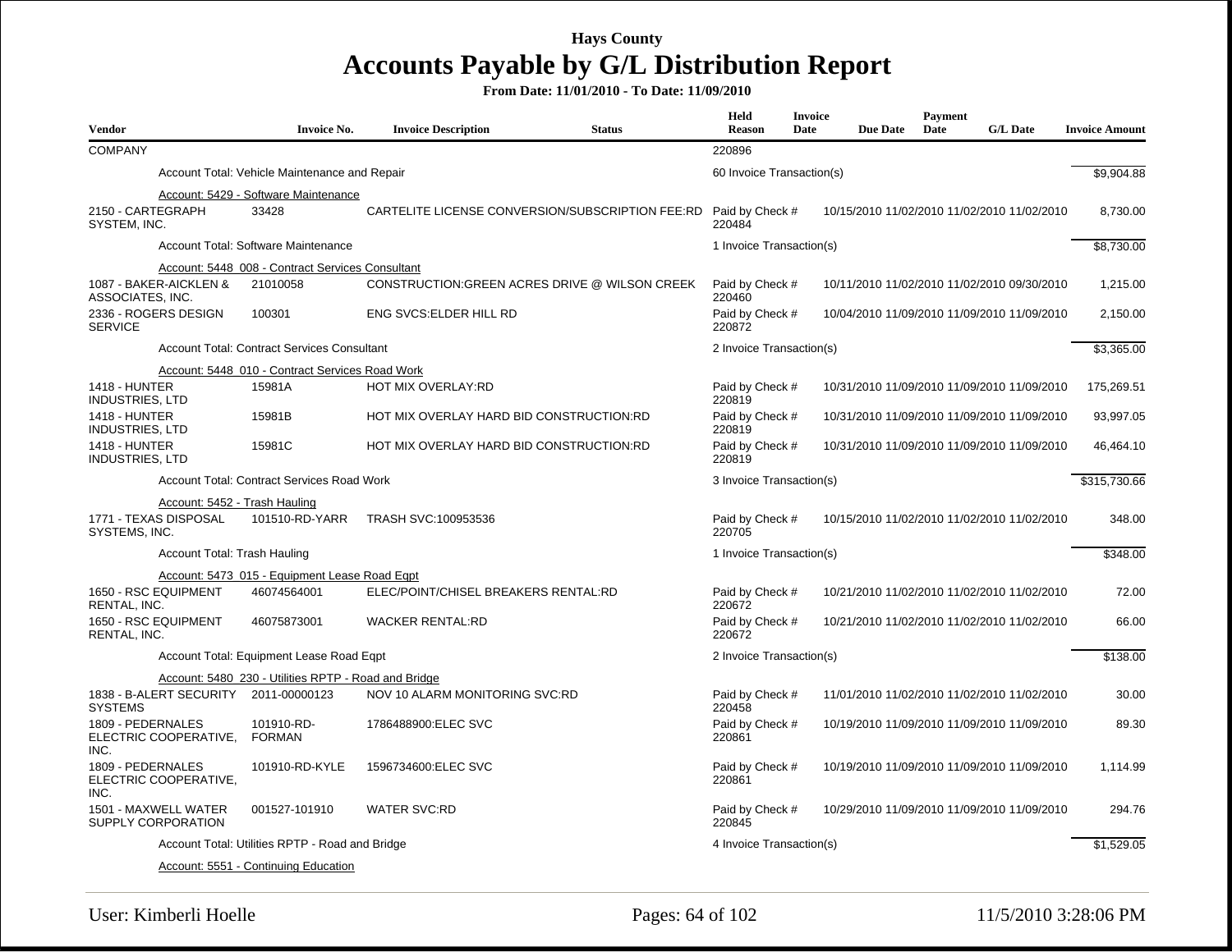| <b>Vendor</b>                                                           | <b>Invoice No.</b>                                   | <b>Invoice Description</b>               | <b>Status</b>                                    | Held<br><b>Reason</b>     | <b>Invoice</b><br>Date | <b>Due Date</b> | Payment<br>Date | <b>G/L Date</b>                             | <b>Invoice Amount</b> |
|-------------------------------------------------------------------------|------------------------------------------------------|------------------------------------------|--------------------------------------------------|---------------------------|------------------------|-----------------|-----------------|---------------------------------------------|-----------------------|
| <b>COMPANY</b>                                                          |                                                      |                                          |                                                  | 220896                    |                        |                 |                 |                                             |                       |
|                                                                         | Account Total: Vehicle Maintenance and Repair        |                                          |                                                  | 60 Invoice Transaction(s) |                        |                 |                 |                                             | \$9,904.88            |
| 2150 - CARTEGRAPH<br>SYSTEM, INC.                                       | Account: 5429 - Software Maintenance<br>33428        |                                          | CARTELITE LICENSE CONVERSION/SUBSCRIPTION FEE:RD | Paid by Check #<br>220484 |                        |                 |                 | 10/15/2010 11/02/2010 11/02/2010 11/02/2010 | 8,730.00              |
|                                                                         | Account Total: Software Maintenance                  |                                          |                                                  | 1 Invoice Transaction(s)  |                        |                 |                 |                                             | \$8,730.00            |
|                                                                         | Account: 5448_008 - Contract Services Consultant     |                                          |                                                  |                           |                        |                 |                 |                                             |                       |
| 1087 - BAKER-AICKLEN &<br>ASSOCIATES, INC.                              | 21010058                                             |                                          | CONSTRUCTION: GREEN ACRES DRIVE @ WILSON CREEK   | Paid by Check #<br>220460 |                        |                 |                 | 10/11/2010 11/02/2010 11/02/2010 09/30/2010 | 1,215.00              |
| 2336 - ROGERS DESIGN<br><b>SERVICE</b>                                  | 100301                                               | <b>ENG SVCS: ELDER HILL RD</b>           |                                                  | Paid by Check #<br>220872 |                        |                 |                 | 10/04/2010 11/09/2010 11/09/2010 11/09/2010 | 2,150.00              |
|                                                                         | <b>Account Total: Contract Services Consultant</b>   |                                          |                                                  | 2 Invoice Transaction(s)  |                        |                 |                 |                                             | \$3,365.00            |
|                                                                         | Account: 5448 010 - Contract Services Road Work      |                                          |                                                  |                           |                        |                 |                 |                                             |                       |
| <b>1418 - HUNTER</b><br><b>INDUSTRIES, LTD</b>                          | 15981A                                               | HOT MIX OVERLAY:RD                       |                                                  | Paid by Check #<br>220819 |                        |                 |                 | 10/31/2010 11/09/2010 11/09/2010 11/09/2010 | 175,269.51            |
| <b>1418 - HUNTER</b><br><b>INDUSTRIES, LTD</b>                          | 15981B                                               | HOT MIX OVERLAY HARD BID CONSTRUCTION:RD |                                                  | Paid by Check #<br>220819 |                        |                 |                 | 10/31/2010 11/09/2010 11/09/2010 11/09/2010 | 93,997.05             |
| <b>1418 - HUNTER</b><br><b>INDUSTRIES, LTD</b>                          | 15981C                                               | HOT MIX OVERLAY HARD BID CONSTRUCTION:RD |                                                  | Paid by Check #<br>220819 |                        |                 |                 | 10/31/2010 11/09/2010 11/09/2010 11/09/2010 | 46,464.10             |
|                                                                         | <b>Account Total: Contract Services Road Work</b>    |                                          |                                                  | 3 Invoice Transaction(s)  |                        |                 | \$315,730.66    |                                             |                       |
| Account: 5452 - Trash Hauling<br>1771 - TEXAS DISPOSAL<br>SYSTEMS, INC. | 101510-RD-YARR                                       | TRASH SVC:100953536                      |                                                  | Paid by Check #<br>220705 |                        |                 |                 | 10/15/2010 11/02/2010 11/02/2010 11/02/2010 | 348.00                |
| Account Total: Trash Hauling                                            |                                                      |                                          |                                                  | 1 Invoice Transaction(s)  |                        |                 |                 |                                             | \$348.00              |
|                                                                         | Account: 5473 015 - Equipment Lease Road Eqpt        |                                          |                                                  |                           |                        |                 |                 |                                             |                       |
| 1650 - RSC EQUIPMENT<br><b>RENTAL. INC.</b>                             | 46074564001                                          | ELEC/POINT/CHISEL BREAKERS RENTAL:RD     |                                                  | Paid by Check #<br>220672 |                        |                 |                 | 10/21/2010 11/02/2010 11/02/2010 11/02/2010 | 72.00                 |
| 1650 - RSC EQUIPMENT<br>RENTAL, INC.                                    | 46075873001                                          | <b>WACKER RENTAL:RD</b>                  |                                                  | Paid by Check #<br>220672 |                        |                 |                 | 10/21/2010 11/02/2010 11/02/2010 11/02/2010 | 66.00                 |
|                                                                         | Account Total: Equipment Lease Road Egpt             |                                          |                                                  | 2 Invoice Transaction(s)  |                        |                 |                 |                                             | \$138.00              |
|                                                                         | Account: 5480 230 - Utilities RPTP - Road and Bridge |                                          |                                                  |                           |                        |                 |                 |                                             |                       |
| 1838 - B-ALERT SECURITY 2011-00000123<br><b>SYSTEMS</b>                 |                                                      | NOV 10 ALARM MONITORING SVC:RD           |                                                  | Paid by Check #<br>220458 |                        |                 |                 | 11/01/2010 11/02/2010 11/02/2010 11/02/2010 | 30.00                 |
| 1809 - PEDERNALES<br>ELECTRIC COOPERATIVE,<br>INC.                      | 101910-RD-<br><b>FORMAN</b>                          | 1786488900:ELEC SVC                      |                                                  | Paid by Check #<br>220861 |                        |                 |                 | 10/19/2010 11/09/2010 11/09/2010 11/09/2010 | 89.30                 |
| 1809 - PEDERNALES<br>ELECTRIC COOPERATIVE,<br>INC.                      | 101910-RD-KYLE                                       | 1596734600:ELEC SVC                      |                                                  | Paid by Check #<br>220861 |                        |                 |                 | 10/19/2010 11/09/2010 11/09/2010 11/09/2010 | 1,114.99              |
| 1501 - MAXWELL WATER<br>SUPPLY CORPORATION                              | 001527-101910                                        | <b>WATER SVC:RD</b>                      |                                                  | Paid by Check #<br>220845 |                        |                 |                 | 10/29/2010 11/09/2010 11/09/2010 11/09/2010 | 294.76                |
|                                                                         | Account Total: Utilities RPTP - Road and Bridge      |                                          |                                                  | 4 Invoice Transaction(s)  |                        |                 |                 |                                             | \$1,529.05            |
|                                                                         | Account: 5551 - Continuing Education                 |                                          |                                                  |                           |                        |                 |                 |                                             |                       |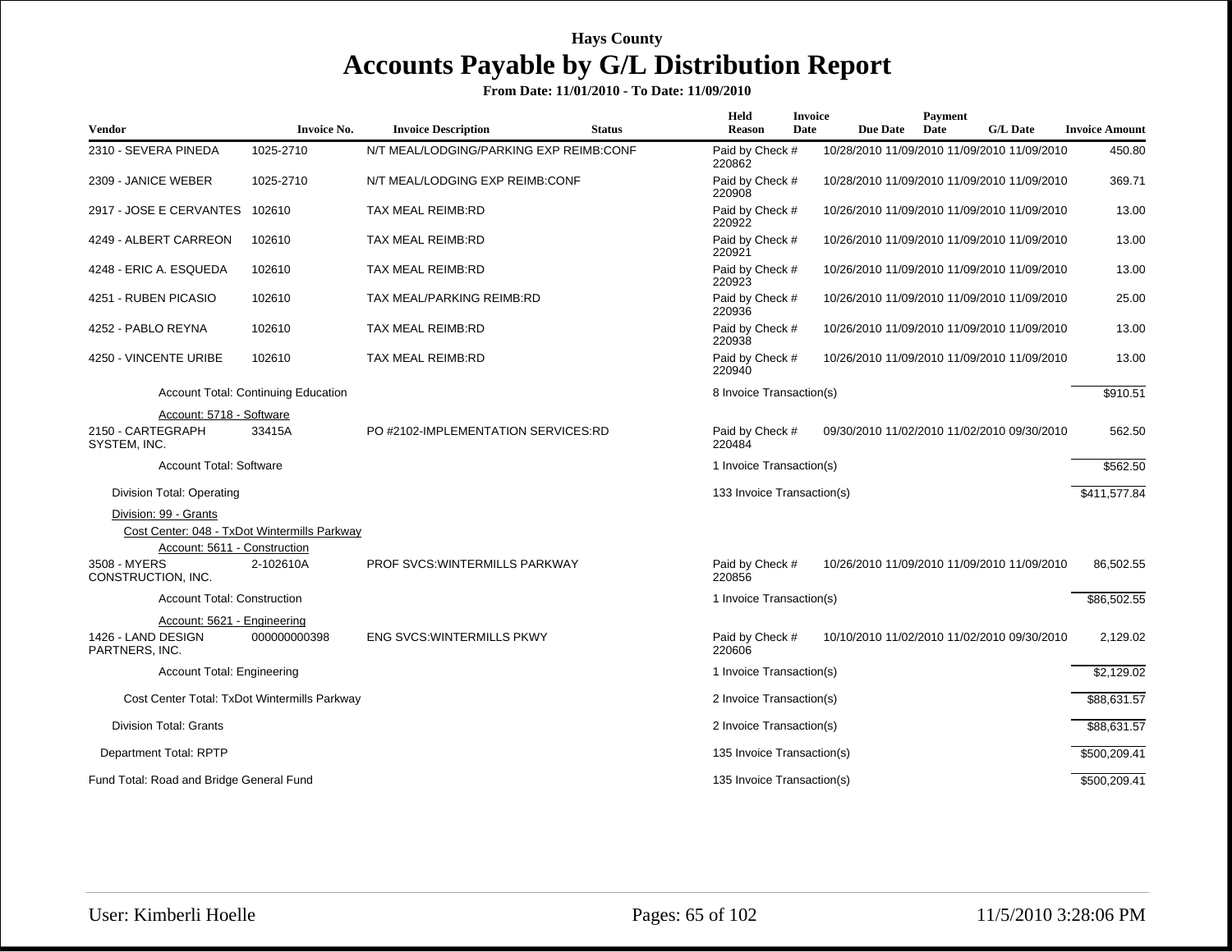|                                                                    |                                            |                                         |               | <b>Held</b>                | <b>Invoice</b> |                 | Payment |                                             |                       |
|--------------------------------------------------------------------|--------------------------------------------|-----------------------------------------|---------------|----------------------------|----------------|-----------------|---------|---------------------------------------------|-----------------------|
| Vendor                                                             | <b>Invoice No.</b>                         | <b>Invoice Description</b>              | <b>Status</b> | <b>Reason</b>              | Date           | <b>Due Date</b> | Date    | <b>G/L Date</b>                             | <b>Invoice Amount</b> |
| 2310 - SEVERA PINEDA                                               | 1025-2710                                  | N/T MEAL/LODGING/PARKING EXP REIMB:CONF |               | Paid by Check #<br>220862  |                |                 |         | 10/28/2010 11/09/2010 11/09/2010 11/09/2010 | 450.80                |
| 2309 - JANICE WEBER                                                | 1025-2710                                  | N/T MEAL/LODGING EXP REIMB:CONF         |               | Paid by Check #<br>220908  |                |                 |         | 10/28/2010 11/09/2010 11/09/2010 11/09/2010 | 369.71                |
| 2917 - JOSE E CERVANTES                                            | 102610                                     | TAX MEAL REIMB:RD                       |               | Paid by Check #<br>220922  |                |                 |         | 10/26/2010 11/09/2010 11/09/2010 11/09/2010 | 13.00                 |
| 4249 - ALBERT CARREON                                              | 102610                                     | TAX MEAL REIMB:RD                       |               | Paid by Check #<br>220921  |                |                 |         | 10/26/2010 11/09/2010 11/09/2010 11/09/2010 | 13.00                 |
| 4248 - ERIC A. ESQUEDA                                             | 102610                                     | TAX MEAL REIMB:RD                       |               | Paid by Check #<br>220923  |                |                 |         | 10/26/2010 11/09/2010 11/09/2010 11/09/2010 | 13.00                 |
| 4251 - RUBEN PICASIO                                               | 102610                                     | TAX MEAL/PARKING REIMB:RD               |               | Paid by Check #<br>220936  |                |                 |         | 10/26/2010 11/09/2010 11/09/2010 11/09/2010 | 25.00                 |
| 4252 - PABLO REYNA                                                 | 102610                                     | TAX MEAL REIMB:RD                       |               | Paid by Check #<br>220938  |                |                 |         | 10/26/2010 11/09/2010 11/09/2010 11/09/2010 | 13.00                 |
| 4250 - VINCENTE URIBE                                              | 102610                                     | TAX MEAL REIMB:RD                       |               | Paid by Check #<br>220940  |                |                 |         | 10/26/2010 11/09/2010 11/09/2010 11/09/2010 | 13.00                 |
|                                                                    | <b>Account Total: Continuing Education</b> |                                         |               | 8 Invoice Transaction(s)   |                |                 |         |                                             | \$910.51              |
| Account: 5718 - Software                                           |                                            |                                         |               |                            |                |                 |         |                                             |                       |
| 2150 - CARTEGRAPH<br>SYSTEM, INC.                                  | 33415A                                     | PO #2102-IMPLEMENTATION SERVICES:RD     |               | Paid by Check #<br>220484  |                |                 |         | 09/30/2010 11/02/2010 11/02/2010 09/30/2010 | 562.50                |
| <b>Account Total: Software</b>                                     |                                            |                                         |               | 1 Invoice Transaction(s)   |                |                 |         |                                             | \$562.50              |
| Division Total: Operating                                          |                                            |                                         |               | 133 Invoice Transaction(s) |                |                 |         |                                             | \$411,577.84          |
| Division: 99 - Grants                                              |                                            |                                         |               |                            |                |                 |         |                                             |                       |
| Cost Center: 048 - TxDot Wintermills Parkway                       |                                            |                                         |               |                            |                |                 |         |                                             |                       |
| Account: 5611 - Construction<br>3508 - MYERS<br>CONSTRUCTION, INC. | 2-102610A                                  | PROF SVCS: WINTERMILLS PARKWAY          |               | Paid by Check #<br>220856  |                |                 |         | 10/26/2010 11/09/2010 11/09/2010 11/09/2010 | 86,502.55             |
| <b>Account Total: Construction</b>                                 |                                            |                                         |               | 1 Invoice Transaction(s)   |                |                 |         |                                             | \$86,502.55           |
| Account: 5621 - Engineering                                        |                                            |                                         |               |                            |                |                 |         |                                             |                       |
| 1426 - LAND DESIGN<br>PARTNERS, INC.                               | 000000000398                               | <b>ENG SVCS: WINTERMILLS PKWY</b>       |               | Paid by Check #<br>220606  |                |                 |         | 10/10/2010 11/02/2010 11/02/2010 09/30/2010 | 2,129.02              |
| <b>Account Total: Engineering</b>                                  |                                            |                                         |               | 1 Invoice Transaction(s)   |                |                 |         |                                             | \$2,129.02            |
| Cost Center Total: TxDot Wintermills Parkway                       |                                            |                                         |               | 2 Invoice Transaction(s)   |                |                 |         |                                             | \$88,631.57           |
| <b>Division Total: Grants</b>                                      |                                            |                                         |               | 2 Invoice Transaction(s)   |                |                 |         |                                             | \$88,631.57           |
| Department Total: RPTP                                             |                                            |                                         |               | 135 Invoice Transaction(s) |                |                 |         |                                             | \$500,209.41          |
| Fund Total: Road and Bridge General Fund                           |                                            |                                         |               | 135 Invoice Transaction(s) |                |                 |         |                                             | \$500,209.41          |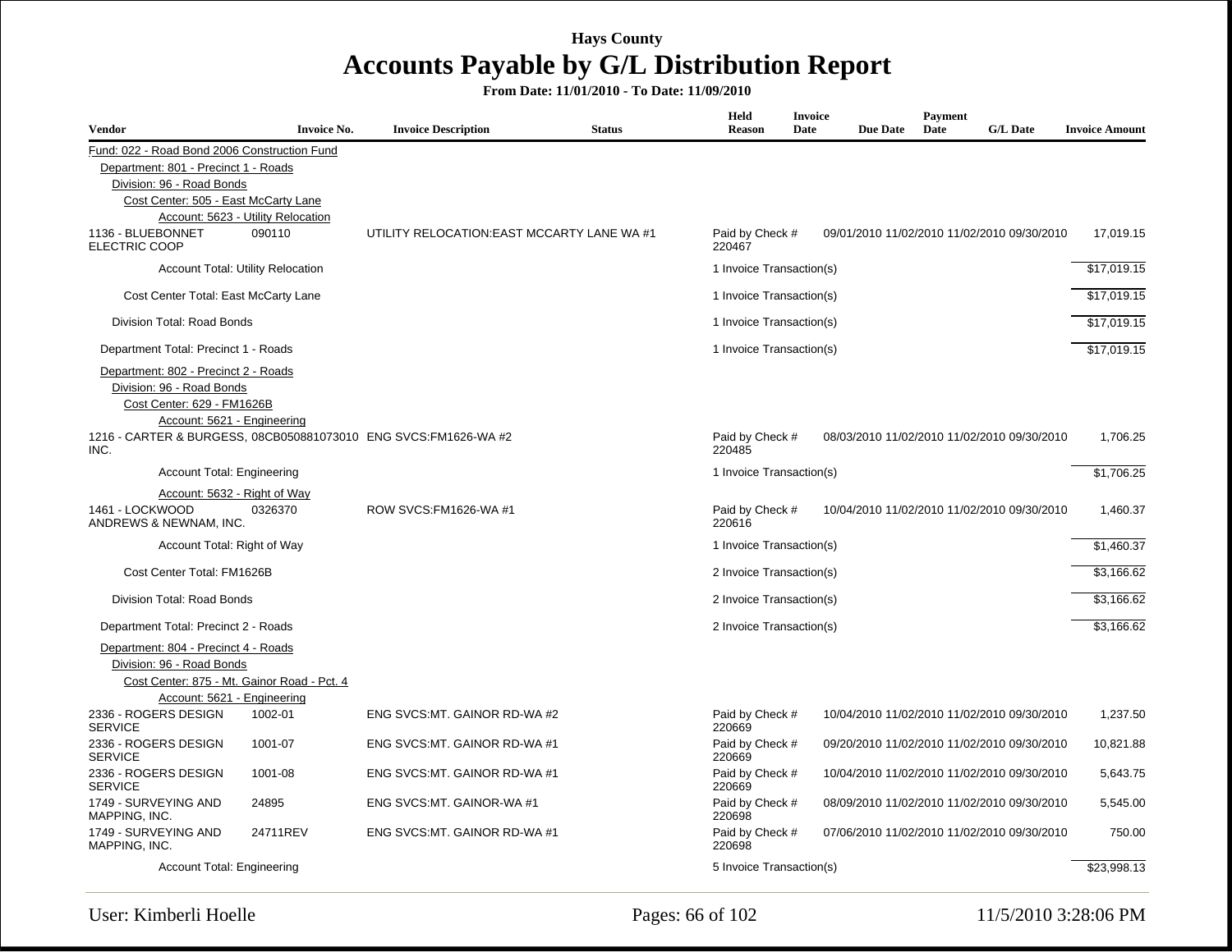| <b>Vendor</b>                                                     | <b>Invoice No.</b>                 | <b>Invoice Description</b>                                       | <b>Status</b> | Held<br><b>Reason</b>     | <b>Invoice</b><br>Date | <b>Due Date</b> | <b>Payment</b><br>Date | <b>G/L Date</b>                             | <b>Invoice Amount</b> |
|-------------------------------------------------------------------|------------------------------------|------------------------------------------------------------------|---------------|---------------------------|------------------------|-----------------|------------------------|---------------------------------------------|-----------------------|
| Fund: 022 - Road Bond 2006 Construction Fund                      |                                    |                                                                  |               |                           |                        |                 |                        |                                             |                       |
| Department: 801 - Precinct 1 - Roads                              |                                    |                                                                  |               |                           |                        |                 |                        |                                             |                       |
| Division: 96 - Road Bonds                                         |                                    |                                                                  |               |                           |                        |                 |                        |                                             |                       |
| Cost Center: 505 - East McCarty Lane                              |                                    |                                                                  |               |                           |                        |                 |                        |                                             |                       |
|                                                                   | Account: 5623 - Utility Relocation |                                                                  |               |                           |                        |                 |                        |                                             |                       |
| 1136 - BLUEBONNET<br><b>ELECTRIC COOP</b>                         | 090110                             | UTILITY RELOCATION: EAST MCCARTY LANE WA #1                      |               | Paid by Check #<br>220467 |                        |                 |                        | 09/01/2010 11/02/2010 11/02/2010 09/30/2010 | 17.019.15             |
|                                                                   | Account Total: Utility Relocation  |                                                                  |               | 1 Invoice Transaction(s)  |                        |                 |                        |                                             | \$17,019.15           |
| Cost Center Total: East McCarty Lane                              |                                    |                                                                  |               | 1 Invoice Transaction(s)  |                        |                 |                        |                                             | \$17,019.15           |
| Division Total: Road Bonds                                        |                                    |                                                                  |               | 1 Invoice Transaction(s)  |                        |                 |                        |                                             | \$17,019.15           |
| Department Total: Precinct 1 - Roads                              |                                    |                                                                  |               | 1 Invoice Transaction(s)  |                        |                 |                        |                                             | \$17,019.15           |
| Department: 802 - Precinct 2 - Roads                              |                                    |                                                                  |               |                           |                        |                 |                        |                                             |                       |
| Division: 96 - Road Bonds                                         |                                    |                                                                  |               |                           |                        |                 |                        |                                             |                       |
| Cost Center: 629 - FM1626B                                        |                                    |                                                                  |               |                           |                        |                 |                        |                                             |                       |
| Account: 5621 - Engineering                                       |                                    |                                                                  |               |                           |                        |                 |                        |                                             |                       |
| INC.                                                              |                                    | 1216 - CARTER & BURGESS, 08CB050881073010 ENG SVCS: FM1626-WA #2 |               | Paid by Check #<br>220485 |                        |                 |                        | 08/03/2010 11/02/2010 11/02/2010 09/30/2010 | 1.706.25              |
| <b>Account Total: Engineering</b>                                 |                                    |                                                                  |               | 1 Invoice Transaction(s)  |                        |                 |                        |                                             | \$1.706.25            |
| Account: 5632 - Right of Way                                      |                                    |                                                                  |               |                           |                        |                 |                        |                                             |                       |
| 1461 - LOCKWOOD<br>ANDREWS & NEWNAM, INC.                         | 0326370                            | ROW SVCS: FM1626-WA #1                                           |               | Paid by Check #<br>220616 |                        |                 |                        | 10/04/2010 11/02/2010 11/02/2010 09/30/2010 | 1,460.37              |
| Account Total: Right of Way                                       |                                    |                                                                  |               | 1 Invoice Transaction(s)  |                        |                 |                        |                                             | \$1,460.37            |
| Cost Center Total: FM1626B                                        |                                    |                                                                  |               | 2 Invoice Transaction(s)  |                        |                 |                        |                                             | \$3,166.62            |
| Division Total: Road Bonds                                        |                                    |                                                                  |               | 2 Invoice Transaction(s)  |                        |                 |                        |                                             | \$3,166.62            |
| Department Total: Precinct 2 - Roads                              |                                    |                                                                  |               | 2 Invoice Transaction(s)  |                        |                 |                        |                                             | \$3,166.62            |
| Department: 804 - Precinct 4 - Roads<br>Division: 96 - Road Bonds |                                    |                                                                  |               |                           |                        |                 |                        |                                             |                       |
| Cost Center: 875 - Mt. Gainor Road - Pct. 4                       |                                    |                                                                  |               |                           |                        |                 |                        |                                             |                       |
| Account: 5621 - Engineering                                       |                                    |                                                                  |               |                           |                        |                 |                        |                                             |                       |
| 2336 - ROGERS DESIGN<br><b>SERVICE</b>                            | 1002-01                            | ENG SVCS: MT. GAINOR RD-WA #2                                    |               | Paid by Check #<br>220669 |                        |                 |                        | 10/04/2010 11/02/2010 11/02/2010 09/30/2010 | 1,237.50              |
| 2336 - ROGERS DESIGN<br><b>SERVICE</b>                            | 1001-07                            | ENG SVCS:MT. GAINOR RD-WA #1                                     |               | Paid by Check #<br>220669 |                        |                 |                        | 09/20/2010 11/02/2010 11/02/2010 09/30/2010 | 10,821.88             |
| 2336 - ROGERS DESIGN<br><b>SERVICE</b>                            | 1001-08                            | ENG SVCS: MT. GAINOR RD-WA #1                                    |               | Paid by Check #<br>220669 |                        |                 |                        | 10/04/2010 11/02/2010 11/02/2010 09/30/2010 | 5,643.75              |
| 1749 - SURVEYING AND<br>MAPPING, INC.                             | 24895                              | ENG SVCS:MT. GAINOR-WA #1                                        |               | Paid by Check #<br>220698 |                        |                 |                        | 08/09/2010 11/02/2010 11/02/2010 09/30/2010 | 5,545.00              |
| 1749 - SURVEYING AND<br>MAPPING, INC.                             | 24711REV                           | ENG SVCS:MT, GAINOR RD-WA #1                                     |               | Paid by Check #<br>220698 |                        |                 |                        | 07/06/2010 11/02/2010 11/02/2010 09/30/2010 | 750.00                |
| Account Total: Engineering                                        |                                    |                                                                  |               | 5 Invoice Transaction(s)  |                        |                 |                        |                                             | \$23,998.13           |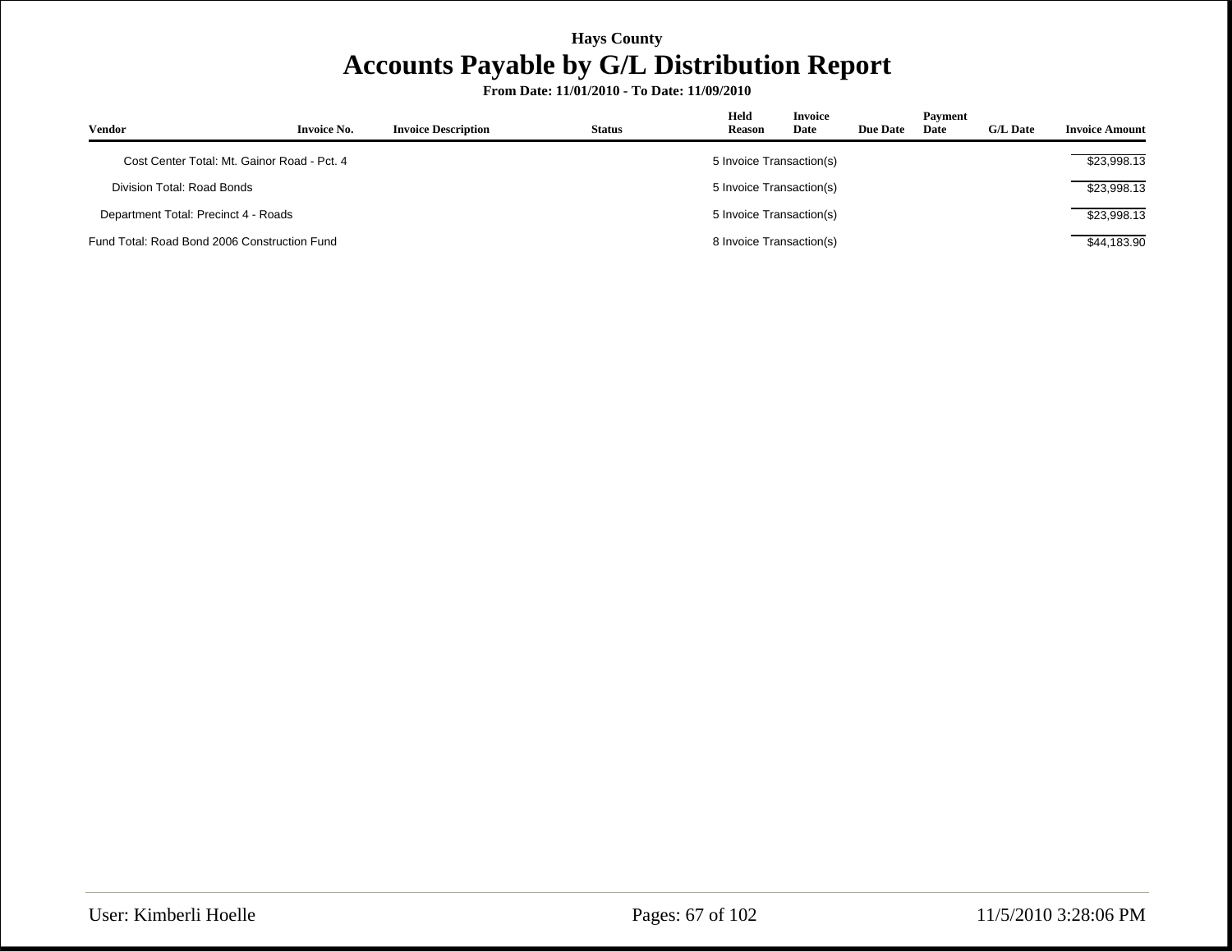| <b>Vendor</b>                                | <b>Invoice No.</b>                          | <b>Invoice Description</b> | <b>Status</b> | Held<br><b>Reason</b>    | <b>Invoice</b><br>Date   | <b>Due Date</b> | Payment<br>Date | <b>G/L Date</b> | <b>Invoice Amount</b> |
|----------------------------------------------|---------------------------------------------|----------------------------|---------------|--------------------------|--------------------------|-----------------|-----------------|-----------------|-----------------------|
|                                              | Cost Center Total: Mt. Gainor Road - Pct. 4 |                            |               | 5 Invoice Transaction(s) |                          |                 |                 |                 | \$23,998.13           |
|                                              | Division Total: Road Bonds                  |                            |               |                          | 5 Invoice Transaction(s) |                 |                 |                 | \$23,998.13           |
| Department Total: Precinct 4 - Roads         |                                             |                            |               | 5 Invoice Transaction(s) |                          |                 |                 |                 | \$23,998.13           |
| Fund Total: Road Bond 2006 Construction Fund |                                             |                            |               | 8 Invoice Transaction(s) |                          |                 |                 |                 | \$44,183.90           |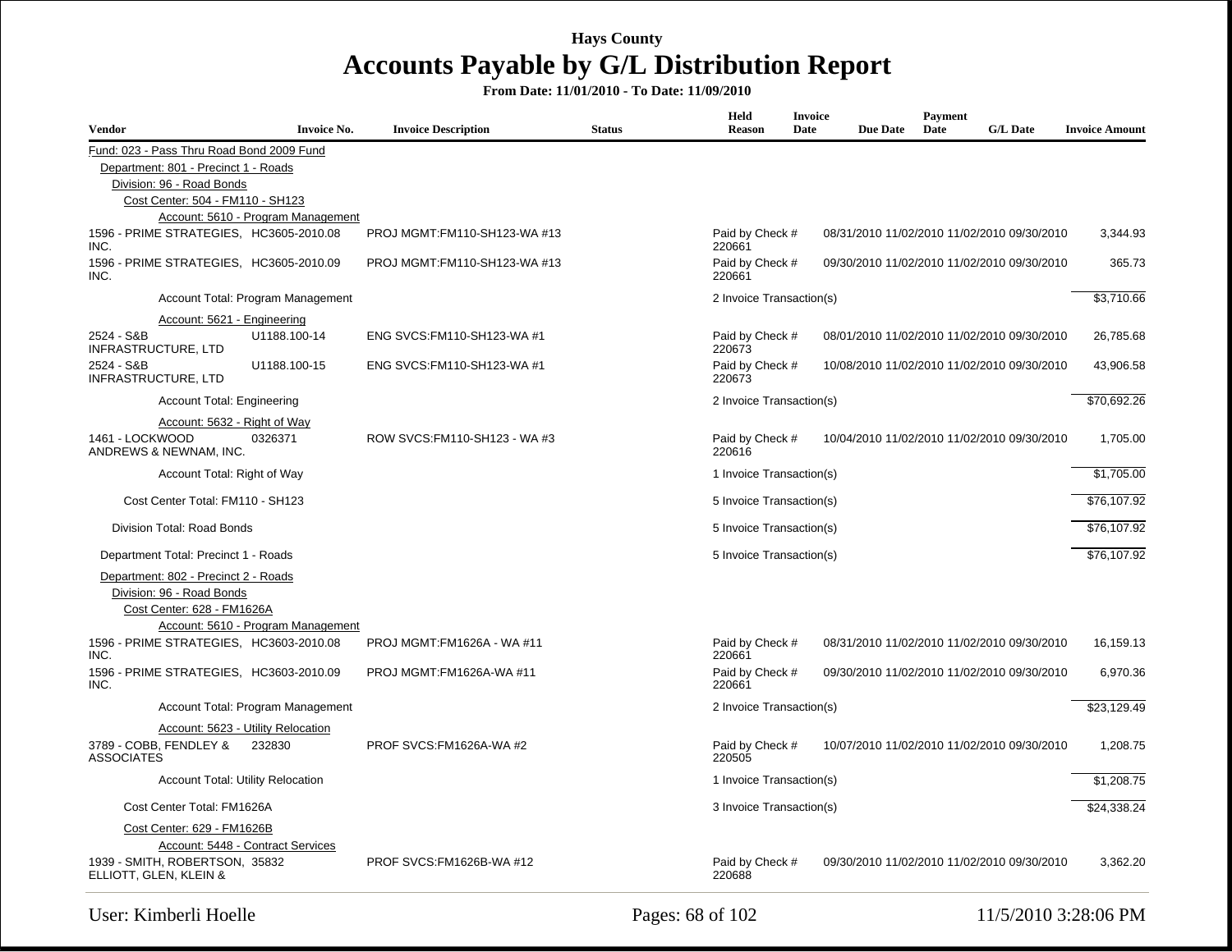| Vendor                                                                                          | <b>Invoice No.</b>                 | <b>Invoice Description</b>    | <b>Status</b> | Held<br>Reason            | <b>Invoice</b><br>Date | <b>Due Date</b> | Payment<br>Date | <b>G/L Date</b>                             | <b>Invoice Amount</b> |
|-------------------------------------------------------------------------------------------------|------------------------------------|-------------------------------|---------------|---------------------------|------------------------|-----------------|-----------------|---------------------------------------------|-----------------------|
| Fund: 023 - Pass Thru Road Bond 2009 Fund                                                       |                                    |                               |               |                           |                        |                 |                 |                                             |                       |
| Department: 801 - Precinct 1 - Roads                                                            |                                    |                               |               |                           |                        |                 |                 |                                             |                       |
| Division: 96 - Road Bonds                                                                       |                                    |                               |               |                           |                        |                 |                 |                                             |                       |
| Cost Center: 504 - FM110 - SH123                                                                |                                    |                               |               |                           |                        |                 |                 |                                             |                       |
|                                                                                                 | Account: 5610 - Program Management |                               |               |                           |                        |                 |                 |                                             |                       |
| 1596 - PRIME STRATEGIES, HC3605-2010.08<br>INC.                                                 |                                    | PROJ MGMT:FM110-SH123-WA #13  |               | Paid by Check #<br>220661 |                        |                 |                 | 08/31/2010 11/02/2010 11/02/2010 09/30/2010 | 3,344.93              |
| 1596 - PRIME STRATEGIES, HC3605-2010.09<br>INC.                                                 |                                    | PROJ MGMT:FM110-SH123-WA #13  |               | Paid by Check #<br>220661 |                        |                 |                 | 09/30/2010 11/02/2010 11/02/2010 09/30/2010 | 365.73                |
|                                                                                                 | Account Total: Program Management  |                               |               | 2 Invoice Transaction(s)  |                        |                 |                 |                                             | \$3,710.66            |
| Account: 5621 - Engineering                                                                     |                                    |                               |               |                           |                        |                 |                 |                                             |                       |
| 2524 - S&B<br><b>INFRASTRUCTURE, LTD</b>                                                        | U1188.100-14                       | ENG SVCS: FM110-SH123-WA #1   |               | Paid by Check #<br>220673 |                        |                 |                 | 08/01/2010 11/02/2010 11/02/2010 09/30/2010 | 26,785.68             |
| 2524 - S&B<br><b>INFRASTRUCTURE, LTD</b>                                                        | U1188.100-15                       | ENG SVCS: FM110-SH123-WA #1   |               | Paid by Check #<br>220673 |                        |                 |                 | 10/08/2010 11/02/2010 11/02/2010 09/30/2010 | 43,906.58             |
| <b>Account Total: Engineering</b>                                                               |                                    |                               |               | 2 Invoice Transaction(s)  |                        |                 |                 |                                             | \$70,692.26           |
| Account: 5632 - Right of Way                                                                    |                                    |                               |               |                           |                        |                 |                 |                                             |                       |
| 1461 - LOCKWOOD<br>ANDREWS & NEWNAM, INC.                                                       | 0326371                            | ROW SVCS: FM110-SH123 - WA #3 |               | Paid by Check #<br>220616 |                        |                 |                 | 10/04/2010 11/02/2010 11/02/2010 09/30/2010 | 1,705.00              |
| Account Total: Right of Way                                                                     |                                    |                               |               | 1 Invoice Transaction(s)  |                        |                 |                 |                                             | \$1,705.00            |
| Cost Center Total: FM110 - SH123                                                                |                                    |                               |               | 5 Invoice Transaction(s)  |                        |                 |                 |                                             | \$76,107.92           |
|                                                                                                 |                                    |                               |               |                           |                        |                 |                 |                                             |                       |
| Division Total: Road Bonds                                                                      |                                    |                               |               | 5 Invoice Transaction(s)  |                        |                 |                 |                                             | \$76,107.92           |
| Department Total: Precinct 1 - Roads                                                            |                                    |                               |               | 5 Invoice Transaction(s)  |                        |                 |                 |                                             | \$76,107.92           |
| Department: 802 - Precinct 2 - Roads<br>Division: 96 - Road Bonds<br>Cost Center: 628 - FM1626A | Account: 5610 - Program Management |                               |               |                           |                        |                 |                 |                                             |                       |
| 1596 - PRIME STRATEGIES. HC3603-2010.08<br>INC.                                                 |                                    | PROJ MGMT:FM1626A - WA #11    |               | Paid by Check #<br>220661 |                        |                 |                 | 08/31/2010 11/02/2010 11/02/2010 09/30/2010 | 16,159.13             |
| 1596 - PRIME STRATEGIES, HC3603-2010.09<br>INC.                                                 |                                    | PROJ MGMT:FM1626A-WA #11      |               | Paid by Check #<br>220661 |                        |                 |                 | 09/30/2010 11/02/2010 11/02/2010 09/30/2010 | 6,970.36              |
|                                                                                                 | Account Total: Program Management  |                               |               | 2 Invoice Transaction(s)  |                        |                 |                 |                                             | \$23,129.49           |
|                                                                                                 | Account: 5623 - Utility Relocation |                               |               |                           |                        |                 |                 |                                             |                       |
| 3789 - COBB, FENDLEY &<br><b>ASSOCIATES</b>                                                     | 232830                             | PROF SVCS:FM1626A-WA #2       |               | Paid by Check #<br>220505 |                        |                 |                 | 10/07/2010 11/02/2010 11/02/2010 09/30/2010 | 1,208.75              |
| <b>Account Total: Utility Relocation</b>                                                        |                                    |                               |               | 1 Invoice Transaction(s)  |                        |                 |                 |                                             | \$1,208.75            |
| Cost Center Total: FM1626A                                                                      |                                    |                               |               | 3 Invoice Transaction(s)  |                        |                 |                 |                                             | \$24,338.24           |
| Cost Center: 629 - FM1626B                                                                      |                                    |                               |               |                           |                        |                 |                 |                                             |                       |
|                                                                                                 | Account: 5448 - Contract Services  |                               |               |                           |                        |                 |                 |                                             |                       |
| 1939 - SMITH, ROBERTSON, 35832<br>ELLIOTT, GLEN, KLEIN &                                        |                                    | PROF SVCS:FM1626B-WA #12      |               | Paid by Check #<br>220688 |                        |                 |                 | 09/30/2010 11/02/2010 11/02/2010 09/30/2010 | 3,362.20              |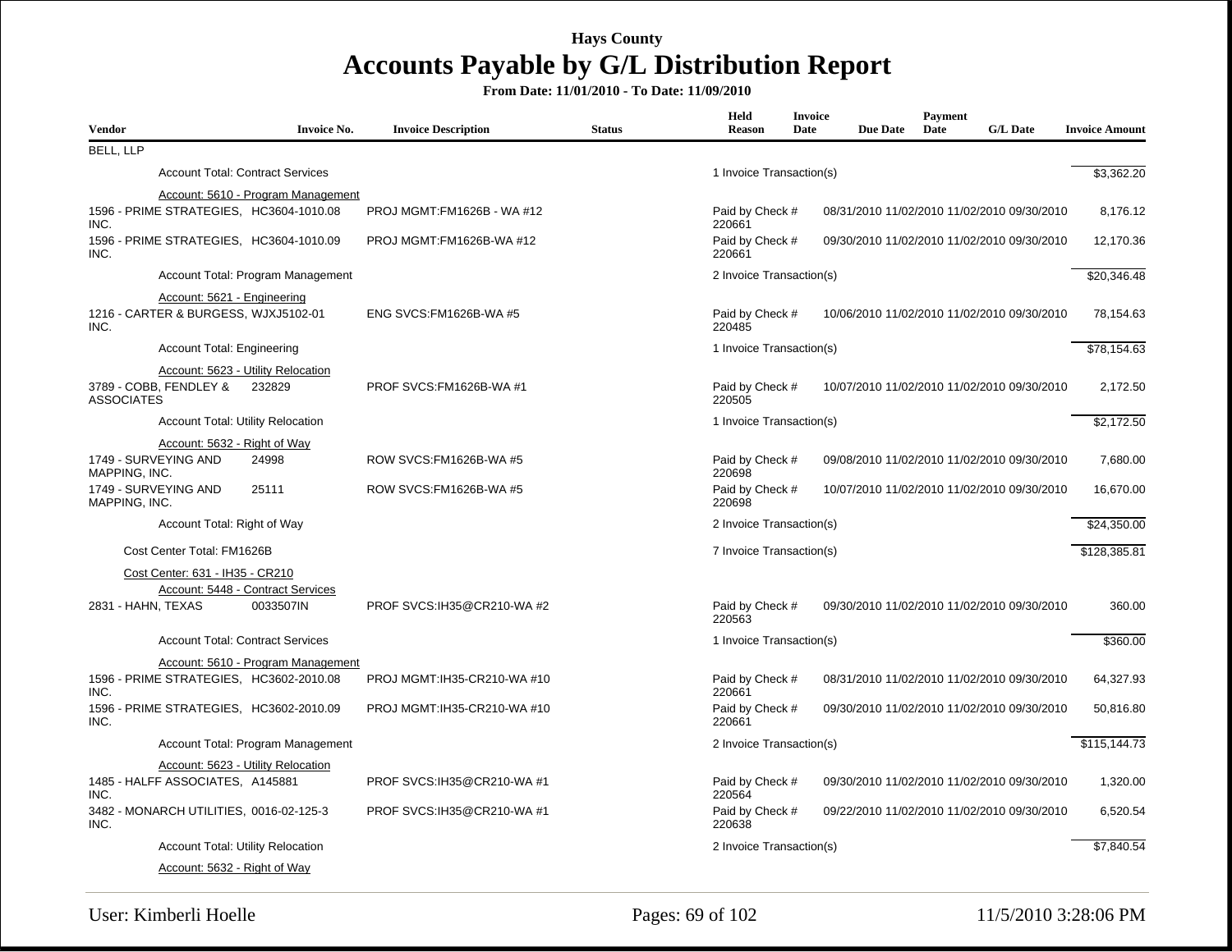| <b>Vendor</b>     |                                                                     | <b>Invoice No.</b>                                                            | <b>Invoice Description</b>   | <b>Status</b> | Held<br><b>Reason</b>     | Invoice<br>Date | <b>Due Date</b> | Payment<br>Date | <b>G/L Date</b>                             | <b>Invoice Amount</b>    |
|-------------------|---------------------------------------------------------------------|-------------------------------------------------------------------------------|------------------------------|---------------|---------------------------|-----------------|-----------------|-----------------|---------------------------------------------|--------------------------|
| <b>BELL, LLP</b>  |                                                                     |                                                                               |                              |               |                           |                 |                 |                 |                                             |                          |
|                   | <b>Account Total: Contract Services</b>                             |                                                                               |                              |               | 1 Invoice Transaction(s)  |                 |                 |                 |                                             | \$3,362.20               |
| INC.              |                                                                     | Account: 5610 - Program Management<br>1596 - PRIME STRATEGIES, HC3604-1010.08 | PROJ MGMT:FM1626B - WA #12   |               | Paid by Check #<br>220661 |                 |                 |                 | 08/31/2010 11/02/2010 11/02/2010 09/30/2010 | 8,176.12                 |
| 1596<br>INC.      |                                                                     | - PRIME STRATEGIES, HC3604-1010.09                                            | PROJ MGMT:FM1626B-WA #12     |               | Paid by Check #<br>220661 |                 |                 |                 | 09/30/2010 11/02/2010 11/02/2010 09/30/2010 | 12,170.36                |
|                   |                                                                     | Account Total: Program Management                                             |                              |               | 2 Invoice Transaction(s)  |                 |                 |                 |                                             | \$20,346.48              |
| INC.              | Account: 5621 - Engineering<br>1216 - CARTER & BURGESS, WJXJ5102-01 |                                                                               | ENG SVCS:FM1626B-WA #5       |               | Paid by Check #<br>220485 |                 |                 |                 | 10/06/2010 11/02/2010 11/02/2010 09/30/2010 | 78,154.63                |
|                   | Account Total: Engineering                                          |                                                                               |                              |               | 1 Invoice Transaction(s)  |                 |                 |                 |                                             | \$78,154.63              |
|                   |                                                                     | Account: 5623 - Utility Relocation                                            |                              |               |                           |                 |                 |                 |                                             |                          |
| <b>ASSOCIATES</b> | 3789 - COBB, FENDLEY &                                              | 232829                                                                        | PROF SVCS:FM1626B-WA #1      |               | Paid by Check #<br>220505 |                 |                 |                 | 10/07/2010 11/02/2010 11/02/2010 09/30/2010 | 2,172.50                 |
|                   | <b>Account Total: Utility Relocation</b>                            |                                                                               |                              |               | 1 Invoice Transaction(s)  |                 |                 |                 |                                             | \$2,172.50               |
|                   | Account: 5632 - Right of Way                                        |                                                                               |                              |               |                           |                 |                 |                 |                                             |                          |
| MAPPING, INC.     | 1749 - SURVEYING AND                                                | 24998                                                                         | ROW SVCS: FM1626B-WA #5      |               | Paid by Check #<br>220698 |                 |                 |                 | 09/08/2010 11/02/2010 11/02/2010 09/30/2010 | 7,680.00                 |
| MAPPING, INC.     | 1749 - SURVEYING AND                                                | 25111                                                                         | ROW SVCS:FM1626B-WA #5       |               | Paid by Check #<br>220698 |                 |                 |                 | 10/07/2010 11/02/2010 11/02/2010 09/30/2010 | 16,670.00                |
|                   | Account Total: Right of Way                                         |                                                                               |                              |               | 2 Invoice Transaction(s)  |                 |                 |                 |                                             | \$24,350.00              |
|                   | Cost Center Total: FM1626B                                          |                                                                               |                              |               | 7 Invoice Transaction(s)  |                 |                 |                 |                                             | \$128,385.81             |
|                   | Cost Center: 631 - IH35 - CR210                                     |                                                                               |                              |               |                           |                 |                 |                 |                                             |                          |
|                   | 2831 - HAHN, TEXAS                                                  | Account: 5448 - Contract Services<br>0033507IN                                | PROF SVCS:IH35@CR210-WA #2   |               | Paid by Check #<br>220563 |                 |                 |                 | 09/30/2010 11/02/2010 11/02/2010 09/30/2010 | 360.00                   |
|                   |                                                                     | <b>Account Total: Contract Services</b>                                       |                              |               | 1 Invoice Transaction(s)  |                 |                 |                 |                                             | \$360.00                 |
|                   |                                                                     | Account: 5610 - Program Management                                            |                              |               |                           |                 |                 |                 |                                             |                          |
| INC.              |                                                                     | 1596 - PRIME STRATEGIES, HC3602-2010.08                                       | PROJ MGMT: IH35-CR210-WA #10 |               | Paid by Check #<br>220661 |                 |                 |                 | 08/31/2010 11/02/2010 11/02/2010 09/30/2010 | 64,327.93                |
| 1596<br>INC.      |                                                                     | - PRIME STRATEGIES, HC3602-2010.09                                            | PROJ MGMT: IH35-CR210-WA #10 |               | Paid by Check #<br>220661 |                 |                 |                 | 09/30/2010 11/02/2010 11/02/2010 09/30/2010 | 50,816.80                |
|                   |                                                                     | Account Total: Program Management                                             |                              |               | 2 Invoice Transaction(s)  |                 |                 |                 |                                             | $$1\overline{15,144.73}$ |
| INC.              | 1485 - HALFF ASSOCIATES, A145881                                    | Account: 5623 - Utility Relocation                                            | PROF SVCS:IH35@CR210-WA #1   |               | Paid by Check #<br>220564 |                 |                 |                 | 09/30/2010 11/02/2010 11/02/2010 09/30/2010 | 1,320.00                 |
| INC.              | 3482 - MONARCH UTILITIES, 0016-02-125-3                             |                                                                               | PROF SVCS:IH35@CR210-WA#1    |               | Paid by Check #<br>220638 |                 |                 |                 | 09/22/2010 11/02/2010 11/02/2010 09/30/2010 | 6,520.54                 |
|                   | <b>Account Total: Utility Relocation</b>                            |                                                                               |                              |               | 2 Invoice Transaction(s)  |                 |                 |                 |                                             | \$7,840.54               |
|                   | Account: 5632 - Right of Way                                        |                                                                               |                              |               |                           |                 |                 |                 |                                             |                          |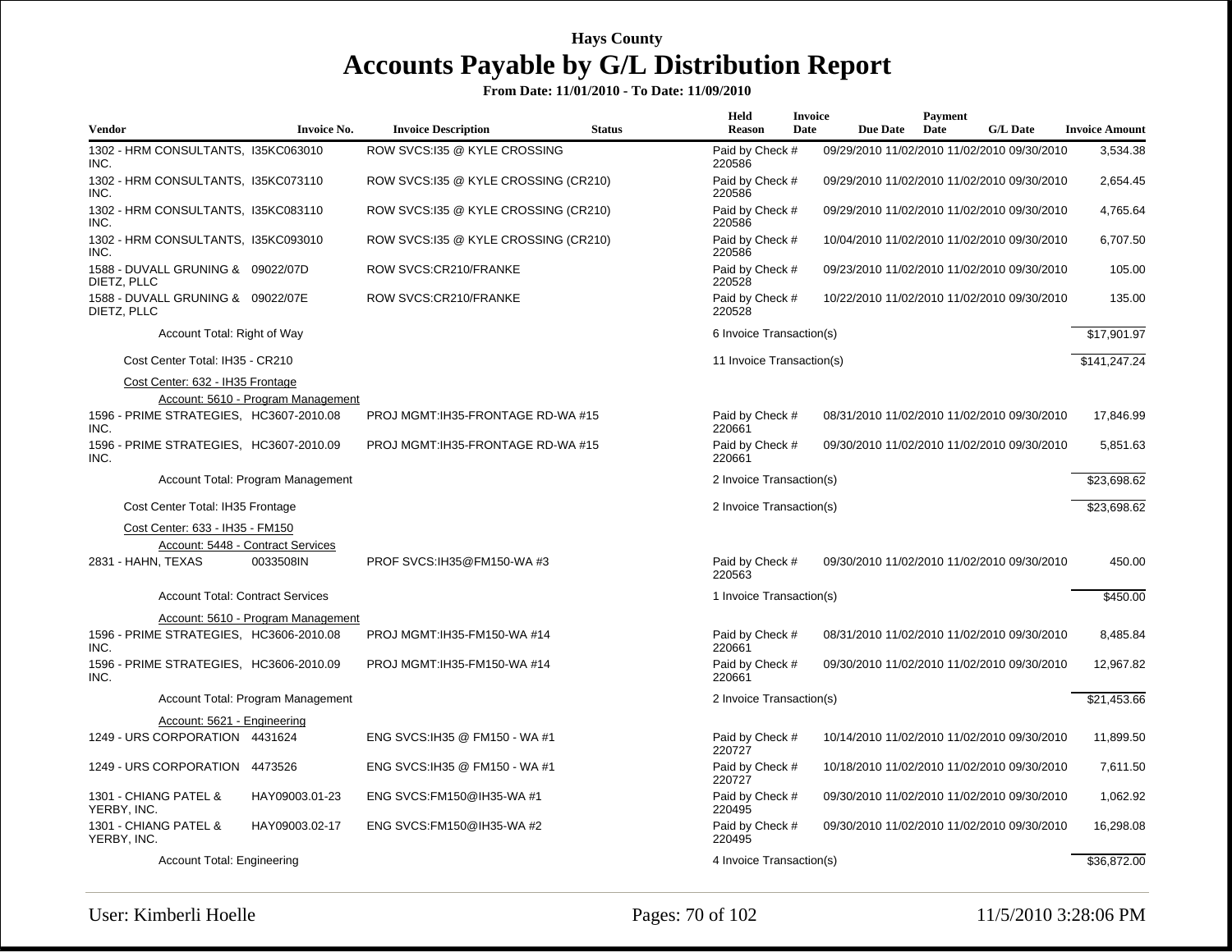|                                                  |                                                |                                      |               | Held                      | <b>Invoice</b> |                 | <b>Payment</b> |                                             |                       |
|--------------------------------------------------|------------------------------------------------|--------------------------------------|---------------|---------------------------|----------------|-----------------|----------------|---------------------------------------------|-----------------------|
| Vendor                                           | <b>Invoice No.</b>                             | <b>Invoice Description</b>           | <b>Status</b> | <b>Reason</b>             | Date           | <b>Due Date</b> | Date           | <b>G/L Date</b>                             | <b>Invoice Amount</b> |
| 1302 - HRM CONSULTANTS, I35KC063010<br>INC.      |                                                | ROW SVCS:135 @ KYLE CROSSING         |               | Paid by Check #<br>220586 |                |                 |                | 09/29/2010 11/02/2010 11/02/2010 09/30/2010 | 3,534.38              |
| 1302 - HRM CONSULTANTS, I35KC073110<br>INC.      |                                                | ROW SVCS:135 @ KYLE CROSSING (CR210) |               | Paid by Check #<br>220586 |                |                 |                | 09/29/2010 11/02/2010 11/02/2010 09/30/2010 | 2,654.45              |
| 1302 - HRM CONSULTANTS, I35KC083110<br>INC.      |                                                | ROW SVCS:135 @ KYLE CROSSING (CR210) |               | Paid by Check #<br>220586 |                |                 |                | 09/29/2010 11/02/2010 11/02/2010 09/30/2010 | 4,765.64              |
| 1302 - HRM CONSULTANTS, 135KC093010<br>INC.      |                                                | ROW SVCS:135 @ KYLE CROSSING (CR210) |               | Paid by Check #<br>220586 |                |                 |                | 10/04/2010 11/02/2010 11/02/2010 09/30/2010 | 6,707.50              |
| 1588 - DUVALL GRUNING & 09022/07D<br>DIETZ, PLLC |                                                | ROW SVCS:CR210/FRANKE                |               | Paid by Check #<br>220528 |                |                 |                | 09/23/2010 11/02/2010 11/02/2010 09/30/2010 | 105.00                |
| 1588 - DUVALL GRUNING & 09022/07E<br>DIETZ, PLLC |                                                | ROW SVCS:CR210/FRANKE                |               | Paid by Check #<br>220528 |                |                 |                | 10/22/2010 11/02/2010 11/02/2010 09/30/2010 | 135.00                |
| Account Total: Right of Way                      |                                                |                                      |               | 6 Invoice Transaction(s)  |                |                 |                |                                             | \$17,901.97           |
| Cost Center Total: IH35 - CR210                  |                                                |                                      |               | 11 Invoice Transaction(s) |                |                 |                |                                             | \$141,247.24          |
| Cost Center: 632 - IH35 Frontage                 | Account: 5610 - Program Management             |                                      |               |                           |                |                 |                |                                             |                       |
| 1596 - PRIME STRATEGIES, HC3607-2010.08<br>INC.  |                                                | PROJ MGMT:IH35-FRONTAGE RD-WA #15    |               | Paid by Check #<br>220661 |                |                 |                | 08/31/2010 11/02/2010 11/02/2010 09/30/2010 | 17,846.99             |
| 1596 - PRIME STRATEGIES, HC3607-2010.09<br>INC.  |                                                | PROJ MGMT: IH35-FRONTAGE RD-WA #15   |               | Paid by Check #<br>220661 |                |                 |                | 09/30/2010 11/02/2010 11/02/2010 09/30/2010 | 5,851.63              |
|                                                  | Account Total: Program Management              |                                      |               | 2 Invoice Transaction(s)  |                |                 |                |                                             | \$23,698.62           |
| Cost Center Total: IH35 Frontage                 |                                                |                                      |               | 2 Invoice Transaction(s)  |                |                 |                |                                             | \$23,698.62           |
| Cost Center: 633 - IH35 - FM150                  |                                                |                                      |               |                           |                |                 |                |                                             |                       |
| 2831 - HAHN, TEXAS                               | Account: 5448 - Contract Services<br>0033508IN | PROF SVCS: IH35@FM150-WA#3           |               | Paid by Check #<br>220563 |                |                 |                | 09/30/2010 11/02/2010 11/02/2010 09/30/2010 | 450.00                |
| <b>Account Total: Contract Services</b>          |                                                |                                      |               | 1 Invoice Transaction(s)  |                |                 |                |                                             | \$450.00              |
|                                                  | Account: 5610 - Program Management             |                                      |               |                           |                |                 |                |                                             |                       |
| 1596 - PRIME STRATEGIES, HC3606-2010.08<br>INC.  |                                                | PROJ MGMT: IH35-FM150-WA #14         |               | Paid by Check #<br>220661 |                |                 |                | 08/31/2010 11/02/2010 11/02/2010 09/30/2010 | 8,485.84              |
| 1596 - PRIME STRATEGIES, HC3606-2010.09<br>INC.  |                                                | PROJ MGMT:IH35-FM150-WA #14          |               | Paid by Check #<br>220661 |                |                 |                | 09/30/2010 11/02/2010 11/02/2010 09/30/2010 | 12,967.82             |
|                                                  | Account Total: Program Management              |                                      |               | 2 Invoice Transaction(s)  |                |                 |                |                                             | \$21,453.66           |
| Account: 5621 - Engineering                      |                                                |                                      |               |                           |                |                 |                |                                             |                       |
| 1249 - URS CORPORATION 4431624                   |                                                | ENG SVCS: IH35 @ FM150 - WA #1       |               | Paid by Check #<br>220727 |                |                 |                | 10/14/2010 11/02/2010 11/02/2010 09/30/2010 | 11,899.50             |
| 1249 - URS CORPORATION 4473526                   |                                                | ENG SVCS: IH35 @ FM150 - WA #1       |               | Paid by Check #<br>220727 |                |                 |                | 10/18/2010 11/02/2010 11/02/2010 09/30/2010 | 7,611.50              |
| 1301 - CHIANG PATEL &<br>YERBY, INC.             | HAY09003.01-23                                 | ENG SVCS: FM150@IH35-WA #1           |               | Paid by Check #<br>220495 |                |                 |                | 09/30/2010 11/02/2010 11/02/2010 09/30/2010 | 1,062.92              |
| 1301 - CHIANG PATEL &<br>YERBY, INC.             | HAY09003.02-17                                 | ENG SVCS: FM150@IH35-WA #2           |               | Paid by Check #<br>220495 |                |                 |                | 09/30/2010 11/02/2010 11/02/2010 09/30/2010 | 16,298.08             |
| Account Total: Engineering                       |                                                |                                      |               | 4 Invoice Transaction(s)  |                |                 |                |                                             | \$36,872.00           |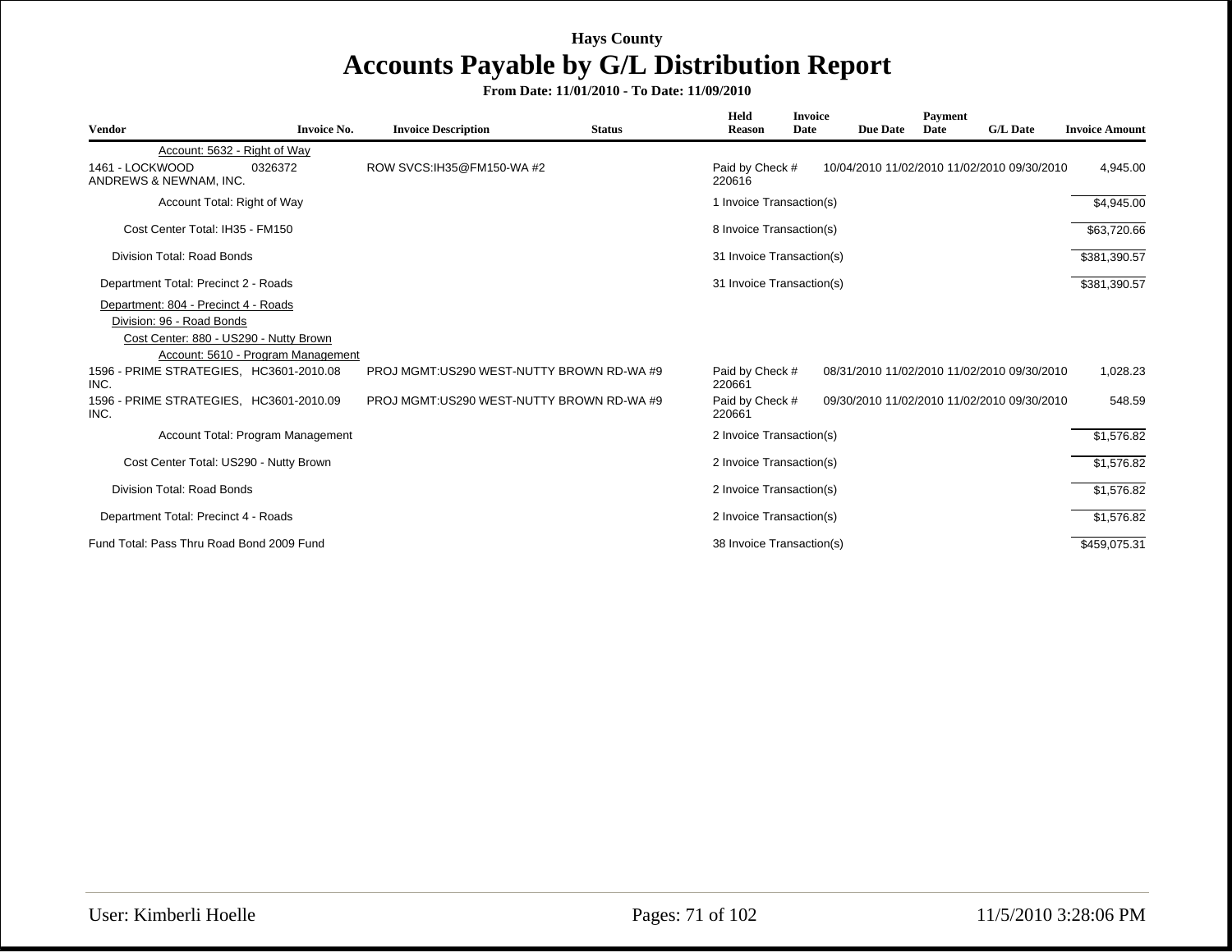| <b>Vendor</b>                                                                                               | <b>Invoice No.</b>                 | <b>Invoice Description</b>                | <b>Status</b> | Held<br><b>Reason</b>     | <b>Invoice</b><br>Date | <b>Due Date</b> | Payment<br>Date | <b>G/L Date</b>                             | <b>Invoice Amount</b> |
|-------------------------------------------------------------------------------------------------------------|------------------------------------|-------------------------------------------|---------------|---------------------------|------------------------|-----------------|-----------------|---------------------------------------------|-----------------------|
| Account: 5632 - Right of Way                                                                                |                                    |                                           |               |                           |                        |                 |                 |                                             |                       |
| 1461 - LOCKWOOD<br>ANDREWS & NEWNAM, INC.                                                                   | 0326372                            | ROW SVCS: IH35@FM150-WA #2                |               | Paid by Check #<br>220616 |                        |                 |                 | 10/04/2010 11/02/2010 11/02/2010 09/30/2010 | 4,945.00              |
| Account Total: Right of Way                                                                                 |                                    |                                           |               | 1 Invoice Transaction(s)  |                        |                 |                 |                                             | \$4,945.00            |
| Cost Center Total: IH35 - FM150                                                                             |                                    |                                           |               | 8 Invoice Transaction(s)  |                        |                 |                 |                                             | \$63,720.66           |
| Division Total: Road Bonds                                                                                  |                                    |                                           |               | 31 Invoice Transaction(s) |                        |                 |                 |                                             | \$381,390.57          |
| Department Total: Precinct 2 - Roads                                                                        |                                    |                                           |               | 31 Invoice Transaction(s) |                        |                 |                 |                                             | \$381,390.57          |
| Department: 804 - Precinct 4 - Roads<br>Division: 96 - Road Bonds<br>Cost Center: 880 - US290 - Nutty Brown | Account: 5610 - Program Management |                                           |               |                           |                        |                 |                 |                                             |                       |
| 1596 - PRIME STRATEGIES. HC3601-2010.08<br>INC.                                                             |                                    | PROJ MGMT:US290 WEST-NUTTY BROWN RD-WA #9 |               | Paid by Check #<br>220661 |                        |                 |                 | 08/31/2010 11/02/2010 11/02/2010 09/30/2010 | 1,028.23              |
| 1596 - PRIME STRATEGIES, HC3601-2010.09<br>INC.                                                             |                                    | PROJ MGMT:US290 WEST-NUTTY BROWN RD-WA #9 |               | Paid by Check #<br>220661 |                        |                 |                 | 09/30/2010 11/02/2010 11/02/2010 09/30/2010 | 548.59                |
|                                                                                                             | Account Total: Program Management  |                                           |               | 2 Invoice Transaction(s)  |                        |                 |                 |                                             | \$1,576.82            |
| Cost Center Total: US290 - Nutty Brown                                                                      |                                    |                                           |               | 2 Invoice Transaction(s)  |                        |                 |                 |                                             | \$1,576.82            |
| Division Total: Road Bonds                                                                                  |                                    |                                           |               | 2 Invoice Transaction(s)  |                        |                 |                 |                                             | \$1,576.82            |
| Department Total: Precinct 4 - Roads                                                                        |                                    |                                           |               | 2 Invoice Transaction(s)  |                        |                 |                 |                                             | \$1,576.82            |
| Fund Total: Pass Thru Road Bond 2009 Fund                                                                   |                                    |                                           |               | 38 Invoice Transaction(s) |                        |                 |                 |                                             | \$459,075.31          |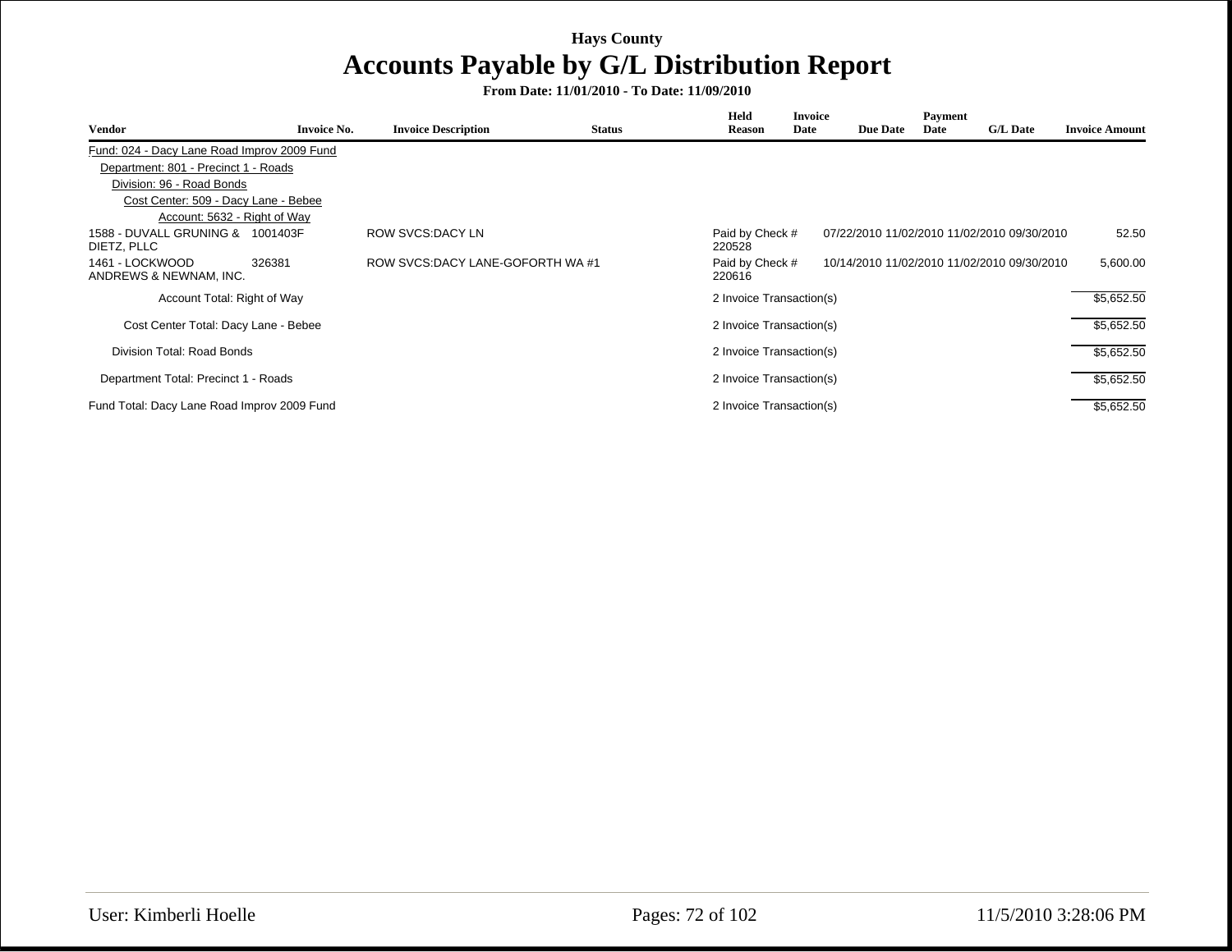| Vendor                                          | <b>Invoice No.</b> | <b>Invoice Description</b>        | <b>Status</b> | Held<br><b>Reason</b>     | <b>Invoice</b><br>Date | <b>Due Date</b> | Payment<br>Date | <b>G/L Date</b>                             | <b>Invoice Amount</b> |
|-------------------------------------------------|--------------------|-----------------------------------|---------------|---------------------------|------------------------|-----------------|-----------------|---------------------------------------------|-----------------------|
| Fund: 024 - Dacy Lane Road Improv 2009 Fund     |                    |                                   |               |                           |                        |                 |                 |                                             |                       |
| Department: 801 - Precinct 1 - Roads            |                    |                                   |               |                           |                        |                 |                 |                                             |                       |
| Division: 96 - Road Bonds                       |                    |                                   |               |                           |                        |                 |                 |                                             |                       |
| Cost Center: 509 - Dacy Lane - Bebee            |                    |                                   |               |                           |                        |                 |                 |                                             |                       |
| Account: 5632 - Right of Way                    |                    |                                   |               |                           |                        |                 |                 |                                             |                       |
| 1588 - DUVALL GRUNING & 1001403F<br>DIETZ, PLLC |                    | ROW SVCS: DACY LN                 |               | Paid by Check #<br>220528 |                        |                 |                 | 07/22/2010 11/02/2010 11/02/2010 09/30/2010 | 52.50                 |
| 1461 - LOCKWOOD<br>ANDREWS & NEWNAM, INC.       | 326381             | ROW SVCS: DACY LANE-GOFORTH WA #1 |               | Paid by Check #<br>220616 |                        |                 |                 | 10/14/2010 11/02/2010 11/02/2010 09/30/2010 | 5,600.00              |
| Account Total: Right of Way                     |                    |                                   |               | 2 Invoice Transaction(s)  |                        |                 |                 |                                             | \$5,652.50            |
| Cost Center Total: Dacy Lane - Bebee            |                    |                                   |               | 2 Invoice Transaction(s)  |                        |                 |                 |                                             | \$5,652.50            |
| Division Total: Road Bonds                      |                    |                                   |               | 2 Invoice Transaction(s)  |                        |                 |                 |                                             | \$5,652.50            |
| Department Total: Precinct 1 - Roads            |                    |                                   |               | 2 Invoice Transaction(s)  |                        |                 |                 |                                             | \$5,652.50            |
| Fund Total: Dacy Lane Road Improv 2009 Fund     |                    |                                   |               | 2 Invoice Transaction(s)  |                        |                 |                 |                                             | \$5,652.50            |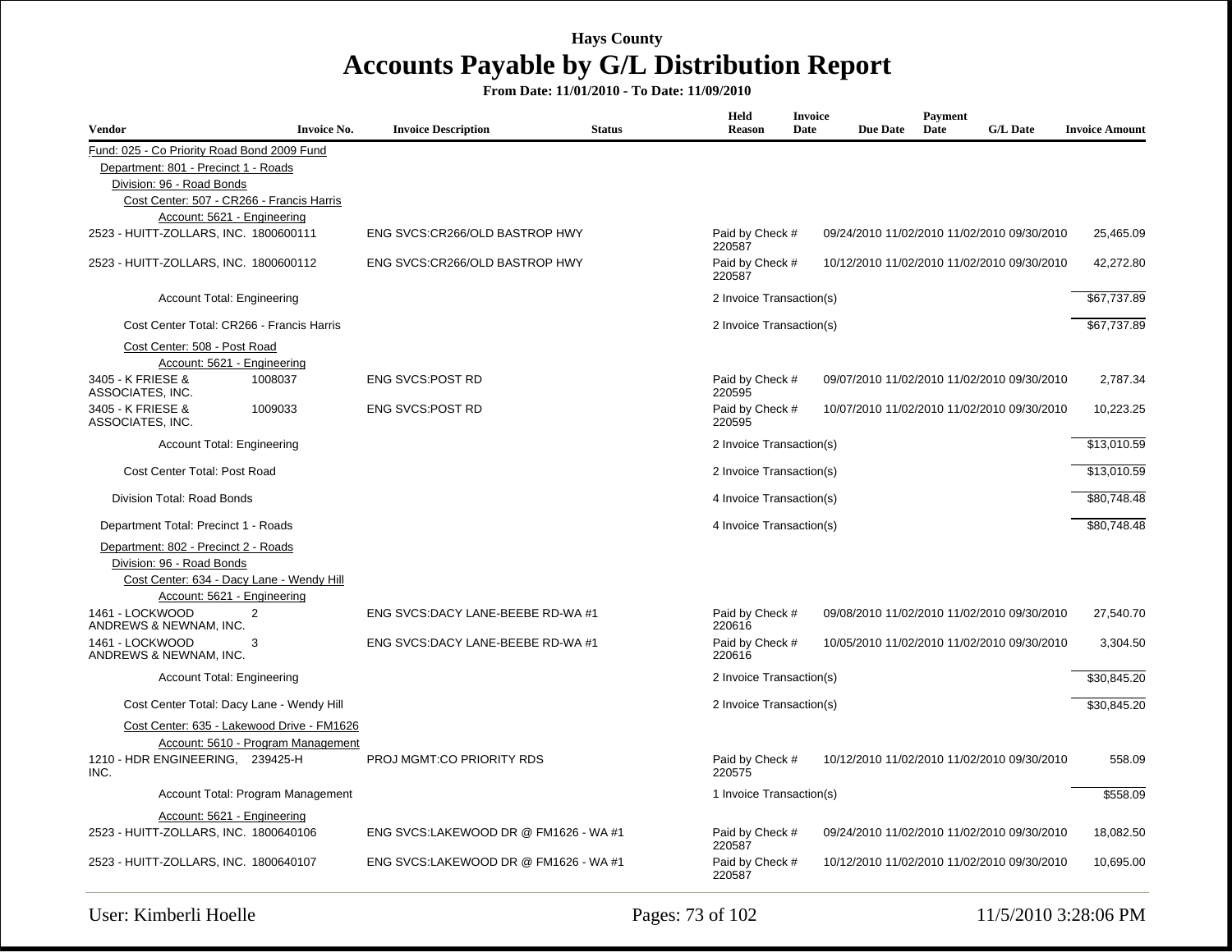| Vendor                                                      | <b>Invoice No.</b> | <b>Invoice Description</b>            | <b>Status</b> | Held<br><b>Reason</b>     | Invoice<br>Date | <b>Due Date</b> | Payment<br>Date | <b>G/L Date</b>                             | <b>Invoice Amount</b> |
|-------------------------------------------------------------|--------------------|---------------------------------------|---------------|---------------------------|-----------------|-----------------|-----------------|---------------------------------------------|-----------------------|
| Fund: 025 - Co Priority Road Bond 2009 Fund                 |                    |                                       |               |                           |                 |                 |                 |                                             |                       |
| Department: 801 - Precinct 1 - Roads                        |                    |                                       |               |                           |                 |                 |                 |                                             |                       |
| Division: 96 - Road Bonds                                   |                    |                                       |               |                           |                 |                 |                 |                                             |                       |
| Cost Center: 507 - CR266 - Francis Harris                   |                    |                                       |               |                           |                 |                 |                 |                                             |                       |
| Account: 5621 - Engineering                                 |                    |                                       |               |                           |                 |                 |                 |                                             |                       |
| 2523 - HUITT-ZOLLARS, INC. 1800600111                       |                    | ENG SVCS:CR266/OLD BASTROP HWY        |               | Paid by Check #<br>220587 |                 |                 |                 | 09/24/2010 11/02/2010 11/02/2010 09/30/2010 | 25,465.09             |
| 2523 - HUITT-ZOLLARS, INC. 1800600112                       |                    | ENG SVCS:CR266/OLD BASTROP HWY        |               | Paid by Check #<br>220587 |                 |                 |                 | 10/12/2010 11/02/2010 11/02/2010 09/30/2010 | 42,272.80             |
| Account Total: Engineering                                  |                    |                                       |               | 2 Invoice Transaction(s)  |                 |                 |                 |                                             | \$67,737.89           |
| Cost Center Total: CR266 - Francis Harris                   |                    |                                       |               | 2 Invoice Transaction(s)  |                 |                 |                 |                                             | \$67,737.89           |
| Cost Center: 508 - Post Road<br>Account: 5621 - Engineering |                    |                                       |               |                           |                 |                 |                 |                                             |                       |
| 3405 - K FRIESE &<br>ASSOCIATES, INC.                       | 1008037            | <b>ENG SVCS:POST RD</b>               |               | Paid by Check #<br>220595 |                 |                 |                 | 09/07/2010 11/02/2010 11/02/2010 09/30/2010 | 2,787.34              |
| 3405 - K FRIESE &<br>ASSOCIATES, INC.                       | 1009033            | <b>ENG SVCS:POST RD</b>               |               | Paid by Check #<br>220595 |                 |                 |                 | 10/07/2010 11/02/2010 11/02/2010 09/30/2010 | 10,223.25             |
| Account Total: Engineering                                  |                    |                                       |               | 2 Invoice Transaction(s)  |                 |                 |                 |                                             | \$13,010.59           |
| Cost Center Total: Post Road                                |                    |                                       |               | 2 Invoice Transaction(s)  |                 |                 |                 |                                             | \$13,010.59           |
| Division Total: Road Bonds                                  |                    |                                       |               | 4 Invoice Transaction(s)  |                 |                 |                 |                                             | \$80,748.48           |
| Department Total: Precinct 1 - Roads                        |                    |                                       |               | 4 Invoice Transaction(s)  |                 |                 |                 |                                             | \$80,748.48           |
| Department: 802 - Precinct 2 - Roads                        |                    |                                       |               |                           |                 |                 |                 |                                             |                       |
| Division: 96 - Road Bonds                                   |                    |                                       |               |                           |                 |                 |                 |                                             |                       |
| Cost Center: 634 - Dacy Lane - Wendy Hill                   |                    |                                       |               |                           |                 |                 |                 |                                             |                       |
| Account: 5621 - Engineering                                 |                    |                                       |               |                           |                 |                 |                 |                                             |                       |
| 1461 - LOCKWOOD<br>2<br>ANDREWS & NEWNAM, INC.              |                    | ENG SVCS:DACY LANE-BEEBE RD-WA #1     |               | Paid by Check #<br>220616 |                 |                 |                 | 09/08/2010 11/02/2010 11/02/2010 09/30/2010 | 27,540.70             |
| 1461 - LOCKWOOD<br>3<br>ANDREWS & NEWNAM, INC.              |                    | ENG SVCS:DACY LANE-BEEBE RD-WA #1     |               | Paid by Check #<br>220616 |                 |                 |                 | 10/05/2010 11/02/2010 11/02/2010 09/30/2010 | 3,304.50              |
| <b>Account Total: Engineering</b>                           |                    |                                       |               | 2 Invoice Transaction(s)  |                 |                 |                 |                                             | \$30.845.20           |
| Cost Center Total: Dacy Lane - Wendy Hill                   |                    |                                       |               | 2 Invoice Transaction(s)  |                 |                 |                 |                                             | \$30,845.20           |
| Cost Center: 635 - Lakewood Drive - FM1626                  |                    |                                       |               |                           |                 |                 |                 |                                             |                       |
| Account: 5610 - Program Management                          |                    |                                       |               |                           |                 |                 |                 |                                             |                       |
| 1210 - HDR ENGINEERING, 239425-H<br>INC.                    |                    | PROJ MGMT:CO PRIORITY RDS             |               | Paid by Check #<br>220575 |                 |                 |                 | 10/12/2010 11/02/2010 11/02/2010 09/30/2010 | 558.09                |
| Account Total: Program Management                           |                    |                                       |               | 1 Invoice Transaction(s)  |                 |                 |                 |                                             | \$558.09              |
| Account: 5621 - Engineering                                 |                    |                                       |               |                           |                 |                 |                 |                                             |                       |
| 2523 - HUITT-ZOLLARS, INC. 1800640106                       |                    | ENG SVCS:LAKEWOOD DR @ FM1626 - WA #1 |               | Paid by Check #<br>220587 |                 |                 |                 | 09/24/2010 11/02/2010 11/02/2010 09/30/2010 | 18,082.50             |
| 2523 - HUITT-ZOLLARS, INC. 1800640107                       |                    | ENG SVCS:LAKEWOOD DR @ FM1626 - WA #1 |               | Paid by Check #<br>220587 |                 |                 |                 | 10/12/2010 11/02/2010 11/02/2010 09/30/2010 | 10,695.00             |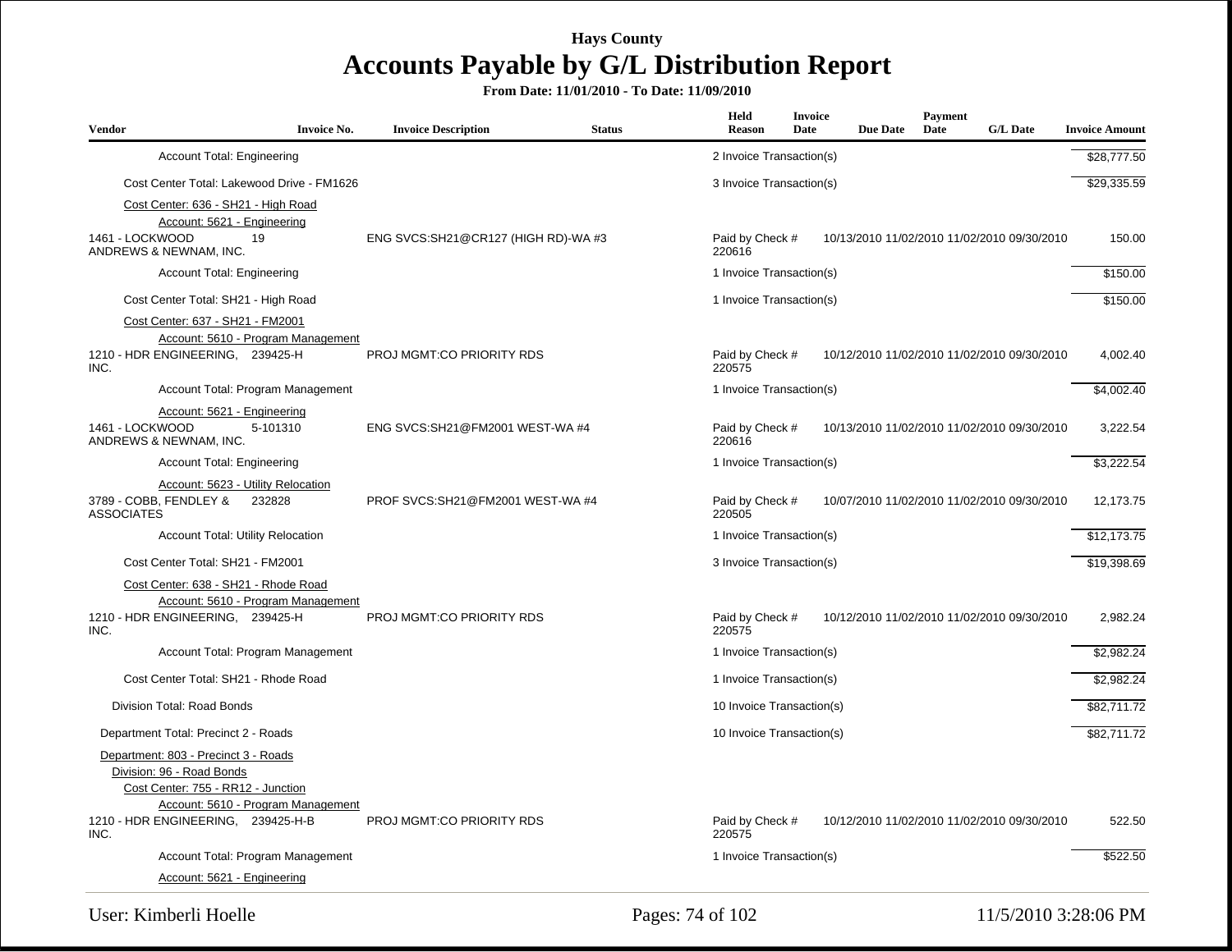**From Date: 11/01/2010 - To Date: 11/09/2010**

| <b>Vendor</b>                                                                                                                                                                       | <b>Invoice No.</b> | <b>Invoice Description</b>          | <b>Status</b> | Held<br><b>Reason</b>     | <b>Invoice</b><br>Date | <b>Due Date</b> | Payment<br>Date | <b>G/L Date</b>                             | <b>Invoice Amount</b> |
|-------------------------------------------------------------------------------------------------------------------------------------------------------------------------------------|--------------------|-------------------------------------|---------------|---------------------------|------------------------|-----------------|-----------------|---------------------------------------------|-----------------------|
| <b>Account Total: Engineering</b>                                                                                                                                                   |                    |                                     |               | 2 Invoice Transaction(s)  |                        |                 |                 |                                             | \$28,777.50           |
| Cost Center Total: Lakewood Drive - FM1626                                                                                                                                          |                    |                                     |               | 3 Invoice Transaction(s)  |                        |                 |                 |                                             | \$29,335.59           |
| Cost Center: 636 - SH21 - High Road<br>Account: 5621 - Engineering<br>1461 - LOCKWOOD<br>19<br>ANDREWS & NEWNAM, INC.                                                               |                    | ENG SVCS:SH21@CR127 (HIGH RD)-WA #3 |               | Paid by Check #<br>220616 |                        |                 |                 | 10/13/2010 11/02/2010 11/02/2010 09/30/2010 | 150.00                |
| <b>Account Total: Engineering</b>                                                                                                                                                   |                    |                                     |               | 1 Invoice Transaction(s)  |                        |                 |                 |                                             | \$150.00              |
| Cost Center Total: SH21 - High Road                                                                                                                                                 |                    |                                     |               | 1 Invoice Transaction(s)  |                        |                 |                 |                                             | \$150.00              |
| Cost Center: 637 - SH21 - FM2001<br>Account: 5610 - Program Management<br>1210 - HDR ENGINEERING, 239425-H<br>INC.                                                                  |                    | PROJ MGMT:CO PRIORITY RDS           |               | Paid by Check #<br>220575 |                        |                 |                 | 10/12/2010 11/02/2010 11/02/2010 09/30/2010 | 4,002.40              |
| Account Total: Program Management                                                                                                                                                   |                    |                                     |               | 1 Invoice Transaction(s)  |                        |                 |                 |                                             | \$4.002.40            |
| Account: 5621 - Engineering<br>1461 - LOCKWOOD<br>5-101310<br>ANDREWS & NEWNAM, INC.                                                                                                |                    | ENG SVCS:SH21@FM2001 WEST-WA #4     |               | Paid by Check #<br>220616 |                        |                 |                 | 10/13/2010 11/02/2010 11/02/2010 09/30/2010 | 3,222.54              |
| <b>Account Total: Engineering</b>                                                                                                                                                   |                    |                                     |               | 1 Invoice Transaction(s)  |                        |                 |                 |                                             | \$3,222.54            |
| Account: 5623 - Utility Relocation<br>3789 - COBB, FENDLEY &<br>232828<br><b>ASSOCIATES</b>                                                                                         |                    | PROF SVCS:SH21@FM2001 WEST-WA #4    |               | Paid by Check #<br>220505 |                        |                 |                 | 10/07/2010 11/02/2010 11/02/2010 09/30/2010 | 12,173.75             |
| <b>Account Total: Utility Relocation</b>                                                                                                                                            |                    |                                     |               | 1 Invoice Transaction(s)  |                        |                 |                 |                                             | \$12,173.75           |
| Cost Center Total: SH21 - FM2001<br>Cost Center: 638 - SH21 - Rhode Road<br>Account: 5610 - Program Management                                                                      |                    |                                     |               | 3 Invoice Transaction(s)  |                        |                 |                 |                                             | \$19,398.69           |
| 1210 - HDR ENGINEERING, 239425-H<br>INC.                                                                                                                                            |                    | PROJ MGMT:CO PRIORITY RDS           |               | Paid by Check #<br>220575 |                        |                 |                 | 10/12/2010 11/02/2010 11/02/2010 09/30/2010 | 2,982.24              |
| Account Total: Program Management                                                                                                                                                   |                    |                                     |               | 1 Invoice Transaction(s)  |                        |                 |                 |                                             | \$2,982.24            |
| Cost Center Total: SH21 - Rhode Road                                                                                                                                                |                    |                                     |               | 1 Invoice Transaction(s)  |                        |                 |                 |                                             | \$2,982.24            |
| Division Total: Road Bonds                                                                                                                                                          |                    |                                     |               | 10 Invoice Transaction(s) |                        |                 |                 |                                             | \$82,711.72           |
| Department Total: Precinct 2 - Roads                                                                                                                                                |                    |                                     |               | 10 Invoice Transaction(s) |                        |                 |                 |                                             | \$82,711.72           |
| Department: 803 - Precinct 3 - Roads<br>Division: 96 - Road Bonds<br>Cost Center: 755 - RR12 - Junction<br>Account: 5610 - Program Management<br>1210 - HDR ENGINEERING, 239425-H-B |                    | PROJ MGMT:CO PRIORITY RDS           |               | Paid by Check #           |                        |                 |                 | 10/12/2010 11/02/2010 11/02/2010 09/30/2010 | 522.50                |
| INC.                                                                                                                                                                                |                    |                                     |               | 220575                    |                        |                 |                 |                                             |                       |
| Account Total: Program Management<br>Account: 5621 - Engineering                                                                                                                    |                    |                                     |               | 1 Invoice Transaction(s)  |                        |                 |                 |                                             | \$522.50              |

User: Kimberli Hoelle 2:28:06 PM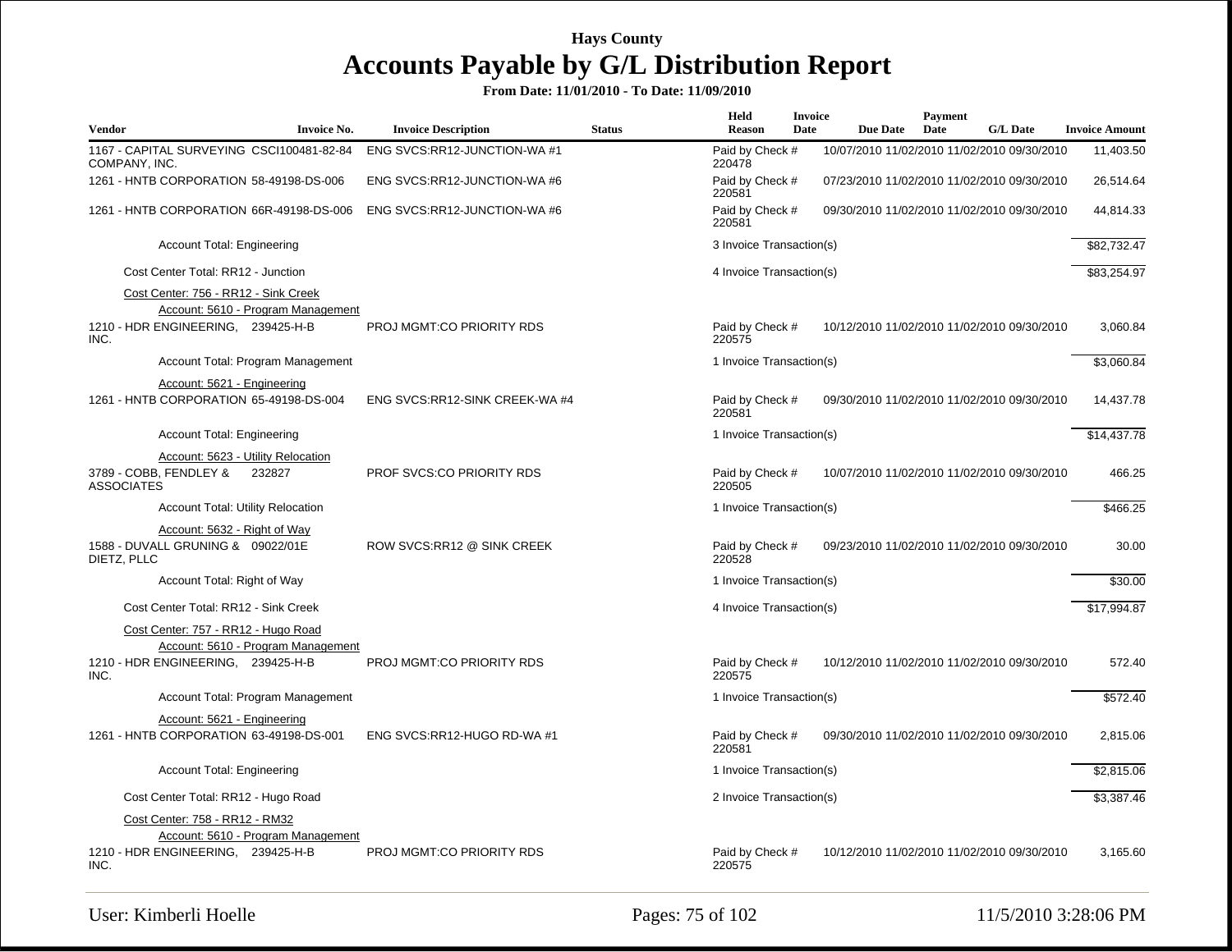| <b>Vendor</b>     | <b>Invoice No.</b>                                                                                              | <b>Invoice Description</b>       | <b>Status</b> | Held<br>Reason            | Invoice<br>Date | <b>Due Date</b>                             | <b>Payment</b><br>Date | <b>G/L Date</b> | <b>Invoice Amount</b> |
|-------------------|-----------------------------------------------------------------------------------------------------------------|----------------------------------|---------------|---------------------------|-----------------|---------------------------------------------|------------------------|-----------------|-----------------------|
| COMPANY, INC.     | 1167 - CAPITAL SURVEYING CSCI100481-82-84                                                                       | ENG SVCS:RR12-JUNCTION-WA #1     |               | Paid by Check #<br>220478 |                 | 10/07/2010 11/02/2010 11/02/2010 09/30/2010 |                        |                 | 11,403.50             |
|                   | 1261 - HNTB CORPORATION 58-49198-DS-006                                                                         | ENG SVCS:RR12-JUNCTION-WA #6     |               | Paid by Check #<br>220581 |                 | 07/23/2010 11/02/2010 11/02/2010 09/30/2010 |                        |                 | 26,514.64             |
|                   | 1261 - HNTB CORPORATION 66R-49198-DS-006                                                                        | ENG SVCS:RR12-JUNCTION-WA #6     |               | Paid by Check #<br>220581 |                 | 09/30/2010 11/02/2010 11/02/2010 09/30/2010 |                        |                 | 44,814.33             |
|                   | <b>Account Total: Engineering</b>                                                                               |                                  |               | 3 Invoice Transaction(s)  |                 |                                             |                        |                 | \$82,732.47           |
|                   | Cost Center Total: RR12 - Junction                                                                              |                                  |               | 4 Invoice Transaction(s)  |                 |                                             |                        |                 | \$83,254.97           |
|                   | Cost Center: 756 - RR12 - Sink Creek<br>Account: 5610 - Program Management                                      |                                  |               |                           |                 |                                             |                        |                 |                       |
| INC.              | 1210 - HDR ENGINEERING, 239425-H-B                                                                              | PROJ MGMT:CO PRIORITY RDS        |               | Paid by Check #<br>220575 |                 | 10/12/2010 11/02/2010 11/02/2010 09/30/2010 |                        |                 | 3,060.84              |
|                   | Account Total: Program Management                                                                               |                                  |               | 1 Invoice Transaction(s)  |                 |                                             |                        |                 | \$3,060.84            |
|                   | Account: 5621 - Engineering<br>1261 - HNTB CORPORATION 65-49198-DS-004                                          | ENG SVCS:RR12-SINK CREEK-WA #4   |               | Paid by Check #<br>220581 |                 | 09/30/2010 11/02/2010 11/02/2010 09/30/2010 |                        |                 | 14,437.78             |
|                   | <b>Account Total: Engineering</b>                                                                               |                                  |               | 1 Invoice Transaction(s)  |                 |                                             |                        |                 | \$14,437.78           |
| <b>ASSOCIATES</b> | Account: 5623 - Utility Relocation<br>3789 - COBB, FENDLEY &<br>232827                                          | <b>PROF SVCS:CO PRIORITY RDS</b> |               | Paid by Check #<br>220505 |                 | 10/07/2010 11/02/2010 11/02/2010 09/30/2010 |                        |                 | 466.25                |
|                   | Account Total: Utility Relocation                                                                               |                                  |               | 1 Invoice Transaction(s)  |                 |                                             |                        |                 | \$466.25              |
| DIETZ, PLLC       | Account: 5632 - Right of Way<br>1588 - DUVALL GRUNING & 09022/01E                                               | ROW SVCS:RR12 @ SINK CREEK       |               | Paid by Check #<br>220528 |                 | 09/23/2010 11/02/2010 11/02/2010 09/30/2010 |                        |                 | 30.00                 |
|                   | Account Total: Right of Way                                                                                     |                                  |               | 1 Invoice Transaction(s)  |                 |                                             |                        |                 | \$30.00               |
|                   | Cost Center Total: RR12 - Sink Creek                                                                            |                                  |               | 4 Invoice Transaction(s)  |                 |                                             |                        |                 | \$17,994.87           |
|                   | Cost Center: 757 - RR12 - Hugo Road<br>Account: 5610 - Program Management<br>1210 - HDR ENGINEERING, 239425-H-B | PROJ MGMT:CO PRIORITY RDS        |               | Paid by Check #           |                 | 10/12/2010 11/02/2010 11/02/2010 09/30/2010 |                        |                 | 572.40                |
| INC.              |                                                                                                                 |                                  |               | 220575                    |                 |                                             |                        |                 |                       |
|                   | Account Total: Program Management                                                                               |                                  |               | 1 Invoice Transaction(s)  |                 |                                             |                        |                 | \$572.40              |
|                   | Account: 5621 - Engineering<br>1261 - HNTB CORPORATION 63-49198-DS-001                                          | ENG SVCS:RR12-HUGO RD-WA #1      |               | Paid by Check #<br>220581 |                 | 09/30/2010 11/02/2010 11/02/2010 09/30/2010 |                        |                 | 2,815.06              |
|                   | <b>Account Total: Engineering</b>                                                                               |                                  |               | 1 Invoice Transaction(s)  |                 |                                             |                        |                 | \$2,815.06            |
|                   | Cost Center Total: RR12 - Hugo Road                                                                             |                                  |               | 2 Invoice Transaction(s)  |                 |                                             |                        |                 | \$3,387.46            |
|                   | Cost Center: 758 - RR12 - RM32<br>Account: 5610 - Program Management                                            |                                  |               |                           |                 |                                             |                        |                 |                       |
| INC.              | 1210 - HDR ENGINEERING, 239425-H-B                                                                              | <b>PROJ MGMT:CO PRIORITY RDS</b> |               | Paid by Check #<br>220575 |                 | 10/12/2010 11/02/2010 11/02/2010 09/30/2010 |                        |                 | 3,165.60              |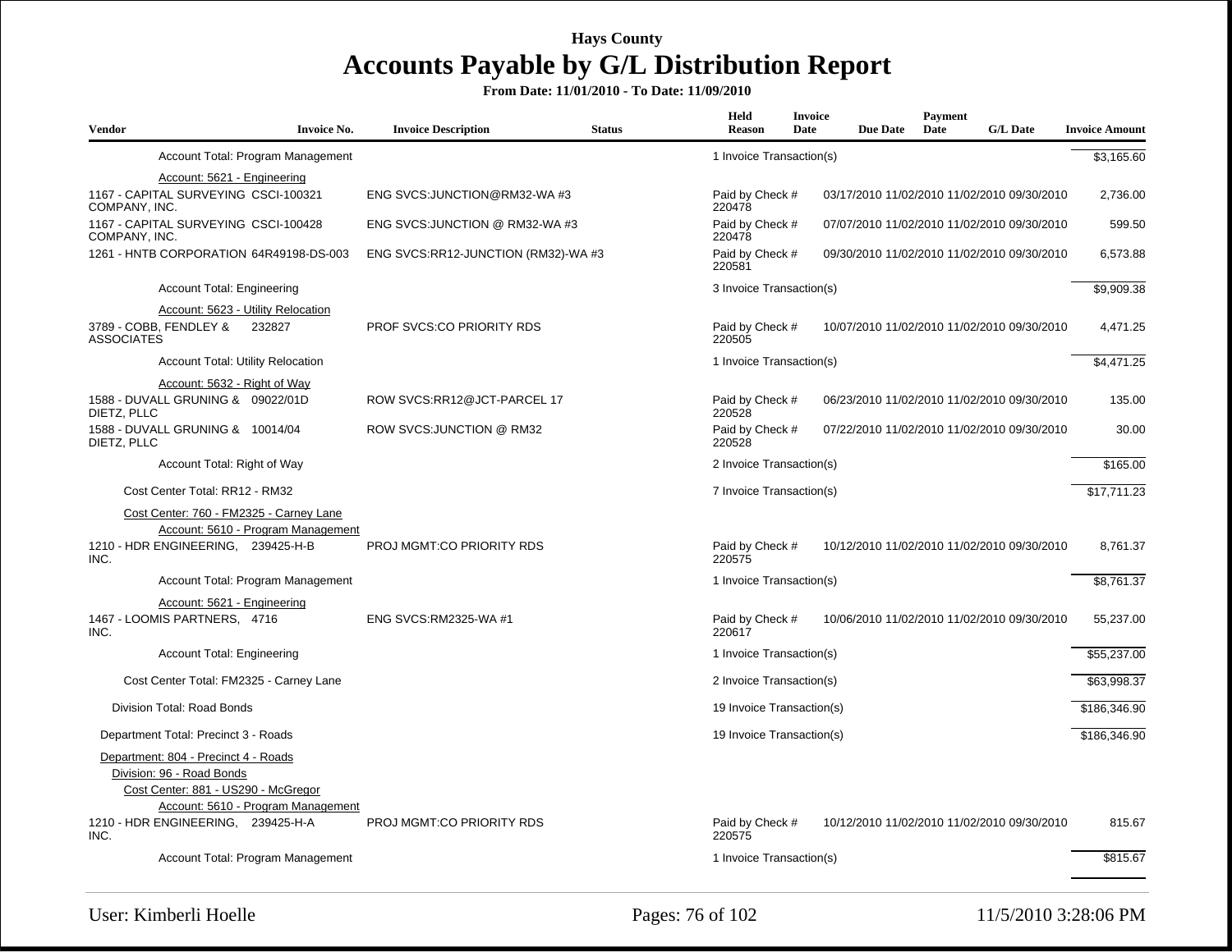| <b>Vendor</b>     | <b>Invoice No.</b>                                                                                                                             | <b>Invoice Description</b>          | <b>Status</b> | Held<br>Reason            | <b>Invoice</b><br>Date | <b>Due Date</b> | <b>Payment</b><br>Date | <b>G/L Date</b>                             | <b>Invoice Amount</b> |
|-------------------|------------------------------------------------------------------------------------------------------------------------------------------------|-------------------------------------|---------------|---------------------------|------------------------|-----------------|------------------------|---------------------------------------------|-----------------------|
|                   | Account Total: Program Management                                                                                                              |                                     |               | 1 Invoice Transaction(s)  |                        |                 |                        |                                             | \$3,165.60            |
|                   | Account: 5621 - Engineering                                                                                                                    |                                     |               |                           |                        |                 |                        |                                             |                       |
| COMPANY, INC.     | 1167 - CAPITAL SURVEYING CSCI-100321                                                                                                           | ENG SVCS: JUNCTION@RM32-WA #3       |               | Paid by Check #<br>220478 |                        |                 |                        | 03/17/2010 11/02/2010 11/02/2010 09/30/2010 | 2,736.00              |
| COMPANY, INC.     | 1167 - CAPITAL SURVEYING CSCI-100428                                                                                                           | ENG SVCS: JUNCTION @ RM32-WA #3     |               | Paid by Check #<br>220478 |                        |                 |                        | 07/07/2010 11/02/2010 11/02/2010 09/30/2010 | 599.50                |
|                   | 1261 - HNTB CORPORATION 64R49198-DS-003                                                                                                        | ENG SVCS:RR12-JUNCTION (RM32)-WA #3 |               | Paid by Check #<br>220581 |                        |                 |                        | 09/30/2010 11/02/2010 11/02/2010 09/30/2010 | 6,573.88              |
|                   | Account Total: Engineering                                                                                                                     |                                     |               | 3 Invoice Transaction(s)  |                        |                 |                        |                                             | \$9,909.38            |
|                   | Account: 5623 - Utility Relocation                                                                                                             |                                     |               |                           |                        |                 |                        |                                             |                       |
| <b>ASSOCIATES</b> | 3789 - COBB, FENDLEY &<br>232827                                                                                                               | <b>PROF SVCS:CO PRIORITY RDS</b>    |               | Paid by Check #<br>220505 |                        |                 |                        | 10/07/2010 11/02/2010 11/02/2010 09/30/2010 | 4,471.25              |
|                   | <b>Account Total: Utility Relocation</b>                                                                                                       |                                     |               | 1 Invoice Transaction(s)  |                        |                 |                        |                                             | \$4,471.25            |
|                   | Account: 5632 - Right of Way                                                                                                                   |                                     |               |                           |                        |                 |                        |                                             |                       |
| DIETZ, PLLC       | 1588 - DUVALL GRUNING & 09022/01D                                                                                                              | ROW SVCS:RR12@JCT-PARCEL 17         |               | Paid by Check #<br>220528 |                        |                 |                        | 06/23/2010 11/02/2010 11/02/2010 09/30/2010 | 135.00                |
| DIETZ, PLLC       | 1588 - DUVALL GRUNING & 10014/04                                                                                                               | ROW SVCS: JUNCTION @ RM32           |               | Paid by Check #<br>220528 |                        |                 |                        | 07/22/2010 11/02/2010 11/02/2010 09/30/2010 | 30.00                 |
|                   | Account Total: Right of Way                                                                                                                    |                                     |               | 2 Invoice Transaction(s)  |                        |                 |                        |                                             | \$165.00              |
|                   | Cost Center Total: RR12 - RM32                                                                                                                 |                                     |               | 7 Invoice Transaction(s)  |                        |                 |                        |                                             | \$17.711.23           |
|                   | Cost Center: 760 - FM2325 - Carney Lane<br>Account: 5610 - Program Management                                                                  |                                     |               |                           |                        |                 |                        |                                             |                       |
| INC.              | 1210 - HDR ENGINEERING, 239425-H-B                                                                                                             | PROJ MGMT:CO PRIORITY RDS           |               | Paid by Check #<br>220575 |                        |                 |                        | 10/12/2010 11/02/2010 11/02/2010 09/30/2010 | 8,761.37              |
|                   | Account Total: Program Management                                                                                                              |                                     |               | 1 Invoice Transaction(s)  |                        |                 |                        |                                             | \$8,761.37            |
|                   | Account: 5621 - Engineering<br>1467 - LOOMIS PARTNERS, 4716                                                                                    | ENG SVCS:RM2325-WA #1               |               | Paid by Check #           |                        |                 |                        | 10/06/2010 11/02/2010 11/02/2010 09/30/2010 | 55,237.00             |
| INC.              |                                                                                                                                                |                                     |               | 220617                    |                        |                 |                        |                                             |                       |
|                   | Account Total: Engineering                                                                                                                     |                                     |               | 1 Invoice Transaction(s)  |                        |                 |                        |                                             | \$55,237.00           |
|                   | Cost Center Total: FM2325 - Carney Lane                                                                                                        |                                     |               | 2 Invoice Transaction(s)  |                        |                 |                        |                                             | \$63,998.37           |
|                   | Division Total: Road Bonds                                                                                                                     |                                     |               | 19 Invoice Transaction(s) |                        |                 |                        |                                             | \$186,346.90          |
|                   | Department Total: Precinct 3 - Roads                                                                                                           |                                     |               | 19 Invoice Transaction(s) |                        |                 |                        |                                             | \$186,346.90          |
|                   | Department: 804 - Precinct 4 - Roads<br>Division: 96 - Road Bonds<br>Cost Center: 881 - US290 - McGregor<br>Account: 5610 - Program Management |                                     |               |                           |                        |                 |                        |                                             |                       |
| INC.              | 1210 - HDR ENGINEERING, 239425-H-A                                                                                                             | PROJ MGMT:CO PRIORITY RDS           |               | Paid by Check #<br>220575 |                        |                 |                        | 10/12/2010 11/02/2010 11/02/2010 09/30/2010 | 815.67                |
|                   | Account Total: Program Management                                                                                                              |                                     |               | 1 Invoice Transaction(s)  |                        |                 |                        |                                             | \$815.67              |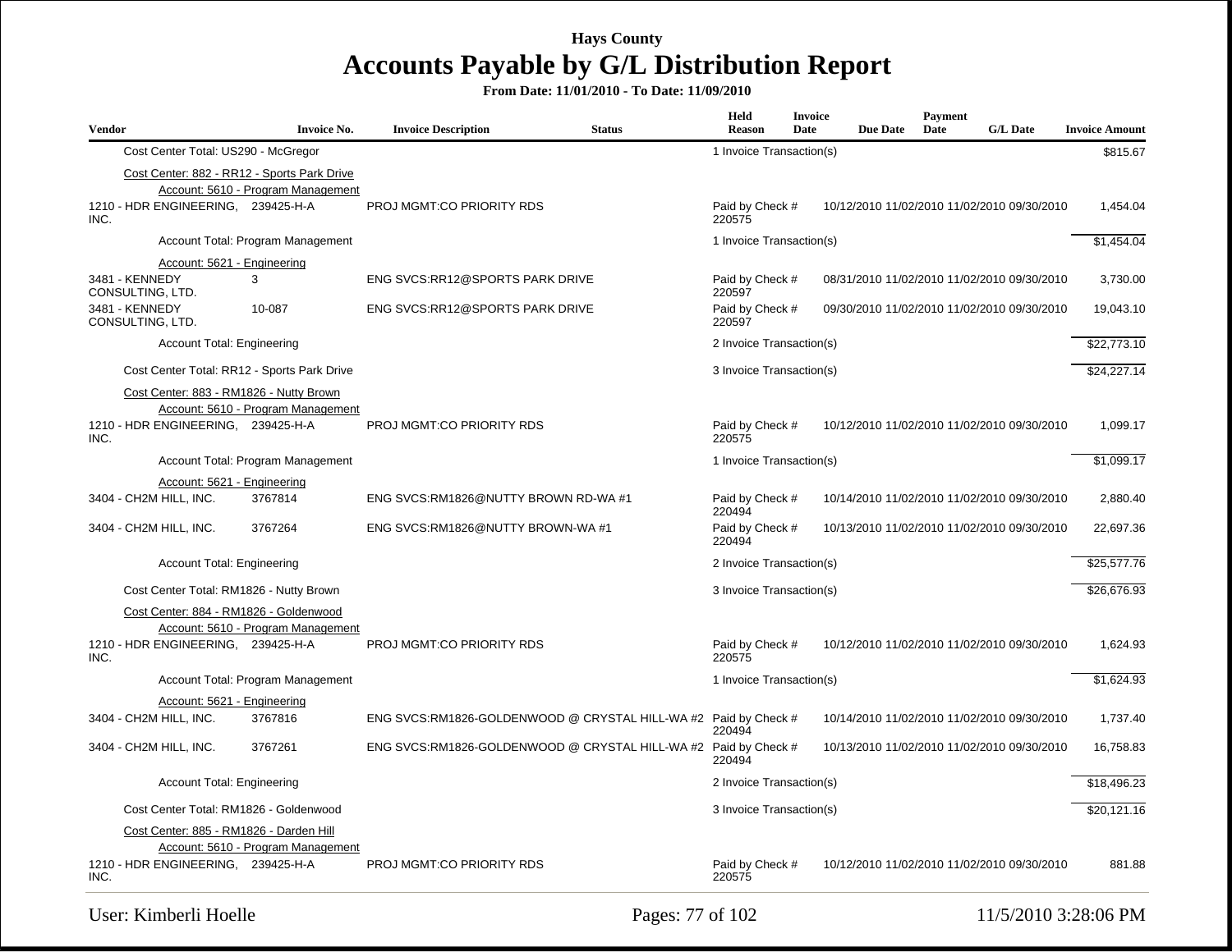| Vendor |                                             | <b>Invoice No.</b>                 | <b>Invoice Description</b>           | <b>Status</b>                                                   | Held<br><b>Reason</b>     | <b>Invoice</b><br>Date | <b>Due Date</b>                             | <b>Payment</b><br>Date | <b>G/L Date</b> | <b>Invoice Amount</b> |
|--------|---------------------------------------------|------------------------------------|--------------------------------------|-----------------------------------------------------------------|---------------------------|------------------------|---------------------------------------------|------------------------|-----------------|-----------------------|
|        | Cost Center Total: US290 - McGregor         |                                    |                                      |                                                                 | 1 Invoice Transaction(s)  |                        |                                             |                        |                 | \$815.67              |
|        | Cost Center: 882 - RR12 - Sports Park Drive |                                    |                                      |                                                                 |                           |                        |                                             |                        |                 |                       |
|        |                                             | Account: 5610 - Program Management |                                      |                                                                 |                           |                        |                                             |                        |                 |                       |
| INC.   | 1210 - HDR ENGINEERING, 239425-H-A          |                                    | PROJ MGMT:CO PRIORITY RDS            |                                                                 | Paid by Check #<br>220575 |                        | 10/12/2010 11/02/2010 11/02/2010 09/30/2010 |                        |                 | 1,454.04              |
|        |                                             | Account Total: Program Management  |                                      |                                                                 | 1 Invoice Transaction(s)  |                        |                                             |                        |                 | \$1,454.04            |
|        | Account: 5621 - Engineering                 |                                    |                                      |                                                                 |                           |                        |                                             |                        |                 |                       |
|        | 3481 - KENNEDY<br>CONSULTING, LTD.          | 3                                  | ENG SVCS:RR12@SPORTS PARK DRIVE      |                                                                 | Paid by Check #<br>220597 |                        | 08/31/2010 11/02/2010 11/02/2010 09/30/2010 |                        |                 | 3,730.00              |
|        | 3481 - KENNEDY<br>CONSULTING, LTD.          | 10-087                             | ENG SVCS:RR12@SPORTS PARK DRIVE      |                                                                 | Paid by Check #<br>220597 |                        | 09/30/2010 11/02/2010 11/02/2010 09/30/2010 |                        |                 | 19,043.10             |
|        | <b>Account Total: Engineering</b>           |                                    |                                      |                                                                 | 2 Invoice Transaction(s)  |                        |                                             |                        |                 | \$22,773.10           |
|        | Cost Center Total: RR12 - Sports Park Drive |                                    |                                      |                                                                 | 3 Invoice Transaction(s)  |                        |                                             |                        |                 | \$24,227.14           |
|        | Cost Center: 883 - RM1826 - Nutty Brown     |                                    |                                      |                                                                 |                           |                        |                                             |                        |                 |                       |
|        |                                             | Account: 5610 - Program Management |                                      |                                                                 |                           |                        |                                             |                        |                 |                       |
| INC.   | 1210 - HDR ENGINEERING, 239425-H-A          |                                    | PROJ MGMT:CO PRIORITY RDS            |                                                                 | Paid by Check #<br>220575 |                        | 10/12/2010 11/02/2010 11/02/2010 09/30/2010 |                        |                 | 1,099.17              |
|        |                                             | Account Total: Program Management  |                                      |                                                                 | 1 Invoice Transaction(s)  |                        |                                             |                        |                 | \$1,099.17            |
|        | Account: 5621 - Engineering                 |                                    |                                      |                                                                 |                           |                        |                                             |                        |                 |                       |
|        | 3404 - CH2M HILL, INC.                      | 3767814                            | ENG SVCS:RM1826@NUTTY BROWN RD-WA #1 |                                                                 | Paid by Check #<br>220494 |                        | 10/14/2010 11/02/2010 11/02/2010 09/30/2010 |                        |                 | 2,880.40              |
|        | 3404 - CH2M HILL, INC.                      | 3767264                            | ENG SVCS:RM1826@NUTTY BROWN-WA #1    |                                                                 | Paid by Check #<br>220494 |                        | 10/13/2010 11/02/2010 11/02/2010 09/30/2010 |                        |                 | 22,697.36             |
|        | <b>Account Total: Engineering</b>           |                                    |                                      |                                                                 | 2 Invoice Transaction(s)  |                        |                                             |                        |                 | \$25,577.76           |
|        | Cost Center Total: RM1826 - Nutty Brown     |                                    |                                      |                                                                 | 3 Invoice Transaction(s)  |                        |                                             |                        |                 | \$26.676.93           |
|        | Cost Center: 884 - RM1826 - Goldenwood      |                                    |                                      |                                                                 |                           |                        |                                             |                        |                 |                       |
|        |                                             | Account: 5610 - Program Management |                                      |                                                                 |                           |                        |                                             |                        |                 |                       |
| INC.   | 1210 - HDR ENGINEERING, 239425-H-A          |                                    | PROJ MGMT:CO PRIORITY RDS            |                                                                 | Paid by Check #<br>220575 |                        | 10/12/2010 11/02/2010 11/02/2010 09/30/2010 |                        |                 | 1,624.93              |
|        |                                             | Account Total: Program Management  |                                      |                                                                 | 1 Invoice Transaction(s)  |                        |                                             |                        |                 | \$1,624.93            |
|        | Account: 5621 - Engineering                 |                                    |                                      |                                                                 |                           |                        |                                             |                        |                 |                       |
|        | 3404 - CH2M HILL, INC.                      | 3767816                            |                                      | ENG SVCS:RM1826-GOLDENWOOD @ CRYSTAL HILL-WA #2 Paid by Check # | 220494                    |                        | 10/14/2010 11/02/2010 11/02/2010 09/30/2010 |                        |                 | 1,737.40              |
|        | 3404 - CH2M HILL, INC.                      | 3767261                            |                                      | ENG SVCS:RM1826-GOLDENWOOD @ CRYSTAL HILL-WA #2 Paid by Check # | 220494                    |                        | 10/13/2010 11/02/2010 11/02/2010 09/30/2010 |                        |                 | 16,758.83             |
|        | <b>Account Total: Engineering</b>           |                                    |                                      |                                                                 | 2 Invoice Transaction(s)  |                        |                                             |                        |                 | \$18,496.23           |
|        | Cost Center Total: RM1826 - Goldenwood      |                                    |                                      |                                                                 | 3 Invoice Transaction(s)  |                        |                                             |                        |                 | \$20,121.16           |
|        | Cost Center: 885 - RM1826 - Darden Hill     |                                    |                                      |                                                                 |                           |                        |                                             |                        |                 |                       |
|        |                                             | Account: 5610 - Program Management |                                      |                                                                 |                           |                        |                                             |                        |                 |                       |
| INC.   | 1210 - HDR ENGINEERING, 239425-H-A          |                                    | <b>PROJ MGMT:CO PRIORITY RDS</b>     |                                                                 | Paid by Check #<br>220575 |                        | 10/12/2010 11/02/2010 11/02/2010 09/30/2010 |                        |                 | 881.88                |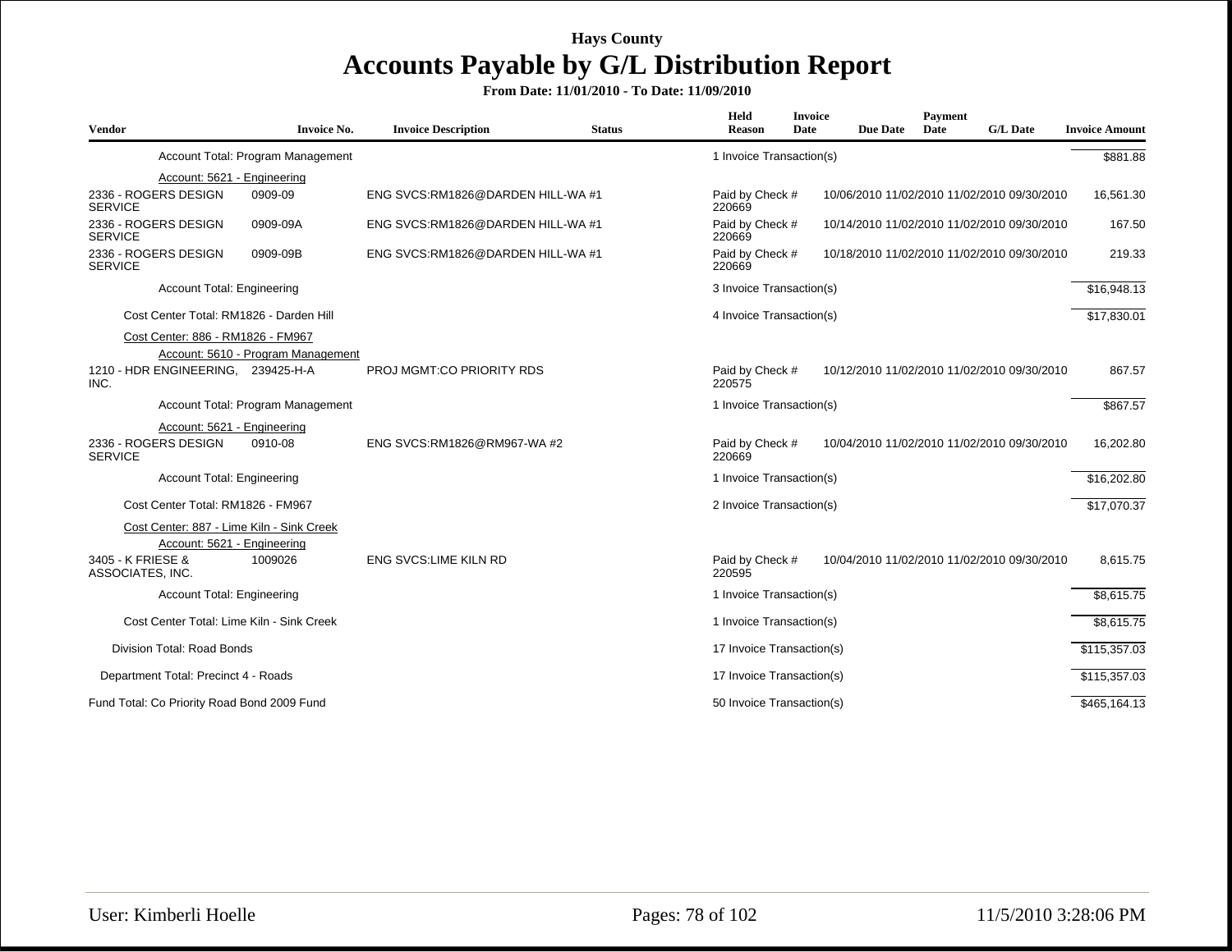| Vendor                                                                          | <b>Invoice No.</b>                 | <b>Invoice Description</b>        | <b>Status</b> | Held<br><b>Reason</b>     | <b>Invoice</b><br>Date | <b>Due Date</b> | Payment<br>Date | <b>G/L Date</b>                             | <b>Invoice Amount</b> |
|---------------------------------------------------------------------------------|------------------------------------|-----------------------------------|---------------|---------------------------|------------------------|-----------------|-----------------|---------------------------------------------|-----------------------|
|                                                                                 | Account Total: Program Management  |                                   |               | 1 Invoice Transaction(s)  |                        |                 |                 |                                             | \$881.88              |
| Account: 5621 - Engineering                                                     |                                    |                                   |               |                           |                        |                 |                 |                                             |                       |
| 2336 - ROGERS DESIGN<br><b>SERVICE</b>                                          | 0909-09                            | ENG SVCS:RM1826@DARDEN HILL-WA #1 |               | Paid by Check #<br>220669 |                        |                 |                 | 10/06/2010 11/02/2010 11/02/2010 09/30/2010 | 16,561.30             |
| 2336 - ROGERS DESIGN<br><b>SERVICE</b>                                          | 0909-09A                           | ENG SVCS:RM1826@DARDEN HILL-WA #1 |               | Paid by Check #<br>220669 |                        |                 |                 | 10/14/2010 11/02/2010 11/02/2010 09/30/2010 | 167.50                |
| 2336 - ROGERS DESIGN<br><b>SERVICE</b>                                          | 0909-09B                           | ENG SVCS:RM1826@DARDEN HILL-WA #1 |               | Paid by Check #<br>220669 |                        |                 |                 | 10/18/2010 11/02/2010 11/02/2010 09/30/2010 | 219.33                |
| <b>Account Total: Engineering</b>                                               |                                    |                                   |               | 3 Invoice Transaction(s)  |                        |                 |                 |                                             | \$16,948.13           |
| Cost Center Total: RM1826 - Darden Hill                                         |                                    |                                   |               | 4 Invoice Transaction(s)  |                        |                 |                 |                                             | \$17,830.01           |
| Cost Center: 886 - RM1826 - FM967<br>1210 - HDR ENGINEERING, 239425-H-A<br>INC. | Account: 5610 - Program Management | PROJ MGMT:CO PRIORITY RDS         |               | Paid by Check #<br>220575 |                        |                 |                 | 10/12/2010 11/02/2010 11/02/2010 09/30/2010 | 867.57                |
|                                                                                 | Account Total: Program Management  |                                   |               | 1 Invoice Transaction(s)  |                        |                 |                 |                                             | \$867.57              |
| Account: 5621 - Engineering                                                     |                                    |                                   |               |                           |                        |                 |                 |                                             |                       |
| 2336 - ROGERS DESIGN<br><b>SERVICE</b>                                          | 0910-08                            | ENG SVCS:RM1826@RM967-WA #2       |               | Paid by Check #<br>220669 |                        |                 |                 | 10/04/2010 11/02/2010 11/02/2010 09/30/2010 | 16,202.80             |
| <b>Account Total: Engineering</b>                                               |                                    |                                   |               | 1 Invoice Transaction(s)  |                        |                 |                 |                                             | \$16,202.80           |
| Cost Center Total: RM1826 - FM967                                               |                                    |                                   |               | 2 Invoice Transaction(s)  |                        |                 |                 |                                             | \$17,070.37           |
| Cost Center: 887 - Lime Kiln - Sink Creek<br>Account: 5621 - Engineering        |                                    |                                   |               |                           |                        |                 |                 |                                             |                       |
| 3405 - K FRIESE &<br>ASSOCIATES, INC.                                           | 1009026                            | <b>ENG SVCS:LIME KILN RD</b>      |               | Paid by Check #<br>220595 |                        |                 |                 | 10/04/2010 11/02/2010 11/02/2010 09/30/2010 | 8,615.75              |
| <b>Account Total: Engineering</b>                                               |                                    |                                   |               | 1 Invoice Transaction(s)  |                        |                 |                 |                                             | \$8,615.75            |
| Cost Center Total: Lime Kiln - Sink Creek                                       |                                    |                                   |               | 1 Invoice Transaction(s)  |                        |                 |                 |                                             | \$8,615.75            |
| <b>Division Total: Road Bonds</b>                                               |                                    |                                   |               | 17 Invoice Transaction(s) |                        |                 |                 |                                             | \$115,357.03          |
| Department Total: Precinct 4 - Roads                                            |                                    |                                   |               | 17 Invoice Transaction(s) |                        |                 |                 |                                             | \$115,357.03          |
| Fund Total: Co Priority Road Bond 2009 Fund                                     |                                    |                                   |               | 50 Invoice Transaction(s) |                        |                 |                 |                                             | \$465,164.13          |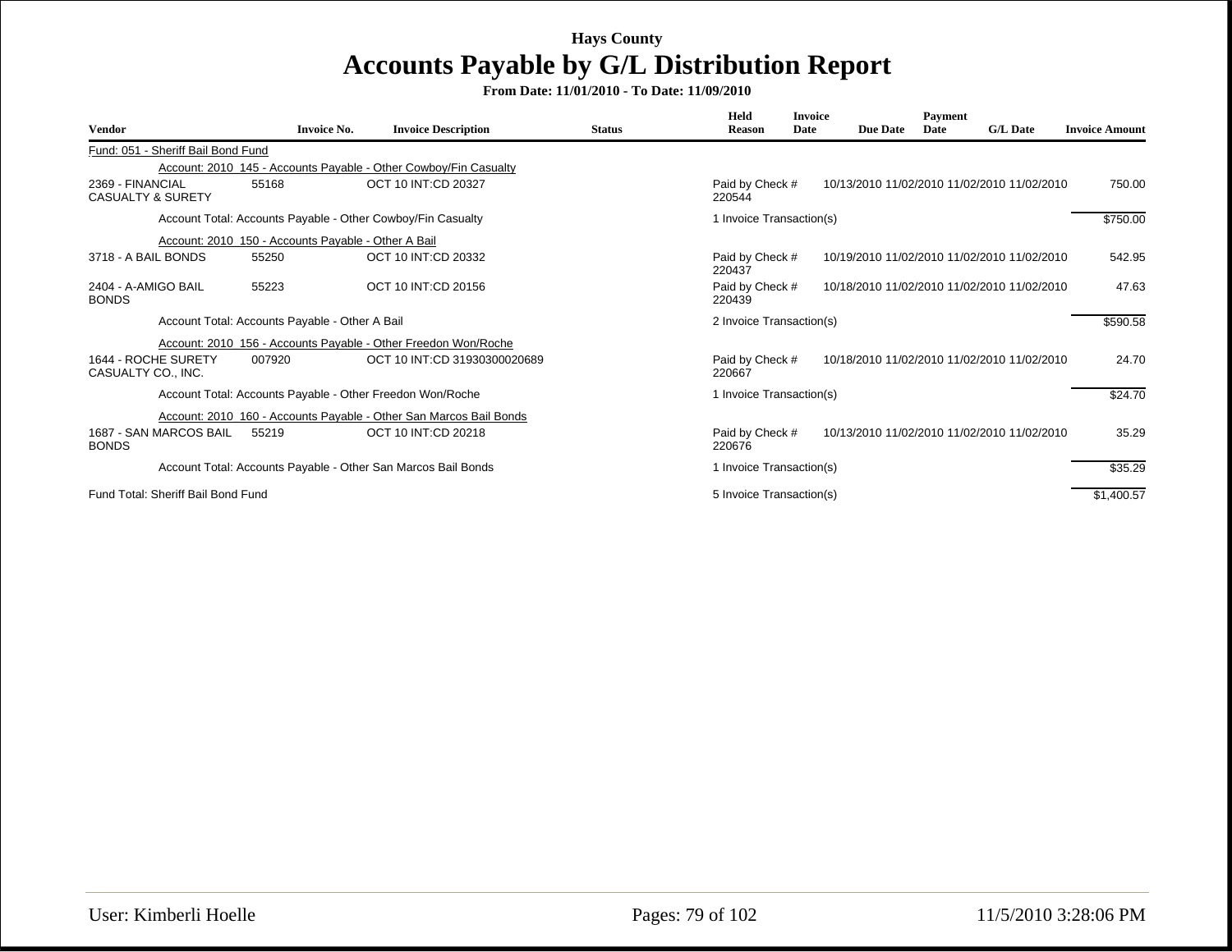| <b>Vendor</b>                                    | <b>Invoice No.</b>                                  | <b>Invoice Description</b>                                         | <b>Status</b> | Held<br><b>Reason</b>     | <b>Invoice</b><br>Date | <b>Due Date</b> | Payment<br>Date | <b>G/L</b> Date                             | <b>Invoice Amount</b> |
|--------------------------------------------------|-----------------------------------------------------|--------------------------------------------------------------------|---------------|---------------------------|------------------------|-----------------|-----------------|---------------------------------------------|-----------------------|
| Fund: 051 - Sheriff Bail Bond Fund               |                                                     |                                                                    |               |                           |                        |                 |                 |                                             |                       |
|                                                  |                                                     | Account: 2010_145 - Accounts Payable - Other Cowboy/Fin Casualty   |               |                           |                        |                 |                 |                                             |                       |
| 2369 - FINANCIAL<br><b>CASUALTY &amp; SURETY</b> | 55168                                               | OCT 10 INT:CD 20327                                                |               | Paid by Check #<br>220544 |                        |                 |                 | 10/13/2010 11/02/2010 11/02/2010 11/02/2010 | 750.00                |
|                                                  |                                                     | Account Total: Accounts Payable - Other Cowboy/Fin Casualty        |               | 1 Invoice Transaction(s)  |                        |                 |                 |                                             | \$750.00              |
|                                                  | Account: 2010 150 - Accounts Payable - Other A Bail |                                                                    |               |                           |                        |                 |                 |                                             |                       |
| 3718 - A BAIL BONDS                              | 55250                                               | OCT 10 INT:CD 20332                                                |               | Paid by Check #<br>220437 |                        |                 |                 | 10/19/2010 11/02/2010 11/02/2010 11/02/2010 | 542.95                |
| 2404 - A-AMIGO BAIL<br><b>BONDS</b>              | 55223                                               | OCT 10 INT:CD 20156                                                |               | Paid by Check #<br>220439 |                        |                 |                 | 10/18/2010 11/02/2010 11/02/2010 11/02/2010 | 47.63                 |
|                                                  | Account Total: Accounts Payable - Other A Bail      |                                                                    |               | 2 Invoice Transaction(s)  |                        |                 |                 |                                             | \$590.58              |
|                                                  |                                                     | Account: 2010 156 - Accounts Payable - Other Freedon Won/Roche     |               |                           |                        |                 |                 |                                             |                       |
| 1644 - ROCHE SURETY<br>CASUALTY CO., INC.        | 007920                                              | OCT 10 INT:CD 31930300020689                                       |               | Paid by Check #<br>220667 |                        |                 |                 | 10/18/2010 11/02/2010 11/02/2010 11/02/2010 | 24.70                 |
|                                                  |                                                     | Account Total: Accounts Payable - Other Freedon Won/Roche          |               | 1 Invoice Transaction(s)  |                        |                 |                 |                                             | \$24.70               |
|                                                  |                                                     | Account: 2010 160 - Accounts Payable - Other San Marcos Bail Bonds |               |                           |                        |                 |                 |                                             |                       |
| 1687 - SAN MARCOS BAIL<br><b>BONDS</b>           | 55219                                               | OCT 10 INT:CD 20218                                                |               | Paid by Check #<br>220676 |                        |                 |                 | 10/13/2010 11/02/2010 11/02/2010 11/02/2010 | 35.29                 |
|                                                  |                                                     | Account Total: Accounts Payable - Other San Marcos Bail Bonds      |               | 1 Invoice Transaction(s)  |                        |                 |                 |                                             | \$35.29               |
| Fund Total: Sheriff Bail Bond Fund               |                                                     |                                                                    |               | 5 Invoice Transaction(s)  |                        |                 |                 |                                             | \$1,400.57            |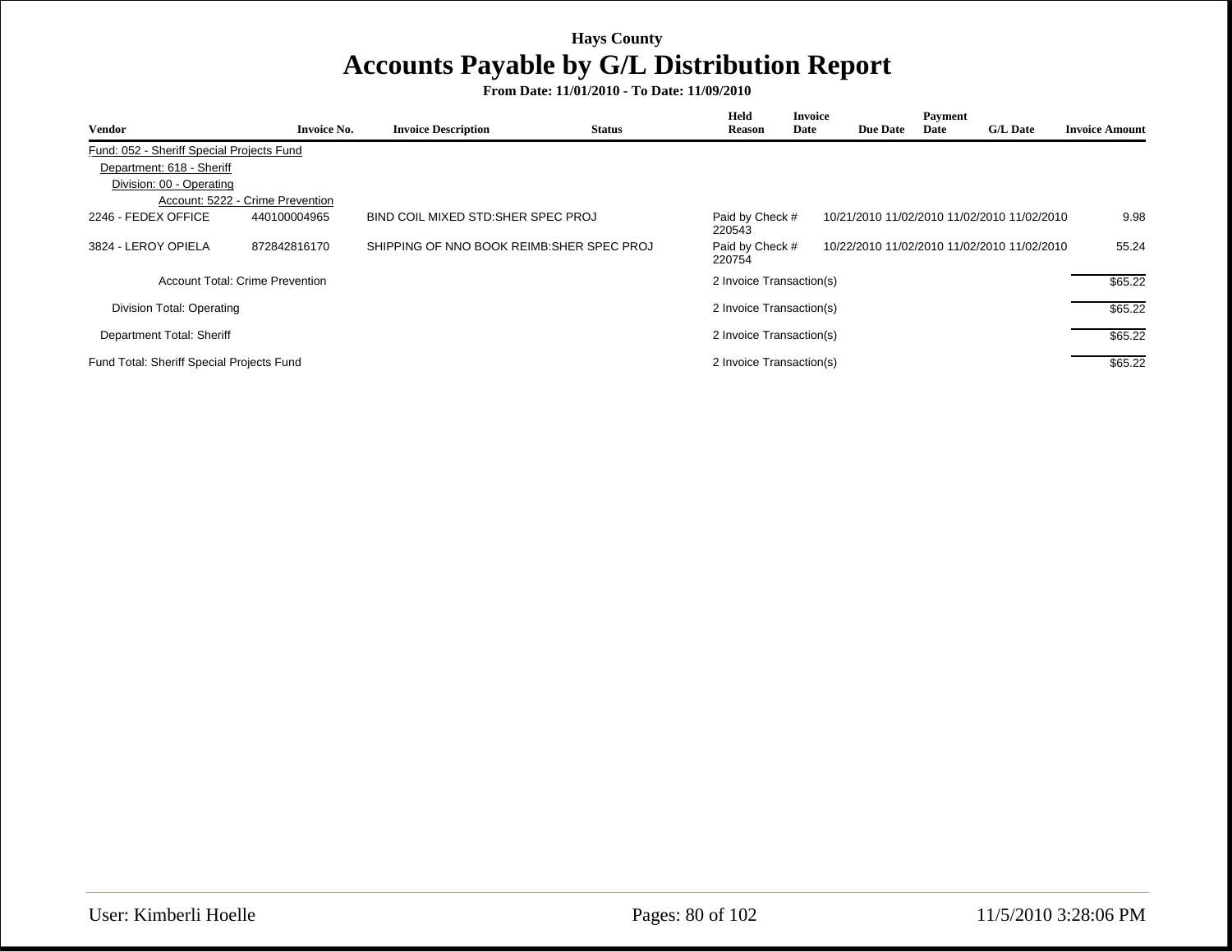| <b>Vendor</b>                             | <b>Invoice No.</b>               | <b>Invoice Description</b>                 | <b>Status</b> | Held<br><b>Reason</b>     | <b>Invoice</b><br>Date | <b>Due Date</b> | Payment<br>Date | <b>G/L Date</b>                             | <b>Invoice Amount</b> |
|-------------------------------------------|----------------------------------|--------------------------------------------|---------------|---------------------------|------------------------|-----------------|-----------------|---------------------------------------------|-----------------------|
|                                           |                                  |                                            |               |                           |                        |                 |                 |                                             |                       |
| Fund: 052 - Sheriff Special Projects Fund |                                  |                                            |               |                           |                        |                 |                 |                                             |                       |
| Department: 618 - Sheriff                 |                                  |                                            |               |                           |                        |                 |                 |                                             |                       |
| Division: 00 - Operating                  |                                  |                                            |               |                           |                        |                 |                 |                                             |                       |
|                                           | Account: 5222 - Crime Prevention |                                            |               |                           |                        |                 |                 |                                             |                       |
| 2246 - FEDEX OFFICE                       | 440100004965                     | BIND COIL MIXED STD: SHER SPEC PROJ        |               | Paid by Check #<br>220543 |                        |                 |                 | 10/21/2010 11/02/2010 11/02/2010 11/02/2010 | 9.98                  |
| 3824 - LEROY OPIELA                       | 872842816170                     | SHIPPING OF NNO BOOK REIMB: SHER SPEC PROJ |               | Paid by Check #<br>220754 |                        |                 |                 | 10/22/2010 11/02/2010 11/02/2010 11/02/2010 | 55.24                 |
|                                           | Account Total: Crime Prevention  |                                            |               | 2 Invoice Transaction(s)  |                        |                 |                 |                                             | \$65.22               |
| Division Total: Operating                 |                                  |                                            |               | 2 Invoice Transaction(s)  |                        |                 |                 |                                             | \$65.22               |
| Department Total: Sheriff                 |                                  |                                            |               | 2 Invoice Transaction(s)  |                        |                 |                 |                                             | \$65.22               |
| Fund Total: Sheriff Special Projects Fund |                                  |                                            |               | 2 Invoice Transaction(s)  |                        |                 |                 |                                             | \$65.22               |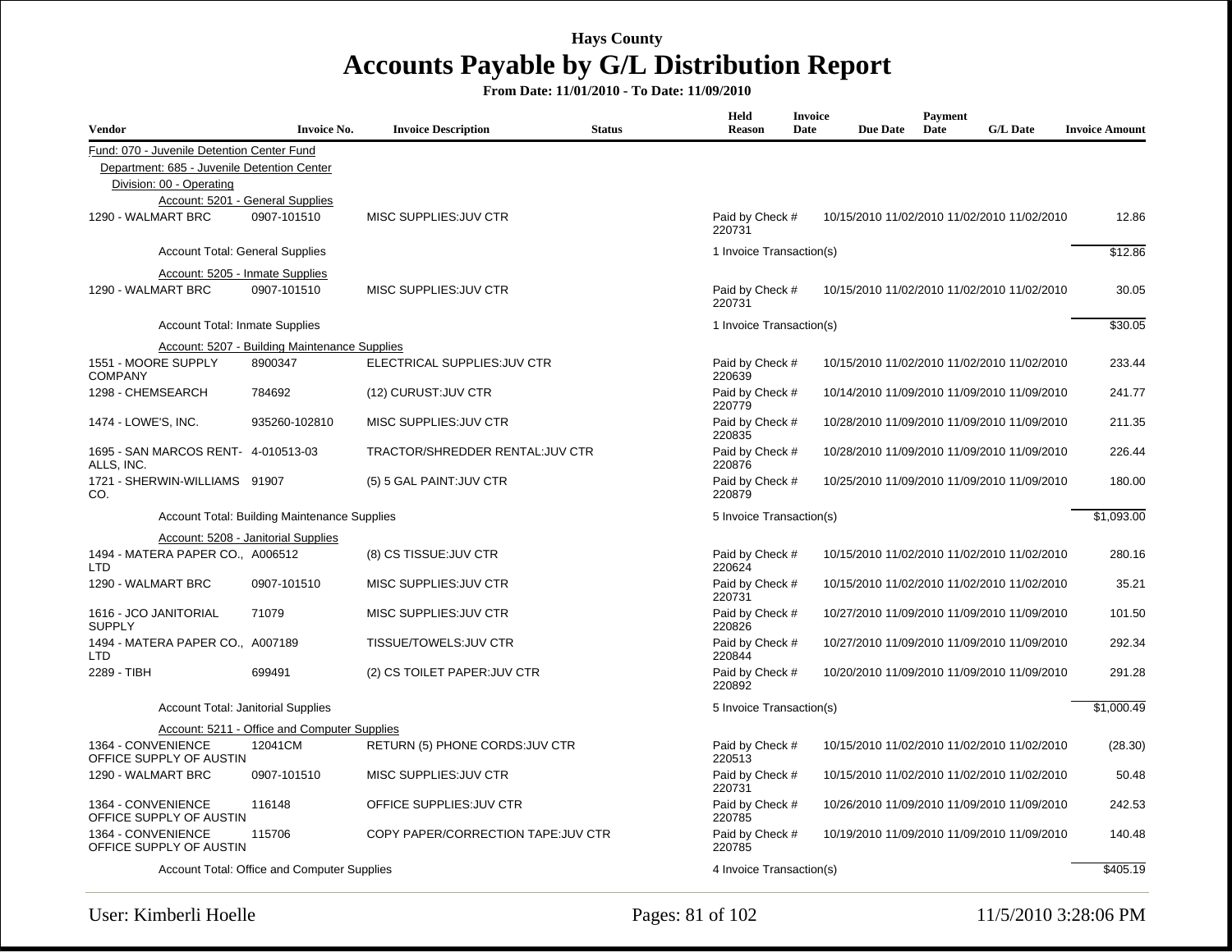| <b>Vendor</b>                                     | <b>Invoice No.</b>                            | <b>Invoice Description</b>          | <b>Status</b> | Held<br><b>Reason</b>     | <b>Invoice</b><br>Date | <b>Due Date</b> | Payment<br>Date | <b>G/L Date</b>                             | <b>Invoice Amount</b> |
|---------------------------------------------------|-----------------------------------------------|-------------------------------------|---------------|---------------------------|------------------------|-----------------|-----------------|---------------------------------------------|-----------------------|
| Fund: 070 - Juvenile Detention Center Fund        |                                               |                                     |               |                           |                        |                 |                 |                                             |                       |
| Department: 685 - Juvenile Detention Center       |                                               |                                     |               |                           |                        |                 |                 |                                             |                       |
| Division: 00 - Operating                          |                                               |                                     |               |                           |                        |                 |                 |                                             |                       |
|                                                   | Account: 5201 - General Supplies              |                                     |               |                           |                        |                 |                 |                                             |                       |
| 1290 - WALMART BRC                                | 0907-101510                                   | MISC SUPPLIES: JUV CTR              |               | Paid by Check #<br>220731 |                        |                 |                 | 10/15/2010 11/02/2010 11/02/2010 11/02/2010 | 12.86                 |
| <b>Account Total: General Supplies</b>            |                                               |                                     |               | 1 Invoice Transaction(s)  |                        |                 |                 |                                             | \$12.86               |
| Account: 5205 - Inmate Supplies                   |                                               |                                     |               |                           |                        |                 |                 |                                             |                       |
| 1290 - WALMART BRC                                | 0907-101510                                   | MISC SUPPLIES: JUV CTR              |               | Paid by Check #<br>220731 |                        |                 |                 | 10/15/2010 11/02/2010 11/02/2010 11/02/2010 | 30.05                 |
| <b>Account Total: Inmate Supplies</b>             |                                               |                                     |               | 1 Invoice Transaction(s)  |                        |                 |                 |                                             | \$30.05               |
|                                                   | Account: 5207 - Building Maintenance Supplies |                                     |               |                           |                        |                 |                 |                                             |                       |
| 1551 - MOORE SUPPLY<br><b>COMPANY</b>             | 8900347                                       | ELECTRICAL SUPPLIES: JUV CTR        |               | Paid by Check #<br>220639 |                        |                 |                 | 10/15/2010 11/02/2010 11/02/2010 11/02/2010 | 233.44                |
| 1298 - CHEMSEARCH                                 | 784692                                        | (12) CURUST: JUV CTR                |               | Paid by Check #<br>220779 |                        |                 |                 | 10/14/2010 11/09/2010 11/09/2010 11/09/2010 | 241.77                |
| 1474 - LOWE'S, INC.                               | 935260-102810                                 | MISC SUPPLIES: JUV CTR              |               | Paid by Check #<br>220835 |                        |                 |                 | 10/28/2010 11/09/2010 11/09/2010 11/09/2010 | 211.35                |
| 1695 - SAN MARCOS RENT- 4-010513-03<br>ALLS, INC. |                                               | TRACTOR/SHREDDER RENTAL: JUV CTR    |               | Paid by Check #<br>220876 |                        |                 |                 | 10/28/2010 11/09/2010 11/09/2010 11/09/2010 | 226.44                |
| 1721 - SHERWIN-WILLIAMS 91907<br>CO.              |                                               | (5) 5 GAL PAINT: JUV CTR            |               | Paid by Check #<br>220879 |                        |                 |                 | 10/25/2010 11/09/2010 11/09/2010 11/09/2010 | 180.00                |
|                                                   | Account Total: Building Maintenance Supplies  |                                     |               | 5 Invoice Transaction(s)  |                        |                 |                 |                                             | \$1,093.00            |
|                                                   | Account: 5208 - Janitorial Supplies           |                                     |               |                           |                        |                 |                 |                                             |                       |
| 1494 - MATERA PAPER CO., A006512<br><b>LTD</b>    |                                               | (8) CS TISSUE: JUV CTR              |               | Paid by Check #<br>220624 |                        |                 |                 | 10/15/2010 11/02/2010 11/02/2010 11/02/2010 | 280.16                |
| 1290 - WALMART BRC                                | 0907-101510                                   | MISC SUPPLIES: JUV CTR              |               | Paid by Check #<br>220731 |                        |                 |                 | 10/15/2010 11/02/2010 11/02/2010 11/02/2010 | 35.21                 |
| 1616 - JCO JANITORIAL<br><b>SUPPLY</b>            | 71079                                         | MISC SUPPLIES: JUV CTR              |               | Paid by Check #<br>220826 |                        |                 |                 | 10/27/2010 11/09/2010 11/09/2010 11/09/2010 | 101.50                |
| 1494 - MATERA PAPER CO., A007189<br><b>LTD</b>    |                                               | TISSUE/TOWELS: JUV CTR              |               | Paid by Check #<br>220844 |                        |                 |                 | 10/27/2010 11/09/2010 11/09/2010 11/09/2010 | 292.34                |
| 2289 - TIBH                                       | 699491                                        | (2) CS TOILET PAPER: JUV CTR        |               | Paid by Check #<br>220892 |                        |                 |                 | 10/20/2010 11/09/2010 11/09/2010 11/09/2010 | 291.28                |
| <b>Account Total: Janitorial Supplies</b>         |                                               |                                     |               | 5 Invoice Transaction(s)  |                        |                 |                 |                                             | \$1,000.49            |
|                                                   | Account: 5211 - Office and Computer Supplies  |                                     |               |                           |                        |                 |                 |                                             |                       |
| 1364 - CONVENIENCE<br>OFFICE SUPPLY OF AUSTIN     | 12041CM                                       | RETURN (5) PHONE CORDS: JUV CTR     |               | Paid by Check #<br>220513 |                        |                 |                 | 10/15/2010 11/02/2010 11/02/2010 11/02/2010 | (28.30)               |
| 1290 - WALMART BRC                                | 0907-101510                                   | MISC SUPPLIES: JUV CTR              |               | Paid by Check #<br>220731 |                        |                 |                 | 10/15/2010 11/02/2010 11/02/2010 11/02/2010 | 50.48                 |
| 1364 - CONVENIENCE<br>OFFICE SUPPLY OF AUSTIN     | 116148                                        | OFFICE SUPPLIES: JUV CTR            |               | Paid by Check #<br>220785 |                        |                 |                 | 10/26/2010 11/09/2010 11/09/2010 11/09/2010 | 242.53                |
| 1364 - CONVENIENCE<br>OFFICE SUPPLY OF AUSTIN     | 115706                                        | COPY PAPER/CORRECTION TAPE: JUV CTR |               | Paid by Check #<br>220785 |                        |                 |                 | 10/19/2010 11/09/2010 11/09/2010 11/09/2010 | 140.48                |
|                                                   | Account Total: Office and Computer Supplies   |                                     |               | 4 Invoice Transaction(s)  |                        |                 |                 |                                             | \$405.19              |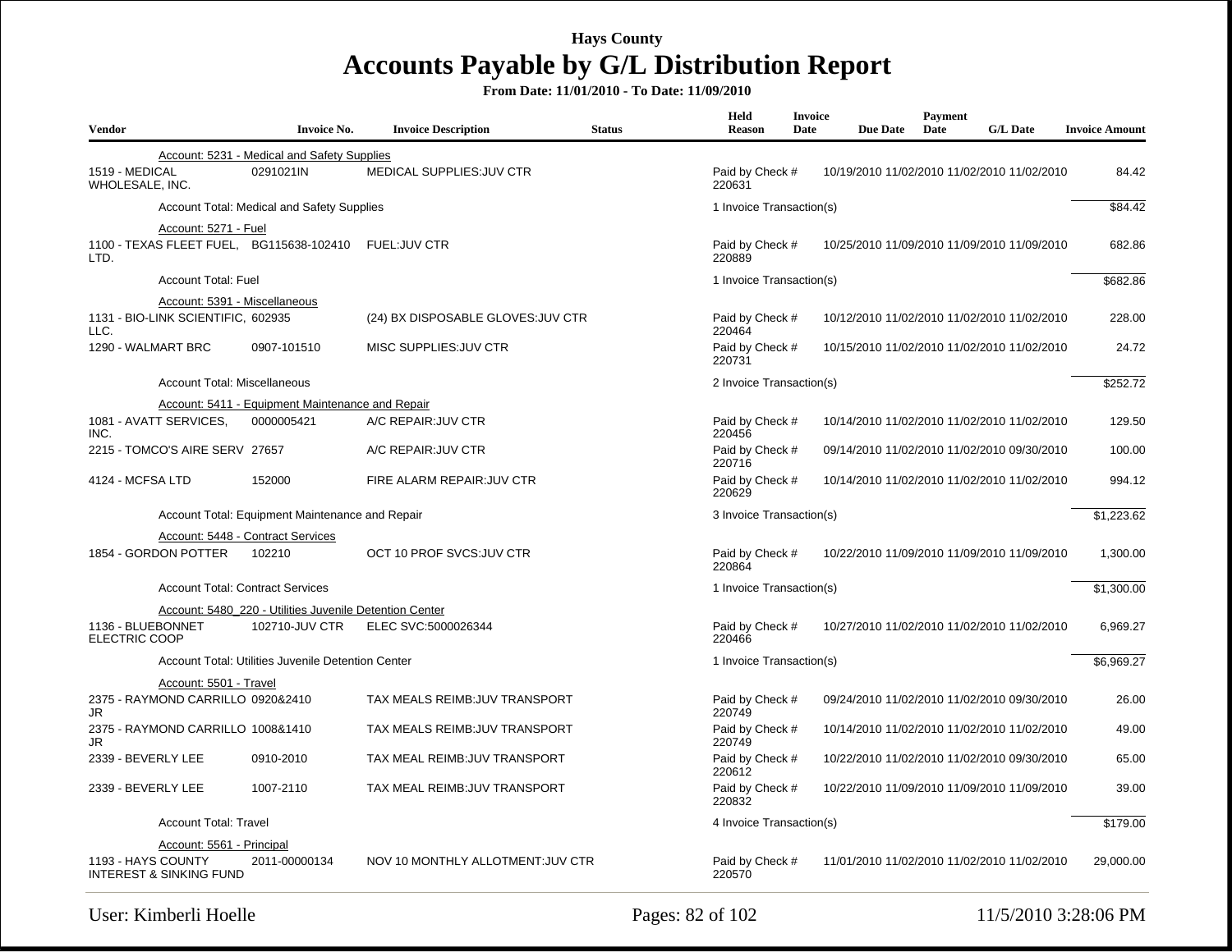| <b>Vendor</b>                                            | <b>Invoice No.</b>                                      | <b>Invoice Description</b>         | <b>Status</b> | Held<br><b>Reason</b>     | <b>Invoice</b><br>Date | <b>Due Date</b>                             | Payment<br>Date | <b>G/L Date</b> | <b>Invoice Amount</b> |
|----------------------------------------------------------|---------------------------------------------------------|------------------------------------|---------------|---------------------------|------------------------|---------------------------------------------|-----------------|-----------------|-----------------------|
|                                                          | Account: 5231 - Medical and Safety Supplies             |                                    |               |                           |                        |                                             |                 |                 |                       |
| 1519 - MEDICAL<br>WHOLESALE, INC.                        | 0291021IN                                               | <b>MEDICAL SUPPLIES: JUV CTR</b>   |               | Paid by Check #<br>220631 |                        | 10/19/2010 11/02/2010 11/02/2010 11/02/2010 |                 |                 | 84.42                 |
|                                                          | Account Total: Medical and Safety Supplies              |                                    |               | 1 Invoice Transaction(s)  |                        |                                             |                 |                 | \$84.42               |
| Account: 5271 - Fuel                                     |                                                         |                                    |               |                           |                        |                                             |                 |                 |                       |
| 1100 - TEXAS FLEET FUEL, BG115638-102410<br>LTD.         |                                                         | <b>FUEL:JUV CTR</b>                |               | Paid by Check #<br>220889 |                        | 10/25/2010 11/09/2010 11/09/2010 11/09/2010 |                 |                 | 682.86                |
| <b>Account Total: Fuel</b>                               |                                                         |                                    |               | 1 Invoice Transaction(s)  |                        |                                             |                 |                 | \$682.86              |
| Account: 5391 - Miscellaneous                            |                                                         |                                    |               |                           |                        |                                             |                 |                 |                       |
| 1131 - BIO-LINK SCIENTIFIC, 602935<br>LLC.               |                                                         | (24) BX DISPOSABLE GLOVES: JUV CTR |               | Paid by Check #<br>220464 |                        | 10/12/2010 11/02/2010 11/02/2010 11/02/2010 |                 |                 | 228.00                |
| 1290 - WALMART BRC                                       | 0907-101510                                             | MISC SUPPLIES: JUV CTR             |               | Paid by Check #<br>220731 |                        | 10/15/2010 11/02/2010 11/02/2010 11/02/2010 |                 |                 | 24.72                 |
| Account Total: Miscellaneous                             |                                                         |                                    |               | 2 Invoice Transaction(s)  |                        |                                             |                 |                 | \$252.72              |
|                                                          | Account: 5411 - Equipment Maintenance and Repair        |                                    |               |                           |                        |                                             |                 |                 |                       |
| 1081 - AVATT SERVICES,<br>INC.                           | 0000005421                                              | A/C REPAIR: JUV CTR                |               | Paid by Check #<br>220456 |                        | 10/14/2010 11/02/2010 11/02/2010 11/02/2010 |                 |                 | 129.50                |
| 2215 - TOMCO'S AIRE SERV 27657                           |                                                         | A/C REPAIR: JUV CTR                |               | Paid by Check #<br>220716 |                        | 09/14/2010 11/02/2010 11/02/2010 09/30/2010 |                 |                 | 100.00                |
| 4124 - MCFSA LTD                                         | 152000                                                  | FIRE ALARM REPAIR: JUV CTR         |               | Paid by Check #<br>220629 |                        | 10/14/2010 11/02/2010 11/02/2010 11/02/2010 |                 |                 | 994.12                |
|                                                          | Account Total: Equipment Maintenance and Repair         |                                    |               | 3 Invoice Transaction(s)  |                        |                                             |                 |                 | \$1,223.62            |
|                                                          | Account: 5448 - Contract Services                       |                                    |               |                           |                        |                                             |                 |                 |                       |
| 1854 - GORDON POTTER                                     | 102210                                                  | OCT 10 PROF SVCS: JUV CTR          |               | Paid by Check #<br>220864 |                        | 10/22/2010 11/09/2010 11/09/2010 11/09/2010 |                 |                 | 1,300.00              |
|                                                          | <b>Account Total: Contract Services</b>                 |                                    |               | 1 Invoice Transaction(s)  |                        |                                             |                 |                 | \$1,300.00            |
|                                                          | Account: 5480 220 - Utilities Juvenile Detention Center |                                    |               |                           |                        |                                             |                 |                 |                       |
| 1136 - BLUEBONNET<br>ELECTRIC COOP                       | 102710-JUV CTR                                          | ELEC SVC:5000026344                |               | Paid by Check #<br>220466 |                        | 10/27/2010 11/02/2010 11/02/2010 11/02/2010 |                 |                 | 6,969.27              |
|                                                          | Account Total: Utilities Juvenile Detention Center      |                                    |               | 1 Invoice Transaction(s)  |                        |                                             |                 |                 | \$6,969.27            |
| Account: 5501 - Travel                                   |                                                         |                                    |               |                           |                        |                                             |                 |                 |                       |
| 2375 - RAYMOND CARRILLO 0920&2410<br>JR                  |                                                         | TAX MEALS REIMB: JUV TRANSPORT     |               | Paid by Check #<br>220749 |                        | 09/24/2010 11/02/2010 11/02/2010 09/30/2010 |                 |                 | 26.00                 |
| 2375 - RAYMOND CARRILLO 1008&1410<br>JR                  |                                                         | TAX MEALS REIMB: JUV TRANSPORT     |               | Paid by Check #<br>220749 |                        | 10/14/2010 11/02/2010 11/02/2010 11/02/2010 |                 |                 | 49.00                 |
| 2339 - BEVERLY LEE                                       | 0910-2010                                               | TAX MEAL REIMB: JUV TRANSPORT      |               | Paid by Check #<br>220612 |                        | 10/22/2010 11/02/2010 11/02/2010 09/30/2010 |                 |                 | 65.00                 |
| 2339 - BEVERLY LEE                                       | 1007-2110                                               | TAX MEAL REIMB: JUV TRANSPORT      |               | Paid by Check #<br>220832 |                        | 10/22/2010 11/09/2010 11/09/2010 11/09/2010 |                 |                 | 39.00                 |
| <b>Account Total: Travel</b>                             |                                                         |                                    |               | 4 Invoice Transaction(s)  |                        |                                             |                 |                 | \$179.00              |
| Account: 5561 - Principal                                |                                                         |                                    |               |                           |                        |                                             |                 |                 |                       |
| 1193 - HAYS COUNTY<br><b>INTEREST &amp; SINKING FUND</b> | 2011-00000134                                           | NOV 10 MONTHLY ALLOTMENT: JUV CTR  |               | Paid by Check #<br>220570 |                        | 11/01/2010 11/02/2010 11/02/2010 11/02/2010 |                 |                 | 29.000.00             |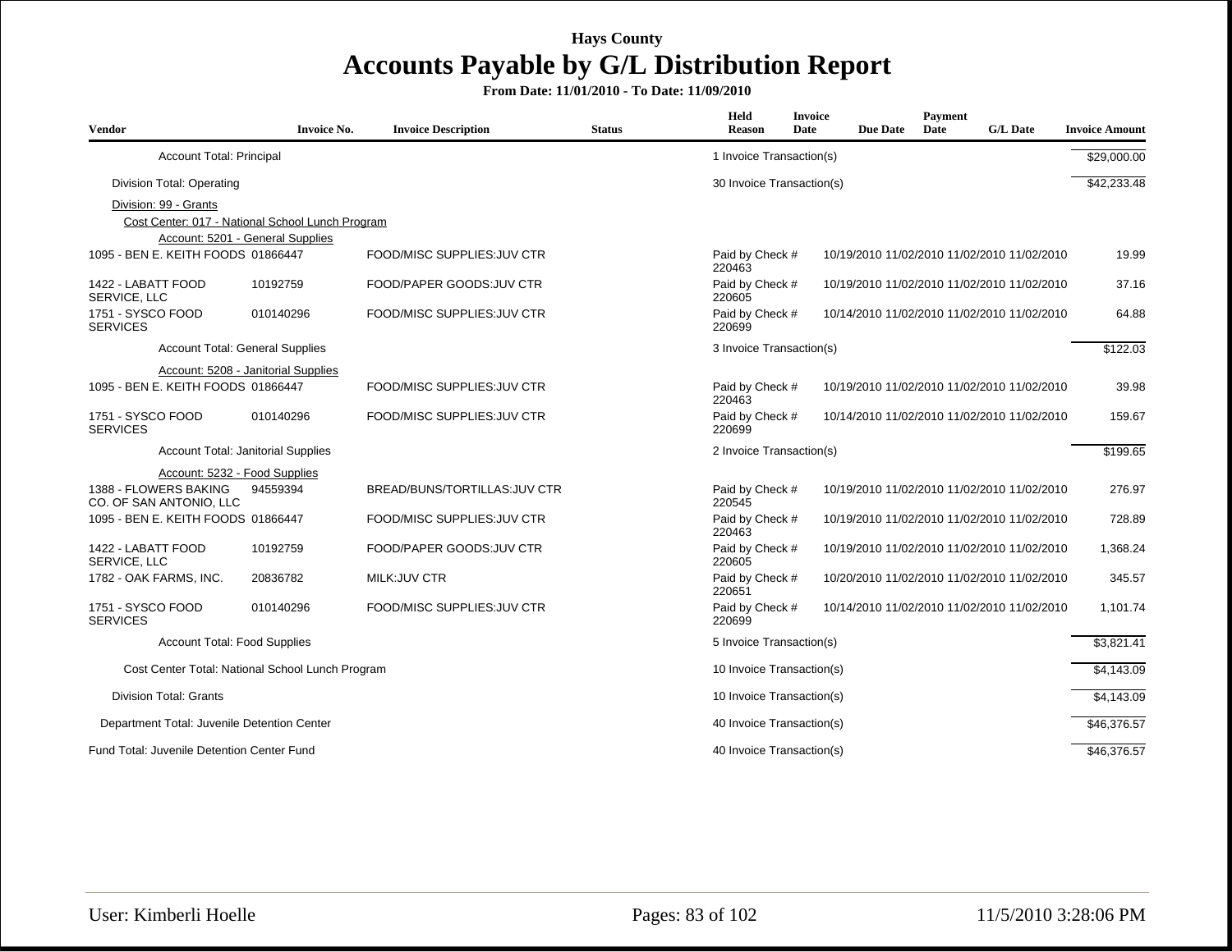| <b>Vendor</b>                                    | <b>Invoice No.</b>                               | <b>Invoice Description</b>    | <b>Status</b> | <b>Held</b><br><b>Reason</b> | <b>Invoice</b><br>Date | <b>Due Date</b> | <b>Payment</b><br>Date | <b>G/L Date</b>                             | <b>Invoice Amount</b> |
|--------------------------------------------------|--------------------------------------------------|-------------------------------|---------------|------------------------------|------------------------|-----------------|------------------------|---------------------------------------------|-----------------------|
| <b>Account Total: Principal</b>                  |                                                  |                               |               | 1 Invoice Transaction(s)     |                        |                 |                        |                                             | \$29,000.00           |
| Division Total: Operating                        |                                                  |                               |               | 30 Invoice Transaction(s)    |                        |                 |                        |                                             | \$42,233.48           |
| Division: 99 - Grants                            | Cost Center: 017 - National School Lunch Program |                               |               |                              |                        |                 |                        |                                             |                       |
| 1095 - BEN E. KEITH FOODS 01866447               | Account: 5201 - General Supplies                 | FOOD/MISC SUPPLIES: JUV CTR   |               | Paid by Check #<br>220463    |                        |                 |                        | 10/19/2010 11/02/2010 11/02/2010 11/02/2010 | 19.99                 |
| 1422 - LABATT FOOD<br>SERVICE, LLC               | 10192759                                         | FOOD/PAPER GOODS: JUV CTR     |               | Paid by Check #<br>220605    |                        |                 |                        | 10/19/2010 11/02/2010 11/02/2010 11/02/2010 | 37.16                 |
| 1751 - SYSCO FOOD<br><b>SERVICES</b>             | 010140296                                        | FOOD/MISC SUPPLIES: JUV CTR   |               | Paid by Check #<br>220699    |                        |                 |                        | 10/14/2010 11/02/2010 11/02/2010 11/02/2010 | 64.88                 |
|                                                  | <b>Account Total: General Supplies</b>           |                               |               | 3 Invoice Transaction(s)     |                        |                 |                        |                                             | \$122.03              |
|                                                  | Account: 5208 - Janitorial Supplies              |                               |               |                              |                        |                 |                        |                                             |                       |
| 1095 - BEN E. KEITH FOODS 01866447               |                                                  | FOOD/MISC SUPPLIES: JUV CTR   |               | Paid by Check #<br>220463    |                        |                 |                        | 10/19/2010 11/02/2010 11/02/2010 11/02/2010 | 39.98                 |
| 1751 - SYSCO FOOD<br><b>SERVICES</b>             | 010140296                                        | FOOD/MISC SUPPLIES: JUV CTR   |               | Paid by Check #<br>220699    |                        |                 |                        | 10/14/2010 11/02/2010 11/02/2010 11/02/2010 | 159.67                |
|                                                  | Account Total: Janitorial Supplies               |                               |               | 2 Invoice Transaction(s)     |                        |                 |                        |                                             | \$199.65              |
|                                                  | Account: 5232 - Food Supplies                    |                               |               |                              |                        |                 |                        |                                             |                       |
| 1388 - FLOWERS BAKING<br>CO. OF SAN ANTONIO, LLC | 94559394                                         | BREAD/BUNS/TORTILLAS: JUV CTR |               | Paid by Check #<br>220545    |                        |                 |                        | 10/19/2010 11/02/2010 11/02/2010 11/02/2010 | 276.97                |
| 1095 - BEN E. KEITH FOODS 01866447               |                                                  | FOOD/MISC SUPPLIES: JUV CTR   |               | Paid by Check #<br>220463    |                        |                 |                        | 10/19/2010 11/02/2010 11/02/2010 11/02/2010 | 728.89                |
| 1422 - LABATT FOOD<br>SERVICE. LLC               | 10192759                                         | FOOD/PAPER GOODS: JUV CTR     |               | Paid by Check #<br>220605    |                        |                 |                        | 10/19/2010 11/02/2010 11/02/2010 11/02/2010 | 1,368.24              |
| 1782 - OAK FARMS, INC.                           | 20836782                                         | MILK:JUV CTR                  |               | Paid by Check #<br>220651    |                        |                 |                        | 10/20/2010 11/02/2010 11/02/2010 11/02/2010 | 345.57                |
| 1751 - SYSCO FOOD<br><b>SERVICES</b>             | 010140296                                        | FOOD/MISC SUPPLIES: JUV CTR   |               | Paid by Check #<br>220699    |                        |                 |                        | 10/14/2010 11/02/2010 11/02/2010 11/02/2010 | 1,101.74              |
|                                                  | <b>Account Total: Food Supplies</b>              |                               |               | 5 Invoice Transaction(s)     |                        |                 |                        |                                             | \$3,821.41            |
|                                                  | Cost Center Total: National School Lunch Program |                               |               | 10 Invoice Transaction(s)    |                        |                 |                        |                                             | \$4,143.09            |
| <b>Division Total: Grants</b>                    |                                                  |                               |               | 10 Invoice Transaction(s)    |                        |                 |                        |                                             | \$4,143.09            |
| Department Total: Juvenile Detention Center      |                                                  |                               |               | 40 Invoice Transaction(s)    |                        |                 |                        |                                             | \$46,376.57           |
| Fund Total: Juvenile Detention Center Fund       |                                                  |                               |               | 40 Invoice Transaction(s)    |                        |                 |                        |                                             | \$46,376.57           |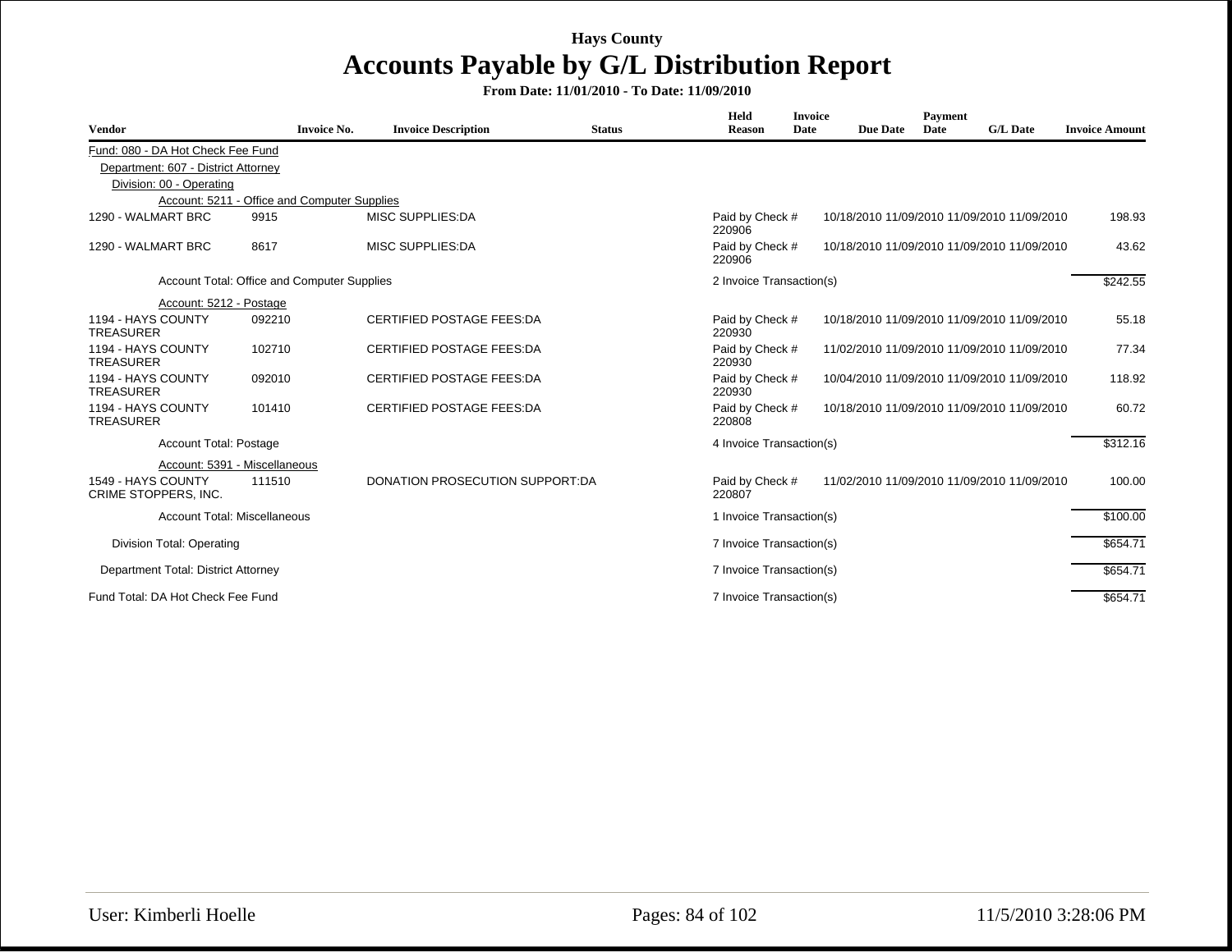| <b>Vendor</b>                              | <b>Invoice No.</b>                           | <b>Invoice Description</b>       | <b>Status</b> | Held<br><b>Reason</b>     | <b>Invoice</b><br>Date | <b>Due Date</b> | Payment<br>Date | <b>G/L Date</b>                             | <b>Invoice Amount</b> |
|--------------------------------------------|----------------------------------------------|----------------------------------|---------------|---------------------------|------------------------|-----------------|-----------------|---------------------------------------------|-----------------------|
| Fund: 080 - DA Hot Check Fee Fund          |                                              |                                  |               |                           |                        |                 |                 |                                             |                       |
| Department: 607 - District Attorney        |                                              |                                  |               |                           |                        |                 |                 |                                             |                       |
| Division: 00 - Operating                   |                                              |                                  |               |                           |                        |                 |                 |                                             |                       |
|                                            | Account: 5211 - Office and Computer Supplies |                                  |               |                           |                        |                 |                 |                                             |                       |
| 1290 - WALMART BRC                         | 9915                                         | <b>MISC SUPPLIES:DA</b>          |               | Paid by Check #<br>220906 |                        |                 |                 | 10/18/2010 11/09/2010 11/09/2010 11/09/2010 | 198.93                |
| 1290 - WALMART BRC                         | 8617                                         | <b>MISC SUPPLIES:DA</b>          |               | Paid by Check #<br>220906 |                        |                 |                 | 10/18/2010 11/09/2010 11/09/2010 11/09/2010 | 43.62                 |
|                                            | Account Total: Office and Computer Supplies  |                                  |               | 2 Invoice Transaction(s)  |                        |                 |                 |                                             | \$242.55              |
| Account: 5212 - Postage                    |                                              |                                  |               |                           |                        |                 |                 |                                             |                       |
| 1194 - HAYS COUNTY<br><b>TREASURER</b>     | 092210                                       | <b>CERTIFIED POSTAGE FEES:DA</b> |               | Paid by Check #<br>220930 |                        |                 |                 | 10/18/2010 11/09/2010 11/09/2010 11/09/2010 | 55.18                 |
| 1194 - HAYS COUNTY<br><b>TREASURER</b>     | 102710                                       | <b>CERTIFIED POSTAGE FEES:DA</b> |               | Paid by Check #<br>220930 |                        |                 |                 | 11/02/2010 11/09/2010 11/09/2010 11/09/2010 | 77.34                 |
| 1194 - HAYS COUNTY<br><b>TREASURER</b>     | 092010                                       | <b>CERTIFIED POSTAGE FEES:DA</b> |               | Paid by Check #<br>220930 |                        |                 |                 | 10/04/2010 11/09/2010 11/09/2010 11/09/2010 | 118.92                |
| 1194 - HAYS COUNTY<br><b>TREASURER</b>     | 101410                                       | <b>CERTIFIED POSTAGE FEES:DA</b> |               | Paid by Check #<br>220808 |                        |                 |                 | 10/18/2010 11/09/2010 11/09/2010 11/09/2010 | 60.72                 |
| Account Total: Postage                     |                                              |                                  |               | 4 Invoice Transaction(s)  |                        |                 |                 |                                             | \$312.16              |
|                                            | Account: 5391 - Miscellaneous                |                                  |               |                           |                        |                 |                 |                                             |                       |
| 1549 - HAYS COUNTY<br>CRIME STOPPERS, INC. | 111510                                       | DONATION PROSECUTION SUPPORT:DA  |               | Paid by Check #<br>220807 |                        |                 |                 | 11/02/2010 11/09/2010 11/09/2010 11/09/2010 | 100.00                |
|                                            | <b>Account Total: Miscellaneous</b>          |                                  |               | 1 Invoice Transaction(s)  |                        |                 |                 |                                             | \$100.00              |
| Division Total: Operating                  |                                              |                                  |               | 7 Invoice Transaction(s)  |                        |                 |                 |                                             | \$654.71              |
| Department Total: District Attorney        |                                              |                                  |               | 7 Invoice Transaction(s)  |                        |                 |                 |                                             | \$654.71              |
| Fund Total: DA Hot Check Fee Fund          |                                              |                                  |               | 7 Invoice Transaction(s)  |                        |                 |                 |                                             | \$654.71              |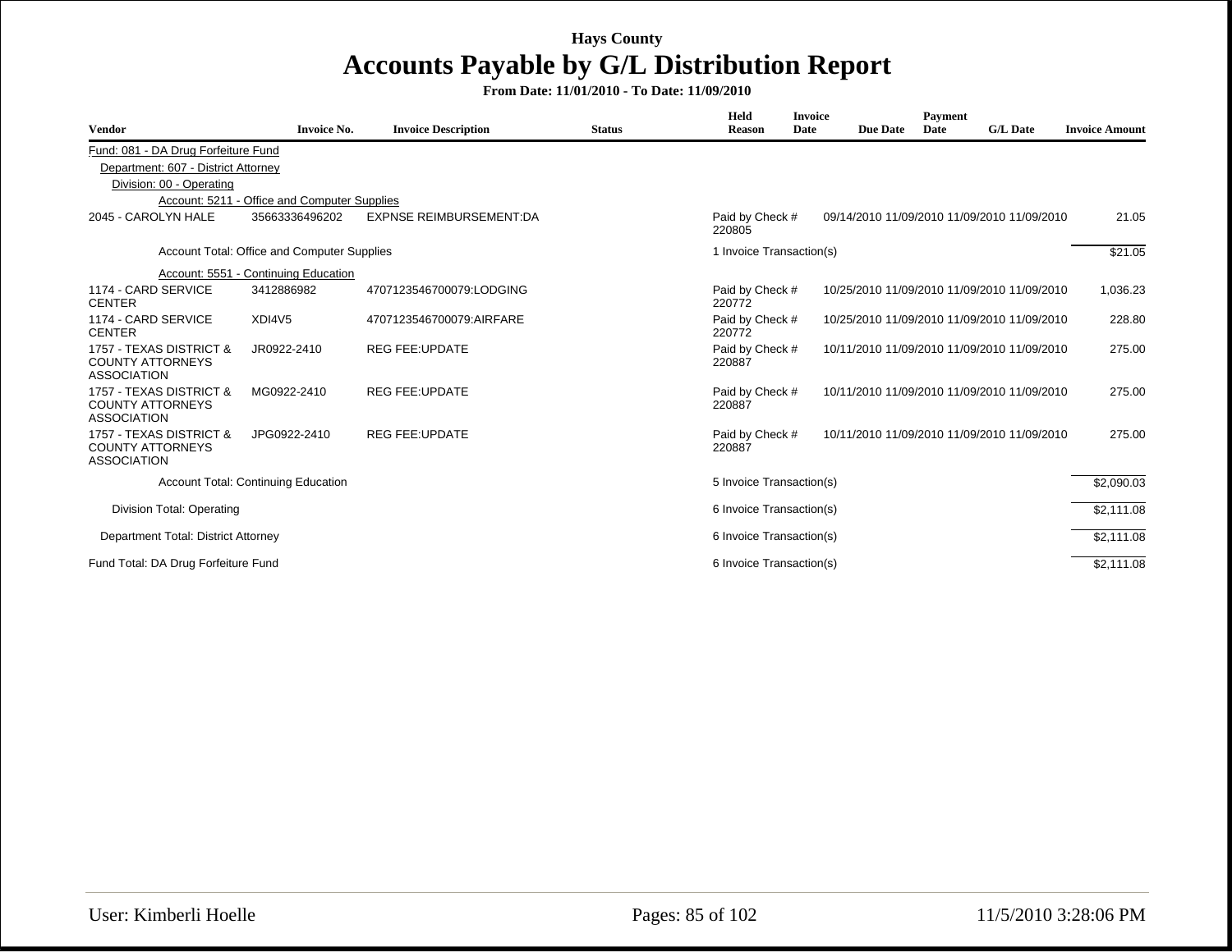| <b>Vendor</b>                                                              | <b>Invoice No.</b>                           | <b>Invoice Description</b>     | <b>Status</b> | Held<br><b>Reason</b>     | <b>Invoice</b><br>Date | <b>Due Date</b> | Payment<br>Date | <b>G/L Date</b>                             | <b>Invoice Amount</b> |
|----------------------------------------------------------------------------|----------------------------------------------|--------------------------------|---------------|---------------------------|------------------------|-----------------|-----------------|---------------------------------------------|-----------------------|
|                                                                            |                                              |                                |               |                           |                        |                 |                 |                                             |                       |
| Fund: 081 - DA Drug Forfeiture Fund<br>Department: 607 - District Attorney |                                              |                                |               |                           |                        |                 |                 |                                             |                       |
| Division: 00 - Operating                                                   |                                              |                                |               |                           |                        |                 |                 |                                             |                       |
|                                                                            | Account: 5211 - Office and Computer Supplies |                                |               |                           |                        |                 |                 |                                             |                       |
| 2045 - CAROLYN HALE                                                        | 35663336496202                               | <b>EXPNSE REIMBURSEMENT:DA</b> |               | Paid by Check #<br>220805 |                        |                 |                 | 09/14/2010 11/09/2010 11/09/2010 11/09/2010 | 21.05                 |
|                                                                            | Account Total: Office and Computer Supplies  |                                |               | 1 Invoice Transaction(s)  |                        |                 |                 |                                             | \$21.05               |
|                                                                            | Account: 5551 - Continuing Education         |                                |               |                           |                        |                 |                 |                                             |                       |
| 1174 - CARD SERVICE<br><b>CENTER</b>                                       | 3412886982                                   | 4707123546700079:LODGING       |               | Paid by Check #<br>220772 |                        |                 |                 | 10/25/2010 11/09/2010 11/09/2010 11/09/2010 | 1,036.23              |
| 1174 - CARD SERVICE<br><b>CENTER</b>                                       | XDI4V <sub>5</sub>                           | 4707123546700079:AIRFARE       |               | Paid by Check #<br>220772 |                        |                 |                 | 10/25/2010 11/09/2010 11/09/2010 11/09/2010 | 228.80                |
| 1757 - TEXAS DISTRICT &<br><b>COUNTY ATTORNEYS</b><br><b>ASSOCIATION</b>   | JR0922-2410                                  | <b>REG FEE:UPDATE</b>          |               | Paid by Check #<br>220887 |                        |                 |                 | 10/11/2010 11/09/2010 11/09/2010 11/09/2010 | 275.00                |
| 1757 - TEXAS DISTRICT &<br><b>COUNTY ATTORNEYS</b><br><b>ASSOCIATION</b>   | MG0922-2410                                  | <b>REG FEE:UPDATE</b>          |               | Paid by Check #<br>220887 |                        |                 |                 | 10/11/2010 11/09/2010 11/09/2010 11/09/2010 | 275.00                |
| 1757 - TEXAS DISTRICT &<br><b>COUNTY ATTORNEYS</b><br><b>ASSOCIATION</b>   | JPG0922-2410                                 | <b>REG FEE:UPDATE</b>          |               | Paid by Check #<br>220887 |                        |                 |                 | 10/11/2010 11/09/2010 11/09/2010 11/09/2010 | 275.00                |
|                                                                            | <b>Account Total: Continuing Education</b>   |                                |               | 5 Invoice Transaction(s)  |                        |                 |                 |                                             | \$2,090.03            |
| Division Total: Operating                                                  |                                              |                                |               | 6 Invoice Transaction(s)  |                        |                 |                 |                                             | \$2.111.08            |
| Department Total: District Attorney                                        |                                              |                                |               | 6 Invoice Transaction(s)  |                        |                 |                 |                                             | \$2,111.08            |
| Fund Total: DA Drug Forfeiture Fund                                        |                                              |                                |               | 6 Invoice Transaction(s)  |                        |                 |                 |                                             | \$2,111.08            |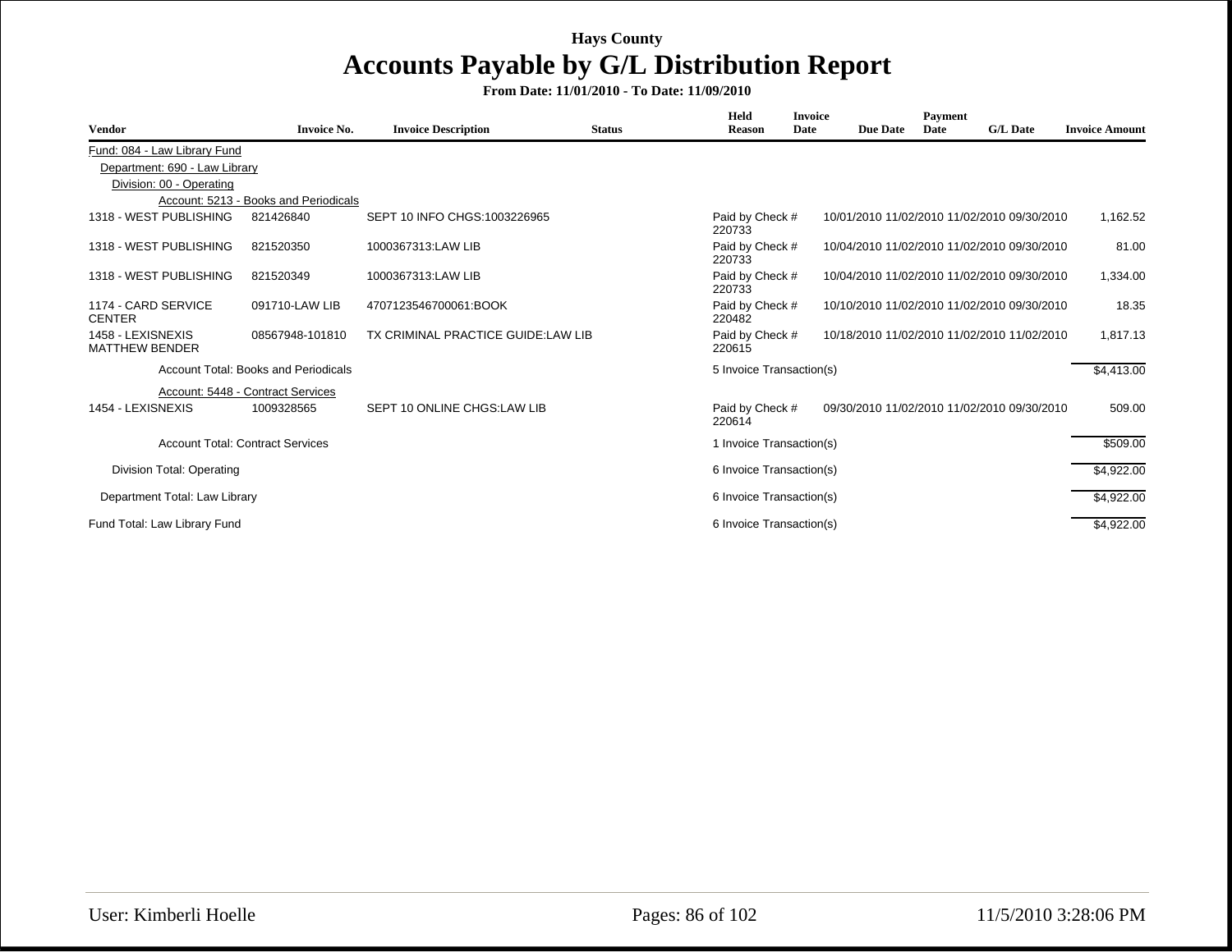| <b>Vendor</b>                              | <b>Invoice No.</b>                      | <b>Invoice Description</b>         | <b>Status</b> | Held<br><b>Reason</b>     | <b>Invoice</b><br>Date | <b>Due Date</b> | Payment<br>Date | <b>G/L Date</b>                             | <b>Invoice Amount</b> |
|--------------------------------------------|-----------------------------------------|------------------------------------|---------------|---------------------------|------------------------|-----------------|-----------------|---------------------------------------------|-----------------------|
| Fund: 084 - Law Library Fund               |                                         |                                    |               |                           |                        |                 |                 |                                             |                       |
| Department: 690 - Law Library              |                                         |                                    |               |                           |                        |                 |                 |                                             |                       |
| Division: 00 - Operating                   |                                         |                                    |               |                           |                        |                 |                 |                                             |                       |
|                                            | Account: 5213 - Books and Periodicals   |                                    |               |                           |                        |                 |                 |                                             |                       |
| 1318 - WEST PUBLISHING                     | 821426840                               | SEPT 10 INFO CHGS: 1003226965      |               | Paid by Check #<br>220733 |                        |                 |                 | 10/01/2010 11/02/2010 11/02/2010 09/30/2010 | 1,162.52              |
| 1318 - WEST PUBLISHING                     | 821520350                               | 1000367313:LAW LIB                 |               | Paid by Check #<br>220733 |                        |                 |                 | 10/04/2010 11/02/2010 11/02/2010 09/30/2010 | 81.00                 |
| 1318 - WEST PUBLISHING                     | 821520349                               | 1000367313:LAW LIB                 |               | Paid by Check #<br>220733 |                        |                 |                 | 10/04/2010 11/02/2010 11/02/2010 09/30/2010 | 1,334.00              |
| 1174 - CARD SERVICE<br><b>CENTER</b>       | 091710-LAW LIB                          | 4707123546700061:BOOK              |               | Paid by Check #<br>220482 |                        |                 |                 | 10/10/2010 11/02/2010 11/02/2010 09/30/2010 | 18.35                 |
| 1458 - LEXISNEXIS<br><b>MATTHEW BENDER</b> | 08567948-101810                         | TX CRIMINAL PRACTICE GUIDE:LAW LIB |               | Paid by Check #<br>220615 |                        |                 |                 | 10/18/2010 11/02/2010 11/02/2010 11/02/2010 | 1,817.13              |
|                                            | Account Total: Books and Periodicals    |                                    |               | 5 Invoice Transaction(s)  |                        |                 |                 |                                             | \$4,413.00            |
|                                            | Account: 5448 - Contract Services       |                                    |               |                           |                        |                 |                 |                                             |                       |
| 1454 - LEXISNEXIS                          | 1009328565                              | SEPT 10 ONLINE CHGS:LAW LIB        |               | Paid by Check #<br>220614 |                        |                 |                 | 09/30/2010 11/02/2010 11/02/2010 09/30/2010 | 509.00                |
|                                            | <b>Account Total: Contract Services</b> |                                    |               | 1 Invoice Transaction(s)  |                        |                 |                 |                                             | \$509.00              |
| Division Total: Operating                  |                                         |                                    |               | 6 Invoice Transaction(s)  |                        |                 |                 |                                             | \$4,922.00            |
| Department Total: Law Library              |                                         |                                    |               | 6 Invoice Transaction(s)  |                        |                 |                 |                                             | \$4,922.00            |
| Fund Total: Law Library Fund               |                                         |                                    |               | 6 Invoice Transaction(s)  |                        |                 |                 |                                             | \$4,922.00            |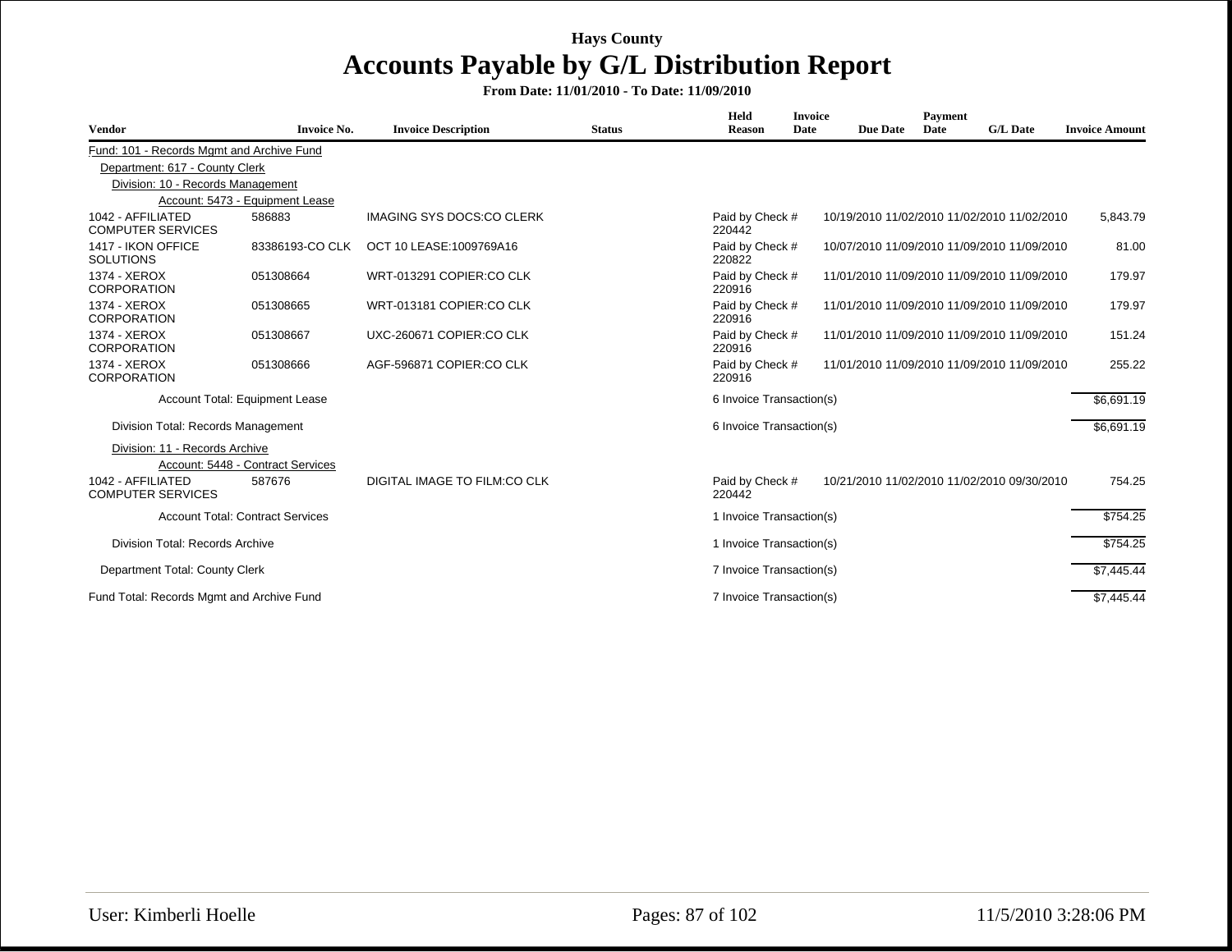| <b>Vendor</b>                                 | <b>Invoice No.</b>                      | <b>Invoice Description</b>       | <b>Status</b> | Held<br><b>Reason</b>     | <b>Invoice</b><br>Date | <b>Due Date</b> | <b>Payment</b><br>Date | <b>G/L Date</b>                             | <b>Invoice Amount</b> |
|-----------------------------------------------|-----------------------------------------|----------------------------------|---------------|---------------------------|------------------------|-----------------|------------------------|---------------------------------------------|-----------------------|
| Fund: 101 - Records Mgmt and Archive Fund     |                                         |                                  |               |                           |                        |                 |                        |                                             |                       |
| Department: 617 - County Clerk                |                                         |                                  |               |                           |                        |                 |                        |                                             |                       |
| Division: 10 - Records Management             |                                         |                                  |               |                           |                        |                 |                        |                                             |                       |
|                                               | Account: 5473 - Equipment Lease         |                                  |               |                           |                        |                 |                        |                                             |                       |
| 1042 - AFFILIATED<br><b>COMPUTER SERVICES</b> | 586883                                  | <b>IMAGING SYS DOCS:CO CLERK</b> |               | Paid by Check #<br>220442 |                        |                 |                        | 10/19/2010 11/02/2010 11/02/2010 11/02/2010 | 5,843.79              |
| 1417 - IKON OFFICE<br><b>SOLUTIONS</b>        | 83386193-CO CLK                         | OCT 10 LEASE: 1009769A16         |               | Paid by Check #<br>220822 |                        |                 |                        | 10/07/2010 11/09/2010 11/09/2010 11/09/2010 | 81.00                 |
| 1374 - XEROX<br><b>CORPORATION</b>            | 051308664                               | WRT-013291 COPIER:CO CLK         |               | Paid by Check #<br>220916 |                        |                 |                        | 11/01/2010 11/09/2010 11/09/2010 11/09/2010 | 179.97                |
| 1374 - XEROX<br><b>CORPORATION</b>            | 051308665                               | WRT-013181 COPIER:CO CLK         |               | Paid by Check #<br>220916 |                        |                 |                        | 11/01/2010 11/09/2010 11/09/2010 11/09/2010 | 179.97                |
| 1374 - XEROX<br><b>CORPORATION</b>            | 051308667                               | UXC-260671 COPIER:CO CLK         |               | Paid by Check #<br>220916 |                        |                 |                        | 11/01/2010 11/09/2010 11/09/2010 11/09/2010 | 151.24                |
| 1374 - XEROX<br><b>CORPORATION</b>            | 051308666                               | AGF-596871 COPIER:CO CLK         |               | Paid by Check #<br>220916 |                        |                 |                        | 11/01/2010 11/09/2010 11/09/2010 11/09/2010 | 255.22                |
|                                               | Account Total: Equipment Lease          |                                  |               | 6 Invoice Transaction(s)  |                        |                 |                        |                                             | \$6,691.19            |
| Division Total: Records Management            |                                         |                                  |               | 6 Invoice Transaction(s)  |                        |                 |                        |                                             | \$6.691.19            |
| Division: 11 - Records Archive                | Account: 5448 - Contract Services       |                                  |               |                           |                        |                 |                        |                                             |                       |
| 1042 - AFFILIATED<br><b>COMPUTER SERVICES</b> | 587676                                  | DIGITAL IMAGE TO FILM:CO CLK     |               | Paid by Check #<br>220442 |                        |                 |                        | 10/21/2010 11/02/2010 11/02/2010 09/30/2010 | 754.25                |
|                                               | <b>Account Total: Contract Services</b> |                                  |               | 1 Invoice Transaction(s)  |                        |                 |                        |                                             | \$754.25              |
| Division Total: Records Archive               |                                         |                                  |               | 1 Invoice Transaction(s)  |                        |                 |                        |                                             | \$754.25              |
| Department Total: County Clerk                |                                         |                                  |               | 7 Invoice Transaction(s)  |                        |                 |                        |                                             | \$7,445.44            |
| Fund Total: Records Mgmt and Archive Fund     |                                         |                                  |               | 7 Invoice Transaction(s)  |                        |                 |                        |                                             | \$7,445.44            |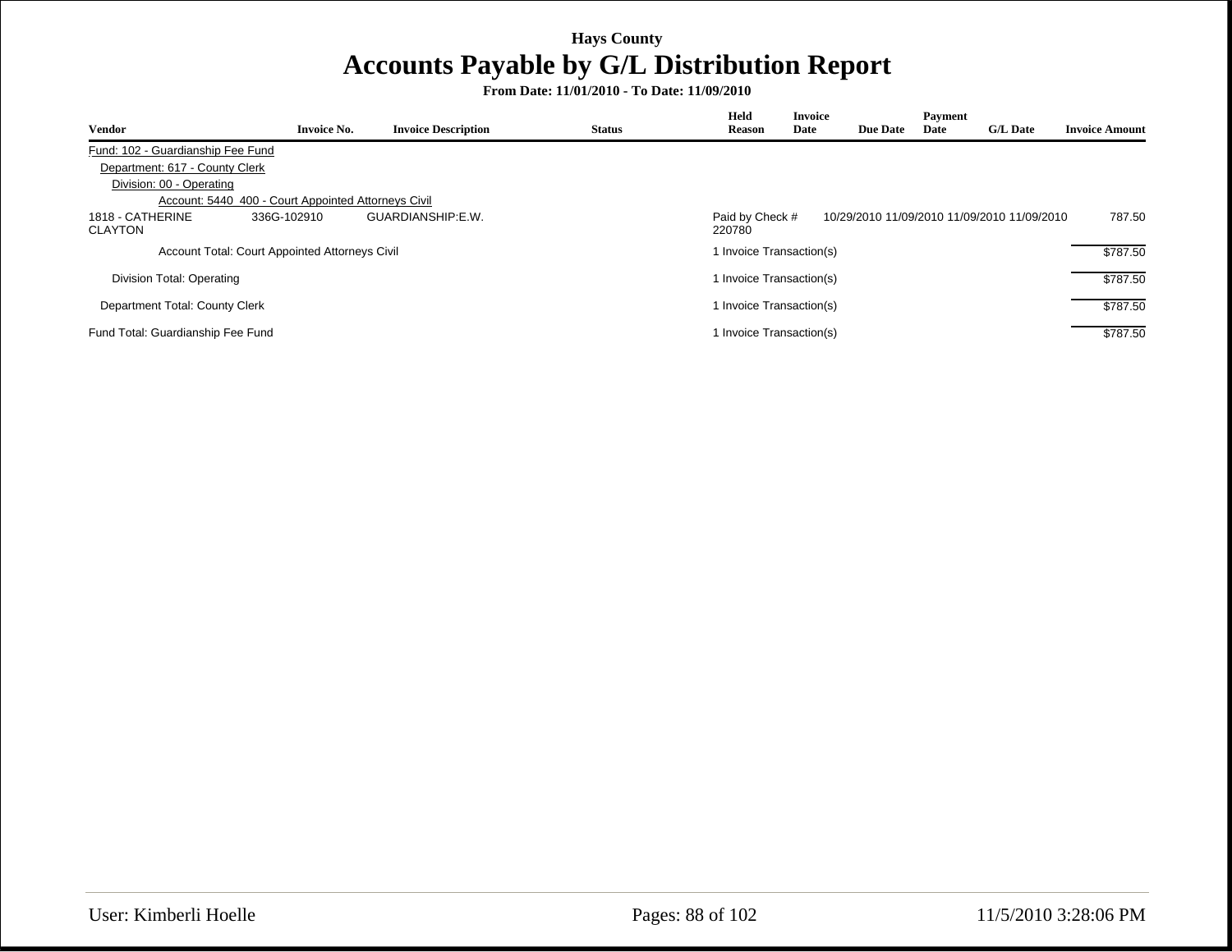| <b>Vendor</b>                      | <b>Invoice No.</b>                                  | <b>Invoice Description</b> | <b>Status</b> | Held<br><b>Reason</b>     | <b>Invoice</b><br>Date | <b>Due Date</b> | Payment<br>Date | <b>G/L Date</b>                             | <b>Invoice Amount</b> |
|------------------------------------|-----------------------------------------------------|----------------------------|---------------|---------------------------|------------------------|-----------------|-----------------|---------------------------------------------|-----------------------|
| Fund: 102 - Guardianship Fee Fund  |                                                     |                            |               |                           |                        |                 |                 |                                             |                       |
| Department: 617 - County Clerk     |                                                     |                            |               |                           |                        |                 |                 |                                             |                       |
| Division: 00 - Operating           |                                                     |                            |               |                           |                        |                 |                 |                                             |                       |
|                                    | Account: 5440_400 - Court Appointed Attorneys Civil |                            |               |                           |                        |                 |                 |                                             |                       |
| 1818 - CATHERINE<br><b>CLAYTON</b> | 336G-102910                                         | GUARDIANSHIP:E.W.          |               | Paid by Check #<br>220780 |                        |                 |                 | 10/29/2010 11/09/2010 11/09/2010 11/09/2010 | 787.50                |
|                                    | Account Total: Court Appointed Attorneys Civil      |                            |               | 1 Invoice Transaction(s)  |                        |                 |                 |                                             | \$787.50              |
| Division Total: Operating          |                                                     |                            |               | 1 Invoice Transaction(s)  |                        |                 |                 |                                             | \$787.50              |
| Department Total: County Clerk     |                                                     |                            |               | 1 Invoice Transaction(s)  |                        |                 |                 |                                             | \$787.50              |
| Fund Total: Guardianship Fee Fund  |                                                     |                            |               | 1 Invoice Transaction(s)  |                        |                 |                 |                                             | \$787.50              |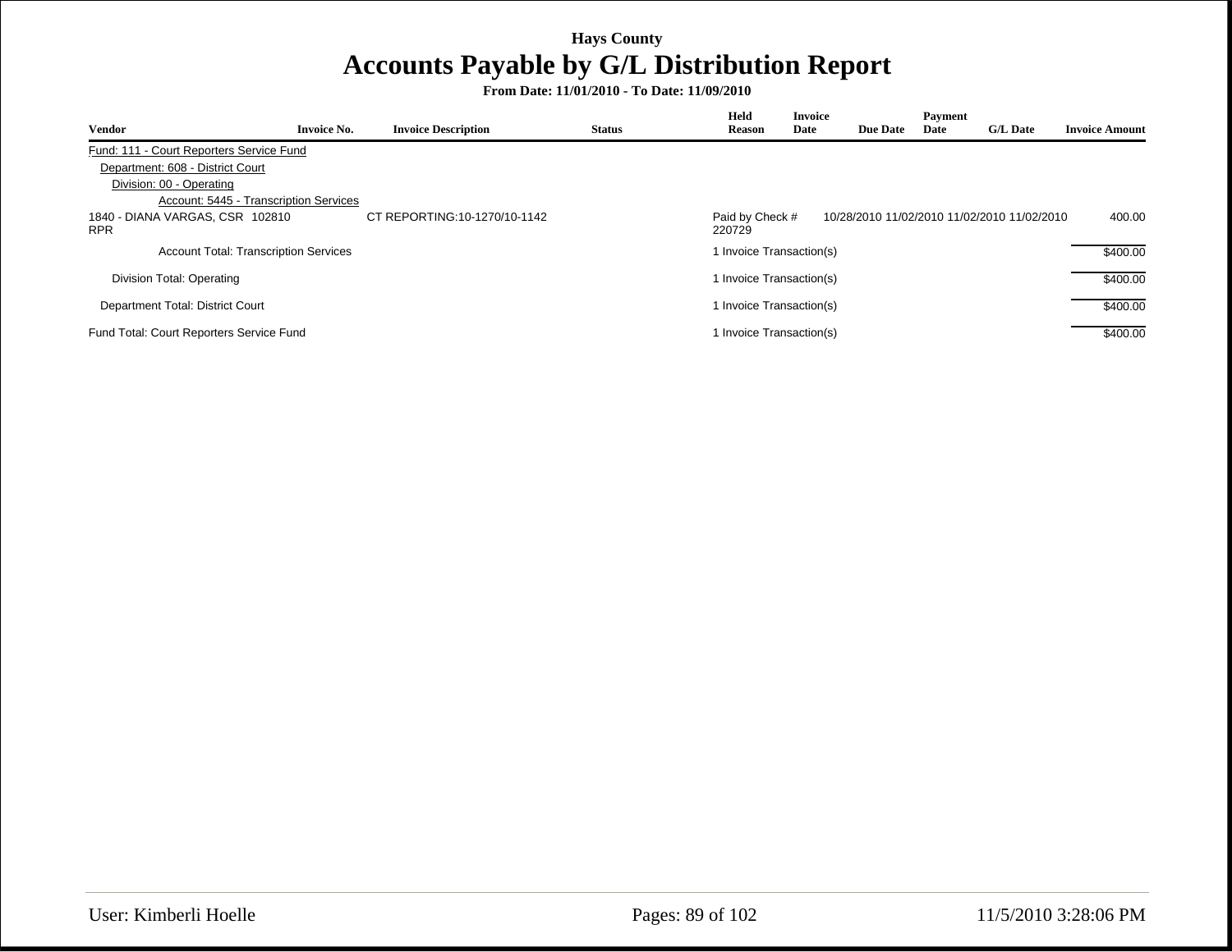| <b>Vendor</b>                                 | <b>Invoice No.</b> | <b>Invoice Description</b>   | <b>Status</b> | Held<br>Reason            | <b>Invoice</b><br>Date   | <b>Due Date</b> | Payment<br>Date | <b>G/L Date</b>                             | <b>Invoice Amount</b> |
|-----------------------------------------------|--------------------|------------------------------|---------------|---------------------------|--------------------------|-----------------|-----------------|---------------------------------------------|-----------------------|
| Fund: 111 - Court Reporters Service Fund      |                    |                              |               |                           |                          |                 |                 |                                             |                       |
| Department: 608 - District Court              |                    |                              |               |                           |                          |                 |                 |                                             |                       |
| Division: 00 - Operating                      |                    |                              |               |                           |                          |                 |                 |                                             |                       |
| Account: 5445 - Transcription Services        |                    |                              |               |                           |                          |                 |                 |                                             |                       |
| 1840 - DIANA VARGAS, CSR 102810<br><b>RPR</b> |                    | CT REPORTING:10-1270/10-1142 |               | Paid by Check #<br>220729 |                          |                 |                 | 10/28/2010 11/02/2010 11/02/2010 11/02/2010 | 400.00                |
| <b>Account Total: Transcription Services</b>  |                    |                              |               |                           | 1 Invoice Transaction(s) |                 |                 |                                             | \$400.00              |
| Division Total: Operating                     |                    |                              |               |                           | 1 Invoice Transaction(s) |                 |                 |                                             | \$400.00              |
| Department Total: District Court              |                    |                              |               |                           | 1 Invoice Transaction(s) |                 |                 |                                             | \$400.00              |
| Fund Total: Court Reporters Service Fund      |                    |                              |               |                           | 1 Invoice Transaction(s) |                 |                 |                                             | \$400.00              |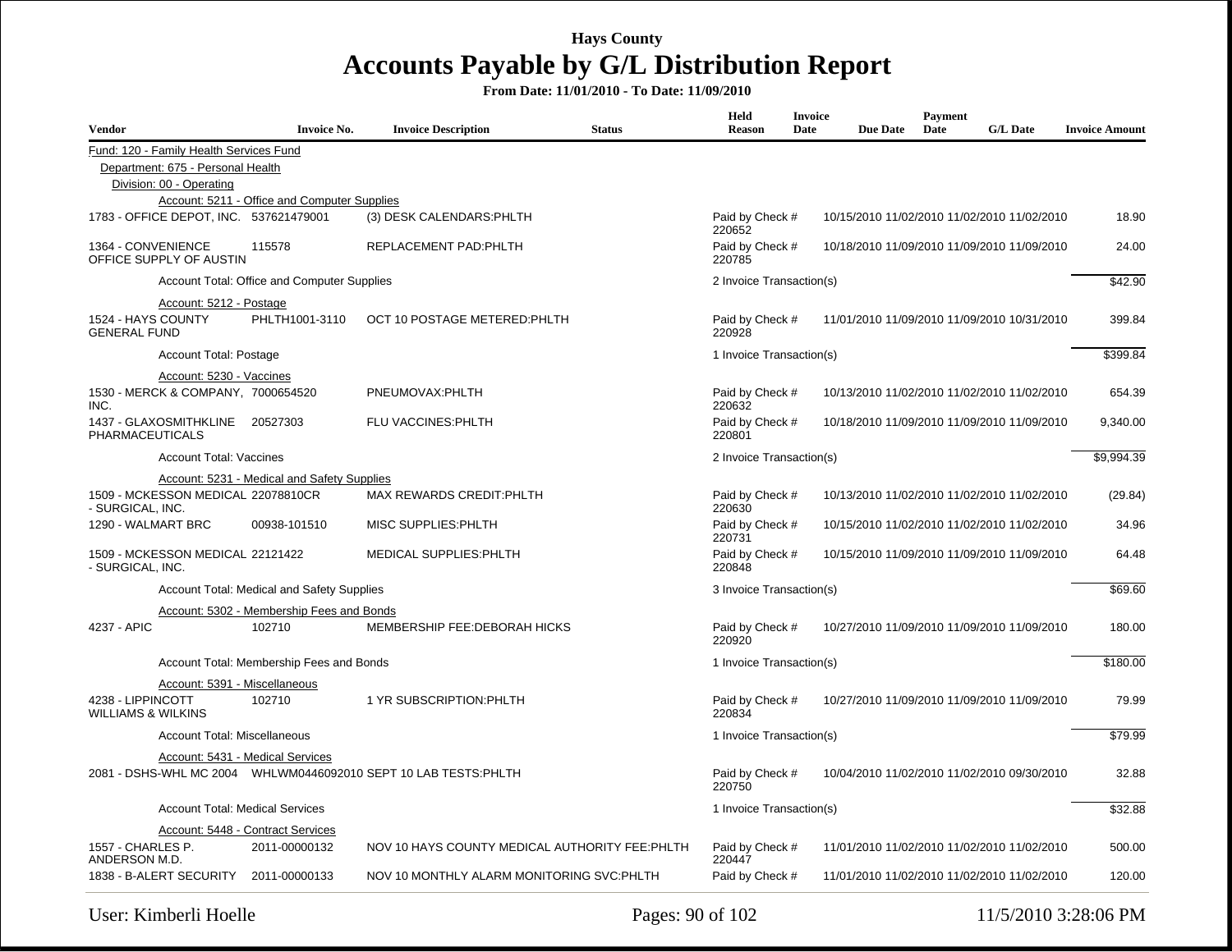| <b>Vendor</b>                                          | <b>Invoice No.</b>                           | <b>Invoice Description</b>                      | <b>Status</b> | Held<br><b>Reason</b>                                                    | <b>Invoice</b><br>Date | <b>Due Date</b> | Payment<br>Date | <b>G/L Date</b>                             | <b>Invoice Amount</b> |
|--------------------------------------------------------|----------------------------------------------|-------------------------------------------------|---------------|--------------------------------------------------------------------------|------------------------|-----------------|-----------------|---------------------------------------------|-----------------------|
| Fund: 120 - Family Health Services Fund                |                                              |                                                 |               |                                                                          |                        |                 |                 |                                             |                       |
| Department: 675 - Personal Health                      |                                              |                                                 |               |                                                                          |                        |                 |                 |                                             |                       |
| Division: 00 - Operating                               |                                              |                                                 |               |                                                                          |                        |                 |                 |                                             |                       |
|                                                        | Account: 5211 - Office and Computer Supplies |                                                 |               |                                                                          |                        |                 |                 |                                             |                       |
| 1783 - OFFICE DEPOT. INC. 537621479001                 |                                              | (3) DESK CALENDARS: PHLTH                       |               | Paid by Check #<br>220652                                                |                        |                 |                 | 10/15/2010 11/02/2010 11/02/2010 11/02/2010 | 18.90                 |
| 1364 - CONVENIENCE<br>OFFICE SUPPLY OF AUSTIN          | 115578                                       | REPLACEMENT PAD:PHLTH                           |               | Paid by Check #<br>220785                                                |                        |                 |                 | 10/18/2010 11/09/2010 11/09/2010 11/09/2010 | 24.00                 |
|                                                        | Account Total: Office and Computer Supplies  |                                                 |               | 2 Invoice Transaction(s)                                                 |                        |                 |                 |                                             | \$42.90               |
| Account: 5212 - Postage                                |                                              |                                                 |               |                                                                          |                        |                 |                 |                                             |                       |
| 1524 - HAYS COUNTY<br><b>GENERAL FUND</b>              | PHLTH1001-3110                               | OCT 10 POSTAGE METERED: PHLTH                   |               | Paid by Check #<br>220928                                                |                        |                 |                 | 11/01/2010 11/09/2010 11/09/2010 10/31/2010 | 399.84                |
| Account Total: Postage                                 |                                              |                                                 |               | 1 Invoice Transaction(s)                                                 |                        |                 |                 |                                             | \$399.84              |
| Account: 5230 - Vaccines                               |                                              |                                                 |               |                                                                          |                        |                 |                 |                                             |                       |
| 1530 - MERCK & COMPANY, 7000654520<br>INC.             |                                              | PNEUMOVAX:PHLTH                                 |               | Paid by Check #<br>220632                                                |                        |                 |                 | 10/13/2010 11/02/2010 11/02/2010 11/02/2010 | 654.39                |
| 1437 - GLAXOSMITHKLINE 20527303<br>PHARMACEUTICALS     |                                              | FLU VACCINES: PHLTH                             |               | Paid by Check #<br>220801                                                |                        |                 |                 | 10/18/2010 11/09/2010 11/09/2010 11/09/2010 | 9,340.00              |
| <b>Account Total: Vaccines</b>                         |                                              |                                                 |               | 2 Invoice Transaction(s)                                                 |                        |                 |                 |                                             | \$9,994.39            |
|                                                        | Account: 5231 - Medical and Safety Supplies  |                                                 |               |                                                                          |                        |                 |                 |                                             |                       |
| 1509 - MCKESSON MEDICAL 22078810CR<br>- SURGICAL, INC. |                                              | MAX REWARDS CREDIT: PHLTH                       |               | Paid by Check #<br>10/13/2010 11/02/2010 11/02/2010 11/02/2010<br>220630 |                        |                 |                 |                                             | (29.84)               |
| 1290 - WALMART BRC                                     | 00938-101510                                 | MISC SUPPLIES: PHLTH                            |               | Paid by Check #<br>220731                                                |                        |                 |                 | 10/15/2010 11/02/2010 11/02/2010 11/02/2010 | 34.96                 |
| 1509 - MCKESSON MEDICAL 22121422<br>- SURGICAL, INC.   |                                              | MEDICAL SUPPLIES: PHLTH                         |               | Paid by Check #<br>220848                                                |                        |                 |                 | 10/15/2010 11/09/2010 11/09/2010 11/09/2010 | 64.48                 |
|                                                        | Account Total: Medical and Safety Supplies   |                                                 |               | 3 Invoice Transaction(s)                                                 |                        |                 |                 |                                             | \$69.60               |
|                                                        | Account: 5302 - Membership Fees and Bonds    |                                                 |               |                                                                          |                        |                 |                 |                                             |                       |
| 4237 - APIC                                            | 102710                                       | MEMBERSHIP FEE: DEBORAH HICKS                   |               | Paid by Check #<br>220920                                                |                        |                 |                 | 10/27/2010 11/09/2010 11/09/2010 11/09/2010 | 180.00                |
|                                                        | Account Total: Membership Fees and Bonds     |                                                 |               | 1 Invoice Transaction(s)                                                 |                        |                 |                 |                                             | \$180.00              |
|                                                        | Account: 5391 - Miscellaneous                |                                                 |               |                                                                          |                        |                 |                 |                                             |                       |
| 4238 - LIPPINCOTT<br><b>WILLIAMS &amp; WILKINS</b>     | 102710                                       | 1 YR SUBSCRIPTION: PHLTH                        |               | Paid by Check #<br>220834                                                |                        |                 |                 | 10/27/2010 11/09/2010 11/09/2010 11/09/2010 | 79.99                 |
| <b>Account Total: Miscellaneous</b>                    |                                              |                                                 |               | 1 Invoice Transaction(s)                                                 |                        |                 |                 |                                             | \$79.99               |
|                                                        | Account: 5431 - Medical Services             |                                                 |               |                                                                          |                        |                 |                 |                                             |                       |
|                                                        |                                              |                                                 |               | Paid by Check #<br>220750                                                |                        |                 |                 | 10/04/2010 11/02/2010 11/02/2010 09/30/2010 | 32.88                 |
|                                                        | <b>Account Total: Medical Services</b>       |                                                 |               | 1 Invoice Transaction(s)                                                 |                        |                 |                 |                                             | \$32.88               |
|                                                        | Account: 5448 - Contract Services            |                                                 |               |                                                                          |                        |                 |                 |                                             |                       |
| 1557 - CHARLES P.<br>ANDERSON M.D.                     | 2011-00000132                                | NOV 10 HAYS COUNTY MEDICAL AUTHORITY FEE: PHLTH |               | Paid by Check #<br>220447                                                |                        |                 |                 | 11/01/2010 11/02/2010 11/02/2010 11/02/2010 | 500.00                |
| 1838 - B-ALERT SECURITY 2011-00000133                  |                                              | NOV 10 MONTHLY ALARM MONITORING SVC:PHLTH       |               | Paid by Check #                                                          |                        |                 |                 | 11/01/2010 11/02/2010 11/02/2010 11/02/2010 | 120.00                |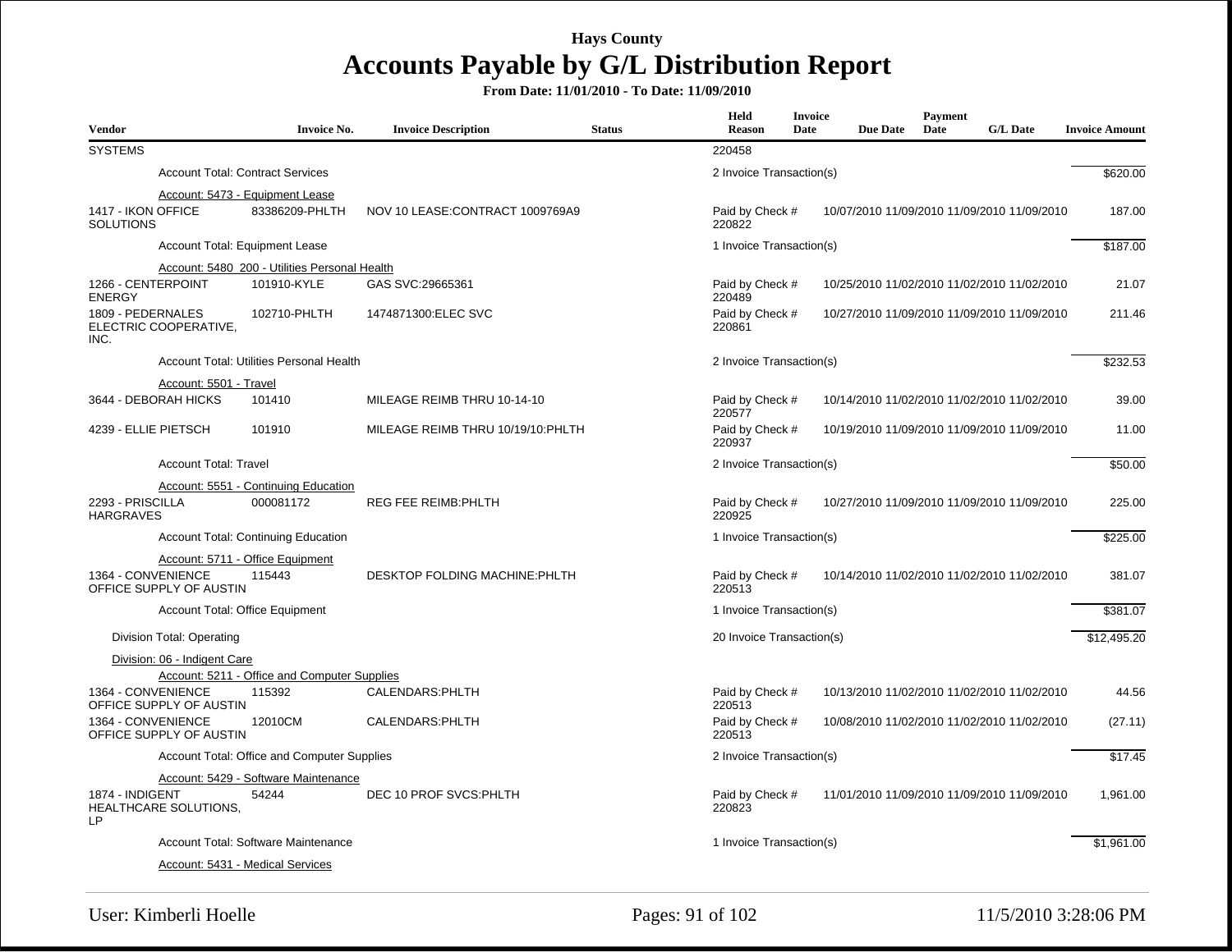| Vendor                                             | <b>Invoice No.</b>                                | <b>Invoice Description</b>        | <b>Status</b> | Held<br><b>Reason</b>     | <b>Invoice</b><br>Date | <b>Due Date</b> | Payment<br>Date | <b>G/L Date</b>                             | <b>Invoice Amount</b> |
|----------------------------------------------------|---------------------------------------------------|-----------------------------------|---------------|---------------------------|------------------------|-----------------|-----------------|---------------------------------------------|-----------------------|
| <b>SYSTEMS</b>                                     |                                                   |                                   |               | 220458                    |                        |                 |                 |                                             |                       |
|                                                    | <b>Account Total: Contract Services</b>           |                                   |               | 2 Invoice Transaction(s)  |                        |                 |                 |                                             | \$620.00              |
| 1417 - IKON OFFICE<br><b>SOLUTIONS</b>             | Account: 5473 - Equipment Lease<br>83386209-PHLTH | NOV 10 LEASE: CONTRACT 1009769A9  |               | Paid by Check #<br>220822 |                        |                 |                 | 10/07/2010 11/09/2010 11/09/2010 11/09/2010 | 187.00                |
|                                                    | <b>Account Total: Equipment Lease</b>             |                                   |               | 1 Invoice Transaction(s)  |                        |                 |                 |                                             | \$187.00              |
|                                                    | Account: 5480_200 - Utilities Personal Health     |                                   |               |                           |                        |                 |                 |                                             |                       |
| 1266 - CENTERPOINT<br><b>ENERGY</b>                | 101910-KYLE                                       | GAS SVC:29665361                  |               | Paid by Check #<br>220489 |                        |                 |                 | 10/25/2010 11/02/2010 11/02/2010 11/02/2010 | 21.07                 |
| 1809 - PEDERNALES<br>ELECTRIC COOPERATIVE,<br>INC. | 102710-PHLTH                                      | 1474871300:ELEC SVC               |               | Paid by Check #<br>220861 |                        |                 |                 | 10/27/2010 11/09/2010 11/09/2010 11/09/2010 | 211.46                |
|                                                    | Account Total: Utilities Personal Health          |                                   |               | 2 Invoice Transaction(s)  |                        |                 |                 |                                             | \$232.53              |
| Account: 5501 - Travel                             |                                                   |                                   |               |                           |                        |                 |                 |                                             |                       |
| 3644 - DEBORAH HICKS                               | 101410                                            | MILEAGE REIMB THRU 10-14-10       |               | Paid by Check #<br>220577 |                        |                 |                 | 10/14/2010 11/02/2010 11/02/2010 11/02/2010 | 39.00                 |
| 4239 - ELLIE PIETSCH                               | 101910                                            | MILEAGE REIMB THRU 10/19/10:PHLTH |               | Paid by Check #<br>220937 |                        |                 |                 | 10/19/2010 11/09/2010 11/09/2010 11/09/2010 | 11.00                 |
| <b>Account Total: Travel</b>                       |                                                   |                                   |               | 2 Invoice Transaction(s)  |                        |                 |                 |                                             | \$50.00               |
|                                                    | Account: 5551 - Continuing Education              |                                   |               |                           |                        |                 |                 |                                             |                       |
| 2293 - PRISCILLA<br><b>HARGRAVES</b>               | 000081172                                         | <b>REG FEE REIMB: PHLTH</b>       |               | Paid by Check #<br>220925 |                        |                 |                 | 10/27/2010 11/09/2010 11/09/2010 11/09/2010 | 225.00                |
|                                                    | Account Total: Continuing Education               |                                   |               | 1 Invoice Transaction(s)  |                        |                 |                 |                                             | \$225.00              |
|                                                    | Account: 5711 - Office Equipment                  |                                   |               |                           |                        |                 |                 |                                             |                       |
| 1364 - CONVENIENCE<br>OFFICE SUPPLY OF AUSTIN      | 115443                                            | DESKTOP FOLDING MACHINE: PHLTH    |               | Paid by Check #<br>220513 |                        |                 |                 | 10/14/2010 11/02/2010 11/02/2010 11/02/2010 | 381.07                |
|                                                    | <b>Account Total: Office Equipment</b>            |                                   |               | 1 Invoice Transaction(s)  |                        |                 |                 |                                             | \$381.07              |
| Division Total: Operating                          |                                                   |                                   |               | 20 Invoice Transaction(s) |                        |                 |                 |                                             | \$12,495.20           |
| Division: 06 - Indigent Care                       |                                                   |                                   |               |                           |                        |                 |                 |                                             |                       |
|                                                    | Account: 5211 - Office and Computer Supplies      |                                   |               |                           |                        |                 |                 |                                             |                       |
| 1364 - CONVENIENCE<br>OFFICE SUPPLY OF AUSTIN      | 115392                                            | CALENDARS: PHLTH                  |               | Paid by Check #<br>220513 |                        |                 |                 | 10/13/2010 11/02/2010 11/02/2010 11/02/2010 | 44.56                 |
| 1364 - CONVENIENCE<br>OFFICE SUPPLY OF AUSTIN      | 12010CM                                           | CALENDARS: PHLTH                  |               | Paid by Check #<br>220513 |                        |                 |                 | 10/08/2010 11/02/2010 11/02/2010 11/02/2010 | (27.11)               |
|                                                    | Account Total: Office and Computer Supplies       |                                   |               | 2 Invoice Transaction(s)  |                        |                 |                 |                                             | \$17.45               |
|                                                    | Account: 5429 - Software Maintenance              |                                   |               |                           |                        |                 |                 |                                             |                       |
| 1874 - INDIGENT<br>HEALTHCARE SOLUTIONS,<br>LP.    | 54244                                             | DEC 10 PROF SVCS: PHLTH           |               | Paid by Check #<br>220823 |                        |                 |                 | 11/01/2010 11/09/2010 11/09/2010 11/09/2010 | 1,961.00              |
|                                                    | Account Total: Software Maintenance               |                                   |               | 1 Invoice Transaction(s)  |                        |                 |                 |                                             | \$1,961.00            |
|                                                    | Account: 5431 - Medical Services                  |                                   |               |                           |                        |                 |                 |                                             |                       |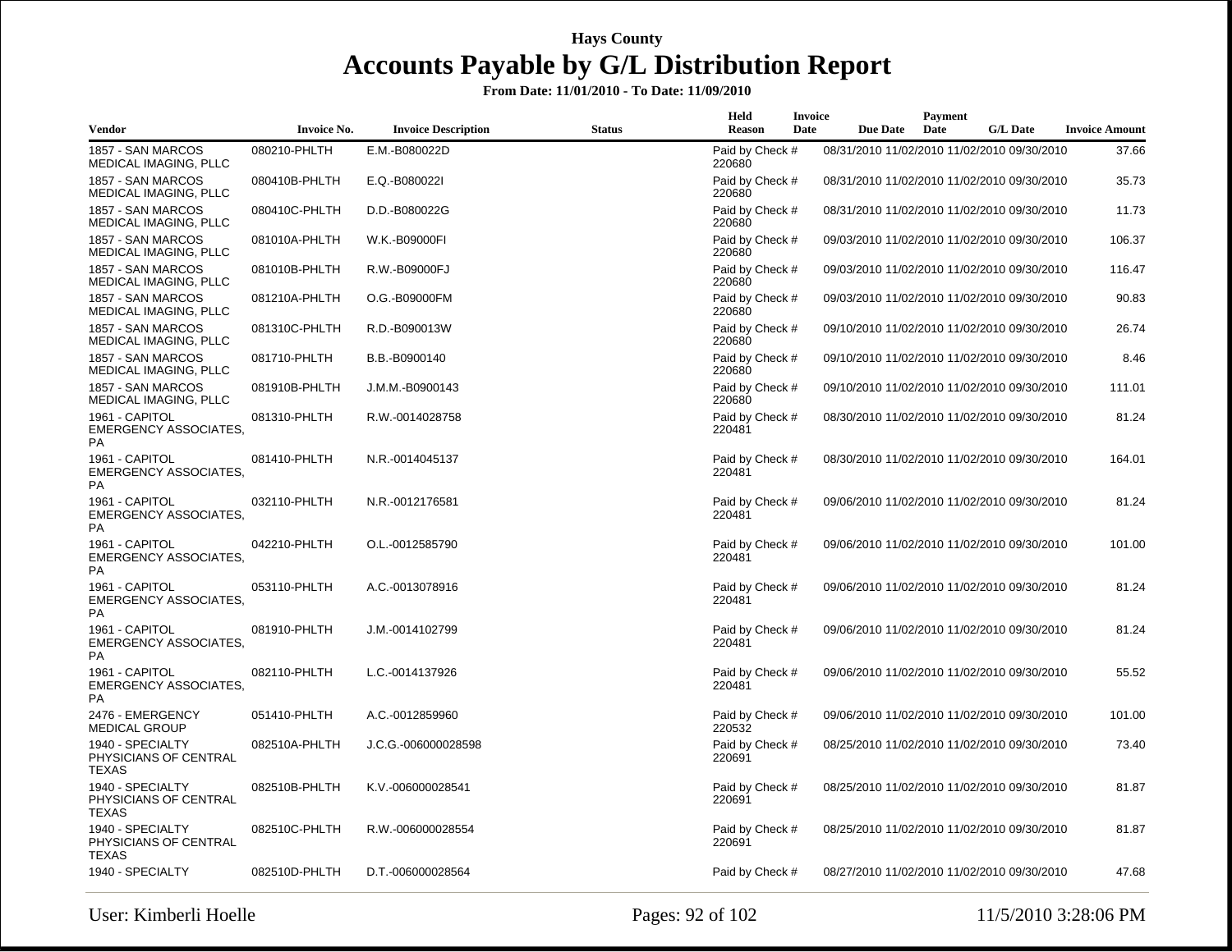| Vendor                                                      | <b>Invoice No.</b> | <b>Invoice Description</b> | <b>Status</b> | Held<br><b>Reason</b>     | Invoice<br>Date | <b>Due Date</b> | Payment<br>Date | <b>G/L Date</b>                             | <b>Invoice Amount</b> |
|-------------------------------------------------------------|--------------------|----------------------------|---------------|---------------------------|-----------------|-----------------|-----------------|---------------------------------------------|-----------------------|
| 1857 - SAN MARCOS<br>MEDICAL IMAGING, PLLC                  | 080210-PHLTH       | E.M.-B080022D              |               | Paid by Check #<br>220680 |                 |                 |                 | 08/31/2010 11/02/2010 11/02/2010 09/30/2010 | 37.66                 |
| 1857 - SAN MARCOS<br>MEDICAL IMAGING, PLLC                  | 080410B-PHLTH      | E.Q.-B080022I              |               | Paid by Check #<br>220680 |                 |                 |                 | 08/31/2010 11/02/2010 11/02/2010 09/30/2010 | 35.73                 |
| 1857 - SAN MARCOS<br>MEDICAL IMAGING, PLLC                  | 080410C-PHLTH      | D.D.-B080022G              |               | Paid by Check #<br>220680 |                 |                 |                 | 08/31/2010 11/02/2010 11/02/2010 09/30/2010 | 11.73                 |
| 1857 - SAN MARCOS<br>MEDICAL IMAGING, PLLC                  | 081010A-PHLTH      | W.K.-B09000FI              |               | Paid by Check #<br>220680 |                 |                 |                 | 09/03/2010 11/02/2010 11/02/2010 09/30/2010 | 106.37                |
| 1857 - SAN MARCOS<br>MEDICAL IMAGING, PLLC                  | 081010B-PHLTH      | R.W.-B09000FJ              |               | Paid by Check #<br>220680 |                 |                 |                 | 09/03/2010 11/02/2010 11/02/2010 09/30/2010 | 116.47                |
| 1857 - SAN MARCOS<br>MEDICAL IMAGING, PLLC                  | 081210A-PHLTH      | O.G.-B09000FM              |               | Paid by Check #<br>220680 |                 |                 |                 | 09/03/2010 11/02/2010 11/02/2010 09/30/2010 | 90.83                 |
| 1857 - SAN MARCOS<br>MEDICAL IMAGING, PLLC                  | 081310C-PHLTH      | R.D.-B090013W              |               | Paid by Check #<br>220680 |                 |                 |                 | 09/10/2010 11/02/2010 11/02/2010 09/30/2010 | 26.74                 |
| 1857 - SAN MARCOS<br><b>MEDICAL IMAGING, PLLC</b>           | 081710-PHLTH       | B.B.-B0900140              |               | Paid by Check #<br>220680 |                 |                 |                 | 09/10/2010 11/02/2010 11/02/2010 09/30/2010 | 8.46                  |
| 1857 - SAN MARCOS<br>MEDICAL IMAGING, PLLC                  | 081910B-PHLTH      | J.M.M.-B0900143            |               | Paid by Check #<br>220680 |                 |                 |                 | 09/10/2010 11/02/2010 11/02/2010 09/30/2010 | 111.01                |
| 1961 - CAPITOL<br><b>EMERGENCY ASSOCIATES,</b><br><b>PA</b> | 081310-PHLTH       | R.W.-0014028758            |               | Paid by Check #<br>220481 |                 |                 |                 | 08/30/2010 11/02/2010 11/02/2010 09/30/2010 | 81.24                 |
| 1961 - CAPITOL<br><b>EMERGENCY ASSOCIATES,</b><br><b>PA</b> | 081410-PHLTH       | N.R.-0014045137            |               | Paid by Check #<br>220481 |                 |                 |                 | 08/30/2010 11/02/2010 11/02/2010 09/30/2010 | 164.01                |
| 1961 - CAPITOL<br><b>EMERGENCY ASSOCIATES,</b><br>PA        | 032110-PHLTH       | N.R.-0012176581            |               | Paid by Check #<br>220481 |                 |                 |                 | 09/06/2010 11/02/2010 11/02/2010 09/30/2010 | 81.24                 |
| 1961 - CAPITOL<br><b>EMERGENCY ASSOCIATES,</b><br>PA        | 042210-PHLTH       | O.L.-0012585790            |               | Paid by Check #<br>220481 |                 |                 |                 | 09/06/2010 11/02/2010 11/02/2010 09/30/2010 | 101.00                |
| 1961 - CAPITOL<br><b>EMERGENCY ASSOCIATES,</b><br>PA        | 053110-PHLTH       | A.C.-0013078916            |               | Paid by Check #<br>220481 |                 |                 |                 | 09/06/2010 11/02/2010 11/02/2010 09/30/2010 | 81.24                 |
| 1961 - CAPITOL<br><b>EMERGENCY ASSOCIATES,</b><br>PA        | 081910-PHLTH       | J.M.-0014102799            |               | Paid by Check #<br>220481 |                 |                 |                 | 09/06/2010 11/02/2010 11/02/2010 09/30/2010 | 81.24                 |
| 1961 - CAPITOL<br><b>EMERGENCY ASSOCIATES,</b><br>PA        | 082110-PHLTH       | L.C.-0014137926            |               | Paid by Check #<br>220481 |                 |                 |                 | 09/06/2010 11/02/2010 11/02/2010 09/30/2010 | 55.52                 |
| 2476 - EMERGENCY<br><b>MEDICAL GROUP</b>                    | 051410-PHLTH       | A.C.-0012859960            |               | Paid by Check #<br>220532 |                 |                 |                 | 09/06/2010 11/02/2010 11/02/2010 09/30/2010 | 101.00                |
| 1940 - SPECIALTY<br>PHYSICIANS OF CENTRAL<br>TEXAS          | 082510A-PHLTH      | J.C.G.-006000028598        |               | Paid by Check #<br>220691 |                 |                 |                 | 08/25/2010 11/02/2010 11/02/2010 09/30/2010 | 73.40                 |
| 1940 - SPECIALTY<br>PHYSICIANS OF CENTRAL<br><b>TEXAS</b>   | 082510B-PHLTH      | K.V.-006000028541          |               | Paid by Check #<br>220691 |                 |                 |                 | 08/25/2010 11/02/2010 11/02/2010 09/30/2010 | 81.87                 |
| 1940 - SPECIALTY<br>PHYSICIANS OF CENTRAL<br><b>TEXAS</b>   | 082510C-PHLTH      | R.W.-006000028554          |               | Paid by Check #<br>220691 |                 |                 |                 | 08/25/2010 11/02/2010 11/02/2010 09/30/2010 | 81.87                 |
| 1940 - SPECIALTY                                            | 082510D-PHLTH      | D.T.-006000028564          |               | Paid by Check #           |                 |                 |                 | 08/27/2010 11/02/2010 11/02/2010 09/30/2010 | 47.68                 |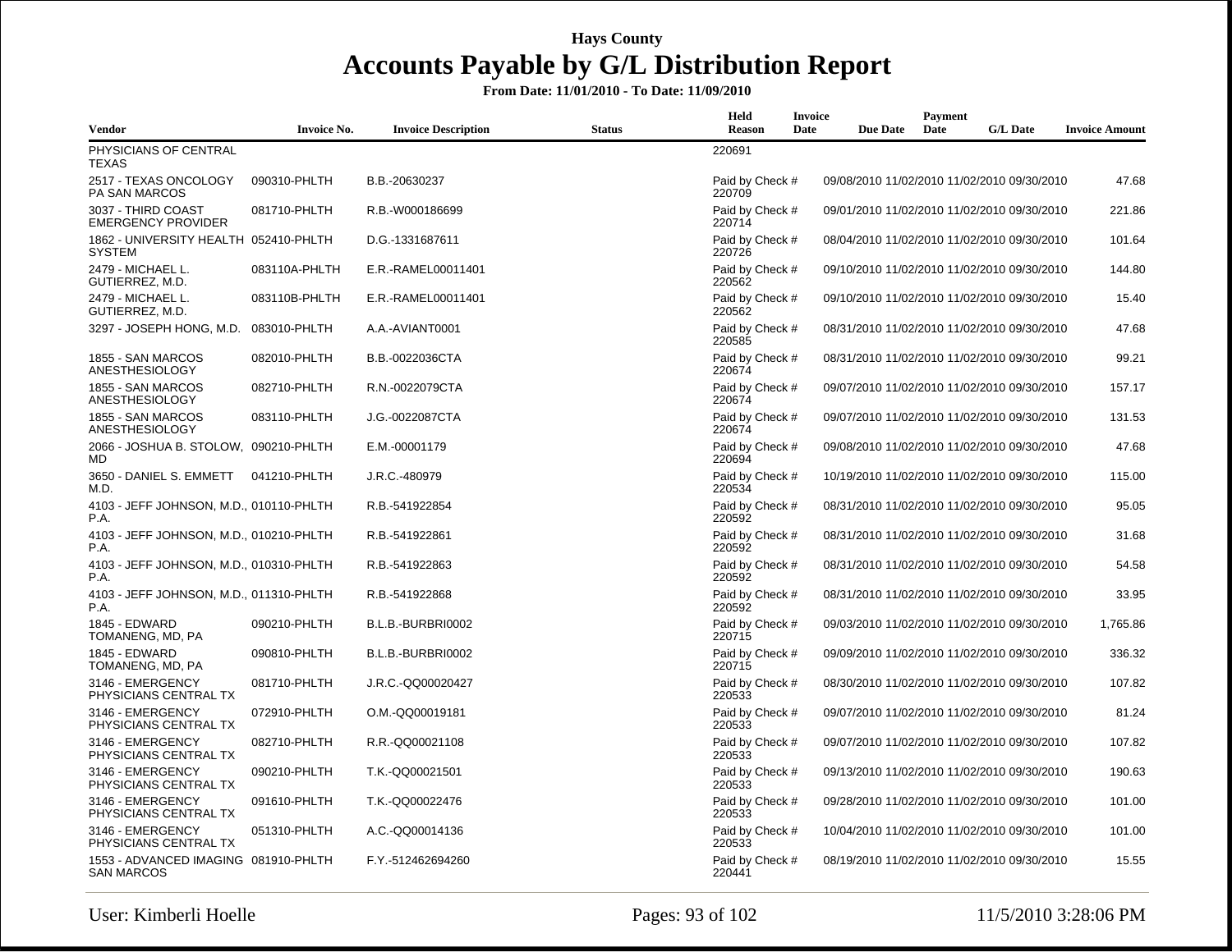| Vendor                                                    | <b>Invoice No.</b> | <b>Invoice Description</b> | <b>Status</b> | Held<br><b>Reason</b>     | Invoice<br>Date | <b>Due Date</b> | Payment<br>Date | <b>G/L Date</b>                             | <b>Invoice Amount</b> |
|-----------------------------------------------------------|--------------------|----------------------------|---------------|---------------------------|-----------------|-----------------|-----------------|---------------------------------------------|-----------------------|
| PHYSICIANS OF CENTRAL<br>TEXAS                            |                    |                            |               | 220691                    |                 |                 |                 |                                             |                       |
| 2517 - TEXAS ONCOLOGY<br>PA SAN MARCOS                    | 090310-PHLTH       | B.B.-20630237              |               | Paid by Check #<br>220709 |                 |                 |                 | 09/08/2010 11/02/2010 11/02/2010 09/30/2010 | 47.68                 |
| 3037 - THIRD COAST<br><b>EMERGENCY PROVIDER</b>           | 081710-PHLTH       | R.B.-W000186699            |               | Paid by Check #<br>220714 |                 |                 |                 | 09/01/2010 11/02/2010 11/02/2010 09/30/2010 | 221.86                |
| 1862 - UNIVERSITY HEALTH 052410-PHLTH<br><b>SYSTEM</b>    |                    | D.G.-1331687611            |               | Paid by Check #<br>220726 |                 |                 |                 | 08/04/2010 11/02/2010 11/02/2010 09/30/2010 | 101.64                |
| 2479 - MICHAEL L.<br>GUTIERREZ, M.D.                      | 083110A-PHLTH      | E.R.-RAMEL00011401         |               | Paid by Check #<br>220562 |                 |                 |                 | 09/10/2010 11/02/2010 11/02/2010 09/30/2010 | 144.80                |
| 2479 - MICHAEL L.<br>GUTIERREZ, M.D.                      | 083110B-PHLTH      | E.R.-RAMEL00011401         |               | Paid by Check #<br>220562 |                 |                 |                 | 09/10/2010 11/02/2010 11/02/2010 09/30/2010 | 15.40                 |
| 3297 - JOSEPH HONG, M.D. 083010-PHLTH                     |                    | A.A.-AVIANT0001            |               | Paid by Check #<br>220585 |                 |                 |                 | 08/31/2010 11/02/2010 11/02/2010 09/30/2010 | 47.68                 |
| 1855 - SAN MARCOS<br><b>ANESTHESIOLOGY</b>                | 082010-PHLTH       | B.B.-0022036CTA            |               | Paid by Check #<br>220674 |                 |                 |                 | 08/31/2010 11/02/2010 11/02/2010 09/30/2010 | 99.21                 |
| 1855 - SAN MARCOS<br><b>ANESTHESIOLOGY</b>                | 082710-PHLTH       | R.N.-0022079CTA            |               | Paid by Check #<br>220674 |                 |                 |                 | 09/07/2010 11/02/2010 11/02/2010 09/30/2010 | 157.17                |
| 1855 - SAN MARCOS<br><b>ANESTHESIOLOGY</b>                | 083110-PHLTH       | J.G.-0022087CTA            |               | Paid by Check #<br>220674 |                 |                 |                 | 09/07/2010 11/02/2010 11/02/2010 09/30/2010 | 131.53                |
| 2066 - JOSHUA B. STOLOW, 090210-PHLTH<br>MD               |                    | E.M.-00001179              |               | Paid by Check #<br>220694 |                 |                 |                 | 09/08/2010 11/02/2010 11/02/2010 09/30/2010 | 47.68                 |
| 3650 - DANIEL S. EMMETT<br>M.D.                           | 041210-PHLTH       | J.R.C.-480979              |               | Paid by Check #<br>220534 |                 |                 |                 | 10/19/2010 11/02/2010 11/02/2010 09/30/2010 | 115.00                |
| 4103 - JEFF JOHNSON, M.D., 010110-PHLTH<br>P.A.           |                    | R.B.-541922854             |               | Paid by Check #<br>220592 |                 |                 |                 | 08/31/2010 11/02/2010 11/02/2010 09/30/2010 | 95.05                 |
| 4103 - JEFF JOHNSON, M.D., 010210-PHLTH<br>P.A.           |                    | R.B.-541922861             |               | Paid by Check #<br>220592 |                 |                 |                 | 08/31/2010 11/02/2010 11/02/2010 09/30/2010 | 31.68                 |
| 4103 - JEFF JOHNSON, M.D., 010310-PHLTH<br>P.A.           |                    | R.B.-541922863             |               | Paid by Check #<br>220592 |                 |                 |                 | 08/31/2010 11/02/2010 11/02/2010 09/30/2010 | 54.58                 |
| 4103 - JEFF JOHNSON, M.D., 011310-PHLTH<br>P.A.           |                    | R.B.-541922868             |               | Paid by Check #<br>220592 |                 |                 |                 | 08/31/2010 11/02/2010 11/02/2010 09/30/2010 | 33.95                 |
| 1845 - EDWARD<br>TOMANENG, MD, PA                         | 090210-PHLTH       | B.L.B.-BURBRI0002          |               | Paid by Check #<br>220715 |                 |                 |                 | 09/03/2010 11/02/2010 11/02/2010 09/30/2010 | 1,765.86              |
| 1845 - EDWARD<br>TOMANENG, MD, PA                         | 090810-PHLTH       | B.L.B.-BURBRI0002          |               | Paid by Check #<br>220715 |                 |                 |                 | 09/09/2010 11/02/2010 11/02/2010 09/30/2010 | 336.32                |
| 3146 - EMERGENCY<br>PHYSICIANS CENTRAL TX                 | 081710-PHLTH       | J.R.C.-QQ00020427          |               | Paid by Check #<br>220533 |                 |                 |                 | 08/30/2010 11/02/2010 11/02/2010 09/30/2010 | 107.82                |
| 3146 - EMERGENCY<br>PHYSICIANS CENTRAL TX                 | 072910-PHLTH       | O.M.-QQ00019181            |               | Paid by Check #<br>220533 |                 |                 |                 | 09/07/2010 11/02/2010 11/02/2010 09/30/2010 | 81.24                 |
| 3146 - EMERGENCY<br>PHYSICIANS CENTRAL TX                 | 082710-PHLTH       | R.R.-QQ00021108            |               | Paid by Check #<br>220533 |                 |                 |                 | 09/07/2010 11/02/2010 11/02/2010 09/30/2010 | 107.82                |
| 3146 - EMERGENCY<br>PHYSICIANS CENTRAL TX                 | 090210-PHLTH       | T.K.-QQ00021501            |               | Paid by Check #<br>220533 |                 |                 |                 | 09/13/2010 11/02/2010 11/02/2010 09/30/2010 | 190.63                |
| 3146 - EMERGENCY<br>PHYSICIANS CENTRAL TX                 | 091610-PHLTH       | T.K.-QQ00022476            |               | Paid by Check #<br>220533 |                 |                 |                 | 09/28/2010 11/02/2010 11/02/2010 09/30/2010 | 101.00                |
| 3146 - EMERGENCY<br>PHYSICIANS CENTRAL TX                 | 051310-PHLTH       | A.C.-QQ00014136            |               | Paid by Check #<br>220533 |                 |                 |                 | 10/04/2010 11/02/2010 11/02/2010 09/30/2010 | 101.00                |
| 1553 - ADVANCED IMAGING 081910-PHLTH<br><b>SAN MARCOS</b> |                    | F.Y.-512462694260          |               | Paid by Check #<br>220441 |                 |                 |                 | 08/19/2010 11/02/2010 11/02/2010 09/30/2010 | 15.55                 |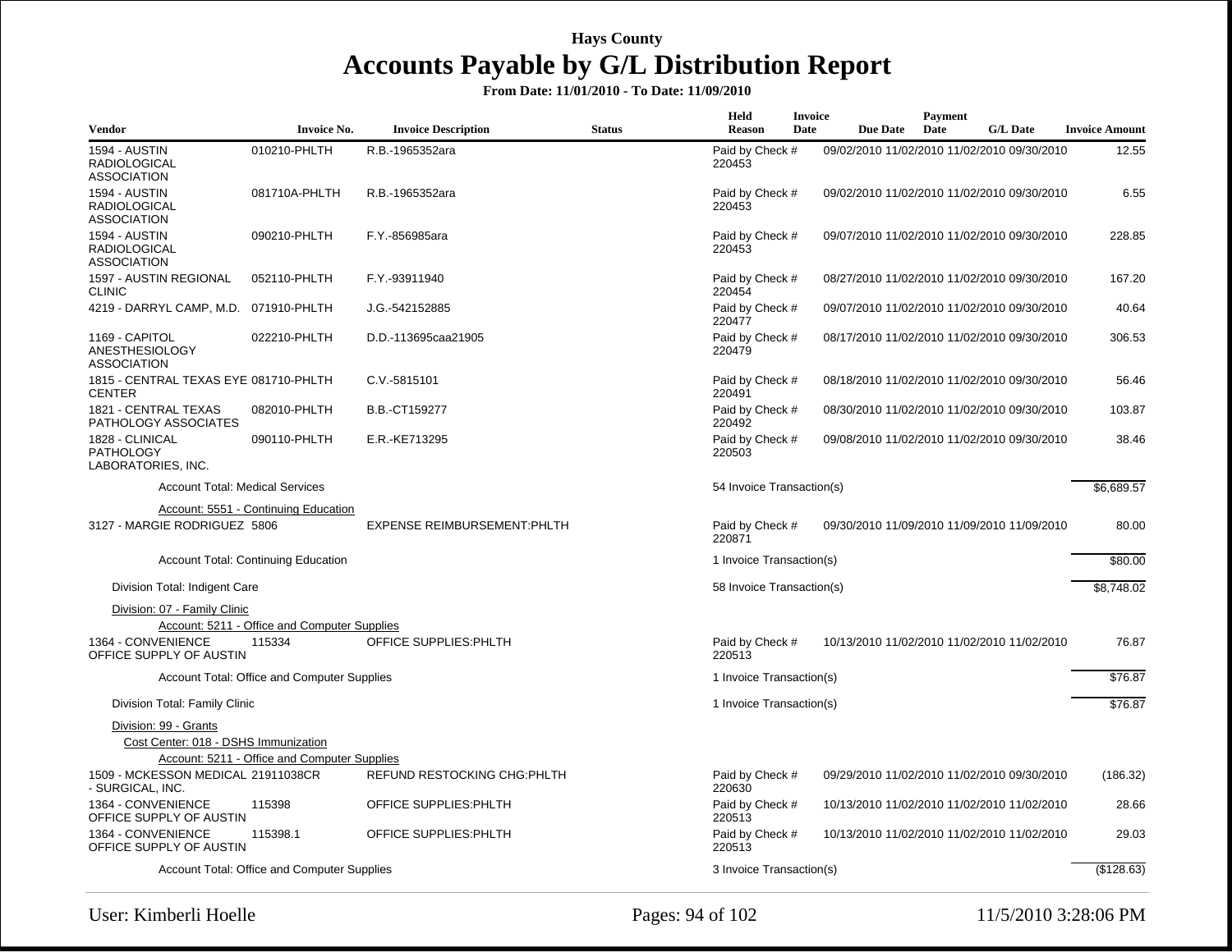| <b>Vendor</b>                                                     | <b>Invoice No.</b>                                  | <b>Invoice Description</b>          | <b>Status</b> | Held<br>Reason            | <b>Invoice</b><br>Date | <b>Due Date</b> | Payment<br>Date | <b>G/L Date</b>                             | <b>Invoice Amount</b> |
|-------------------------------------------------------------------|-----------------------------------------------------|-------------------------------------|---------------|---------------------------|------------------------|-----------------|-----------------|---------------------------------------------|-----------------------|
| <b>1594 - AUSTIN</b><br><b>RADIOLOGICAL</b><br><b>ASSOCIATION</b> | 010210-PHLTH                                        | R.B.-1965352ara                     |               | Paid by Check #<br>220453 |                        |                 |                 | 09/02/2010 11/02/2010 11/02/2010 09/30/2010 | 12.55                 |
| 1594 - AUSTIN<br><b>RADIOLOGICAL</b><br><b>ASSOCIATION</b>        | 081710A-PHLTH                                       | R.B.-1965352ara                     |               | Paid by Check #<br>220453 |                        |                 |                 | 09/02/2010 11/02/2010 11/02/2010 09/30/2010 | 6.55                  |
| 1594 - AUSTIN<br><b>RADIOLOGICAL</b><br><b>ASSOCIATION</b>        | 090210-PHLTH                                        | F.Y.-856985ara                      |               | Paid by Check #<br>220453 |                        |                 |                 | 09/07/2010 11/02/2010 11/02/2010 09/30/2010 | 228.85                |
| 1597 - AUSTIN REGIONAL<br><b>CLINIC</b>                           | 052110-PHLTH                                        | F.Y.-93911940                       |               | Paid by Check #<br>220454 |                        |                 |                 | 08/27/2010 11/02/2010 11/02/2010 09/30/2010 | 167.20                |
| 4219 - DARRYL CAMP, M.D. 071910-PHLTH                             |                                                     | J.G.-542152885                      |               | Paid by Check #<br>220477 |                        |                 |                 | 09/07/2010 11/02/2010 11/02/2010 09/30/2010 | 40.64                 |
| 1169 - CAPITOL<br><b>ANESTHESIOLOGY</b><br><b>ASSOCIATION</b>     | 022210-PHLTH                                        | D.D.-113695caa21905                 |               | Paid by Check #<br>220479 |                        |                 |                 | 08/17/2010 11/02/2010 11/02/2010 09/30/2010 | 306.53                |
| 1815 - CENTRAL TEXAS EYE 081710-PHLTH<br><b>CENTER</b>            |                                                     | C.V.-5815101                        |               | Paid by Check #<br>220491 |                        |                 |                 | 08/18/2010 11/02/2010 11/02/2010 09/30/2010 | 56.46                 |
| 1821 - CENTRAL TEXAS<br>PATHOLOGY ASSOCIATES                      | 082010-PHLTH                                        | B.B.-CT159277                       |               | Paid by Check #<br>220492 |                        |                 |                 | 08/30/2010 11/02/2010 11/02/2010 09/30/2010 | 103.87                |
| 1828 - CLINICAL<br><b>PATHOLOGY</b><br>LABORATORIES, INC.         | 090110-PHLTH                                        | E.R.-KE713295                       |               | Paid by Check #<br>220503 |                        |                 |                 | 09/08/2010 11/02/2010 11/02/2010 09/30/2010 | 38.46                 |
| <b>Account Total: Medical Services</b>                            |                                                     |                                     |               | 54 Invoice Transaction(s) |                        |                 |                 |                                             | \$6,689.57            |
|                                                                   | Account: 5551 - Continuing Education                |                                     |               |                           |                        |                 |                 |                                             |                       |
| 3127 - MARGIE RODRIGUEZ 5806                                      |                                                     | <b>EXPENSE REIMBURSEMENT: PHLTH</b> |               | Paid by Check #<br>220871 |                        |                 |                 | 09/30/2010 11/09/2010 11/09/2010 11/09/2010 | 80.00                 |
|                                                                   | <b>Account Total: Continuing Education</b>          |                                     |               | 1 Invoice Transaction(s)  |                        |                 |                 |                                             | \$80.00               |
| Division Total: Indigent Care                                     |                                                     |                                     |               | 58 Invoice Transaction(s) |                        |                 |                 |                                             | \$8.748.02            |
| Division: 07 - Family Clinic                                      |                                                     |                                     |               |                           |                        |                 |                 |                                             |                       |
|                                                                   | <b>Account: 5211 - Office and Computer Supplies</b> |                                     |               |                           |                        |                 |                 |                                             |                       |
| 1364 - CONVENIENCE<br>OFFICE SUPPLY OF AUSTIN                     | 115334                                              | OFFICE SUPPLIES: PHLTH              |               | Paid by Check #<br>220513 |                        |                 |                 | 10/13/2010 11/02/2010 11/02/2010 11/02/2010 | 76.87                 |
|                                                                   | Account Total: Office and Computer Supplies         |                                     |               | 1 Invoice Transaction(s)  |                        |                 |                 |                                             | \$76.87               |
| Division Total: Family Clinic                                     |                                                     |                                     |               | 1 Invoice Transaction(s)  |                        |                 |                 |                                             | \$76.87               |
| Division: 99 - Grants                                             |                                                     |                                     |               |                           |                        |                 |                 |                                             |                       |
| Cost Center: 018 - DSHS Immunization                              |                                                     |                                     |               |                           |                        |                 |                 |                                             |                       |
|                                                                   | Account: 5211 - Office and Computer Supplies        |                                     |               |                           |                        |                 |                 |                                             |                       |
| 1509 - MCKESSON MEDICAL 21911038CR<br>- SURGICAL, INC.            |                                                     | REFUND RESTOCKING CHG: PHLTH        |               | Paid by Check #<br>220630 |                        |                 |                 | 09/29/2010 11/02/2010 11/02/2010 09/30/2010 | (186.32)              |
| 1364 - CONVENIENCE<br>OFFICE SUPPLY OF AUSTIN                     | 115398                                              | OFFICE SUPPLIES: PHLTH              |               | Paid by Check #<br>220513 |                        |                 |                 | 10/13/2010 11/02/2010 11/02/2010 11/02/2010 | 28.66                 |
| 1364 - CONVENIENCE<br>OFFICE SUPPLY OF AUSTIN                     | 115398.1                                            | OFFICE SUPPLIES: PHLTH              |               | Paid by Check #<br>220513 |                        |                 |                 | 10/13/2010 11/02/2010 11/02/2010 11/02/2010 | 29.03                 |
|                                                                   | Account Total: Office and Computer Supplies         |                                     |               | 3 Invoice Transaction(s)  |                        |                 |                 |                                             | (\$128.63)            |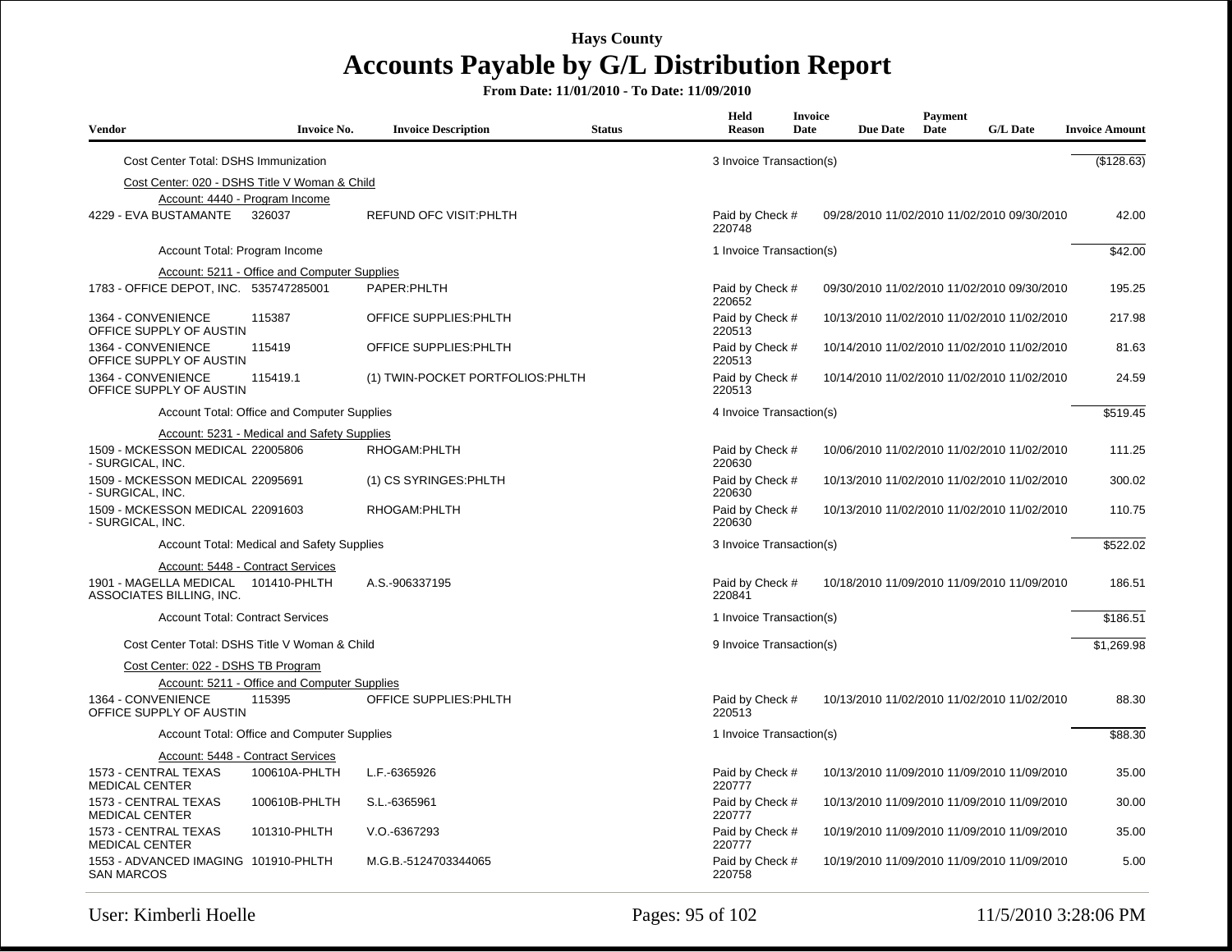| <b>Vendor</b>                                             | <b>Invoice No.</b>                           | <b>Invoice Description</b>       | <b>Status</b> | Held<br>Reason            | Invoice<br>Date | <b>Due Date</b>                             | Payment<br>Date | <b>G/L Date</b> | <b>Invoice Amount</b> |
|-----------------------------------------------------------|----------------------------------------------|----------------------------------|---------------|---------------------------|-----------------|---------------------------------------------|-----------------|-----------------|-----------------------|
| Cost Center Total: DSHS Immunization                      |                                              |                                  |               | 3 Invoice Transaction(s)  |                 |                                             |                 |                 | (\$128.63)            |
| Cost Center: 020 - DSHS Title V Woman & Child             |                                              |                                  |               |                           |                 |                                             |                 |                 |                       |
| Account: 4440 - Program Income                            |                                              |                                  |               |                           |                 |                                             |                 |                 |                       |
| 4229 - EVA BUSTAMANTE                                     | 326037                                       | <b>REFUND OFC VISIT: PHLTH</b>   |               | Paid by Check #<br>220748 |                 | 09/28/2010 11/02/2010 11/02/2010 09/30/2010 |                 |                 | 42.00                 |
| Account Total: Program Income                             |                                              |                                  |               | 1 Invoice Transaction(s)  |                 |                                             |                 |                 | \$42.00               |
|                                                           | Account: 5211 - Office and Computer Supplies |                                  |               |                           |                 |                                             |                 |                 |                       |
| 1783 - OFFICE DEPOT, INC. 535747285001                    |                                              | PAPER: PHLTH                     |               | Paid by Check #<br>220652 |                 | 09/30/2010 11/02/2010 11/02/2010 09/30/2010 |                 |                 | 195.25                |
| 1364 - CONVENIENCE<br>OFFICE SUPPLY OF AUSTIN             | 115387                                       | OFFICE SUPPLIES: PHLTH           |               | Paid by Check #<br>220513 |                 | 10/13/2010 11/02/2010 11/02/2010 11/02/2010 |                 |                 | 217.98                |
| 1364 - CONVENIENCE<br>OFFICE SUPPLY OF AUSTIN             | 115419                                       | OFFICE SUPPLIES: PHLTH           |               | Paid by Check #<br>220513 |                 | 10/14/2010 11/02/2010 11/02/2010 11/02/2010 |                 |                 | 81.63                 |
| 1364 - CONVENIENCE<br>OFFICE SUPPLY OF AUSTIN             | 115419.1                                     | (1) TWIN-POCKET PORTFOLIOS:PHLTH |               | Paid by Check #<br>220513 |                 | 10/14/2010 11/02/2010 11/02/2010 11/02/2010 |                 |                 | 24.59                 |
|                                                           | Account Total: Office and Computer Supplies  |                                  |               | 4 Invoice Transaction(s)  |                 |                                             |                 |                 | \$519.45              |
|                                                           | Account: 5231 - Medical and Safety Supplies  |                                  |               |                           |                 |                                             |                 |                 |                       |
| 1509 - MCKESSON MEDICAL 22005806<br>- SURGICAL, INC.      |                                              | RHOGAM: PHLTH                    |               | Paid by Check #<br>220630 |                 | 10/06/2010 11/02/2010 11/02/2010 11/02/2010 |                 |                 | 111.25                |
| 1509 - MCKESSON MEDICAL 22095691<br>- SURGICAL, INC.      |                                              | (1) CS SYRINGES: PHLTH           |               | Paid by Check #<br>220630 |                 | 10/13/2010 11/02/2010 11/02/2010 11/02/2010 |                 |                 | 300.02                |
| 1509 - MCKESSON MEDICAL 22091603<br>- SURGICAL, INC.      |                                              | RHOGAM: PHLTH                    |               | Paid by Check #<br>220630 |                 | 10/13/2010 11/02/2010 11/02/2010 11/02/2010 |                 |                 | 110.75                |
|                                                           | Account Total: Medical and Safety Supplies   |                                  |               | 3 Invoice Transaction(s)  |                 |                                             |                 |                 | \$522.02              |
| Account: 5448 - Contract Services                         |                                              |                                  |               |                           |                 |                                             |                 |                 |                       |
| 1901 - MAGELLA MEDICAL<br>ASSOCIATES BILLING, INC.        | 101410-PHLTH                                 | A.S.-906337195                   |               | Paid by Check #<br>220841 |                 | 10/18/2010 11/09/2010 11/09/2010 11/09/2010 |                 |                 | 186.51                |
| <b>Account Total: Contract Services</b>                   |                                              |                                  |               | 1 Invoice Transaction(s)  |                 |                                             |                 |                 | \$186.51              |
| Cost Center Total: DSHS Title V Woman & Child             |                                              |                                  |               | 9 Invoice Transaction(s)  |                 |                                             |                 |                 | \$1,269.98            |
| Cost Center: 022 - DSHS TB Program                        |                                              |                                  |               |                           |                 |                                             |                 |                 |                       |
|                                                           | Account: 5211 - Office and Computer Supplies |                                  |               |                           |                 |                                             |                 |                 |                       |
| 1364 - CONVENIENCE<br>OFFICE SUPPLY OF AUSTIN             | 115395                                       | OFFICE SUPPLIES: PHLTH           |               | Paid by Check #<br>220513 |                 | 10/13/2010 11/02/2010 11/02/2010 11/02/2010 |                 |                 | 88.30                 |
|                                                           | Account Total: Office and Computer Supplies  |                                  |               | 1 Invoice Transaction(s)  |                 |                                             |                 |                 | \$88.30               |
|                                                           | Account: 5448 - Contract Services            |                                  |               |                           |                 |                                             |                 |                 |                       |
| 1573 - CENTRAL TEXAS<br><b>MEDICAL CENTER</b>             | 100610A-PHLTH                                | L.F.-6365926                     |               | Paid by Check #<br>220777 |                 | 10/13/2010 11/09/2010 11/09/2010 11/09/2010 |                 |                 | 35.00                 |
| 1573 - CENTRAL TEXAS<br><b>MEDICAL CENTER</b>             | 100610B-PHLTH                                | S.L.-6365961                     |               | Paid by Check #<br>220777 |                 | 10/13/2010 11/09/2010 11/09/2010 11/09/2010 |                 |                 | 30.00                 |
| 1573 - CENTRAL TEXAS<br><b>MEDICAL CENTER</b>             | 101310-PHLTH                                 | V.O.-6367293                     |               | Paid by Check #<br>220777 |                 | 10/19/2010 11/09/2010 11/09/2010 11/09/2010 |                 |                 | 35.00                 |
| 1553 - ADVANCED IMAGING 101910-PHLTH<br><b>SAN MARCOS</b> |                                              | M.G.B.-5124703344065             |               | Paid by Check #<br>220758 |                 | 10/19/2010 11/09/2010 11/09/2010 11/09/2010 |                 |                 | 5.00                  |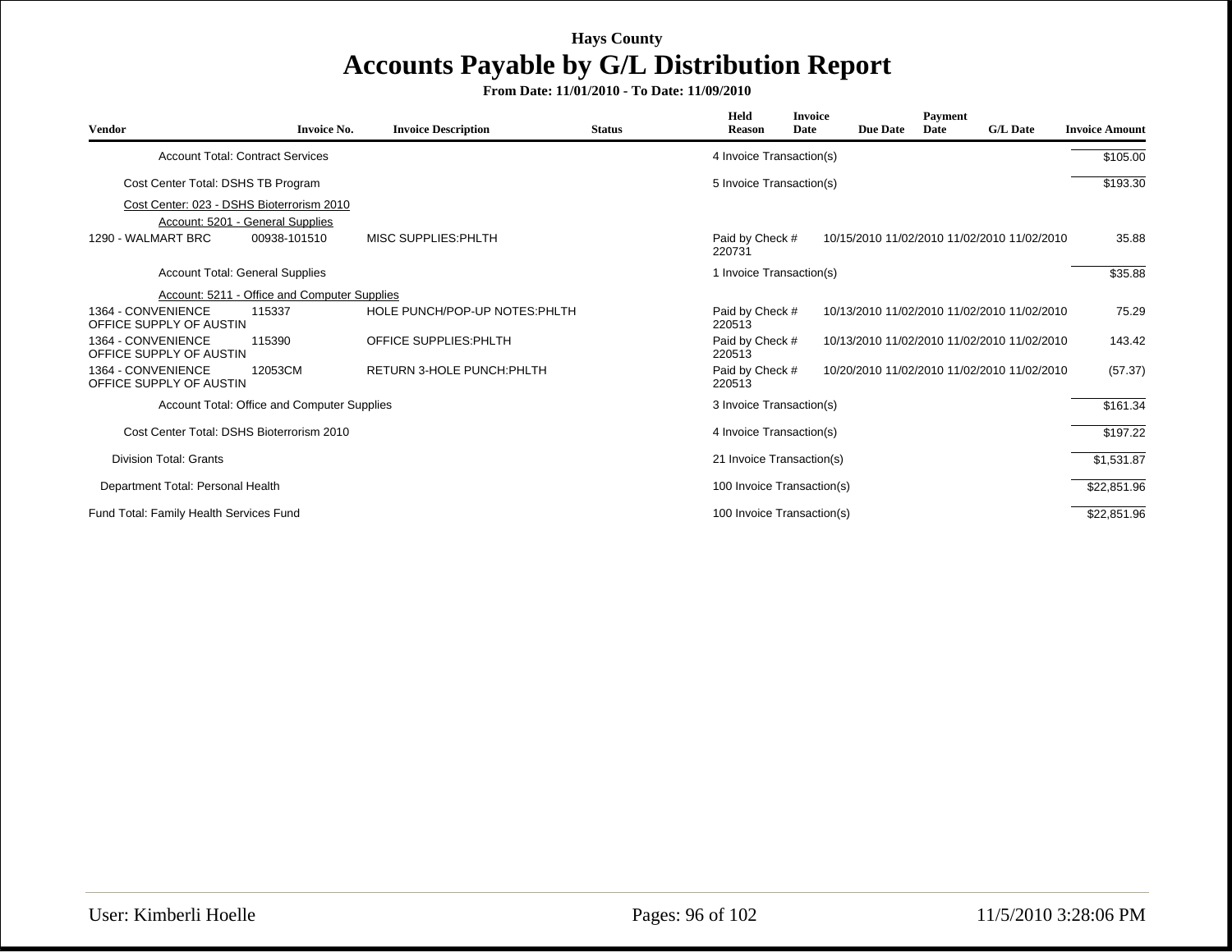| <b>Vendor</b>                                 | <b>Invoice No.</b>                           | <b>Invoice Description</b>        | <b>Status</b> | Held<br><b>Reason</b>      | <b>Invoice</b><br>Date | <b>Due Date</b> | Payment<br>Date | <b>G/L Date</b>                             | <b>Invoice Amount</b> |
|-----------------------------------------------|----------------------------------------------|-----------------------------------|---------------|----------------------------|------------------------|-----------------|-----------------|---------------------------------------------|-----------------------|
|                                               | <b>Account Total: Contract Services</b>      |                                   |               | 4 Invoice Transaction(s)   |                        |                 |                 |                                             | \$105.00              |
| Cost Center Total: DSHS TB Program            |                                              |                                   |               | 5 Invoice Transaction(s)   |                        |                 |                 |                                             | \$193.30              |
| Cost Center: 023 - DSHS Bioterrorism 2010     | Account: 5201 - General Supplies             |                                   |               |                            |                        |                 |                 |                                             |                       |
| 1290 - WALMART BRC                            | 00938-101510                                 | MISC SUPPLIES: PHLTH              |               | Paid by Check #<br>220731  |                        |                 |                 | 10/15/2010 11/02/2010 11/02/2010 11/02/2010 | 35.88                 |
| <b>Account Total: General Supplies</b>        |                                              |                                   |               | 1 Invoice Transaction(s)   |                        |                 |                 |                                             | \$35.88               |
|                                               | Account: 5211 - Office and Computer Supplies |                                   |               |                            |                        |                 |                 |                                             |                       |
| 1364 - CONVENIENCE<br>OFFICE SUPPLY OF AUSTIN | 115337                                       | HOLE PUNCH/POP-UP NOTES: PHLTH    |               | Paid by Check #<br>220513  |                        |                 |                 | 10/13/2010 11/02/2010 11/02/2010 11/02/2010 | 75.29                 |
| 1364 - CONVENIENCE<br>OFFICE SUPPLY OF AUSTIN | 115390                                       | OFFICE SUPPLIES: PHLTH            |               | Paid by Check #<br>220513  |                        |                 |                 | 10/13/2010 11/02/2010 11/02/2010 11/02/2010 | 143.42                |
| 1364 - CONVENIENCE<br>OFFICE SUPPLY OF AUSTIN | 12053CM                                      | <b>RETURN 3-HOLE PUNCH: PHLTH</b> |               | Paid by Check #<br>220513  |                        |                 |                 | 10/20/2010 11/02/2010 11/02/2010 11/02/2010 | (57.37)               |
|                                               | Account Total: Office and Computer Supplies  |                                   |               | 3 Invoice Transaction(s)   |                        |                 |                 |                                             | \$161.34              |
| Cost Center Total: DSHS Bioterrorism 2010     |                                              |                                   |               | 4 Invoice Transaction(s)   |                        |                 |                 |                                             | \$197.22              |
| <b>Division Total: Grants</b>                 |                                              |                                   |               | 21 Invoice Transaction(s)  |                        |                 |                 |                                             | \$1,531.87            |
| Department Total: Personal Health             |                                              |                                   |               | 100 Invoice Transaction(s) |                        |                 |                 |                                             | \$22,851.96           |
| Fund Total: Family Health Services Fund       |                                              |                                   |               | 100 Invoice Transaction(s) |                        |                 |                 |                                             | \$22,851.96           |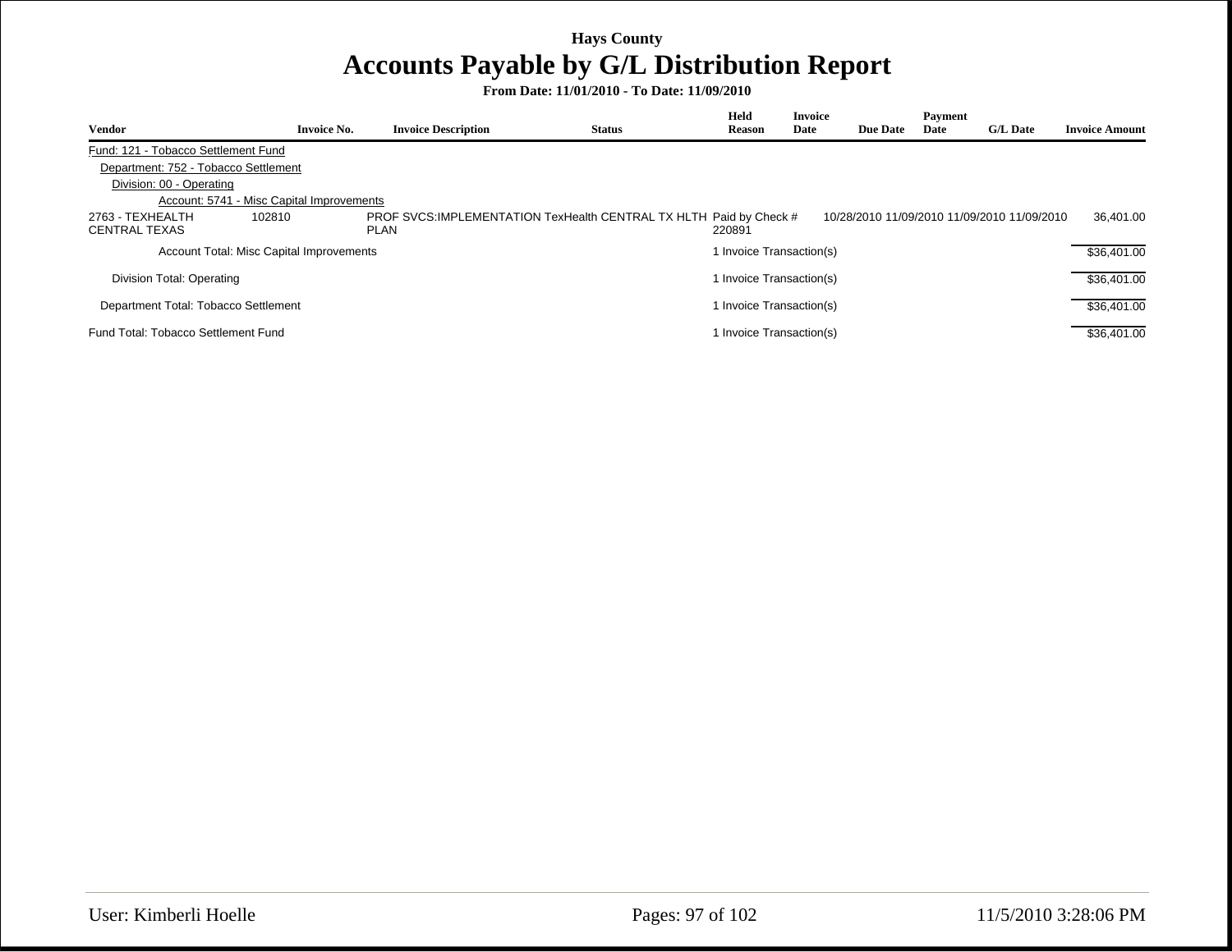| Vendor                               | <b>Invoice No.</b>                        | <b>Invoice Description</b>                                                         | <b>Status</b> | Held<br><b>Reason</b>    | <b>Invoice</b><br>Date | <b>Due Date</b> | Payment<br>Date | <b>G/L Date</b>                             | <b>Invoice Amount</b> |
|--------------------------------------|-------------------------------------------|------------------------------------------------------------------------------------|---------------|--------------------------|------------------------|-----------------|-----------------|---------------------------------------------|-----------------------|
| Fund: 121 - Tobacco Settlement Fund  |                                           |                                                                                    |               |                          |                        |                 |                 |                                             |                       |
| Department: 752 - Tobacco Settlement |                                           |                                                                                    |               |                          |                        |                 |                 |                                             |                       |
| Division: 00 - Operating             |                                           |                                                                                    |               |                          |                        |                 |                 |                                             |                       |
|                                      | Account: 5741 - Misc Capital Improvements |                                                                                    |               |                          |                        |                 |                 |                                             |                       |
| 2763 - TEXHEALTH<br>CENTRAL TEXAS    | 102810                                    | PROF SVCS: IMPLEMENTATION TexHealth CENTRAL TX HLTH Paid by Check #<br><b>PLAN</b> |               | 220891                   |                        |                 |                 | 10/28/2010 11/09/2010 11/09/2010 11/09/2010 | 36.401.00             |
|                                      | Account Total: Misc Capital Improvements  |                                                                                    |               | 1 Invoice Transaction(s) |                        |                 |                 |                                             | \$36,401.00           |
| Division Total: Operating            |                                           |                                                                                    |               | 1 Invoice Transaction(s) |                        |                 |                 |                                             | \$36,401.00           |
| Department Total: Tobacco Settlement |                                           |                                                                                    |               | 1 Invoice Transaction(s) |                        |                 |                 |                                             | \$36,401.00           |
| Fund Total: Tobacco Settlement Fund  |                                           |                                                                                    |               | 1 Invoice Transaction(s) |                        |                 |                 |                                             | \$36,401.00           |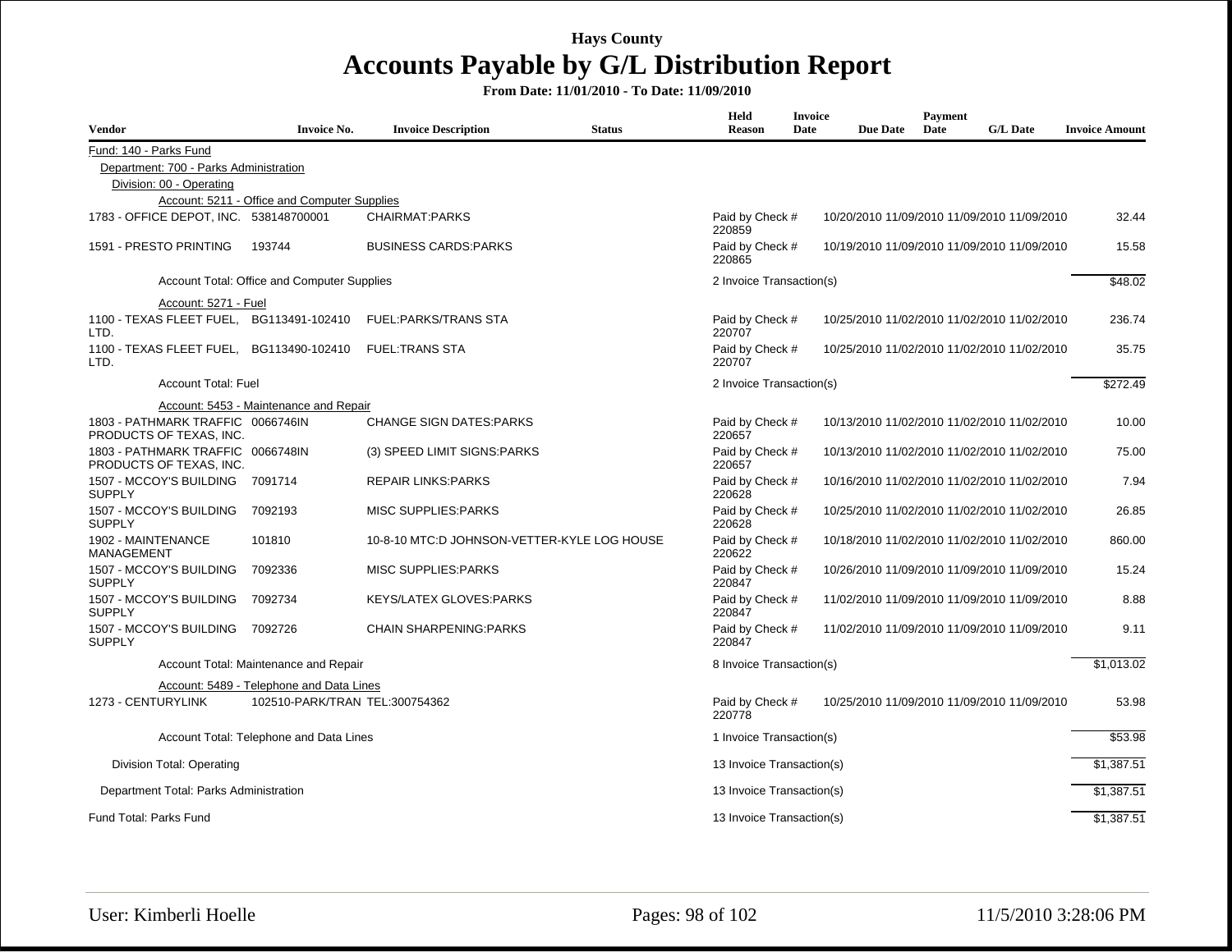| <b>Vendor</b>                                                | <b>Invoice No.</b>                           | <b>Invoice Description</b>                  | <b>Status</b> | Held<br><b>Reason</b>                                                    | <b>Invoice</b><br>Date                               | <b>Due Date</b>                             | <b>Payment</b><br>Date | <b>G/L</b> Date                             | <b>Invoice Amount</b> |
|--------------------------------------------------------------|----------------------------------------------|---------------------------------------------|---------------|--------------------------------------------------------------------------|------------------------------------------------------|---------------------------------------------|------------------------|---------------------------------------------|-----------------------|
| Fund: 140 - Parks Fund                                       |                                              |                                             |               |                                                                          |                                                      |                                             |                        |                                             |                       |
| Department: 700 - Parks Administration                       |                                              |                                             |               |                                                                          |                                                      |                                             |                        |                                             |                       |
| Division: 00 - Operating                                     |                                              |                                             |               |                                                                          |                                                      |                                             |                        |                                             |                       |
|                                                              | Account: 5211 - Office and Computer Supplies |                                             |               |                                                                          |                                                      |                                             |                        |                                             |                       |
| 1783 - OFFICE DEPOT, INC. 538148700001                       |                                              | CHAIRMAT:PARKS                              |               | Paid by Check #<br>220859                                                | 10/20/2010 11/09/2010 11/09/2010 11/09/2010<br>32.44 |                                             |                        |                                             |                       |
| 1591 - PRESTO PRINTING                                       | 193744                                       | <b>BUSINESS CARDS:PARKS</b>                 |               | Paid by Check #<br>10/19/2010 11/09/2010 11/09/2010 11/09/2010<br>220865 |                                                      |                                             |                        |                                             | 15.58                 |
| Account Total: Office and Computer Supplies                  |                                              |                                             |               |                                                                          | 2 Invoice Transaction(s)                             |                                             |                        |                                             | \$48.02               |
| Account: 5271 - Fuel                                         |                                              |                                             |               |                                                                          |                                                      |                                             |                        |                                             |                       |
| 1100 - TEXAS FLEET FUEL, BG113491-102410<br>LTD.             |                                              | <b>FUEL:PARKS/TRANS STA</b>                 |               | Paid by Check #<br>220707                                                |                                                      |                                             |                        | 10/25/2010 11/02/2010 11/02/2010 11/02/2010 | 236.74                |
| 1100 - TEXAS FLEET FUEL, BG113490-102410<br>LTD.             |                                              | <b>FUEL:TRANS STA</b>                       |               | Paid by Check #<br>220707                                                |                                                      | 10/25/2010 11/02/2010 11/02/2010 11/02/2010 | 35.75                  |                                             |                       |
| <b>Account Total: Fuel</b>                                   |                                              |                                             |               | 2 Invoice Transaction(s)                                                 |                                                      |                                             |                        |                                             | \$272.49              |
|                                                              | Account: 5453 - Maintenance and Repair       |                                             |               |                                                                          |                                                      |                                             |                        |                                             |                       |
| 1803 - PATHMARK TRAFFIC 0066746IN<br>PRODUCTS OF TEXAS, INC. |                                              | <b>CHANGE SIGN DATES: PARKS</b>             |               | Paid by Check #<br>220657                                                |                                                      |                                             |                        | 10/13/2010 11/02/2010 11/02/2010 11/02/2010 | 10.00                 |
| 1803 - PATHMARK TRAFFIC 0066748IN<br>PRODUCTS OF TEXAS, INC. |                                              | (3) SPEED LIMIT SIGNS: PARKS                |               | Paid by Check #<br>220657                                                |                                                      |                                             |                        | 10/13/2010 11/02/2010 11/02/2010 11/02/2010 | 75.00                 |
| 1507 - MCCOY'S BUILDING 7091714<br><b>SUPPLY</b>             |                                              | <b>REPAIR LINKS:PARKS</b>                   |               | Paid by Check #<br>220628                                                |                                                      |                                             |                        | 10/16/2010 11/02/2010 11/02/2010 11/02/2010 | 7.94                  |
| 1507 - MCCOY'S BUILDING<br><b>SUPPLY</b>                     | 7092193                                      | <b>MISC SUPPLIES: PARKS</b>                 |               | Paid by Check #<br>220628                                                |                                                      |                                             |                        | 10/25/2010 11/02/2010 11/02/2010 11/02/2010 | 26.85                 |
| 1902 - MAINTENANCE<br><b>MANAGEMENT</b>                      | 101810                                       | 10-8-10 MTC:D JOHNSON-VETTER-KYLE LOG HOUSE |               | Paid by Check #<br>220622                                                |                                                      |                                             |                        | 10/18/2010 11/02/2010 11/02/2010 11/02/2010 | 860.00                |
| 1507 - MCCOY'S BUILDING<br><b>SUPPLY</b>                     | 7092336                                      | <b>MISC SUPPLIES: PARKS</b>                 |               | Paid by Check #<br>220847                                                |                                                      |                                             |                        | 10/26/2010 11/09/2010 11/09/2010 11/09/2010 | 15.24                 |
| 1507 - MCCOY'S BUILDING<br><b>SUPPLY</b>                     | 7092734                                      | <b>KEYS/LATEX GLOVES:PARKS</b>              |               | Paid by Check #<br>220847                                                |                                                      |                                             |                        | 11/02/2010 11/09/2010 11/09/2010 11/09/2010 | 8.88                  |
| 1507 - MCCOY'S BUILDING<br><b>SUPPLY</b>                     | 7092726                                      | <b>CHAIN SHARPENING:PARKS</b>               |               | Paid by Check #<br>220847                                                |                                                      |                                             |                        | 11/02/2010 11/09/2010 11/09/2010 11/09/2010 | 9.11                  |
|                                                              | Account Total: Maintenance and Repair        |                                             |               | 8 Invoice Transaction(s)                                                 | \$1,013.02                                           |                                             |                        |                                             |                       |
|                                                              | Account: 5489 - Telephone and Data Lines     |                                             |               |                                                                          |                                                      |                                             |                        |                                             |                       |
| 1273 - CENTURYLINK                                           | 102510-PARK/TRAN TEL:300754362               |                                             |               | Paid by Check #<br>220778                                                |                                                      |                                             |                        | 10/25/2010 11/09/2010 11/09/2010 11/09/2010 | 53.98                 |
|                                                              | Account Total: Telephone and Data Lines      |                                             |               | 1 Invoice Transaction(s)                                                 |                                                      |                                             |                        |                                             | \$53.98               |
| Division Total: Operating                                    |                                              |                                             |               | 13 Invoice Transaction(s)                                                |                                                      |                                             |                        |                                             | \$1,387.51            |
| Department Total: Parks Administration                       |                                              |                                             |               | 13 Invoice Transaction(s)                                                |                                                      |                                             |                        |                                             | \$1,387.51            |
| Fund Total: Parks Fund                                       |                                              |                                             |               | 13 Invoice Transaction(s)                                                |                                                      |                                             |                        |                                             | \$1,387.51            |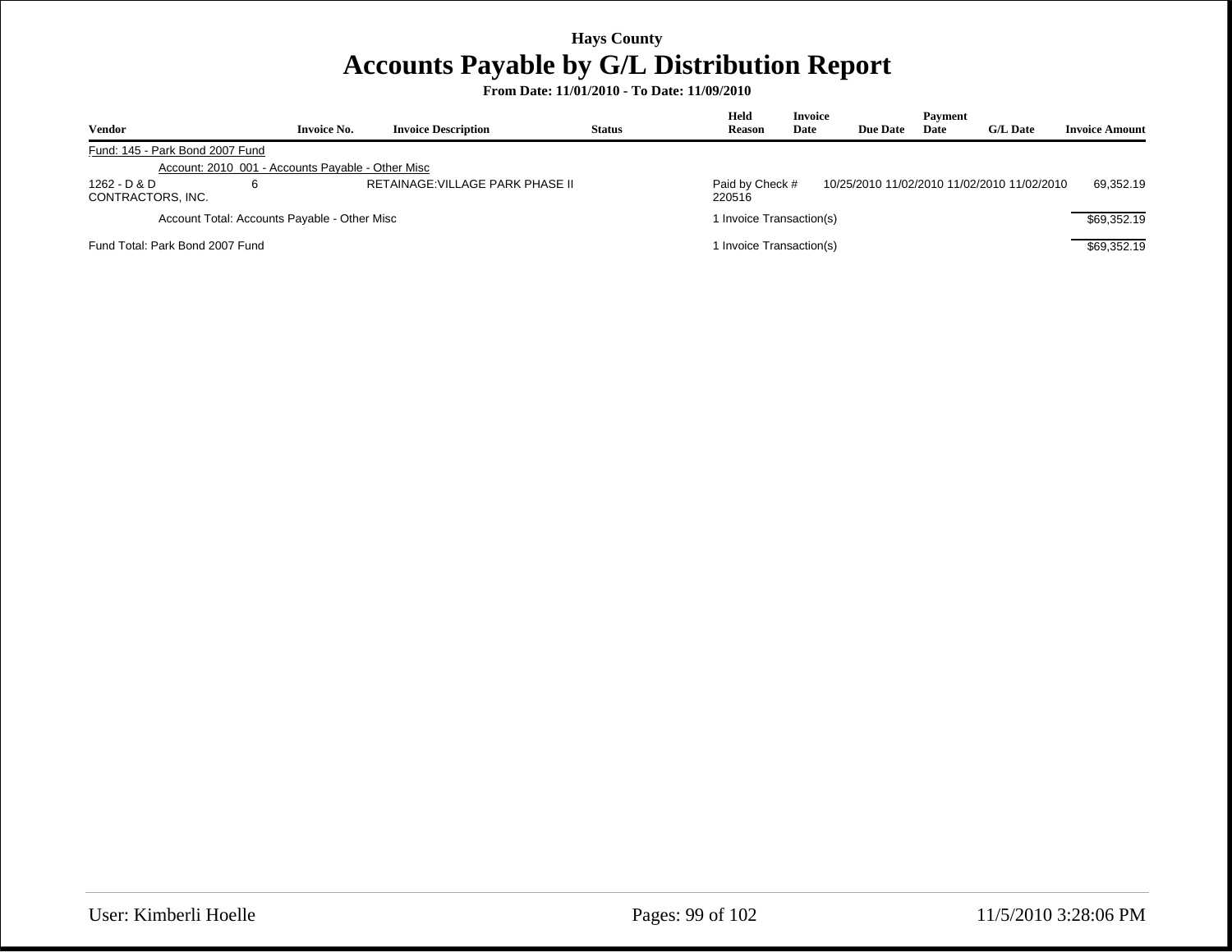| <b>Vendor</b>                     | <b>Invoice No.</b>                                | <b>Invoice Description</b>       | <b>Status</b> | Held<br><b>Reason</b>     | <b>Invoice</b><br>Date | <b>Due Date</b> | Payment<br>Date | <b>G/L Date</b>                             | <b>Invoice Amount</b> |
|-----------------------------------|---------------------------------------------------|----------------------------------|---------------|---------------------------|------------------------|-----------------|-----------------|---------------------------------------------|-----------------------|
| Fund: 145 - Park Bond 2007 Fund   |                                                   |                                  |               |                           |                        |                 |                 |                                             |                       |
|                                   | Account: 2010 001 - Accounts Payable - Other Misc |                                  |               |                           |                        |                 |                 |                                             |                       |
| 1262 - D & D<br>CONTRACTORS, INC. |                                                   | RETAINAGE: VILLAGE PARK PHASE II |               | Paid by Check #<br>220516 |                        |                 |                 | 10/25/2010 11/02/2010 11/02/2010 11/02/2010 | 69.352.19             |
|                                   | Account Total: Accounts Payable - Other Misc      |                                  |               | 1 Invoice Transaction(s)  |                        |                 |                 |                                             | \$69.352.19           |
| Fund Total: Park Bond 2007 Fund   |                                                   |                                  |               | 1 Invoice Transaction(s)  |                        |                 |                 |                                             | \$69,352.19           |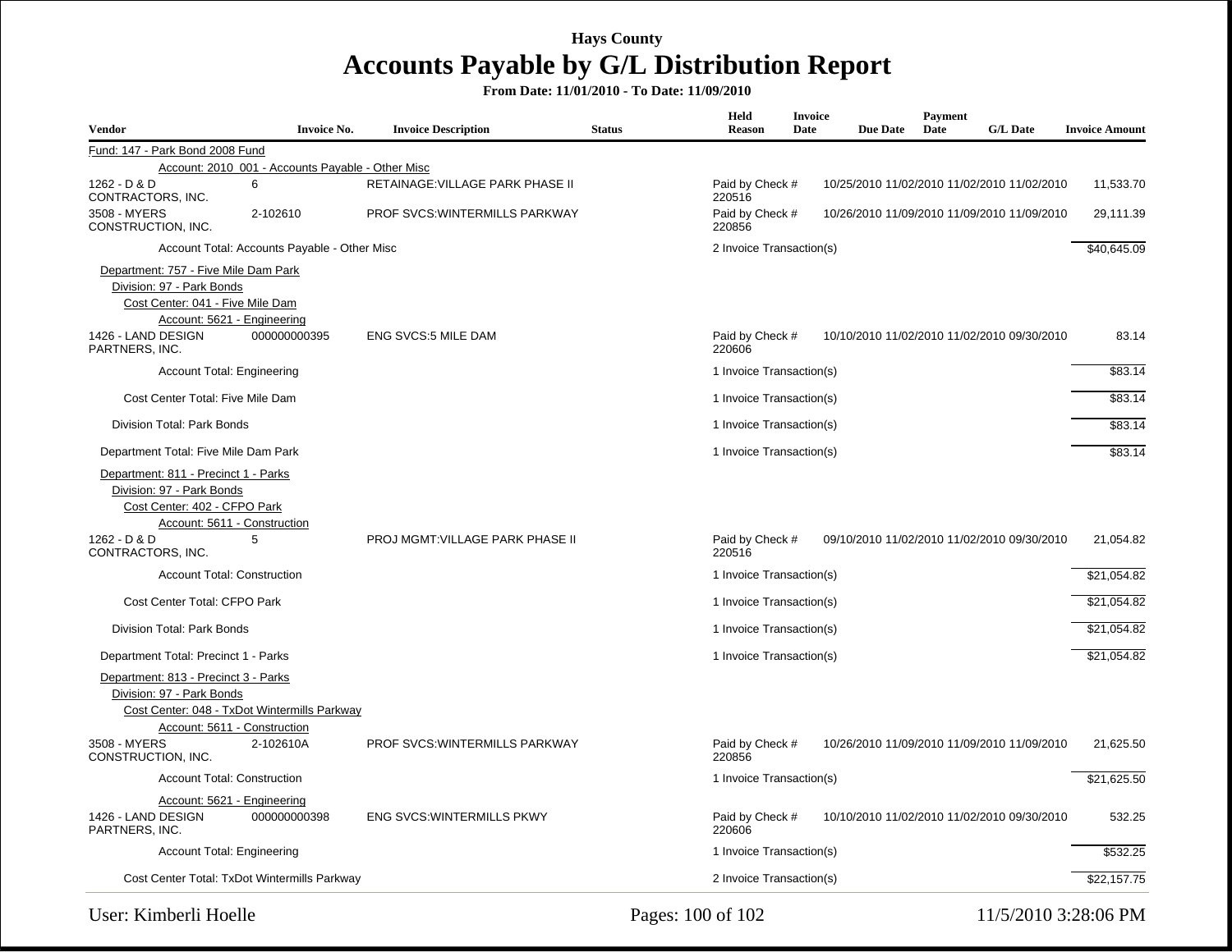| Vendor                                                                                                                                                     | Invoice No.                                       | <b>Invoice Description</b>            | <b>Status</b> | Held<br><b>Reason</b>     | <b>Invoice</b><br>Date                                   | <b>Due Date</b> | Payment<br>Date | G/L Date                                    | <b>Invoice Amount</b> |
|------------------------------------------------------------------------------------------------------------------------------------------------------------|---------------------------------------------------|---------------------------------------|---------------|---------------------------|----------------------------------------------------------|-----------------|-----------------|---------------------------------------------|-----------------------|
| Fund: 147 - Park Bond 2008 Fund                                                                                                                            |                                                   |                                       |               |                           |                                                          |                 |                 |                                             |                       |
|                                                                                                                                                            | Account: 2010_001 - Accounts Payable - Other Misc |                                       |               |                           |                                                          |                 |                 |                                             |                       |
| 1262 - D & D<br>CONTRACTORS, INC.                                                                                                                          | 6                                                 | RETAINAGE: VILLAGE PARK PHASE II      |               | Paid by Check #<br>220516 |                                                          |                 |                 | 10/25/2010 11/02/2010 11/02/2010 11/02/2010 | 11,533.70             |
| 3508 - MYERS<br>CONSTRUCTION, INC.                                                                                                                         | 2-102610                                          | <b>PROF SVCS: WINTERMILLS PARKWAY</b> |               | Paid by Check #<br>220856 | 29,111.39<br>10/26/2010 11/09/2010 11/09/2010 11/09/2010 |                 |                 |                                             |                       |
| Account Total: Accounts Payable - Other Misc                                                                                                               |                                                   | 2 Invoice Transaction(s)              |               |                           |                                                          |                 | \$40,645.09     |                                             |                       |
| Department: 757 - Five Mile Dam Park<br>Division: 97 - Park Bonds<br>Cost Center: 041 - Five Mile Dam<br>Account: 5621 - Engineering<br>1426 - LAND DESIGN | 000000000395                                      | <b>ENG SVCS:5 MILE DAM</b>            |               | Paid by Check #           |                                                          |                 |                 | 10/10/2010 11/02/2010 11/02/2010 09/30/2010 | 83.14                 |
| PARTNERS, INC.                                                                                                                                             |                                                   |                                       |               | 220606                    |                                                          |                 |                 |                                             |                       |
| Account Total: Engineering                                                                                                                                 |                                                   |                                       |               | 1 Invoice Transaction(s)  |                                                          |                 |                 |                                             | \$83.14               |
| Cost Center Total: Five Mile Dam                                                                                                                           |                                                   |                                       |               | 1 Invoice Transaction(s)  |                                                          |                 |                 |                                             | \$83.14               |
| Division Total: Park Bonds                                                                                                                                 |                                                   |                                       |               | 1 Invoice Transaction(s)  |                                                          |                 |                 |                                             | \$83.14               |
| Department Total: Five Mile Dam Park                                                                                                                       |                                                   |                                       |               | 1 Invoice Transaction(s)  |                                                          |                 |                 |                                             | \$83.14               |
| Department: 811 - Precinct 1 - Parks<br>Division: 97 - Park Bonds<br>Cost Center: 402 - CFPO Park<br>Account: 5611 - Construction                          |                                                   |                                       |               |                           |                                                          |                 |                 |                                             |                       |
| 1262 - D & D<br>CONTRACTORS, INC.                                                                                                                          | 5                                                 | PROJ MGMT: VILLAGE PARK PHASE II      |               | Paid by Check #<br>220516 |                                                          |                 |                 | 09/10/2010 11/02/2010 11/02/2010 09/30/2010 | 21,054.82             |
| <b>Account Total: Construction</b>                                                                                                                         |                                                   |                                       |               | 1 Invoice Transaction(s)  |                                                          |                 |                 |                                             | \$21,054.82           |
| Cost Center Total: CFPO Park                                                                                                                               |                                                   |                                       |               | 1 Invoice Transaction(s)  |                                                          |                 |                 |                                             | \$21,054.82           |
| Division Total: Park Bonds                                                                                                                                 |                                                   |                                       |               | 1 Invoice Transaction(s)  |                                                          |                 |                 |                                             | \$21,054.82           |
| Department Total: Precinct 1 - Parks                                                                                                                       |                                                   |                                       |               | 1 Invoice Transaction(s)  |                                                          |                 |                 |                                             | \$21,054.82           |
| Department: 813 - Precinct 3 - Parks<br>Division: 97 - Park Bonds<br>Cost Center: 048 - TxDot Wintermills Parkway<br>Account: 5611 - Construction          |                                                   |                                       |               |                           |                                                          |                 |                 |                                             |                       |
| 3508 - MYERS<br>CONSTRUCTION, INC.                                                                                                                         | 2-102610A                                         | <b>PROF SVCS: WINTERMILLS PARKWAY</b> |               | Paid by Check #<br>220856 |                                                          |                 |                 | 10/26/2010 11/09/2010 11/09/2010 11/09/2010 | 21,625.50             |
| <b>Account Total: Construction</b>                                                                                                                         |                                                   |                                       |               | 1 Invoice Transaction(s)  |                                                          |                 |                 |                                             | \$21,625.50           |
| Account: 5621 - Engineering<br>1426 - LAND DESIGN<br>PARTNERS, INC.                                                                                        | 000000000398                                      | <b>ENG SVCS: WINTERMILLS PKWY</b>     |               | Paid by Check #<br>220606 |                                                          |                 |                 | 10/10/2010 11/02/2010 11/02/2010 09/30/2010 | 532.25                |
| <b>Account Total: Engineering</b>                                                                                                                          |                                                   |                                       |               | 1 Invoice Transaction(s)  |                                                          |                 |                 |                                             | \$532.25              |
| Cost Center Total: TxDot Wintermills Parkway                                                                                                               |                                                   |                                       |               | 2 Invoice Transaction(s)  |                                                          |                 |                 |                                             | \$22.157.75           |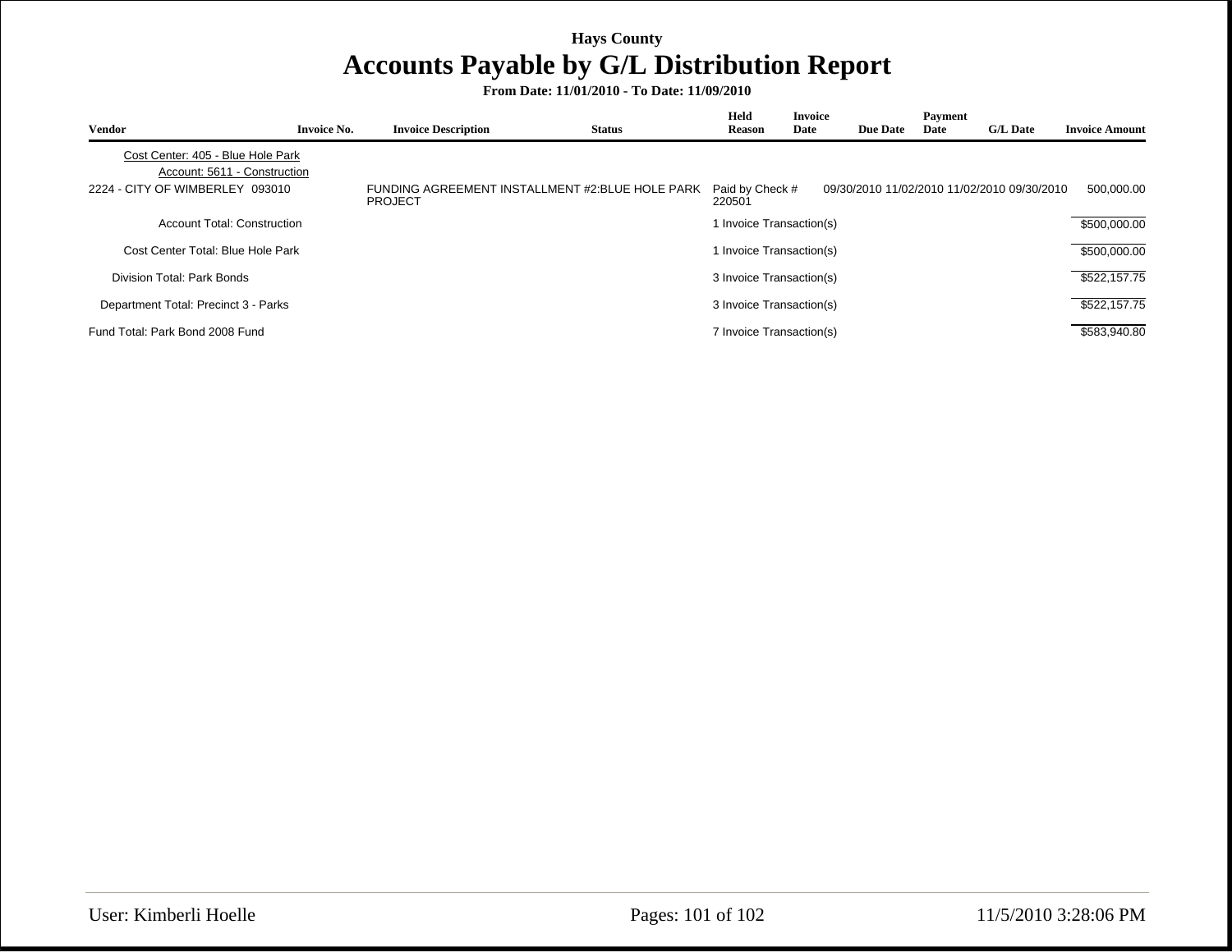| Vendor                                                            | <b>Invoice No.</b> | <b>Invoice Description</b> | <b>Status</b>                                   | Held<br><b>Reason</b>     | <b>Invoice</b><br>Date | <b>Due Date</b> | Payment<br>Date | <b>G/L Date</b>                             | <b>Invoice Amount</b> |
|-------------------------------------------------------------------|--------------------|----------------------------|-------------------------------------------------|---------------------------|------------------------|-----------------|-----------------|---------------------------------------------|-----------------------|
| Cost Center: 405 - Blue Hole Park<br>Account: 5611 - Construction |                    |                            |                                                 |                           |                        |                 |                 |                                             |                       |
| 2224 - CITY OF WIMBERLEY 093010                                   |                    | <b>PROJECT</b>             | FUNDING AGREEMENT INSTALLMENT #2:BLUE HOLE PARK | Paid by Check #<br>220501 |                        |                 |                 | 09/30/2010 11/02/2010 11/02/2010 09/30/2010 | 500,000.00            |
| <b>Account Total: Construction</b>                                |                    |                            |                                                 | Invoice Transaction(s)    |                        |                 |                 |                                             | \$500,000.00          |
| Cost Center Total: Blue Hole Park                                 |                    |                            |                                                 | Invoice Transaction(s)    |                        |                 |                 |                                             | \$500,000.00          |
| Division Total: Park Bonds                                        |                    |                            |                                                 | 3 Invoice Transaction(s)  |                        |                 |                 |                                             | \$522,157.75          |
| Department Total: Precinct 3 - Parks                              |                    |                            |                                                 | 3 Invoice Transaction(s)  |                        |                 |                 |                                             | \$522,157.75          |
| Fund Total: Park Bond 2008 Fund                                   |                    |                            |                                                 | 7 Invoice Transaction(s)  |                        |                 |                 |                                             | \$583,940.80          |